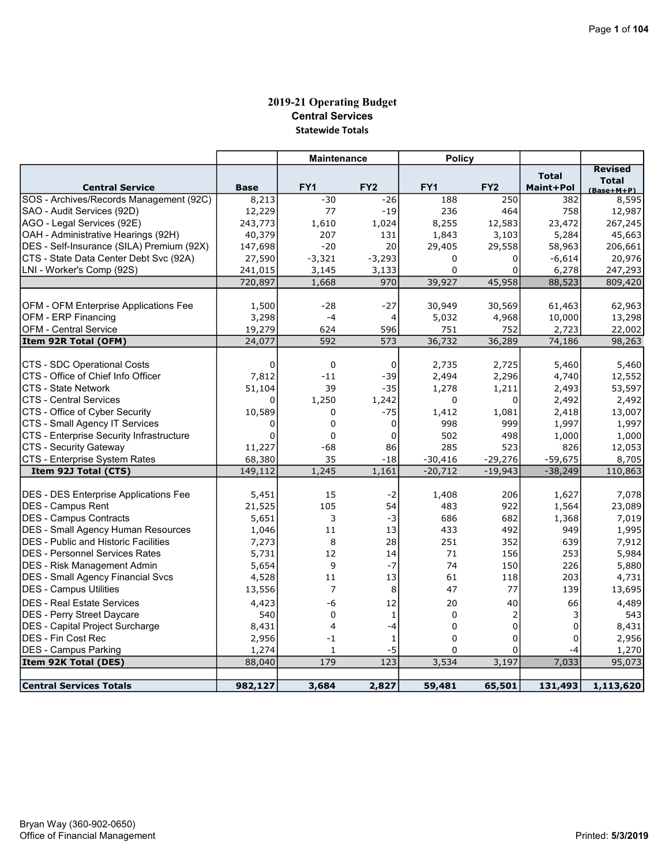# 2019-21 Operating Budget Central Services Statewide Totals

|                                             |             | <b>Maintenance</b> |                  | <b>Policy</b>   |                 |              |                     |
|---------------------------------------------|-------------|--------------------|------------------|-----------------|-----------------|--------------|---------------------|
|                                             |             |                    |                  |                 |                 | <b>Total</b> | <b>Revised</b>      |
| <b>Central Service</b>                      | <b>Base</b> | FY <sub>1</sub>    | FY <sub>2</sub>  | FY <sub>1</sub> | FY <sub>2</sub> | Maint+Pol    | <b>Total</b>        |
| SOS - Archives/Records Management (92C)     | 8,213       | $-30$              | $-26$            | 188             | 250             | 382          | (Base+M+P)<br>8,595 |
| SAO - Audit Services (92D)                  | 12,229      | 77                 | $-19$            | 236             | 464             | 758          | 12,987              |
| AGO - Legal Services (92E)                  | 243,773     | 1,610              | 1,024            | 8,255           | 12,583          | 23,472       | 267,245             |
| OAH - Administrative Hearings (92H)         | 40,379      | 207                | 131              | 1,843           | 3,103           | 5,284        | 45,663              |
| DES - Self-Insurance (SILA) Premium (92X)   | 147,698     | $-20$              | 20               | 29,405          | 29,558          | 58,963       | 206,661             |
| CTS - State Data Center Debt Svc (92A)      | 27,590      | $-3,321$           | $-3,293$         | $\mathbf 0$     | 0               | $-6,614$     | 20,976              |
| LNI - Worker's Comp (92S)                   | 241,015     | 3,145              | 3,133            | 0               | $\Omega$        | 6,278        | 247,293             |
|                                             | 720,897     | 1,668              | 970              | 39,927          | 45,958          | 88,523       | 809,420             |
|                                             |             |                    |                  |                 |                 |              |                     |
| OFM - OFM Enterprise Applications Fee       | 1,500       | $-28$              | $-27$            | 30,949          | 30,569          | 61,463       | 62,963              |
| OFM - ERP Financing                         | 3,298       | $-4$               | 4                | 5,032           | 4,968           | 10,000       | 13,298              |
| <b>OFM - Central Service</b>                | 19,279      | 624                | 596              | 751             | 752             | 2,723        | 22,002              |
| Item 92R Total (OFM)                        | 24,077      | 592                | 573              | 36,732          | 36,289          | 74,186       | 98,263              |
|                                             |             |                    |                  |                 |                 |              |                     |
| CTS - SDC Operational Costs                 | 0           | $\mathbf 0$        | 0                | 2,735           | 2,725           | 5,460        | 5,460               |
| CTS - Office of Chief Info Officer          | 7,812       | $-11$              | $-39$            | 2,494           | 2,296           | 4,740        | 12,552              |
| <b>CTS - State Network</b>                  | 51,104      | 39                 | $-35$            | 1,278           | 1,211           | 2,493        | 53,597              |
| <b>CTS - Central Services</b>               | $\mathbf 0$ | 1,250              | 1,242            | 0               | 0               | 2,492        | 2,492               |
| CTS - Office of Cyber Security              | 10,589      | 0                  | $-75$            | 1,412           | 1,081           | 2,418        | 13,007              |
| CTS - Small Agency IT Services              | $\Omega$    | $\Omega$           | $\Omega$         | 998             | 999             | 1,997        | 1,997               |
| CTS - Enterprise Security Infrastructure    | $\mathbf 0$ | $\mathbf 0$        | 0                | 502             | 498             | 1,000        | 1,000               |
| <b>CTS - Security Gateway</b>               | 11,227      | -68                | 86               | 285             | 523             | 826          | 12,053              |
| CTS - Enterprise System Rates               | 68,380      | 35                 | $-18$            | $-30,416$       | $-29,276$       | $-59,675$    | 8,705               |
| Item 92J Total (CTS)                        | 149,112     | 1,245              | 1,161            | $-20,712$       | $-19,943$       | $-38,249$    | 110,863             |
|                                             |             |                    |                  |                 |                 |              |                     |
| DES - DES Enterprise Applications Fee       | 5,451       | 15                 | $-2$             | 1,408           | 206             | 1,627        | 7,078               |
| DES - Campus Rent                           | 21,525      | 105                | 54               | 483             | 922             | 1,564        | 23,089              |
| <b>IDES - Campus Contracts</b>              | 5,651       | 3                  | $-3$             | 686             | 682             | 1,368        | 7,019               |
| <b>DES - Small Agency Human Resources</b>   | 1,046       | 11                 | 13               | 433             | 492             | 949          | 1,995               |
| <b>DES</b> - Public and Historic Facilities | 7,273       | 8                  | 28               | 251             | 352             | 639          | 7,912               |
| <b>DES - Personnel Services Rates</b>       | 5,731       | 12                 | 14               | 71              | 156             | 253          | 5,984               |
| <b>DES - Risk Management Admin</b>          | 5,654       | 9                  | $-7$             | 74              | 150             | 226          | 5,880               |
| <b>DES - Small Agency Financial Svcs</b>    | 4,528       | 11                 | 13               | 61              | 118             | 203          | 4,731               |
| DES - Campus Utilities                      | 13,556      | $\overline{7}$     | 8                | 47              | 77              | 139          | 13,695              |
| <b>DES - Real Estate Services</b>           | 4,423       | -6                 | 12               | 20              | 40              | 66           | 4,489               |
| <b>DES - Perry Street Daycare</b>           | 540         | $\mathbf 0$        | $\mathbf{1}$     | $\mathbf 0$     | $\overline{2}$  | 3            | 543                 |
| DES - Capital Project Surcharge             | 8,431       | $\overline{4}$     | $-4$             | $\mathbf 0$     | $\Omega$        | $\mathbf 0$  | 8,431               |
| <b>DES - Fin Cost Rec</b>                   | 2,956       | $-1$               | 1                | 0               | $\Omega$        | 0            | 2,956               |
| <b>DES - Campus Parking</b>                 | 1,274       | $\mathbf{1}$       | -5               | $\Omega$        | 0               | -4           | 1,270               |
| Item 92K Total (DES)                        | 88,040      | 179                | $\overline{123}$ | 3,534           | 3,197           | 7,033        | 95,073              |
|                                             |             |                    |                  |                 |                 |              |                     |
| <b>Central Services Totals</b>              | 982,127     | 3,684              | 2,827            | 59,481          | 65,501          | 131,493      | 1,113,620           |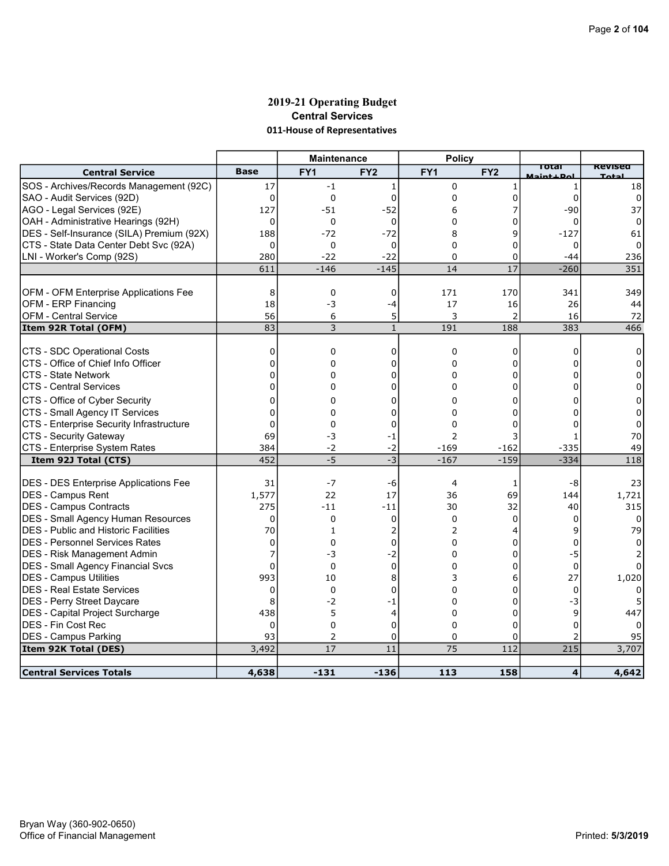# 2019-21 Operating Budget Central Services 011-House of Representatives

|                                                                     |                 | <b>Maintenance</b> |                 | <b>Policy</b>   |                      |                             |                |
|---------------------------------------------------------------------|-----------------|--------------------|-----------------|-----------------|----------------------|-----------------------------|----------------|
| <b>Central Service</b>                                              | <b>Base</b>     | FY <sub>1</sub>    | FY <sub>2</sub> | FY <sub>1</sub> | FY <sub>2</sub>      | Total<br><b>Maint + Dol</b> | <b>Revised</b> |
| SOS - Archives/Records Management (92C)                             | 17              | $-1$               | 1               | $\mathbf 0$     |                      | 1                           | 18             |
| SAO - Audit Services (92D)                                          | 0               | $\mathbf 0$        | $\Omega$        | $\Omega$        | 0                    | 0                           | 0              |
| AGO - Legal Services (92E)                                          | 127             | $-51$              | $-52$           | 6               |                      | $-90$                       | 37             |
| OAH - Administrative Hearings (92H)                                 | $\Omega$        | $\Omega$           | 0               | $\Omega$        | O                    | 0                           | 0              |
| DES - Self-Insurance (SILA) Premium (92X)                           | 188             | $-72$              | $-72$           | 8               | 9                    | $-127$                      | 61             |
| CTS - State Data Center Debt Svc (92A)                              | $\Omega$        | $\mathbf 0$        | 0               | $\Omega$        | 0                    | 0                           | $\Omega$       |
| LNI - Worker's Comp (92S)                                           | 280             | $-22$              | $-22$           | 0               | 0                    | $-44$                       | 236            |
|                                                                     | 611             | $-146$             | $-145$          | 14              | 17                   | $-260$                      | 351            |
|                                                                     | 8               | $\mathbf 0$        | 0               | 171             | 170                  | 341                         | 349            |
| OFM - OFM Enterprise Applications Fee<br><b>OFM - ERP Financing</b> | 18              | -3                 |                 | 17              |                      | 26                          |                |
|                                                                     | 56              |                    | $-4$<br>5       | 3               | 16<br>$\overline{2}$ |                             | 44<br>72       |
| OFM - Central Service                                               | $\overline{83}$ | 6<br>3             | $\mathbf 1$     | 191             | 188                  | 16<br>$\frac{1}{383}$       | 466            |
| Item 92R Total (OFM)                                                |                 |                    |                 |                 |                      |                             |                |
| CTS - SDC Operational Costs                                         | 0               | 0                  | 0               | $\Omega$        | 0                    | $\Omega$                    | $\Omega$       |
| CTS - Office of Chief Info Officer                                  | 0               | 0                  | 0               | $\Omega$        | 0                    |                             |                |
| CTS - State Network                                                 | $\Omega$        | 0                  | $\Omega$        | $\Omega$        | $\Omega$             |                             | 0              |
| <b>CTS - Central Services</b>                                       | $\Omega$        | 0                  | 0               | $\Omega$        | O                    |                             |                |
| CTS - Office of Cyber Security                                      | 0               | 0                  | 0               | 0               | 0                    |                             | 0              |
| CTS - Small Agency IT Services                                      | 0               | 0                  | O               | 0               | ი                    |                             | 0              |
| CTS - Enterprise Security Infrastructure                            | 0               | 0                  | 0               | 0               | 0                    |                             | 0              |
| CTS - Security Gateway                                              | 69              | -3                 | -1              | $\overline{2}$  | 3                    |                             | 70             |
| CTS - Enterprise System Rates                                       | 384             | $-2$               | -2              | $-169$          | $-162$               | $-335$                      | 49             |
| Item 92J Total (CTS)                                                | 452             | $-5$               | $-3$            | $-167$          | $-159$               | $-334$                      | 118            |
|                                                                     |                 |                    |                 |                 |                      |                             |                |
| <b>DES - DES Enterprise Applications Fee</b>                        | 31              | $-7$               | -6              | 4               | 1                    | -8                          | 23             |
| DES - Campus Rent                                                   | 1,577           | 22                 | 17              | 36              | 69                   | 144                         | 1,721          |
| DES - Campus Contracts                                              | 275             | -11                | $-11$           | 30              | 32                   | 40                          | 315            |
| <b>DES - Small Agency Human Resources</b>                           | 0               | $\mathbf 0$        | 0               | $\Omega$        | 0                    | 0                           | $\Omega$       |
| <b>IDES - Public and Historic Facilities</b>                        | 70              | $\mathbf{1}$       | 2               | 2               | 4                    | 9                           | 79             |
| <b>DES - Personnel Services Rates</b>                               | 0               | $\Omega$           | $\Omega$        | $\Omega$        | 0                    | 0                           |                |
| DES - Risk Management Admin                                         | 7               | -3                 | -2              | $\Omega$        | 0                    | -5                          |                |
| DES - Small Agency Financial Svcs                                   | $\Omega$        | $\Omega$           | $\Omega$        | $\Omega$        | 0                    | $\Omega$                    |                |
| DES - Campus Utilities                                              | 993             | 10                 | 8               | 3               | 6                    | 27                          | 1,020          |
| <b>DES - Real Estate Services</b>                                   | 0               | $\Omega$           | 0               | $\Omega$        | 0                    | $\Omega$                    |                |
| DES - Perry Street Daycare                                          | 8               | $-2$               | -1              | $\Omega$        | $\Omega$             | -3                          |                |
| DES - Capital Project Surcharge                                     | 438             | 5                  | 4               | $\Omega$        | O                    | $\mathsf{Q}$                | 447            |
| DES - Fin Cost Rec                                                  | 0               | $\Omega$           | 0               | $\Omega$        | 0                    | O                           |                |
| <b>DES - Campus Parking</b>                                         | 93              | 2                  | 0               | $\mathbf 0$     | $\Omega$             |                             | 95             |
| Item 92K Total (DES)                                                | 3,492           | $\overline{17}$    | $\overline{11}$ | 75              | 112                  | 215                         | 3,707          |
|                                                                     |                 |                    |                 |                 |                      |                             |                |
| <b>Central Services Totals</b>                                      | 4,638           | $-131$             | $-136$          | 113             | 158                  | 4                           | 4,642          |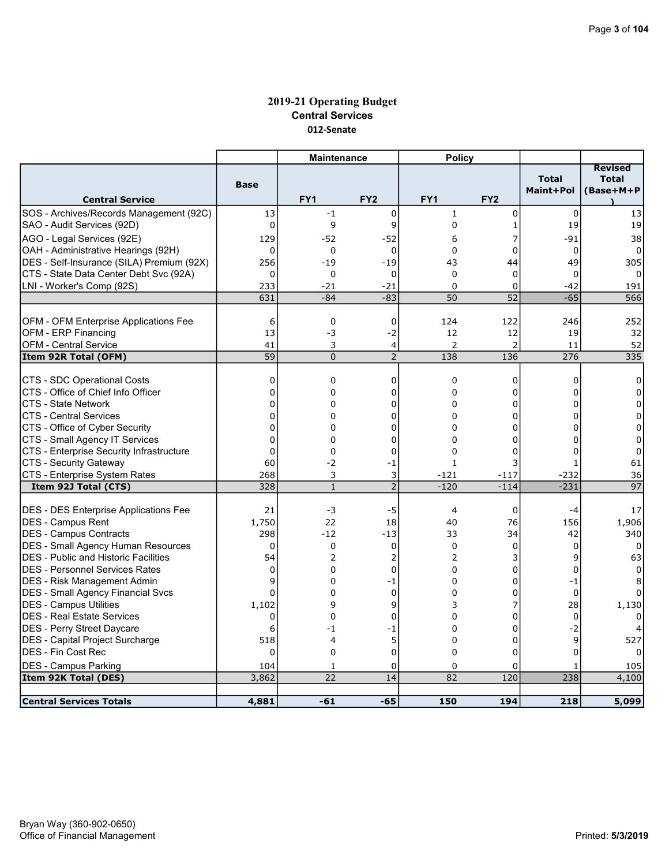# 2019-21 Operating Budget Central Services 012-Senate

|                                                |                       | <b>Maintenance</b> |                     | <b>Policy</b>         |                       |              |                                |
|------------------------------------------------|-----------------------|--------------------|---------------------|-----------------------|-----------------------|--------------|--------------------------------|
|                                                |                       |                    |                     |                       |                       | <b>Total</b> | <b>Revised</b><br><b>Total</b> |
|                                                | <b>Base</b>           |                    |                     |                       |                       | Maint+Pol    | (Base+M+P                      |
| <b>Central Service</b>                         |                       | FY <sub>1</sub>    | FY <sub>2</sub>     | FY <sub>1</sub>       | FY <sub>2</sub>       |              |                                |
| SOS - Archives/Records Management (92C)        | 13                    | $-1$               | $\mathbf 0$         | $\mathbf{1}$          | 0                     | $\mathbf 0$  | 13                             |
| SAO - Audit Services (92D)                     | $\mathbf 0$           | 9                  | 9                   | 0                     | 1                     | 19           | 19                             |
| AGO - Legal Services (92E)                     | 129                   | -52                | $-52$               | 6                     | 7                     | $-91$        | 38                             |
| OAH - Administrative Hearings (92H)            | 0                     | $\mathbf 0$        | $\mathbf 0$         | $\Omega$              | 0                     | $\mathbf 0$  | $\Omega$                       |
| DES - Self-Insurance (SILA) Premium (92X)      | 256                   | $-19$              | $-19$               | 43                    | 44                    | 49           | 305                            |
| CTS - State Data Center Debt Svc (92A)         | 0                     | 0                  | 0                   | $\mathbf 0$           | 0                     | 0            |                                |
| LNI - Worker's Comp (92S)                      | 233                   | $-21$              | $-21$               | $\Omega$              | $\Omega$              | $-42$        | 191                            |
|                                                | 631                   | $-84$              | $-83$               | 50                    | 52                    | $-65$        | 566                            |
|                                                |                       |                    |                     |                       |                       |              |                                |
| OFM - OFM Enterprise Applications Fee          | 6                     | $\mathbf 0$        | 0                   | 124                   | 122                   | 246          | 252                            |
| OFM - ERP Financing                            | 13                    | -3                 | -2                  | 12                    | 12                    | 19           | 32                             |
| IOFM - Central Service<br>Item 92R Total (OFM) | 41<br>$\overline{59}$ | 3<br>$\Omega$      | 4<br>$\overline{2}$ | $\overline{2}$<br>138 | $\overline{2}$<br>136 | 11<br>276    | 52<br>335                      |
|                                                |                       |                    |                     |                       |                       |              |                                |
| CTS - SDC Operational Costs                    | 0                     | $\mathbf 0$        | $\mathbf 0$         | 0                     | 0                     | $\mathbf 0$  | 0                              |
| ICTS - Office of Chief Info Officer            | $\overline{0}$        | $\Omega$           | $\overline{0}$      | $\Omega$              | 0                     | 0            | $\Omega$                       |
| ICTS - State Network                           | 0                     | 0                  | 0                   | 0                     | 0                     | $\Omega$     | 0                              |
| ICTS - Central Services                        | $\overline{0}$        | 0                  | 0                   | $\Omega$              | 0                     | 0            | $\Omega$                       |
| CTS - Office of Cyber Security                 | 0                     | $\Omega$           | 0                   | $\Omega$              | 0                     | $\Omega$     | $\Omega$                       |
| CTS - Small Agency IT Services                 | $\overline{0}$        | 0                  | 0                   | 0                     | 0                     | 0            | 0                              |
| CTS - Enterprise Security Infrastructure       | $\overline{0}$        | 0                  | $\overline{0}$      | $\Omega$              | $\Omega$              | $\Omega$     | $\Omega$                       |
| CTS - Security Gateway                         | 60                    | $-2$               | -1                  | 1                     | 3                     |              | 61                             |
| CTS - Enterprise System Rates                  | 268                   | 3                  | 3                   | $-121$                | $-117$                | $-232$       | 36                             |
| Item 92J Total (CTS)                           | 328                   | $\mathbf{1}$       | $\overline{2}$      | $-120$                | $-114$                | $-231$       | 97                             |
| <b>DES - DES Enterprise Applications Fee</b>   | 21                    | $-3$               | -5                  | $\overline{4}$        | 0                     | $-4$         | 17                             |
| <b>DES - Campus Rent</b>                       | 1,750                 | 22                 | 18                  | 40                    | 76                    | 156          | 1,906                          |
| <b>IDES - Campus Contracts</b>                 | 298                   | $-12$              | $-13$               | 33                    | 34                    | 42           | 340                            |
| <b>DES - Small Agency Human Resources</b>      | $\mathbf 0$           | $\mathbf 0$        | $\mathbf 0$         | $\mathbf 0$           | 0                     | 0            | $\Omega$                       |
| <b>DES</b> - Public and Historic Facilities    | 54                    | 2                  | 2                   | 2                     | 3                     | $\mathsf{q}$ | 63                             |
| IDES - Personnel Services Rates                | 0                     | $\Omega$           | $\mathbf 0$         | 0                     | 0                     | $\mathbf 0$  |                                |
| DES - Risk Management Admin                    | 9                     | 0                  | -1                  | $\Omega$              | 0                     | $-1$         |                                |
| <b>DES - Small Agency Financial Svcs</b>       | $\Omega$              | $\Omega$           | $\mathbf 0$         | $\Omega$              | 0                     | $\mathbf 0$  |                                |
| <b>DES - Campus Utilities</b>                  | 1,102                 | 9                  | 9                   | 3                     | 7                     | 28           | 1,130                          |
| DES - Real Estate Services                     | $\Omega$              | $\overline{0}$     | 0                   | $\Omega$              | 0                     | $\Omega$     |                                |
| DES - Perry Street Daycare                     | 6                     | -1                 | -1                  | $\mathbf 0$           | 0                     | $-2$         |                                |
| DES - Capital Project Surcharge                | 518                   | 4                  | 5                   | 0                     | 0                     | 9            | 527                            |
| DES - Fin Cost Rec                             | $\Omega$              | $\Omega$           | $\Omega$            | $\Omega$              | $\Omega$              | $\mathbf{0}$ |                                |
| <b>DES - Campus Parking</b>                    | 104                   | 1                  | 0                   | 0                     | 0                     | 1            | 105                            |
| Item 92K Total (DES)                           | 3,862                 | 22                 | 14                  | 82                    | 120                   | 238          | 4,100                          |
|                                                |                       |                    |                     |                       |                       |              |                                |
| <b>Central Services Totals</b>                 | 4,881                 | $-61$              | -65                 | 150                   | 194                   | 218          | 5,099                          |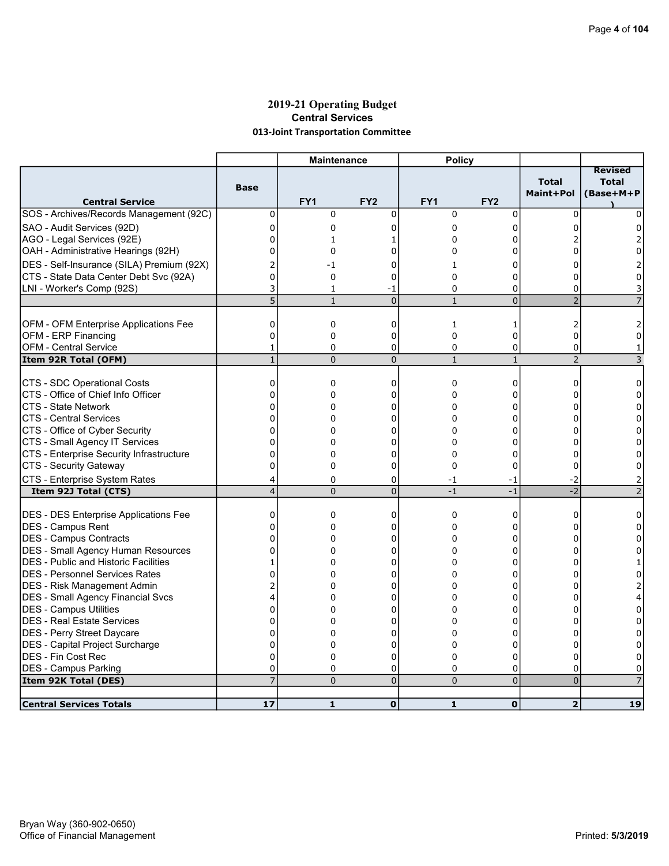### 2019-21 Operating Budget Central Services 013-Joint Transportation Committee

|                                                             |                | <b>Maintenance</b> |                 | <b>Policy</b> |                 |                           |                                             |
|-------------------------------------------------------------|----------------|--------------------|-----------------|---------------|-----------------|---------------------------|---------------------------------------------|
| <b>Central Service</b>                                      | <b>Base</b>    | FY <sub>1</sub>    | FY <sub>2</sub> | FY1           | FY <sub>2</sub> | <b>Total</b><br>Maint+Pol | <b>Revised</b><br><b>Total</b><br>(Base+M+P |
| SOS - Archives/Records Management (92C)                     | 0              | $\mathbf 0$        | $\mathbf 0$     | $\mathbf 0$   | $\mathbf 0$     | 0                         | 0                                           |
| SAO - Audit Services (92D)                                  | 0              | 0                  | 0               | 0             | 0               |                           |                                             |
| AGO - Legal Services (92E)                                  | $\Omega$       | 1                  | 1               | 0             | $\Omega$        |                           |                                             |
| OAH - Administrative Hearings (92H)                         | 0              | $\mathbf 0$        | 0               | 0             | 0               | 0                         | 0                                           |
| DES - Self-Insurance (SILA) Premium (92X)                   | 2              | -1                 | 0               | 1             | 0               | 0                         | 2                                           |
| CTS - State Data Center Debt Svc (92A)                      | $\overline{0}$ | $\mathbf 0$        | 0               | $\Omega$      | 0               | 0                         | 0                                           |
| LNI - Worker's Comp (92S)                                   | 3              | $\mathbf{1}$       | -1              | $\Omega$      | 0               | $\Omega$                  |                                             |
|                                                             | 5              | $\mathbf{1}$       | $\overline{0}$  | $\mathbf{1}$  | $\overline{0}$  | $\overline{2}$            |                                             |
|                                                             |                |                    |                 |               |                 |                           |                                             |
| OFM - OFM Enterprise Applications Fee                       | 0              | 0                  | 0               | $\mathbf{1}$  | 1               | 2                         |                                             |
| OFM - ERP Financing                                         | $\overline{0}$ | $\mathbf 0$        | $\mathbf 0$     | $\Omega$      | 0               | $\mathbf 0$               | 0                                           |
| OFM - Central Service                                       | 1              | 0                  | 0               | 0             | 0               | $\overline{0}$            | 1                                           |
| Item 92R Total (OFM)                                        | $\mathbf{1}$   | $\Omega$           | $\Omega$        | $\mathbf{1}$  | $\mathbf{1}$    | $\overline{2}$            | 3                                           |
| CTS - SDC Operational Costs                                 | 0              | 0                  | 0               | 0             | 0               | 0                         | 0                                           |
| CTS - Office of Chief Info Officer                          | $\Omega$       | 0                  | 0               | $\Omega$      | 0               | 0                         | $\Omega$                                    |
| CTS - State Network                                         | 0              | 0                  | 0               | 0             | 0               | 0                         | 0                                           |
| ICTS - Central Services                                     | 0              | 0                  | 0               | 0             | 0               | 0                         | $\Omega$                                    |
| CTS - Office of Cyber Security                              | 0              | $\Omega$           | 0               | $\Omega$      | 0               | 0                         | $\Omega$                                    |
| CTS - Small Agency IT Services                              | $\overline{0}$ | 0                  | 0               | 0             | 0               | U                         | 0                                           |
| CTS - Enterprise Security Infrastructure                    | $\overline{0}$ | 0                  | 0               | $\Omega$      | 0               | 0                         | 0                                           |
| CTS - Security Gateway                                      | $\overline{0}$ | 0                  | 0               | $\Omega$      | 0               | 0                         | 0                                           |
| CTS - Enterprise System Rates                               | 4              | $\mathbf 0$        | 0               | $-1$          | -1              | -2                        | 2                                           |
| Item 92J Total (CTS)                                        | $\overline{4}$ | $\Omega$           | $\overline{0}$  | $-1$          | $-1$            | $-2$                      | $\overline{2}$                              |
|                                                             |                |                    |                 |               |                 |                           |                                             |
| DES - DES Enterprise Applications Fee                       | 0              | 0                  | $\mathbf 0$     | $\mathbf 0$   | 0               | $\mathbf 0$               | 0                                           |
| <b>IDES - Campus Rent</b>                                   | 0              | $\Omega$           | 0               | $\Omega$      | 0               | $\Omega$                  | $\Omega$                                    |
| <b>DES - Campus Contracts</b>                               | 0              | 0                  | 0               | 0             | 0               | 0                         | 0                                           |
| <b>DES - Small Agency Human Resources</b>                   | $\overline{0}$ | 0                  | 0               | $\Omega$      | 0               | 0                         | 0                                           |
| <b>DES</b> - Public and Historic Facilities                 | 1              | 0                  | 0               | 0             | 0               | 0                         |                                             |
| DES - Personnel Services Rates                              | $\overline{0}$ | 0                  | 0               | 0             | 0               | 0                         | 0                                           |
| DES - Risk Management Admin                                 | 2              | 0                  | 0               | 0             | 0               | 0                         | 2                                           |
| DES - Small Agency Financial Svcs<br>DES - Campus Utilities | 4<br>0         | 0<br>0             | 0<br>0          | 0<br>$\Omega$ | 0<br>0          | 0<br>0                    | 4<br>$\mathbf 0$                            |
| <b>DES - Real Estate Services</b>                           | 0              | 0                  | 0               | 0             | 0               | O                         | 0                                           |
| DES - Perry Street Daycare                                  | 0              | 0                  | 0               | $\Omega$      | 0               | 0                         | 0                                           |
| DES - Capital Project Surcharge                             | 0              | 0                  | 0               | 0             | 0               | 0                         | 0                                           |
| <b>DES - Fin Cost Rec</b>                                   | 0              | 0                  | 0               | 0             | 0               | $\mathbf 0$               | 0                                           |
| DES - Campus Parking                                        | 0              | $\mathbf 0$        | 0               | 0             | 0               | $\Omega$                  | $\Omega$                                    |
| Item 92K Total (DES)                                        | $\overline{7}$ | $\Omega$           | 0               | $\Omega$      | $\overline{0}$  | $\pmb{0}$                 |                                             |
|                                                             |                |                    |                 |               |                 |                           |                                             |
| <b>Central Services Totals</b>                              | 17             | $\mathbf{1}$       | $\mathbf{o}$    | $\mathbf{1}$  | $\mathbf o$     | $\overline{2}$            | $\overline{19}$                             |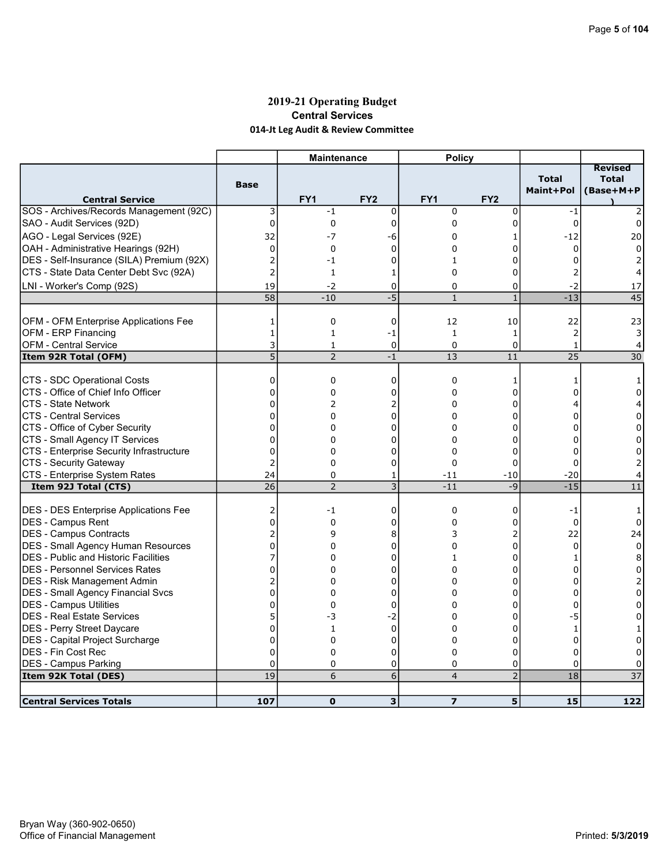### 2019-21 Operating Budget Central Services 014-Jt Leg Audit & Review Committee

|                                                                                     |                     | <b>Maintenance</b>   |                     | <b>Policy</b>   |                 |                           |                                      |
|-------------------------------------------------------------------------------------|---------------------|----------------------|---------------------|-----------------|-----------------|---------------------------|--------------------------------------|
| <b>Central Service</b>                                                              | <b>Base</b>         | FY <sub>1</sub>      | FY <sub>2</sub>     | FY <sub>1</sub> | FY <sub>2</sub> | <b>Total</b><br>Maint+Pol | Revised<br><b>Total</b><br>(Base+M+P |
| SOS - Archives/Records Management (92C)                                             | 3                   | $-1$                 | 0                   | $\mathbf 0$     | 0               | $-1$                      |                                      |
| SAO - Audit Services (92D)                                                          | 0                   | 0                    | $\overline{0}$      | 0               | 0               | $\Omega$                  | 0                                    |
| AGO - Legal Services (92E)                                                          | 32                  | $-7$                 | -6                  | 0               |                 | $-12$                     | 20                                   |
| OAH - Administrative Hearings (92H)                                                 | 0                   | 0                    | 0<br>$\overline{0}$ | 0               | 0<br>0          | 0<br>$\Omega$             | $\Omega$                             |
| DES - Self-Insurance (SILA) Premium (92X)<br>CTS - State Data Center Debt Svc (92A) | 2<br>$\overline{2}$ | $-1$<br>$\mathbf{1}$ | 1                   | 1<br>$\Omega$   | 0               | $\overline{2}$            | 2                                    |
| LNI - Worker's Comp (92S)                                                           | 19                  | $-2$                 | 0                   | 0               | 0               | -2                        | 17                                   |
|                                                                                     | 58                  | $-10$                | $-5$                | $\mathbf{1}$    | 1               | $-13$                     | $\overline{45}$                      |
|                                                                                     |                     |                      |                     |                 |                 |                           |                                      |
| OFM - OFM Enterprise Applications Fee                                               | 1                   | 0                    | 0                   | 12              | 10              | 22                        | 23                                   |
| OFM - ERP Financing                                                                 | $\mathbf{1}$        | $\mathbf{1}$         | -1                  | $\mathbf{1}$    | $\mathbf{1}$    | $\overline{2}$            | 3                                    |
| <b>OFM - Central Service</b>                                                        | 3                   | 1                    | $\mathbf 0$         | $\mathbf 0$     | 0               | $\mathbf{1}$              | 4                                    |
| Item 92R Total (OFM)                                                                | 5                   | $\overline{2}$       | $-1$                | 13              | 11              | 25                        | $\overline{30}$                      |
| CTS - SDC Operational Costs                                                         | $\mathbf 0$         | 0                    | 0                   | 0               | 1               | 1                         | 1                                    |
| CTS - Office of Chief Info Officer                                                  | $\Omega$            | 0                    | 0                   | 0               | 0               | 0                         | 0                                    |
| <b>CTS - State Network</b>                                                          | $\mathbf 0$         | 2                    | 2                   | 0               | 0               | 4                         | 4                                    |
| <b>CTS - Central Services</b>                                                       | $\mathbf{0}$        | 0                    | $\mathbf 0$         | 0               | 0               | $\Omega$                  | 0                                    |
| CTS - Office of Cyber Security                                                      | $\mathbf 0$         | $\Omega$             | 0                   | 0               | 0               | $\Omega$                  | $\Omega$                             |
| CTS - Small Agency IT Services                                                      | $\Omega$            | 0                    | 0                   | 0               | 0               | $\Omega$                  | $\Omega$                             |
| CTS - Enterprise Security Infrastructure                                            | 0                   | 0                    | 0                   | 0               | 0               | 0                         | 0                                    |
| CTS - Security Gateway                                                              | 2                   | 0                    | $\mathbf 0$         | $\Omega$        | 0               | $\Omega$                  | 2                                    |
| CTS - Enterprise System Rates                                                       | 24<br>26            | 0<br>$\overline{2}$  | 1<br>$\overline{3}$ | -11<br>$-11$    | $-10$<br>$-9$   | $-20$<br>$-15$            | 4<br>11                              |
| Item 92J Total (CTS)                                                                |                     |                      |                     |                 |                 |                           |                                      |
| DES - DES Enterprise Applications Fee                                               | 2                   | -1                   | 0                   | $\mathbf 0$     | 0               | $-1$                      | 1                                    |
| DES - Campus Rent                                                                   | $\Omega$            | $\Omega$             | 0                   | 0               | 0               | $\Omega$                  | $\Omega$                             |
| DES - Campus Contracts                                                              | $\overline{2}$      | 9                    | 8                   | 3               | 2               | 22                        | 24                                   |
| <b>DES - Small Agency Human Resources</b>                                           | $\mathbf 0$         | 0                    | 0                   | 0               | 0               | 0                         | $\mathbf 0$                          |
| <b>IDES - Public and Historic Facilities</b>                                        | 7                   | 0                    | 0                   | 1               | 0               | 1                         | 8                                    |
| IDES - Personnel Services Rates                                                     | 0                   | $\Omega$             | 0                   | $\Omega$        | 0               | 0                         | 0                                    |
| <b>DES - Risk Management Admin</b>                                                  | 2                   | 0                    | 0                   | 0               | 0               | 0                         | 2                                    |
| <b>DES - Small Agency Financial Svcs</b>                                            | $\Omega$            | 0                    | $\Omega$            | 0               | $\Omega$        | $\Omega$                  | $\Omega$                             |
| <b>DES - Campus Utilities</b><br>DES - Real Estate Services                         | 0<br>5              | 0                    | 0                   | 0               | 0               | 0                         | 0                                    |
|                                                                                     | $\overline{0}$      | -3                   | $-2$<br>$\mathbf 0$ | 0<br>0          | 0<br>0          | -5                        | 0                                    |
| DES - Perry Street Daycare<br>DES - Capital Project Surcharge                       | $\mathbf 0$         | 1<br>0               | 0                   | 0               | 0               | $\mathbf{1}$<br>$\Omega$  | 0                                    |
| DES - Fin Cost Rec                                                                  | $\Omega$            | 0                    | 0                   | $\Omega$        | 0               | $\Omega$                  |                                      |
| DES - Campus Parking                                                                | 0                   | 0                    | 0                   | 0               | 0               | 0                         |                                      |
| Item 92K Total (DES)                                                                | 19                  | 6                    | 6                   | $\overline{4}$  | $\overline{2}$  | 18                        | $\overline{37}$                      |
|                                                                                     |                     |                      |                     |                 |                 |                           |                                      |
| <b>Central Services Totals</b>                                                      | 107                 | $\mathbf 0$          | 3                   | $\overline{z}$  | 5               | 15                        | $\overline{122}$                     |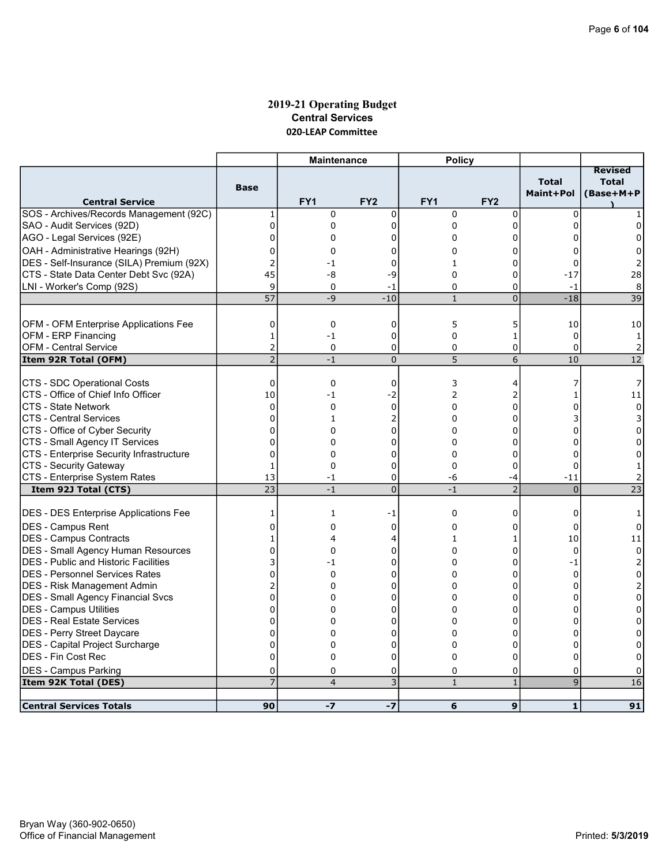### 2019-21 Operating Budget Central Services 020-LEAP Committee

|                                              |                 | <b>Maintenance</b> |                 | <b>Policy</b> |                 |                           |                                             |
|----------------------------------------------|-----------------|--------------------|-----------------|---------------|-----------------|---------------------------|---------------------------------------------|
| <b>Central Service</b>                       | <b>Base</b>     | FY <sub>1</sub>    | FY <sub>2</sub> | FY1           | FY <sub>2</sub> | <b>Total</b><br>Maint+Pol | <b>Revised</b><br><b>Total</b><br>(Base+M+P |
| SOS - Archives/Records Management (92C)      | 1               | $\mathbf 0$        | $\mathbf 0$     | $\mathbf 0$   | $\mathbf 0$     | $\Omega$                  |                                             |
| SAO - Audit Services (92D)                   | 0               | 0                  | 0               | 0             | 0               | $\Omega$                  | 0                                           |
| AGO - Legal Services (92E)                   | $\mathbf 0$     | 0                  | 0               | $\Omega$      | 0               | $\Omega$                  | $\Omega$                                    |
| OAH - Administrative Hearings (92H)          | 0               | 0                  | 0               | 0             | 0               | 0                         | 0                                           |
| DES - Self-Insurance (SILA) Premium (92X)    | 2               | -1                 | 0               | 1             | 0               | $\Omega$                  | 2                                           |
| CTS - State Data Center Debt Svc (92A)       | 45              | -8                 | -9              | $\Omega$      | 0               | $-17$                     | 28                                          |
| LNI - Worker's Comp (92S)                    | 9               | 0                  | -1              | 0             | 0               | $-1$                      | 8                                           |
|                                              | 57              | $-9$               | $-10$           | $\mathbf{1}$  | $\overline{0}$  | $-18$                     | $\overline{39}$                             |
|                                              |                 |                    |                 |               |                 |                           |                                             |
| OFM - OFM Enterprise Applications Fee        | 0               | 0                  | 0               | 5             | 5               | 10                        | 10                                          |
| OFM - ERP Financing                          | $\mathbf{1}$    | $-1$               | 0               | 0             | $\mathbf{1}$    | $\mathbf 0$               | 1                                           |
| <b>OFM - Central Service</b>                 | 2               | 0                  | 0               | 0             | 0               | $\Omega$                  | $\overline{2}$                              |
| Item 92R Total (OFM)                         | $\overline{2}$  | $-1$               | $\mathbf 0$     | 5             | 6               | 10                        | 12                                          |
|                                              |                 |                    |                 |               |                 |                           |                                             |
| CTS - SDC Operational Costs                  | 0               | 0                  | 0               | 3             | 4               | 7                         | 7                                           |
| CTS - Office of Chief Info Officer           | 10              | $-1$               | $-2$            | 2             | 2               | 1                         | 11                                          |
| <b>CTS - State Network</b>                   | $\mathbf 0$     | 0                  | 0               | 0             | 0               | 0                         | 0                                           |
| <b>CTS - Central Services</b>                | $\Omega$        | $\mathbf{1}$       | 2               | 0             | $\Omega$        |                           | 3                                           |
| CTS - Office of Cyber Security               | 0               | 0                  | 0               | 0             | 0               | 0                         | 0                                           |
| CTS - Small Agency IT Services               | $\mathbf 0$     | 0                  | 0               | $\Omega$      | 0               | $\Omega$                  | $\Omega$                                    |
| CTS - Enterprise Security Infrastructure     | $\overline{0}$  | 0                  | 0               | $\mathbf 0$   | 0               | $\Omega$                  | 0                                           |
| CTS - Security Gateway                       | 1               | 0                  | 0               | $\Omega$      | 0               | 0                         | $\mathbf{1}$                                |
| CTS - Enterprise System Rates                | 13              | -1                 | 0               | -6            | -4              | $-11$                     |                                             |
| Item 92J Total (CTS)                         | $\overline{23}$ | $-1$               | $\overline{0}$  | $-1$          | $\overline{2}$  | $\Omega$                  | $\overline{23}$                             |
|                                              |                 |                    |                 |               |                 |                           |                                             |
| <b>DES - DES Enterprise Applications Fee</b> | 1               | 1                  | -1              | $\mathbf 0$   | 0               | 0                         |                                             |
| <b>DES - Campus Rent</b>                     | $\mathbf 0$     | 0                  | 0               | 0             | 0               | $\Omega$                  | 0                                           |
| DES - Campus Contracts                       | $\mathbf{1}$    | 4                  | 4               | 1             | 1               | 10                        | 11                                          |
| DES - Small Agency Human Resources           | $\mathbf 0$     | 0                  | 0               | $\Omega$      | 0               | $\Omega$                  | $\mathbf 0$                                 |
| DES - Public and Historic Facilities         | 3               | $-1$               | 0               | 0             | 0               | $-1$                      | $\overline{2}$                              |
| IDES - Personnel Services Rates              | 0               | 0                  | 0               | 0             | 0               | $\mathbf 0$               | $\mathbf 0$                                 |
| <b>DES - Risk Management Admin</b>           | $\overline{c}$  | 0                  | $\Omega$        | 0             | 0               | 0                         | 2                                           |
| DES - Small Agency Financial Svcs            | $\overline{0}$  | 0                  | 0               | 0             | 0               | O                         | 0                                           |
| DES - Campus Utilities                       | $\mathbf 0$     | 0                  | 0               | 0             | 0               | 0                         | 0                                           |
| <b>DES - Real Estate Services</b>            | $\overline{0}$  | 0                  | 0               | 0             | 0               | $\Omega$                  | $\Omega$                                    |
| DES - Perry Street Daycare                   | $\overline{0}$  | 0                  | 0               | $\Omega$      | 0               | $\Omega$                  | $\Omega$                                    |
| DES - Capital Project Surcharge              | $\mathbf 0$     | 0                  | 0               | 0             | 0               | 0                         | 0                                           |
| <b>DES - Fin Cost Rec</b>                    | $\overline{0}$  | 0                  | $\Omega$        | $\Omega$      | $\Omega$        | $\Omega$                  | $\Omega$                                    |
| <b>DES - Campus Parking</b>                  | 0               | 0                  | 0               | 0             | 0               | 0                         | 0                                           |
| Item 92K Total (DES)                         | $\overline{7}$  | $\overline{4}$     | $\overline{3}$  | $\mathbf{1}$  | $\mathbf{1}$    | $\overline{9}$            | 16                                          |
| <b>Central Services Totals</b>               | 90              | $-7$               | $-7$            | 6             | 9               | 1                         | 91                                          |
|                                              |                 |                    |                 |               |                 |                           |                                             |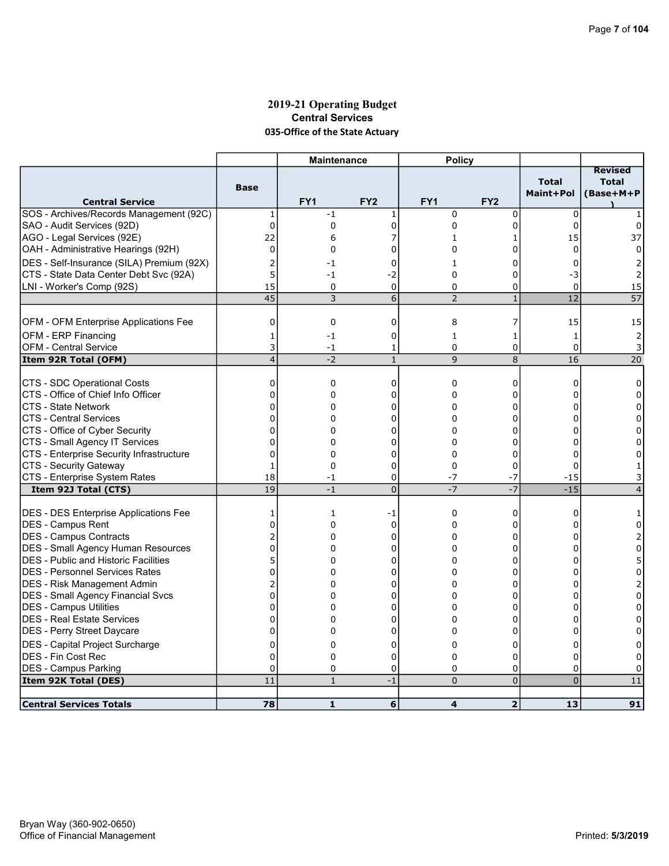# 2019-21 Operating Budget Central Services 035-Office of the State Actuary

|                                              |                | <b>Maintenance</b> |                     | <b>Policy</b>           |                 |                           |                                             |
|----------------------------------------------|----------------|--------------------|---------------------|-------------------------|-----------------|---------------------------|---------------------------------------------|
| <b>Central Service</b>                       | <b>Base</b>    | FY <sub>1</sub>    | FY <sub>2</sub>     | FY1                     | FY <sub>2</sub> | <b>Total</b><br>Maint+Pol | <b>Revised</b><br><b>Total</b><br>(Base+M+P |
| SOS - Archives/Records Management (92C)      | 1              | $-1$               | 1                   | $\mathbf 0$             | $\mathbf 0$     | $\mathbf 0$               |                                             |
| SAO - Audit Services (92D)                   | 0              | 0                  | $\mathbf 0$         | 0                       | $\mathbf 0$     | $\Omega$                  | 0                                           |
| AGO - Legal Services (92E)                   | 22             | 6                  | 7                   | 1                       | 1               | 15                        | 37                                          |
| OAH - Administrative Hearings (92H)          | $\mathbf 0$    | 0                  | 0                   | 0                       | 0               | $\Omega$                  | 0                                           |
| DES - Self-Insurance (SILA) Premium (92X)    | 2              | -1                 | 0                   | $\mathbf{1}$            | 0               | $\Omega$                  |                                             |
| CTS - State Data Center Debt Svc (92A)       | 5              | $-1$               | $-2$                | $\Omega$                | 0               | -3                        |                                             |
| LNI - Worker's Comp (92S)                    | 15             | 0                  | 0                   | 0                       | 0               | 0                         | 15                                          |
|                                              | 45             | 3                  | 6                   | $\overline{2}$          | $\mathbf{1}$    | 12                        | $\overline{57}$                             |
|                                              |                |                    |                     |                         |                 |                           |                                             |
| OFM - OFM Enterprise Applications Fee        | 0              | 0                  | $\mathbf 0$         | 8                       | 7               | 15                        | 15                                          |
| OFM - ERP Financing                          | 1              | $-1$               | 0                   | $\mathbf{1}$            | 1               | $\mathbf{1}$              | $\overline{2}$                              |
| <b>OFM - Central Service</b>                 | 3              | -1                 | 1                   | 0                       | 0               | 0                         | 3                                           |
| Item 92R Total (OFM)                         | $\overline{4}$ | $-2$               | $\mathbf{1}$        | 9                       | 8               | 16                        | $\overline{20}$                             |
|                                              |                |                    |                     |                         |                 |                           |                                             |
| CTS - SDC Operational Costs                  | 0              | 0                  | 0                   | 0                       | 0               | 0                         | 0                                           |
| CTS - Office of Chief Info Officer           | $\Omega$       | 0                  | 0                   | $\Omega$                | $\Omega$        | U                         | $\Omega$                                    |
| <b>CTS - State Network</b>                   | $\overline{0}$ | 0                  | 0                   | 0                       | 0               | 0                         | 0                                           |
| <b>CTS - Central Services</b>                | $\Omega$       | 0                  | 0                   | 0                       | 0               | $\Omega$                  | $\Omega$                                    |
| CTS - Office of Cyber Security               | $\mathbf 0$    | 0                  | 0                   | $\Omega$                | 0               | $\Omega$                  | $\Omega$                                    |
| CTS - Small Agency IT Services               | 0              | 0                  | 0                   | 0                       | 0               |                           | 0                                           |
| CTS - Enterprise Security Infrastructure     | 0              | 0                  | 0                   | $\Omega$                | 0               | U                         |                                             |
| CTS - Security Gateway                       | 1              | $\Omega$           | 0                   | $\Omega$                | 0               | 0                         |                                             |
| CTS - Enterprise System Rates                | 18<br>19       | $-1$               | 0<br>$\overline{0}$ | $-7$<br>$-7$            | $-7$<br>$-7$    | $\textbf{-15}$<br>$-15$   |                                             |
| Item 92J Total (CTS)                         |                | $-1$               |                     |                         |                 |                           | $\overline{4}$                              |
| <b>DES - DES Enterprise Applications Fee</b> | 1              | 1                  | -1                  | $\mathbf 0$             | 0               | 0                         |                                             |
| <b>IDES - Campus Rent</b>                    | $\overline{0}$ | 0                  | 0                   | 0                       | 0               | 0                         | 0                                           |
| DES - Campus Contracts                       | $\overline{2}$ | 0                  | $\mathbf 0$         | 0                       | $\Omega$        | O                         |                                             |
| <b>DES - Small Agency Human Resources</b>    | $\mathbf 0$    | 0                  | 0                   | 0                       | 0               | 0                         | 0                                           |
| DES - Public and Historic Facilities         | 5              | 0                  | 0                   | 0                       | 0               | 0                         | 5                                           |
| IDES - Personnel Services Rates              | 0              | 0                  | 0                   | 0                       | 0               | 0                         | $\Omega$                                    |
| DES - Risk Management Admin                  | 2              | 0                  | 0                   | 0                       | 0               | U                         | 2                                           |
| <b>DES - Small Agency Financial Svcs</b>     | $\Omega$       | 0                  | $\mathbf 0$         | 0                       | $\Omega$        | 0                         | $\Omega$                                    |
| <b>DES - Campus Utilities</b>                | $\mathbf 0$    | 0                  | 0                   | 0                       | 0               | O                         | 0                                           |
| DES - Real Estate Services                   | $\mathbf 0$    | 0                  | 0                   | 0                       | 0               | 0                         | 0                                           |
| DES - Perry Street Daycare                   | $\Omega$       | 0                  | 0                   | 0                       | 0               | $\Omega$                  | $\Omega$                                    |
| DES - Capital Project Surcharge              | $\mathbf 0$    | 0                  | 0                   | 0                       | 0               | 0                         | 0                                           |
| <b>DES - Fin Cost Rec</b>                    | $\mathbf 0$    | 0                  | 0                   | 0                       | 0               | $\Omega$                  | 0                                           |
| <b>DES - Campus Parking</b>                  | $\mathbf 0$    | 0                  | 0                   | 0                       | 0               | $\Omega$                  | 0                                           |
| Item 92K Total (DES)                         | 11             | $\mathbf{1}$       | $-1$                | $\overline{0}$          | $\overline{0}$  | $\overline{0}$            | $11\,$                                      |
|                                              |                |                    |                     |                         |                 |                           |                                             |
| <b>Central Services Totals</b>               | 78             | $\mathbf{1}$       | 6                   | $\overline{\mathbf{4}}$ | $\overline{2}$  | 13                        | 91                                          |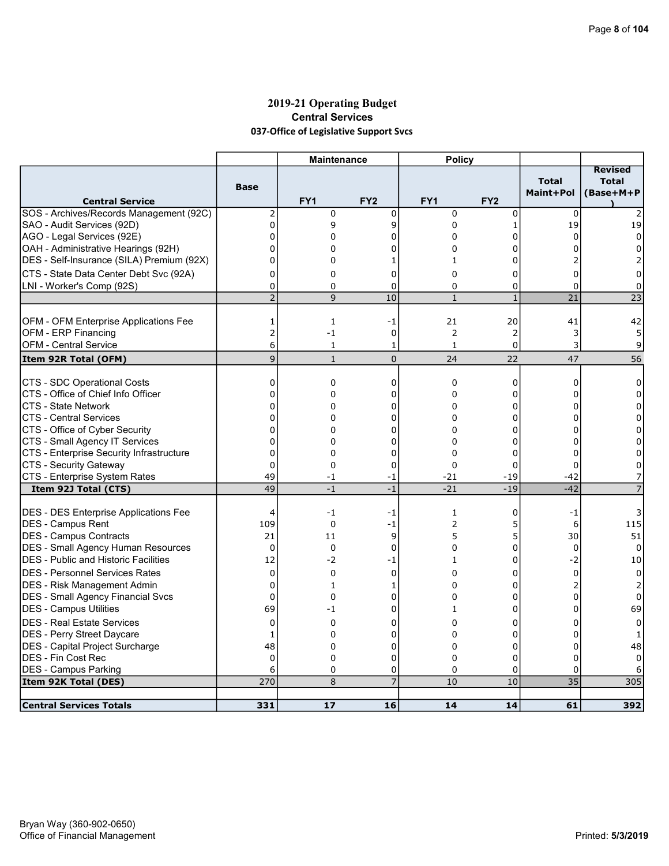# 2019-21 Operating Budget Central Services 037-Office of Legislative Support Svcs

|                                              |                | <b>Maintenance</b> |                 | <b>Policy</b> |                 |                           |                                             |
|----------------------------------------------|----------------|--------------------|-----------------|---------------|-----------------|---------------------------|---------------------------------------------|
| <b>Central Service</b>                       | <b>Base</b>    | FY1                | FY <sub>2</sub> | FY1           | FY <sub>2</sub> | <b>Total</b><br>Maint+Pol | <b>Revised</b><br><b>Total</b><br>(Base+M+P |
| SOS - Archives/Records Management (92C)      | 2              | 0                  | $\mathbf 0$     | $\mathbf 0$   | 0               | $\mathbf 0$               |                                             |
| SAO - Audit Services (92D)                   | 0              | 9                  | 9               | 0             | 1               | 19                        | 19                                          |
| AGO - Legal Services (92E)                   | $\mathbf 0$    | 0                  | 0               | $\Omega$      | 0               | $\Omega$                  | $\Omega$                                    |
| OAH - Administrative Hearings (92H)          | $\Omega$       | 0                  | 0               | 0             | 0               | n                         | $\Omega$                                    |
| DES - Self-Insurance (SILA) Premium (92X)    | 0              | 0                  | 1               | $\mathbf{1}$  | 0               |                           |                                             |
| CTS - State Data Center Debt Svc (92A)       | 0              | 0                  | 0               | $\Omega$      | 0               | 0                         | 0                                           |
| LNI - Worker's Comp (92S)                    | $\mathbf 0$    | 0                  | 0               | 0             | 0               | $\Omega$                  | 0                                           |
|                                              | $\overline{2}$ | 9                  | 10              | $\mathbf{1}$  | $\mathbf{1}$    | 21                        | 23                                          |
|                                              |                |                    |                 |               |                 |                           |                                             |
| <b>OFM - OFM Enterprise Applications Fee</b> | 1              | 1                  | -1              | 21            | 20              | 41                        | 42                                          |
| OFM - ERP Financing                          | $\overline{2}$ | $-1$               | $\mathbf 0$     | 2             | $\overline{c}$  | 3                         | 5                                           |
| <b>OFM - Central Service</b>                 | 6              | $\mathbf{1}$       | 1               | $\mathbf{1}$  | 0               | 3                         | 9                                           |
| Item 92R Total (OFM)                         | $\overline{9}$ | $\mathbf{1}$       | $\mathbf{0}$    | 24            | 22              | 47                        | 56                                          |
|                                              |                |                    |                 |               |                 |                           |                                             |
| CTS - SDC Operational Costs                  | 0              | 0                  | 0               | $\mathbf 0$   | 0               | 0                         | 0                                           |
| CTS - Office of Chief Info Officer           | $\Omega$       | 0                  | 0               | $\Omega$      | 0               | U                         | $\Omega$                                    |
| <b>CTS - State Network</b>                   | $\mathbf 0$    | 0                  | 0               | 0             | 0               | 0                         | 0                                           |
| <b>CTS - Central Services</b>                | 0              | $\Omega$           | 0               | 0             | $\Omega$        | 0                         | 0                                           |
| CTS - Office of Cyber Security               | 0              | 0                  | 0               | 0             | 0               | 0                         | 0                                           |
| CTS - Small Agency IT Services               | $\Omega$       | 0                  | 0               | $\Omega$      | 0               | $\Omega$                  | $\Omega$                                    |
| CTS - Enterprise Security Infrastructure     | $\mathbf 0$    | 0                  | 0               | $\mathbf 0$   | 0               | $\Omega$                  | $\Omega$                                    |
| CTS - Security Gateway                       | $\mathbf 0$    | 0                  | 0               | 0             | 0               | $\Omega$                  | 0                                           |
| CTS - Enterprise System Rates                | 49             | $-1$               | -1              | $-21$         | $-19$           | $-42$                     |                                             |
| Item 92J Total (CTS)                         | 49             | $-1$               | $-1$            | $-21$         | $-19$           | $-42$                     |                                             |
| <b>DES - DES Enterprise Applications Fee</b> | 4              | $-1$               | -1              | 1             | 0               | -1                        | 3                                           |
| DES - Campus Rent                            | 109            | 0                  | $-1$            | 2             | 5               | 6                         | 115                                         |
| <b>IDES - Campus Contracts</b>               | 21             | 11                 | 9               | 5             | 5               | 30                        | 51                                          |
| <b>DES - Small Agency Human Resources</b>    | $\Omega$       | $\Omega$           | $\Omega$        | 0             | 0               | $\Omega$                  | $\Omega$                                    |
| DES - Public and Historic Facilities         | 12             | -2                 | -1              | $\mathbf{1}$  | 0               | $-2$                      | 10                                          |
| <b>DES - Personnel Services Rates</b>        | 0              | 0                  | $\mathbf 0$     | 0             | 0               | $\mathbf 0$               | 0                                           |
|                                              | $\Omega$       | $\mathbf{1}$       |                 | 0             | 0               | 2                         |                                             |
| <b>DES - Risk Management Admin</b>           | $\Omega$       | 0                  | 1               | 0             | 0               |                           | 2                                           |
| DES - Small Agency Financial Svcs            | 69             |                    | 0               |               | 0               | 0<br>$\Omega$             | 0                                           |
| DES - Campus Utilities                       |                | $-1$               | 0               | $\mathbf{1}$  |                 |                           | 69                                          |
| <b>DES - Real Estate Services</b>            | $\mathbf 0$    | 0                  | 0               | 0             | 0               | 0                         | 0                                           |
| <b>IDES - Perry Street Daycare</b>           | 1              | 0                  | 0               | 0             | $\Omega$        | $\Omega$                  | 1                                           |
| DES - Capital Project Surcharge              | 48             | 0                  | 0               | 0             | 0               | $\Omega$                  | 48                                          |
| DES - Fin Cost Rec                           | $\overline{0}$ | 0                  | 0               | 0             | 0               | $\Omega$                  | $\Omega$                                    |
| <b>DES - Campus Parking</b>                  | 6              | 0                  | 0               | $\Omega$      | 0               | 0                         |                                             |
| Item 92K Total (DES)                         | 270            | 8                  | $\overline{7}$  | 10            | 10              | $\overline{35}$           | 305                                         |
| <b>Central Services Totals</b>               | 331            | 17                 | 16              | 14            | 14              | 61                        | 392                                         |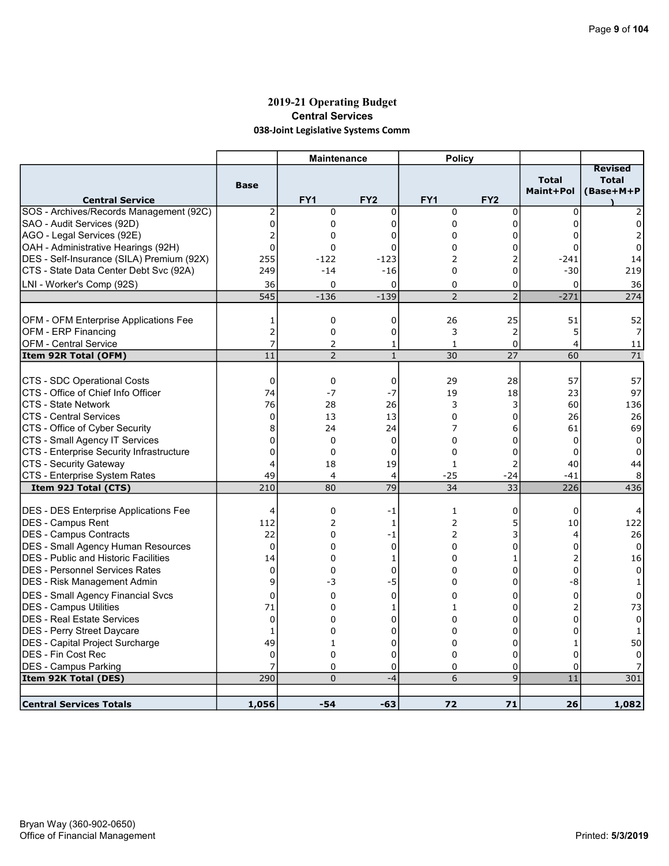# 2019-21 Operating Budget Central Services 038-Joint Legislative Systems Comm

|                                              |                  | <b>Maintenance</b> |                 | <b>Policy</b>   |                 |                           |                                             |
|----------------------------------------------|------------------|--------------------|-----------------|-----------------|-----------------|---------------------------|---------------------------------------------|
| <b>Central Service</b>                       | <b>Base</b>      | FY <sub>1</sub>    | FY <sub>2</sub> | FY <sub>1</sub> | FY <sub>2</sub> | <b>Total</b><br>Maint+Pol | <b>Revised</b><br><b>Total</b><br>(Base+M+P |
| SOS - Archives/Records Management (92C)      | 2                | 0                  | 0               | $\mathbf 0$     | 0               | $\mathbf 0$               |                                             |
| SAO - Audit Services (92D)                   | $\overline{0}$   | $\mathbf 0$        | $\Omega$        | 0               | 0               | $\Omega$                  | 0                                           |
| AGO - Legal Services (92E)                   | $\overline{2}$   | 0                  | 0               | 0               | 0               | 0                         |                                             |
| OAH - Administrative Hearings (92H)          | $\Omega$         | $\Omega$           | $\overline{0}$  | 0               | 0               | $\Omega$                  | $\Omega$                                    |
| DES - Self-Insurance (SILA) Premium (92X)    | 255              | $-122$             | $-123$          | $\overline{2}$  | $\overline{2}$  | $-241$                    | 14                                          |
| CTS - State Data Center Debt Svc (92A)       | 249              | $-14$              | $-16$           | $\Omega$        | 0               | $-30$                     | 219                                         |
| LNI - Worker's Comp (92S)                    | 36               | $\Omega$           | $\overline{0}$  | $\Omega$        | 0               | 0                         | 36                                          |
|                                              | $\overline{545}$ | $-136$             | $-139$          | $\overline{2}$  | $\overline{2}$  | $-271$                    | 274                                         |
|                                              |                  |                    |                 |                 |                 |                           |                                             |
| OFM - OFM Enterprise Applications Fee        | 1                | $\mathbf 0$        | $\mathbf 0$     | 26              | 25              | 51                        | 52                                          |
| OFM - ERP Financing                          | $\overline{c}$   | 0                  | 0               | 3               | $\overline{2}$  | 5                         | 7                                           |
| OFM - Central Service                        | 7                | 2                  | 1               | 1               | 0               | $\overline{4}$            | 11                                          |
| Item 92R Total (OFM)                         | 11               | $\overline{2}$     | $\mathbf{1}$    | 30              | 27              | 60                        | 71                                          |
|                                              |                  |                    |                 |                 |                 |                           |                                             |
| CTS - SDC Operational Costs                  | $\mathbf 0$      | $\mathbf 0$        | $\mathbf 0$     | 29              | 28              | 57                        | 57                                          |
| CTS - Office of Chief Info Officer           | 74               | $-7$               | $-7$            | 19              | 18              | 23                        | 97                                          |
| ICTS - State Network                         | 76               | 28                 | 26              | 3               | 3               | 60                        | 136                                         |
| ICTS - Central Services                      | $\mathbf 0$      | 13                 | 13              | 0               | 0               | 26                        | 26                                          |
| CTS - Office of Cyber Security               | 8                | 24                 | 24              | 7               | 6               | 61                        | 69                                          |
| CTS - Small Agency IT Services               | 0                | $\mathbf 0$        | $\mathbf 0$     | $\Omega$        | 0               | $\mathbf 0$               | 0                                           |
| CTS - Enterprise Security Infrastructure     | 0                | $\Omega$           | $\mathbf 0$     | $\Omega$        | 0               | $\Omega$                  | 0                                           |
| CTS - Security Gateway                       | 4                | 18                 | 19              | $\mathbf{1}$    | 2               | 40                        | 44                                          |
| CTS - Enterprise System Rates                | 49               | 4                  | 4               | $-25$           | $-24$           | $-41$                     | 8                                           |
| Item 92J Total (CTS)                         | 210              | 80                 | 79              | 34              | 33              | 226                       | 436                                         |
| <b>DES - DES Enterprise Applications Fee</b> | 4                | $\mathbf 0$        | -1              | 1               | 0               | 0                         |                                             |
| <b>DES - Campus Rent</b>                     | 112              | 2                  | 1               | $\overline{2}$  | 5               | 10                        | 122                                         |
| DES - Campus Contracts                       | 22               | $\Omega$           | $-1$            | 2               | 3               | 4                         | 26                                          |
| DES - Small Agency Human Resources           | $\Omega$         | $\Omega$           | 0               | $\Omega$        | 0               | $\Omega$                  | $\Omega$                                    |
| <b>IDES - Public and Historic Facilities</b> | 14               | 0                  | 1               | 0               | 1               | $\overline{2}$            | 16                                          |
| <b>DES - Personnel Services Rates</b>        | 0                | $\Omega$           | 0               | 0               | 0               | 0                         | 0                                           |
| DES - Risk Management Admin                  | 9                | -3                 | -5              | $\Omega$        | 0               | -8                        | $\mathbf{1}$                                |
|                                              |                  |                    |                 |                 |                 |                           |                                             |
| <b>DES - Small Agency Financial Svcs</b>     | 0                | 0                  | $\mathbf 0$     | 0               | 0               | $\mathbf 0$               | 0                                           |
| <b>DES - Campus Utilities</b>                | 71               | 0                  | 1               | 1               | 0               | $\overline{2}$            | 73                                          |
| <b>DES - Real Estate Services</b>            | $\mathbf 0$      | 0                  | 0               | $\Omega$        | 0               | $\Omega$                  | $\Omega$                                    |
| DES - Perry Street Daycare                   | 1                | 0                  | 0               | $\mathbf 0$     | 0               | $\mathbf 0$               | 1                                           |
| DES - Capital Project Surcharge              | 49               | $\mathbf{1}$       | 0               | 0               | 0               | $\mathbf{1}$              | 50                                          |
| <b>IDES - Fin Cost Rec</b>                   | 0                | $\mathbf 0$        | $\mathbf 0$     | $\Omega$        | 0               | $\mathbf 0$               |                                             |
| <b>DES - Campus Parking</b>                  |                  | $\mathbf 0$        | 0               | 0               | 0               | $\Omega$                  |                                             |
| Item 92K Total (DES)                         | 290              | $\overline{0}$     | $-4$            | 6               | 9               | 11                        | 301                                         |
| <b>Central Services Totals</b>               | 1,056            | $-54$              | $-63$           | 72              | 71              | 26                        | 1,082                                       |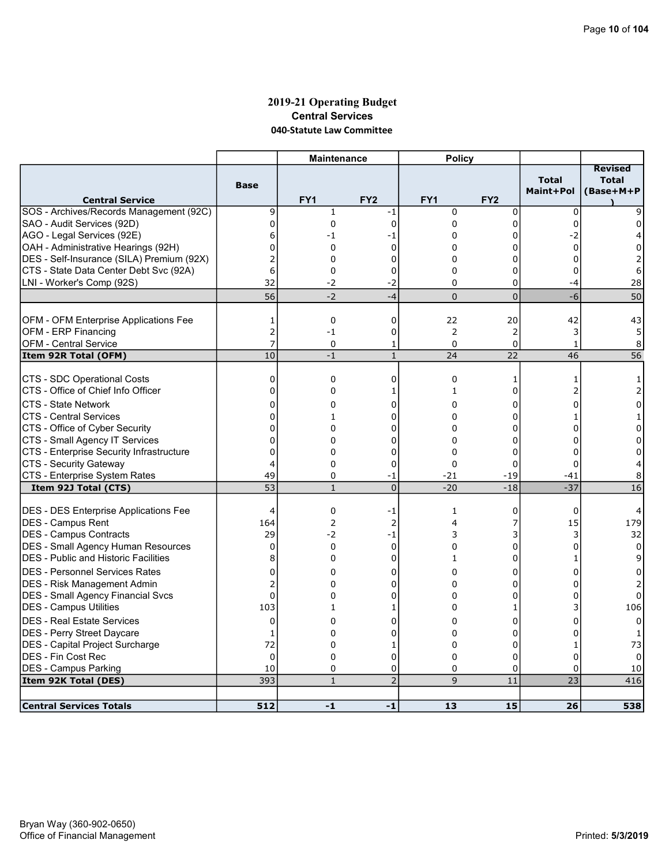### 2019-21 Operating Budget Central Services 040-Statute Law Committee

|                                                                   |                               | <b>Maintenance</b> |                 | <b>Policy</b>    |                 |                           |                                             |
|-------------------------------------------------------------------|-------------------------------|--------------------|-----------------|------------------|-----------------|---------------------------|---------------------------------------------|
| <b>Central Service</b>                                            | <b>Base</b>                   | FY1                | FY <sub>2</sub> | FY1              | FY <sub>2</sub> | <b>Total</b><br>Maint+Pol | <b>Revised</b><br><b>Total</b><br>(Base+M+P |
| SOS - Archives/Records Management (92C)                           | 9                             | $\mathbf{1}$       | -1              | $\mathbf 0$      | $\mathbf 0$     | 0                         |                                             |
| SAO - Audit Services (92D)                                        | 0                             | 0                  | $\mathbf 0$     | 0                | 0               | 0                         | <sup>0</sup>                                |
| AGO - Legal Services (92E)                                        | 6                             | -1                 | -1              | $\Omega$         | 0               | $-2$                      |                                             |
| OAH - Administrative Hearings (92H)                               | 0                             | 0                  | 0               | 0                | 0               | $\Omega$                  | 0                                           |
| DES - Self-Insurance (SILA) Premium (92X)                         | 2                             | 0                  | $\mathbf 0$     | $\Omega$         | $\Omega$        | $\Omega$                  | 2                                           |
| CTS - State Data Center Debt Svc (92A)                            | 6                             | 0                  | 0               | 0                | 0               | 0                         | 6                                           |
| LNI - Worker's Comp (92S)                                         | 32                            | -2                 | -2              | 0                | 0               | -4                        | 28                                          |
|                                                                   | 56                            | $-2$               | $-4$            | $\Omega$         | $\overline{0}$  | $-6$                      | 50                                          |
|                                                                   |                               |                    |                 |                  |                 |                           |                                             |
| <b>OFM - OFM Enterprise Applications Fee</b>                      | 1                             | 0                  | 0               | 22               | 20              | 42                        | 43                                          |
| OFM - ERP Financing                                               | $\overline{c}$                | $-1$               | 0               | 2                | 2               | 3                         | 5                                           |
| <b>OFM - Central Service</b>                                      | 7                             | 0                  | 1               | $\Omega$         | 0               | $\mathbf{1}$              | 8                                           |
| Item 92R Total (OFM)                                              | 10                            | $-1$               | $\mathbf{1}$    | 24               | 22              | 46                        | $\overline{56}$                             |
|                                                                   |                               |                    |                 |                  |                 |                           |                                             |
| CTS - SDC Operational Costs<br>CTS - Office of Chief Info Officer | $\mathbf 0$<br>$\overline{0}$ | 0                  | 0               | $\mathbf 0$<br>1 | 1<br>0          | 1                         | 1                                           |
|                                                                   |                               | 0                  | 1               |                  |                 |                           | 2                                           |
| <b>CTS - State Network</b>                                        | $\mathbf 0$                   | 0                  | 0               | 0                | 0               | U                         | 0                                           |
| <b>CTS - Central Services</b>                                     | 0                             | $\mathbf{1}$       | $\mathbf 0$     | 0                | $\Omega$        |                           |                                             |
| CTS - Office of Cyber Security                                    | $\mathbf 0$                   | 0                  | 0               | 0                | 0               | 0                         | 0                                           |
| CTS - Small Agency IT Services                                    | $\mathbf 0$                   | 0                  | 0               | 0                | 0               | O                         | 0                                           |
| CTS - Enterprise Security Infrastructure                          | 0                             | 0                  | 0               | $\Omega$         | 0               | 0                         | 0                                           |
| CTS - Security Gateway                                            | 4                             | 0                  | 0               | 0                | 0               | $\Omega$                  |                                             |
| CTS - Enterprise System Rates                                     | 49<br>$\overline{53}$         | 0                  | -1              | $-21$            | $-19$           | $-41$                     | 8                                           |
| Item 92J Total (CTS)                                              |                               | $\mathbf{1}$       | $\overline{0}$  | $-20$            | $-18$           | $-37$                     | 16                                          |
| <b>DES - DES Enterprise Applications Fee</b>                      | $\overline{4}$                | 0                  | -1              | 1                | 0               | 0                         |                                             |
| DES - Campus Rent                                                 | 164                           | 2                  | 2               | 4                | 7               | 15                        | 179                                         |
| DES - Campus Contracts                                            | 29                            | $-2$               | $-1$            | 3                | 3               | 3                         | 32                                          |
| DES - Small Agency Human Resources                                | 0                             | 0                  | $\mathbf 0$     | 0                | 0               | 0                         | 0                                           |
| <b>DES</b> - Public and Historic Facilities                       | 8                             | 0                  | 0               | 1                | 0               | 1                         | 9                                           |
| <b>DES - Personnel Services Rates</b>                             | $\mathbf 0$                   | 0                  | 0               | 0                | 0               | 0                         | 0                                           |
| DES - Risk Management Admin                                       | 2                             | 0                  | 0               | $\Omega$         | 0               |                           |                                             |
| DES - Small Agency Financial Svcs                                 | $\mathbf 0$                   | 0                  | 0               | 0                | 0               | 0                         | $\Omega$                                    |
| DES - Campus Utilities                                            | 103                           | 1                  | 1               | 0                | 1               |                           | 106                                         |
|                                                                   |                               |                    |                 |                  |                 |                           |                                             |
| <b>DES - Real Estate Services</b>                                 | $\mathbf 0$                   | $\Omega$           | 0               | 0                | 0               | n                         | 0                                           |
| DES - Perry Street Daycare                                        | 1                             | 0                  | 0               | $\Omega$         | 0               | $\Omega$                  |                                             |
| DES - Capital Project Surcharge                                   | 72                            | 0                  | 1               | 0                | 0               | 1                         | 73                                          |
| DES - Fin Cost Rec                                                | $\Omega$                      | $\mathbf 0$        | $\mathbf 0$     | $\Omega$         | $\Omega$        | $\Omega$                  |                                             |
| DES - Campus Parking                                              | 10                            | 0                  | 0               | 0                | 0               | $\Omega$                  | 10                                          |
| Item 92K Total (DES)                                              | 393                           | $\mathbf{1}$       | $\overline{2}$  | 9                | 11              | 23                        | 416                                         |
| <b>Central Services Totals</b>                                    | 512                           | $-1$               | $-1$            | 13               | 15              | 26                        | 538                                         |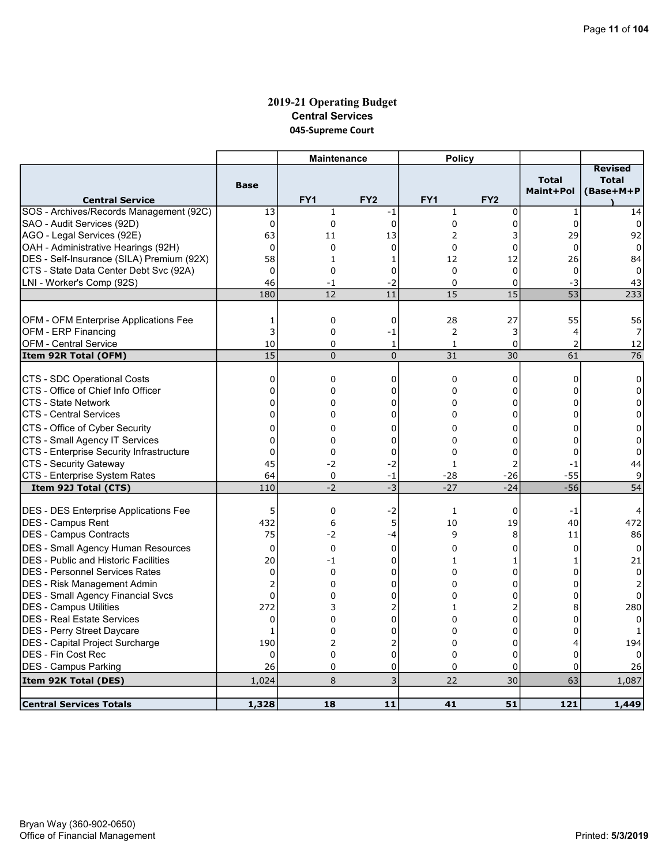# 2019-21 Operating Budget Central Services 045-Supreme Court

|                                              |                            | <b>Maintenance</b> |                 | <b>Policy</b>   |                 |                           |                                             |
|----------------------------------------------|----------------------------|--------------------|-----------------|-----------------|-----------------|---------------------------|---------------------------------------------|
| <b>Central Service</b>                       | <b>Base</b>                | FY <sub>1</sub>    | FY <sub>2</sub> | FY <sub>1</sub> | FY <sub>2</sub> | <b>Total</b><br>Maint+Pol | <b>Revised</b><br><b>Total</b><br>(Base+M+P |
| SOS - Archives/Records Management (92C)      | 13                         | $\mathbf{1}$       | -1              | $\mathbf{1}$    | $\mathbf 0$     | $\mathbf{1}$              | 14                                          |
| SAO - Audit Services (92D)                   | $\mathbf 0$                | 0                  | $\Omega$        | 0               | 0               | $\Omega$                  | $\Omega$                                    |
| AGO - Legal Services (92E)                   | 63                         | 11                 | 13              | 2               | 3               | 29                        | 92                                          |
| OAH - Administrative Hearings (92H)          | $\mathbf 0$                | 0                  | $\mathbf 0$     | $\Omega$        | 0               | $\Omega$                  | $\Omega$                                    |
| DES - Self-Insurance (SILA) Premium (92X)    | 58                         | 1                  | 1               | 12              | 12              | 26                        | 84                                          |
| CTS - State Data Center Debt Svc (92A)       | $\mathbf{0}$               | 0                  | 0               | $\Omega$        | $\mathbf 0$     | $\Omega$                  | $\Omega$                                    |
| LNI - Worker's Comp (92S)                    | 46                         | $-1$               | $-2$            | $\mathbf 0$     | 0               | -3                        | 43                                          |
|                                              | 180                        | 12                 | 11              | 15              | $\overline{15}$ | 53                        | 233                                         |
|                                              |                            |                    |                 |                 |                 |                           |                                             |
| OFM - OFM Enterprise Applications Fee        | 1                          | 0                  | $\mathbf 0$     | 28              | 27              | 55                        | 56                                          |
| OFM - ERP Financing                          | 3                          | 0                  | -1              | $\overline{2}$  | 3               | 4                         | 7                                           |
| <b>OFM - Central Service</b>                 | 10                         | $\Omega$           | 1               | $\mathbf{1}$    | 0               | $\overline{2}$            | 12                                          |
| Item 92R Total (OFM)                         | $\overline{15}$            | $\overline{0}$     | $\overline{0}$  | $\overline{31}$ | 30              | 61                        | $\overline{76}$                             |
|                                              |                            |                    |                 |                 |                 |                           |                                             |
| CTS - SDC Operational Costs                  | $\mathbf 0$                | 0                  | 0               | $\mathbf 0$     | 0               | $\mathbf 0$               | 0                                           |
| CTS - Office of Chief Info Officer           | 0                          | $\Omega$           | 0               | $\Omega$        | 0               | 0                         | $\Omega$                                    |
| <b>CTS - State Network</b>                   | $\Omega$                   | 0                  | 0               | $\Omega$        | 0               | $\Omega$                  | 0                                           |
| <b>CTS - Central Services</b>                | $\overline{0}$             | 0                  | $\mathbf 0$     | $\Omega$        | 0               | $\Omega$                  | $\Omega$                                    |
| CTS - Office of Cyber Security               | 0                          | 0                  | 0               | 0               | 0               | 0                         | 0                                           |
| CTS - Small Agency IT Services               | $\Omega$                   | 0                  | $\mathbf 0$     | $\Omega$        | 0               | $\Omega$                  | $\Omega$                                    |
| CTS - Enterprise Security Infrastructure     | $\overline{0}$             | 0                  | 0               | 0               | 0               | $\Omega$                  | 0                                           |
| CTS - Security Gateway                       | 45                         | $-2$               | $-2$            | $\mathbf{1}$    | $\overline{2}$  | $-1$                      | 44                                          |
| CTS - Enterprise System Rates                | 64                         | 0                  | -1              | $-28$           | $-26$           | -55                       | 9                                           |
| Item 92J Total (CTS)                         | 110                        | $-2$               | $-3$            | $-27$           | $-24$           | $-56$                     | 54                                          |
| <b>DES - DES Enterprise Applications Fee</b> | 5                          | 0                  | $-2$            | $\mathbf{1}$    | 0               | $-1$                      |                                             |
| IDES - Campus Rent                           | 432                        | 6                  | 5               | 10              | 19              | 40                        | 472                                         |
| DES - Campus Contracts                       | 75                         | -2                 | $-4$            | 9               | 8               | 11                        | 86                                          |
|                                              |                            |                    |                 |                 |                 |                           |                                             |
| <b>DES</b> - Small Agency Human Resources    | 0                          | 0                  | 0               | 0               | 0               | 0                         | 0                                           |
| <b>DES</b> - Public and Historic Facilities  | 20                         | $-1$               | 0               | $\mathbf{1}$    | 1               | 1                         | 21                                          |
| IDES - Personnel Services Rates              | 0                          | 0                  | 0               | 0               | 0               | $\Omega$                  | 0                                           |
| <b>DES - Risk Management Admin</b>           | $\overline{2}$<br>$\Omega$ | 0                  | 0               | 0               | 0               | 0<br>$\Omega$             | $\overline{2}$                              |
| DES - Small Agency Financial Svcs            |                            | 0                  | $\Omega$        | 0               | 0               |                           |                                             |
| <b>DES - Campus Utilities</b>                | 272                        | 3                  | 2               | 1               | 2               | 8                         | 280                                         |
| <b>DES - Real Estate Services</b>            | 0                          | 0                  | 0               | 0               | 0               | 0                         |                                             |
| DES - Perry Street Daycare                   | $\mathbf{1}$               | 0                  | 0               | $\Omega$        | 0               | $\Omega$                  |                                             |
| DES - Capital Project Surcharge              | 190                        | 2                  | 2               | 0               | 0<br>0          | 4                         | 194                                         |
| <b>IDES - Fin Cost Rec</b>                   | $\Omega$<br>26             | 0<br>$\Omega$      | 0<br>$\Omega$   | $\Omega$<br>0   | 0               | $\Omega$<br>$\Omega$      | 26                                          |
| <b>DES - Campus Parking</b>                  |                            |                    | 3               |                 |                 |                           |                                             |
| Item 92K Total (DES)                         | 1,024                      | 8                  |                 | 22              | 30              | 63                        | 1,087                                       |
| <b>Central Services Totals</b>               | 1,328                      | 18                 | 11              | 41              | 51              | 121                       | 1,449                                       |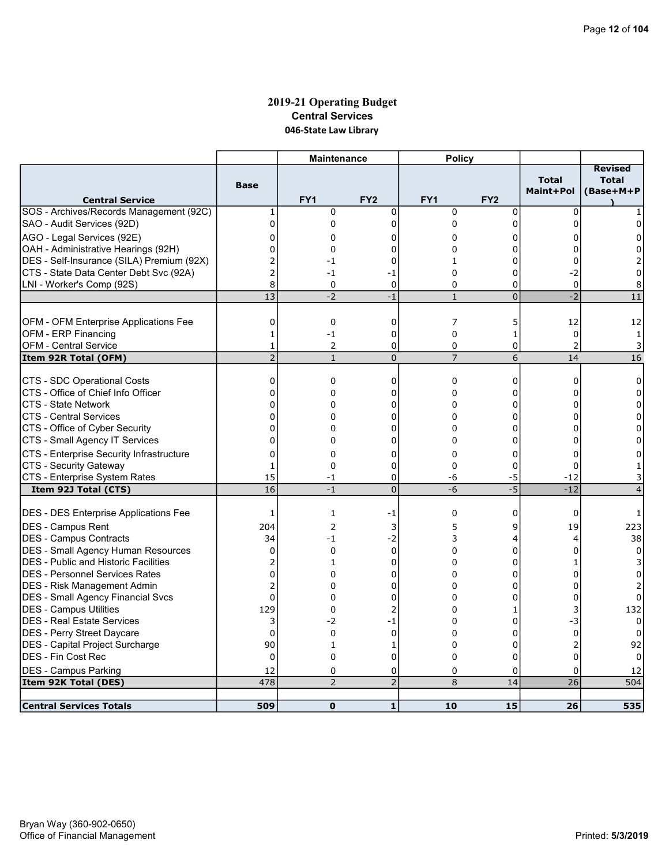# 2019-21 Operating Budget Central Services 046-State Law Library

|                                                                  |                            | <b>Maintenance</b> |                  | <b>Policy</b>        |                 |                           |                                             |
|------------------------------------------------------------------|----------------------------|--------------------|------------------|----------------------|-----------------|---------------------------|---------------------------------------------|
| <b>Central Service</b>                                           | <b>Base</b>                | FY <sub>1</sub>    | FY <sub>2</sub>  | FY <sub>1</sub>      | FY <sub>2</sub> | <b>Total</b><br>Maint+Pol | <b>Revised</b><br><b>Total</b><br>(Base+M+P |
| SOS - Archives/Records Management (92C)                          | 1                          | $\mathbf 0$        | $\mathbf 0$      | $\mathbf 0$          | $\mathbf 0$     | 0                         |                                             |
| SAO - Audit Services (92D)                                       | $\overline{0}$             | 0                  | 0                | 0                    | 0               | 0                         | 0                                           |
| AGO - Legal Services (92E)                                       | 0                          | 0                  | 0                | 0                    | 0               | 0                         | 0                                           |
| OAH - Administrative Hearings (92H)                              | 0                          | 0                  | 0                | 0                    | 0               | 0                         | 0                                           |
| DES - Self-Insurance (SILA) Premium (92X)                        | 2                          | $-1$               | 0                | $\mathbf{1}$         | 0               | $\Omega$                  | 2                                           |
| ICTS - State Data Center Debt Svc (92A)                          | $\overline{2}$             | $-1$               | -1               | $\Omega$             | 0               | $-2$                      | 0                                           |
| LNI - Worker's Comp (92S)                                        | 8                          | 0                  | $\mathbf 0$      | $\Omega$             | 0               | 0                         | 8                                           |
|                                                                  | 13                         | $-2$               | $-1$             | $\mathbf{1}$         | $\overline{0}$  | $-2$                      | 11                                          |
|                                                                  |                            |                    |                  |                      |                 |                           |                                             |
| OFM - OFM Enterprise Applications Fee                            | 0                          | 0                  | 0                | 7                    | 5               | 12                        | 12                                          |
| OFM - ERP Financing                                              | $\mathbf{1}$               | $-1$               | $\mathbf 0$      | $\mathbf 0$          | $\mathbf{1}$    | $\mathbf 0$               | $\mathbf{1}$                                |
| <b>OFM - Central Service</b>                                     | $\mathbf{1}$               | $\overline{2}$     | 0                | 0                    | 0               | $\overline{2}$            | 3                                           |
| Item 92R Total (OFM)                                             | $\overline{2}$             | $\mathbf{1}$       | $\overline{0}$   | $\overline{7}$       | 6               | 14                        | 16                                          |
|                                                                  |                            |                    |                  |                      |                 |                           |                                             |
| CTS - SDC Operational Costs                                      | 0                          | $\mathbf 0$        | $\mathbf 0$      | $\mathbf 0$          | 0               | $\Omega$                  | $\Omega$                                    |
| CTS - Office of Chief Info Officer                               | 0                          | 0                  | 0                | $\Omega$             | 0               | $\Omega$                  | $\Omega$                                    |
| ICTS - State Network                                             | $\overline{0}$<br>$\Omega$ | 0                  | 0                | 0                    | 0               | 0                         | 0                                           |
| ICTS - Central Services                                          |                            | 0                  | 0                | $\Omega$<br>$\Omega$ | $\Omega$        | 0                         | $\Omega$                                    |
| CTS - Office of Cyber Security<br>CTS - Small Agency IT Services | 0<br>$\overline{0}$        | 0<br>$\Omega$      | 0                | 0                    | 0<br>0          | 0<br>0                    | 0<br>0                                      |
|                                                                  |                            |                    | 0                |                      |                 |                           |                                             |
| CTS - Enterprise Security Infrastructure                         | $\overline{0}$             | 0                  | 0                | 0                    | 0               | 0                         | 0                                           |
| CTS - Security Gateway                                           | $\mathbf{1}$<br>15         | $\Omega$           | 0                | $\Omega$             | 0               | $\Omega$                  | 1.                                          |
| CTS - Enterprise System Rates<br>Item 92J Total (CTS)            | 16                         | $-1$<br>$-1$       | 0<br>$\mathbf 0$ | -6<br>$-6$           | -5<br>$-5$      | $-12$<br>$-12$            | 3<br>$\overline{4}$                         |
|                                                                  |                            |                    |                  |                      |                 |                           |                                             |
| <b>DES - DES Enterprise Applications Fee</b>                     | 1                          | 1                  | -1               | 0                    | 0               | 0                         | 1                                           |
| DES - Campus Rent                                                | 204                        | $\overline{2}$     | 3                | 5                    | 9               | 19                        | 223                                         |
| DES - Campus Contracts                                           | 34                         | $-1$               | $-2$             | 3                    | 4               | 4                         | 38                                          |
| DES - Small Agency Human Resources                               | $\mathbf 0$                | $\mathbf 0$        | $\mathbf 0$      | $\Omega$             | 0               | $\Omega$                  | 0                                           |
| <b>DES</b> - Public and Historic Facilities                      | 2                          | 1                  | 0                | 0                    | 0               | 1                         | 3                                           |
| IDES - Personnel Services Rates                                  | $\Omega$                   | 0                  | 0                | 0                    | $\Omega$        | 0                         |                                             |
| DES - Risk Management Admin                                      | $\overline{2}$             | 0                  | 0                | 0                    | 0               | $\Omega$                  | 2                                           |
| <b>DES - Small Agency Financial Svcs</b>                         | $\Omega$                   | 0                  | 0                | $\Omega$             | 0               | 0                         | 0                                           |
| <b>DES - Campus Utilities</b>                                    | 129                        | $\mathbf 0$        | 2                | 0                    | 1               | 3                         | 132                                         |
| DES - Real Estate Services                                       | 3                          | $-2$               | $-1$             | $\Omega$             | 0               | $-3$                      | $\Omega$                                    |
| DES - Perry Street Daycare                                       | $\overline{0}$             | $\Omega$           | $\mathbf 0$      | $\Omega$             | 0               | $\mathbf 0$               | 0                                           |
| DES - Capital Project Surcharge                                  | 90                         | $\mathbf{1}$       | 1                | 0                    | 0               | $\overline{2}$            | 92                                          |
| DES - Fin Cost Rec                                               | $\Omega$                   | $\mathbf{0}$       | $\overline{0}$   | $\Omega$             | $\Omega$        | $\Omega$                  |                                             |
| <b>DES - Campus Parking</b>                                      | 12                         | 0                  | 0                | 0                    | 0               | 0                         | 12                                          |
| Item 92K Total (DES)                                             | 478                        | $\overline{2}$     | $\overline{2}$   | 8                    | 14              | 26                        | 504                                         |
|                                                                  |                            |                    |                  |                      |                 |                           |                                             |
| <b>Central Services Totals</b>                                   | 509                        | $\mathbf{0}$       | 1                | 10                   | 15              | 26                        | 535                                         |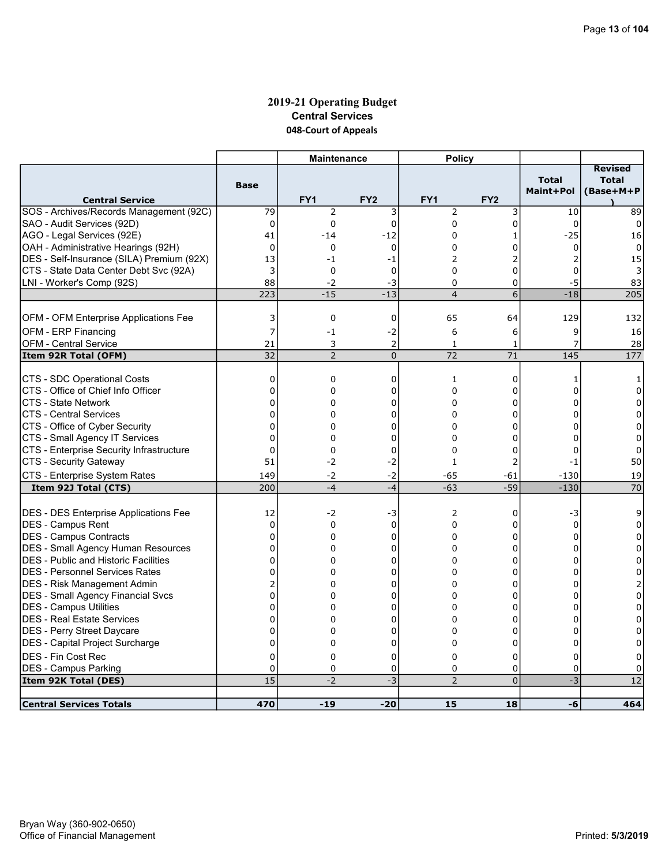# 2019-21 Operating Budget Central Services 048-Court of Appeals

|                                                                   |                  | <b>Maintenance</b>                |                      | <b>Policy</b>  |                 |                           |                                             |
|-------------------------------------------------------------------|------------------|-----------------------------------|----------------------|----------------|-----------------|---------------------------|---------------------------------------------|
|                                                                   | <b>Base</b>      |                                   |                      |                |                 | <b>Total</b><br>Maint+Pol | <b>Revised</b><br><b>Total</b><br>(Base+M+P |
| <b>Central Service</b><br>SOS - Archives/Records Management (92C) | 79               | FY <sub>1</sub><br>$\overline{2}$ | FY <sub>2</sub><br>3 | FY1<br>2       | FY <sub>2</sub> | 10                        | 89                                          |
| SAO - Audit Services (92D)                                        | $\mathbf 0$      | 0                                 | $\mathbf 0$          | 0              | 3<br>0          | $\Omega$                  | $\Omega$                                    |
| AGO - Legal Services (92E)                                        | 41               | $-14$                             | $-12$                | 0              | 1               | $-25$                     | 16                                          |
| OAH - Administrative Hearings (92H)                               | 0                | 0                                 | $\mathbf 0$          | 0              | 0               | 0                         | 0                                           |
| DES - Self-Insurance (SILA) Premium (92X)                         | 13               | $-1$                              | $-1$                 | 2              | $\overline{2}$  | $\overline{2}$            | 15                                          |
| CTS - State Data Center Debt Svc (92A)                            | 3                | 0                                 | $\mathbf 0$          | 0              | 0               | $\mathbf 0$               | 3                                           |
| LNI - Worker's Comp (92S)                                         | 88               | -2                                | $-3$                 | 0              | 0               | -5                        | 83                                          |
|                                                                   | 223              | $-15$                             | $-13$                | $\overline{4}$ | $\overline{6}$  | $-18$                     | 205                                         |
|                                                                   |                  |                                   |                      |                |                 |                           |                                             |
| <b>OFM - OFM Enterprise Applications Fee</b>                      | 3                | 0                                 | 0                    | 65             | 64              | 129                       | 132                                         |
| OFM - ERP Financing                                               | 7                | $-1$                              | $-2$                 | 6              | 6               | 9                         | 16                                          |
| <b>OFM - Central Service</b>                                      | 21               | 3                                 | 2                    | $\mathbf{1}$   | 1               | 7                         | 28                                          |
| Item 92R Total (OFM)                                              | 32               | $\overline{2}$                    | $\mathbf 0$          | 72             | 71              | $\frac{145}{2}$           | 177                                         |
|                                                                   |                  |                                   |                      |                |                 |                           |                                             |
| CTS - SDC Operational Costs                                       | $\mathbf 0$      | 0                                 | $\mathbf 0$          | 1              | 0               | 1                         | 1                                           |
| CTS - Office of Chief Info Officer<br><b>CTS - State Network</b>  | 0<br>$\mathbf 0$ | 0<br>0                            | 0                    | 0<br>$\Omega$  | 0<br>0          | 0                         | 0                                           |
| <b>CTS - Central Services</b>                                     | $\mathbf 0$      | 0                                 | 0                    | $\Omega$       | 0               | 0<br>$\Omega$             | 0<br>$\Omega$                               |
| CTS - Office of Cyber Security                                    | $\mathbf 0$      | 0                                 | 0<br>0               | 0              | 0               | $\Omega$                  | $\mathbf 0$                                 |
| CTS - Small Agency IT Services                                    | $\mathbf 0$      | $\Omega$                          | 0                    | $\Omega$       | 0               | $\Omega$                  | 0                                           |
| CTS - Enterprise Security Infrastructure                          | $\Omega$         | 0                                 | 0                    | 0              | 0               | 0                         | 0                                           |
| CTS - Security Gateway                                            | 51               | $-2$                              | $-2$                 | $\mathbf{1}$   | $\overline{2}$  | -1                        | 50                                          |
| CTS - Enterprise System Rates                                     | 149              | $-2$                              | $-2$                 | -65            | -61             | $-130$                    | 19                                          |
| Item 92J Total (CTS)                                              | 200              | $-4$                              | $-4$                 | $-63$          | $-59$           | $-130$                    | 70                                          |
|                                                                   |                  |                                   |                      |                |                 |                           |                                             |
| DES - DES Enterprise Applications Fee                             | 12               | $-2$                              | -3                   | 2              | 0               | -3                        | 9                                           |
| DES - Campus Rent                                                 | $\mathbf 0$      | 0                                 | $\mathbf 0$          | $\Omega$       | 0               | $\Omega$                  | 0                                           |
| <b>DES - Campus Contracts</b>                                     | $\mathbf 0$      | 0                                 | 0                    | 0              | 0               | 0                         | 0                                           |
| <b>DES - Small Agency Human Resources</b>                         | $\mathbf 0$      | $\Omega$                          | 0                    | $\Omega$       | 0               | $\Omega$                  | $\Omega$                                    |
| <b>DES</b> - Public and Historic Facilities                       | $\overline{0}$   | 0                                 | 0                    | 0              | 0               | $\Omega$                  | 0                                           |
| IDES - Personnel Services Rates                                   | $\overline{0}$   | 0                                 | 0                    | $\Omega$       | 0               | $\Omega$                  | $\Omega$                                    |
| <b>DES - Risk Management Admin</b>                                | 2                | 0                                 | 0                    | 0              | 0               | 0                         | 2                                           |
| <b>DES - Small Agency Financial Svcs</b>                          | $\Omega$         | 0                                 | $\Omega$             | $\Omega$       | $\Omega$        | 0                         | $\mathbf 0$                                 |
| <b>DES - Campus Utilities</b>                                     | 0                | 0                                 | 0                    | 0              | 0               | 0                         | 0                                           |
| DES - Real Estate Services                                        | $\Omega$         | 0                                 | 0                    | $\Omega$       | 0               | 0                         | $\Omega$                                    |
| DES - Perry Street Daycare                                        | 0                | 0                                 | 0                    | 0              | 0               | $\Omega$                  | 0                                           |
| DES - Capital Project Surcharge                                   | $\mathbf 0$      | 0                                 | 0                    | 0              | 0               | $\Omega$                  | 0                                           |
| DES - Fin Cost Rec                                                | $\Omega$         | $\Omega$                          | $\Omega$             | $\Omega$       | 0               | $\Omega$                  | $\Omega$                                    |
| DES - Campus Parking                                              | 0                | 0                                 | 0                    | 0              | 0               | $\mathbf 0$               | O                                           |
| Item 92K Total (DES)                                              | 15               | $-2$                              | $-3$                 | $\overline{2}$ | $\overline{0}$  | $-3$                      | 12                                          |
| <b>Central Services Totals</b>                                    | 470              | $-19$                             | $-20$                | 15             | 18              | -6                        | 464                                         |
|                                                                   |                  |                                   |                      |                |                 |                           |                                             |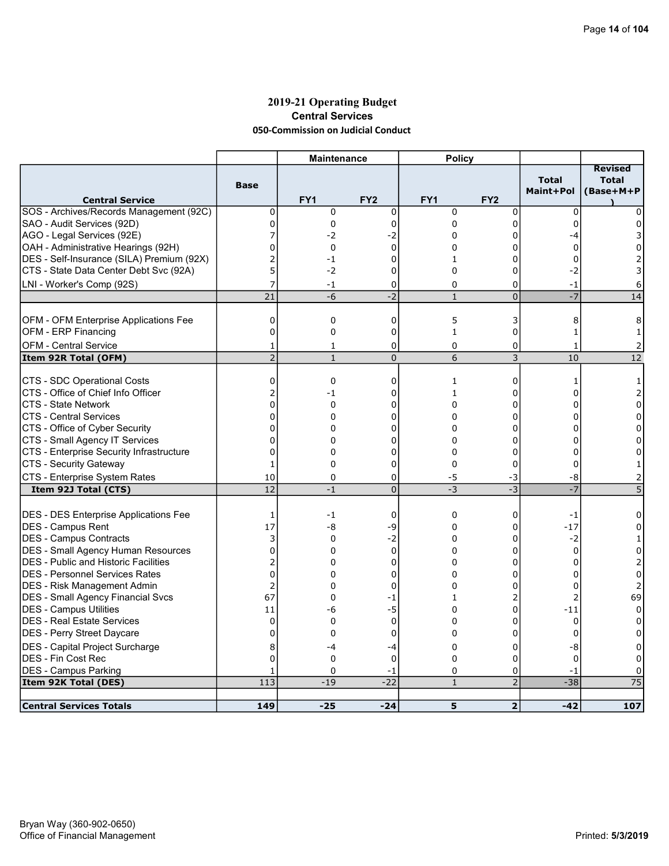### 2019-21 Operating Budget Central Services 050-Commission on Judicial Conduct

| <b>Revised</b><br><b>Total</b><br><b>Total</b><br><b>Base</b><br>Maint+Pol<br>(Base+M+P<br>FY <sub>1</sub><br>FY <sub>2</sub><br>FY <sub>1</sub><br>FY <sub>2</sub><br><b>Central Service</b><br>$\mathbf 0$<br>0<br>$\mathbf 0$<br>$\mathbf 0$<br>$\mathbf 0$<br>$\mathbf 0$<br>0<br>0<br>0<br>0<br>0<br>0<br>$\Omega$<br>0<br>7<br>AGO - Legal Services (92E)<br>-2<br>-2<br>$\Omega$<br>0<br>-4<br>3<br>$\overline{0}$<br>$\mathbf 0$<br>0<br>0<br>0<br>0<br>0<br>$\overline{2}$<br>$\Omega$<br>$-1$<br>0<br>$\mathbf{1}$<br>$\Omega$<br>5<br>$-2$<br>0<br>$-2$<br>0<br>$\Omega$<br>3<br>7<br>LNI - Worker's Comp (92S)<br>$-1$<br>0<br>0<br>0<br>$-1$<br>6<br>$-7$<br>$-2$<br>21<br>$\mathbf{1}$<br>$\overline{0}$<br>14<br>$-6$<br>5<br>OFM - OFM Enterprise Applications Fee<br>0<br>0<br>0<br>3<br>8<br>8<br>0<br>$\mathbf 0$<br>$\mathbf 0$<br>$\mathbf{1}$<br>0<br>$\mathbf{1}$<br>1<br><b>OFM - Central Service</b><br>$\Omega$<br>0<br>0<br>1<br>1<br>1<br>$\overline{2}$<br>6<br>3<br>$\overline{12}$<br>$\mathbf{1}$<br>$\overline{0}$<br>10<br>0<br>$\mathbf 0$<br>$\mathbf 0$<br>0<br>1<br>$\mathbf{1}$<br>$\mathbf{1}$<br>CTS - Office of Chief Info Officer<br>$\overline{c}$<br>$-1$<br>$\mathbf{1}$<br>0<br>0<br>0<br>2<br>$\overline{0}$<br>ICTS - State Network<br>$\Omega$<br>0<br>0<br>0<br>$\Omega$<br>0<br>$\Omega$<br>ICTS - Central Services<br>0<br>0<br>$\Omega$<br>0<br>$\Omega$<br>0<br>0<br>0<br>0<br>0<br>0<br>0<br>0<br>0<br>0<br>$\Omega$<br>0<br>0<br>0<br>0<br>0<br>0<br>0<br>0<br>0<br>0<br>0<br>$\Omega$<br>0<br>$\mathbf{0}$<br>$\mathbf{1}$<br>0<br>0<br>$\mathbf{1}$<br>10<br>0<br>0<br>-5<br>-3<br>-8<br>2<br>12<br>$\overline{0}$<br>$-3$<br>$-3$<br>5<br>$-1$<br>Item 92J Total (CTS)<br>$\mathbf 0$<br>-1<br>0<br>0<br>$-1$<br>1<br>0<br>17<br>-8<br>-9<br>$\Omega$<br>$-17$<br>0<br>$\Omega$ |                                           |   | <b>Maintenance</b> |      | <b>Policy</b> |   |      |              |
|---------------------------------------------------------------------------------------------------------------------------------------------------------------------------------------------------------------------------------------------------------------------------------------------------------------------------------------------------------------------------------------------------------------------------------------------------------------------------------------------------------------------------------------------------------------------------------------------------------------------------------------------------------------------------------------------------------------------------------------------------------------------------------------------------------------------------------------------------------------------------------------------------------------------------------------------------------------------------------------------------------------------------------------------------------------------------------------------------------------------------------------------------------------------------------------------------------------------------------------------------------------------------------------------------------------------------------------------------------------------------------------------------------------------------------------------------------------------------------------------------------------------------------------------------------------------------------------------------------------------------------------------------------------------------------------------------------------------------------------------------------------------------------------------------------------------------------------------|-------------------------------------------|---|--------------------|------|---------------|---|------|--------------|
| SOS - Archives/Records Management (92C)<br>SAO - Audit Services (92D)<br>OAH - Administrative Hearings (92H)<br>DES - Self-Insurance (SILA) Premium (92X)<br>CTS - State Data Center Debt Svc (92A)<br>OFM - ERP Financing<br>Item 92R Total (OFM)<br>CTS - SDC Operational Costs<br>CTS - Office of Cyber Security<br>CTS - Small Agency IT Services<br>CTS - Enterprise Security Infrastructure<br>CTS - Security Gateway<br>CTS - Enterprise System Rates<br>DES - DES Enterprise Applications Fee<br>DES - Campus Rent                                                                                                                                                                                                                                                                                                                                                                                                                                                                                                                                                                                                                                                                                                                                                                                                                                                                                                                                                                                                                                                                                                                                                                                                                                                                                                                  |                                           |   |                    |      |               |   |      |              |
|                                                                                                                                                                                                                                                                                                                                                                                                                                                                                                                                                                                                                                                                                                                                                                                                                                                                                                                                                                                                                                                                                                                                                                                                                                                                                                                                                                                                                                                                                                                                                                                                                                                                                                                                                                                                                                             |                                           |   |                    |      |               |   |      |              |
|                                                                                                                                                                                                                                                                                                                                                                                                                                                                                                                                                                                                                                                                                                                                                                                                                                                                                                                                                                                                                                                                                                                                                                                                                                                                                                                                                                                                                                                                                                                                                                                                                                                                                                                                                                                                                                             |                                           |   |                    |      |               |   |      |              |
|                                                                                                                                                                                                                                                                                                                                                                                                                                                                                                                                                                                                                                                                                                                                                                                                                                                                                                                                                                                                                                                                                                                                                                                                                                                                                                                                                                                                                                                                                                                                                                                                                                                                                                                                                                                                                                             |                                           |   |                    |      |               |   |      |              |
|                                                                                                                                                                                                                                                                                                                                                                                                                                                                                                                                                                                                                                                                                                                                                                                                                                                                                                                                                                                                                                                                                                                                                                                                                                                                                                                                                                                                                                                                                                                                                                                                                                                                                                                                                                                                                                             |                                           |   |                    |      |               |   |      |              |
|                                                                                                                                                                                                                                                                                                                                                                                                                                                                                                                                                                                                                                                                                                                                                                                                                                                                                                                                                                                                                                                                                                                                                                                                                                                                                                                                                                                                                                                                                                                                                                                                                                                                                                                                                                                                                                             |                                           |   |                    |      |               |   |      |              |
|                                                                                                                                                                                                                                                                                                                                                                                                                                                                                                                                                                                                                                                                                                                                                                                                                                                                                                                                                                                                                                                                                                                                                                                                                                                                                                                                                                                                                                                                                                                                                                                                                                                                                                                                                                                                                                             |                                           |   |                    |      |               |   |      |              |
|                                                                                                                                                                                                                                                                                                                                                                                                                                                                                                                                                                                                                                                                                                                                                                                                                                                                                                                                                                                                                                                                                                                                                                                                                                                                                                                                                                                                                                                                                                                                                                                                                                                                                                                                                                                                                                             |                                           |   |                    |      |               |   |      |              |
|                                                                                                                                                                                                                                                                                                                                                                                                                                                                                                                                                                                                                                                                                                                                                                                                                                                                                                                                                                                                                                                                                                                                                                                                                                                                                                                                                                                                                                                                                                                                                                                                                                                                                                                                                                                                                                             |                                           |   |                    |      |               |   |      |              |
|                                                                                                                                                                                                                                                                                                                                                                                                                                                                                                                                                                                                                                                                                                                                                                                                                                                                                                                                                                                                                                                                                                                                                                                                                                                                                                                                                                                                                                                                                                                                                                                                                                                                                                                                                                                                                                             |                                           |   |                    |      |               |   |      |              |
|                                                                                                                                                                                                                                                                                                                                                                                                                                                                                                                                                                                                                                                                                                                                                                                                                                                                                                                                                                                                                                                                                                                                                                                                                                                                                                                                                                                                                                                                                                                                                                                                                                                                                                                                                                                                                                             |                                           |   |                    |      |               |   |      |              |
|                                                                                                                                                                                                                                                                                                                                                                                                                                                                                                                                                                                                                                                                                                                                                                                                                                                                                                                                                                                                                                                                                                                                                                                                                                                                                                                                                                                                                                                                                                                                                                                                                                                                                                                                                                                                                                             |                                           |   |                    |      |               |   |      |              |
|                                                                                                                                                                                                                                                                                                                                                                                                                                                                                                                                                                                                                                                                                                                                                                                                                                                                                                                                                                                                                                                                                                                                                                                                                                                                                                                                                                                                                                                                                                                                                                                                                                                                                                                                                                                                                                             |                                           |   |                    |      |               |   |      |              |
|                                                                                                                                                                                                                                                                                                                                                                                                                                                                                                                                                                                                                                                                                                                                                                                                                                                                                                                                                                                                                                                                                                                                                                                                                                                                                                                                                                                                                                                                                                                                                                                                                                                                                                                                                                                                                                             |                                           |   |                    |      |               |   |      |              |
|                                                                                                                                                                                                                                                                                                                                                                                                                                                                                                                                                                                                                                                                                                                                                                                                                                                                                                                                                                                                                                                                                                                                                                                                                                                                                                                                                                                                                                                                                                                                                                                                                                                                                                                                                                                                                                             |                                           |   |                    |      |               |   |      |              |
|                                                                                                                                                                                                                                                                                                                                                                                                                                                                                                                                                                                                                                                                                                                                                                                                                                                                                                                                                                                                                                                                                                                                                                                                                                                                                                                                                                                                                                                                                                                                                                                                                                                                                                                                                                                                                                             |                                           |   |                    |      |               |   |      |              |
|                                                                                                                                                                                                                                                                                                                                                                                                                                                                                                                                                                                                                                                                                                                                                                                                                                                                                                                                                                                                                                                                                                                                                                                                                                                                                                                                                                                                                                                                                                                                                                                                                                                                                                                                                                                                                                             |                                           |   |                    |      |               |   |      |              |
|                                                                                                                                                                                                                                                                                                                                                                                                                                                                                                                                                                                                                                                                                                                                                                                                                                                                                                                                                                                                                                                                                                                                                                                                                                                                                                                                                                                                                                                                                                                                                                                                                                                                                                                                                                                                                                             |                                           |   |                    |      |               |   |      |              |
|                                                                                                                                                                                                                                                                                                                                                                                                                                                                                                                                                                                                                                                                                                                                                                                                                                                                                                                                                                                                                                                                                                                                                                                                                                                                                                                                                                                                                                                                                                                                                                                                                                                                                                                                                                                                                                             |                                           |   |                    |      |               |   |      |              |
|                                                                                                                                                                                                                                                                                                                                                                                                                                                                                                                                                                                                                                                                                                                                                                                                                                                                                                                                                                                                                                                                                                                                                                                                                                                                                                                                                                                                                                                                                                                                                                                                                                                                                                                                                                                                                                             |                                           |   |                    |      |               |   |      |              |
|                                                                                                                                                                                                                                                                                                                                                                                                                                                                                                                                                                                                                                                                                                                                                                                                                                                                                                                                                                                                                                                                                                                                                                                                                                                                                                                                                                                                                                                                                                                                                                                                                                                                                                                                                                                                                                             |                                           |   |                    |      |               |   |      |              |
|                                                                                                                                                                                                                                                                                                                                                                                                                                                                                                                                                                                                                                                                                                                                                                                                                                                                                                                                                                                                                                                                                                                                                                                                                                                                                                                                                                                                                                                                                                                                                                                                                                                                                                                                                                                                                                             |                                           |   |                    |      |               |   |      |              |
|                                                                                                                                                                                                                                                                                                                                                                                                                                                                                                                                                                                                                                                                                                                                                                                                                                                                                                                                                                                                                                                                                                                                                                                                                                                                                                                                                                                                                                                                                                                                                                                                                                                                                                                                                                                                                                             |                                           |   |                    |      |               |   |      |              |
|                                                                                                                                                                                                                                                                                                                                                                                                                                                                                                                                                                                                                                                                                                                                                                                                                                                                                                                                                                                                                                                                                                                                                                                                                                                                                                                                                                                                                                                                                                                                                                                                                                                                                                                                                                                                                                             |                                           |   |                    |      |               |   |      |              |
|                                                                                                                                                                                                                                                                                                                                                                                                                                                                                                                                                                                                                                                                                                                                                                                                                                                                                                                                                                                                                                                                                                                                                                                                                                                                                                                                                                                                                                                                                                                                                                                                                                                                                                                                                                                                                                             |                                           |   |                    |      |               |   |      |              |
|                                                                                                                                                                                                                                                                                                                                                                                                                                                                                                                                                                                                                                                                                                                                                                                                                                                                                                                                                                                                                                                                                                                                                                                                                                                                                                                                                                                                                                                                                                                                                                                                                                                                                                                                                                                                                                             |                                           |   |                    |      |               |   |      |              |
|                                                                                                                                                                                                                                                                                                                                                                                                                                                                                                                                                                                                                                                                                                                                                                                                                                                                                                                                                                                                                                                                                                                                                                                                                                                                                                                                                                                                                                                                                                                                                                                                                                                                                                                                                                                                                                             |                                           |   |                    |      |               |   |      |              |
|                                                                                                                                                                                                                                                                                                                                                                                                                                                                                                                                                                                                                                                                                                                                                                                                                                                                                                                                                                                                                                                                                                                                                                                                                                                                                                                                                                                                                                                                                                                                                                                                                                                                                                                                                                                                                                             | <b>DES - Campus Contracts</b>             | 3 | $\mathbf 0$        | $-2$ | 0             | 0 | $-2$ | $\mathbf{1}$ |
| 0<br>$\mathbf 0$<br>0<br>0<br>$\Omega$<br>$\mathbf 0$<br>$\Omega$                                                                                                                                                                                                                                                                                                                                                                                                                                                                                                                                                                                                                                                                                                                                                                                                                                                                                                                                                                                                                                                                                                                                                                                                                                                                                                                                                                                                                                                                                                                                                                                                                                                                                                                                                                           | <b>DES - Small Agency Human Resources</b> |   |                    |      |               |   |      |              |
| 2<br><b>DES</b> - Public and Historic Facilities<br>0<br>0<br>2<br>0<br>0<br>0                                                                                                                                                                                                                                                                                                                                                                                                                                                                                                                                                                                                                                                                                                                                                                                                                                                                                                                                                                                                                                                                                                                                                                                                                                                                                                                                                                                                                                                                                                                                                                                                                                                                                                                                                              |                                           |   |                    |      |               |   |      |              |
| $\overline{0}$<br><b>DES - Personnel Services Rates</b><br>0<br>$\Omega$<br>0<br>$\mathbf 0$<br>$\Omega$<br>0                                                                                                                                                                                                                                                                                                                                                                                                                                                                                                                                                                                                                                                                                                                                                                                                                                                                                                                                                                                                                                                                                                                                                                                                                                                                                                                                                                                                                                                                                                                                                                                                                                                                                                                               |                                           |   |                    |      |               |   |      |              |
| $\overline{c}$<br>DES - Risk Management Admin<br>0<br>0<br>0<br>0<br>2<br>0                                                                                                                                                                                                                                                                                                                                                                                                                                                                                                                                                                                                                                                                                                                                                                                                                                                                                                                                                                                                                                                                                                                                                                                                                                                                                                                                                                                                                                                                                                                                                                                                                                                                                                                                                                 |                                           |   |                    |      |               |   |      |              |
| 67<br>2<br>69<br>0<br>2<br>-1<br>$\mathbf{1}$                                                                                                                                                                                                                                                                                                                                                                                                                                                                                                                                                                                                                                                                                                                                                                                                                                                                                                                                                                                                                                                                                                                                                                                                                                                                                                                                                                                                                                                                                                                                                                                                                                                                                                                                                                                               | DES - Small Agency Financial Svcs         |   |                    |      |               |   |      |              |
| <b>DES - Campus Utilities</b><br>-5<br>0<br>$^{\rm -11}$<br>$\Omega$<br>11<br>-6<br>0                                                                                                                                                                                                                                                                                                                                                                                                                                                                                                                                                                                                                                                                                                                                                                                                                                                                                                                                                                                                                                                                                                                                                                                                                                                                                                                                                                                                                                                                                                                                                                                                                                                                                                                                                       |                                           |   |                    |      |               |   |      |              |
| <b>DES - Real Estate Services</b><br>$\mathbf 0$<br>$\mathbf 0$<br>$\mathbf 0$<br>$\Omega$<br>0<br>0<br>0                                                                                                                                                                                                                                                                                                                                                                                                                                                                                                                                                                                                                                                                                                                                                                                                                                                                                                                                                                                                                                                                                                                                                                                                                                                                                                                                                                                                                                                                                                                                                                                                                                                                                                                                   |                                           |   |                    |      |               |   |      |              |
| $\Omega$<br>0<br>$\Omega$<br>$\Omega$<br>0<br>$\Omega$<br>0                                                                                                                                                                                                                                                                                                                                                                                                                                                                                                                                                                                                                                                                                                                                                                                                                                                                                                                                                                                                                                                                                                                                                                                                                                                                                                                                                                                                                                                                                                                                                                                                                                                                                                                                                                                 | DES - Perry Street Daycare                |   |                    |      |               |   |      |              |
| DES - Capital Project Surcharge<br>8<br>-8<br>0<br>0<br>-4<br>-4<br>0                                                                                                                                                                                                                                                                                                                                                                                                                                                                                                                                                                                                                                                                                                                                                                                                                                                                                                                                                                                                                                                                                                                                                                                                                                                                                                                                                                                                                                                                                                                                                                                                                                                                                                                                                                       |                                           |   |                    |      |               |   |      |              |
| $\overline{0}$<br>IDES - Fin Cost Rec<br>$\mathbf 0$<br>$\mathbf 0$<br>$\Omega$<br>0<br>$\Omega$<br>0                                                                                                                                                                                                                                                                                                                                                                                                                                                                                                                                                                                                                                                                                                                                                                                                                                                                                                                                                                                                                                                                                                                                                                                                                                                                                                                                                                                                                                                                                                                                                                                                                                                                                                                                       |                                           |   |                    |      |               |   |      |              |
| <b>DES - Campus Parking</b><br>0<br>0<br>0<br>-1<br>1<br>-1                                                                                                                                                                                                                                                                                                                                                                                                                                                                                                                                                                                                                                                                                                                                                                                                                                                                                                                                                                                                                                                                                                                                                                                                                                                                                                                                                                                                                                                                                                                                                                                                                                                                                                                                                                                 |                                           |   |                    |      |               |   |      |              |
| $\overline{2}$<br>$-22$<br>$-38$<br>$\overline{75}$<br>113<br>$-19$<br>$\mathbf{1}$<br>Item 92K Total (DES)                                                                                                                                                                                                                                                                                                                                                                                                                                                                                                                                                                                                                                                                                                                                                                                                                                                                                                                                                                                                                                                                                                                                                                                                                                                                                                                                                                                                                                                                                                                                                                                                                                                                                                                                 |                                           |   |                    |      |               |   |      |              |
| <b>Central Services Totals</b><br>149<br>$-25$<br>$-24$<br>5<br>$\overline{\mathbf{2}}$<br>$-42$<br>107                                                                                                                                                                                                                                                                                                                                                                                                                                                                                                                                                                                                                                                                                                                                                                                                                                                                                                                                                                                                                                                                                                                                                                                                                                                                                                                                                                                                                                                                                                                                                                                                                                                                                                                                     |                                           |   |                    |      |               |   |      |              |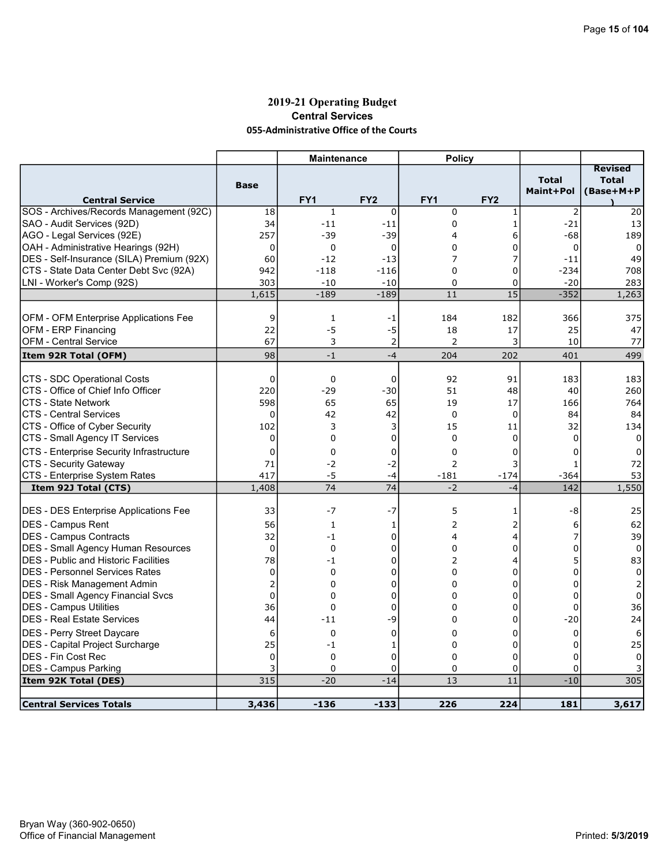### 2019-21 Operating Budget Central Services 055-Administrative Office of the Courts

|                                                                  |                | <b>Maintenance</b> |                 | <b>Policy</b>     |                 |                           |                                             |
|------------------------------------------------------------------|----------------|--------------------|-----------------|-------------------|-----------------|---------------------------|---------------------------------------------|
| <b>Central Service</b>                                           | <b>Base</b>    | FY <sub>1</sub>    | FY <sub>2</sub> | FY <sub>1</sub>   | FY <sub>2</sub> | <b>Total</b><br>Maint+Pol | <b>Revised</b><br><b>Total</b><br>(Base+M+P |
| SOS - Archives/Records Management (92C)                          | 18             | $\mathbf 1$        | $\mathbf 0$     | $\mathbf 0$       | $\mathbf{1}$    | $\overline{2}$            | 20                                          |
| SAO - Audit Services (92D)                                       | 34             | $-11$              | $-11$           | 0                 | $\mathbf{1}$    | $-21$                     | 13                                          |
| AGO - Legal Services (92E)                                       | 257            | $-39$              | $-39$           | 4                 | 6               | $-68$                     | 189                                         |
| OAH - Administrative Hearings (92H)                              | $\mathbf 0$    | 0                  | $\mathbf 0$     | 0                 | 0               | $\mathbf 0$               | 0                                           |
| DES - Self-Insurance (SILA) Premium (92X)                        | 60             | $-12$              | $-13$           | 7                 | 7               | $-11$                     | 49                                          |
| CTS - State Data Center Debt Svc (92A)                           | 942            | $-118$             | $-116$          | $\Omega$          | 0               | $-234$                    | 708                                         |
| LNI - Worker's Comp (92S)                                        | 303            | $-10$              | $-10$           | 0                 | 0               | $-20$                     | 283                                         |
|                                                                  | 1,615          | $-189$             | $-189$          | 11                | 15              | $-352$                    | 1,263                                       |
|                                                                  |                |                    |                 |                   |                 |                           |                                             |
| <b>OFM - OFM Enterprise Applications Fee</b>                     | 9              | $\mathbf{1}$       | -1              | 184               | 182             | 366                       | 375                                         |
| <b>OFM - ERP Financing</b>                                       | 22             | $-5$               | $-5$            | 18                | 17              | 25                        | 47                                          |
| <b>OFM - Central Service</b>                                     | 67             | 3                  | $\overline{2}$  | 2                 | 3               | 10                        | 77                                          |
| Item 92R Total (OFM)                                             | 98             | $-1$               | $-4$            | 204               | 202             | 401                       | 499                                         |
| CTS - SDC Operational Costs                                      | $\Omega$       |                    |                 | 92                | 91              |                           |                                             |
|                                                                  |                | $\mathbf 0$        | $\mathbf 0$     |                   |                 | 183                       | 183                                         |
| CTS - Office of Chief Info Officer<br><b>CTS - State Network</b> | 220<br>598     | $-29$<br>65        | $-30$<br>65     | 51<br>19          | 48<br>17        | 40<br>166                 | 260                                         |
| <b>CTS - Central Services</b>                                    |                |                    |                 |                   |                 |                           | 764                                         |
|                                                                  | 0<br>102       | 42<br>3            | 42              | $\mathbf 0$<br>15 | 0               | 84                        | 84                                          |
| CTS - Office of Cyber Security                                   |                | 0                  | 3               |                   | 11              | 32                        | 134                                         |
| CTS - Small Agency IT Services                                   | $\mathbf 0$    |                    | 0               | $\mathbf 0$       | 0               | 0                         | $\Omega$                                    |
| CTS - Enterprise Security Infrastructure                         | 0              | 0                  | 0               | $\mathbf 0$       | 0               | 0                         | 0                                           |
| <b>CTS - Security Gateway</b>                                    | 71             | $-2$               | $-2$            | $\overline{2}$    | 3               | 1                         | 72                                          |
| CTS - Enterprise System Rates                                    | 417            | $-5$               | $-4$            | $-181$            | $-174$          | $-364$                    | 53                                          |
| Item 92J Total (CTS)                                             | 1,408          | 74                 | 74              | $-2$              | $-4$            | 142                       | 1,550                                       |
| <b>DES - DES Enterprise Applications Fee</b>                     | 33             | -7                 | $-7$            | 5                 | 1               | -8                        | 25                                          |
| <b>IDES - Campus Rent</b>                                        | 56             | $\mathbf{1}$       | 1               | 2                 | 2               | 6                         | 62                                          |
| IDES - Campus Contracts                                          | 32             | $-1$               | 0               | 4                 | 4               | 7                         | 39                                          |
| <b>DES</b> - Small Agency Human Resources                        | 0              | 0                  | 0               | 0                 | 0               | 0                         | 0                                           |
| <b>IDES - Public and Historic Facilities</b>                     | 78             | $-1$               | 0               | 2                 | 4               | 5                         | 83                                          |
| <b>IDES - Personnel Services Rates</b>                           | 0              | 0                  | 0               | $\Omega$          | 0               | $\Omega$                  | 0                                           |
| DES - Risk Management Admin                                      | $\overline{2}$ | 0                  | 0               | 0                 | 0               | $\Omega$                  | 2                                           |
| DES - Small Agency Financial Svcs                                | $\mathbf 0$    | 0                  | 0               | $\Omega$          | 0               | $\Omega$                  | 0                                           |
| DES - Campus Utilities                                           | 36             | $\mathbf 0$        | 0               | $\Omega$          | 0               | $\Omega$                  | 36                                          |
| DES - Real Estate Services                                       | 44             | $-11$              | -9              | 0                 | 0               | $-20$                     | 24                                          |
| <b>IDES - Perry Street Daycare</b>                               | 6              | 0                  | $\mathbf 0$     | $\Omega$          | 0               | $\mathbf 0$               | 6                                           |
| <b>DES</b> - Capital Project Surcharge                           | 25             | $-1$               | 1               | $\mathbf 0$       | $\Omega$        | 0                         | 25                                          |
| <b>DES - Fin Cost Rec</b>                                        | $\mathbf 0$    | 0                  | 0               | 0                 | 0               | 0                         | 0                                           |
| <b>DES - Campus Parking</b>                                      | 3              | $\Omega$           | 0               | 0                 | 0               | $\Omega$                  |                                             |
| Item 92K Total (DES)                                             | 315            | $-20$              | $-14$           | 13                | 11              | $-10$                     | 305                                         |
|                                                                  |                |                    |                 |                   |                 |                           |                                             |
| <b>Central Services Totals</b>                                   | 3,436          | $-136$             | $-133$          | 226               | 224             | 181                       | 3,617                                       |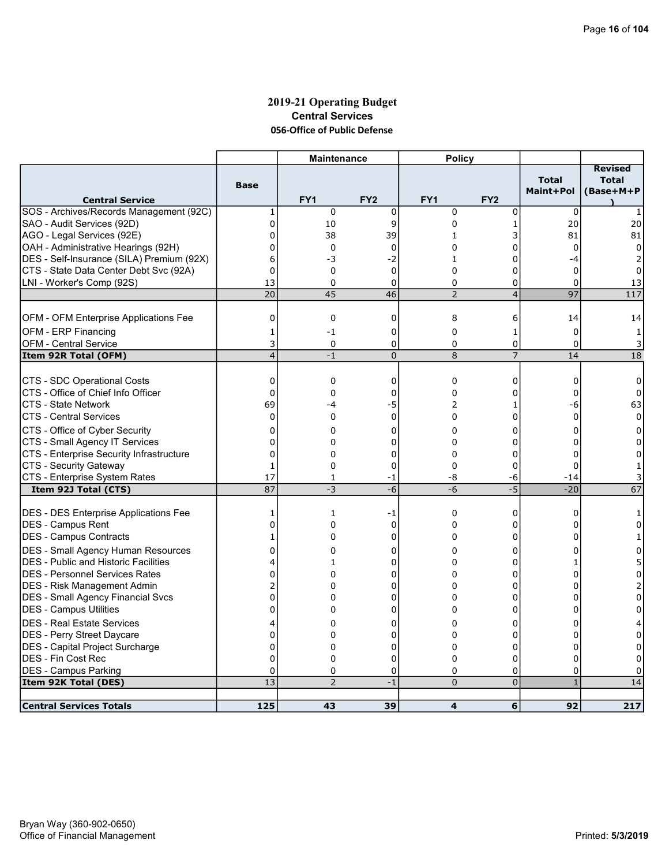### 2019-21 Operating Budget Central Services 056-Office of Public Defense

|                                             |                              | <b>Maintenance</b> |                     | <b>Policy</b>  |                     |                           |                                             |
|---------------------------------------------|------------------------------|--------------------|---------------------|----------------|---------------------|---------------------------|---------------------------------------------|
| <b>Central Service</b>                      | <b>Base</b>                  | FY1                | FY <sub>2</sub>     | FY1            | FY <sub>2</sub>     | <b>Total</b><br>Maint+Pol | <b>Revised</b><br><b>Total</b><br>(Base+M+P |
| SOS - Archives/Records Management (92C)     | 1                            | $\mathbf 0$        | $\mathbf 0$         | $\mathbf 0$    | $\mathbf 0$         | 0                         | $\mathbf{1}$                                |
| SAO - Audit Services (92D)                  | 0                            | 10                 | 9                   | 0              | 1                   | 20                        | 20                                          |
| AGO - Legal Services (92E)                  | $\mathbf 0$                  | 38                 | 39                  | $\mathbf{1}$   | 3                   | 81                        | 81                                          |
| OAH - Administrative Hearings (92H)         | 0                            | 0                  | $\mathbf 0$         | 0              | 0                   | $\mathbf 0$               | 0                                           |
| DES - Self-Insurance (SILA) Premium (92X)   | 6                            | -3                 | $-2$                | $\mathbf{1}$   | $\Omega$            | $-4$                      |                                             |
| CTS - State Data Center Debt Svc (92A)      | $\Omega$                     | 0                  | $\mathbf 0$         | $\Omega$       | 0                   | $\mathbf 0$               | 0                                           |
| LNI - Worker's Comp (92S)                   | 13                           | 0                  | 0                   | 0              | 0                   | 0                         | 13                                          |
|                                             | 20                           | 45                 | 46                  | $\overline{2}$ | $\overline{4}$      | $\overline{97}$           | 117                                         |
|                                             |                              |                    |                     |                |                     |                           |                                             |
| OFM - OFM Enterprise Applications Fee       | 0                            | 0                  | 0                   | 8              | 6                   | 14                        | 14                                          |
| OFM - ERP Financing                         | 1                            | $-1$               | 0                   | $\mathbf 0$    | 1                   | 0                         | 1                                           |
| <b>OFM - Central Service</b>                | 3<br>$\overline{\mathbf{4}}$ | 0<br>$-1$          | 0<br>$\overline{0}$ | 0<br>8         | 0<br>$\overline{7}$ | $\Omega$<br>14            | 3<br>18                                     |
| Item 92R Total (OFM)                        |                              |                    |                     |                |                     |                           |                                             |
| CTS - SDC Operational Costs                 | 0                            | 0                  | 0                   | $\mathbf 0$    | 0                   | $\Omega$                  | 0                                           |
| CTS - Office of Chief Info Officer          | $\mathbf 0$                  | 0                  | 0                   | $\Omega$       | 0                   | $\Omega$                  | $\Omega$                                    |
| CTS - State Network                         | 69                           | -4                 | -5                  | 2              | 1                   | -6                        | 63                                          |
| <b>CTS - Central Services</b>               | $\Omega$                     | $\Omega$           | $\Omega$            | $\Omega$       | $\Omega$            | $\Omega$                  | $\Omega$                                    |
| CTS - Office of Cyber Security              | 0                            | 0                  | 0                   | 0              | 0                   | $\Omega$                  | 0                                           |
| CTS - Small Agency IT Services              | $\mathbf 0$                  | 0                  | 0                   | 0              | 0                   | $\Omega$                  | 0                                           |
| CTS - Enterprise Security Infrastructure    | $\mathbf 0$                  | 0                  | 0                   | 0              | 0                   | 0                         | 0                                           |
| CTS - Security Gateway                      | $\mathbf{1}$                 | $\Omega$           | $\Omega$            | $\Omega$       | 0                   | $\Omega$                  | 1                                           |
| CTS - Enterprise System Rates               | 17                           | 1                  | $-1$                | -8             | -6                  | $-14$                     | 3                                           |
| Item 92J Total (CTS)                        | 87                           | -3                 | $-6$                | $-6$           | $-5$                | $-20$                     | 67                                          |
|                                             |                              |                    |                     |                |                     |                           |                                             |
| DES - DES Enterprise Applications Fee       | 1                            | $\mathbf{1}$       | -1                  | 0              | 0                   | 0                         | 1                                           |
| <b>IDES - Campus Rent</b>                   | $\Omega$                     | 0                  | $\mathbf 0$         | 0              | 0                   | $\Omega$                  | 0                                           |
| <b>IDES - Campus Contracts</b>              | 1                            | 0                  | 0                   | 0              | 0                   |                           |                                             |
| DES - Small Agency Human Resources          | $\mathbf 0$                  | 0                  | 0                   | 0              | 0                   | 0                         | 0                                           |
| <b>DES</b> - Public and Historic Facilities | 4                            | 1                  | 0                   | 0              | 0                   |                           | 5                                           |
| IDES - Personnel Services Rates             | 0                            | 0                  | $\mathbf 0$         | 0              | $\Omega$            | U                         | $\Omega$                                    |
| <b>IDES - Risk Management Admin</b>         | 2                            | 0                  | 0                   | 0              | 0                   | O                         | 2                                           |
| <b>DES - Small Agency Financial Svcs</b>    | $\Omega$                     | 0                  | 0                   | 0              | 0                   | O                         | $\Omega$                                    |
| DES - Campus Utilities                      | 0                            | $\Omega$           | 0                   | $\Omega$       | 0                   | 0                         | 0                                           |
| <b>DES - Real Estate Services</b>           | 4                            | 0                  | 0                   | 0              | 0                   | 0                         | 4                                           |
| <b>IDES - Perry Street Daycare</b>          | $\mathbf 0$                  | 0                  | 0                   | 0              | 0                   | 0                         | 0                                           |
| <b>DES</b> - Capital Project Surcharge      | $\Omega$                     | 0                  | 0                   | $\Omega$       | 0                   | $\Omega$                  | $\Omega$                                    |
| DES - Fin Cost Rec                          | $\Omega$                     | 0                  | 0                   | $\Omega$       | 0                   | $\Omega$                  | $\Omega$                                    |
| <b>DES - Campus Parking</b>                 | $\mathbf 0$                  | 0                  | 0                   | 0              | 0                   | 0                         | 0                                           |
| Item 92K Total (DES)                        | 13                           | $\overline{2}$     | $-1$                | $\Omega$       | $\overline{0}$      | $\mathbf{1}$              | 14                                          |
| <b>Central Services Totals</b>              | 125                          | 43                 | 39                  | 4              | 6                   | 92                        | 217                                         |
|                                             |                              |                    |                     |                |                     |                           |                                             |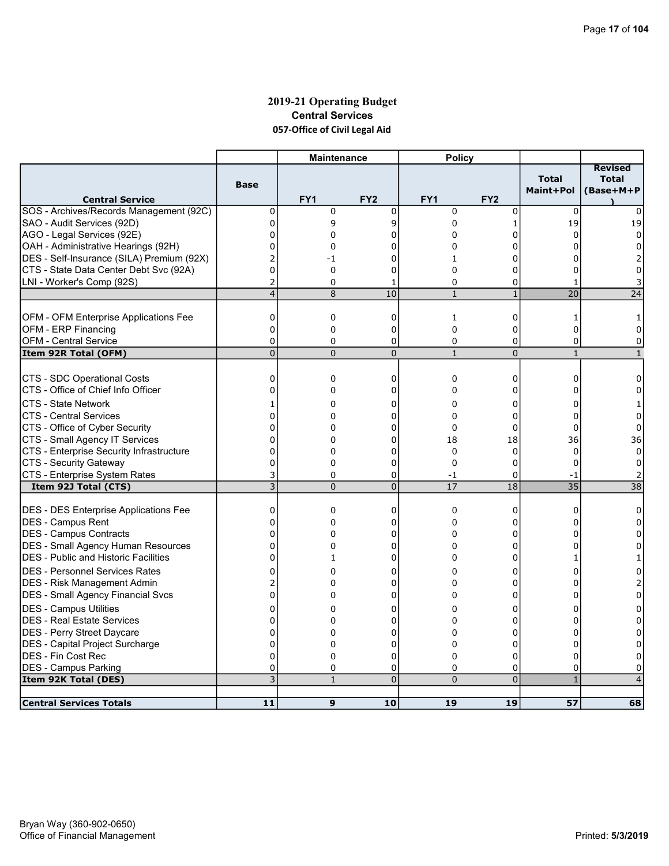# 2019-21 Operating Budget Central Services 057-Office of Civil Legal Aid

|                                              |                | <b>Maintenance</b> |                 | <b>Policy</b> |                 |                                  |                                      |
|----------------------------------------------|----------------|--------------------|-----------------|---------------|-----------------|----------------------------------|--------------------------------------|
| <b>Central Service</b>                       | <b>Base</b>    | FY <sub>1</sub>    | FY <sub>2</sub> | FY1           | FY <sub>2</sub> | <b>Total</b><br><b>Maint+Pol</b> | Revised<br><b>Total</b><br>(Base+M+P |
| SOS - Archives/Records Management (92C)      | $\mathbf 0$    | 0                  | $\mathbf 0$     | $\mathbf 0$   | 0               | $\Omega$                         | 0                                    |
| SAO - Audit Services (92D)                   | 0              | 9                  | 9               | 0             | 1               | 19                               | 19                                   |
| AGO - Legal Services (92E)                   | 0              | 0                  | 0               | $\Omega$      | 0               | 0                                | $\Omega$                             |
| OAH - Administrative Hearings (92H)          | 0              | 0                  | O               | 0             | ი               |                                  | 0                                    |
| DES - Self-Insurance (SILA) Premium (92X)    | $\overline{2}$ | $-1$               | 0               | $\mathbf{1}$  | 0               |                                  |                                      |
| CTS - State Data Center Debt Svc (92A)       | 0              | 0                  | 0               | 0             | ი               |                                  | 0                                    |
| LNI - Worker's Comp (92S)                    | $\overline{2}$ | 0                  | 1               | $\mathbf 0$   | 0               | -1                               |                                      |
|                                              | $\overline{4}$ | 8                  | 10              | $\mathbf{1}$  | $\mathbf{1}$    | 20                               | 24                                   |
| <b>OFM - OFM Enterprise Applications Fee</b> | 0              | 0                  | 0               | 1             | 0               | 1                                |                                      |
| <b>OFM - ERP Financing</b>                   | $\mathbf 0$    | 0                  | 0               | $\Omega$      | 0               | $\Omega$                         | 0                                    |
| <b>OFM - Central Service</b>                 | 0              | $\Omega$           | 0               | 0             | 0               | $\Omega$                         | 0                                    |
| Item 92R Total (OFM)                         | $\overline{0}$ | $\Omega$           | $\overline{0}$  | $\mathbf{1}$  | $\overline{0}$  | $\mathbf{1}$                     | $\mathbf{1}$                         |
|                                              |                |                    |                 |               |                 |                                  |                                      |
| CTS - SDC Operational Costs                  | $\mathbf 0$    | 0                  | 0               | 0             | 0               | 0                                | 0                                    |
| CTS - Office of Chief Info Officer           | $\overline{0}$ | 0                  | 0               | 0             | 0               | 0                                | 0                                    |
| <b>CTS - State Network</b>                   | 1              | 0                  | 0               | 0             | 0               | 0                                |                                      |
| <b>CTS - Central Services</b>                | 0              | 0                  | 0               | 0             | 0               | $\Omega$                         | $\Omega$                             |
| CTS - Office of Cyber Security               | 0              | 0                  | 0               | 0             | 0               | 0                                | 0                                    |
| CTS - Small Agency IT Services               | 0              | 0                  | 0               | 18            | 18              | 36                               | 36                                   |
| CTS - Enterprise Security Infrastructure     | 0              | 0                  | 0               | $\mathbf 0$   | 0               | $\mathbf 0$                      | $\mathbf 0$                          |
| CTS - Security Gateway                       | 0              | 0                  | 0               | 0             | 0               | $\Omega$                         | 0                                    |
| CTS - Enterprise System Rates                | 3              | 0                  | 0               | $-1$          | 0               | $-1$                             |                                      |
| Item 92J Total (CTS)                         | $\overline{3}$ | $\Omega$           | $\overline{0}$  | 17            | 18              | 35                               | 38                                   |
|                                              |                |                    |                 |               |                 |                                  |                                      |
| <b>DES - DES Enterprise Applications Fee</b> | 0              | 0                  | 0               | $\mathbf 0$   | 0               | $\Omega$                         | 0                                    |
| <b>IDES - Campus Rent</b>                    | $\Omega$       | $\Omega$           | $\Omega$        | $\Omega$      | 0               | <sup>0</sup>                     | $\Omega$                             |
| DES - Campus Contracts                       | $\mathbf 0$    | 0                  | 0               | $\Omega$      | 0               | 0                                | $\Omega$                             |
| <b>DES - Small Agency Human Resources</b>    | $\mathbf{0}$   | 0                  | 0               | 0             | 0               |                                  | 0                                    |
| <b>IDES - Public and Historic Facilities</b> | 0              | $\mathbf{1}$       | 0               | 0             | 0               |                                  |                                      |
| IDES - Personnel Services Rates              | 0              | 0                  | 0               | 0             | 0               |                                  |                                      |
| DES - Risk Management Admin                  | 2              | 0                  | 0               | 0             | 0               |                                  |                                      |
| DES - Small Agency Financial Svcs            | $\overline{0}$ | 0                  | $\mathbf 0$     | 0             | 0               |                                  | $\Omega$                             |
| DES - Campus Utilities                       | 0              | 0                  | 0               | 0             | 0               | n                                | 0                                    |
| DES - Real Estate Services                   | 0              | 0                  | 0               | 0             | 0               | U                                | 0                                    |
| DES - Perry Street Daycare                   | 0              | 0                  | $\mathbf 0$     | $\Omega$      | $\Omega$        | U                                | $\Omega$                             |
| DES - Capital Project Surcharge              | $\overline{0}$ | 0                  | 0               | 0             | 0               | 0                                | 0                                    |
| <b>DES - Fin Cost Rec</b>                    | $\Omega$       | 0                  | 0               | $\Omega$      | 0               | $\Omega$                         | 0                                    |
| DES - Campus Parking                         | 0              | 0                  | 0               | 0             | 0               | 0                                | 0                                    |
| Item 92K Total (DES)                         | 3              | $\mathbf{1}$       | $\overline{0}$  | $\Omega$      | $\overline{0}$  | $\blacklozenge$                  |                                      |
| <b>Central Services Totals</b>               | 11             | 9                  | 10              | 19            | 19              | 57                               | 68                                   |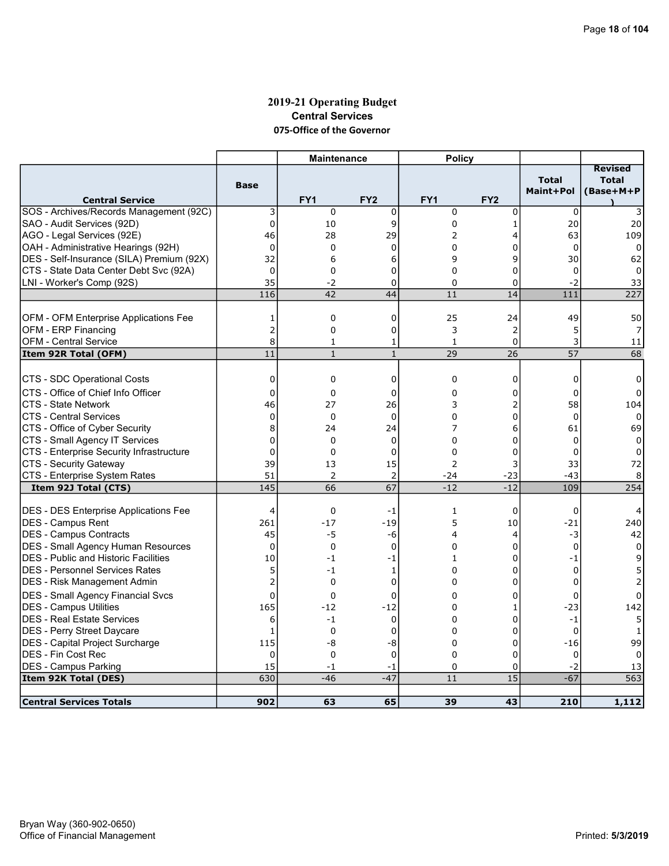### 2019-21 Operating Budget Central Services 075-Office of the Governor

|                                              |                | <b>Maintenance</b> |                 | <b>Policy</b> |                 |                           |                                             |
|----------------------------------------------|----------------|--------------------|-----------------|---------------|-----------------|---------------------------|---------------------------------------------|
| <b>Central Service</b>                       | <b>Base</b>    | FY1                | FY <sub>2</sub> | FY1           | FY <sub>2</sub> | <b>Total</b><br>Maint+Pol | <b>Revised</b><br><b>Total</b><br>(Base+M+P |
| SOS - Archives/Records Management (92C)      | 3              | $\mathbf 0$        | 0               | $\mathbf 0$   | 0               | 0                         |                                             |
| SAO - Audit Services (92D)                   | $\pmb{0}$      | 10                 | 9               | $\mathbf 0$   | $\mathbf{1}$    | 20                        | 20                                          |
| AGO - Legal Services (92E)                   | 46             | 28                 | 29              | 2             | 4               | 63                        | 109                                         |
| OAH - Administrative Hearings (92H)          | $\mathbf 0$    | 0                  | $\Omega$        | $\Omega$      | 0               | $\Omega$                  | $\Omega$                                    |
| DES - Self-Insurance (SILA) Premium (92X)    | 32             | 6                  | 6               | 9             | 9               | 30                        | 62                                          |
| CTS - State Data Center Debt Svc (92A)       | $\mathbf{0}$   | $\mathbf 0$        | 0               | $\Omega$      | 0               | $\Omega$                  | 0                                           |
| LNI - Worker's Comp (92S)                    | 35             | -2                 | 0               | 0             | 0               | $-2$                      | 33                                          |
|                                              | 116            | 42                 | 44              | 11            | 14              | 111                       | 227                                         |
|                                              |                |                    |                 |               |                 |                           |                                             |
| <b>OFM - OFM Enterprise Applications Fee</b> | 1              | 0                  | 0               | 25            | 24              | 49                        | 50                                          |
| <b>OFM - ERP Financing</b>                   | 2              | 0                  | 0               | 3             | 2               | 5                         | 7                                           |
| <b>OFM - Central Service</b>                 | 8              | 1                  | 1               | 1             | 0               | 3                         | 11                                          |
| Item 92R Total (OFM)                         | 11             | $\mathbf{1}$       | $\mathbf{1}$    | 29            | 26              | 57                        | 68                                          |
|                                              |                |                    |                 |               |                 |                           |                                             |
| CTS - SDC Operational Costs                  | 0              | 0                  | 0               | $\mathbf 0$   | 0               | 0                         | 0                                           |
| CTS - Office of Chief Info Officer           | 0              | 0                  | 0               | $\Omega$      | 0               | $\Omega$                  | $\Omega$                                    |
| <b>CTS - State Network</b>                   | 46             | 27                 | 26              | 3             | 2               | 58                        | 104                                         |
| <b>CTS - Central Services</b>                | $\mathbf{0}$   | 0                  | $\mathbf 0$     | $\Omega$      | 0               | $\Omega$                  | 0                                           |
| CTS - Office of Cyber Security               | 8              | 24                 | 24              | 7             | 6               | 61                        | 69                                          |
| CTS - Small Agency IT Services               | $\Omega$       | 0                  | $\mathbf 0$     | $\Omega$      | 0               | $\Omega$                  | $\Omega$                                    |
| CTS - Enterprise Security Infrastructure     | $\mathbf 0$    | 0                  | 0               | 0             | 0               | 0                         | 0                                           |
| CTS - Security Gateway                       | 39             | 13                 | 15              | 2             | 3               | 33                        | 72                                          |
| CTS - Enterprise System Rates                | 51             | 2                  | $\overline{2}$  | -24           | $-23$           | $-43$                     | 8                                           |
| Item 92J Total (CTS)                         | 145            | 66                 | $\overline{67}$ | $-12$         | $-12$           | 109                       | 254                                         |
|                                              |                |                    |                 |               |                 |                           |                                             |
| DES - DES Enterprise Applications Fee        | 4              | $\mathbf 0$        | -1              | 1             | 0               | 0                         |                                             |
| <b>IDES - Campus Rent</b>                    | 261            | $-17$              | $-19$           | 5             | 10              | $-21$                     | 240                                         |
| DES - Campus Contracts                       | 45             | -5                 | -6              | 4             | 4               | -3                        | 42                                          |
| <b>DES - Small Agency Human Resources</b>    | 0              | $\mathbf 0$        | $\mathbf 0$     | 0             | 0               | $\mathbf 0$               | $\mathbf 0$                                 |
| <b>DES</b> - Public and Historic Facilities  | 10             | $-1$               | $-1$            | $\mathbf{1}$  | 0               | $-1$                      | 9                                           |
| IDES - Personnel Services Rates              | 5              | $-1$               | 1               | $\Omega$      | 0               | 0                         |                                             |
| DES - Risk Management Admin                  | $\overline{2}$ | $\mathbf 0$        | 0               | $\Omega$      | 0               | $\Omega$                  |                                             |
| <b>DES - Small Agency Financial Svcs</b>     | $\Omega$       | 0                  | 0               | $\Omega$      | 0               | $\Omega$                  | $\Omega$                                    |
| DES - Campus Utilities                       | 165            | $-12$              | $-12$           | 0             | 1               | $-23$                     | 142                                         |
| <b>DES - Real Estate Services</b>            | 6              | $-1$               | $\mathbf 0$     | $\Omega$      | 0               | $-1$                      | 5                                           |
| DES - Perry Street Daycare                   | $\mathbf{1}$   | 0                  | 0               | 0             | 0               | $\Omega$                  | 1                                           |
| DES - Capital Project Surcharge              | 115            | -8                 | -8              | 0             | 0               | $-16$                     | 99                                          |
| DES - Fin Cost Rec                           | $\Omega$       | $\mathbf 0$        | 0               | $\Omega$      | $\Omega$        | $\Omega$                  |                                             |
| <b>DES - Campus Parking</b>                  | 15             |                    |                 | $\mathbf 0$   |                 | $-2$                      | 0                                           |
| Item 92K Total (DES)                         | 630            | $-1$<br>$-46$      | $-1$<br>$-47$   | 11            | 0<br>15         | $-67$                     | 13<br>563                                   |
|                                              |                |                    |                 |               |                 |                           |                                             |
| <b>Central Services Totals</b>               | 902            | 63                 | 65              | 39            | 43              | 210                       | 1,112                                       |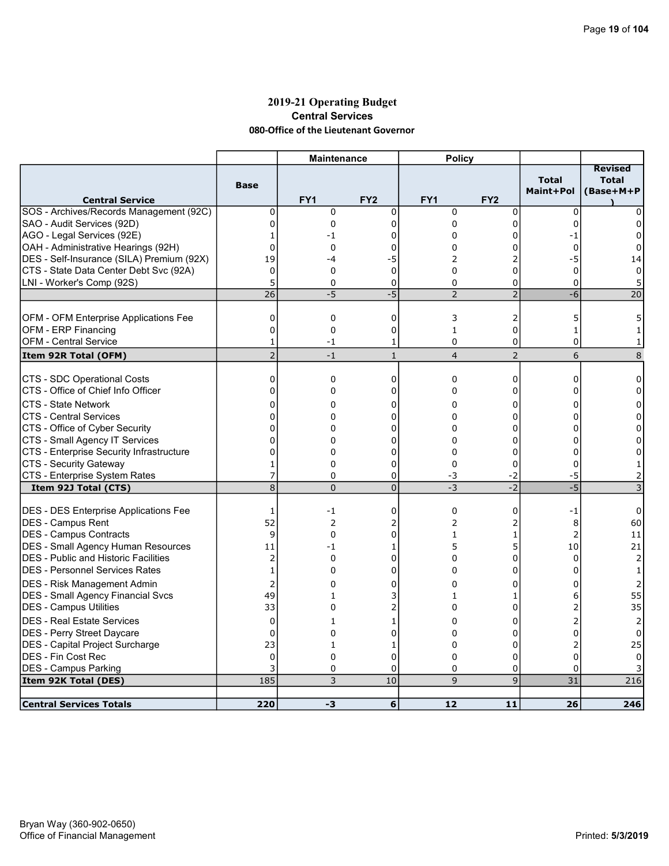### 2019-21 Operating Budget Central Services 080-Office of the Lieutenant Governor

|                                                          |                                  | <b>Maintenance</b>   |                     | <b>Policy</b>   |                 |                           |                                             |
|----------------------------------------------------------|----------------------------------|----------------------|---------------------|-----------------|-----------------|---------------------------|---------------------------------------------|
| <b>Central Service</b>                                   | <b>Base</b>                      | FY <sub>1</sub>      | FY <sub>2</sub>     | FY <sub>1</sub> | FY <sub>2</sub> | <b>Total</b><br>Maint+Pol | <b>Revised</b><br><b>Total</b><br>(Base+M+P |
| SOS - Archives/Records Management (92C)                  | 0                                | 0                    | $\mathbf 0$         | $\mathbf 0$     | $\mathbf 0$     | $\mathbf 0$               | 0                                           |
| SAO - Audit Services (92D)                               | $\mathbf{0}$                     | 0                    | $\mathbf 0$         | $\Omega$        | $\mathbf 0$     | $\Omega$                  | 0                                           |
| AGO - Legal Services (92E)                               | 1                                | -1                   | 0                   | 0               | 0               | -1                        | $\Omega$                                    |
| OAH - Administrative Hearings (92H)                      | $\Omega$                         | 0                    | 0                   | 0               | ი               | 0                         | 0                                           |
| DES - Self-Insurance (SILA) Premium (92X)                | 19                               | -4                   | -5                  | 2               | $\overline{2}$  | -5                        | 14                                          |
| CTS - State Data Center Debt Svc (92A)                   | 0                                | 0                    | 0                   | 0               | 0               | 0                         | 0                                           |
| LNI - Worker's Comp (92S)                                | 5                                | $\Omega$             | 0                   | 0               | 0               | $\Omega$                  | 5                                           |
|                                                          | 26                               | $-5$                 | $-5$                | $\overline{2}$  | $\overline{2}$  | $-6$                      | 20                                          |
|                                                          |                                  |                      |                     |                 |                 |                           |                                             |
| <b>OFM - OFM Enterprise Applications Fee</b>             | 0                                | 0                    | 0                   | 3               | 2               | 5                         | 5                                           |
| OFM - ERP Financing                                      | $\Omega$                         | 0                    | $\mathbf 0$         | $\mathbf{1}$    | 0               | $\mathbf{1}$              |                                             |
| <b>OFM - Central Service</b>                             | $\mathbf{1}$                     | $-1$                 | 1                   | 0               | 0               | 0                         | 1                                           |
| Item 92R Total (OFM)                                     | $\overline{2}$                   | $-1$                 | $\mathbf{1}$        | $\overline{4}$  | $\overline{2}$  | 6                         | 8                                           |
| CTS - SDC Operational Costs                              | $\mathbf 0$                      | 0                    | 0                   | $\mathbf 0$     | 0               | $\Omega$                  | 0                                           |
| CTS - Office of Chief Info Officer                       | $\mathbf 0$                      | 0                    | 0                   | 0               | 0               | 0                         | 0                                           |
|                                                          |                                  |                      |                     |                 |                 |                           |                                             |
| <b>CTS - State Network</b>                               | 0<br>$\Omega$                    | 0                    | 0                   | 0               | 0               | 0                         | 0                                           |
| <b>CTS - Central Services</b>                            |                                  | 0                    | $\Omega$            | $\Omega$        | $\Omega$        | O                         | 0                                           |
| CTS - Office of Cyber Security                           | $\mathbf 0$                      | 0                    | 0                   | 0               | 0               | 0                         | 0                                           |
| CTS - Small Agency IT Services                           | 0                                | 0                    | 0                   | $\Omega$        | 0               | 0                         | 0                                           |
| CTS - Enterprise Security Infrastructure                 | 0                                | 0                    | 0                   | $\Omega$        | 0               | $\Omega$                  | $\Omega$                                    |
| CTS - Security Gateway                                   | 1                                | 0                    | 0                   | 0               | 0               | 0                         | 1                                           |
| CTS - Enterprise System Rates                            | $\overline{7}$<br>$\overline{8}$ | $\Omega$<br>$\Omega$ | 0<br>$\overline{0}$ | -3<br>$-3$      | $-2$<br>$-2$    | -5<br>$\overline{-5}$     | 2<br>3                                      |
| Item 92J Total (CTS)                                     |                                  |                      |                     |                 |                 |                           |                                             |
| <b>DES - DES Enterprise Applications Fee</b>             | 1                                | $-1$                 | 0                   | 0               | 0               | -1                        | 0                                           |
| DES - Campus Rent                                        | 52                               | $\overline{2}$       | 2                   | $\overline{2}$  | 2               | 8                         | 60                                          |
| DES - Campus Contracts                                   | 9                                | 0                    | 0                   | $\mathbf{1}$    | $\mathbf{1}$    | $\overline{2}$            | 11                                          |
| <b>DES - Small Agency Human Resources</b>                | 11                               | -1                   | 1                   | 5               | 5               | 10                        | 21                                          |
| <b>IDES - Public and Historic Facilities</b>             | $\overline{2}$                   | $\Omega$             | $\Omega$            | $\Omega$        | $\Omega$        | $\Omega$                  | 2                                           |
| <b>IDES - Personnel Services Rates</b>                   | $\mathbf 1$                      | 0                    | 0                   | 0               | 0               | 0                         | 1                                           |
| DES - Risk Management Admin                              | $\overline{2}$                   | 0                    | 0                   | 0               | 0               | O                         |                                             |
| DES - Small Agency Financial Svcs                        | 49                               | $\mathbf{1}$         | 3                   | $\mathbf{1}$    | 1               | 6                         | 55                                          |
| <b>DES - Campus Utilities</b>                            | 33                               | 0                    | 2                   | 0               | 0               |                           | 35                                          |
|                                                          |                                  |                      |                     |                 |                 |                           |                                             |
| DES - Real Estate Services                               | 0                                | 1                    | 1                   | 0               | 0               |                           | 2                                           |
| <b>IDES - Perry Street Daycare</b>                       | $\mathbf 0$                      | 0                    | 0                   | 0               | 0               | $\Omega$                  | 0                                           |
| DES - Capital Project Surcharge                          | 23                               | 1                    | 1                   | $\Omega$        | 0               | $\overline{2}$            | 25                                          |
| <b>DES - Fin Cost Rec</b><br><b>DES - Campus Parking</b> | 0<br>3                           | 0<br>0               | 0<br>0              | 0<br>0          | 0<br>0          | $\Omega$<br>$\Omega$      | 0                                           |
| Item 92K Total (DES)                                     | 185                              | 3                    | 10                  | 9               | 9               | 31                        | 216                                         |
|                                                          |                                  |                      |                     |                 |                 |                           |                                             |
| <b>Central Services Totals</b>                           | 220                              | -3                   | 6                   | 12              | 11              | 26                        | 246                                         |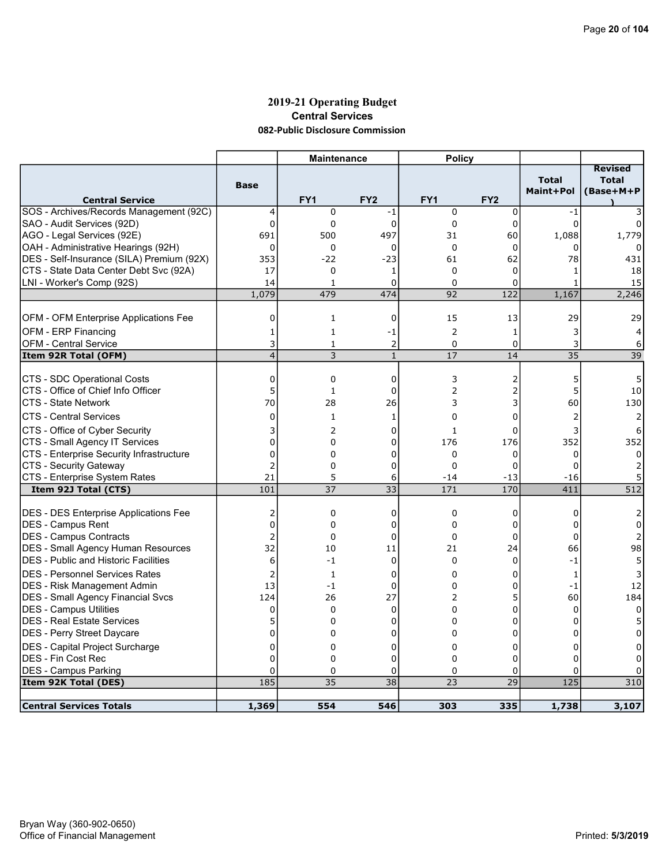### 2019-21 Operating Budget Central Services 082-Public Disclosure Commission

|                                              |                    | <b>Maintenance</b> |                 | <b>Policy</b>   |                 |                           |                                             |
|----------------------------------------------|--------------------|--------------------|-----------------|-----------------|-----------------|---------------------------|---------------------------------------------|
| <b>Central Service</b>                       | <b>Base</b>        | FY <sub>1</sub>    | FY <sub>2</sub> | FY <sub>1</sub> | FY <sub>2</sub> | <b>Total</b><br>Maint+Pol | <b>Revised</b><br><b>Total</b><br>(Base+M+P |
| SOS - Archives/Records Management (92C)      | 4                  | 0                  | -1              | $\mathbf 0$     | 0               | $-1$                      |                                             |
| SAO - Audit Services (92D)                   | $\Omega$           | 0                  | $\mathbf{0}$    | $\mathbf 0$     | $\mathbf 0$     | $\Omega$                  |                                             |
| AGO - Legal Services (92E)                   | 691                | 500                | 497             | 31              | 60              | 1,088                     | 1,779                                       |
| OAH - Administrative Hearings (92H)          | $\mathbf 0$        | 0                  | 0               | $\mathbf 0$     | 0               | n                         |                                             |
| DES - Self-Insurance (SILA) Premium (92X)    | 353                | $-22$              | $-23$           | 61              | 62              | 78                        | 431                                         |
| CTS - State Data Center Debt Svc (92A)       | 17                 | 0                  | 1               | $\Omega$        | 0               | 1                         | 18                                          |
| LNI - Worker's Comp (92S)                    | 14                 | $\mathbf{1}$       | $\Omega$        | $\Omega$        | $\Omega$        | $\mathbf{1}$              | 15                                          |
|                                              | 1,079              | 479                | 474             | 92              | 122             | 1,167                     | 2,246                                       |
|                                              |                    |                    |                 |                 |                 |                           |                                             |
| <b>OFM - OFM Enterprise Applications Fee</b> | 0                  | $\mathbf{1}$       | 0               | 15              | 13              | 29                        | 29                                          |
| <b>OFM - ERP Financing</b>                   | 1                  | $\mathbf{1}$       | -1              | $\overline{2}$  | 1               | 3                         | 4                                           |
| <b>OFM - Central Service</b>                 | 3                  | 1                  | 2               | $\mathbf 0$     | 0               | 3                         | 6                                           |
| Item 92R Total (OFM)                         | $\overline{4}$     | 3                  | $\mathbf{1}$    | 17              | 14              | 35                        | 39                                          |
| CTS - SDC Operational Costs                  | $\Omega$           | 0                  | $\mathbf{0}$    | 3               | 2               | 5                         | 5                                           |
| CTS - Office of Chief Info Officer           | 5                  | $\mathbf{1}$       | 0               | 2               | 2               | 5                         | 10                                          |
| <b>CTS - State Network</b>                   | 70                 | 28                 | 26              | 3               | 3               | 60                        | 130                                         |
| <b>CTS - Central Services</b>                | $\mathbf 0$        | 1                  | 1               | $\Omega$        | 0               | $\overline{2}$            |                                             |
| CTS - Office of Cyber Security               | 3                  | 2                  | 0               | $\mathbf{1}$    | 0               | 3                         | 6                                           |
| CTS - Small Agency IT Services               | $\overline{0}$     | 0                  | 0               | 176             | 176             | 352                       | 352                                         |
| CTS - Enterprise Security Infrastructure     | 0                  | 0                  | 0               | 0               | 0               | 0                         | $\Omega$                                    |
| CTS - Security Gateway                       | $\overline{2}$     | 0                  | 0               | $\Omega$        | 0               | 0                         |                                             |
| CTS - Enterprise System Rates                | 21                 | 5                  | 6               | $-14$           | $-13$           | $-16$                     | 5                                           |
| Item 92J Total (CTS)                         | 101                | 37                 | 33              | 171             | 170             | 411                       | 512                                         |
|                                              |                    |                    |                 |                 |                 |                           |                                             |
| DES - DES Enterprise Applications Fee        | 2                  | 0                  | 0               | $\mathbf 0$     | 0               | 0                         |                                             |
| DES - Campus Rent                            | $\overline{0}$     | 0                  | 0               | 0               | 0               | 0                         | 0                                           |
| DES - Campus Contracts                       | $\overline{2}$     | 0                  | $\mathbf 0$     | $\Omega$        | 0               | $\Omega$                  |                                             |
| <b>DES</b> - Small Agency Human Resources    | 32                 | 10                 | 11              | 21              | 24              | 66                        | 98                                          |
| <b>DES</b> - Public and Historic Facilities  | 6                  | $-1$               | $\mathbf 0$     | $\Omega$        | 0               | $-1$                      | 5                                           |
| <b>DES - Personnel Services Rates</b>        | 2                  | $\mathbf{1}$       | $\mathbf 0$     | $\Omega$        | 0               | $\mathbf{1}$              |                                             |
| <b>DES</b> - Risk Management Admin           | 13                 | $-1$               | 0               | $\mathbf 0$     | 0               | $-1$                      | 12                                          |
| <b>DES - Small Agency Financial Svcs</b>     | 124                | 26                 | 27              | 2               | 5               | 60                        | 184                                         |
| DES - Campus Utilities                       | 0                  | 0                  | $\mathbf 0$     | $\Omega$        | 0               | $\Omega$                  | $\Omega$                                    |
| <b>DES - Real Estate Services</b>            | 5                  | 0                  | 0               | 0               | 0               | 0                         |                                             |
| DES - Perry Street Daycare                   | $\mathbf 0$        | 0                  | 0               | $\Omega$        | 0               | $\Omega$                  | <sup>0</sup>                                |
| DES - Capital Project Surcharge              | 0                  | 0                  | 0               | 0               | 0               | 0                         | 0                                           |
| <b>DES - Fin Cost Rec</b>                    | $\Omega$           | $\Omega$           | 0               | $\Omega$        | 0               | $\Omega$                  | 0                                           |
| <b>DES - Campus Parking</b>                  | $\mathbf 0$<br>185 | 0                  | 0<br>38         | 0               | 0<br>29         | 0<br>125                  |                                             |
| Item 92K Total (DES)                         |                    | 35                 |                 | 23              |                 |                           | 310                                         |
| <b>Central Services Totals</b>               | 1,369              | 554                | 546             | 303             | 335             | 1,738                     | 3,107                                       |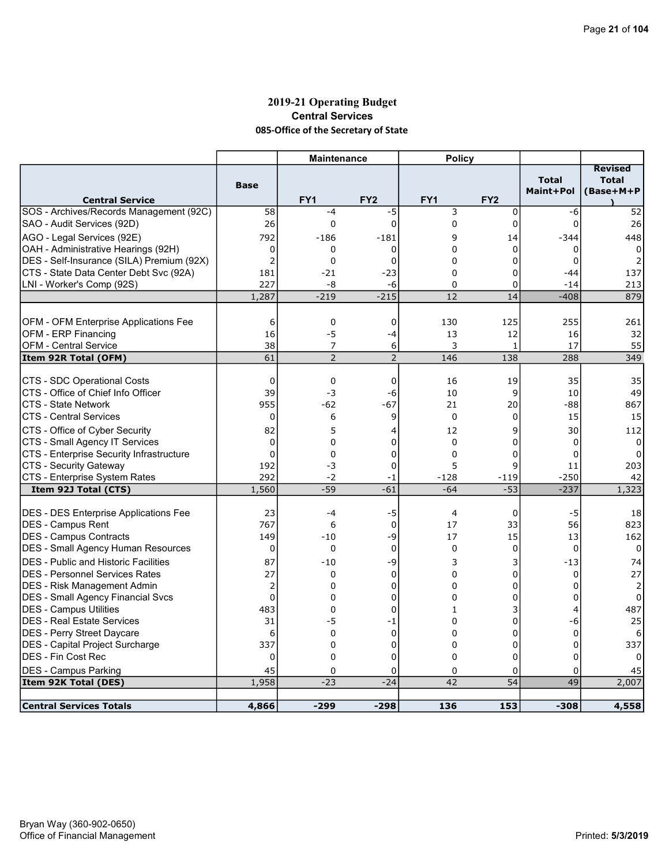# 2019-21 Operating Budget Central Services 085-Office of the Secretary of State

|                                                                   |                 | <b>Maintenance</b> |                   | <b>Policy</b>   |                 |                           |                                             |
|-------------------------------------------------------------------|-----------------|--------------------|-------------------|-----------------|-----------------|---------------------------|---------------------------------------------|
| <b>Central Service</b>                                            | <b>Base</b>     | FY <sub>1</sub>    | FY <sub>2</sub>   | FY <sub>1</sub> | FY <sub>2</sub> | <b>Total</b><br>Maint+Pol | <b>Revised</b><br><b>Total</b><br>(Base+M+P |
| SOS - Archives/Records Management (92C)                           | 58              | $-4$               | -5                | 3               | $\mathbf 0$     | -6                        | 52                                          |
| SAO - Audit Services (92D)                                        | 26              | $\Omega$           | $\mathbf 0$       | $\Omega$        | $\mathbf 0$     | $\Omega$                  | 26                                          |
| AGO - Legal Services (92E)                                        | 792             | -186               | -181              | $\mathsf{q}$    | 14              | -344                      | 448                                         |
| OAH - Administrative Hearings (92H)                               | 0               | 0                  | 0                 | 0               | 0               | 0                         | $\mathbf{0}$                                |
| DES - Self-Insurance (SILA) Premium (92X)                         | $\overline{c}$  | $\mathbf 0$        | $\mathbf 0$       | $\Omega$        | 0               | 0                         | 2                                           |
| CTS - State Data Center Debt Svc (92A)                            | 181             | $-21$              | $-23$             | $\Omega$        | 0               | $-44$                     | 137                                         |
| LNI - Worker's Comp (92S)                                         | 227             | -8                 | -6                | 0               | 0               | $-14$                     | 213                                         |
|                                                                   | 1,287           | $-219$             | $-215$            | 12              | 14              | $-408$                    | 879                                         |
|                                                                   |                 |                    |                   |                 |                 |                           |                                             |
| OFM - OFM Enterprise Applications Fee                             | 6               | $\mathbf 0$        | $\mathbf 0$       | 130             | 125             | 255                       | 261                                         |
| OFM - ERP Financing                                               | 16              | $-5$               | -4                | 13              | 12              | 16                        | 32                                          |
| <b>OFM - Central Service</b>                                      | 38              | 7                  | 6                 | 3               | $\mathbf{1}$    | 17                        | 55                                          |
| Item 92R Total (OFM)                                              | $\overline{61}$ | $\overline{2}$     | $\overline{2}$    | 146             | 138             | 288                       | 349                                         |
|                                                                   |                 |                    |                   |                 |                 |                           |                                             |
| CTS - SDC Operational Costs                                       | 0               | $\mathbf 0$        | 0                 | 16              | 19              | 35                        | 35                                          |
| ICTS - Office of Chief Info Officer                               | 39              | $-3$               | -6                | 10              | 9               | 10                        | 49                                          |
| ICTS - State Network                                              | 955             | -62                | $-67$             | 21              | 20              | -88                       | 867                                         |
| <b>CTS - Central Services</b>                                     | $\Omega$        | 6                  | 9                 | $\mathbf{0}$    | 0               | 15                        | 15                                          |
| CTS - Office of Cyber Security                                    | 82              | 5                  | 4                 | 12              | 9               | 30                        | 112                                         |
| CTS - Small Agency IT Services                                    | 0               | 0                  | 0                 | $\Omega$        | 0               | 0                         | $\Omega$                                    |
| CTS - Enterprise Security Infrastructure                          | $\overline{0}$  | 0                  | 0                 | $\Omega$        | 0               | 0                         |                                             |
| CTS - Security Gateway                                            | 192             | -3                 | 0                 | 5               | 9               | 11                        | 203                                         |
| CTS - Enterprise System Rates                                     | 292             | $-2$               | -1                | $-128$          | $-119$          | $-250$                    | 42                                          |
| Item 92J Total (CTS)                                              | 1,560           | $-59$              | $-61$             | $-64$           | $-53$           | $-237$                    | 1,323                                       |
|                                                                   |                 | $-4$               |                   | $\overline{4}$  |                 |                           |                                             |
| <b>DES - DES Enterprise Applications Fee</b><br>DES - Campus Rent | 23<br>767       | 6                  | -5<br>$\mathbf 0$ | 17              | 0<br>33         | -5<br>56                  | 18<br>823                                   |
| <b>IDES - Campus Contracts</b>                                    | 149             | $-10$              | -9                | 17              | 15              | 13                        | 162                                         |
| <b>DES - Small Agency Human Resources</b>                         | $\mathbf 0$     | 0                  | $\mathbf 0$       | $\mathbf 0$     | 0               | $\mathbf 0$               | 0                                           |
| <b>IDES - Public and Historic Facilities</b>                      | 87              | $-10$              |                   | 3               |                 |                           | 74                                          |
| IDES - Personnel Services Rates                                   | 27              | 0                  | -9<br>$\mathbf 0$ | 0               | 3<br>0          | $-13$<br>0                | 27                                          |
| <b>DES - Risk Management Admin</b>                                | 2               | $\Omega$           | 0                 | $\Omega$        | 0               | 0                         | 2                                           |
| <b>DES - Small Agency Financial Svcs</b>                          | $\mathbf 0$     | 0                  | 0                 | $\Omega$        | 0               | $\Omega$                  | 0                                           |
| DES - Campus Utilities                                            | 483             | $\mathbf 0$        | 0                 | 1               | 3               | 4                         | 487                                         |
| <b>DES - Real Estate Services</b>                                 | 31              | -5                 | $-1$              | 0               | 0               | -6                        | 25                                          |
| DES - Perry Street Daycare                                        | 6               | $\mathbf 0$        | $\mathbf 0$       | $\Omega$        | 0               | $\mathbf 0$               | 6                                           |
| DES - Capital Project Surcharge                                   | 337             | $\Omega$           | $\mathbf 0$       | $\Omega$        | 0               | $\Omega$                  | 337                                         |
| IDES - Fin Cost Rec                                               | 0               | 0                  | 0                 | $\Omega$        | 0               | $\Omega$                  | 0                                           |
| DES - Campus Parking                                              | 45              | $\mathbf 0$        | 0                 | 0               | 0               | 0                         | 45                                          |
| Item 92K Total (DES)                                              | 1,958           | $-23$              | $-24$             | 42              | $\overline{54}$ | 49                        | 2,007                                       |
|                                                                   |                 |                    |                   |                 |                 |                           |                                             |
| <b>Central Services Totals</b>                                    | 4,866           | $-299$             | $-298$            | 136             | 153             | $-308$                    | 4,558                                       |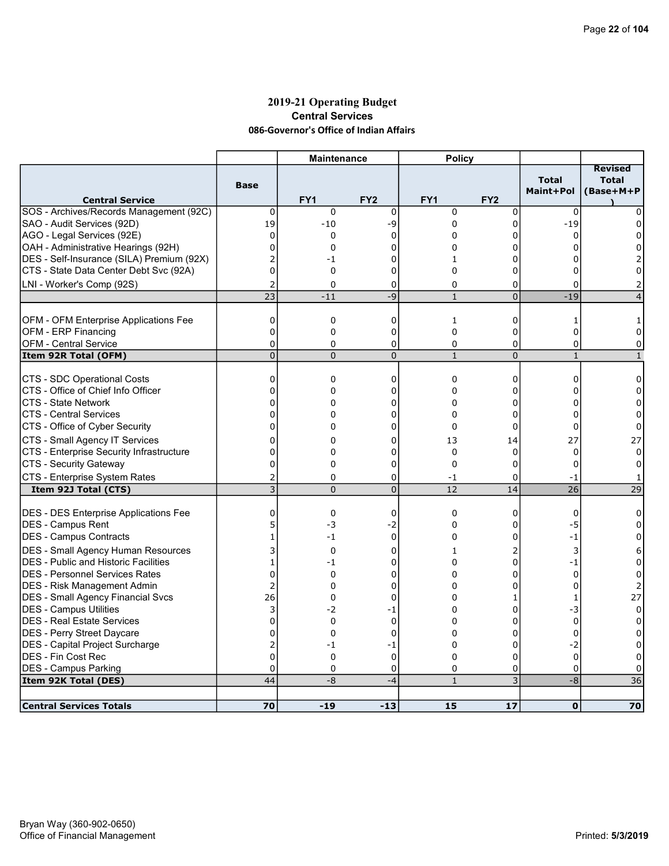### 2019-21 Operating Budget Central Services 086-Governor's Office of Indian Affairs

| <b>Total</b><br><b>Total</b><br><b>Base</b><br>Maint+Pol<br>(Base+M+P<br><b>Central Service</b><br>FY <sub>1</sub><br>FY <sub>2</sub><br>FY1<br>FY <sub>2</sub><br>0<br>$\mathbf 0$<br>$\mathbf 0$<br>$\mathbf 0$<br>0<br>0<br>$\Omega$<br>19<br>SAO - Audit Services (92D)<br>0<br>$-19$<br>$-10$<br>-9<br>$\mathbf 0$<br>$\Omega$<br>$\Omega$<br>0<br>$\Omega$<br>$\Omega$<br>0<br>$\Omega$<br>$\Omega$<br>OAH - Administrative Hearings (92H)<br>$\mathbf 0$<br>0<br>0<br>0<br>0<br>0<br>O<br>$\overline{2}$<br>$\Omega$<br>$\Omega$<br>-1<br>1<br>$\overline{0}$<br>CTS - State Data Center Debt Svc (92A)<br>$\Omega$<br>0<br>0<br>0<br>0<br>0<br>LNI - Worker's Comp (92S)<br>$\overline{2}$<br>0<br>0<br>$\Omega$<br>0<br>$\Omega$<br>$\overline{23}$<br>$-9$<br>$\overline{0}$<br>$-19$<br>$-11$<br>$\mathbf{1}$<br>$\overline{4}$<br>$\mathbf 0$<br>$\mathbf 0$<br>0<br>$\mathbf{1}$<br>0<br>$\mathbf{1}$<br>1<br>OFM - ERP Financing<br>0<br>$\mathbf 0$<br>0<br>0<br>0<br>0<br>0<br><b>OFM - Central Service</b><br>$\mathbf 0$<br>0<br>0<br>0<br>$\mathbf 0$<br>$\Omega$<br>0<br>$\overline{0}$<br>$\overline{0}$<br>$\overline{0}$<br>$\mathbf{1}$<br>$\overline{0}$<br>Item 92R Total (OFM)<br>$\mathbf{1}$<br>$\mathbf{1}$<br>CTS - SDC Operational Costs<br>$\mathbf 0$<br>$\mathbf 0$<br>0<br>0<br>0<br>$\Omega$<br>0<br>CTS - Office of Chief Info Officer<br>0<br>0<br>0<br>0<br>0<br>0<br>0<br><b>CTS - State Network</b><br>$\Omega$<br>$\Omega$<br>0<br>$\Omega$<br>0<br>$\Omega$<br>$\Omega$<br><b>CTS - Central Services</b><br>0<br>$\Omega$<br>0<br>$\Omega$<br>0<br>$\Omega$<br>$\Omega$<br>$\overline{0}$<br>CTS - Office of Cyber Security<br>0<br>0<br>$\Omega$<br>0<br>$\Omega$<br>$\Omega$<br>0<br>13<br>27<br>27<br>0<br>0<br>14<br>CTS - Enterprise Security Infrastructure<br>$\mathbf 0$<br>$\mathbf 0$<br>$\Omega$<br>0<br>0<br>$\Omega$<br>$\Omega$ |                                         |   | <b>Maintenance</b> |   | <b>Policy</b> |   |          |                |
|-------------------------------------------------------------------------------------------------------------------------------------------------------------------------------------------------------------------------------------------------------------------------------------------------------------------------------------------------------------------------------------------------------------------------------------------------------------------------------------------------------------------------------------------------------------------------------------------------------------------------------------------------------------------------------------------------------------------------------------------------------------------------------------------------------------------------------------------------------------------------------------------------------------------------------------------------------------------------------------------------------------------------------------------------------------------------------------------------------------------------------------------------------------------------------------------------------------------------------------------------------------------------------------------------------------------------------------------------------------------------------------------------------------------------------------------------------------------------------------------------------------------------------------------------------------------------------------------------------------------------------------------------------------------------------------------------------------------------------------------------------------------------------------------------------------------------------------------------------------------------------------------|-----------------------------------------|---|--------------------|---|---------------|---|----------|----------------|
| AGO - Legal Services (92E)<br>DES - Self-Insurance (SILA) Premium (92X)<br>OFM - OFM Enterprise Applications Fee<br>CTS - Small Agency IT Services                                                                                                                                                                                                                                                                                                                                                                                                                                                                                                                                                                                                                                                                                                                                                                                                                                                                                                                                                                                                                                                                                                                                                                                                                                                                                                                                                                                                                                                                                                                                                                                                                                                                                                                                        |                                         |   |                    |   |               |   |          | <b>Revised</b> |
|                                                                                                                                                                                                                                                                                                                                                                                                                                                                                                                                                                                                                                                                                                                                                                                                                                                                                                                                                                                                                                                                                                                                                                                                                                                                                                                                                                                                                                                                                                                                                                                                                                                                                                                                                                                                                                                                                           | SOS - Archives/Records Management (92C) |   |                    |   |               |   |          |                |
|                                                                                                                                                                                                                                                                                                                                                                                                                                                                                                                                                                                                                                                                                                                                                                                                                                                                                                                                                                                                                                                                                                                                                                                                                                                                                                                                                                                                                                                                                                                                                                                                                                                                                                                                                                                                                                                                                           |                                         |   |                    |   |               |   |          |                |
|                                                                                                                                                                                                                                                                                                                                                                                                                                                                                                                                                                                                                                                                                                                                                                                                                                                                                                                                                                                                                                                                                                                                                                                                                                                                                                                                                                                                                                                                                                                                                                                                                                                                                                                                                                                                                                                                                           |                                         |   |                    |   |               |   |          |                |
|                                                                                                                                                                                                                                                                                                                                                                                                                                                                                                                                                                                                                                                                                                                                                                                                                                                                                                                                                                                                                                                                                                                                                                                                                                                                                                                                                                                                                                                                                                                                                                                                                                                                                                                                                                                                                                                                                           |                                         |   |                    |   |               |   |          |                |
|                                                                                                                                                                                                                                                                                                                                                                                                                                                                                                                                                                                                                                                                                                                                                                                                                                                                                                                                                                                                                                                                                                                                                                                                                                                                                                                                                                                                                                                                                                                                                                                                                                                                                                                                                                                                                                                                                           |                                         |   |                    |   |               |   |          |                |
|                                                                                                                                                                                                                                                                                                                                                                                                                                                                                                                                                                                                                                                                                                                                                                                                                                                                                                                                                                                                                                                                                                                                                                                                                                                                                                                                                                                                                                                                                                                                                                                                                                                                                                                                                                                                                                                                                           |                                         |   |                    |   |               |   |          |                |
|                                                                                                                                                                                                                                                                                                                                                                                                                                                                                                                                                                                                                                                                                                                                                                                                                                                                                                                                                                                                                                                                                                                                                                                                                                                                                                                                                                                                                                                                                                                                                                                                                                                                                                                                                                                                                                                                                           |                                         |   |                    |   |               |   |          |                |
|                                                                                                                                                                                                                                                                                                                                                                                                                                                                                                                                                                                                                                                                                                                                                                                                                                                                                                                                                                                                                                                                                                                                                                                                                                                                                                                                                                                                                                                                                                                                                                                                                                                                                                                                                                                                                                                                                           |                                         |   |                    |   |               |   |          |                |
|                                                                                                                                                                                                                                                                                                                                                                                                                                                                                                                                                                                                                                                                                                                                                                                                                                                                                                                                                                                                                                                                                                                                                                                                                                                                                                                                                                                                                                                                                                                                                                                                                                                                                                                                                                                                                                                                                           |                                         |   |                    |   |               |   |          |                |
|                                                                                                                                                                                                                                                                                                                                                                                                                                                                                                                                                                                                                                                                                                                                                                                                                                                                                                                                                                                                                                                                                                                                                                                                                                                                                                                                                                                                                                                                                                                                                                                                                                                                                                                                                                                                                                                                                           |                                         |   |                    |   |               |   |          |                |
|                                                                                                                                                                                                                                                                                                                                                                                                                                                                                                                                                                                                                                                                                                                                                                                                                                                                                                                                                                                                                                                                                                                                                                                                                                                                                                                                                                                                                                                                                                                                                                                                                                                                                                                                                                                                                                                                                           |                                         |   |                    |   |               |   |          |                |
|                                                                                                                                                                                                                                                                                                                                                                                                                                                                                                                                                                                                                                                                                                                                                                                                                                                                                                                                                                                                                                                                                                                                                                                                                                                                                                                                                                                                                                                                                                                                                                                                                                                                                                                                                                                                                                                                                           |                                         |   |                    |   |               |   |          |                |
|                                                                                                                                                                                                                                                                                                                                                                                                                                                                                                                                                                                                                                                                                                                                                                                                                                                                                                                                                                                                                                                                                                                                                                                                                                                                                                                                                                                                                                                                                                                                                                                                                                                                                                                                                                                                                                                                                           |                                         |   |                    |   |               |   |          |                |
|                                                                                                                                                                                                                                                                                                                                                                                                                                                                                                                                                                                                                                                                                                                                                                                                                                                                                                                                                                                                                                                                                                                                                                                                                                                                                                                                                                                                                                                                                                                                                                                                                                                                                                                                                                                                                                                                                           |                                         |   |                    |   |               |   |          |                |
|                                                                                                                                                                                                                                                                                                                                                                                                                                                                                                                                                                                                                                                                                                                                                                                                                                                                                                                                                                                                                                                                                                                                                                                                                                                                                                                                                                                                                                                                                                                                                                                                                                                                                                                                                                                                                                                                                           |                                         |   |                    |   |               |   |          |                |
|                                                                                                                                                                                                                                                                                                                                                                                                                                                                                                                                                                                                                                                                                                                                                                                                                                                                                                                                                                                                                                                                                                                                                                                                                                                                                                                                                                                                                                                                                                                                                                                                                                                                                                                                                                                                                                                                                           |                                         |   |                    |   |               |   |          |                |
|                                                                                                                                                                                                                                                                                                                                                                                                                                                                                                                                                                                                                                                                                                                                                                                                                                                                                                                                                                                                                                                                                                                                                                                                                                                                                                                                                                                                                                                                                                                                                                                                                                                                                                                                                                                                                                                                                           |                                         |   |                    |   |               |   |          |                |
|                                                                                                                                                                                                                                                                                                                                                                                                                                                                                                                                                                                                                                                                                                                                                                                                                                                                                                                                                                                                                                                                                                                                                                                                                                                                                                                                                                                                                                                                                                                                                                                                                                                                                                                                                                                                                                                                                           |                                         |   |                    |   |               |   |          |                |
|                                                                                                                                                                                                                                                                                                                                                                                                                                                                                                                                                                                                                                                                                                                                                                                                                                                                                                                                                                                                                                                                                                                                                                                                                                                                                                                                                                                                                                                                                                                                                                                                                                                                                                                                                                                                                                                                                           |                                         |   |                    |   |               |   |          |                |
|                                                                                                                                                                                                                                                                                                                                                                                                                                                                                                                                                                                                                                                                                                                                                                                                                                                                                                                                                                                                                                                                                                                                                                                                                                                                                                                                                                                                                                                                                                                                                                                                                                                                                                                                                                                                                                                                                           |                                         |   |                    |   |               |   |          |                |
|                                                                                                                                                                                                                                                                                                                                                                                                                                                                                                                                                                                                                                                                                                                                                                                                                                                                                                                                                                                                                                                                                                                                                                                                                                                                                                                                                                                                                                                                                                                                                                                                                                                                                                                                                                                                                                                                                           |                                         |   |                    |   |               |   |          |                |
|                                                                                                                                                                                                                                                                                                                                                                                                                                                                                                                                                                                                                                                                                                                                                                                                                                                                                                                                                                                                                                                                                                                                                                                                                                                                                                                                                                                                                                                                                                                                                                                                                                                                                                                                                                                                                                                                                           | CTS - Security Gateway                  | 0 | 0                  | 0 | $\mathbf 0$   | 0 | $\Omega$ | 0              |
| CTS - Enterprise System Rates<br>2<br>$\Omega$<br>0<br>$-1$<br>0<br>$-1$<br>1                                                                                                                                                                                                                                                                                                                                                                                                                                                                                                                                                                                                                                                                                                                                                                                                                                                                                                                                                                                                                                                                                                                                                                                                                                                                                                                                                                                                                                                                                                                                                                                                                                                                                                                                                                                                             |                                         |   |                    |   |               |   |          |                |
| $\overline{3}$<br>$\overline{0}$<br>$\overline{26}$<br>$\overline{29}$<br>$\Omega$<br>12<br>14<br>Item 92J Total (CTS)                                                                                                                                                                                                                                                                                                                                                                                                                                                                                                                                                                                                                                                                                                                                                                                                                                                                                                                                                                                                                                                                                                                                                                                                                                                                                                                                                                                                                                                                                                                                                                                                                                                                                                                                                                    |                                         |   |                    |   |               |   |          |                |
| DES - DES Enterprise Applications Fee<br>0<br>$\mathbf 0$<br>0<br>0<br>0<br>0<br>0                                                                                                                                                                                                                                                                                                                                                                                                                                                                                                                                                                                                                                                                                                                                                                                                                                                                                                                                                                                                                                                                                                                                                                                                                                                                                                                                                                                                                                                                                                                                                                                                                                                                                                                                                                                                        |                                         |   |                    |   |               |   |          |                |
| 5<br>DES - Campus Rent<br>-3<br>-2<br>0<br>0<br>-5<br>0                                                                                                                                                                                                                                                                                                                                                                                                                                                                                                                                                                                                                                                                                                                                                                                                                                                                                                                                                                                                                                                                                                                                                                                                                                                                                                                                                                                                                                                                                                                                                                                                                                                                                                                                                                                                                                   |                                         |   |                    |   |               |   |          |                |
| $\mathbf 0$<br>$\Omega$<br> DES - Campus Contracts<br>$\mathbf{1}$<br>$-1$<br>$\Omega$<br>$-1$<br>0                                                                                                                                                                                                                                                                                                                                                                                                                                                                                                                                                                                                                                                                                                                                                                                                                                                                                                                                                                                                                                                                                                                                                                                                                                                                                                                                                                                                                                                                                                                                                                                                                                                                                                                                                                                       |                                         |   |                    |   |               |   |          |                |
|                                                                                                                                                                                                                                                                                                                                                                                                                                                                                                                                                                                                                                                                                                                                                                                                                                                                                                                                                                                                                                                                                                                                                                                                                                                                                                                                                                                                                                                                                                                                                                                                                                                                                                                                                                                                                                                                                           |                                         |   |                    |   |               |   |          |                |
| 3<br>DES - Small Agency Human Resources<br>2<br>0<br>0<br>3<br>6<br>1                                                                                                                                                                                                                                                                                                                                                                                                                                                                                                                                                                                                                                                                                                                                                                                                                                                                                                                                                                                                                                                                                                                                                                                                                                                                                                                                                                                                                                                                                                                                                                                                                                                                                                                                                                                                                     |                                         |   |                    |   |               |   |          |                |
| <b>DES</b> - Public and Historic Facilities<br>1<br>$-1$<br>0<br>0<br>$-1$<br>0<br>0                                                                                                                                                                                                                                                                                                                                                                                                                                                                                                                                                                                                                                                                                                                                                                                                                                                                                                                                                                                                                                                                                                                                                                                                                                                                                                                                                                                                                                                                                                                                                                                                                                                                                                                                                                                                      |                                         |   |                    |   |               |   |          |                |
| <b>IDES - Personnel Services Rates</b><br>$\Omega$<br>$\Omega$<br>$\Omega$<br>$\Omega$<br>$\Omega$<br>$\Omega$<br>$\Omega$                                                                                                                                                                                                                                                                                                                                                                                                                                                                                                                                                                                                                                                                                                                                                                                                                                                                                                                                                                                                                                                                                                                                                                                                                                                                                                                                                                                                                                                                                                                                                                                                                                                                                                                                                                |                                         |   |                    |   |               |   |          |                |
| 2<br><b>DES</b> - Risk Management Admin<br>0<br>0<br>2<br>0<br>0<br>0                                                                                                                                                                                                                                                                                                                                                                                                                                                                                                                                                                                                                                                                                                                                                                                                                                                                                                                                                                                                                                                                                                                                                                                                                                                                                                                                                                                                                                                                                                                                                                                                                                                                                                                                                                                                                     |                                         |   |                    |   |               |   |          |                |
| 26<br><b>DES - Small Agency Financial Svcs</b><br>0<br>0<br>27<br>$\Omega$<br>1<br>1                                                                                                                                                                                                                                                                                                                                                                                                                                                                                                                                                                                                                                                                                                                                                                                                                                                                                                                                                                                                                                                                                                                                                                                                                                                                                                                                                                                                                                                                                                                                                                                                                                                                                                                                                                                                      |                                         |   |                    |   |               |   |          |                |
| <b>DES - Campus Utilities</b><br>3<br>$-2$<br>0<br>-3<br>$\mathbf 0$<br>0<br>-1                                                                                                                                                                                                                                                                                                                                                                                                                                                                                                                                                                                                                                                                                                                                                                                                                                                                                                                                                                                                                                                                                                                                                                                                                                                                                                                                                                                                                                                                                                                                                                                                                                                                                                                                                                                                           |                                         |   |                    |   |               |   |          |                |
| <b>DES - Real Estate Services</b><br>$\overline{0}$<br>0<br>$\mathbf 0$<br>0<br>0<br>$\mathbf 0$<br>0                                                                                                                                                                                                                                                                                                                                                                                                                                                                                                                                                                                                                                                                                                                                                                                                                                                                                                                                                                                                                                                                                                                                                                                                                                                                                                                                                                                                                                                                                                                                                                                                                                                                                                                                                                                     |                                         |   |                    |   |               |   |          |                |
| DES - Perry Street Daycare<br>$\Omega$<br>0<br>$\mathbf 0$<br>$\Omega$<br>0<br>$\Omega$<br>$\Omega$                                                                                                                                                                                                                                                                                                                                                                                                                                                                                                                                                                                                                                                                                                                                                                                                                                                                                                                                                                                                                                                                                                                                                                                                                                                                                                                                                                                                                                                                                                                                                                                                                                                                                                                                                                                       |                                         |   |                    |   |               |   |          |                |
| DES - Capital Project Surcharge<br>2<br>$-2$<br>0<br>0<br>-1<br>-1<br>0                                                                                                                                                                                                                                                                                                                                                                                                                                                                                                                                                                                                                                                                                                                                                                                                                                                                                                                                                                                                                                                                                                                                                                                                                                                                                                                                                                                                                                                                                                                                                                                                                                                                                                                                                                                                                   |                                         |   |                    |   |               |   |          |                |
| $\mathbf 0$<br>DES - Fin Cost Rec<br>$\mathbf 0$<br>0<br>0<br>0<br>$\mathbf 0$<br>0                                                                                                                                                                                                                                                                                                                                                                                                                                                                                                                                                                                                                                                                                                                                                                                                                                                                                                                                                                                                                                                                                                                                                                                                                                                                                                                                                                                                                                                                                                                                                                                                                                                                                                                                                                                                       |                                         |   |                    |   |               |   |          |                |
| <b>DES - Campus Parking</b><br>$\mathbf 0$<br>0<br>0<br>0<br>0<br>0<br>0                                                                                                                                                                                                                                                                                                                                                                                                                                                                                                                                                                                                                                                                                                                                                                                                                                                                                                                                                                                                                                                                                                                                                                                                                                                                                                                                                                                                                                                                                                                                                                                                                                                                                                                                                                                                                  |                                         |   |                    |   |               |   |          |                |
| $\overline{3}$<br>44<br>$-8$<br>$\overline{36}$<br>$-8$<br>$-4$<br>$\mathbf{1}$<br>Item 92K Total (DES)                                                                                                                                                                                                                                                                                                                                                                                                                                                                                                                                                                                                                                                                                                                                                                                                                                                                                                                                                                                                                                                                                                                                                                                                                                                                                                                                                                                                                                                                                                                                                                                                                                                                                                                                                                                   |                                         |   |                    |   |               |   |          |                |
| 70<br>$-19$<br>$-13$<br>15<br>17<br>$\mathbf{o}$<br>70<br>Central Services Totals                                                                                                                                                                                                                                                                                                                                                                                                                                                                                                                                                                                                                                                                                                                                                                                                                                                                                                                                                                                                                                                                                                                                                                                                                                                                                                                                                                                                                                                                                                                                                                                                                                                                                                                                                                                                         |                                         |   |                    |   |               |   |          |                |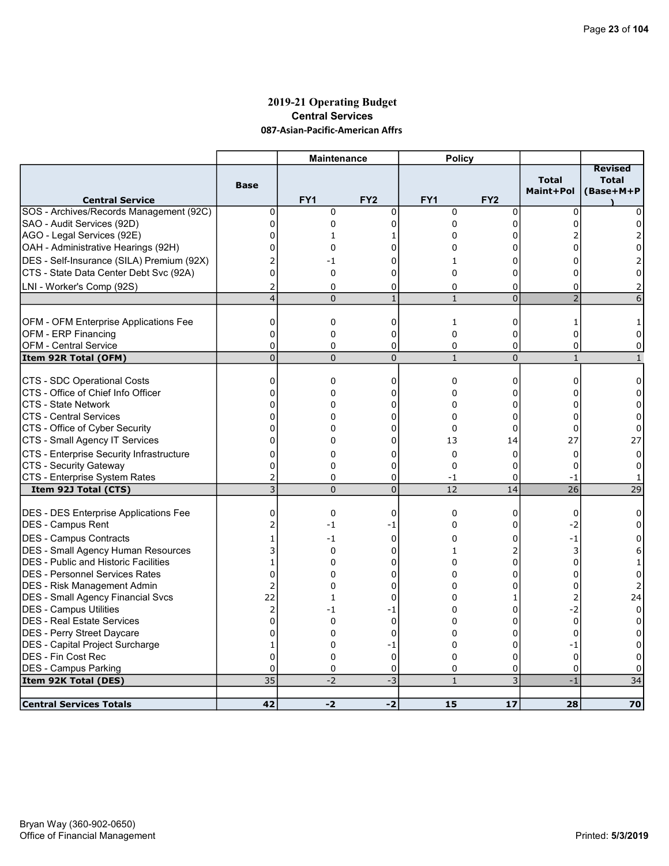### 2019-21 Operating Budget Central Services 087-Asian-Pacific-American Affrs

|                                                              |                                  | <b>Maintenance</b> |                 | <b>Policy</b>     |                 |                           |                                             |
|--------------------------------------------------------------|----------------------------------|--------------------|-----------------|-------------------|-----------------|---------------------------|---------------------------------------------|
| <b>Central Service</b>                                       | <b>Base</b>                      | FY <sub>1</sub>    | FY <sub>2</sub> | FY <sub>1</sub>   | FY <sub>2</sub> | <b>Total</b><br>Maint+Pol | <b>Revised</b><br><b>Total</b><br>(Base+M+P |
| SOS - Archives/Records Management (92C)                      | 0                                | 0                  | 0               | $\mathbf 0$       | 0               | 0                         | 0                                           |
| SAO - Audit Services (92D)                                   | $\overline{0}$                   | $\mathbf 0$        | 0               | 0                 | 0               | $\Omega$                  | 0                                           |
| AGO - Legal Services (92E)                                   | 0                                | $\mathbf{1}$       | 1               | 0                 | 0               |                           | 2                                           |
| OAH - Administrative Hearings (92H)                          | $\Omega$                         | 0                  | U               | 0                 | 0               |                           | 0                                           |
| DES - Self-Insurance (SILA) Premium (92X)                    | 2                                | -1                 | 0               | 1                 | 0               | 0                         |                                             |
| CTS - State Data Center Debt Svc (92A)                       | $\overline{0}$                   | $\mathbf 0$        | 0               | $\Omega$          | 0               | 0                         | $\Omega$                                    |
| LNI - Worker's Comp (92S)                                    | 2                                | $\mathbf 0$        | 0               | $\Omega$          | 0               | 0                         |                                             |
|                                                              | $\overline{\mathbf{4}}$          | $\Omega$           | $\mathbf{1}$    | $\mathbf{1}$      | $\overline{0}$  | $\overline{2}$            | 6                                           |
|                                                              | 0                                | $\mathbf 0$        | $\mathbf 0$     | $\mathbf{1}$      | 0               | $\mathbf{1}$              |                                             |
| OFM - OFM Enterprise Applications Fee<br>OFM - ERP Financing | $\Omega$                         | $\mathbf 0$        | 0               | $\mathbf{0}$      | 0               | $\Omega$                  | 1<br>$\Omega$                               |
| OFM - Central Service                                        | 0                                | $\mathbf 0$        | 0               | 0                 | 0               | 0                         | 0                                           |
| Item 92R Total (OFM)                                         | $\overline{0}$                   | $\Omega$           | $\overline{0}$  | $\mathbf{1}$      | $\overline{0}$  | $\mathbf{1}$              | $\mathbf{1}$                                |
|                                                              |                                  |                    |                 |                   |                 |                           |                                             |
| CTS - SDC Operational Costs                                  | 0                                | 0                  | 0               | 0                 | 0               | 0                         | 0                                           |
| ICTS - Office of Chief Info Officer                          | $\overline{0}$                   | 0                  | 0               | $\Omega$          | 0               | 0                         | 0                                           |
| ICTS - State Network                                         | $\overline{0}$                   | 0                  | 0               | 0                 | 0               | 0                         | 0                                           |
| ICTS - Central Services                                      | $\Omega$                         | $\Omega$           | 0               | $\Omega$          | 0               | $\Omega$                  | 0                                           |
| CTS - Office of Cyber Security                               | 0                                | 0                  | 0               | 0                 | 0               | 0                         | 0                                           |
| CTS - Small Agency IT Services                               | $\Omega$                         | 0                  | 0               | 13                | 14              | 27                        | 27                                          |
| CTS - Enterprise Security Infrastructure                     | $\Omega$                         | 0                  | 0               | $\mathbf{0}$      | 0               | $\Omega$                  | $\mathbf 0$                                 |
| CTS - Security Gateway                                       | 0                                | 0                  | 0               | $\mathbf 0$       | 0               | 0                         | 0                                           |
| CTS - Enterprise System Rates                                | $\overline{2}$<br>$\overline{3}$ | $\Omega$           | 0               | $-1$              | 0               | $-1$<br>$\overline{26}$   | 1<br>$\overline{29}$                        |
| Item 92J Total (CTS)                                         |                                  | $\Omega$           | $\overline{0}$  | 12                | 14              |                           |                                             |
| <b>DES - DES Enterprise Applications Fee</b>                 | 0                                | $\mathbf 0$        | $\mathbf 0$     | $\mathbf 0$       | 0               | $\mathbf 0$               | 0                                           |
| DES - Campus Rent                                            | $\overline{c}$                   | -1                 | -1              | 0                 | 0               | $-2$                      | 0                                           |
| DES - Campus Contracts                                       | $\mathbf{1}$                     | $-1$               | 0               | 0                 | 0               | $-1$                      | 0                                           |
| DES - Small Agency Human Resources                           | 3                                | $\mathbf 0$        | 0               | $\mathbf{1}$      | $\overline{2}$  | 3                         | 6                                           |
| <b>DES</b> - Public and Historic Facilities                  | 1                                | 0                  | 0               | 0                 | 0               | 0                         | 1                                           |
| IDES - Personnel Services Rates                              | $\overline{0}$                   | 0                  | 0               | 0                 | 0               | $\Omega$                  | 0                                           |
| <b>IDES - Risk Management Admin</b>                          | $\overline{c}$                   | 0                  | 0               | 0                 | 0               | $\mathbf 0$               | 2                                           |
| <b>DES - Small Agency Financial Svcs</b>                     | 22                               | $\mathbf{1}$       | 0               | 0                 | 1               | $\overline{2}$            | 24                                          |
| <b>IDES - Campus Utilities</b>                               | $\overline{2}$                   | -1                 | -1              | $\Omega$          | 0               | $-2$                      | 0                                           |
| DES - Real Estate Services                                   | $\overline{0}$                   | $\Omega$           | $\mathbf 0$     | 0                 | 0               | $\mathbf 0$               | 0                                           |
| DES - Perry Street Daycare                                   | $\Omega$                         | 0                  | $\mathbf 0$     | $\Omega$          | 0               | $\Omega$                  | 0                                           |
| <b>DES</b> - Capital Project Surcharge                       | 1                                | 0                  | -1              | $\Omega$          | 0               | -1                        | 0                                           |
| IDES - Fin Cost Rec                                          | $\overline{0}$                   | 0                  | $\mathbf 0$     | $\Omega$          | 0               | $\mathbf 0$               | 0                                           |
| <b>DES - Campus Parking</b>                                  | $\Omega$<br>35                   | 0<br>$-2$          | 0<br>$-3$       | 0<br>$\mathbf{1}$ | 0<br>3          | $\Omega$<br>$-1$          | $\Omega$<br>34                              |
| Item 92K Total (DES)                                         |                                  |                    |                 |                   |                 |                           |                                             |
| <b>Central Services Totals</b>                               | 42                               | $-2$               | $-2$            | 15                | 17              | 28                        | 70                                          |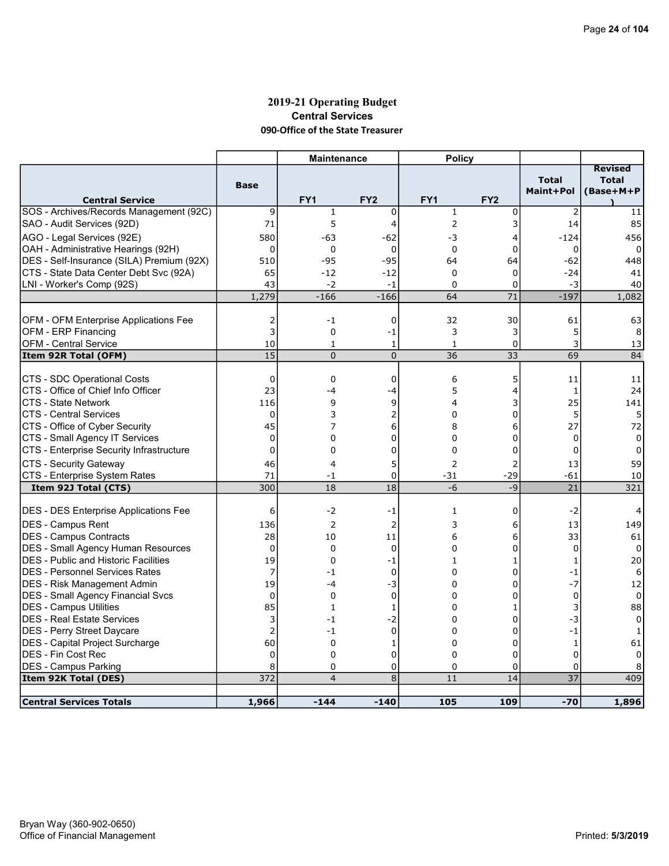### 2019-21 Operating Budget Central Services 090-Office of the State Treasurer

|                                                                            |                | <b>Maintenance</b> |                 | <b>Policy</b>  |                 |                   |                |
|----------------------------------------------------------------------------|----------------|--------------------|-----------------|----------------|-----------------|-------------------|----------------|
|                                                                            |                |                    |                 |                |                 |                   | <b>Revised</b> |
|                                                                            | <b>Base</b>    |                    |                 |                |                 | <b>Total</b>      | <b>Total</b>   |
| <b>Central Service</b>                                                     |                | FY1                | FY <sub>2</sub> | FY1            | FY <sub>2</sub> | Maint+Pol         | (Base+M+P      |
| SOS - Archives/Records Management (92C)                                    | 9              | $\mathbf{1}$       | $\mathbf 0$     | $\mathbf{1}$   | 0               | $\overline{2}$    | 11             |
| SAO - Audit Services (92D)                                                 | 71             | 5                  | 4               | $\overline{2}$ | 3               | 14                | 85             |
| AGO - Legal Services (92E)                                                 | 580            | -63                | $-62$           | -3             | 4               | $-124$            | 456            |
| OAH - Administrative Hearings (92H)                                        | $\mathbf 0$    | 0                  | 0               | $\mathbf 0$    | 0               | 0                 | 0              |
| DES - Self-Insurance (SILA) Premium (92X)                                  | 510            | $-95$              | $-95$           | 64             | 64              | $-62$             | 448            |
| ICTS - State Data Center Debt Svc (92A)                                    | 65             | $-12$              | $-12$           | $\mathbf 0$    | 0               | $-24$             | 41             |
| LNI - Worker's Comp (92S)                                                  | 43             | $-2$               | $-1$            | $\Omega$       | 0               | -3                | 40             |
|                                                                            | 1,279          | $-166$             | $-166$          | 64             | $\overline{71}$ | $-197$            | 1,082          |
|                                                                            |                |                    |                 |                |                 |                   |                |
| OFM - OFM Enterprise Applications Fee                                      | 2              | $-1$               | $\mathbf 0$     | 32             | 30              | 61                | 63             |
| OFM - ERP Financing                                                        | 3              | 0                  | -1              | 3              | 3               | 5                 | 8              |
| OFM - Central Service                                                      | 10             | 1                  | 1               | 1              | 0               | 3                 | 13             |
| Item 92R Total (OFM)                                                       | 15             | $\Omega$           | $\Omega$        | 36             | 33              | 69                | 84             |
|                                                                            |                |                    |                 |                |                 |                   |                |
| CTS - SDC Operational Costs                                                | $\mathbf 0$    | $\mathbf 0$        | $\mathbf 0$     | 6              | 5               | 11                | 11             |
| CTS - Office of Chief Info Officer                                         | 23             | -4                 | -4              | 5              | 4               | 1                 | 24             |
| ICTS - State Network                                                       | 116            | 9                  | 9               | 4              | 3               | 25                | 141            |
| <b>CTS - Central Services</b>                                              | 0              | 3<br>7             | 2               | $\Omega$       | 0               | 5                 | 5              |
| CTS - Office of Cyber Security                                             | 45<br>0        | 0                  | 6<br>0          | 8<br>$\Omega$  | 6<br>0          | 27<br>$\mathbf 0$ | 72<br>$\Omega$ |
| CTS - Small Agency IT Services<br>CTS - Enterprise Security Infrastructure | 0              | 0                  | 0               | $\mathbf 0$    | 0               | $\mathbf 0$       | 0              |
|                                                                            |                |                    |                 |                |                 |                   |                |
| CTS - Security Gateway                                                     | 46             | 4                  | 5               | $\overline{2}$ | 2               | 13                | 59             |
| CTS - Enterprise System Rates<br>Item 92J Total (CTS)                      | 71<br>300      | -1<br>18           | 0<br>18         | $-31$<br>$-6$  | $-29$<br>$-9$   | -61<br>21         | 10<br>321      |
|                                                                            |                |                    |                 |                |                 |                   |                |
| <b>DES - DES Enterprise Applications Fee</b>                               | 6              | $-2$               | -1              | 1              | 0               | $-2$              | 4              |
| <b>DES - Campus Rent</b>                                                   | 136            | 2                  | $\overline{2}$  | 3              | 6               | 13                | 149            |
| <b>DES - Campus Contracts</b>                                              | 28             | 10                 | 11              | 6              | 6               | 33                | 61             |
| DES - Small Agency Human Resources                                         | $\mathbf 0$    | $\mathbf 0$        | $\mathbf 0$     | $\Omega$       | 0               | $\mathbf 0$       | $\Omega$       |
| <b>DES</b> - Public and Historic Facilities                                | 19             | $\mathbf{0}$       | $-1$            | $\mathbf{1}$   | $\mathbf{1}$    | $\mathbf{1}$      | 20             |
| IDES - Personnel Services Rates                                            | 7              | -1                 | $\mathbf 0$     | $\Omega$       | 0               | $-1$              | 6              |
| DES - Risk Management Admin                                                | 19             | -4                 | -3              | 0              | 0               | $-7$              | 12             |
| DES - Small Agency Financial Svcs                                          | 0              | $\mathbf 0$        | $\mathbf 0$     | $\Omega$       | 0               | $\mathbf 0$       | 0              |
| <b>DES - Campus Utilities</b>                                              | 85             | $\mathbf{1}$       | 1               | 0              | 1               | 3                 | 88             |
| DES - Real Estate Services                                                 | 3              | $-1$               | $-2$            | 0              | 0               | $-3$              | 0              |
| <b>DES - Perry Street Daycare</b>                                          | $\overline{2}$ | $-1$               | $\mathbf 0$     | $\Omega$       | 0               | $-1$              | 1              |
| <b>DES</b> - Capital Project Surcharge                                     | 60             | $\mathbf 0$        | 1               | 0              | 0               | $\mathbf{1}$      | 61             |
| IDES - Fin Cost Rec                                                        | 0              | $\mathbf 0$        | $\mathbf 0$     | 0              | 0               | $\mathbf 0$       | $\Omega$       |
| <b>DES - Campus Parking</b>                                                | 8              | $\mathbf 0$        | $\mathbf 0$     | $\Omega$       | 0               | $\Omega$          |                |
| Item 92K Total (DES)                                                       | 372            | $\overline{4}$     | $\overline{8}$  | 11             | 14              | $\overline{37}$   | 409            |
|                                                                            |                |                    |                 |                |                 |                   |                |
| <b>Central Services Totals</b>                                             | 1,966          | $-144$             | $-140$          | 105            | 109             | $-70$             | 1,896          |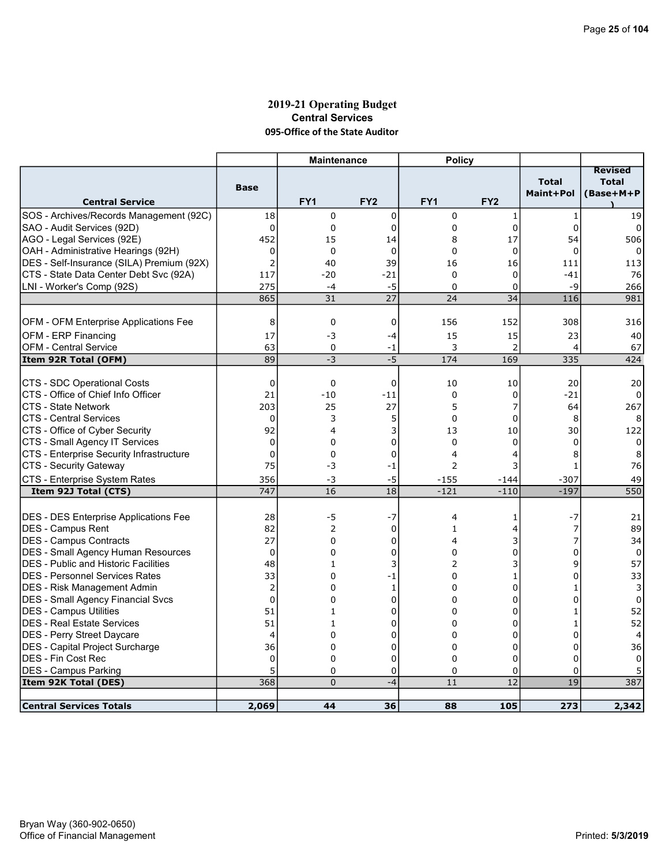#### 2019-21 Operating Budget Central Services 095-Office of the State Auditor

|                                              |                | <b>Maintenance</b> |                 | <b>Policy</b> |                 |                |                                |
|----------------------------------------------|----------------|--------------------|-----------------|---------------|-----------------|----------------|--------------------------------|
|                                              |                |                    |                 |               |                 | <b>Total</b>   | <b>Revised</b><br><b>Total</b> |
|                                              | <b>Base</b>    |                    |                 |               |                 | Maint+Pol      | (Base+M+P                      |
| <b>Central Service</b>                       |                | FY <sub>1</sub>    | FY <sub>2</sub> | FY1           | FY <sub>2</sub> |                |                                |
| SOS - Archives/Records Management (92C)      | 18             | 0                  | 0               | 0             | 1               | $\mathbf{1}$   | 19                             |
| SAO - Audit Services (92D)                   | $\mathbf 0$    | 0                  | 0               | 0             | 0               | 0              | $\Omega$                       |
| AGO - Legal Services (92E)                   | 452            | 15                 | 14              | 8             | 17              | 54             | 506                            |
| OAH - Administrative Hearings (92H)          | 0              | 0                  | $\mathbf 0$     | $\mathbf 0$   | $\mathbf 0$     | $\mathbf 0$    | 0                              |
| DES - Self-Insurance (SILA) Premium (92X)    | $\overline{2}$ | 40                 | 39              | 16            | 16              | 111            | 113                            |
| CTS - State Data Center Debt Svc (92A)       | 117            | $-20$              | $-21$           | $\mathbf 0$   | $\mathbf 0$     | $-41$          | 76                             |
| LNI - Worker's Comp (92S)                    | 275            | $-4$               | $-5$            | $\Omega$      | 0               | $-9$           | 266                            |
|                                              | 865            | 31                 | $\overline{27}$ | 24            | 34              | 116            | 981                            |
|                                              |                |                    |                 |               |                 |                |                                |
| OFM - OFM Enterprise Applications Fee        | 8              | 0                  | 0               | 156           | 152             | 308            | 316                            |
| OFM - ERP Financing                          | 17             | -3                 | $-4$            | 15            | 15              | 23             | 40                             |
| <b>OFM - Central Service</b>                 | 63             | 0                  | -1              | 3             | $\overline{2}$  | $\overline{4}$ | 67                             |
| Item 92R Total (OFM)                         | 89             | $-3$               | $-5$            | 174           | 169             | 335            | 424                            |
|                                              |                |                    |                 |               |                 |                |                                |
| CTS - SDC Operational Costs                  | 0              | 0                  | 0               | 10            | 10              | 20             | 20                             |
| CTS - Office of Chief Info Officer           | 21             | $-10$              | $-11$           | $\Omega$      | 0               | $-21$          |                                |
| <b>CTS - State Network</b>                   | 203            | 25                 | 27              | 5             | 7               | 64             | 267                            |
| <b>CTS - Central Services</b>                | 0              | 3                  | 5               | $\mathbf 0$   | 0               | 8              | 8                              |
| CTS - Office of Cyber Security               | 92             | 4                  | 3               | 13            | 10              | 30             | 122                            |
| CTS - Small Agency IT Services               | $\overline{0}$ | 0                  | 0               | 0             | 0               | $\Omega$       | 0                              |
| CTS - Enterprise Security Infrastructure     | $\mathbf 0$    | 0                  | $\mathbf 0$     | 4             | 4               | 8              | 8                              |
| CTS - Security Gateway                       | 75             | -3                 | $-1$            | 2             | 3               | 1              | 76                             |
| CTS - Enterprise System Rates                | 356            | -3                 | -5              | -155          | $-144$          | -307           | 49                             |
| Item 92J Total (CTS)                         | 747            | 16                 | 18              | $-121$        | $-110$          | $-197$         | 550                            |
|                                              |                |                    |                 |               |                 |                |                                |
| <b>DES - DES Enterprise Applications Fee</b> | 28             | $-5$               | $-7$            | 4             | 1               | -7             | 21                             |
| <b>IDES - Campus Rent</b>                    | 82             | $\overline{2}$     | $\mathbf 0$     | $\mathbf{1}$  | 4               | 7              | 89                             |
| <b>DES - Campus Contracts</b>                | 27             | $\Omega$           | $\Omega$        | 4             | 3               | 7              | 34                             |
| DES - Small Agency Human Resources           | $\mathbf 0$    | 0                  | 0               | $\Omega$      | 0               | $\Omega$       | 0                              |
| <b>DES</b> - Public and Historic Facilities  | 48             | $\mathbf{1}$       | 3               | 2             | 3               | 9              | 57                             |
| IDES - Personnel Services Rates              | 33             | 0                  | -1              | 0             | 1               | $\Omega$       | 33                             |
| IDES - Risk Management Admin                 | $\overline{2}$ | 0                  | 1               | $\Omega$      | 0               | 1              | 3                              |
| <b>DES - Small Agency Financial Svcs</b>     | $\overline{0}$ | 0                  | 0               | 0             | 0               | U              | 0                              |
| <b>DES - Campus Utilities</b>                | 51             | $\mathbf{1}$       | $\mathbf 0$     | 0             | $\Omega$        |                | 52                             |
| DES - Real Estate Services                   | 51             | 1                  | 0               | 0             | 0               | 1              | 52                             |
| DES - Perry Street Daycare                   | $\overline{4}$ | 0                  | 0               | $\Omega$      | 0               | $\Omega$       | $\overline{4}$                 |
| DES - Capital Project Surcharge              | 36             | 0                  | 0               | $\Omega$      | 0               | $\Omega$       | 36                             |
| <b>DES - Fin Cost Rec</b>                    | $\mathbf 0$    | 0                  | 0               | 0             | 0               | $\Omega$       | 0                              |
| <b>DES - Campus Parking</b>                  | 5              | 0                  | 0               | $\Omega$      | 0               | $\Omega$       |                                |
| Item 92K Total (DES)                         | 368            | $\Omega$           | $-4$            | 11            | $\overline{12}$ | 19             | 387                            |
|                                              |                |                    |                 |               |                 |                |                                |
| <b>Central Services Totals</b>               | 2,069          | 44                 | 36              | 88            | 105             | 273            | 2,342                          |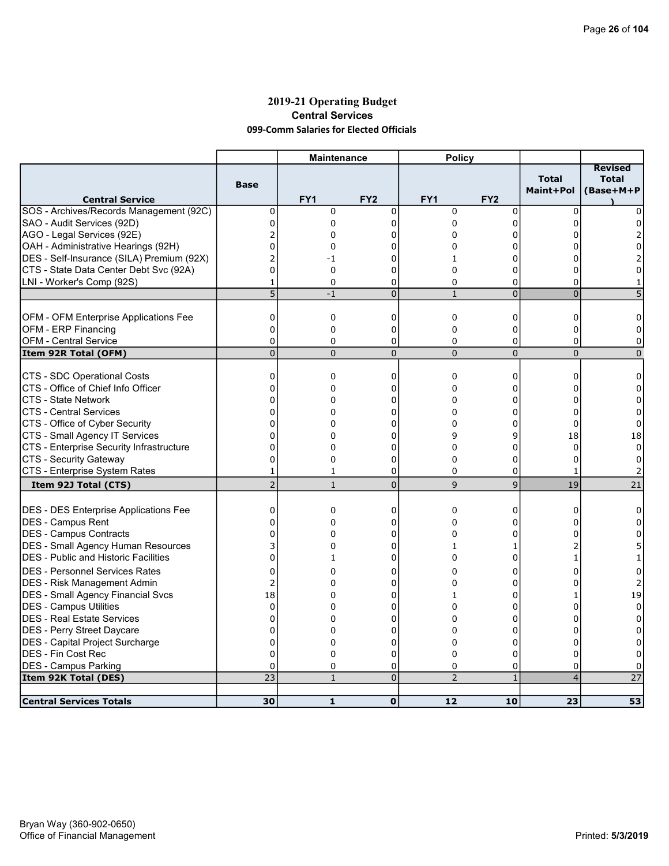### 2019-21 Operating Budget Central Services 099-Comm Salaries for Elected Officials

|                                              |                | <b>Maintenance</b> |                 | <b>Policy</b>  |                 |                           |                                             |
|----------------------------------------------|----------------|--------------------|-----------------|----------------|-----------------|---------------------------|---------------------------------------------|
| <b>Central Service</b>                       | <b>Base</b>    | FY1                | FY <sub>2</sub> | FY1            | FY <sub>2</sub> | <b>Total</b><br>Maint+Pol | <b>Revised</b><br><b>Total</b><br>(Base+M+P |
| SOS - Archives/Records Management (92C)      | 0              | 0                  | $\mathbf 0$     | $\mathbf 0$    | $\mathbf 0$     | $\mathbf 0$               | 0                                           |
| SAO - Audit Services (92D)                   | $\overline{0}$ | 0                  | $\mathbf 0$     | 0              | 0               | <sup>0</sup>              | 0                                           |
| AGO - Legal Services (92E)                   | $\overline{2}$ | 0                  | 0               | 0              | 0               |                           |                                             |
| OAH - Administrative Hearings (92H)          | 0              | 0                  | U               | 0              | 0               |                           | 0                                           |
| DES - Self-Insurance (SILA) Premium (92X)    | $\overline{2}$ | -1                 | U               | 1              | O               |                           |                                             |
| CTS - State Data Center Debt Svc (92A)       | $\mathbf 0$    | 0                  | 0               | 0              | 0               | 0                         | 0                                           |
| LNI - Worker's Comp (92S)                    |                | $\Omega$           | $\mathbf 0$     | 0              | 0               | $\Omega$                  |                                             |
|                                              | 5              | $-1$               | $\overline{0}$  | $\mathbf{1}$   | $\overline{0}$  | $\mathbf 0$               |                                             |
|                                              |                |                    |                 |                |                 |                           |                                             |
| OFM - OFM Enterprise Applications Fee        | $\mathbf 0$    | 0                  | $\mathbf 0$     | $\mathbf 0$    | 0               | $\Omega$                  | 0                                           |
| OFM - ERP Financing                          | $\mathbf 0$    | 0                  | 0               | 0              | 0               | 0                         | 0                                           |
| <b>OFM - Central Service</b>                 | $\Omega$       | $\Omega$           | 0               | 0              | 0               | 0                         | 0                                           |
| Item 92R Total (OFM)                         | $\overline{0}$ | $\Omega$           | $\overline{0}$  | $\mathbf{0}$   | $\overline{0}$  | $\mathbf 0$               | $\mathbf{0}$                                |
|                                              |                |                    |                 |                |                 |                           |                                             |
| CTS - SDC Operational Costs                  | 0              | 0                  | 0               | $\mathbf 0$    | 0               | 0                         | 0                                           |
| CTS - Office of Chief Info Officer           | $\mathbf 0$    | 0                  | U               | 0              | 0               | n                         | 0                                           |
| <b>CTS - State Network</b>                   | 0              | 0                  | 0               | 0              | 0               | 0                         | 0                                           |
| <b>CTS - Central Services</b>                | 0              | 0                  | 0               | 0              | 0               | 0                         | 0                                           |
| CTS - Office of Cyber Security               | 0              | 0                  | 0               | 0              | 0               | $\Omega$                  | $\mathbf 0$                                 |
| CTS - Small Agency IT Services               | $\overline{0}$ | 0                  | 0               | 9              | 9               | 18                        | 18                                          |
| CTS - Enterprise Security Infrastructure     | 0              | 0                  | 0               | 0              | 0               | $\mathbf 0$               | 0                                           |
| CTS - Security Gateway                       | 0              | $\Omega$           | $\Omega$        | $\Omega$       | $\Omega$        | $\Omega$                  | 0                                           |
| CTS - Enterprise System Rates                | 1              | 1                  | 0               | 0              | 0               | 1                         |                                             |
| Item 92J Total (CTS)                         | $\overline{2}$ | $\mathbf{1}$       | $\overline{0}$  | 9              | 9               | 19                        | 21                                          |
|                                              |                |                    |                 |                |                 |                           |                                             |
| <b>DES - DES Enterprise Applications Fee</b> | $\mathbf 0$    | 0                  | 0               | 0              | 0               | 0                         | 0                                           |
| <b>IDES - Campus Rent</b>                    | 0              | 0                  | $\Omega$        | 0              | 0               |                           | 0                                           |
| DES - Campus Contracts                       | $\Omega$       | 0                  | 0               | 0              | $\Omega$        |                           | 0                                           |
| DES - Small Agency Human Resources           | 3              | 0                  | 0               | $\mathbf{1}$   | 1               |                           | 5                                           |
| DES - Public and Historic Facilities         | $\overline{0}$ | $\mathbf{1}$       | 0               | 0              | 0               |                           | 1                                           |
| <b>DES - Personnel Services Rates</b>        | $\Omega$       | 0                  | 0               | 0              | 0               | O                         | 0                                           |
| DES - Risk Management Admin                  | 2              | 0                  | 0               | 0              | 0               | $\Omega$                  | 2                                           |
| DES - Small Agency Financial Svcs            | 18             | 0                  | 0               | 1              | 0               | 1                         | 19                                          |
| DES - Campus Utilities                       | $\Omega$       | 0                  | 0               | 0              | 0               | O                         | $\Omega$                                    |
| <b>DES - Real Estate Services</b>            | 0              | 0                  | 0               | 0              | 0               |                           | 0                                           |
| DES - Perry Street Daycare                   | 0              | 0                  | 0               | 0              | 0               | n                         | 0                                           |
| DES - Capital Project Surcharge              | 0              | 0                  | 0               | 0              | 0               | O                         | 0                                           |
| DES - Fin Cost Rec                           | $\Omega$       | 0                  | $\Omega$        | $\Omega$       | 0               | $\Omega$                  | 0                                           |
| <b>DES - Campus Parking</b>                  | $\mathbf 0$    | 0                  | 0               | 0              | 0               | $\Omega$                  | 0                                           |
| Item 92K Total (DES)                         | 23             | $\mathbf{1}$       | $\overline{0}$  | $\overline{2}$ | $\mathbf{1}$    | $\overline{4}$            | 27                                          |
|                                              |                |                    |                 |                |                 |                           |                                             |
| <b>Central Services Totals</b>               | 30             | $\mathbf{1}$       | $\mathbf 0$     | 12             | 10              | 23                        | 53                                          |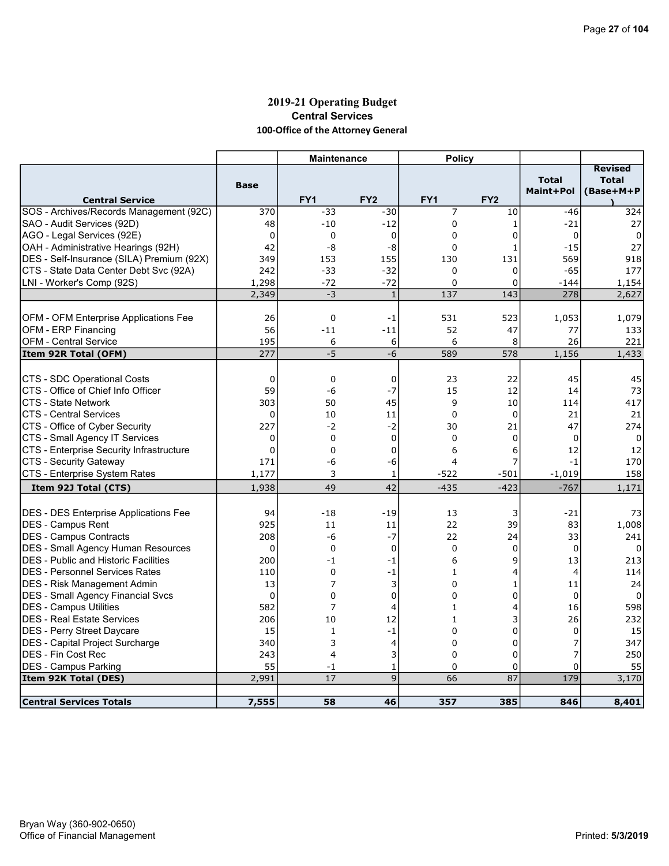# 2019-21 Operating Budget Central Services 100-Office of the Attorney General

|                                              |             | <b>Maintenance</b> |                 | <b>Policy</b>   |                 |                           |                                             |
|----------------------------------------------|-------------|--------------------|-----------------|-----------------|-----------------|---------------------------|---------------------------------------------|
| <b>Central Service</b>                       | <b>Base</b> | FY <sub>1</sub>    | FY <sub>2</sub> | FY <sub>1</sub> | FY <sub>2</sub> | <b>Total</b><br>Maint+Pol | <b>Revised</b><br><b>Total</b><br>(Base+M+P |
| SOS - Archives/Records Management (92C)      | 370         | $-33$              | $-30$           | 7               | 10              | $-46$                     | 324                                         |
| SAO - Audit Services (92D)                   | 48          | $-10$              | $-12$           | $\mathbf 0$     | $\mathbf{1}$    | $-21$                     | 27                                          |
| AGO - Legal Services (92E)                   | $\mathbf 0$ | 0                  | $\mathbf 0$     | $\Omega$        | 0               | 0                         | $\Omega$                                    |
| OAH - Administrative Hearings (92H)          | 42          | -8                 | -8              | 0               | 1               | $-15$                     | 27                                          |
| DES - Self-Insurance (SILA) Premium (92X)    | 349         | 153                | 155             | 130             | 131             | 569                       | 918                                         |
| CTS - State Data Center Debt Svc (92A)       | 242         | $-33$              | $-32$           | $\mathbf 0$     | 0               | $-65$                     | 177                                         |
| LNI - Worker's Comp (92S)                    | 1,298       | $-72$              | $-72$           | $\Omega$        | 0               | $-144$                    | 1,154                                       |
|                                              | 2,349       | $-3$               | $\mathbf{1}$    | 137             | 143             | 278                       | 2,627                                       |
|                                              |             |                    |                 |                 |                 |                           |                                             |
| OFM - OFM Enterprise Applications Fee        | 26          | 0                  | -1              | 531             | 523             | 1,053                     | 1,079                                       |
| OFM - ERP Financing                          | 56          | $-11$              | $-11$           | 52              | 47              | 77                        | 133                                         |
| <b>OFM - Central Service</b>                 | 195         | 6                  | 6               | 6               | 8               | 26                        | 221                                         |
| Item 92R Total (OFM)                         | 277         | $-5$               | $-6$            | 589             | 578             | 1,156                     | 1,433                                       |
|                                              |             |                    |                 |                 |                 |                           |                                             |
| CTS - SDC Operational Costs                  | 0           | 0                  | 0               | 23              | 22              | 45                        | 45                                          |
| CTS - Office of Chief Info Officer           | 59          | -6                 | $-7$            | 15              | 12              | 14                        | 73                                          |
| <b>CTS - State Network</b>                   | 303         | 50                 | 45              | 9               | 10              | 114                       | 417                                         |
| <b>CTS - Central Services</b>                | 0           | 10                 | 11              | $\mathbf 0$     | $\mathbf 0$     | 21                        | 21                                          |
| CTS - Office of Cyber Security               | 227         | $-2$               | $-2$            | 30              | 21              | 47                        | 274                                         |
| CTS - Small Agency IT Services               | $\mathbf 0$ | 0                  | $\mathbf 0$     | $\Omega$        | 0               | 0                         | 0                                           |
| CTS - Enterprise Security Infrastructure     | 0           | 0                  | 0               | 6               | 6               | 12                        | 12                                          |
| CTS - Security Gateway                       | 171         | -6                 | -6              | 4               | 7               | $-1$                      | 170                                         |
| CTS - Enterprise System Rates                | 1,177       | 3                  | 1               | $-522$          | $-501$          | $-1,019$                  | 158                                         |
| Item 92J Total (CTS)                         | 1,938       | 49                 | 42              | $-435$          | $-423$          | $-767$                    | 1,171                                       |
|                                              |             |                    |                 |                 |                 |                           |                                             |
| <b>DES - DES Enterprise Applications Fee</b> | 94          | $-18$              | $-19$           | 13              | 3               | $-21$                     | 73                                          |
| DES - Campus Rent                            | 925         | 11                 | 11              | 22              | 39              | 83                        | 1,008                                       |
| <b>DES - Campus Contracts</b>                | 208         | -6                 | $-7$            | 22              | 24              | 33                        | 241                                         |
| <b>DES - Small Agency Human Resources</b>    | $\mathbf 0$ | 0                  | $\mathbf 0$     | $\Omega$        | 0               | $\Omega$                  | $\Omega$                                    |
| <b>DES</b> - Public and Historic Facilities  | 200         | $-1$               | $-1$            | 6               | 9               | 13                        | 213                                         |
| <b>IDES - Personnel Services Rates</b>       | 110         | 0                  | $-1$            | $\mathbf{1}$    | 4               | $\overline{4}$            | 114                                         |
| <b>DES - Risk Management Admin</b>           | 13          | 7                  | 3               | $\Omega$        | 1               | 11                        | 24                                          |
| DES - Small Agency Financial Svcs            | $\mathbf 0$ | 0                  | $\mathbf 0$     | $\Omega$        | 0               | $\Omega$                  | $\Omega$                                    |
| DES - Campus Utilities                       | 582         | $\overline{7}$     | 4               | $\mathbf{1}$    | 4               | 16                        | 598                                         |
| <b>DES - Real Estate Services</b>            | 206         | 10                 | 12              | 1               | 3               | 26                        | 232                                         |
| <b>DES - Perry Street Daycare</b>            | 15          | $\mathbf{1}$       | $-1$            | $\Omega$        | 0               | $\Omega$                  | 15                                          |
| <b>DES</b> - Capital Project Surcharge       | 340         | 3                  | 4               | 0               | 0               |                           | 347                                         |
| <b>DES - Fin Cost Rec</b>                    | 243         | 4                  | 3               | 0               | 0               | 7                         | 250                                         |
| <b>DES - Campus Parking</b>                  | 55          | $-1$               | 1               | $\Omega$        | 0               | $\Omega$                  | 55                                          |
| Item 92K Total (DES)                         | 2,991       | 17                 | $\overline{9}$  | 66              | 87              | 179                       | 3,170                                       |
|                                              |             |                    |                 |                 |                 |                           |                                             |
| <b>Central Services Totals</b>               | 7,555       | 58                 | 46              | 357             | 385             | 846                       | 8,401                                       |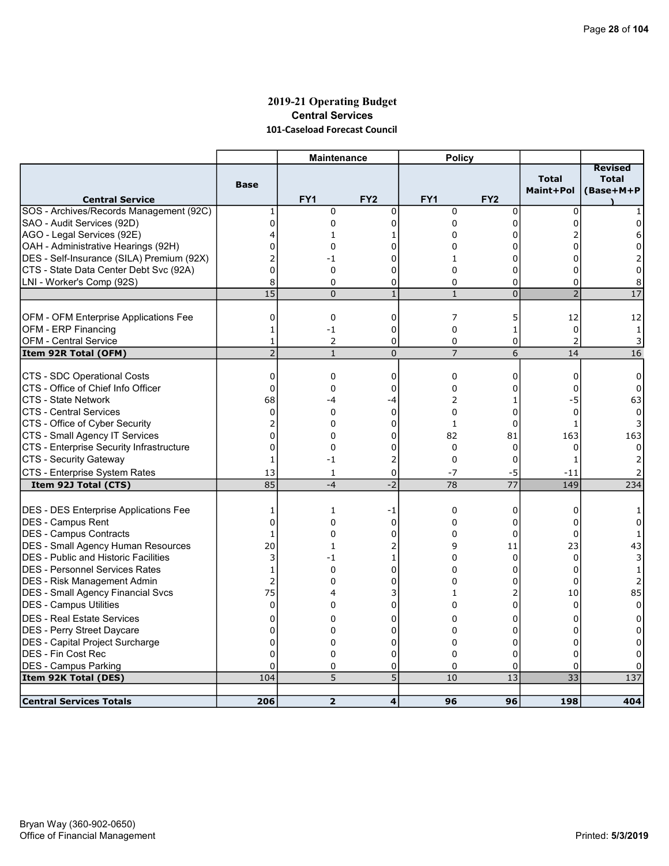### 2019-21 Operating Budget Central Services 101-Caseload Forecast Council

|                                              |                    | <b>Maintenance</b> |                     | <b>Policy</b>     |                 |                             |                                             |
|----------------------------------------------|--------------------|--------------------|---------------------|-------------------|-----------------|-----------------------------|---------------------------------------------|
| <b>Central Service</b>                       | <b>Base</b>        | FY1                | FY <sub>2</sub>     | FY1               | FY <sub>2</sub> | <b>Total</b><br>Maint+Pol   | <b>Revised</b><br><b>Total</b><br>(Base+M+P |
| SOS - Archives/Records Management (92C)      | 1                  | 0                  | 0                   | $\mathbf 0$       | $\mathbf 0$     | $\mathbf 0$                 |                                             |
| SAO - Audit Services (92D)                   | $\mathbf{0}$       | 0                  | $\Omega$            | $\Omega$          | 0               | <sup>0</sup>                |                                             |
| AGO - Legal Services (92E)                   | 4                  | 1                  | 1                   | 0                 | 0               |                             | 6                                           |
| OAH - Administrative Hearings (92H)          | 0                  | 0                  | U                   | 0                 | 0               |                             | 0                                           |
| DES - Self-Insurance (SILA) Premium (92X)    | $\overline{2}$     | -1                 | U                   | 1                 | O               |                             | 2                                           |
| CTS - State Data Center Debt Svc (92A)       | $\overline{0}$     | 0                  | 0                   | 0                 | 0               | 0                           | 0                                           |
| LNI - Worker's Comp (92S)                    | 8                  | 0                  | $\Omega$            | $\mathbf 0$       | 0               | 0                           | 8                                           |
|                                              | 15                 | $\Omega$           | $\mathbf{1}$        | $\mathbf{1}$      | $\overline{0}$  | $\overline{2}$              | $\overline{17}$                             |
|                                              |                    |                    |                     |                   |                 |                             |                                             |
| OFM - OFM Enterprise Applications Fee        | 0                  | 0                  | $\mathbf 0$         | 7                 | 5               | 12                          | 12                                          |
| OFM - ERP Financing                          | 1                  | -1                 | 0                   | 0                 | 1               | 0                           | 1                                           |
| <b>OFM - Central Service</b>                 | 1                  | 2                  | 0                   | 0                 | 0               | $\overline{2}$              | 3                                           |
| Item 92R Total (OFM)                         | $\overline{2}$     | $\mathbf{1}$       | $\overline{0}$      | $\overline{7}$    | 6               | 14                          | 16                                          |
| CTS - SDC Operational Costs                  | 0                  | 0                  | 0                   | 0                 | 0               | 0                           | 0                                           |
| CTS - Office of Chief Info Officer           | $\mathbf{0}$       | 0                  | 0                   | 0                 | 0               | $\Omega$                    | 0                                           |
| <b>CTS - State Network</b>                   | 68                 | -4                 | $-4$                | 2                 | 1               | -5                          | 63                                          |
| <b>CTS - Central Services</b>                | 0                  | 0                  | $\mathbf 0$         | 0                 | 0               | $\mathbf 0$                 | $\Omega$                                    |
| CTS - Office of Cyber Security               | $\overline{c}$     | $\Omega$           | $\Omega$            | $\mathbf{1}$      | 0               | 1                           | 3                                           |
| CTS - Small Agency IT Services               | $\mathbf 0$        | 0                  | 0                   | 82                | 81              | 163                         | 163                                         |
| CTS - Enterprise Security Infrastructure     | $\mathbf 0$        | 0                  | 0                   | $\mathbf 0$       | 0               | 0                           | 0                                           |
| CTS - Security Gateway                       | 1                  | -1                 | 2                   | $\mathbf 0$       | 0               | 1                           |                                             |
| CTS - Enterprise System Rates                | 13                 | 1                  | 0                   | $-7$              | -5              | $-11$                       |                                             |
| Item 92J Total (CTS)                         | 85                 | $-4$               | $-2$                | 78                | 77              | 149                         | 234                                         |
|                                              |                    |                    |                     |                   |                 |                             |                                             |
| <b>DES - DES Enterprise Applications Fee</b> | 1                  | $\mathbf{1}$       | -1                  | $\mathbf 0$       | 0               | 0                           |                                             |
| DES - Campus Rent                            | $\mathbf 0$        | 0                  | $\Omega$            | 0                 | 0               | 0                           | 0                                           |
| DES - Campus Contracts                       | 1                  | 0                  | $\Omega$            | 0                 | $\Omega$        | $\Omega$                    | 1                                           |
| DES - Small Agency Human Resources           | 20                 | $\mathbf{1}$       | 2                   | 9                 | 11              | 23                          | 43                                          |
| DES - Public and Historic Facilities         | 3                  | $-1$               | 1                   | 0                 | 0               | $\Omega$                    | 3                                           |
| IDES - Personnel Services Rates              | $\mathbf{1}$       | 0                  | 0                   | 0                 | 0               | $\Omega$                    | $\mathbf{1}$                                |
| DES - Risk Management Admin                  | $\overline{2}$     | 0                  | 0                   | 0                 | 0               | 0                           | $\overline{2}$                              |
| <b>DES - Small Agency Financial Svcs</b>     | 75                 | 4                  | 3                   | 1                 | 2               | 10                          | 85                                          |
| DES - Campus Utilities                       | 0                  | 0                  | 0                   | 0                 | 0               | 0                           | 0                                           |
| <b>DES - Real Estate Services</b>            | 0                  | 0                  | O                   | 0                 | 0               | 0                           | 0                                           |
| DES - Perry Street Daycare                   | 0                  | 0                  | $\Omega$            | $\Omega$          | $\Omega$        | $\Omega$                    | 0                                           |
| DES - Capital Project Surcharge              | $\mathbf 0$        | 0                  | 0                   | 0                 | 0               | 0                           | 0                                           |
| <b>DES - Fin Cost Rec</b>                    | $\mathbf 0$        | 0                  | 0                   | 0                 | 0               | $\Omega$                    | 0                                           |
| <b>DES - Campus Parking</b>                  | $\mathbf 0$<br>104 | 0<br>5             | 0<br>$\overline{5}$ | $\mathbf 0$<br>10 | 0<br>13         | $\Omega$<br>$\overline{33}$ | 137                                         |
| Item 92K Total (DES)                         |                    |                    |                     |                   |                 |                             |                                             |
| <b>Central Services Totals</b>               | 206                | $\overline{2}$     | $\overline{4}$      | 96                | 96              | 198                         | 404                                         |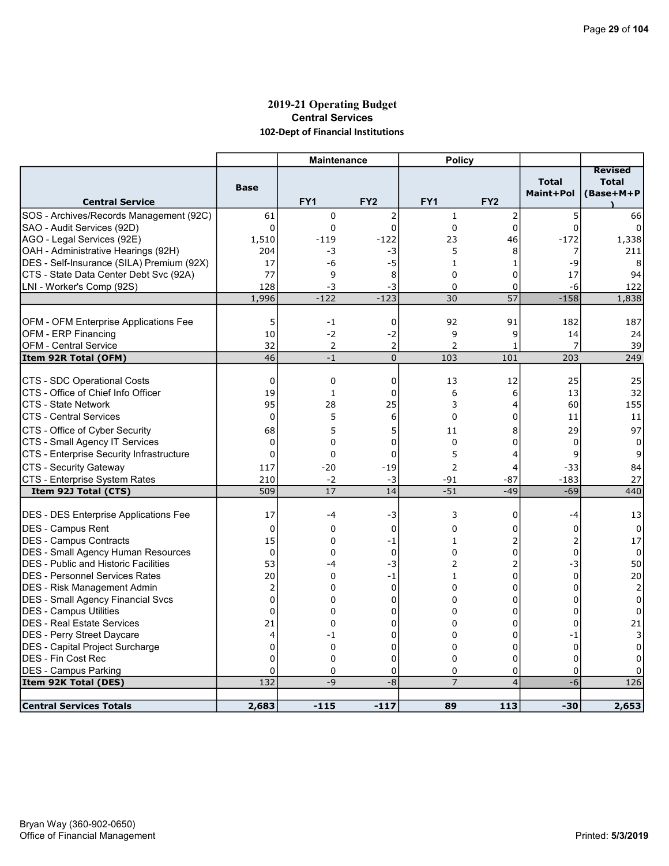### 2019-21 Operating Budget Central Services 102-Dept of Financial Institutions

|                                                                   |                   | <b>Maintenance</b> |                 | <b>Policy</b>   |                 |                |                                |
|-------------------------------------------------------------------|-------------------|--------------------|-----------------|-----------------|-----------------|----------------|--------------------------------|
|                                                                   | <b>Base</b>       |                    |                 |                 |                 | <b>Total</b>   | <b>Revised</b><br><b>Total</b> |
| <b>Central Service</b>                                            |                   | FY <sub>1</sub>    | FY <sub>2</sub> | FY <sub>1</sub> | FY <sub>2</sub> | Maint+Pol      | (Base+M+P                      |
| SOS - Archives/Records Management (92C)                           | 61                | 0                  | $\overline{2}$  | $\mathbf{1}$    | 2               | 5              | 66                             |
| SAO - Audit Services (92D)                                        | $\Omega$          | $\Omega$           | 0               | $\mathbf{0}$    | 0               | $\Omega$       |                                |
| AGO - Legal Services (92E)                                        | 1,510             | $-119$             | $-122$          | 23              | 46              | $-172$         | 1,338                          |
| OAH - Administrative Hearings (92H)                               | 204               | -3                 | -3              | 5               | 8               | 7              | 211                            |
| DES - Self-Insurance (SILA) Premium (92X)                         | 17                | -6                 | -5              | $\mathbf{1}$    | 1               | $-9$           | 8                              |
| CTS - State Data Center Debt Svc (92A)                            | 77                | 9                  | 8               | $\Omega$        | 0               | 17             | 94                             |
| LNI - Worker's Comp (92S)                                         | 128               | -3                 | -3              | $\mathbf 0$     | 0               | -6             | 122                            |
|                                                                   | 1,996             | $-122$             | $-123$          | 30              | 57              | $-158$         | 1,838                          |
|                                                                   |                   |                    |                 |                 |                 |                |                                |
| OFM - OFM Enterprise Applications Fee                             | 5                 | $-1$               | 0               | 92              | 91              | 182            | 187                            |
| OFM - ERP Financing                                               | 10                | $-2$               | -2              | 9               | 9               | 14             | 24                             |
| OFM - Central Service                                             | 32                | 2                  | $\overline{2}$  | $\overline{2}$  | 1               | 7              | 39                             |
| Item 92R Total (OFM)                                              | 46                | $-1$               | $\overline{0}$  | 103             | 101             | 203            | 249                            |
|                                                                   |                   |                    |                 |                 |                 |                |                                |
| CTS - SDC Operational Costs<br>CTS - Office of Chief Info Officer | 0<br>19           | 0                  | 0               | 13              | 12              | 25             | 25                             |
| ICTS - State Network                                              |                   | $\mathbf{1}$       | 0               | 6               | 6               | 13             | 32                             |
|                                                                   | 95<br>$\mathbf 0$ | 28<br>5            | 25<br>6         | 3<br>$\Omega$   | 4<br>0          | 60             | 155                            |
| ICTS - Central Services                                           |                   |                    |                 |                 |                 | 11             | 11                             |
| CTS - Office of Cyber Security                                    | 68                | 5                  | 5               | 11              | 8               | 29             | 97                             |
| CTS - Small Agency IT Services                                    | $\mathbf 0$       | $\Omega$           | 0               | $\mathbf 0$     | 0               | 0              | 0                              |
| CTS - Enterprise Security Infrastructure                          | 0                 | $\Omega$           | $\mathbf 0$     | 5               | 4               | 9              | 9                              |
| CTS - Security Gateway                                            | 117               | $-20$              | $-19$           | $\overline{2}$  | 4               | $-33$          | 84                             |
| CTS - Enterprise System Rates                                     | 210               | $-2$               | -3              | $-91$           | -87             | $-183$         | 27                             |
| Item 92J Total (CTS)                                              | 509               | 17                 | 14              | $-51$           | $-49$           | $-69$          | 440                            |
| <b>DES - DES Enterprise Applications Fee</b>                      | 17                | -4                 | -3              | 3               | 0               | -4             | 13                             |
| <b>IDES - Campus Rent</b>                                         | $\mathbf 0$       | $\mathbf 0$        | $\mathbf 0$     | $\Omega$        | 0               | $\mathbf 0$    | $\Omega$                       |
| DES - Campus Contracts                                            | 15                | 0                  | -1              | 1               | 2               | $\overline{2}$ | 17                             |
| DES - Small Agency Human Resources                                | $\Omega$          | 0                  | $\mathbf 0$     | $\Omega$        | 0               | $\mathbf 0$    | 0                              |
| <b>DES</b> - Public and Historic Facilities                       | 53                | -4                 | $-3$            | $\overline{c}$  | $\overline{2}$  | $-3$           | 50                             |
| <b>DES - Personnel Services Rates</b>                             | 20                | $\Omega$           | $-1$            | $\mathbf{1}$    | 0               | 0              | $20\,$                         |
| DES - Risk Management Admin                                       | 2                 | $\Omega$           | 0               | 0               | 0               | $\mathbf 0$    | $\overline{2}$                 |
| <b>DES - Small Agency Financial Svcs</b>                          | $\overline{0}$    | 0                  | $\mathbf 0$     | $\Omega$        | 0               | $\Omega$       | $\mathbf 0$                    |
| DES - Campus Utilities                                            | 0                 | 0                  | 0               | 0               | 0               | 0              | $\Omega$                       |
| <b>DES - Real Estate Services</b>                                 | 21                | 0                  | 0               | 0               | 0               | $\mathbf 0$    | 21                             |
| DES - Perry Street Daycare                                        | 4                 | -1                 | 0               | 0               | 0               | -1             | 3                              |
| DES - Capital Project Surcharge                                   | 0                 | 0                  | 0               | 0               | 0               | $\mathbf 0$    | $\mathbf 0$                    |
| DES - Fin Cost Rec                                                | $\Omega$          | $\Omega$           | 0               | $\Omega$        | $\mathbf 0$     | $\Omega$       | $\Omega$                       |
| DES - Campus Parking                                              | 0                 | 0                  | 0               | $\mathbf 0$     | 0               | $\mathbf 0$    |                                |
| Item 92K Total (DES)                                              | 132               | $-9$               | $-8$            | $\overline{7}$  | $\overline{4}$  | $-6$           | 126                            |
|                                                                   |                   |                    |                 |                 |                 |                |                                |
| <b>Central Services Totals</b>                                    | 2,683             | $-115$             | $-117$          | 89              | 113             | $-30$          | 2,653                          |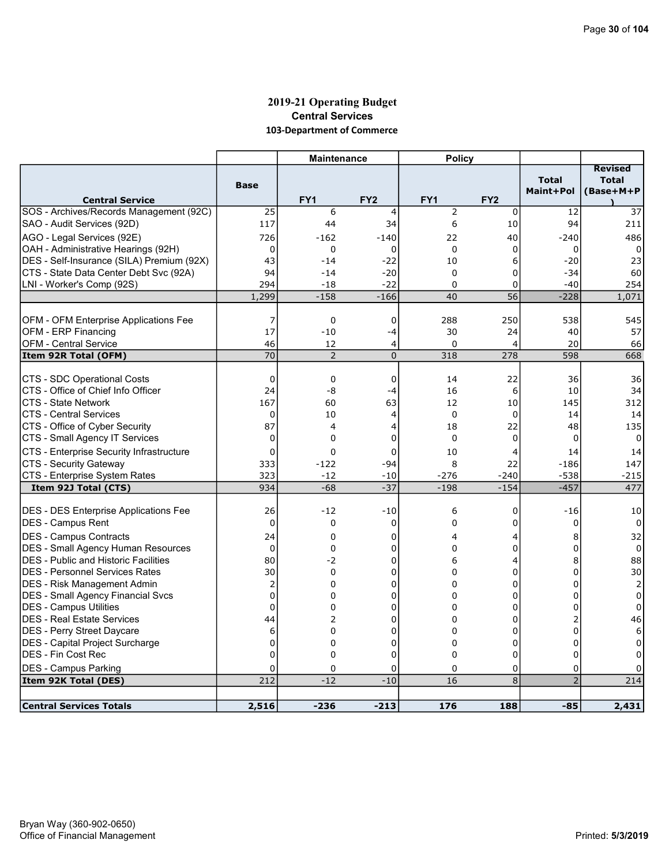### 2019-21 Operating Budget Central Services 103-Department of Commerce

|                                                                 |                | <b>Maintenance</b> |                  | <b>Policy</b>    |                   |                           |                                             |
|-----------------------------------------------------------------|----------------|--------------------|------------------|------------------|-------------------|---------------------------|---------------------------------------------|
| <b>Central Service</b>                                          | <b>Base</b>    | FY <sub>1</sub>    | FY <sub>2</sub>  | FY <sub>1</sub>  | FY <sub>2</sub>   | <b>Total</b><br>Maint+Pol | <b>Revised</b><br><b>Total</b><br>(Base+M+P |
| SOS - Archives/Records Management (92C)                         | 25             | 6                  | $\overline{4}$   | $\overline{2}$   | 0                 | 12                        | 37                                          |
| SAO - Audit Services (92D)                                      | 117            | 44                 | 34               | 6                | 10                | 94                        | 211                                         |
| AGO - Legal Services (92E)                                      | 726            | -162               | -140             | 22               | 40                | $-240$                    | 486                                         |
| OAH - Administrative Hearings (92H)                             | 0              | 0                  | $\mathbf 0$      | $\mathbf 0$      | 0                 | 0                         | 0                                           |
| DES - Self-Insurance (SILA) Premium (92X)                       | 43             | $-14$              | $-22$            | 10               | 6                 | $-20$                     | 23                                          |
| CTS - State Data Center Debt Svc (92A)                          | 94             | $-14$              | $-20$            | $\Omega$         | 0                 | $-34$                     | 60                                          |
| LNI - Worker's Comp (92S)                                       | 294            | $-18$              | $-22$            | $\Omega$         | 0                 | $-40$                     | 254                                         |
|                                                                 | 1,299          | $-158$             | $-166$           | 40               | 56                | $-228$                    | 1,071                                       |
|                                                                 |                |                    |                  |                  |                   |                           |                                             |
| OFM - OFM Enterprise Applications Fee                           | 7              | 0                  | 0                | 288              | 250               | 538                       | 545                                         |
| <b>OFM - ERP Financing</b>                                      | 17             | $-10$              | $-4$             | 30               | 24                | 40                        | 57                                          |
| <b>OFM - Central Service</b>                                    | 46             | 12                 | 4                | 0                | 4                 | 20                        | 66                                          |
| Item 92R Total (OFM)                                            | 70             | 2                  | $\mathbf 0$      | 318              | 278               | 598                       | 668                                         |
|                                                                 |                |                    |                  |                  |                   |                           |                                             |
| CTS - SDC Operational Costs                                     | $\Omega$       | 0                  | 0                | 14               | 22                | 36                        | 36                                          |
| CTS - Office of Chief Info Officer                              | 24             | -8                 | $-4$             | 16               | 6                 | 10                        | 34                                          |
| <b>CTS - State Network</b>                                      | 167            | 60                 | 63               | 12               | 10                | 145                       | 312                                         |
| <b>CTS - Central Services</b><br>CTS - Office of Cyber Security | 0<br>87        | 10<br>4            | 4                | $\Omega$<br>18   | $\mathbf 0$<br>22 | 14                        | 14                                          |
| CTS - Small Agency IT Services                                  | $\mathbf 0$    | 0                  | 4<br>$\mathbf 0$ | $\Omega$         | 0                 | 48<br>$\Omega$            | 135<br>$\Omega$                             |
|                                                                 |                |                    |                  |                  |                   |                           |                                             |
| CTS - Enterprise Security Infrastructure                        | 0              | 0                  | 0                | 10               | 4                 | 14                        | 14                                          |
| CTS - Security Gateway                                          | 333            | $-122$             | $-94$            | 8                | 22                | $-186$                    | 147                                         |
| CTS - Enterprise System Rates<br>Item 92J Total (CTS)           | 323<br>934     | $-12$<br>$-68$     | $-10$<br>$-37$   | $-276$<br>$-198$ | $-240$<br>$-154$  | $-538$<br>$-457$          | -215<br>477                                 |
|                                                                 |                |                    |                  |                  |                   |                           |                                             |
| <b>DES - DES Enterprise Applications Fee</b>                    | 26             | $-12$              | $-10$            | 6                | 0                 | $-16$                     | 10                                          |
| <b>IDES - Campus Rent</b>                                       | $\mathbf 0$    | 0                  | 0                | 0                | 0                 | 0                         | 0                                           |
| DES - Campus Contracts                                          | 24             | 0                  | 0                | 4                | 4                 | 8                         | 32                                          |
| <b>DES</b> - Small Agency Human Resources                       | 0              | 0                  | 0                | 0                | 0                 | 0                         | 0                                           |
| <b>DES</b> - Public and Historic Facilities                     | 80             | -2                 | 0                | 6                | 4                 | 8                         | 88                                          |
| <b>DES - Personnel Services Rates</b>                           | 30             | 0                  | 0                | 0                | 0                 | $\mathbf 0$               | 30                                          |
| DES - Risk Management Admin                                     | $\overline{2}$ | $\Omega$           | $\Omega$         | $\Omega$         | 0                 | $\Omega$                  | $\overline{2}$                              |
| DES - Small Agency Financial Svcs                               | $\mathbf 0$    | 0                  | 0                | $\Omega$         | 0                 | $\Omega$                  | 0                                           |
| DES - Campus Utilities                                          | $\mathbf 0$    | 0                  | 0                | 0                | 0                 | 0                         | 0                                           |
| <b>IDES - Real Estate Services</b>                              | 44             | 2                  | $\Omega$         | $\Omega$         | $\Omega$          | $\overline{2}$            | 46                                          |
| <b>DES</b> - Perry Street Daycare                               | 6              | 0                  | 0                | 0                | 0                 | $\mathbf 0$               | 6                                           |
| DES - Capital Project Surcharge                                 | $\mathbf 0$    | 0                  | 0                | $\Omega$         | 0                 | $\Omega$                  | 0                                           |
| <b>IDES - Fin Cost Rec</b>                                      | $\mathbf 0$    | 0                  | 0                | $\Omega$         | 0                 | $\mathbf 0$               | 0                                           |
| <b>DES - Campus Parking</b>                                     | 0              | 0                  | $\Omega$         | 0                | 0                 | 0                         | 0                                           |
| Item 92K Total (DES)                                            | 212            | $-12$              | $-10$            | 16               | 8                 | $\overline{2}$            | 214                                         |
|                                                                 |                |                    |                  |                  |                   |                           |                                             |
| <b>Central Services Totals</b>                                  | 2,516          | $-236$             | $-213$           | 176              | 188               | $-85$                     | 2,431                                       |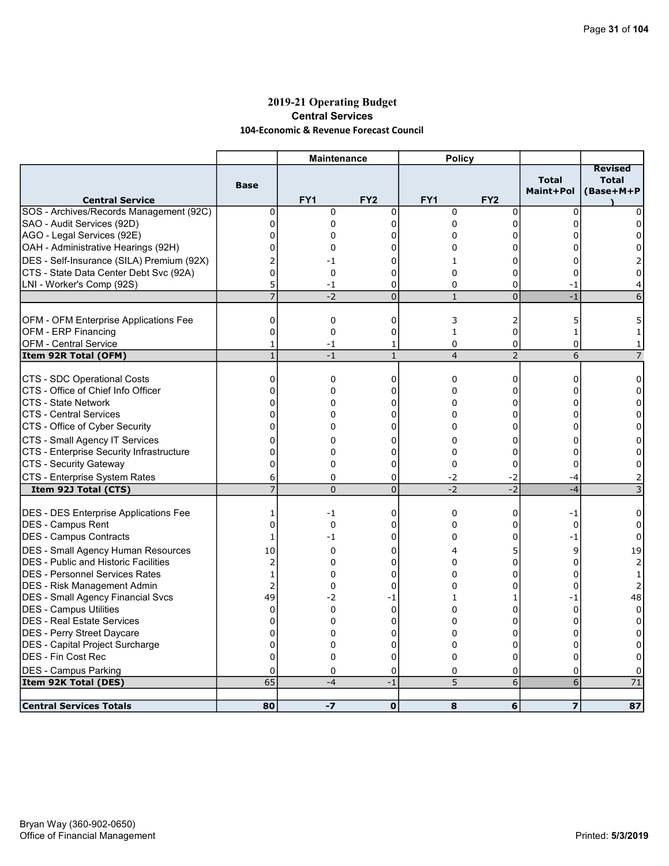### 2019-21 Operating Budget Central Services 104-Economic & Revenue Forecast Council

|                                                       |                     | <b>Maintenance</b> |                     | <b>Policy</b>   |                 |                           |                                             |
|-------------------------------------------------------|---------------------|--------------------|---------------------|-----------------|-----------------|---------------------------|---------------------------------------------|
| <b>Central Service</b>                                | <b>Base</b>         | FY1                | FY <sub>2</sub>     | FY <sub>1</sub> | FY <sub>2</sub> | <b>Total</b><br>Maint+Pol | <b>Revised</b><br><b>Total</b><br>(Base+M+P |
| SOS - Archives/Records Management (92C)               | 0                   | $\mathbf 0$        | $\mathbf 0$         | $\mathbf 0$     | $\mathbf 0$     | $\Omega$                  | $\Omega$                                    |
| SAO - Audit Services (92D)                            | $\overline{0}$      | $\mathbf 0$        | 0                   | 0               | 0               | $\Omega$                  | 0                                           |
| AGO - Legal Services (92E)                            | 0                   | 0                  | 0                   | $\Omega$        | 0               | O                         | <sup>0</sup>                                |
| OAH - Administrative Hearings (92H)                   | $\Omega$            | 0                  | ი                   | 0               | 0               |                           | 0                                           |
| DES - Self-Insurance (SILA) Premium (92X)             | 2                   | -1                 | 0                   | 1               | 0               | 0                         |                                             |
| CTS - State Data Center Debt Svc (92A)                | $\overline{0}$      | 0                  | 0                   | $\Omega$        | 0               | 0                         | $\Omega$                                    |
| LNI - Worker's Comp (92S)                             | 5                   | $-1$               | 0                   | $\Omega$        | 0               | $-1$                      | 4                                           |
|                                                       | $\overline{7}$      | $-2$               | $\overline{0}$      | $\mathbf{1}$    | $\overline{0}$  | $-1$                      | 6                                           |
|                                                       |                     |                    |                     |                 |                 |                           |                                             |
| OFM - OFM Enterprise Applications Fee                 | 0                   | 0                  | 0                   | 3               | 2               | 5                         | 5                                           |
| OFM - ERP Financing                                   | 0                   | $\mathbf 0$        | $\mathbf 0$         | $\mathbf{1}$    | 0               | $\mathbf{1}$              |                                             |
| <b>OFM - Central Service</b>                          | 1                   | -1                 | 1                   | 0               | 0               | $\mathbf 0$               | 1                                           |
| Item 92R Total (OFM)                                  | $\mathbf{1}$        | $-1$               | $\mathbf{1}$        | $\overline{4}$  | $\overline{2}$  | 6                         | $\overline{7}$                              |
| CTS - SDC Operational Costs                           | 0                   | 0                  | $\Omega$            | $\mathbf{0}$    | 0               | $\Omega$                  | 0                                           |
| CTS - Office of Chief Info Officer                    | 0                   | 0                  | 0                   | 0               | 0               | 0                         | 0                                           |
| CTS - State Network                                   | $\overline{0}$      | $\Omega$           | 0                   | 0               | 0               | 0                         | 0                                           |
| ICTS - Central Services                               | 0                   | 0                  | 0                   | $\Omega$        | 0               | $\Omega$                  | $\Omega$                                    |
| CTS - Office of Cyber Security                        | 0                   | 0                  | 0                   | 0               | 0               | 0                         | 0                                           |
|                                                       |                     |                    |                     |                 |                 |                           |                                             |
| CTS - Small Agency IT Services                        | 0<br>$\overline{0}$ | 0                  | 0                   | $\Omega$        | 0               | 0                         | 0                                           |
| CTS - Enterprise Security Infrastructure              | $\Omega$            | 0<br>$\Omega$      | 0<br>0              | 0<br>$\Omega$   | 0<br>$\Omega$   | 0<br>0                    | 0<br>$\Omega$                               |
| CTS - Security Gateway                                |                     |                    |                     |                 |                 |                           |                                             |
| CTS - Enterprise System Rates<br>Item 92J Total (CTS) | 6<br>$\overline{7}$ | 0<br>$\Omega$      | 0<br>$\overline{0}$ | -2<br>$-2$      | -2<br>$-2$      | -4<br>$-4$                | 2<br>3                                      |
|                                                       |                     |                    |                     |                 |                 |                           |                                             |
| <b>DES - DES Enterprise Applications Fee</b>          | 1                   | $-1$               | 0                   | $\mathbf 0$     | 0               | -1                        | $\Omega$                                    |
| <b>IDES - Campus Rent</b>                             | 0                   | 0                  | 0                   | 0               | 0               | $\mathbf 0$               | 0                                           |
| DES - Campus Contracts                                | 1                   | -1                 | 0                   | $\Omega$        | $\Omega$        | -1                        | $\Omega$                                    |
| DES - Small Agency Human Resources                    | 10                  | 0                  | 0                   | 4               | 5               | 9                         | 19                                          |
| <b>IDES - Public and Historic Facilities</b>          | 2                   | 0                  | 0                   | 0               | 0               | $\Omega$                  | 2                                           |
| IDES - Personnel Services Rates                       | $\mathbf{1}$        | 0                  | 0                   | $\Omega$        | 0               | $\Omega$                  | 1                                           |
| DES - Risk Management Admin                           | $\overline{2}$      | 0                  | 0                   | 0               | 0               | 0                         | 2                                           |
| <b>DES - Small Agency Financial Svcs</b>              | 49                  | -2                 | $-1$                | 1               | 1               | $-1$                      | 48                                          |
| DES - Campus Utilities                                | 0                   | $\mathbf 0$        | $\mathbf 0$         | 0               | 0               | $\mathbf 0$               | 0                                           |
| DES - Real Estate Services                            | $\Omega$            | $\Omega$           | 0                   | $\Omega$        | 0               | 0                         | $\Omega$                                    |
| DES - Perry Street Daycare                            | 0                   | 0                  | 0                   | $\Omega$        | 0               | 0                         | $\Omega$                                    |
| DES - Capital Project Surcharge                       | $\overline{0}$      | 0                  | 0                   | 0               | 0               | 0                         | 0                                           |
| <b>IDES - Fin Cost Rec</b>                            | $\Omega$            | $\Omega$           | $\overline{0}$      | $\Omega$        | 0               | 0                         | $\Omega$                                    |
| <b>DES - Campus Parking</b>                           | 0                   | 0                  | 0                   | 0               | 0               | 0                         | 0                                           |
| Item 92K Total (DES)                                  | 65                  | $-4$               | $-1$                | 5               | 6               | 6                         | 71                                          |
|                                                       |                     |                    |                     |                 |                 |                           |                                             |
| <b>Central Services Totals</b>                        | 80                  | $-7$               | $\mathbf{o}$        | 8               | 6               | $\overline{\mathbf{z}}$   | 87                                          |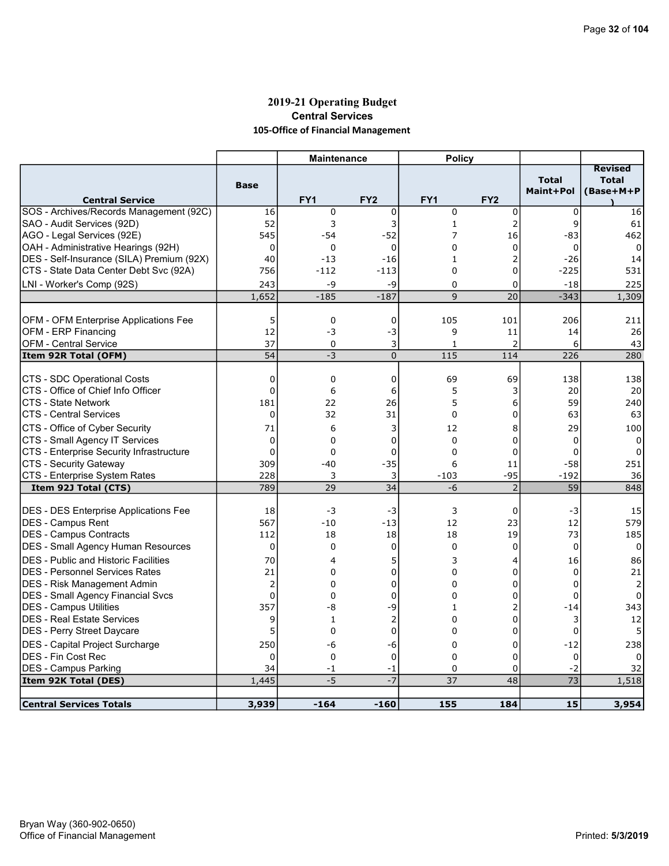# 2019-21 Operating Budget Central Services 105-Office of Financial Management

|                                                        |                 | <b>Maintenance</b> |                   | <b>Policy</b>   |                 |                           |                                             |
|--------------------------------------------------------|-----------------|--------------------|-------------------|-----------------|-----------------|---------------------------|---------------------------------------------|
| <b>Central Service</b>                                 | <b>Base</b>     | FY <sub>1</sub>    | FY <sub>2</sub>   | FY <sub>1</sub> | FY <sub>2</sub> | <b>Total</b><br>Maint+Pol | <b>Revised</b><br><b>Total</b><br>(Base+M+P |
| SOS - Archives/Records Management (92C)                | 16              | 0                  | 0                 | $\mathbf 0$     | 0               | $\mathbf 0$               | 16                                          |
| SAO - Audit Services (92D)                             | 52              | 3                  | 3                 | $\mathbf{1}$    | $\overline{2}$  | 9                         | 61                                          |
| AGO - Legal Services (92E)                             | 545             | $-54$              | $-52$             | 7               | 16              | -83                       | 462                                         |
| OAH - Administrative Hearings (92H)                    | $\mathbf 0$     | 0                  | $\mathbf 0$       | 0               | 0               | $\Omega$                  | $\Omega$                                    |
| DES - Self-Insurance (SILA) Premium (92X)              | 40              | $-13$              | $-16$             | 1               | $\overline{2}$  | $-26$                     | 14                                          |
| CTS - State Data Center Debt Svc (92A)                 | 756             | $-112$             | $-113$            | $\Omega$        | 0               | -225                      | 531                                         |
| LNI - Worker's Comp (92S)                              | 243             | $-9$               | -9                | 0               | 0               | $-18$                     | 225                                         |
|                                                        | 1,652           | $-185$             | $-187$            | 9               | 20              | $-343$                    | 1,309                                       |
|                                                        |                 |                    |                   |                 |                 |                           |                                             |
| OFM - OFM Enterprise Applications Fee                  | 5               | 0                  | 0                 | 105             | 101             | 206                       | 211                                         |
| OFM - ERP Financing                                    | 12              | $-3$               | -3                | 9               | 11              | 14                        | 26                                          |
| <b>OFM - Central Service</b>                           | 37              | $\mathbf 0$        | 3                 | $\mathbf{1}$    | 2               | 6                         | 43                                          |
| Item 92R Total (OFM)                                   | $\overline{54}$ | $-3$               | $\Omega$          | 115             | 114             | 226                       | 280                                         |
| CTS - SDC Operational Costs                            | 0               | 0                  | $\mathbf 0$       | 69              | 69              | 138                       | 138                                         |
| CTS - Office of Chief Info Officer                     | $\mathbf 0$     | 6                  | 6                 | 5               | 3               | 20                        | 20                                          |
| <b>CTS - State Network</b>                             | 181             | 22                 | 26                | 5               | 6               | 59                        | 240                                         |
| ICTS - Central Services                                | $\mathbf 0$     | 32                 | 31                | $\Omega$        | 0               | 63                        | 63                                          |
| CTS - Office of Cyber Security                         | 71              | 6                  | 3                 | 12              | 8               | 29                        | 100                                         |
| CTS - Small Agency IT Services                         | $\mathbf 0$     | 0                  | 0                 | $\Omega$        | 0               | $\Omega$                  | 0                                           |
| CTS - Enterprise Security Infrastructure               | $\mathbf 0$     | $\Omega$           | $\mathbf 0$       | $\mathbf{0}$    | 0               | $\Omega$                  | $\Omega$                                    |
| CTS - Security Gateway                                 | 309             | $-40$              | $-35$             | 6               | 11              | -58                       | 251                                         |
| CTS - Enterprise System Rates                          | 228             | 3                  | 3                 | $-103$          | $-95$           | $-192$                    | 36                                          |
| Item 92J Total (CTS)                                   | 789             | 29                 | 34                | $-6$            | $\overline{2}$  | 59                        | 848                                         |
|                                                        |                 |                    |                   |                 |                 |                           |                                             |
| <b>DES - DES Enterprise Applications Fee</b>           | 18              | $-3$               | -3                | 3               | 0               | -3                        | 15                                          |
| DES - Campus Rent                                      | 567             | $-10$              | $-13$             | 12              | 23              | 12                        | 579                                         |
| <b>IDES - Campus Contracts</b>                         | 112             | 18                 | 18                | 18              | 19              | 73                        | 185                                         |
| <b>DES - Small Agency Human Resources</b>              | $\Omega$        | $\mathbf{0}$       | $\Omega$          | $\Omega$        | 0               | $\Omega$                  | $\Omega$                                    |
| <b>DES</b> - Public and Historic Facilities            | 70              | 4                  | 5                 | 3               | 4               | 16                        | 86                                          |
| <b>DES - Personnel Services Rates</b>                  | 21              | 0                  | 0                 | 0               | 0               | $\mathbf 0$               | 21                                          |
| DES - Risk Management Admin                            | $\overline{2}$  | $\mathbf 0$        | $\overline{0}$    | 0               | 0               | 0                         | $\overline{2}$                              |
| <b>DES - Small Agency Financial Svcs</b>               | $\Omega$        | 0                  | $\mathbf 0$       | $\Omega$        | 0               | $\Omega$                  | $\Omega$                                    |
| <b>DES - Campus Utilities</b>                          | 357             | -8                 | -9                | 1               | 2               | $-14$                     | 343                                         |
| <b>IDES - Real Estate Services</b>                     | 9               | 1                  | $\overline{2}$    | $\Omega$        | 0               | 3                         | 12                                          |
| DES - Perry Street Daycare                             | 5               | $\Omega$           | 0                 | 0               | 0               | $\mathbf 0$               | 5                                           |
| DES - Capital Project Surcharge<br>IDES - Fin Cost Rec | 250<br>$\Omega$ | -6<br>$\Omega$     | -6<br>$\mathbf 0$ | 0<br>$\Omega$   | 0<br>0          | $-12$<br>$\mathbf 0$      | 238                                         |
| <b>DES - Campus Parking</b>                            | 34              | $-1$               | -1                | $\mathbf 0$     | 0               | -2                        | 0<br>32                                     |
| Item 92K Total (DES)                                   | 1,445           | $-5$               | $-7$              | 37              | 48              | $\overline{73}$           | 1,518                                       |
|                                                        |                 |                    |                   |                 |                 |                           |                                             |
| <b>Central Services Totals</b>                         | 3,939           | $-164$             | $-160$            | 155             | 184             | 15                        | 3,954                                       |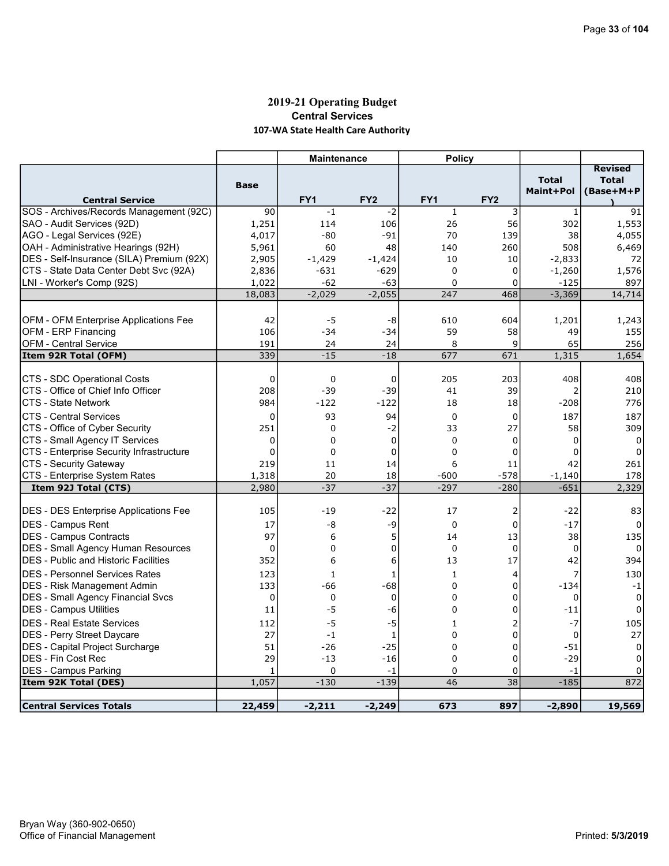# 2019-21 Operating Budget Central Services 107-WA State Health Care Authority

|                                                                     |              | <b>Maintenance</b> |                 | <b>Policy</b>           |                 |                |                |
|---------------------------------------------------------------------|--------------|--------------------|-----------------|-------------------------|-----------------|----------------|----------------|
|                                                                     |              |                    |                 |                         |                 |                | <b>Revised</b> |
|                                                                     | <b>Base</b>  |                    |                 |                         |                 | <b>Total</b>   | <b>Total</b>   |
| <b>Central Service</b>                                              |              | FY <sub>1</sub>    | FY <sub>2</sub> | FY <sub>1</sub>         | FY <sub>2</sub> | Maint+Pol      | (Base+M+P      |
| SOS - Archives/Records Management (92C)                             | 90           | $-1$               | $-2$            | $\mathbf{1}$            | 3               | $\mathbf{1}$   | 91             |
| SAO - Audit Services (92D)                                          | 1,251        | 114                | 106             | 26                      | 56              | 302            | 1,553          |
| AGO - Legal Services (92E)                                          | 4,017        | $-80$              | $-91$           | 70                      | 139             | 38             | 4,055          |
| OAH - Administrative Hearings (92H)                                 | 5,961        | 60                 | 48              | 140                     | 260             | 508            | 6,469          |
| DES - Self-Insurance (SILA) Premium (92X)                           | 2,905        | $-1,429$           | $-1,424$        | 10                      | 10              | $-2,833$       | 72             |
| CTS - State Data Center Debt Svc (92A)                              | 2,836        | $-631$             | $-629$          | $\Omega$                | 0               | $-1,260$       | 1,576          |
| LNI - Worker's Comp (92S)                                           | 1,022        | $-62$              | $-63$           | $\Omega$                | $\Omega$        | $-125$         | 897            |
|                                                                     | 18,083       | $-2,029$           | $-2,055$        | 247                     | 468             | $-3,369$       | 14,714         |
|                                                                     |              |                    |                 |                         |                 |                |                |
| OFM - OFM Enterprise Applications Fee                               | 42           | -5                 | -8              | 610                     | 604             | 1,201          | 1,243          |
| <b>OFM - ERP Financing</b>                                          | 106          | $-34$              | $-34$           | 59                      | 58              | 49             | 155            |
| <b>OFM - Central Service</b>                                        | 191          | 24                 | 24              | 8                       | 9               | 65             | 256            |
| Item 92R Total (OFM)                                                | 339          | $-15$              | $-18$           | 677                     | 671             | 1,315          | 1,654          |
|                                                                     |              |                    |                 |                         |                 |                |                |
| CTS - SDC Operational Costs                                         | $\Omega$     | 0                  | $\Omega$        | 205                     | 203             | 408            | 408            |
| CTS - Office of Chief Info Officer                                  | 208          | $-39$              | $-39$           | 41                      | 39              | 2              | 210            |
| <b>CTS - State Network</b>                                          | 984          | $-122$             | $-122$          | 18                      | 18              | -208           | 776            |
| <b>CTS - Central Services</b>                                       | $\mathbf 0$  | 93                 | 94              | $\mathbf 0$             | 0               | 187            | 187            |
| CTS - Office of Cyber Security                                      | 251          | $\mathbf 0$        | $-2$            | 33                      | 27              | 58             | 309            |
| CTS - Small Agency IT Services                                      | 0            | 0                  | $\mathbf 0$     | $\mathbf 0$             | 0               | $\Omega$       | 0              |
| CTS - Enterprise Security Infrastructure                            | $\mathbf{0}$ | $\Omega$           | 0               | $\Omega$                | 0               | 0              | 0              |
| CTS - Security Gateway                                              | 219          | 11                 | 14              | 6                       | 11              | 42             | 261            |
| CTS - Enterprise System Rates                                       | 1,318        | 20                 | 18              | $-600$                  | $-578$          | $-1,140$       | 178            |
| Item 92J Total (CTS)                                                | 2,980        | $-37$              | $-37$           | $-297$                  | $-280$          | $-651$         | 2,329          |
|                                                                     |              |                    |                 |                         |                 |                |                |
| <b>DES - DES Enterprise Applications Fee</b>                        | 105          | $-19$              | $-22$           | 17                      | 2               | $-22$          | 83             |
| DES - Campus Rent                                                   | 17           | -8                 | -9              | $\mathbf 0$             | 0               | $-17$          | $\Omega$       |
| DES - Campus Contracts                                              | 97           | 6                  | 5               | 14                      | 13              | 38             | 135            |
| <b>DES</b> - Small Agency Human Resources                           | 0            | 0                  | 0               | $\mathbf 0$             | $\mathbf 0$     | 0              | 0              |
| <b>DES</b> - Public and Historic Facilities                         | 352          | 6                  | 6               | 13                      | 17              | 42             | 394            |
| <b>DES - Personnel Services Rates</b>                               | 123          | $\mathbf{1}$       | $\mathbf{1}$    | $\mathbf{1}$            | 4               | $\overline{7}$ | 130            |
| <b>DES</b> - Risk Management Admin                                  | 133          | -66                | $-68$           | $\mathbf 0$             | 0               | $-134$         | $-1$           |
| DES - Small Agency Financial Svcs                                   | $\mathbf 0$  | 0                  | 0               | 0                       | 0               | 0              | 0              |
| DES - Campus Utilities                                              | 11           | $-5$               | -6              | 0                       | 0               | $^{\rm -11}$   | 0              |
| <b>DES - Real Estate Services</b>                                   | 112          | $-5$               | $-5$            | $\mathbf{1}$            | 2               | $-7$           | 105            |
|                                                                     | 27           | $-1$               | 1               | 0                       | 0               | $\mathbf 0$    | 27             |
| <b>DES</b> - Perry Street Daycare                                   |              |                    |                 |                         |                 |                |                |
| <b>DES</b> - Capital Project Surcharge<br><b>DES - Fin Cost Rec</b> | 51<br>29     | $-26$<br>$-13$     | $-25$<br>$-16$  | $\mathbf 0$<br>$\Omega$ | 0<br>0          | $-51$<br>$-29$ | 0<br>$\Omega$  |
|                                                                     |              | 0                  |                 |                         | 0               | $-1$           | $\Omega$       |
| <b>DES - Campus Parking</b>                                         | 1<br>1,057   | $-130$             | -1<br>$-139$    | 0<br>46                 | 38              | $-185$         | 872            |
| Item 92K Total (DES)                                                |              |                    |                 |                         |                 |                |                |
| <b>Central Services Totals</b>                                      | 22,459       | $-2,211$           | $-2,249$        | 673                     | 897             | $-2,890$       | 19,569         |
|                                                                     |              |                    |                 |                         |                 |                |                |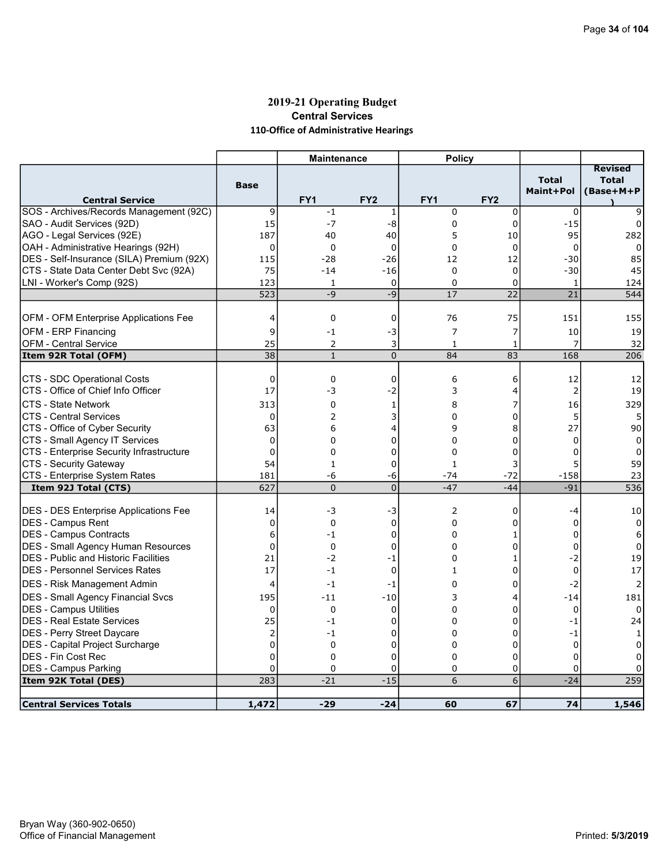# 2019-21 Operating Budget Central Services 110-Office of Administrative Hearings

|                                                                     |                                  | <b>Maintenance</b> |                 | <b>Policy</b>        |                 |                           |                                             |
|---------------------------------------------------------------------|----------------------------------|--------------------|-----------------|----------------------|-----------------|---------------------------|---------------------------------------------|
| <b>Central Service</b>                                              | <b>Base</b>                      | FY <sub>1</sub>    | FY <sub>2</sub> | FY1                  | FY <sub>2</sub> | <b>Total</b><br>Maint+Pol | <b>Revised</b><br><b>Total</b><br>(Base+M+P |
| SOS - Archives/Records Management (92C)                             | 9                                | $-1$               | 1               | $\mathbf 0$          | 0               | 0                         | 9                                           |
| SAO - Audit Services (92D)                                          | 15                               | $-7$               | -8              | $\mathbf 0$          | $\pmb{0}$       | $-15$                     | 0                                           |
| AGO - Legal Services (92E)                                          | 187                              | 40                 | 40              | 5                    | 10              | 95                        | 282                                         |
| OAH - Administrative Hearings (92H)                                 | $\mathbf 0$                      | 0                  | $\mathbf 0$     | 0                    | 0               | 0                         | 0                                           |
| DES - Self-Insurance (SILA) Premium (92X)                           | 115                              | $-28$              | $-26$           | 12                   | 12              | $-30$                     | 85                                          |
| CTS - State Data Center Debt Svc (92A)                              | 75                               | $-14$              | $-16$           | $\mathbf 0$          | 0               | $-30$                     | 45                                          |
| LNI - Worker's Comp (92S)                                           | 123                              | $\mathbf{1}$       | $\Omega$        | $\Omega$             | 0               | $\mathbf{1}$              | 124                                         |
|                                                                     | 523                              | $-9$               | $-9$            | 17                   | $\overline{22}$ | 21                        | 544                                         |
|                                                                     |                                  |                    |                 |                      |                 |                           |                                             |
| <b>OFM - OFM Enterprise Applications Fee</b>                        | 4                                | 0                  | $\mathbf 0$     | 76                   | 75              | 151                       | 155                                         |
| <b>OFM - ERP Financing</b>                                          | 9                                | $-1$               | -3              | 7                    | 7               | 10                        | 19                                          |
| <b>OFM - Central Service</b>                                        | 25                               | 2                  | 3               | 1                    | 1               | $\overline{7}$            | 32                                          |
| Item 92R Total (OFM)                                                | 38                               | $\mathbf{1}$       | $\mathbf 0$     | 84                   | 83              | 168                       | 206                                         |
| CTS - SDC Operational Costs                                         | $\mathbf 0$                      | 0                  | $\mathbf 0$     | 6                    | 6               | 12                        | 12                                          |
| CTS - Office of Chief Info Officer                                  | 17                               | -3                 | $-2$            | 3                    | 4               | $\overline{2}$            | 19                                          |
| <b>CTS - State Network</b>                                          | 313                              | 0                  | 1               | 8                    | 7               | 16                        | 329                                         |
| <b>CTS - Central Services</b>                                       | $\mathbf 0$                      | 2                  | 3               | 0                    | 0               | 5                         | 5                                           |
| CTS - Office of Cyber Security                                      | 63                               | 6                  | 4               | 9                    | 8               | 27                        | 90                                          |
| CTS - Small Agency IT Services                                      | $\Omega$                         | 0                  | 0               | $\Omega$             | 0               | $\Omega$                  | $\Omega$                                    |
| CTS - Enterprise Security Infrastructure                            | $\mathbf 0$                      | $\Omega$           | 0               | $\Omega$             | 0               | $\Omega$                  | 0                                           |
| CTS - Security Gateway                                              | 54                               | 1                  | 0               | 1                    | 3               | 5                         | 59                                          |
| CTS - Enterprise System Rates                                       | 181                              | -6                 | -6              | $-74$                | $-72$           | $-158$                    | 23                                          |
| Item 92J Total (CTS)                                                | 627                              | $\Omega$           | $\overline{0}$  | $-47$                | $-44$           | $-91$                     | 536                                         |
|                                                                     |                                  |                    |                 |                      |                 |                           |                                             |
| <b>DES - DES Enterprise Applications Fee</b>                        | 14                               | -3                 | -3              | $\overline{2}$       | 0               | -4                        | 10                                          |
| DES - Campus Rent                                                   | $\overline{0}$                   | $\mathbf 0$        | $\mathbf 0$     | 0                    | 0               | $\Omega$                  | 0                                           |
| <b>IDES - Campus Contracts</b>                                      | 6                                | $-1$               | $\mathbf 0$     | $\Omega$             | 1               | $\Omega$                  | 6                                           |
| DES - Small Agency Human Resources                                  | $\mathbf 0$                      | 0                  | 0               | 0                    | 0               | 0                         | 0                                           |
| <b>IDES - Public and Historic Facilities</b>                        | 21                               | $-2$               | -1              | $\Omega$             | 1               | $-2$                      | 19                                          |
| <b>DES - Personnel Services Rates</b>                               | 17                               | $-1$               | 0               | 1                    | 0               | $\mathbf 0$               | 17                                          |
| DES - Risk Management Admin                                         | 4                                | $-1$               | -1              | 0                    | 0               | $-2$                      | 2                                           |
| <b>DES - Small Agency Financial Svcs</b>                            | 195                              | $-11$              | $-10$           | 3                    | 4               | $-14$                     | 181                                         |
| DES - Campus Utilities                                              | 0                                | 0                  | 0               | 0                    | 0               | 0                         | $\Omega$                                    |
| IDES - Real Estate Services                                         | 25                               | $-1$               | 0               | 0                    | 0               | $-1$                      | 24                                          |
| <b>IDES - Perry Street Daycare</b>                                  | $\overline{2}$<br>$\overline{0}$ | $-1$<br>$\Omega$   | 0               | $\Omega$<br>$\Omega$ | 0<br>0          | -1                        |                                             |
| <b>DES</b> - Capital Project Surcharge<br><b>DES - Fin Cost Rec</b> | $\mathbf 0$                      |                    | 0<br>0          | $\Omega$             |                 | $\mathbf 0$<br>$\Omega$   | 0                                           |
| <b>DES - Campus Parking</b>                                         | $\mathbf 0$                      | 0<br>$\Omega$      | 0               | 0                    | 0<br>0          | $\Omega$                  | 0<br>0                                      |
| Item 92K Total (DES)                                                | 283                              | $-21$              | $-15$           | 6                    | 6               | $-24$                     | 259                                         |
|                                                                     |                                  |                    |                 |                      |                 |                           |                                             |
| <b>Central Services Totals</b>                                      | 1,472                            | $-29$              | $-24$           | 60                   | 67              | 74                        | 1,546                                       |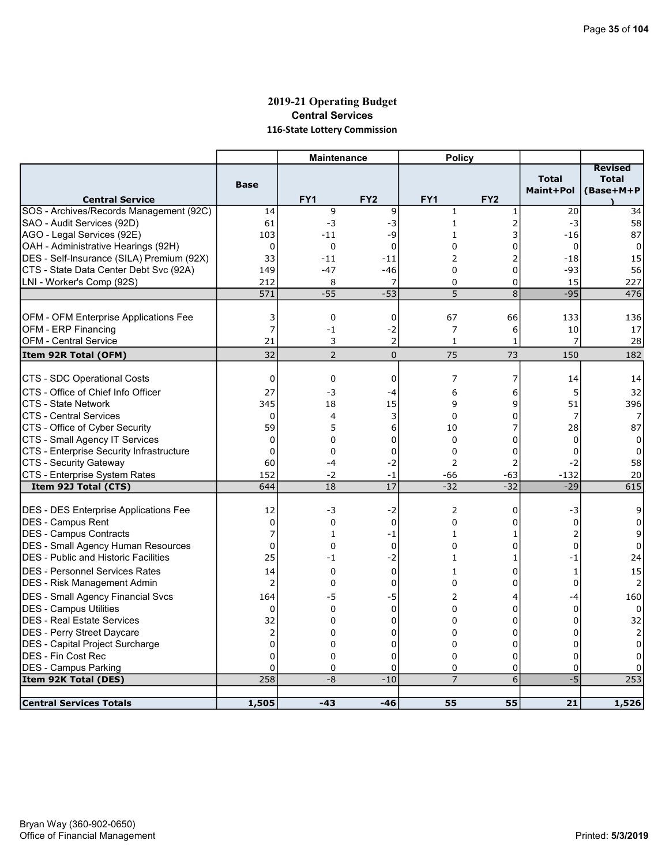### 2019-21 Operating Budget Central Services 116-State Lottery Commission

|                                              |                | <b>Maintenance</b> |                 | <b>Policy</b>  |                 |                           |                                      |
|----------------------------------------------|----------------|--------------------|-----------------|----------------|-----------------|---------------------------|--------------------------------------|
| <b>Central Service</b>                       | <b>Base</b>    | FY <sub>1</sub>    | FY <sub>2</sub> | FY1            | FY <sub>2</sub> | <b>Total</b><br>Maint+Pol | Revised<br><b>Total</b><br>(Base+M+P |
| SOS - Archives/Records Management (92C)      | 14             | 9                  | 9               | $1\,$          | $\mathbf{1}$    | 20                        | 34                                   |
| SAO - Audit Services (92D)                   | 61             | -3                 | -3              | $\mathbf{1}$   | 2               | $-3$                      | 58                                   |
| AGO - Legal Services (92E)                   | 103            | $-11$              | -9              | 1              | 3               | -16                       | 87                                   |
| OAH - Administrative Hearings (92H)          | 0              | 0                  | $\mathbf 0$     | 0              | 0               | $\mathbf 0$               | $\Omega$                             |
| DES - Self-Insurance (SILA) Premium (92X)    | 33             | $-11$              | $-11$           | 2              | 2               | $-18$                     | 15                                   |
| CTS - State Data Center Debt Svc (92A)       | 149            | $-47$              | $-46$           | $\Omega$       | 0               | -93                       | 56                                   |
| LNI - Worker's Comp (92S)                    | 212            | 8                  | 7               | 0              | 0               | 15                        | 227                                  |
|                                              | 571            | $-55$              | $-53$           | 5              | 8               | $-95$                     | 476                                  |
|                                              |                |                    |                 |                |                 |                           |                                      |
| <b>OFM - OFM Enterprise Applications Fee</b> | 3              | 0                  | 0               | 67             | 66              | 133                       | 136                                  |
| <b>OFM - ERP Financing</b>                   | $\overline{7}$ | $-1$               | $-2$            | 7              | 6               | 10                        | 17                                   |
| <b>OFM - Central Service</b>                 | 21             | 3                  | $\overline{2}$  | $\mathbf{1}$   | 1               | 7                         | 28                                   |
| Item 92R Total (OFM)                         | 32             | $\overline{2}$     | $\mathbf 0$     | 75             | 73              | 150                       | 182                                  |
| CTS - SDC Operational Costs                  | $\Omega$       | 0                  | $\mathbf 0$     | 7              | 7               | 14                        | 14                                   |
| CTS - Office of Chief Info Officer           | 27             | -3                 | -4              | 6              | 6               | 5                         | 32                                   |
| <b>CTS - State Network</b>                   | 345            | 18                 | 15              | 9              | 9               | 51                        | 396                                  |
| <b>CTS - Central Services</b>                | $\Omega$       | 4                  | 3               | $\Omega$       | 0               | $\overline{7}$            | 7                                    |
| CTS - Office of Cyber Security               | 59             | 5                  | 6               | 10             | 7               | 28                        | 87                                   |
| CTS - Small Agency IT Services               | $\mathbf 0$    | $\Omega$           | 0               | $\Omega$       | 0               | $\Omega$                  | 0                                    |
| CTS - Enterprise Security Infrastructure     | $\mathbf 0$    | 0                  | 0               | $\Omega$       | 0               | 0                         | 0                                    |
| <b>CTS - Security Gateway</b>                | 60             | -4                 | $-2$            | 2              | 2               | $-2$                      | 58                                   |
| CTS - Enterprise System Rates                | 152            | $-2$               | -1              | -66            | $-63$           | $-132$                    | 20                                   |
| Item 92J Total (CTS)                         | 644            | 18                 | 17              | $-32$          | $-32$           | $-29$                     | 615                                  |
|                                              |                |                    |                 |                |                 |                           |                                      |
| DES - DES Enterprise Applications Fee        | 12             | -3                 | -2              | 2              | 0               | -3                        | 9                                    |
| <b>IDES - Campus Rent</b>                    | $\mathbf 0$    | 0                  | $\mathbf 0$     | $\Omega$       | 0               | $\Omega$                  | $\Omega$                             |
| DES - Campus Contracts                       | 7              | 1                  | -1              | 1              | 1               | $\overline{2}$            | 9                                    |
| DES - Small Agency Human Resources           | $\mathbf 0$    | 0                  | $\mathbf 0$     | 0              | 0               | $\mathbf{0}$              | 0                                    |
| <b>DES</b> - Public and Historic Facilities  | 25             | $-1$               | $-2$            | $\mathbf{1}$   | 1               | $-1$                      | 24                                   |
| IDES - Personnel Services Rates              | 14             | 0                  | 0               | 1              | 0               | 1                         | 15                                   |
| DES - Risk Management Admin                  | $\overline{2}$ | 0                  | 0               | 0              | 0               | $\Omega$                  | 2                                    |
| <b>DES - Small Agency Financial Svcs</b>     | 164            | -5                 | -5              | $\overline{2}$ | 4               | -4                        | 160                                  |
| <b>DES - Campus Utilities</b>                | $\mathbf 0$    | 0                  | $\mathbf 0$     | $\Omega$       | 0               | 0                         | $\Omega$                             |
| DES - Real Estate Services                   | 32             | 0                  | 0               | 0              | 0               | 0                         | 32                                   |
| <b>IDES - Perry Street Daycare</b>           | 2              | 0                  | 0               | $\Omega$       | 0               | $\Omega$                  |                                      |
| DES - Capital Project Surcharge              | $\overline{0}$ | $\Omega$           | 0               | $\Omega$       | 0               | 0                         | $\Omega$                             |
| <b>DES - Fin Cost Rec</b>                    | $\Omega$       | 0                  | 0               | 0              | 0               | $\Omega$                  | 0                                    |
| <b>DES - Campus Parking</b>                  | 0              | 0                  | 0               | 0              | 0               | 0                         | 0                                    |
| Item 92K Total (DES)                         | 258            | $-8$               | $-10$           | $\overline{7}$ | 6               | $-5$                      | 253                                  |
|                                              |                |                    |                 |                |                 |                           |                                      |
| <b>Central Services Totals</b>               | 1,505          | $-43$              | $-46$           | 55             | 55              | 21                        | 1,526                                |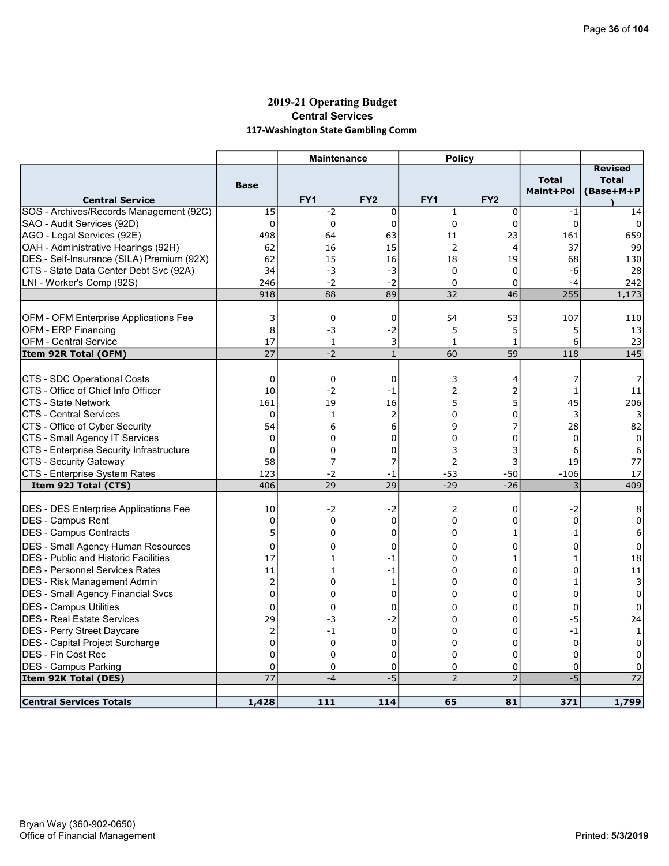# 2019-21 Operating Budget Central Services 117-Washington State Gambling Comm

|                                                     |                   | <b>Maintenance</b> |                   | <b>Policy</b>       |                     |                           |                                             |
|-----------------------------------------------------|-------------------|--------------------|-------------------|---------------------|---------------------|---------------------------|---------------------------------------------|
| <b>Central Service</b>                              | <b>Base</b>       | FY <sub>1</sub>    | FY <sub>2</sub>   | FY1                 | FY <sub>2</sub>     | <b>Total</b><br>Maint+Pol | <b>Revised</b><br><b>Total</b><br>(Base+M+P |
| SOS - Archives/Records Management (92C)             | 15                | $-2$               | $\mathbf 0$       | $\mathbf{1}$        | 0                   | $-1$                      | 14                                          |
| SAO - Audit Services (92D)                          | $\overline{0}$    | 0                  | 0                 | $\mathbf 0$         | 0                   | $\mathbf 0$               | 0                                           |
| AGO - Legal Services (92E)                          | 498               | 64                 | 63                | 11                  | 23                  | 161                       | 659                                         |
| OAH - Administrative Hearings (92H)                 | 62                | 16                 | 15                | $\overline{2}$      | 4                   | 37                        | 99                                          |
| DES - Self-Insurance (SILA) Premium (92X)           | 62                | 15                 | 16                | 18                  | 19                  | 68                        | 130                                         |
| CTS - State Data Center Debt Svc (92A)              | 34                | -3                 | -3                | $\mathbf 0$         | 0                   | -6                        | 28                                          |
| LNI - Worker's Comp (92S)                           | 246               | $-2$               | $-2$              | $\mathbf 0$         | 0                   | -4                        | 242                                         |
|                                                     | 918               | 88                 | 89                | 32                  | 46                  | 255                       | 1,173                                       |
|                                                     |                   |                    |                   |                     |                     |                           |                                             |
| <b>OFM - OFM Enterprise Applications Fee</b>        | 3                 | $\mathbf 0$        | 0                 | 54                  | 53                  | 107                       | 110                                         |
| <b>OFM - ERP Financing</b>                          | 8                 | -3                 | $-2$              | 5                   | 5                   | 5                         | 13                                          |
| <b>OFM - Central Service</b>                        | 17                | 1                  | 3                 | 1                   | 1                   | 6                         | 23                                          |
| Item 92R Total (OFM)                                | 27                | $-2$               | $\mathbf{1}$      | 60                  | 59                  | 118                       | 145                                         |
|                                                     |                   |                    |                   |                     |                     |                           |                                             |
| CTS - SDC Operational Costs                         | $\mathbf 0$       | 0                  | $\mathbf 0$       | 3                   | 4                   | 7                         | 7                                           |
| CTS - Office of Chief Info Officer                  | 10                | $-2$               | -1                | 2                   | 2                   | $\mathbf{1}$              | 11                                          |
| <b>CTS - State Network</b>                          | 161               | 19                 | 16                | 5                   | 5                   | 45                        | 206                                         |
| <b>CTS - Central Services</b>                       | $\mathbf 0$       | $\mathbf{1}$       | $\overline{2}$    | 0                   | 0                   | 3                         |                                             |
| CTS - Office of Cyber Security                      | 54                | 6                  | 6                 | 9                   | 7                   | 28                        | 82                                          |
| CTS - Small Agency IT Services                      | $\mathbf{0}$      | 0                  | 0                 | $\Omega$            | 0                   | $\Omega$                  | $\Omega$                                    |
| CTS - Enterprise Security Infrastructure            | 0                 | 0                  | 0                 | 3                   | 3                   | 6                         | 6                                           |
| CTS - Security Gateway                              | 58                | 7                  | 7                 | $\overline{2}$      | 3                   | 19                        | 77                                          |
| CTS - Enterprise System Rates                       | 123               | -2                 | -1                | -53                 | $-50$               | $-106$                    | 17                                          |
| Item 92J Total (CTS)                                | 406               | 29                 | $\overline{29}$   | $-29$               | $-26$               | 3                         | 409                                         |
| DES - DES Enterprise Applications Fee               | 10                | $-2$               | -2                | $\overline{2}$      | 0                   | -2                        | 8                                           |
| <b>IDES - Campus Rent</b>                           | 0                 | 0                  | $\mathbf 0$       | $\mathbf 0$         | 0                   | $\Omega$                  | $\Omega$                                    |
| DES - Campus Contracts                              | 5                 | 0                  | 0                 | 0                   | 1                   | $\mathbf{1}$              | 6                                           |
| DES - Small Agency Human Resources                  |                   |                    |                   |                     |                     | $\Omega$                  |                                             |
| <b>DES</b> - Public and Historic Facilities         | 0<br>17           | 0<br>$\mathbf{1}$  | 0                 | 0<br>0              | 0                   | 1                         | 0                                           |
| IDES - Personnel Services Rates                     | 11                | $\mathbf{1}$       | $-1$<br>$-1$      | 0                   | 1<br>0              | $\Omega$                  | 18<br>11                                    |
| DES - Risk Management Admin                         | $\overline{2}$    | 0                  | 1                 | 0                   | 0                   | $\mathbf{1}$              | 3                                           |
| DES - Small Agency Financial Svcs                   | $\Omega$          | $\Omega$           | $\Omega$          | $\Omega$            | $\Omega$            | $\Omega$                  | 0                                           |
|                                                     |                   |                    |                   |                     |                     |                           |                                             |
| DES - Campus Utilities                              | $\mathbf 0$       | 0                  | 0                 | $\Omega$            | 0                   | $\Omega$                  | $\Omega$                                    |
| <b>DES - Real Estate Services</b>                   | 29                | -3                 | -2<br>$\mathbf 0$ | 0<br>$\Omega$       | 0<br>$\Omega$       | -5                        | 24                                          |
| <b>IDES - Perry Street Daycare</b>                  | 2                 | $-1$               |                   |                     |                     | $-1$                      | $\mathbf{1}$                                |
| <b>DES</b> - Capital Project Surcharge              | 0                 | 0                  | 0                 | 0                   | 0                   | 0                         | 0                                           |
| <b>DES - Fin Cost Rec</b>                           | $\mathbf 0$       | 0                  | 0                 | $\Omega$            | 0                   | $\Omega$                  | 0                                           |
| <b>DES - Campus Parking</b><br>Item 92K Total (DES) | $\mathbf 0$<br>77 | 0<br>$-4$          | 0<br>$-5$         | 0<br>$\overline{2}$ | 0<br>$\overline{2}$ | $\mathbf 0$<br>$-5$       | $\Omega$<br>$\overline{72}$                 |
|                                                     |                   |                    |                   |                     |                     |                           |                                             |
| <b>Central Services Totals</b>                      | 1,428             | 111                | 114               | 65                  | 81                  | 371                       | 1,799                                       |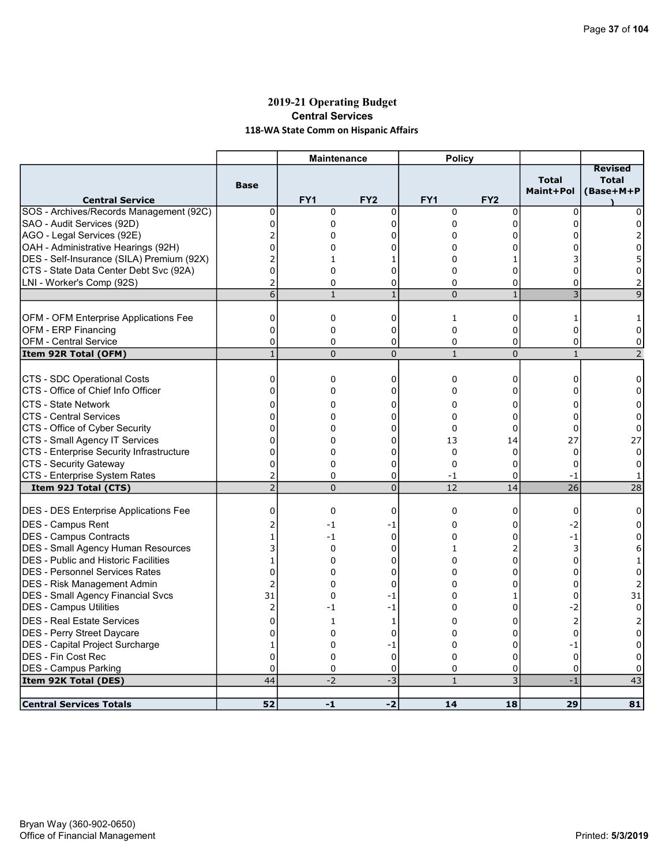# 2019-21 Operating Budget Central Services 118-WA State Comm on Hispanic Affairs

| <b>Total</b><br><b>Total</b><br><b>Base</b><br>Maint+Pol<br>(Base+M+P<br>FY <sub>1</sub><br>FY <sub>2</sub><br>FY <sub>1</sub><br>FY <sub>2</sub><br><b>Central Service</b><br>SOS - Archives/Records Management (92C)<br>0<br>0<br>0<br>0<br>$\mathbf 0$<br>$\mathbf 0$<br>0<br>$\mathbf{0}$<br>0<br>$\Omega$<br>$\Omega$<br>$\mathbf 0$<br>$\Omega$<br>0<br>2<br>0<br>0<br>0<br>0<br>2<br>0<br>0<br>0<br>O<br>ი<br>0<br>$\overline{2}$<br>0<br>1<br>1<br>0<br>0<br>$\Omega$<br>0<br>0<br>o<br>0<br>2<br>0<br>0<br>0<br>0<br>$\Omega$<br>2<br>$\overline{3}$<br>$\overline{6}$<br>$\mathbf{1}$<br>$\Omega$<br>$\mathbf{1}$<br>$\mathsf{q}$<br>$\mathbf{1}$<br>OFM - OFM Enterprise Applications Fee<br>0<br>0<br>0<br>1<br>0<br>-1<br><b>OFM - ERP Financing</b><br>$\mathbf{0}$<br>$\overline{0}$<br>$\mathbf 0$<br>0<br>$\Omega$<br>$\Omega$<br>0<br>0<br><b>OFM - Central Service</b><br>0<br>0<br>0<br>0<br>0<br>0<br>$\overline{1}$<br>$\overline{0}$<br>$\mathbf{1}$<br>$\overline{0}$<br>$\overline{2}$<br>$\Omega$<br>$\mathbf{1}$<br>Item 92R Total (OFM)<br>CTS - SDC Operational Costs<br>$\mathbf 0$<br>0<br>0<br>0<br>0<br>0<br>0<br>CTS - Office of Chief Info Officer<br>0<br>0<br>$\Omega$<br>0<br>0<br>$\Omega$<br>0<br><b>CTS - State Network</b><br>0<br>0<br>0<br>0<br>0<br>0<br>0<br><b>CTS - Central Services</b><br>0<br>$\Omega$<br>$\Omega$<br>0<br>0<br>$\Omega$<br>0<br>CTS - Office of Cyber Security<br>0<br>0<br>0<br>0<br>0<br>0<br>0<br>CTS - Small Agency IT Services<br>$\Omega$<br>13<br>27<br>27<br>0<br>0<br>14<br>CTS - Enterprise Security Infrastructure<br>$\overline{0}$<br>0<br>$\mathbf 0$<br>0<br>$\mathbf 0$<br>0<br>$\Omega$<br>0<br>CTS - Security Gateway<br>0<br>$\Omega$<br>0<br>0<br>$\Omega$<br>0<br>2<br>CTS - Enterprise System Rates<br>$\Omega$<br>0<br>$-1$<br>0<br>-1<br>$\overline{2}$<br>$\overline{0}$<br>$\overline{26}$<br>$\overline{28}$<br>12<br>14<br>Item 92J Total (CTS)<br>$\Omega$<br><b>DES - DES Enterprise Applications Fee</b><br>0<br>0<br>$\mathbf 0$<br>$\mathbf 0$<br>0<br>$\mathbf 0$<br>0<br>DES - Campus Rent<br>2<br>0<br>-2<br>-1<br>0<br>-1<br>0<br>DES - Campus Contracts<br>$\mathbf{1}$<br>$\mathbf 0$<br>$-1$<br>$-1$<br>0<br>0<br>0<br>DES - Small Agency Human Resources<br>3<br>2<br>3<br>0<br>0<br>1<br>6<br><b>IDES - Public and Historic Facilities</b><br>$\mathbf{1}$<br>0<br>0<br>0<br>0<br>$\Omega$<br>$\mathbf{1}$<br>$\mathbf 0$<br><b>DES - Personnel Services Rates</b><br>0<br>0<br>$\Omega$<br>0<br>0<br><sup>0</sup><br>$\overline{2}$<br>DES - Risk Management Admin<br>0<br>0<br>0<br>0<br>$\overline{2}$<br>0<br>DES - Small Agency Financial Svcs<br>31<br>31<br>0<br>0<br>-1<br>0<br>1<br>DES - Campus Utilities<br>2<br>0<br>-2<br>$\mathbf 0$<br>$-1$<br>0<br>-1<br><b>IDES - Real Estate Services</b><br>$\overline{2}$<br>$\Omega$<br>$\mathbf{1}$<br>0<br>0<br>2<br>1<br>DES - Perry Street Daycare<br>0<br>$\Omega$<br>$\Omega$<br>0<br>0<br>0<br>$\Omega$<br><b>DES</b> - Capital Project Surcharge<br>$\Omega$<br>0<br>1<br>0<br>-1<br>-1<br>0<br><b>DES - Fin Cost Rec</b><br>$\Omega$<br>$\mathbf 0$<br>$\mathbf 0$<br>0<br>$\Omega$<br>0<br>0<br><b>DES - Campus Parking</b><br>$\mathbf{0}$<br>0<br>0<br>0<br>0<br>$\Omega$<br>$\Omega$<br>$-2$<br>$-3$<br>3<br>43<br>Item 92K Total (DES)<br>44<br>$\mathbf{1}$<br>$-1$<br>52<br>$-1$<br>$-2$<br>14<br>18<br>29<br>81 |                                           | <b>Maintenance</b> | <b>Policy</b> |  |                |
|-----------------------------------------------------------------------------------------------------------------------------------------------------------------------------------------------------------------------------------------------------------------------------------------------------------------------------------------------------------------------------------------------------------------------------------------------------------------------------------------------------------------------------------------------------------------------------------------------------------------------------------------------------------------------------------------------------------------------------------------------------------------------------------------------------------------------------------------------------------------------------------------------------------------------------------------------------------------------------------------------------------------------------------------------------------------------------------------------------------------------------------------------------------------------------------------------------------------------------------------------------------------------------------------------------------------------------------------------------------------------------------------------------------------------------------------------------------------------------------------------------------------------------------------------------------------------------------------------------------------------------------------------------------------------------------------------------------------------------------------------------------------------------------------------------------------------------------------------------------------------------------------------------------------------------------------------------------------------------------------------------------------------------------------------------------------------------------------------------------------------------------------------------------------------------------------------------------------------------------------------------------------------------------------------------------------------------------------------------------------------------------------------------------------------------------------------------------------------------------------------------------------------------------------------------------------------------------------------------------------------------------------------------------------------------------------------------------------------------------------------------------------------------------------------------------------------------------------------------------------------------------------------------------------------------------------------------------------------------------------------------------------------------------------------------------------------------------------------------------------------------------------------------------------------------------------------------------------------------------------------------------------------------------------------------------------------------------------------------------------------------------------------------|-------------------------------------------|--------------------|---------------|--|----------------|
|                                                                                                                                                                                                                                                                                                                                                                                                                                                                                                                                                                                                                                                                                                                                                                                                                                                                                                                                                                                                                                                                                                                                                                                                                                                                                                                                                                                                                                                                                                                                                                                                                                                                                                                                                                                                                                                                                                                                                                                                                                                                                                                                                                                                                                                                                                                                                                                                                                                                                                                                                                                                                                                                                                                                                                                                                                                                                                                                                                                                                                                                                                                                                                                                                                                                                                                                                                                                     |                                           |                    |               |  | <b>Revised</b> |
|                                                                                                                                                                                                                                                                                                                                                                                                                                                                                                                                                                                                                                                                                                                                                                                                                                                                                                                                                                                                                                                                                                                                                                                                                                                                                                                                                                                                                                                                                                                                                                                                                                                                                                                                                                                                                                                                                                                                                                                                                                                                                                                                                                                                                                                                                                                                                                                                                                                                                                                                                                                                                                                                                                                                                                                                                                                                                                                                                                                                                                                                                                                                                                                                                                                                                                                                                                                                     |                                           |                    |               |  |                |
|                                                                                                                                                                                                                                                                                                                                                                                                                                                                                                                                                                                                                                                                                                                                                                                                                                                                                                                                                                                                                                                                                                                                                                                                                                                                                                                                                                                                                                                                                                                                                                                                                                                                                                                                                                                                                                                                                                                                                                                                                                                                                                                                                                                                                                                                                                                                                                                                                                                                                                                                                                                                                                                                                                                                                                                                                                                                                                                                                                                                                                                                                                                                                                                                                                                                                                                                                                                                     | SAO - Audit Services (92D)                |                    |               |  |                |
|                                                                                                                                                                                                                                                                                                                                                                                                                                                                                                                                                                                                                                                                                                                                                                                                                                                                                                                                                                                                                                                                                                                                                                                                                                                                                                                                                                                                                                                                                                                                                                                                                                                                                                                                                                                                                                                                                                                                                                                                                                                                                                                                                                                                                                                                                                                                                                                                                                                                                                                                                                                                                                                                                                                                                                                                                                                                                                                                                                                                                                                                                                                                                                                                                                                                                                                                                                                                     | AGO - Legal Services (92E)                |                    |               |  |                |
|                                                                                                                                                                                                                                                                                                                                                                                                                                                                                                                                                                                                                                                                                                                                                                                                                                                                                                                                                                                                                                                                                                                                                                                                                                                                                                                                                                                                                                                                                                                                                                                                                                                                                                                                                                                                                                                                                                                                                                                                                                                                                                                                                                                                                                                                                                                                                                                                                                                                                                                                                                                                                                                                                                                                                                                                                                                                                                                                                                                                                                                                                                                                                                                                                                                                                                                                                                                                     | OAH - Administrative Hearings (92H)       |                    |               |  |                |
|                                                                                                                                                                                                                                                                                                                                                                                                                                                                                                                                                                                                                                                                                                                                                                                                                                                                                                                                                                                                                                                                                                                                                                                                                                                                                                                                                                                                                                                                                                                                                                                                                                                                                                                                                                                                                                                                                                                                                                                                                                                                                                                                                                                                                                                                                                                                                                                                                                                                                                                                                                                                                                                                                                                                                                                                                                                                                                                                                                                                                                                                                                                                                                                                                                                                                                                                                                                                     | DES - Self-Insurance (SILA) Premium (92X) |                    |               |  |                |
|                                                                                                                                                                                                                                                                                                                                                                                                                                                                                                                                                                                                                                                                                                                                                                                                                                                                                                                                                                                                                                                                                                                                                                                                                                                                                                                                                                                                                                                                                                                                                                                                                                                                                                                                                                                                                                                                                                                                                                                                                                                                                                                                                                                                                                                                                                                                                                                                                                                                                                                                                                                                                                                                                                                                                                                                                                                                                                                                                                                                                                                                                                                                                                                                                                                                                                                                                                                                     | CTS - State Data Center Debt Svc (92A)    |                    |               |  |                |
|                                                                                                                                                                                                                                                                                                                                                                                                                                                                                                                                                                                                                                                                                                                                                                                                                                                                                                                                                                                                                                                                                                                                                                                                                                                                                                                                                                                                                                                                                                                                                                                                                                                                                                                                                                                                                                                                                                                                                                                                                                                                                                                                                                                                                                                                                                                                                                                                                                                                                                                                                                                                                                                                                                                                                                                                                                                                                                                                                                                                                                                                                                                                                                                                                                                                                                                                                                                                     | LNI - Worker's Comp (92S)                 |                    |               |  |                |
|                                                                                                                                                                                                                                                                                                                                                                                                                                                                                                                                                                                                                                                                                                                                                                                                                                                                                                                                                                                                                                                                                                                                                                                                                                                                                                                                                                                                                                                                                                                                                                                                                                                                                                                                                                                                                                                                                                                                                                                                                                                                                                                                                                                                                                                                                                                                                                                                                                                                                                                                                                                                                                                                                                                                                                                                                                                                                                                                                                                                                                                                                                                                                                                                                                                                                                                                                                                                     |                                           |                    |               |  |                |
|                                                                                                                                                                                                                                                                                                                                                                                                                                                                                                                                                                                                                                                                                                                                                                                                                                                                                                                                                                                                                                                                                                                                                                                                                                                                                                                                                                                                                                                                                                                                                                                                                                                                                                                                                                                                                                                                                                                                                                                                                                                                                                                                                                                                                                                                                                                                                                                                                                                                                                                                                                                                                                                                                                                                                                                                                                                                                                                                                                                                                                                                                                                                                                                                                                                                                                                                                                                                     |                                           |                    |               |  |                |
|                                                                                                                                                                                                                                                                                                                                                                                                                                                                                                                                                                                                                                                                                                                                                                                                                                                                                                                                                                                                                                                                                                                                                                                                                                                                                                                                                                                                                                                                                                                                                                                                                                                                                                                                                                                                                                                                                                                                                                                                                                                                                                                                                                                                                                                                                                                                                                                                                                                                                                                                                                                                                                                                                                                                                                                                                                                                                                                                                                                                                                                                                                                                                                                                                                                                                                                                                                                                     |                                           |                    |               |  |                |
|                                                                                                                                                                                                                                                                                                                                                                                                                                                                                                                                                                                                                                                                                                                                                                                                                                                                                                                                                                                                                                                                                                                                                                                                                                                                                                                                                                                                                                                                                                                                                                                                                                                                                                                                                                                                                                                                                                                                                                                                                                                                                                                                                                                                                                                                                                                                                                                                                                                                                                                                                                                                                                                                                                                                                                                                                                                                                                                                                                                                                                                                                                                                                                                                                                                                                                                                                                                                     |                                           |                    |               |  |                |
|                                                                                                                                                                                                                                                                                                                                                                                                                                                                                                                                                                                                                                                                                                                                                                                                                                                                                                                                                                                                                                                                                                                                                                                                                                                                                                                                                                                                                                                                                                                                                                                                                                                                                                                                                                                                                                                                                                                                                                                                                                                                                                                                                                                                                                                                                                                                                                                                                                                                                                                                                                                                                                                                                                                                                                                                                                                                                                                                                                                                                                                                                                                                                                                                                                                                                                                                                                                                     |                                           |                    |               |  |                |
|                                                                                                                                                                                                                                                                                                                                                                                                                                                                                                                                                                                                                                                                                                                                                                                                                                                                                                                                                                                                                                                                                                                                                                                                                                                                                                                                                                                                                                                                                                                                                                                                                                                                                                                                                                                                                                                                                                                                                                                                                                                                                                                                                                                                                                                                                                                                                                                                                                                                                                                                                                                                                                                                                                                                                                                                                                                                                                                                                                                                                                                                                                                                                                                                                                                                                                                                                                                                     |                                           |                    |               |  |                |
|                                                                                                                                                                                                                                                                                                                                                                                                                                                                                                                                                                                                                                                                                                                                                                                                                                                                                                                                                                                                                                                                                                                                                                                                                                                                                                                                                                                                                                                                                                                                                                                                                                                                                                                                                                                                                                                                                                                                                                                                                                                                                                                                                                                                                                                                                                                                                                                                                                                                                                                                                                                                                                                                                                                                                                                                                                                                                                                                                                                                                                                                                                                                                                                                                                                                                                                                                                                                     |                                           |                    |               |  |                |
|                                                                                                                                                                                                                                                                                                                                                                                                                                                                                                                                                                                                                                                                                                                                                                                                                                                                                                                                                                                                                                                                                                                                                                                                                                                                                                                                                                                                                                                                                                                                                                                                                                                                                                                                                                                                                                                                                                                                                                                                                                                                                                                                                                                                                                                                                                                                                                                                                                                                                                                                                                                                                                                                                                                                                                                                                                                                                                                                                                                                                                                                                                                                                                                                                                                                                                                                                                                                     |                                           |                    |               |  |                |
|                                                                                                                                                                                                                                                                                                                                                                                                                                                                                                                                                                                                                                                                                                                                                                                                                                                                                                                                                                                                                                                                                                                                                                                                                                                                                                                                                                                                                                                                                                                                                                                                                                                                                                                                                                                                                                                                                                                                                                                                                                                                                                                                                                                                                                                                                                                                                                                                                                                                                                                                                                                                                                                                                                                                                                                                                                                                                                                                                                                                                                                                                                                                                                                                                                                                                                                                                                                                     |                                           |                    |               |  |                |
|                                                                                                                                                                                                                                                                                                                                                                                                                                                                                                                                                                                                                                                                                                                                                                                                                                                                                                                                                                                                                                                                                                                                                                                                                                                                                                                                                                                                                                                                                                                                                                                                                                                                                                                                                                                                                                                                                                                                                                                                                                                                                                                                                                                                                                                                                                                                                                                                                                                                                                                                                                                                                                                                                                                                                                                                                                                                                                                                                                                                                                                                                                                                                                                                                                                                                                                                                                                                     |                                           |                    |               |  |                |
|                                                                                                                                                                                                                                                                                                                                                                                                                                                                                                                                                                                                                                                                                                                                                                                                                                                                                                                                                                                                                                                                                                                                                                                                                                                                                                                                                                                                                                                                                                                                                                                                                                                                                                                                                                                                                                                                                                                                                                                                                                                                                                                                                                                                                                                                                                                                                                                                                                                                                                                                                                                                                                                                                                                                                                                                                                                                                                                                                                                                                                                                                                                                                                                                                                                                                                                                                                                                     |                                           |                    |               |  |                |
|                                                                                                                                                                                                                                                                                                                                                                                                                                                                                                                                                                                                                                                                                                                                                                                                                                                                                                                                                                                                                                                                                                                                                                                                                                                                                                                                                                                                                                                                                                                                                                                                                                                                                                                                                                                                                                                                                                                                                                                                                                                                                                                                                                                                                                                                                                                                                                                                                                                                                                                                                                                                                                                                                                                                                                                                                                                                                                                                                                                                                                                                                                                                                                                                                                                                                                                                                                                                     |                                           |                    |               |  |                |
|                                                                                                                                                                                                                                                                                                                                                                                                                                                                                                                                                                                                                                                                                                                                                                                                                                                                                                                                                                                                                                                                                                                                                                                                                                                                                                                                                                                                                                                                                                                                                                                                                                                                                                                                                                                                                                                                                                                                                                                                                                                                                                                                                                                                                                                                                                                                                                                                                                                                                                                                                                                                                                                                                                                                                                                                                                                                                                                                                                                                                                                                                                                                                                                                                                                                                                                                                                                                     |                                           |                    |               |  |                |
|                                                                                                                                                                                                                                                                                                                                                                                                                                                                                                                                                                                                                                                                                                                                                                                                                                                                                                                                                                                                                                                                                                                                                                                                                                                                                                                                                                                                                                                                                                                                                                                                                                                                                                                                                                                                                                                                                                                                                                                                                                                                                                                                                                                                                                                                                                                                                                                                                                                                                                                                                                                                                                                                                                                                                                                                                                                                                                                                                                                                                                                                                                                                                                                                                                                                                                                                                                                                     |                                           |                    |               |  |                |
|                                                                                                                                                                                                                                                                                                                                                                                                                                                                                                                                                                                                                                                                                                                                                                                                                                                                                                                                                                                                                                                                                                                                                                                                                                                                                                                                                                                                                                                                                                                                                                                                                                                                                                                                                                                                                                                                                                                                                                                                                                                                                                                                                                                                                                                                                                                                                                                                                                                                                                                                                                                                                                                                                                                                                                                                                                                                                                                                                                                                                                                                                                                                                                                                                                                                                                                                                                                                     |                                           |                    |               |  |                |
|                                                                                                                                                                                                                                                                                                                                                                                                                                                                                                                                                                                                                                                                                                                                                                                                                                                                                                                                                                                                                                                                                                                                                                                                                                                                                                                                                                                                                                                                                                                                                                                                                                                                                                                                                                                                                                                                                                                                                                                                                                                                                                                                                                                                                                                                                                                                                                                                                                                                                                                                                                                                                                                                                                                                                                                                                                                                                                                                                                                                                                                                                                                                                                                                                                                                                                                                                                                                     |                                           |                    |               |  |                |
|                                                                                                                                                                                                                                                                                                                                                                                                                                                                                                                                                                                                                                                                                                                                                                                                                                                                                                                                                                                                                                                                                                                                                                                                                                                                                                                                                                                                                                                                                                                                                                                                                                                                                                                                                                                                                                                                                                                                                                                                                                                                                                                                                                                                                                                                                                                                                                                                                                                                                                                                                                                                                                                                                                                                                                                                                                                                                                                                                                                                                                                                                                                                                                                                                                                                                                                                                                                                     |                                           |                    |               |  |                |
|                                                                                                                                                                                                                                                                                                                                                                                                                                                                                                                                                                                                                                                                                                                                                                                                                                                                                                                                                                                                                                                                                                                                                                                                                                                                                                                                                                                                                                                                                                                                                                                                                                                                                                                                                                                                                                                                                                                                                                                                                                                                                                                                                                                                                                                                                                                                                                                                                                                                                                                                                                                                                                                                                                                                                                                                                                                                                                                                                                                                                                                                                                                                                                                                                                                                                                                                                                                                     |                                           |                    |               |  |                |
|                                                                                                                                                                                                                                                                                                                                                                                                                                                                                                                                                                                                                                                                                                                                                                                                                                                                                                                                                                                                                                                                                                                                                                                                                                                                                                                                                                                                                                                                                                                                                                                                                                                                                                                                                                                                                                                                                                                                                                                                                                                                                                                                                                                                                                                                                                                                                                                                                                                                                                                                                                                                                                                                                                                                                                                                                                                                                                                                                                                                                                                                                                                                                                                                                                                                                                                                                                                                     |                                           |                    |               |  |                |
|                                                                                                                                                                                                                                                                                                                                                                                                                                                                                                                                                                                                                                                                                                                                                                                                                                                                                                                                                                                                                                                                                                                                                                                                                                                                                                                                                                                                                                                                                                                                                                                                                                                                                                                                                                                                                                                                                                                                                                                                                                                                                                                                                                                                                                                                                                                                                                                                                                                                                                                                                                                                                                                                                                                                                                                                                                                                                                                                                                                                                                                                                                                                                                                                                                                                                                                                                                                                     |                                           |                    |               |  |                |
|                                                                                                                                                                                                                                                                                                                                                                                                                                                                                                                                                                                                                                                                                                                                                                                                                                                                                                                                                                                                                                                                                                                                                                                                                                                                                                                                                                                                                                                                                                                                                                                                                                                                                                                                                                                                                                                                                                                                                                                                                                                                                                                                                                                                                                                                                                                                                                                                                                                                                                                                                                                                                                                                                                                                                                                                                                                                                                                                                                                                                                                                                                                                                                                                                                                                                                                                                                                                     |                                           |                    |               |  |                |
|                                                                                                                                                                                                                                                                                                                                                                                                                                                                                                                                                                                                                                                                                                                                                                                                                                                                                                                                                                                                                                                                                                                                                                                                                                                                                                                                                                                                                                                                                                                                                                                                                                                                                                                                                                                                                                                                                                                                                                                                                                                                                                                                                                                                                                                                                                                                                                                                                                                                                                                                                                                                                                                                                                                                                                                                                                                                                                                                                                                                                                                                                                                                                                                                                                                                                                                                                                                                     |                                           |                    |               |  |                |
|                                                                                                                                                                                                                                                                                                                                                                                                                                                                                                                                                                                                                                                                                                                                                                                                                                                                                                                                                                                                                                                                                                                                                                                                                                                                                                                                                                                                                                                                                                                                                                                                                                                                                                                                                                                                                                                                                                                                                                                                                                                                                                                                                                                                                                                                                                                                                                                                                                                                                                                                                                                                                                                                                                                                                                                                                                                                                                                                                                                                                                                                                                                                                                                                                                                                                                                                                                                                     |                                           |                    |               |  |                |
|                                                                                                                                                                                                                                                                                                                                                                                                                                                                                                                                                                                                                                                                                                                                                                                                                                                                                                                                                                                                                                                                                                                                                                                                                                                                                                                                                                                                                                                                                                                                                                                                                                                                                                                                                                                                                                                                                                                                                                                                                                                                                                                                                                                                                                                                                                                                                                                                                                                                                                                                                                                                                                                                                                                                                                                                                                                                                                                                                                                                                                                                                                                                                                                                                                                                                                                                                                                                     |                                           |                    |               |  |                |
|                                                                                                                                                                                                                                                                                                                                                                                                                                                                                                                                                                                                                                                                                                                                                                                                                                                                                                                                                                                                                                                                                                                                                                                                                                                                                                                                                                                                                                                                                                                                                                                                                                                                                                                                                                                                                                                                                                                                                                                                                                                                                                                                                                                                                                                                                                                                                                                                                                                                                                                                                                                                                                                                                                                                                                                                                                                                                                                                                                                                                                                                                                                                                                                                                                                                                                                                                                                                     |                                           |                    |               |  |                |
|                                                                                                                                                                                                                                                                                                                                                                                                                                                                                                                                                                                                                                                                                                                                                                                                                                                                                                                                                                                                                                                                                                                                                                                                                                                                                                                                                                                                                                                                                                                                                                                                                                                                                                                                                                                                                                                                                                                                                                                                                                                                                                                                                                                                                                                                                                                                                                                                                                                                                                                                                                                                                                                                                                                                                                                                                                                                                                                                                                                                                                                                                                                                                                                                                                                                                                                                                                                                     |                                           |                    |               |  |                |
|                                                                                                                                                                                                                                                                                                                                                                                                                                                                                                                                                                                                                                                                                                                                                                                                                                                                                                                                                                                                                                                                                                                                                                                                                                                                                                                                                                                                                                                                                                                                                                                                                                                                                                                                                                                                                                                                                                                                                                                                                                                                                                                                                                                                                                                                                                                                                                                                                                                                                                                                                                                                                                                                                                                                                                                                                                                                                                                                                                                                                                                                                                                                                                                                                                                                                                                                                                                                     |                                           |                    |               |  |                |
|                                                                                                                                                                                                                                                                                                                                                                                                                                                                                                                                                                                                                                                                                                                                                                                                                                                                                                                                                                                                                                                                                                                                                                                                                                                                                                                                                                                                                                                                                                                                                                                                                                                                                                                                                                                                                                                                                                                                                                                                                                                                                                                                                                                                                                                                                                                                                                                                                                                                                                                                                                                                                                                                                                                                                                                                                                                                                                                                                                                                                                                                                                                                                                                                                                                                                                                                                                                                     |                                           |                    |               |  |                |
|                                                                                                                                                                                                                                                                                                                                                                                                                                                                                                                                                                                                                                                                                                                                                                                                                                                                                                                                                                                                                                                                                                                                                                                                                                                                                                                                                                                                                                                                                                                                                                                                                                                                                                                                                                                                                                                                                                                                                                                                                                                                                                                                                                                                                                                                                                                                                                                                                                                                                                                                                                                                                                                                                                                                                                                                                                                                                                                                                                                                                                                                                                                                                                                                                                                                                                                                                                                                     |                                           |                    |               |  |                |
|                                                                                                                                                                                                                                                                                                                                                                                                                                                                                                                                                                                                                                                                                                                                                                                                                                                                                                                                                                                                                                                                                                                                                                                                                                                                                                                                                                                                                                                                                                                                                                                                                                                                                                                                                                                                                                                                                                                                                                                                                                                                                                                                                                                                                                                                                                                                                                                                                                                                                                                                                                                                                                                                                                                                                                                                                                                                                                                                                                                                                                                                                                                                                                                                                                                                                                                                                                                                     |                                           |                    |               |  |                |
|                                                                                                                                                                                                                                                                                                                                                                                                                                                                                                                                                                                                                                                                                                                                                                                                                                                                                                                                                                                                                                                                                                                                                                                                                                                                                                                                                                                                                                                                                                                                                                                                                                                                                                                                                                                                                                                                                                                                                                                                                                                                                                                                                                                                                                                                                                                                                                                                                                                                                                                                                                                                                                                                                                                                                                                                                                                                                                                                                                                                                                                                                                                                                                                                                                                                                                                                                                                                     |                                           |                    |               |  |                |
|                                                                                                                                                                                                                                                                                                                                                                                                                                                                                                                                                                                                                                                                                                                                                                                                                                                                                                                                                                                                                                                                                                                                                                                                                                                                                                                                                                                                                                                                                                                                                                                                                                                                                                                                                                                                                                                                                                                                                                                                                                                                                                                                                                                                                                                                                                                                                                                                                                                                                                                                                                                                                                                                                                                                                                                                                                                                                                                                                                                                                                                                                                                                                                                                                                                                                                                                                                                                     |                                           |                    |               |  |                |
|                                                                                                                                                                                                                                                                                                                                                                                                                                                                                                                                                                                                                                                                                                                                                                                                                                                                                                                                                                                                                                                                                                                                                                                                                                                                                                                                                                                                                                                                                                                                                                                                                                                                                                                                                                                                                                                                                                                                                                                                                                                                                                                                                                                                                                                                                                                                                                                                                                                                                                                                                                                                                                                                                                                                                                                                                                                                                                                                                                                                                                                                                                                                                                                                                                                                                                                                                                                                     |                                           |                    |               |  |                |
|                                                                                                                                                                                                                                                                                                                                                                                                                                                                                                                                                                                                                                                                                                                                                                                                                                                                                                                                                                                                                                                                                                                                                                                                                                                                                                                                                                                                                                                                                                                                                                                                                                                                                                                                                                                                                                                                                                                                                                                                                                                                                                                                                                                                                                                                                                                                                                                                                                                                                                                                                                                                                                                                                                                                                                                                                                                                                                                                                                                                                                                                                                                                                                                                                                                                                                                                                                                                     | <b>Central Services Totals</b>            |                    |               |  |                |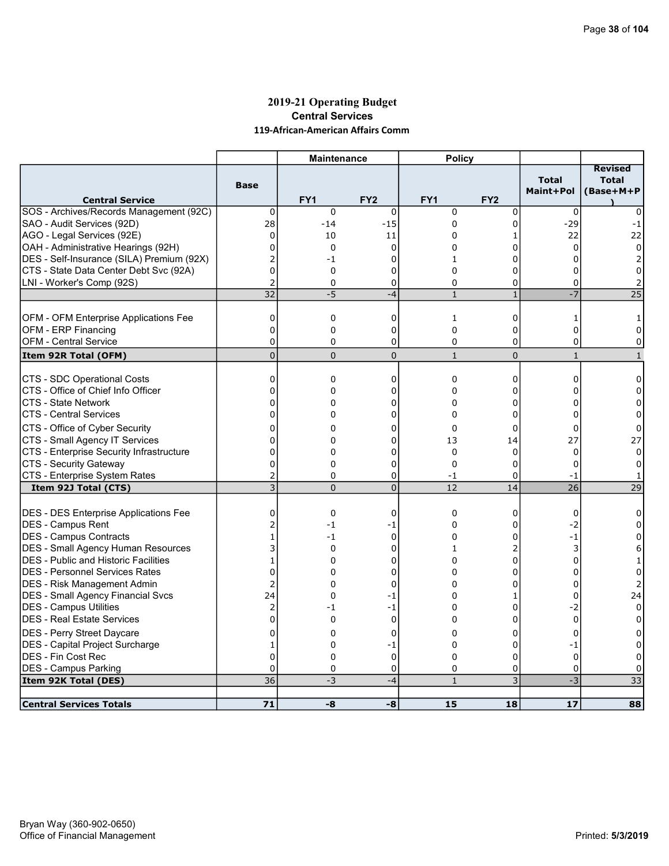### 2019-21 Operating Budget Central Services 119-African-American Affairs Comm

|                                              |                 | <b>Maintenance</b> |                 | <b>Policy</b>   |                 |                           |                                             |
|----------------------------------------------|-----------------|--------------------|-----------------|-----------------|-----------------|---------------------------|---------------------------------------------|
| <b>Central Service</b>                       | <b>Base</b>     | FY <sub>1</sub>    | FY <sub>2</sub> | FY <sub>1</sub> | FY <sub>2</sub> | <b>Total</b><br>Maint+Pol | <b>Revised</b><br><b>Total</b><br>(Base+M+P |
| SOS - Archives/Records Management (92C)      | $\mathbf 0$     | $\mathbf 0$        | $\mathbf 0$     | 0               | 0               | 0                         | 0                                           |
| SAO - Audit Services (92D)                   | 28              | $-14$              | $-15$           | 0               | 0               | $-29$                     | $-1$                                        |
| AGO - Legal Services (92E)                   | 0               | 10                 | 11              | 0               | 1               | 22                        | 22                                          |
| OAH - Administrative Hearings (92H)          | $\Omega$        | 0                  | 0               | 0               | 0               | $\Omega$                  | 0                                           |
| DES - Self-Insurance (SILA) Premium (92X)    | 2               | -1                 | $\Omega$        | 1               | 0               | O                         | 2                                           |
| CTS - State Data Center Debt Svc (92A)       | $\overline{0}$  | 0                  | 0               | $\Omega$        | 0               | 0                         | $\Omega$                                    |
| LNI - Worker's Comp (92S)                    | 2               | 0                  | 0               | 0               | 0               | 0                         | 2                                           |
|                                              | $\overline{32}$ | $-5$               | $-4$            | $\mathbf{1}$    | $\mathbf{1}$    | $-7$                      | 25                                          |
|                                              |                 |                    |                 |                 |                 |                           |                                             |
| OFM - OFM Enterprise Applications Fee        | $\mathbf 0$     | 0                  | $\mathbf 0$     | $\mathbf{1}$    | 0               | $\mathbf{1}$              | 1                                           |
| OFM - ERP Financing                          | $\mathbf 0$     | 0                  | 0               | 0               | 0               | 0                         | 0                                           |
| <b>OFM - Central Service</b>                 | $\mathbf{0}$    | 0                  | 0               | $\Omega$        | 0               | 0                         | 0                                           |
| Item 92R Total (OFM)                         | $\overline{0}$  | $\Omega$           | $\mathbf 0$     | $\mathbf{1}$    | $\overline{0}$  | $\mathbf{1}$              | $\mathbf{1}$                                |
|                                              |                 |                    |                 |                 |                 |                           |                                             |
| CTS - SDC Operational Costs                  | $\mathbf 0$     | 0                  | 0               | $\mathbf 0$     | 0               | 0                         | 0                                           |
| CTS - Office of Chief Info Officer           | 0               | 0                  | 0               | $\Omega$        | 0               | $\Omega$                  | $\Omega$                                    |
| <b>CTS - State Network</b>                   | $\mathbf{0}$    | 0                  | $\mathbf 0$     | 0               | 0               | $\Omega$                  | $\Omega$                                    |
| <b>CTS - Central Services</b>                | $\mathbf{0}$    | 0                  | 0               | $\Omega$        | 0               | $\Omega$                  | $\Omega$                                    |
| CTS - Office of Cyber Security               | 0               | 0                  | 0               | $\Omega$        | 0               | $\Omega$                  | 0                                           |
| CTS - Small Agency IT Services               | $\mathbf{0}$    | 0                  | 0               | 13              | 14              | 27                        | 27                                          |
| CTS - Enterprise Security Infrastructure     | 0               | 0                  | 0               | $\mathbf 0$     | $\Omega$        | $\mathbf 0$               | $\Omega$                                    |
| CTS - Security Gateway                       | 0               | 0                  | 0               | $\mathbf 0$     | 0               | 0                         | 0                                           |
| CTS - Enterprise System Rates                | $\overline{2}$  | $\Omega$           | $\mathbf 0$     | $-1$            | 0               | $-1$                      |                                             |
| Item 92J Total (CTS)                         | 3               | $\Omega$           | $\overline{0}$  | 12              | 14              | $\overline{26}$           | 29                                          |
|                                              |                 |                    |                 |                 |                 |                           |                                             |
| <b>DES - DES Enterprise Applications Fee</b> | $\mathbf 0$     | 0                  | $\Omega$        | $\Omega$        | 0               | $\Omega$                  | 0                                           |
| <b>IDES - Campus Rent</b>                    | 2               | -1                 | -1              | 0               | 0               | $-2$                      | 0                                           |
| DES - Campus Contracts                       | $\mathbf{1}$    | $-1$               | $\mathbf{0}$    | 0               | 0               | $-1$                      | $\Omega$                                    |
| DES - Small Agency Human Resources           | 3               | 0                  | 0               | $\mathbf{1}$    | 2               | 3                         | 6                                           |
| <b>DES - Public and Historic Facilities</b>  | $\mathbf{1}$    | $\Omega$           | $\Omega$        | $\Omega$        | 0               | $\Omega$                  | 1                                           |
| DES - Personnel Services Rates               | $\overline{0}$  | 0                  | 0               | 0               | 0               | $\Omega$                  | $\Omega$                                    |
| <b>DES - Risk Management Admin</b>           | 2               | 0                  | $\Omega$        | 0               | 0               | 0                         | 2                                           |
| <b>DES - Small Agency Financial Svcs</b>     | 24              | 0                  | -1              | $\Omega$        | 1               | 0                         | 24                                          |
| <b>DES - Campus Utilities</b>                | 2               | -1                 | -1              | 0               | 0               | -2                        | 0                                           |
| DES - Real Estate Services                   | 0               | $\Omega$           | $\mathbf 0$     | 0               | 0               | $\mathbf 0$               | 0                                           |
| DES - Perry Street Daycare                   | 0               | $\Omega$           | $\mathbf 0$     | $\Omega$        | 0               | $\Omega$                  | 0                                           |
| DES - Capital Project Surcharge              | 1               | 0                  | -1              | 0               | 0               | -1                        | 0                                           |
| <b>DES - Fin Cost Rec</b>                    | $\Omega$        | $\Omega$           | $\mathbf 0$     | $\Omega$        | 0               | $\Omega$                  | $\Omega$                                    |
| <b>DES - Campus Parking</b>                  | 0               | 0                  | 0               | 0               | 0               | $\mathbf 0$               | 0                                           |
| Item 92K Total (DES)                         | 36              | $-3$               | $-4$            | $\mathbf{1}$    | 3               | $-3$                      | $\overline{33}$                             |
|                                              |                 |                    |                 |                 |                 |                           |                                             |
| <b>Central Services Totals</b>               | 71              | -8                 | -8              | 15              | 18              | 17                        | 88                                          |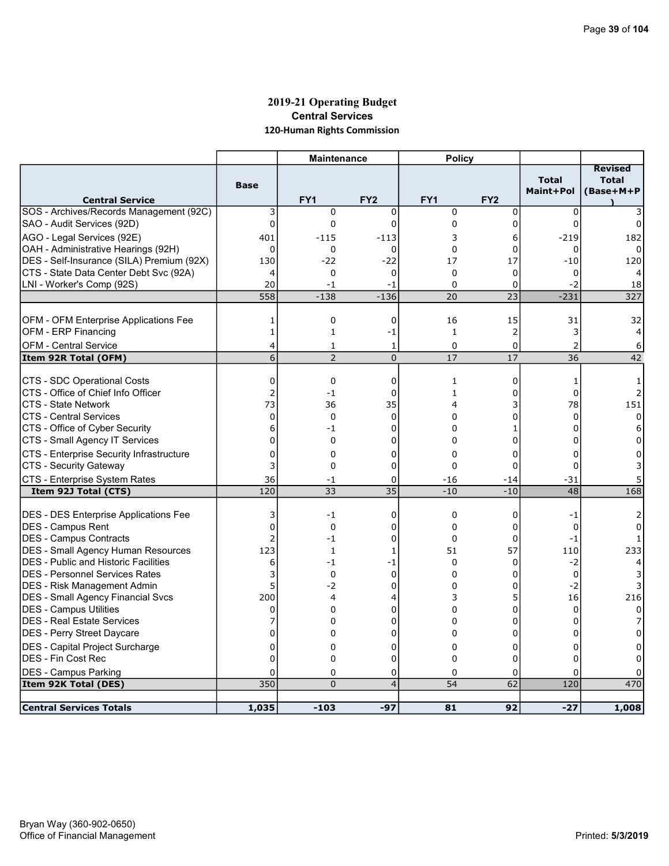# 2019-21 Operating Budget Central Services 120-Human Rights Commission

|                                              |                | <b>Maintenance</b> |                 | <b>Policy</b> |                 |                           |                                             |
|----------------------------------------------|----------------|--------------------|-----------------|---------------|-----------------|---------------------------|---------------------------------------------|
| <b>Central Service</b>                       | <b>Base</b>    | FY <sub>1</sub>    | FY <sub>2</sub> | FY1           | FY <sub>2</sub> | <b>Total</b><br>Maint+Pol | <b>Revised</b><br><b>Total</b><br>(Base+M+P |
| SOS - Archives/Records Management (92C)      | 3              | $\mathbf 0$        | $\mathbf 0$     | $\mathbf 0$   | 0               | $\mathbf 0$               |                                             |
| SAO - Audit Services (92D)                   | $\mathbf 0$    | $\mathbf 0$        | $\mathbf 0$     | $\mathbf 0$   | 0               | $\mathbf 0$               | 0                                           |
| AGO - Legal Services (92E)                   | 401            | $-115$             | $-113$          | 3             | 6               | $-219$                    | 182                                         |
| OAH - Administrative Hearings (92H)          | $\mathbf 0$    | $\mathbf 0$        | 0               | 0             | 0               | 0                         | 0                                           |
| DES - Self-Insurance (SILA) Premium (92X)    | 130            | $-22$              | $-22$           | 17            | 17              | $-10$                     | 120                                         |
| CTS - State Data Center Debt Svc (92A)       | 4              | $\mathbf 0$        | $\Omega$        | $\Omega$      | $\mathbf 0$     | $\Omega$                  |                                             |
| LNI - Worker's Comp (92S)                    | 20             | -1                 | -1              | $\Omega$      | 0               | $-2$                      | 18                                          |
|                                              | 558            | $-138$             | $-136$          | 20            | 23              | $-231$                    | 327                                         |
|                                              |                |                    |                 |               |                 |                           |                                             |
| OFM - OFM Enterprise Applications Fee        | 1              | 0                  | 0               | 16            | 15              | 31                        | 32                                          |
| <b>OFM - ERP Financing</b>                   | $\mathbf 1$    | $\mathbf{1}$       | $-1$            | $\mathbf{1}$  | $\overline{2}$  | 3                         | 4                                           |
| OFM - Central Service                        | 4              | 1                  | 1               | 0             | 0               | $\overline{2}$            | 6                                           |
| Item 92R Total (OFM)                         | 6              | $\overline{2}$     | $\overline{0}$  | 17            | 17              | 36                        | 42                                          |
| CTS - SDC Operational Costs                  | 0              | 0                  | 0               | 1             | 0               | 1                         | -1                                          |
| ICTS - Office of Chief Info Officer          | 2              | $-1$               | 0               | $\mathbf{1}$  | 0               | $\mathbf 0$               | 2                                           |
| <b>ICTS - State Network</b>                  | 73             | 36                 | 35              | 4             | 3               | 78                        | 151                                         |
| <b>CTS - Central Services</b>                | 0              | 0                  | $\Omega$        | $\Omega$      | 0               | $\Omega$                  | $\Omega$                                    |
| CTS - Office of Cyber Security               | 6              | $-1$               | 0               | 0             | 1               | 0                         | 6                                           |
| CTS - Small Agency IT Services               | 0              | $\Omega$           | 0               | $\Omega$      | 0               |                           |                                             |
| CTS - Enterprise Security Infrastructure     | 0              | 0                  | 0               | 0             | 0               | 0                         | 0                                           |
| CTS - Security Gateway                       | 3              | 0                  | 0               | $\mathbf 0$   | 0               | 0                         |                                             |
| CTS - Enterprise System Rates                | 36             | -1                 | 0               | $-16$         | -14             | -31                       |                                             |
| Item 92J Total (CTS)                         | 120            | 33                 | 35              | $-10$         | $-10$           | 48                        | 168                                         |
|                                              |                |                    |                 |               |                 |                           |                                             |
| <b>DES - DES Enterprise Applications Fee</b> | 3              | $-1$               | $\mathbf 0$     | $\mathbf 0$   | 0               | $-1$                      |                                             |
| <b>DES - Campus Rent</b>                     | $\overline{0}$ | $\mathbf 0$        | 0               | 0             | 0               | $\mathbf 0$               | 0                                           |
| <b>IDES - Campus Contracts</b>               | $\overline{a}$ | -1                 | 0               | $\Omega$      | 0               | $-1$                      |                                             |
| DES - Small Agency Human Resources           | 123            | 1                  | 1               | 51            | 57              | 110                       | 233                                         |
| <b>DES - Public and Historic Facilities</b>  | 6              | $-1$               | -1              | $\Omega$      | $\Omega$        | $-2$                      |                                             |
| IDES - Personnel Services Rates              | 3              | $\mathbf 0$        | $\mathbf 0$     | $\Omega$      | 0               | $\mathbf 0$               |                                             |
| DES - Risk Management Admin                  | 5              | -2                 | 0               | 0             | 0               | $-2$                      | 3                                           |
| <b>DES - Small Agency Financial Svcs</b>     | 200            | 4                  | 4               | 3             | 5               | 16                        | 216                                         |
| <b>DES - Campus Utilities</b>                | 0              | 0                  | 0               | 0             | 0               | $\Omega$                  | 0                                           |
| <b>DES - Real Estate Services</b>            | 7              | 0                  | 0               | $\Omega$      | 0               | 0                         |                                             |
| DES - Perry Street Daycare                   | 0              | 0                  | 0               | $\Omega$      | 0               | $\Omega$                  | 0                                           |
| <b>DES</b> - Capital Project Surcharge       | 0              | 0                  | 0               | 0             | 0               | 0                         |                                             |
| IDES - Fin Cost Rec                          | $\Omega$       | $\Omega$           | $\overline{0}$  | $\Omega$      | 0               | 0                         |                                             |
| <b>DES - Campus Parking</b>                  | 0              | $\Omega$           | 0<br>4          | 0             | 0               | 0                         |                                             |
| Item 92K Total (DES)                         | 350            | $\Omega$           |                 | 54            | 62              | 120                       | 470                                         |
| <b>Central Services Totals</b>               | 1,035          | $-103$             | $-97$           | 81            | 92              | $-27$                     | 1,008                                       |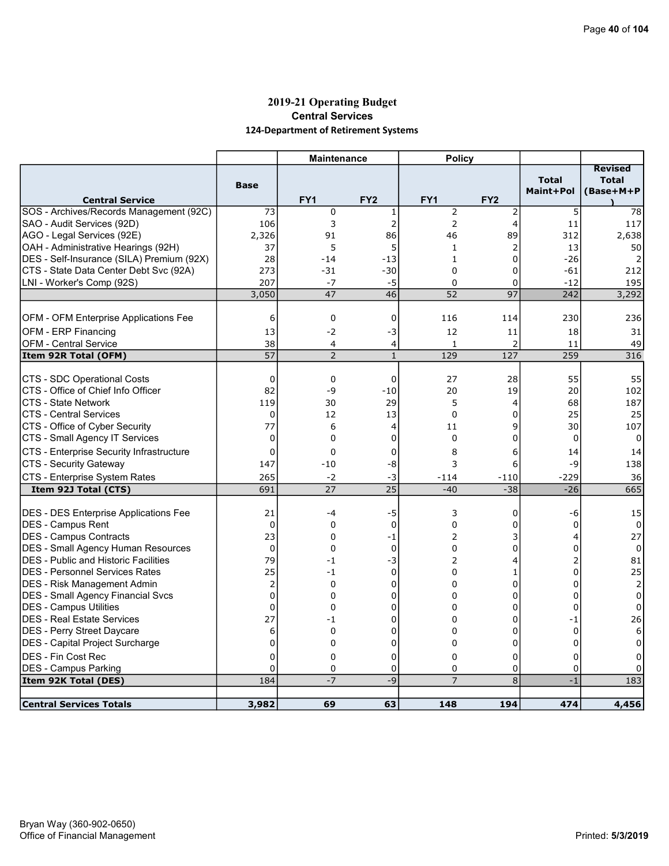# 2019-21 Operating Budget Central Services 124-Department of Retirement Systems

|                                                               |                  | <b>Maintenance</b>  |                 | <b>Policy</b>       |                 |                           |                                             |
|---------------------------------------------------------------|------------------|---------------------|-----------------|---------------------|-----------------|---------------------------|---------------------------------------------|
| <b>Central Service</b>                                        | <b>Base</b>      | FY <sub>1</sub>     | FY <sub>2</sub> | FY <sub>1</sub>     | FY <sub>2</sub> | <b>Total</b><br>Maint+Pol | <b>Revised</b><br><b>Total</b><br>(Base+M+P |
| SOS - Archives/Records Management (92C)                       | 73               | 0                   | 1               | $\overline{2}$      | 2               | 5                         | 78                                          |
| SAO - Audit Services (92D)                                    | 106              | 3                   | $\overline{2}$  | $\overline{2}$      | $\overline{4}$  | 11                        | 117                                         |
| AGO - Legal Services (92E)                                    | 2,326            | 91                  | 86              | 46                  | 89              | 312                       | 2,638                                       |
| OAH - Administrative Hearings (92H)                           | 37               | 5                   | 5               | $\mathbf{1}$        | 2               | 13                        | 50                                          |
| DES - Self-Insurance (SILA) Premium (92X)                     | 28               | $-14$               | $-13$           | $\mathbf{1}$        | $\Omega$        | $-26$                     |                                             |
| CTS - State Data Center Debt Svc (92A)                        | 273              | $-31$               | $-30$           | $\Omega$            | 0               | $-61$                     | 212                                         |
| LNI - Worker's Comp (92S)                                     | 207              | $-7$                | $-5$            | $\mathbf 0$         | 0               | $-12$                     | 195                                         |
|                                                               | 3,050            | 47                  | 46              | 52                  | $\overline{97}$ | 242                       | 3,292                                       |
|                                                               |                  |                     |                 |                     |                 |                           |                                             |
| OFM - OFM Enterprise Applications Fee                         | 6                | 0                   | $\mathbf 0$     | 116                 | 114             | 230                       | 236                                         |
| OFM - ERP Financing                                           | 13               | $-2$                | -3              | 12                  | 11              | 18                        | 31                                          |
| <b>OFM - Central Service</b>                                  | 38<br>57         | 4<br>$\overline{2}$ | 4               | $\mathbf{1}$<br>129 | 2<br>127        | 11<br>259                 | 49<br>316                                   |
| Item 92R Total (OFM)                                          |                  |                     | $1\,$           |                     |                 |                           |                                             |
| CTS - SDC Operational Costs                                   | 0                | 0                   | $\mathbf 0$     | 27                  | 28              | 55                        | 55                                          |
| CTS - Office of Chief Info Officer                            | 82               | -9                  | $-10$           | 20                  | 19              | 20                        | 102                                         |
| <b>CTS - State Network</b>                                    | 119              | 30                  | 29              | 5                   | 4               | 68                        | 187                                         |
| <b>CTS - Central Services</b>                                 | $\mathbf 0$      | 12                  | 13              | $\Omega$            | 0               | 25                        | 25                                          |
| CTS - Office of Cyber Security                                | 77               | 6                   | 4               | 11                  | 9               | 30                        | 107                                         |
| CTS - Small Agency IT Services                                | $\Omega$         | 0                   | $\Omega$        | $\Omega$            | $\Omega$        | $\Omega$                  | $\Omega$                                    |
| <b>CTS - Enterprise Security Infrastructure</b>               | $\mathbf 0$      | 0                   | 0               | 8                   | 6               | 14                        | 14                                          |
| CTS - Security Gateway                                        | 147              | $-10$               | -8              | 3                   | 6               | -9                        | 138                                         |
| CTS - Enterprise System Rates                                 | 265              | $-2$                | -3              | -114                | $-110$          | -229                      | 36                                          |
| Item 92J Total (CTS)                                          | 691              | 27                  | 25              | $-40$               | $-38$           | $-26$                     | 665                                         |
|                                                               |                  |                     |                 |                     |                 |                           |                                             |
| DES - DES Enterprise Applications Fee                         | 21               | -4                  | $-5$            | 3                   | 0               | -6                        | 15                                          |
| <b>DES - Campus Rent</b>                                      | $\mathbf 0$      | 0                   | 0               | 0                   | 0               | 0                         | 0                                           |
| DES - Campus Contracts                                        | 23               | 0                   | $-1$            | 2                   | 3               | 4                         | 27                                          |
| DES - Small Agency Human Resources                            | $\mathbf 0$      | $\Omega$            | $\mathbf 0$     | $\mathbf 0$         | 0               | $\Omega$                  | 0                                           |
| <b>DES</b> - Public and Historic Facilities                   | 79               | $-1$                | $-3$            | 2                   | 4               | 2                         | 81                                          |
| IDES - Personnel Services Rates                               | 25               | $-1$                | $\mathbf 0$     | 0                   | 1               | $\Omega$                  | 25                                          |
| DES - Risk Management Admin                                   | $\overline{2}$   | 0                   | $\Omega$        | 0                   | 0               | $\Omega$                  | $\overline{2}$                              |
| <b>DES - Small Agency Financial Svcs</b>                      | $\Omega$         | $\Omega$            | $\Omega$        | $\Omega$            | $\Omega$        | $\Omega$                  | $\mathbf 0$                                 |
| <b>DES - Campus Utilities</b>                                 | 0                | 0                   | 0               | 0                   | 0               | 0                         | 0                                           |
| DES - Real Estate Services                                    | 27               | $-1$                | 0               | 0                   | 0               | $-1$                      | 26                                          |
| DES - Perry Street Daycare<br>DES - Capital Project Surcharge | 6<br>$\mathbf 0$ | 0<br>0              | 0<br>0          | 0<br>0              | 0<br>0          | $\mathbf 0$<br>$\Omega$   | 6<br>0                                      |
| DES - Fin Cost Rec                                            | $\Omega$         | $\mathbf 0$         | 0               | $\Omega$            | 0               | $\Omega$                  | 0                                           |
| <b>DES - Campus Parking</b>                                   | 0                | 0                   | 0               | 0                   | 0               | $\mathbf 0$               |                                             |
| Item 92K Total (DES)                                          | 184              | $-7$                | $-9$            | $\overline{7}$      | 8               | $-1$                      | 183                                         |
|                                                               |                  |                     |                 |                     |                 |                           |                                             |
| <b>Central Services Totals</b>                                | 3,982            | 69                  | 63              | 148                 | 194             | 474                       | 4,456                                       |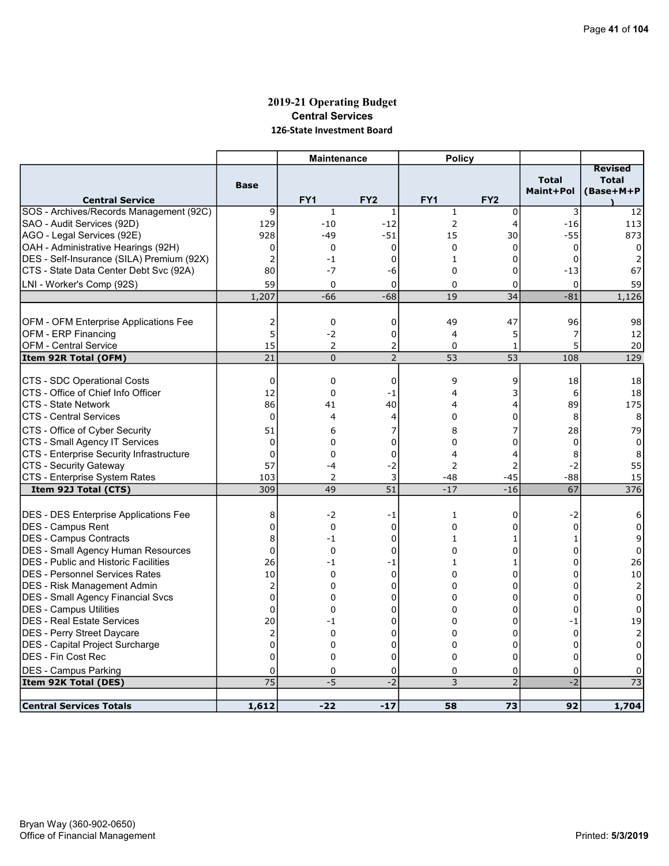# 2019-21 Operating Budget Central Services 126-State Investment Board

|                                              |                 | <b>Maintenance</b> |                 | <b>Policy</b>   |                 |                           |                           |
|----------------------------------------------|-----------------|--------------------|-----------------|-----------------|-----------------|---------------------------|---------------------------|
|                                              |                 |                    |                 |                 |                 |                           | <b>Revised</b>            |
|                                              | <b>Base</b>     |                    |                 |                 |                 | <b>Total</b><br>Maint+Pol | <b>Total</b><br>(Base+M+P |
| <b>Central Service</b>                       |                 | FY <sub>1</sub>    | FY <sub>2</sub> | FY <sub>1</sub> | FY <sub>2</sub> |                           |                           |
| SOS - Archives/Records Management (92C)      | 9               | $\mathbf{1}$       | 1               | $\mathbf{1}$    | $\mathbf 0$     | 3                         | 12                        |
| SAO - Audit Services (92D)                   | 129             | $-10$              | $-12$           | $\overline{2}$  | 4               | $-16$                     | 113                       |
| AGO - Legal Services (92E)                   | 928             | -49                | $-51$           | 15              | 30              | $-55$                     | 873                       |
| OAH - Administrative Hearings (92H)          | 0               | 0                  | 0               | 0               | 0               | 0                         | 0                         |
| DES - Self-Insurance (SILA) Premium (92X)    | $\overline{2}$  | $-1$               | $\Omega$        | $\mathbf{1}$    | 0               | $\Omega$                  |                           |
| CTS - State Data Center Debt Svc (92A)       | 80              | $-7$               | -6              | $\mathbf 0$     | 0               | $-13$                     | 67                        |
| LNI - Worker's Comp (92S)                    | 59              | 0                  | $\mathbf 0$     | $\Omega$        | 0               | $\mathbf 0$               | 59                        |
|                                              | 1,207           | $-66$              | $-68$           | 19              | 34              | $-81$                     | 1,126                     |
|                                              |                 |                    |                 |                 |                 |                           |                           |
| OFM - OFM Enterprise Applications Fee        | 2               | $\mathbf 0$        | $\mathbf 0$     | 49              | 47              | 96                        | 98                        |
| OFM - ERP Financing                          | 5               | $-2$               | $\mathbf 0$     | $\overline{4}$  | 5               | 7                         | 12                        |
| <b>OFM - Central Service</b>                 | 15              | $\overline{2}$     | $\overline{c}$  | $\Omega$        | $\mathbf{1}$    | 5                         | 20                        |
| Item 92R Total (OFM)                         | 21              | $\overline{0}$     | $\overline{2}$  | 53              | $\overline{53}$ | 108                       | 129                       |
|                                              |                 |                    |                 |                 |                 |                           |                           |
| CTS - SDC Operational Costs                  | 0               | $\mathbf 0$        | 0               | 9               | 9               | 18                        | 18                        |
| CTS - Office of Chief Info Officer           | 12              | $\mathbf 0$        | -1              | 4               | 3               | 6                         | 18                        |
| ICTS - State Network                         | 86              | 41                 | 40              | 4               | $\overline{4}$  | 89                        | 175                       |
| ICTS - Central Services                      | 0               | 4                  | 4               | $\Omega$        | 0               | 8                         | 8                         |
| CTS - Office of Cyber Security               | 51              | 6                  | 7               | 8               | 7               | 28                        | 79                        |
| CTS - Small Agency IT Services               | 0               | 0                  | 0               | 0               | 0               | 0                         | 0                         |
| CTS - Enterprise Security Infrastructure     | $\Omega$        | 0                  | $\mathbf 0$     | 4               | 4               | 8                         | 8                         |
| CTS - Security Gateway                       | 57              | -4                 | $-2$            | 2               | 2               | $-2$                      | 55                        |
| CTS - Enterprise System Rates                | 103             | 2                  | 3               | $-48$           | $-45$           | $-88$                     | 15                        |
| Item 92J Total (CTS)                         | 309             | 49                 | 51              | $-17$           | $-16$           | $\overline{67}$           | 376                       |
|                                              |                 |                    |                 |                 |                 |                           |                           |
| DES - DES Enterprise Applications Fee        | 8               | -2                 | -1              | 1               | 0               | $-2$                      | 6                         |
| <b>DES - Campus Rent</b>                     | $\overline{0}$  | $\mathbf 0$        | $\mathbf 0$     | $\Omega$        | 0               | $\mathbf 0$               | $\Omega$                  |
| <b>DES - Campus Contracts</b>                | 8               | $-1$               | $\mathbf 0$     | $\mathbf{1}$    | 1               | $\mathbf{1}$              | 9                         |
| <b>DES - Small Agency Human Resources</b>    | $\overline{0}$  | $\mathbf 0$        | $\mathbf 0$     | $\Omega$        | 0               | $\Omega$                  | 0                         |
| <b>IDES - Public and Historic Facilities</b> | 26              | $-1$               | $-1$            | $\mathbf{1}$    | 1               | 0                         | 26                        |
| <b>DES - Personnel Services Rates</b>        | 10              | $\Omega$           | $\mathbf 0$     | $\Omega$        | 0               | 0                         | 10                        |
| DES - Risk Management Admin                  | $\overline{2}$  | 0                  | 0               | $\Omega$        | 0               | $\Omega$                  | $\overline{2}$            |
| DES - Small Agency Financial Svcs            | $\mathbf 0$     | 0                  | 0               | $\Omega$        | 0               | $\Omega$                  | 0                         |
| <b>DES - Campus Utilities</b>                | 0               | $\Omega$           | 0               | $\Omega$        | 0               | $\Omega$                  | 0                         |
| <b>DES - Real Estate Services</b>            | 20              | -1                 | 0               | 0               | 0               | $-1$                      | 19                        |
| DES - Perry Street Daycare                   | 2               | $\Omega$           | 0               | $\Omega$        | 0               | $\Omega$                  | $\overline{2}$            |
| DES - Capital Project Surcharge              | $\overline{0}$  | 0                  | 0               | 0               | 0               | $\Omega$                  | 0                         |
| <b>DES - Fin Cost Rec</b>                    | $\overline{0}$  | 0                  | 0               | $\Omega$        | 0               | 0                         | 0                         |
| <b>DES - Campus Parking</b>                  | 0               | 0                  | 0               | 0               | 0               | 0                         | 0                         |
| Item 92K Total (DES)                         | $\overline{75}$ | $-5$               | $\overline{-2}$ | $\overline{3}$  | $\overline{2}$  | $\overline{-2}$           | $\overline{73}$           |
|                                              |                 |                    |                 |                 |                 |                           |                           |
| <b>Central Services Totals</b>               | 1,612           | $-22$              | $-17$           | 58              | 73              | 92                        | 1,704                     |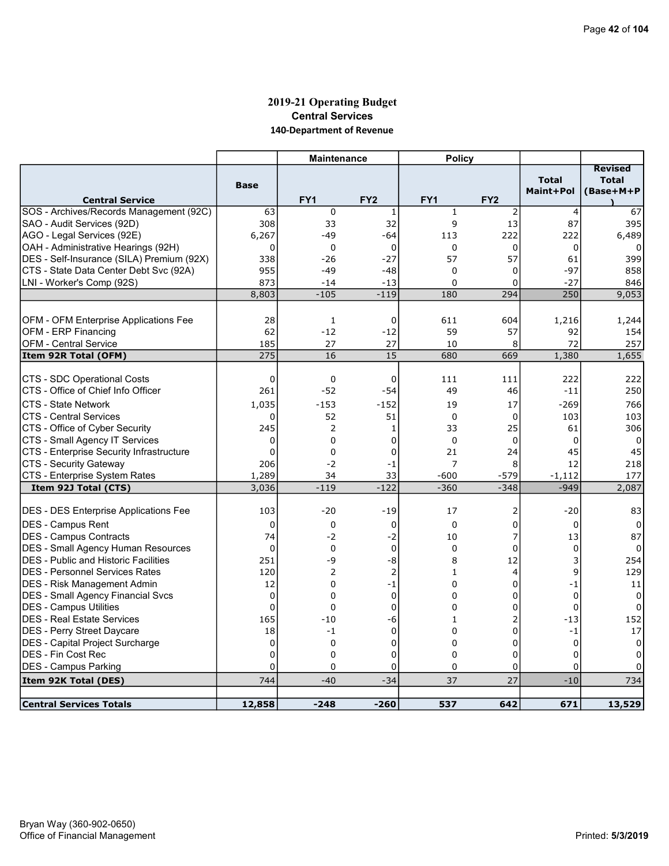# 2019-21 Operating Budget Central Services 140-Department of Revenue

|                                              |                | <b>Maintenance</b> |                 | <b>Policy</b>   |                 |                           |                |
|----------------------------------------------|----------------|--------------------|-----------------|-----------------|-----------------|---------------------------|----------------|
|                                              |                |                    |                 |                 |                 |                           | <b>Revised</b> |
|                                              | <b>Base</b>    |                    |                 |                 |                 | <b>Total</b><br>Maint+Pol | <b>Total</b>   |
| <b>Central Service</b>                       |                | FY <sub>1</sub>    | FY <sub>2</sub> | FY <sub>1</sub> | FY <sub>2</sub> |                           | (Base+M+P      |
| SOS - Archives/Records Management (92C)      | 63             | 0                  | 1               | $\mathbf{1}$    | $\overline{2}$  | 4                         | 67             |
| SAO - Audit Services (92D)                   | 308            | 33                 | 32              | 9               | 13              | 87                        | 395            |
| AGO - Legal Services (92E)                   | 6,267          | $-49$              | -64             | 113             | 222             | 222                       | 6,489          |
| OAH - Administrative Hearings (92H)          | $\mathbf 0$    | $\mathbf 0$        | $\mathbf 0$     | $\mathbf 0$     | 0               | $\mathbf 0$               | 0              |
| DES - Self-Insurance (SILA) Premium (92X)    | 338            | $-26$              | $-27$           | 57              | 57              | 61                        | 399            |
| CTS - State Data Center Debt Svc (92A)       | 955            | $-49$              | $-48$           | $\Omega$        | 0               | $-97$                     | 858            |
| LNI - Worker's Comp (92S)                    | 873            | $-14$              | $-13$           | 0               | 0               | $-27$                     | 846            |
|                                              | 8,803          | $-105$             | $-119$          | 180             | 294             | 250                       | 9,053          |
|                                              |                |                    |                 |                 |                 |                           |                |
| OFM - OFM Enterprise Applications Fee        | 28             | 1                  | 0               | 611             | 604             | 1,216                     | 1,244          |
| <b>OFM - ERP Financing</b>                   | 62             | $-12$              | $-12$           | 59              | 57              | 92                        | 154            |
| <b>OFM - Central Service</b>                 | 185            | 27                 | 27              | 10              | 8               | 72                        | 257            |
| Item 92R Total (OFM)                         | 275            | 16                 | 15              | 680             | 669             | 1,380                     | 1,655          |
|                                              |                |                    |                 |                 |                 |                           |                |
| CTS - SDC Operational Costs                  | 0              | $\mathbf{0}$       | $\Omega$        | 111             | 111             | 222                       | 222            |
| ICTS - Office of Chief Info Officer          | 261            | $-52$              | $-54$           | 49              | 46              | $-11$                     | 250            |
| <b>CTS - State Network</b>                   | 1,035          | $-153$             | $-152$          | 19              | 17              | $-269$                    | 766            |
| <b>CTS - Central Services</b>                | $\Omega$       | 52                 | 51              | $\mathbf 0$     | $\mathbf 0$     | 103                       | 103            |
| CTS - Office of Cyber Security               | 245            | 2                  | 1               | 33              | 25              | 61                        | 306            |
| CTS - Small Agency IT Services               | 0              | $\mathbf 0$        | 0               | $\mathbf 0$     | 0               | 0                         | 0              |
| CTS - Enterprise Security Infrastructure     | $\Omega$       | $\Omega$           | 0               | 21              | 24              | 45                        | 45             |
| CTS - Security Gateway                       | 206            | $-2$               | -1              | $\overline{7}$  | 8               | 12                        | 218            |
| CTS - Enterprise System Rates                | 1,289          | 34                 | 33              | $-600$          | $-579$          | $-1,112$                  | 177            |
| Item 92J Total (CTS)                         | 3,036          | $-119$             | $-122$          | $-360$          | $-348$          | $-949$                    | 2,087          |
| <b>DES - DES Enterprise Applications Fee</b> | 103            | $-20$              | $-19$           | 17              | 2               | $-20$                     | 83             |
| DES - Campus Rent                            | $\mathbf 0$    | $\mathbf 0$        | 0               | $\Omega$        | 0               | 0                         | 0              |
| <b>DES - Campus Contracts</b>                | 74             | $-2$               | $-2$            | 10              | 7               | 13                        | 87             |
| DES - Small Agency Human Resources           | $\mathbf 0$    | 0                  | $\mathbf 0$     | $\mathbf 0$     | 0               | 0                         | $\Omega$       |
| <b>IDES - Public and Historic Facilities</b> | 251            | -9                 | -8              | 8               | 12              | 3                         | 254            |
| IDES - Personnel Services Rates              | 120            | 2                  | $\overline{2}$  | $\mathbf{1}$    | 4               | 9                         | 129            |
| DES - Risk Management Admin                  | 12             | 0                  | $-1$            | $\Omega$        | 0               | $-1$                      | 11             |
| <b>DES - Small Agency Financial Svcs</b>     | $\Omega$       | 0                  | $\Omega$        | $\Omega$        | $\Omega$        | $\Omega$                  | $\Omega$       |
| <b>DES - Campus Utilities</b>                | $\Omega$       | $\mathbf{0}$       | 0               | $\Omega$        | 0               | 0                         | 0              |
| <b>DES - Real Estate Services</b>            | 165            | $-10$              | -6              | $\mathbf{1}$    | $\overline{2}$  | $-13$                     | 152            |
| <b>DES - Perry Street Daycare</b>            | 18             | $-1$               | 0               | $\mathbf{0}$    | 0               | $-1$                      | 17             |
| DES - Capital Project Surcharge              | $\overline{0}$ | $\mathbf 0$        | 0               | $\Omega$        | 0               | $\mathbf 0$               | 0              |
| DES - Fin Cost Rec                           | $\Omega$       | 0                  | 0               | 0               | 0               | 0                         | $\Omega$       |
| DES - Campus Parking                         | $\Omega$       | $\Omega$           | $\Omega$        | $\Omega$        | $\Omega$        | $\Omega$                  | 0              |
| Item 92K Total (DES)                         | 744            | $-40$              | $-34$           | 37              | 27              | $-10$                     | 734            |
|                                              |                |                    |                 |                 |                 |                           |                |
| <b>Central Services Totals</b>               | 12,858         | $-248$             | $-260$          | 537             | 642             | 671                       | 13,529         |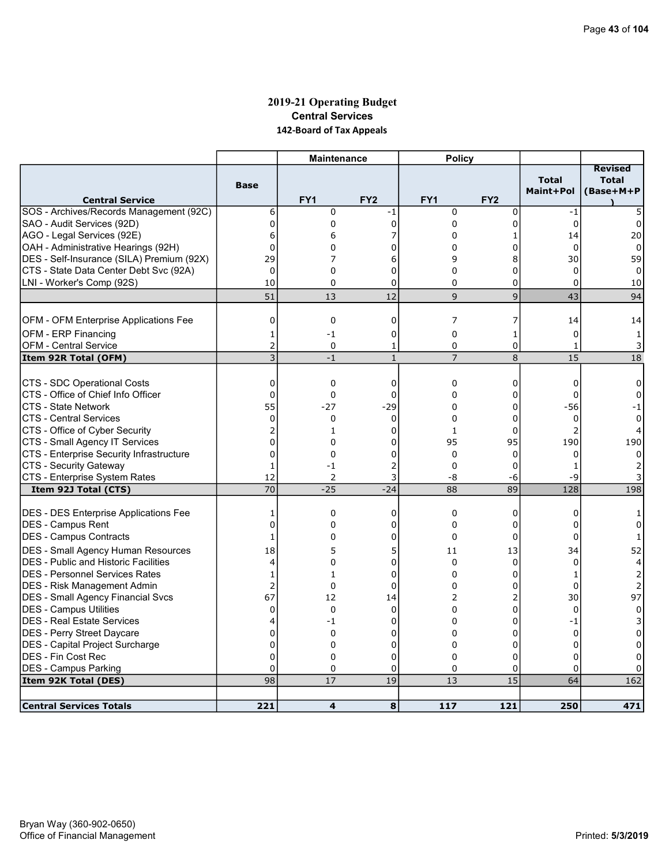# 2019-21 Operating Budget Central Services 142-Board of Tax Appeals

|                                                                                |                                | <b>Maintenance</b> |                 | <b>Policy</b>        |                     |                           |                                             |
|--------------------------------------------------------------------------------|--------------------------------|--------------------|-----------------|----------------------|---------------------|---------------------------|---------------------------------------------|
| <b>Central Service</b>                                                         | <b>Base</b>                    | FY1                | FY <sub>2</sub> | FY1                  | FY <sub>2</sub>     | <b>Total</b><br>Maint+Pol | <b>Revised</b><br><b>Total</b><br>(Base+M+P |
| SOS - Archives/Records Management (92C)                                        | 6                              | $\mathbf 0$        | -1              | $\mathbf 0$          | $\mathbf 0$         | $-1$                      | 5                                           |
| SAO - Audit Services (92D)                                                     | 0                              | 0                  | $\overline{0}$  | 0                    | 0                   | $\mathbf 0$               | 0                                           |
| AGO - Legal Services (92E)                                                     | 6                              | 6                  | 7               | $\Omega$             | 1                   | 14                        | 20                                          |
| OAH - Administrative Hearings (92H)                                            | 0                              | 0                  | 0               | 0                    | 0                   | $\mathbf 0$               | 0                                           |
| DES - Self-Insurance (SILA) Premium (92X)                                      | 29                             | 7                  | 6               | 9                    | 8                   | 30                        | 59                                          |
| CTS - State Data Center Debt Svc (92A)                                         | $\Omega$                       | 0                  | 0               | 0                    | 0                   | 0                         | 0                                           |
| LNI - Worker's Comp (92S)                                                      | 10                             | 0                  | 0               | 0                    | 0                   | 0                         | 10                                          |
|                                                                                | 51                             | 13                 | 12              | 9                    | 9                   | 43                        | 94                                          |
|                                                                                |                                |                    |                 |                      |                     |                           |                                             |
| <b>OFM - OFM Enterprise Applications Fee</b>                                   | 0                              | 0                  | 0               | 7                    | 7                   | 14                        | 14                                          |
| <b>OFM - ERP Financing</b>                                                     | $\mathbf{1}$                   | $-1$               | 0               | $\mathbf 0$          | 1                   | $\mathbf 0$               | $\mathbf{1}$                                |
| <b>OFM - Central Service</b>                                                   | 2                              | 0                  | 1               | 0                    | 0                   | 1                         | 3                                           |
| Item 92R Total (OFM)                                                           | 3                              | $-1$               | $\mathbf{1}$    | $\overline{7}$       | 8                   | 15                        | 18                                          |
| CTS - SDC Operational Costs                                                    | $\mathbf 0$                    | 0                  | 0               | 0                    | 0                   | 0                         | 0                                           |
| CTS - Office of Chief Info Officer                                             | $\overline{0}$                 | 0                  | 0               | $\Omega$             | 0                   | 0                         | 0                                           |
| <b>CTS - State Network</b>                                                     | 55                             | $-27$              | $-29$           | 0                    | 0                   | $-56$                     | -1                                          |
| <b>CTS - Central Services</b>                                                  | 0                              | 0                  | $\Omega$        | $\Omega$             | 0                   | $\mathbf 0$               | 0                                           |
| CTS - Office of Cyber Security                                                 | 2                              | 1                  | 0               | 1                    | 0                   | $\overline{2}$            |                                             |
| CTS - Small Agency IT Services                                                 | $\overline{0}$                 | 0                  | 0               | 95                   | 95                  | 190                       | 190                                         |
| CTS - Enterprise Security Infrastructure                                       | $\mathbf 0$                    | 0                  | 0               | $\mathbf 0$          | 0                   | 0                         |                                             |
| CTS - Security Gateway                                                         | $\mathbf{1}$                   | $-1$               | 2               | $\Omega$             | 0                   | 1                         |                                             |
| CTS - Enterprise System Rates                                                  | 12                             | 2                  | 3               | -8                   | -6                  | -9                        |                                             |
| Item 92J Total (CTS)                                                           | 70                             | $-25$              | $-24$           | 88                   | 89                  | 128                       | 198                                         |
|                                                                                |                                |                    |                 |                      |                     |                           |                                             |
| DES - DES Enterprise Applications Fee                                          | 1                              | 0                  | 0               | 0                    | 0                   | 0                         | 1                                           |
| <b>IDES - Campus Rent</b>                                                      | $\mathbf 0$<br>1               | 0                  | 0               | $\Omega$<br>$\Omega$ | 0                   | 0                         | 0                                           |
| <b>IDES - Campus Contracts</b>                                                 |                                | 0                  | 0               |                      | 0                   | 0                         |                                             |
| DES - Small Agency Human Resources                                             | 18                             | 5                  | 5               | 11                   | 13                  | 34                        | 52                                          |
| <b>DES - Public and Historic Facilities</b>                                    | 4                              | 0                  | 0               | 0                    | 0                   | 0                         | 4                                           |
| IDES - Personnel Services Rates                                                | $\mathbf{1}$<br>$\overline{2}$ | $\mathbf{1}$       | $\Omega$        | $\Omega$<br>$\Omega$ | $\Omega$            | 1                         | 2                                           |
| <b>DES</b> - Risk Management Admin<br><b>DES - Small Agency Financial Svcs</b> | 67                             | 0<br>12            | 0<br>14         | 2                    | 0<br>$\overline{2}$ | 0<br>30                   | $\overline{2}$<br>97                        |
| <b>DES - Campus Utilities</b>                                                  | 0                              | 0                  | $\mathbf 0$     | $\Omega$             | 0                   | $\mathbf 0$               | 0                                           |
| DES - Real Estate Services                                                     | 4                              | -1                 | 0               | $\Omega$             | 0                   | -1                        | 3                                           |
| DES - Perry Street Daycare                                                     | $\mathbf 0$                    | 0                  | 0               | $\Omega$             | 0                   | $\Omega$                  | $\Omega$                                    |
| DES - Capital Project Surcharge                                                | $\mathbf 0$                    | 0                  | 0               | 0                    | 0                   | 0                         | 0                                           |
| DES - Fin Cost Rec                                                             | $\Omega$                       | $\Omega$           | $\overline{0}$  | $\Omega$             | $\Omega$            | $\Omega$                  |                                             |
| <b>DES - Campus Parking</b>                                                    | $\mathbf 0$                    | 0                  | 0               | 0                    | 0                   | $\Omega$                  | 0                                           |
| Item 92K Total (DES)                                                           | 98                             | 17                 | 19              | 13                   | 15                  | 64                        | 162                                         |
|                                                                                |                                |                    |                 |                      |                     |                           |                                             |
| <b>Central Services Totals</b>                                                 | 221                            | 4                  | 8               | 117                  | 121                 | 250                       | 471                                         |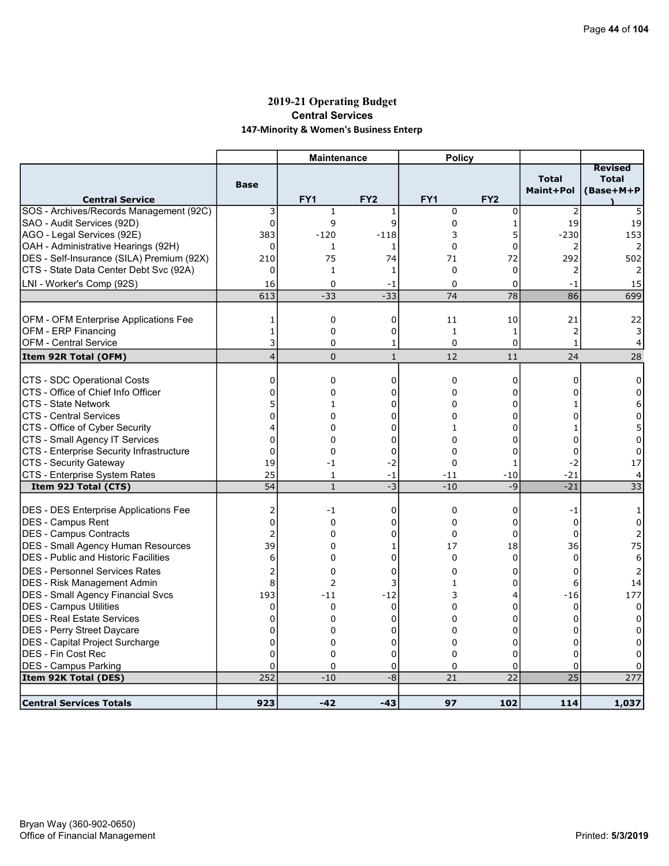# 2019-21 Operating Budget Central Services 147-Minority & Women's Business Enterp

|                                                                   |                | <b>Maintenance</b> |                  | <b>Policy</b>           |                 |                           |                                             |
|-------------------------------------------------------------------|----------------|--------------------|------------------|-------------------------|-----------------|---------------------------|---------------------------------------------|
| <b>Central Service</b>                                            | <b>Base</b>    | FY <sub>1</sub>    | FY <sub>2</sub>  | FY <sub>1</sub>         | FY <sub>2</sub> | <b>Total</b><br>Maint+Pol | <b>Revised</b><br><b>Total</b><br>(Base+M+P |
| SOS - Archives/Records Management (92C)                           | 3              | $\mathbf{1}$       | 1                | $\mathbf 0$             | 0               | $\overline{2}$            |                                             |
| SAO - Audit Services (92D)                                        | $\overline{0}$ | 9                  | 9                | 0                       | $\mathbf{1}$    | 19                        | 19                                          |
| AGO - Legal Services (92E)                                        | 383            | $-120$             | $-118$           | 3                       | 5               | $-230$                    | 153                                         |
| OAH - Administrative Hearings (92H)                               | $\mathbf 0$    | 1                  | 1                | 0                       | 0               | 2                         | 2                                           |
| DES - Self-Insurance (SILA) Premium (92X)                         | 210            | 75                 | 74               | 71                      | 72              | 292                       | 502                                         |
| CTS - State Data Center Debt Svc (92A)                            | 0              | 1                  | 1                | $\mathbf 0$             | 0               | 2                         | 2                                           |
| LNI - Worker's Comp (92S)                                         | 16             | 0                  | -1               | $\Omega$                | 0               | -1                        | 15                                          |
|                                                                   | 613            | $-33$              | $-33$            | 74                      | $\overline{78}$ | 86                        | 699                                         |
|                                                                   |                |                    |                  |                         |                 |                           |                                             |
| OFM - OFM Enterprise Applications Fee                             | 1              | 0                  | 0                | 11                      | 10              | 21                        | 22                                          |
| OFM - ERP Financing                                               | $\mathbf{1}$   | 0                  | 0                | $\mathbf{1}$            | $\mathbf{1}$    | $\overline{2}$            | 3                                           |
| <b>OFM - Central Service</b>                                      | 3              | 0                  | 1                | $\mathbf 0$             | 0               | $\mathbf{1}$              | 4                                           |
| Item 92R Total (OFM)                                              | $\overline{4}$ | $\overline{0}$     | $\mathbf{1}$     | 12                      | 11              | 24                        | 28                                          |
|                                                                   | $\mathbf 0$    |                    |                  |                         |                 |                           |                                             |
| CTS - SDC Operational Costs<br>CTS - Office of Chief Info Officer | $\Omega$       | 0<br>0             | $\mathbf 0$<br>0 | $\mathbf 0$<br>$\Omega$ | 0<br>0          | 0<br>n                    | 0<br>$\Omega$                               |
| <b>CTS - State Network</b>                                        | 5              |                    | 0                | 0                       | 0               |                           |                                             |
| <b>CTS - Central Services</b>                                     | $\Omega$       | 1<br>$\Omega$      | $\Omega$         | $\Omega$                | $\Omega$        |                           | 6<br>0                                      |
| CTS - Office of Cyber Security                                    | 4              | 0                  | 0                | 1                       | 0               |                           | 5                                           |
| CTS - Small Agency IT Services                                    | $\mathbf 0$    | 0                  | 0                | $\Omega$                | 0               | 0                         | 0                                           |
| CTS - Enterprise Security Infrastructure                          | $\mathbf 0$    | $\Omega$           | 0                | $\Omega$                | 0               | $\Omega$                  | $\Omega$                                    |
| CTS - Security Gateway                                            | 19             | $-1$               | $-2$             | 0                       | 1               | -2                        | 17                                          |
| CTS - Enterprise System Rates                                     | 25             | $\mathbf{1}$       | $-1$             | $-11$                   | $-10$           | $-21$                     | 4                                           |
| Item 92J Total (CTS)                                              | 54             | $\mathbf{1}$       | $-3$             | $-10$                   | $-9$            | $-21$                     | $\overline{33}$                             |
|                                                                   |                |                    |                  |                         |                 |                           |                                             |
| <b>DES - DES Enterprise Applications Fee</b>                      | 2              | $-1$               | $\mathbf 0$      | $\mathbf 0$             | 0               | $-1$                      | 1                                           |
| DES - Campus Rent                                                 | $\overline{0}$ | 0                  | 0                | 0                       | 0               | $\mathbf 0$               | $\Omega$                                    |
| DES - Campus Contracts                                            | $\overline{2}$ | 0                  | 0                | $\mathbf 0$             | 0               | $\Omega$                  | $\overline{2}$                              |
| DES - Small Agency Human Resources                                | 39             | 0                  | 1                | 17                      | 18              | 36                        | 75                                          |
| <b>IDES - Public and Historic Facilities</b>                      | 6              | 0                  | $\mathbf 0$      | $\Omega$                | $\Omega$        | $\Omega$                  | 6                                           |
| <b>DES - Personnel Services Rates</b>                             | 2              | 0                  | 0                | $\Omega$                | 0               | 0                         |                                             |
| DES - Risk Management Admin                                       | 8              | $\overline{2}$     | 3                | 1                       | 0               | 6                         | 14                                          |
| <b>DES - Small Agency Financial Svcs</b>                          | 193            | $-11$              | $-12$            | 3                       | 4               | $-16$                     | 177                                         |
| DES - Campus Utilities                                            | 0              | 0                  | $\mathbf 0$      | 0                       | 0               | 0                         | 0                                           |
| <b>DES - Real Estate Services</b>                                 | 0              | 0                  | 0                | 0                       | 0               | 0                         | 0                                           |
| DES - Perry Street Daycare                                        | 0              | 0                  | 0                | $\Omega$                | 0               | $\Omega$                  | 0                                           |
| DES - Capital Project Surcharge                                   | $\overline{0}$ | 0                  | 0                | 0                       | 0               | 0                         | 0                                           |
| IDES - Fin Cost Rec                                               | $\mathbf 0$    | 0                  | 0                | 0                       | 0               | $\Omega$                  |                                             |
| <b>DES - Campus Parking</b>                                       | 0              | 0                  | 0                | 0                       | 0               | 0                         |                                             |
| Item 92K Total (DES)                                              | 252            | $-10$              | $-8$             | 21                      | 22              | $\overline{25}$           | 277                                         |
|                                                                   |                |                    |                  |                         |                 |                           |                                             |
| Central Services Totals                                           | 923            | $-42$              | $-43$            | 97                      | 102             | 114                       | 1,037                                       |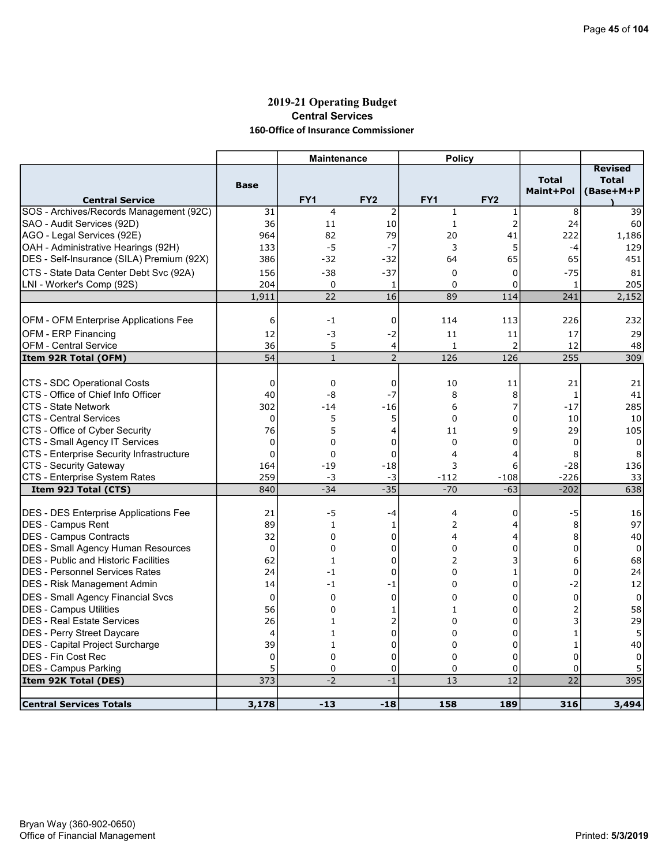### 2019-21 Operating Budget Central Services 160-Office of Insurance Commissioner

|                                              |                | <b>Maintenance</b> |                 | <b>Policy</b>           |                 |                           |                                             |
|----------------------------------------------|----------------|--------------------|-----------------|-------------------------|-----------------|---------------------------|---------------------------------------------|
| <b>Central Service</b>                       | <b>Base</b>    | FY <sub>1</sub>    | FY <sub>2</sub> | FY <sub>1</sub>         | FY <sub>2</sub> | <b>Total</b><br>Maint+Pol | <b>Revised</b><br><b>Total</b><br>(Base+M+P |
| SOS - Archives/Records Management (92C)      | 31             | $\overline{4}$     | $\overline{2}$  | $1\,$                   | 1               | 8                         | 39                                          |
| SAO - Audit Services (92D)                   | 36             | 11                 | 10              | $1\,$                   | $\overline{2}$  | 24                        | 60                                          |
| AGO - Legal Services (92E)                   | 964            | 82                 | 79              | 20                      | 41              | 222                       | 1,186                                       |
| OAH - Administrative Hearings (92H)          | 133            | $-5$               | $-7$            | 3                       | 5               | $-4$                      | 129                                         |
| DES - Self-Insurance (SILA) Premium (92X)    | 386            | $-32$              | $-32$           | 64                      | 65              | 65                        | 451                                         |
| CTS - State Data Center Debt Svc (92A)       | 156            | $-38$              | $-37$           | $\Omega$                | 0               | $-75$                     | 81                                          |
| LNI - Worker's Comp (92S)                    | 204            | $\mathbf 0$        | 1               | $\Omega$                | 0               | 1                         | 205                                         |
|                                              | 1,911          | 22                 | 16              | 89                      | 114             | 241                       | 2,152                                       |
|                                              |                |                    |                 |                         |                 |                           |                                             |
| OFM - OFM Enterprise Applications Fee        | 6              | $-1$               | 0               | 114                     | 113             | 226                       | 232                                         |
| OFM - ERP Financing                          | 12             | -3                 | $-2$            | 11                      | 11              | 17                        | 29                                          |
| <b>OFM - Central Service</b>                 | 36             | 5                  | 4               | 1                       | $\overline{2}$  | 12                        | 48                                          |
| Item 92R Total (OFM)                         | 54             | $\mathbf{1}$       | $\overline{2}$  | 126                     | 126             | 255                       | 309                                         |
|                                              |                |                    |                 |                         |                 |                           |                                             |
| CTS - SDC Operational Costs                  | 0              | $\mathbf 0$        | 0               | 10                      | 11              | 21                        | 21                                          |
| CTS - Office of Chief Info Officer           | 40             | -8                 | $-7$            | 8                       | 8               | $\mathbf{1}$              | 41                                          |
| ICTS - State Network                         | 302            | $-14$              | $-16$           | 6                       | 7               | $-17$                     | 285                                         |
| ICTS - Central Services                      | $\mathbf 0$    | 5                  | 5               | 0                       | 0               | 10                        | 10                                          |
| CTS - Office of Cyber Security               | 76             | 5                  | 4               | 11                      | 9               | 29                        | 105                                         |
| CTS - Small Agency IT Services               | 0              | 0                  | 0               | $\Omega$                | 0               | 0                         | 0                                           |
| CTS - Enterprise Security Infrastructure     | $\Omega$       | 0                  | $\mathbf 0$     | 4                       | 4               | 8                         | 8                                           |
| CTS - Security Gateway                       | 164            | $-19$              | $-18$           | 3                       | 6               | $-28$                     | 136                                         |
| CTS - Enterprise System Rates                | 259            | $-3$               | -3              | -112                    | $-108$          | $-226$                    | 33                                          |
| Item 92J Total (CTS)                         | 840            | $-34$              | $-35$           | $-70$                   | $-63$           | $-202$                    | 638                                         |
|                                              |                |                    |                 |                         |                 |                           |                                             |
| <b>DES - DES Enterprise Applications Fee</b> | 21             | -5                 | -4              | 4                       | 0               | -5                        | 16                                          |
| DES - Campus Rent                            | 89             | 1                  | 1               | $\overline{2}$          | 4               | 8                         | 97                                          |
| <b>IDES - Campus Contracts</b>               | 32             | 0                  | $\mathbf 0$     | $\overline{\mathbf{4}}$ | 4               | 8                         | 40                                          |
| <b>DES - Small Agency Human Resources</b>    | 0              | $\mathbf 0$        | $\mathbf 0$     | $\mathbf 0$             | 0               | $\mathbf 0$               | 0                                           |
| <b>DES - Public and Historic Facilities</b>  | 62             | $\mathbf{1}$       | 0               | 2                       | 3               | 6                         | 68                                          |
| IDES - Personnel Services Rates              | 24             | $-1$               | $\mathbf 0$     | 0                       | $\mathbf{1}$    | $\mathbf 0$               | 24                                          |
| DES - Risk Management Admin                  | 14             | $-1$               | -1              | $\mathbf 0$             | 0               | $-2$                      | 12                                          |
| <b>DES - Small Agency Financial Svcs</b>     | 0              | $\Omega$           | $\mathbf 0$     | 0                       | 0               | 0                         | 0                                           |
| IDES - Campus Utilities                      | 56             | 0                  | 1               | 1                       | 0               | $\overline{2}$            | 58                                          |
| <b>DES - Real Estate Services</b>            | 26             | 1                  | 2               | $\mathbf 0$             | 0               | 3                         | 29                                          |
| <b>DES - Perry Street Daycare</b>            | $\overline{4}$ | $\mathbf{1}$       | 0               | $\Omega$                | 0               | $\mathbf{1}$              | 5                                           |
| DES - Capital Project Surcharge              | 39             | 1                  | 0               | 0                       | 0               | $\mathbf{1}$              | 40                                          |
| IDES - Fin Cost Rec                          | 0              | $\mathbf 0$        | 0               | $\Omega$                | 0               | $\mathbf{0}$              | $\Omega$                                    |
| <b>DES - Campus Parking</b>                  | 5              | 0                  | 0               | 0                       | 0               | 0                         |                                             |
| Item 92K Total (DES)                         | 373            | $-2$               | $-1$            | 13                      | 12              | 22                        | 395                                         |
|                                              |                |                    |                 |                         |                 |                           |                                             |
| <b>Central Services Totals</b>               | 3,178          | $-13$              | $-18$           | 158                     | 189             | 316                       | 3,494                                       |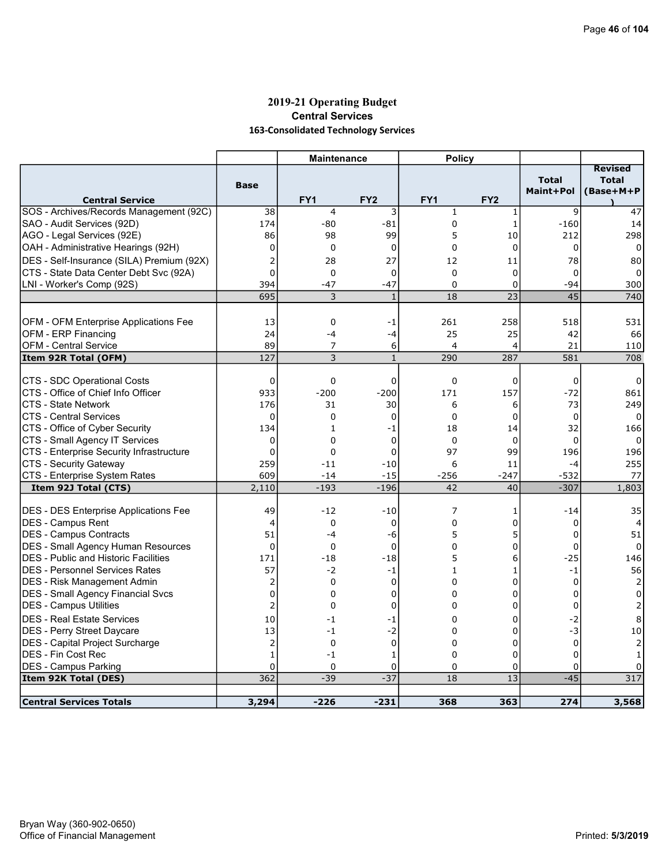# 2019-21 Operating Budget Central Services 163-Consolidated Technology Services

|                                              |                         | <b>Maintenance</b> |                 | <b>Policy</b> |                 |                           |                           |
|----------------------------------------------|-------------------------|--------------------|-----------------|---------------|-----------------|---------------------------|---------------------------|
|                                              |                         |                    |                 |               |                 |                           | <b>Revised</b>            |
|                                              | <b>Base</b>             |                    |                 |               |                 | <b>Total</b><br>Maint+Pol | <b>Total</b><br>(Base+M+P |
| <b>Central Service</b>                       |                         | FY <sub>1</sub>    | FY <sub>2</sub> | FY1           | FY <sub>2</sub> |                           |                           |
| SOS - Archives/Records Management (92C)      | 38                      | 4                  | 3               | $\mathbf{1}$  | 1               | 9                         | 47                        |
| SAO - Audit Services (92D)                   | 174                     | $-80$              | $-81$           | $\mathbf 0$   | $\mathbf{1}$    | $-160$                    | 14                        |
| AGO - Legal Services (92E)                   | 86                      | 98                 | 99              | 5             | 10              | 212                       | 298                       |
| OAH - Administrative Hearings (92H)          | 0                       | 0                  | $\mathbf 0$     | $\Omega$      | 0               | $\mathbf 0$               | $\Omega$                  |
| DES - Self-Insurance (SILA) Premium (92X)    | 2                       | 28                 | 27              | 12            | 11              | 78                        | 80                        |
| CTS - State Data Center Debt Svc (92A)       | $\overline{0}$          | 0                  | 0               | $\mathbf 0$   | $\mathbf 0$     | 0                         | $\Omega$                  |
| LNI - Worker's Comp (92S)                    | 394                     | $-47$              | $-47$           | $\Omega$      | 0               | -94                       | 300                       |
|                                              | 695                     | 3                  | $\mathbf{1}$    | 18            | 23              | 45                        | 740                       |
|                                              |                         |                    |                 |               |                 |                           |                           |
| <b>OFM - OFM Enterprise Applications Fee</b> | 13                      | 0                  | -1              | 261           | 258             | 518                       | 531                       |
| OFM - ERP Financing                          | 24                      | $-4$               | $-4$            | 25            | 25              | 42                        | 66                        |
| <b>OFM - Central Service</b>                 | 89                      | 7                  | 6               | 4             | 4               | 21                        | 110                       |
| Item 92R Total (OFM)                         | 127                     | 3                  | $\mathbf{1}$    | 290           | 287             | 581                       | 708                       |
|                                              |                         |                    |                 |               |                 |                           |                           |
| CTS - SDC Operational Costs                  | $\mathbf 0$             | 0                  | $\mathbf 0$     | $\mathbf 0$   | 0               | $\mathbf 0$               | 0                         |
| CTS - Office of Chief Info Officer           | 933                     | $-200$             | $-200$          | 171           | 157             | $-72$                     | 861                       |
| <b>CTS - State Network</b>                   | 176                     | 31                 | 30              | 6             | 6               | 73                        | 249                       |
| <b>CTS - Central Services</b>                | $\Omega$                | $\Omega$           | $\mathbf 0$     | $\Omega$      | 0               | $\mathbf 0$               | $\Omega$                  |
| CTS - Office of Cyber Security               | 134                     | $\mathbf{1}$       | -1              | 18            | 14              | 32                        | 166                       |
| CTS - Small Agency IT Services               | 0                       | 0                  | $\mathbf 0$     | $\mathbf 0$   | $\mathbf 0$     | $\Omega$                  | $\Omega$                  |
| CTS - Enterprise Security Infrastructure     | $\mathbf 0$             | 0                  | $\mathbf 0$     | 97            | 99              | 196                       | 196                       |
| CTS - Security Gateway                       | 259                     | $-11$              | $-10$           | 6             | 11              | -4                        | 255                       |
| CTS - Enterprise System Rates                | 609                     | $-14$              | $-15$           | $-256$        | $-247$          | $-532$                    | 77                        |
| Item 92J Total (CTS)                         | 2,110                   | $-193$             | $-196$          | 42            | 40              | $-307$                    | 1,803                     |
| <b>DES - DES Enterprise Applications Fee</b> | 49                      | $-12$              | $-10$           | 7             | 1               | $-14$                     | 35                        |
| <b>IDES - Campus Rent</b>                    | 4                       | 0                  | 0               | 0             | 0               | 0                         | 4                         |
| IDES - Campus Contracts                      | 51                      | $-4$               | -6              | 5             | 5               | 0                         | 51                        |
| DES - Small Agency Human Resources           | $\Omega$                | $\Omega$           | 0               | $\Omega$      | 0               | 0                         | $\Omega$                  |
| <b>IDES - Public and Historic Facilities</b> | 171                     | $-18$              | $-18$           | 5             | 6               | $-25$                     | 146                       |
| IDES - Personnel Services Rates              | 57                      | $-2$               | $-1$            | $\mathbf{1}$  | $\mathbf{1}$    | $-1$                      | 56                        |
| DES - Risk Management Admin                  | 2                       | 0                  | $\mathbf 0$     | 0             | 0               | 0                         | 2                         |
| <b>DES - Small Agency Financial Svcs</b>     | $\Omega$                | 0                  | $\mathbf 0$     | 0             | $\Omega$        | $\Omega$                  | $\Omega$                  |
| DES - Campus Utilities                       | $\overline{c}$          | 0                  | 0               | 0             | 0               | 0                         |                           |
| <b>DES - Real Estate Services</b>            | 10                      | $-1$               | -1              | 0             | 0               | $-2$                      | 8                         |
| DES - Perry Street Daycare                   | 13                      | $-1$               | $-2$            | 0             | 0               | $-3$                      | 10                        |
| <b>DES</b> - Capital Project Surcharge       | $\overline{\mathbf{c}}$ | 0                  | $\pmb{0}$       | 0             | 0               | $\mathbf 0$               | $\overline{2}$            |
| <b>DES - Fin Cost Rec</b>                    | $\mathbf{1}$            | $-1$               | 1               | 0             | 0               | $\mathbf 0$               | 1                         |
| <b>DES - Campus Parking</b>                  | 0                       | 0                  | $\Omega$        | 0             | 0               | $\Omega$                  |                           |
| Item 92K Total (DES)                         | 362                     | $-39$              | $-37$           | 18            | 13              | $-45$                     | 317                       |
|                                              |                         |                    |                 |               |                 |                           |                           |
| <b>Central Services Totals</b>               | 3,294                   | $-226$             | $-231$          | 368           | 363             | 274                       | 3,568                     |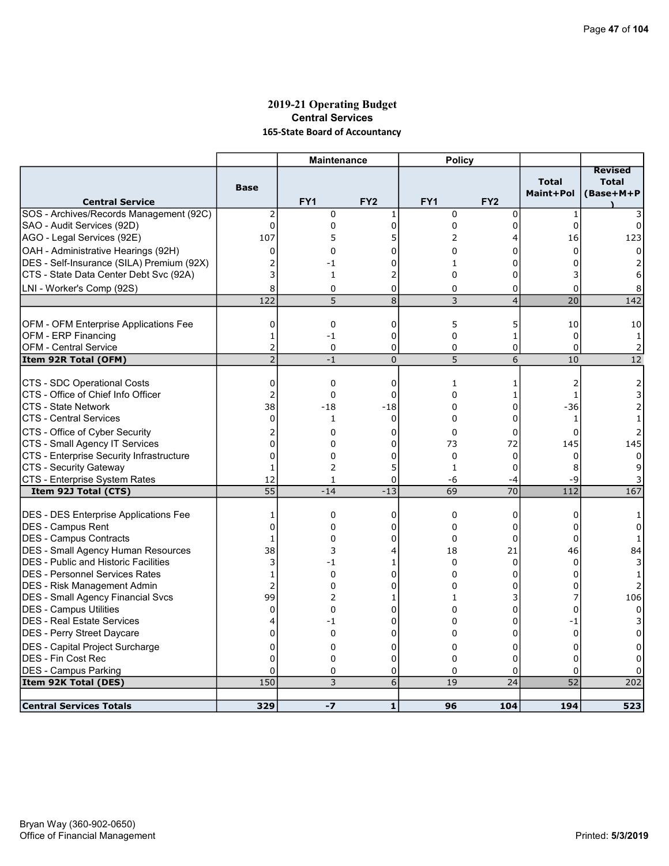### 2019-21 Operating Budget Central Services 165-State Board of Accountancy

|                                                     |                                | <b>Maintenance</b>  |                  | <b>Policy</b>   |                   |                           |                                             |
|-----------------------------------------------------|--------------------------------|---------------------|------------------|-----------------|-------------------|---------------------------|---------------------------------------------|
| <b>Central Service</b>                              | <b>Base</b>                    | FY <sub>1</sub>     | FY <sub>2</sub>  | FY <sub>1</sub> | FY <sub>2</sub>   | <b>Total</b><br>Maint+Pol | <b>Revised</b><br><b>Total</b><br>(Base+M+P |
| SOS - Archives/Records Management (92C)             | $\overline{\mathbf{c}}$        | $\mathbf 0$         | 1                | $\mathbf 0$     | $\mathbf 0$       | $\mathbf{1}$              |                                             |
| SAO - Audit Services (92D)                          | 0                              | 0                   | $\mathbf 0$      | 0               | 0                 | $\mathbf 0$               | 0                                           |
| AGO - Legal Services (92E)                          | 107                            | 5                   | 5                | 2               | 4                 | 16                        | 123                                         |
| OAH - Administrative Hearings (92H)                 | 0                              | 0                   | Ω                | 0               | 0                 | $\Omega$                  | 0                                           |
| DES - Self-Insurance (SILA) Premium (92X)           | $\overline{2}$                 | -1                  | 0                | $\mathbf{1}$    | 0                 | 0                         |                                             |
| CTS - State Data Center Debt Svc (92A)              | 3                              | $\mathbf{1}$        | 2                | $\Omega$        | 0                 | 3                         | 6                                           |
| LNI - Worker's Comp (92S)                           | 8                              | $\mathbf 0$         | 0                | $\Omega$        | 0                 | 0                         |                                             |
|                                                     | 122                            | 5                   | 8                | 3               | $\overline{4}$    | $\overline{20}$           | 142                                         |
|                                                     |                                |                     |                  |                 |                   |                           |                                             |
| OFM - OFM Enterprise Applications Fee               | 0                              | 0                   | 0                | 5               | 5                 | 10                        | 10                                          |
| OFM - ERP Financing<br><b>OFM - Central Service</b> | $\mathbf{1}$<br>$\overline{2}$ | $-1$<br>$\mathbf 0$ | $\mathbf 0$<br>0 | $\Omega$<br>0   | $\mathbf{1}$<br>0 | $\Omega$<br>0             | 2                                           |
| Item 92R Total (OFM)                                | $\overline{2}$                 | $-1$                | $\overline{0}$   | 5               | 6                 | 10                        | 12                                          |
|                                                     |                                |                     |                  |                 |                   |                           |                                             |
| CTS - SDC Operational Costs                         | $\mathbf 0$                    | $\mathbf 0$         | $\mathbf 0$      | $\mathbf{1}$    | 1                 | $\overline{2}$            | 2                                           |
| CTS - Office of Chief Info Officer                  | $\overline{2}$                 | 0                   | 0                | $\Omega$        | 1                 | $\mathbf{1}$              |                                             |
| ICTS - State Network                                | 38                             | $-18$               | $-18$            | 0               | 0                 | $-36$                     |                                             |
| ICTS - Central Services                             | 0                              | $\mathbf{1}$        | 0                | $\Omega$        | 0                 | $\mathbf{1}$              |                                             |
| CTS - Office of Cyber Security                      | 2                              | 0                   | 0                | 0               | 0                 | 0                         |                                             |
| CTS - Small Agency IT Services                      | $\overline{0}$                 | 0                   | 0                | 73              | 72                | 145                       | 145                                         |
| CTS - Enterprise Security Infrastructure            | $\overline{0}$                 | 0                   | 0                | $\mathbf 0$     | 0                 | 0                         |                                             |
| CTS - Security Gateway                              | 1                              | $\overline{2}$      | 5                | $\mathbf{1}$    | 0                 | 8                         |                                             |
| CTS - Enterprise System Rates                       | 12                             | 1                   | 0                | -6              | -4                | -9                        |                                             |
| Item 92J Total (CTS)                                | 55                             | $-14$               | $-13$            | 69              | 70                | 112                       | 167                                         |
| <b>DES - DES Enterprise Applications Fee</b>        | 1                              | 0                   | $\mathbf 0$      | $\mathbf 0$     | 0                 | $\Omega$                  |                                             |
| DES - Campus Rent                                   | 0                              | 0                   | 0                | 0               | 0                 | 0                         | 0                                           |
| <b>IDES - Campus Contracts</b>                      | $\mathbf{1}$                   | 0                   | 0                | $\Omega$        | 0                 | $\Omega$                  | 1                                           |
| DES - Small Agency Human Resources                  | 38                             | 3                   | 4                | 18              | 21                | 46                        | 84                                          |
| <b>DES - Public and Historic Facilities</b>         | 3                              | $-1$                | 1                | $\Omega$        | 0                 | $\Omega$                  |                                             |
| DES - Personnel Services Rates                      | 1                              | 0                   | 0                | $\Omega$        | 0                 | 0                         |                                             |
| DES - Risk Management Admin                         | $\overline{2}$                 | 0                   | 0                | 0               | 0                 |                           |                                             |
| <b>DES - Small Agency Financial Svcs</b>            | 99                             | 2                   | 1                | 1               | 3                 |                           | 106                                         |
| DES - Campus Utilities                              | 0                              | 0                   | 0                | 0               | 0                 | 0                         | 0                                           |
| DES - Real Estate Services                          | 4                              | $-1$                | 0                | $\Omega$        | 0                 | $-1$                      |                                             |
| DES - Perry Street Daycare                          | 0                              | $\Omega$            | 0                | $\Omega$        | 0                 | $\mathbf 0$               | 0                                           |
| DES - Capital Project Surcharge                     | 0                              | 0                   | 0                | 0               | 0                 | 0                         | 0                                           |
| DES - Fin Cost Rec                                  | $\Omega$                       | 0                   | 0                | $\Omega$        | 0                 | $\Omega$                  | 0                                           |
| DES - Campus Parking                                | 0                              | $\mathbf 0$         | 0                | $\mathbf 0$     | 0                 | 0                         |                                             |
| Item 92K Total (DES)                                | 150                            | 3                   | $\overline{6}$   | 19              | 24                | $\overline{52}$           | 202                                         |
| <b>Central Services Totals</b>                      | 329                            | $-7$                | 1                | 96              | 104               | 194                       | 523                                         |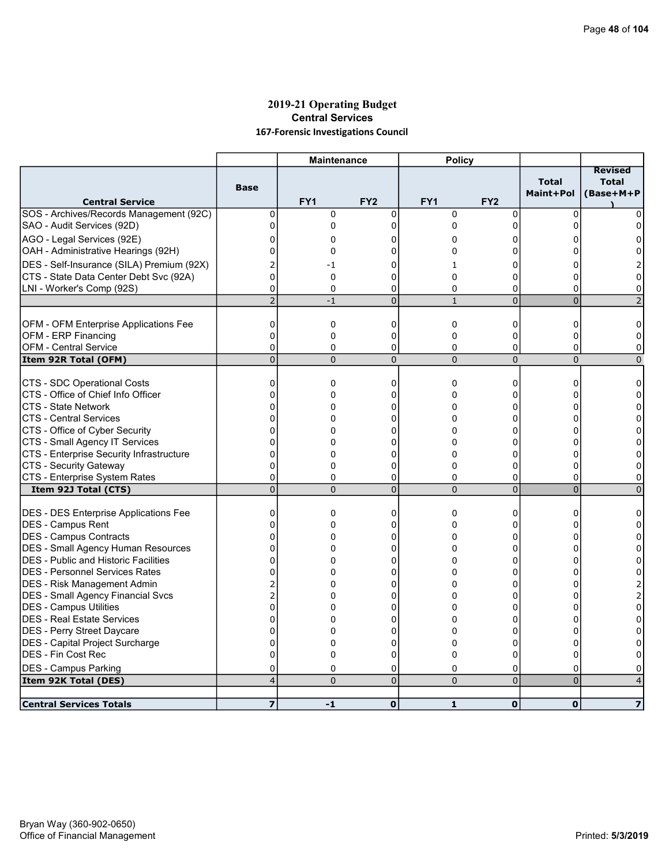# 2019-21 Operating Budget Central Services 167-Forensic Investigations Council

|                                                       |                            | <b>Maintenance</b> |                     | <b>Policy</b>       |                     |                            |                                             |
|-------------------------------------------------------|----------------------------|--------------------|---------------------|---------------------|---------------------|----------------------------|---------------------------------------------|
| <b>Central Service</b>                                | <b>Base</b>                | FY1                | FY <sub>2</sub>     | FY1                 | FY <sub>2</sub>     | <b>Total</b><br>Maint+Pol  | <b>Revised</b><br><b>Total</b><br>(Base+M+P |
| SOS - Archives/Records Management (92C)               | 0                          | $\mathbf 0$        | $\mathbf 0$         | $\mathbf 0$         | 0                   | $\Omega$                   | 0                                           |
| SAO - Audit Services (92D)                            | 0                          | 0                  | 0                   | 0                   | 0                   | $\Omega$                   | 0                                           |
| AGO - Legal Services (92E)                            | 0                          | 0                  | 0                   | 0                   | ი                   | n                          | 0                                           |
| OAH - Administrative Hearings (92H)                   | $\mathbf 0$                | $\Omega$           | 0                   | 0                   | 0                   | 0                          | 0                                           |
| DES - Self-Insurance (SILA) Premium (92X)             | 2                          | -1                 | 0                   | 1                   | 0                   | 0                          |                                             |
| CTS - State Data Center Debt Svc (92A)                | $\overline{0}$             | 0                  | 0                   | 0                   | 0                   | $\Omega$                   | 0                                           |
| LNI - Worker's Comp (92S)                             | 0                          | $\Omega$           | 0                   | 0                   | 0                   | $\Omega$                   | $\Omega$                                    |
|                                                       | $\overline{2}$             | $-1$               | $\overline{0}$      | $\mathbf{1}$        | $\overline{0}$      | $\overline{0}$             |                                             |
| OFM - OFM Enterprise Applications Fee                 | $\mathbf 0$                | 0                  | 0                   | 0                   | 0                   | $\Omega$                   | 0                                           |
| OFM - ERP Financing                                   | $\mathbf 0$                | 0                  | 0                   | 0                   | 0                   | $\mathbf 0$                | 0                                           |
| <b>OFM - Central Service</b>                          | $\Omega$                   | $\Omega$           | 0                   | 0                   | 0                   | $\Omega$                   | $\Omega$                                    |
| Item 92R Total (OFM)                                  | $\mathbf 0$                | $\Omega$           | $\mathbf 0$         | $\mathbf 0$         | $\overline{0}$      | $\mathbf 0$                | $\mathbf{0}$                                |
|                                                       |                            |                    |                     |                     |                     |                            |                                             |
| CTS - SDC Operational Costs                           | 0                          | 0                  | 0                   | 0                   | 0                   | 0                          | 0                                           |
| CTS - Office of Chief Info Officer                    | $\Omega$                   | 0                  | 0                   | $\Omega$            | $\Omega$            | U                          | $\Omega$                                    |
| <b>CTS - State Network</b>                            | $\overline{0}$             | 0                  | 0                   | 0                   | 0                   | 0                          | 0                                           |
| ICTS - Central Services                               | $\Omega$                   | 0                  | 0                   | 0                   | 0                   | $\Omega$                   | $\Omega$                                    |
| CTS - Office of Cyber Security                        | $\overline{0}$             | $\Omega$           | 0                   | $\Omega$            | 0                   | 0                          | $\Omega$                                    |
| CTS - Small Agency IT Services                        | 0                          | 0                  | 0                   | 0                   | 0                   | n                          | 0                                           |
| CTS - Enterprise Security Infrastructure              | 0                          | 0                  | 0                   | $\Omega$            | 0                   | 0                          | 0                                           |
| CTS - Security Gateway                                | 0                          | 0                  | 0                   | 0                   | 0                   | 0                          | 0                                           |
| CTS - Enterprise System Rates<br>Item 92J Total (CTS) | $\mathbf 0$<br>$\mathbf 0$ | 0<br>$\Omega$      | 0<br>$\mathbf 0$    | 0<br>$\overline{0}$ | 0<br>$\overline{0}$ | $\Omega$<br>$\overline{0}$ | 0<br>$\Omega$                               |
|                                                       |                            |                    |                     |                     |                     |                            |                                             |
| <b>DES - DES Enterprise Applications Fee</b>          | 0                          | 0                  | 0                   | 0                   | 0                   | 0                          | 0                                           |
| DES - Campus Rent                                     | $\mathbf 0$                | 0                  | 0                   | 0                   | 0                   | 0                          | 0                                           |
| DES - Campus Contracts                                | $\Omega$                   | 0                  | $\Omega$            | $\Omega$            | $\Omega$            | n                          | 0                                           |
| <b>DES - Small Agency Human Resources</b>             | $\mathbf 0$                | 0                  | 0                   | 0                   | 0                   | 0                          | 0                                           |
| <b>IDES - Public and Historic Facilities</b>          | $\Omega$                   | 0                  | 0                   | 0                   | 0                   | 0                          | $\Omega$                                    |
| IDES - Personnel Services Rates                       | $\mathbf 0$                | 0                  | 0                   | 0                   | 0                   | $\Omega$                   | $\Omega$                                    |
| DES - Risk Management Admin                           | 2                          | 0                  | 0                   | 0                   | 0                   | 0                          |                                             |
| DES - Small Agency Financial Svcs                     | $\overline{2}$             | 0                  | 0                   | 0                   | 0                   | 0                          | 2                                           |
| DES - Campus Utilities                                | $\overline{0}$             | 0                  | 0                   | 0                   | 0                   | O                          | 0                                           |
| <b>DES - Real Estate Services</b>                     | $\overline{0}$             | 0                  | 0                   | 0                   | $\Omega$            | n                          | 0                                           |
| DES - Perry Street Daycare                            | $\mathbf 0$                | 0                  | 0                   | $\Omega$            | 0                   | 0                          | 0                                           |
| DES - Capital Project Surcharge                       | $\overline{0}$             | $\mathbf 0$        | $\mathbf 0$         | 0                   | 0                   | 0                          | $\Omega$                                    |
| <b>DES - Fin Cost Rec</b>                             | $\mathbf 0$                | 0                  | 0                   | $\Omega$            | 0                   | 0                          | $\Omega$                                    |
| <b>DES - Campus Parking</b>                           | 0<br>4                     | 0<br>$\Omega$      | 0<br>$\overline{0}$ | 0<br>$\Omega$       | 0<br>$\overline{0}$ | 0<br>$\overline{0}$        | 0                                           |
| Item 92K Total (DES)                                  |                            |                    |                     |                     |                     |                            | $\overline{4}$                              |
| <b>Central Services Totals</b>                        | $\overline{z}$             | $-1$               | $\mathbf 0$         | $\mathbf{1}$        | $\mathbf 0$         | $\mathbf 0$                | $\overline{\mathbf{z}}$                     |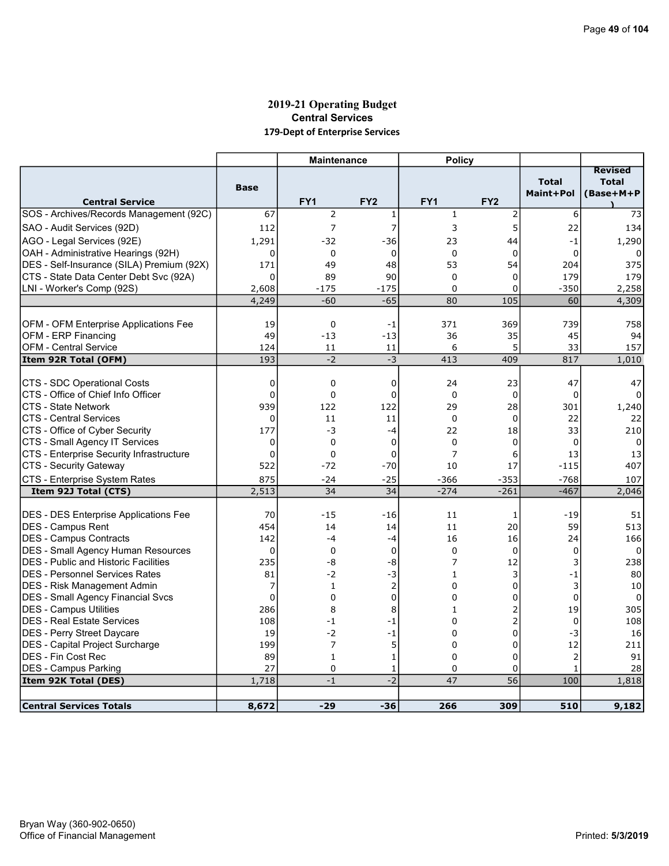# 2019-21 Operating Budget Central Services 179-Dept of Enterprise Services

| <b>Total</b><br><b>Total</b><br><b>Base</b><br>Maint+Pol<br>(Base+M+P<br>FY1<br>FY <sub>2</sub><br>FY1<br>FY <sub>2</sub><br><b>Central Service</b><br>$\overline{2}$<br>67<br>$\mathbf{1}$<br>$\overline{2}$<br>$\mathbf{1}$<br>6<br>73<br>5<br>112<br>7<br>7<br>3<br>22<br>134<br>AGO - Legal Services (92E)<br>1,291<br>$-32$<br>$-36$<br>23<br>$-1$<br>1,290<br>44<br>OAH - Administrative Hearings (92H)<br>0<br>0<br>$\mathbf 0$<br>$\mathbf 0$<br>$\mathbf 0$<br>$\mathbf 0$<br>48<br>53<br>54<br>204<br>375<br>171<br>49<br>$\Omega$<br>90<br>$\Omega$<br>$\Omega$<br>179<br>179<br>89<br>$-175$<br>$-350$<br>2,258<br>2,608<br>$-175$<br>0<br>0<br>$-65$<br>4,249<br>$-60$<br>80<br>105<br>60<br>4,309<br>OFM - OFM Enterprise Applications Fee<br>19<br>$\mathbf 0$<br>371<br>369<br>739<br>758<br>$-1$<br>OFM - ERP Financing<br>49<br>$-13$<br>$-13$<br>36<br>35<br>45<br>94<br>5<br><b>OFM - Central Service</b><br>6<br>33<br>157<br>124<br>11<br>11<br>Item 92R Total (OFM)<br>193<br>$-2$<br>$-3$<br>413<br>817<br>1,010<br>409<br>CTS - SDC Operational Costs<br>0<br>$\mathbf 0$<br>0<br>24<br>23<br>47<br>47<br>ICTS - Office of Chief Info Officer<br>$\mathbf 0$<br>$\mathbf 0$<br>$\mathbf 0$<br>$\mathbf 0$<br>$\mathbf 0$<br>$\mathbf 0$<br>939<br><b>CTS - State Network</b><br>122<br>122<br>29<br>28<br>301<br>1,240<br>ICTS - Central Services<br>0<br>11<br>$\mathbf 0$<br>$\mathbf 0$<br>22<br>11<br>22<br>CTS - Office of Cyber Security<br>177<br>-3<br>22<br>18<br>33<br>210<br>$-4$<br>CTS - Small Agency IT Services<br>$\overline{0}$<br>$\mathbf 0$<br>$\mathbf 0$<br>$\mathbf 0$<br>$\mathbf 0$<br>$\mathbf 0$<br>0<br>CTS - Enterprise Security Infrastructure<br>$\mathbf 0$<br>$\mathbf 0$<br>$\mathbf 0$<br>7<br>6<br>13<br>13<br>522<br>CTS - Security Gateway<br>$-72$<br>$-70$<br>10<br>17<br>$-115$<br>407<br>CTS - Enterprise System Rates<br>875<br>$-24$<br>$-25$<br>$-366$<br>$-353$<br>$-768$<br>107<br>2,513<br>34<br>34<br>$-274$<br>$-261$<br>$-467$<br>Item 92J Total (CTS)<br>2,046<br>DES - DES Enterprise Applications Fee<br>51<br>70<br>$-15$<br>$-16$<br>$-19$<br>11<br>1<br>454<br>14<br>11<br>20<br>59<br>513<br>14<br>142<br>$-4$<br>16<br>16<br>$-4$<br>24<br>166<br>$\mathbf 0$<br>$\mathbf 0$<br>$\mathbf 0$<br>$\mathbf 0$<br>$\mathbf 0$<br>$\mathbf 0$<br>$\Omega$<br>235<br>-8<br>-8<br>7<br>12<br>3<br>238<br>81<br>$-2$<br>$-3$<br>3<br>$-1$<br>80<br>$\mathbf{1}$<br>7<br>$\overline{2}$<br>0<br>3<br>0<br>10<br>$\mathbf{1}$<br>$\overline{0}$<br><b>DES - Small Agency Financial Svcs</b><br>$\mathbf 0$<br>0<br>$\mathbf 0$<br>$\Omega$<br>$\Omega$<br>0<br>$\overline{\mathbf{c}}$<br>19<br><b>DES - Campus Utilities</b><br>286<br>8<br>8<br>$\mathbf{1}$<br>305<br>2<br><b>DES - Real Estate Services</b><br>108<br>$-1$<br>$\Omega$<br>$-1$<br>0<br>108<br>0<br>$-3$<br>DES - Perry Street Daycare<br>19<br>$-2$<br>$-1$<br>$\Omega$<br>16<br>DES - Capital Project Surcharge<br>199<br>7<br>5<br>0<br>0<br>12<br>211<br>DES - Fin Cost Rec<br>$\overline{2}$<br>89<br>$\Omega$<br>0<br>91<br>$\mathbf{1}$<br>$\mathbf{1}$<br>27<br>DES - Campus Parking<br>28<br>0<br>0<br>0<br>$\mathbf{1}$<br>1<br>$-2$<br>$\overline{56}$<br>1,718<br>47<br>100<br>1,818<br>Item 92K Total (DES)<br>$-1$ |                                             |       | <b>Maintenance</b> |       | <b>Policy</b> |     |     |                |
|-------------------------------------------------------------------------------------------------------------------------------------------------------------------------------------------------------------------------------------------------------------------------------------------------------------------------------------------------------------------------------------------------------------------------------------------------------------------------------------------------------------------------------------------------------------------------------------------------------------------------------------------------------------------------------------------------------------------------------------------------------------------------------------------------------------------------------------------------------------------------------------------------------------------------------------------------------------------------------------------------------------------------------------------------------------------------------------------------------------------------------------------------------------------------------------------------------------------------------------------------------------------------------------------------------------------------------------------------------------------------------------------------------------------------------------------------------------------------------------------------------------------------------------------------------------------------------------------------------------------------------------------------------------------------------------------------------------------------------------------------------------------------------------------------------------------------------------------------------------------------------------------------------------------------------------------------------------------------------------------------------------------------------------------------------------------------------------------------------------------------------------------------------------------------------------------------------------------------------------------------------------------------------------------------------------------------------------------------------------------------------------------------------------------------------------------------------------------------------------------------------------------------------------------------------------------------------------------------------------------------------------------------------------------------------------------------------------------------------------------------------------------------------------------------------------------------------------------------------------------------------------------------------------------------------------------------------------------------------------------------------------------------------------------------------------------------------------------------------------------------------------------------------------------------------------------------------------------------------------------------------------------------------|---------------------------------------------|-------|--------------------|-------|---------------|-----|-----|----------------|
|                                                                                                                                                                                                                                                                                                                                                                                                                                                                                                                                                                                                                                                                                                                                                                                                                                                                                                                                                                                                                                                                                                                                                                                                                                                                                                                                                                                                                                                                                                                                                                                                                                                                                                                                                                                                                                                                                                                                                                                                                                                                                                                                                                                                                                                                                                                                                                                                                                                                                                                                                                                                                                                                                                                                                                                                                                                                                                                                                                                                                                                                                                                                                                                                                                                                               |                                             |       |                    |       |               |     |     | <b>Revised</b> |
|                                                                                                                                                                                                                                                                                                                                                                                                                                                                                                                                                                                                                                                                                                                                                                                                                                                                                                                                                                                                                                                                                                                                                                                                                                                                                                                                                                                                                                                                                                                                                                                                                                                                                                                                                                                                                                                                                                                                                                                                                                                                                                                                                                                                                                                                                                                                                                                                                                                                                                                                                                                                                                                                                                                                                                                                                                                                                                                                                                                                                                                                                                                                                                                                                                                                               |                                             |       |                    |       |               |     |     |                |
|                                                                                                                                                                                                                                                                                                                                                                                                                                                                                                                                                                                                                                                                                                                                                                                                                                                                                                                                                                                                                                                                                                                                                                                                                                                                                                                                                                                                                                                                                                                                                                                                                                                                                                                                                                                                                                                                                                                                                                                                                                                                                                                                                                                                                                                                                                                                                                                                                                                                                                                                                                                                                                                                                                                                                                                                                                                                                                                                                                                                                                                                                                                                                                                                                                                                               |                                             |       |                    |       |               |     |     |                |
|                                                                                                                                                                                                                                                                                                                                                                                                                                                                                                                                                                                                                                                                                                                                                                                                                                                                                                                                                                                                                                                                                                                                                                                                                                                                                                                                                                                                                                                                                                                                                                                                                                                                                                                                                                                                                                                                                                                                                                                                                                                                                                                                                                                                                                                                                                                                                                                                                                                                                                                                                                                                                                                                                                                                                                                                                                                                                                                                                                                                                                                                                                                                                                                                                                                                               | SOS - Archives/Records Management (92C)     |       |                    |       |               |     |     |                |
|                                                                                                                                                                                                                                                                                                                                                                                                                                                                                                                                                                                                                                                                                                                                                                                                                                                                                                                                                                                                                                                                                                                                                                                                                                                                                                                                                                                                                                                                                                                                                                                                                                                                                                                                                                                                                                                                                                                                                                                                                                                                                                                                                                                                                                                                                                                                                                                                                                                                                                                                                                                                                                                                                                                                                                                                                                                                                                                                                                                                                                                                                                                                                                                                                                                                               | SAO - Audit Services (92D)                  |       |                    |       |               |     |     |                |
|                                                                                                                                                                                                                                                                                                                                                                                                                                                                                                                                                                                                                                                                                                                                                                                                                                                                                                                                                                                                                                                                                                                                                                                                                                                                                                                                                                                                                                                                                                                                                                                                                                                                                                                                                                                                                                                                                                                                                                                                                                                                                                                                                                                                                                                                                                                                                                                                                                                                                                                                                                                                                                                                                                                                                                                                                                                                                                                                                                                                                                                                                                                                                                                                                                                                               |                                             |       |                    |       |               |     |     |                |
|                                                                                                                                                                                                                                                                                                                                                                                                                                                                                                                                                                                                                                                                                                                                                                                                                                                                                                                                                                                                                                                                                                                                                                                                                                                                                                                                                                                                                                                                                                                                                                                                                                                                                                                                                                                                                                                                                                                                                                                                                                                                                                                                                                                                                                                                                                                                                                                                                                                                                                                                                                                                                                                                                                                                                                                                                                                                                                                                                                                                                                                                                                                                                                                                                                                                               |                                             |       |                    |       |               |     |     |                |
|                                                                                                                                                                                                                                                                                                                                                                                                                                                                                                                                                                                                                                                                                                                                                                                                                                                                                                                                                                                                                                                                                                                                                                                                                                                                                                                                                                                                                                                                                                                                                                                                                                                                                                                                                                                                                                                                                                                                                                                                                                                                                                                                                                                                                                                                                                                                                                                                                                                                                                                                                                                                                                                                                                                                                                                                                                                                                                                                                                                                                                                                                                                                                                                                                                                                               | DES - Self-Insurance (SILA) Premium (92X)   |       |                    |       |               |     |     |                |
|                                                                                                                                                                                                                                                                                                                                                                                                                                                                                                                                                                                                                                                                                                                                                                                                                                                                                                                                                                                                                                                                                                                                                                                                                                                                                                                                                                                                                                                                                                                                                                                                                                                                                                                                                                                                                                                                                                                                                                                                                                                                                                                                                                                                                                                                                                                                                                                                                                                                                                                                                                                                                                                                                                                                                                                                                                                                                                                                                                                                                                                                                                                                                                                                                                                                               | CTS - State Data Center Debt Svc (92A)      |       |                    |       |               |     |     |                |
|                                                                                                                                                                                                                                                                                                                                                                                                                                                                                                                                                                                                                                                                                                                                                                                                                                                                                                                                                                                                                                                                                                                                                                                                                                                                                                                                                                                                                                                                                                                                                                                                                                                                                                                                                                                                                                                                                                                                                                                                                                                                                                                                                                                                                                                                                                                                                                                                                                                                                                                                                                                                                                                                                                                                                                                                                                                                                                                                                                                                                                                                                                                                                                                                                                                                               | LNI - Worker's Comp (92S)                   |       |                    |       |               |     |     |                |
|                                                                                                                                                                                                                                                                                                                                                                                                                                                                                                                                                                                                                                                                                                                                                                                                                                                                                                                                                                                                                                                                                                                                                                                                                                                                                                                                                                                                                                                                                                                                                                                                                                                                                                                                                                                                                                                                                                                                                                                                                                                                                                                                                                                                                                                                                                                                                                                                                                                                                                                                                                                                                                                                                                                                                                                                                                                                                                                                                                                                                                                                                                                                                                                                                                                                               |                                             |       |                    |       |               |     |     |                |
|                                                                                                                                                                                                                                                                                                                                                                                                                                                                                                                                                                                                                                                                                                                                                                                                                                                                                                                                                                                                                                                                                                                                                                                                                                                                                                                                                                                                                                                                                                                                                                                                                                                                                                                                                                                                                                                                                                                                                                                                                                                                                                                                                                                                                                                                                                                                                                                                                                                                                                                                                                                                                                                                                                                                                                                                                                                                                                                                                                                                                                                                                                                                                                                                                                                                               |                                             |       |                    |       |               |     |     |                |
|                                                                                                                                                                                                                                                                                                                                                                                                                                                                                                                                                                                                                                                                                                                                                                                                                                                                                                                                                                                                                                                                                                                                                                                                                                                                                                                                                                                                                                                                                                                                                                                                                                                                                                                                                                                                                                                                                                                                                                                                                                                                                                                                                                                                                                                                                                                                                                                                                                                                                                                                                                                                                                                                                                                                                                                                                                                                                                                                                                                                                                                                                                                                                                                                                                                                               |                                             |       |                    |       |               |     |     |                |
|                                                                                                                                                                                                                                                                                                                                                                                                                                                                                                                                                                                                                                                                                                                                                                                                                                                                                                                                                                                                                                                                                                                                                                                                                                                                                                                                                                                                                                                                                                                                                                                                                                                                                                                                                                                                                                                                                                                                                                                                                                                                                                                                                                                                                                                                                                                                                                                                                                                                                                                                                                                                                                                                                                                                                                                                                                                                                                                                                                                                                                                                                                                                                                                                                                                                               |                                             |       |                    |       |               |     |     |                |
|                                                                                                                                                                                                                                                                                                                                                                                                                                                                                                                                                                                                                                                                                                                                                                                                                                                                                                                                                                                                                                                                                                                                                                                                                                                                                                                                                                                                                                                                                                                                                                                                                                                                                                                                                                                                                                                                                                                                                                                                                                                                                                                                                                                                                                                                                                                                                                                                                                                                                                                                                                                                                                                                                                                                                                                                                                                                                                                                                                                                                                                                                                                                                                                                                                                                               |                                             |       |                    |       |               |     |     |                |
|                                                                                                                                                                                                                                                                                                                                                                                                                                                                                                                                                                                                                                                                                                                                                                                                                                                                                                                                                                                                                                                                                                                                                                                                                                                                                                                                                                                                                                                                                                                                                                                                                                                                                                                                                                                                                                                                                                                                                                                                                                                                                                                                                                                                                                                                                                                                                                                                                                                                                                                                                                                                                                                                                                                                                                                                                                                                                                                                                                                                                                                                                                                                                                                                                                                                               |                                             |       |                    |       |               |     |     |                |
|                                                                                                                                                                                                                                                                                                                                                                                                                                                                                                                                                                                                                                                                                                                                                                                                                                                                                                                                                                                                                                                                                                                                                                                                                                                                                                                                                                                                                                                                                                                                                                                                                                                                                                                                                                                                                                                                                                                                                                                                                                                                                                                                                                                                                                                                                                                                                                                                                                                                                                                                                                                                                                                                                                                                                                                                                                                                                                                                                                                                                                                                                                                                                                                                                                                                               |                                             |       |                    |       |               |     |     |                |
|                                                                                                                                                                                                                                                                                                                                                                                                                                                                                                                                                                                                                                                                                                                                                                                                                                                                                                                                                                                                                                                                                                                                                                                                                                                                                                                                                                                                                                                                                                                                                                                                                                                                                                                                                                                                                                                                                                                                                                                                                                                                                                                                                                                                                                                                                                                                                                                                                                                                                                                                                                                                                                                                                                                                                                                                                                                                                                                                                                                                                                                                                                                                                                                                                                                                               |                                             |       |                    |       |               |     |     |                |
|                                                                                                                                                                                                                                                                                                                                                                                                                                                                                                                                                                                                                                                                                                                                                                                                                                                                                                                                                                                                                                                                                                                                                                                                                                                                                                                                                                                                                                                                                                                                                                                                                                                                                                                                                                                                                                                                                                                                                                                                                                                                                                                                                                                                                                                                                                                                                                                                                                                                                                                                                                                                                                                                                                                                                                                                                                                                                                                                                                                                                                                                                                                                                                                                                                                                               |                                             |       |                    |       |               |     |     |                |
|                                                                                                                                                                                                                                                                                                                                                                                                                                                                                                                                                                                                                                                                                                                                                                                                                                                                                                                                                                                                                                                                                                                                                                                                                                                                                                                                                                                                                                                                                                                                                                                                                                                                                                                                                                                                                                                                                                                                                                                                                                                                                                                                                                                                                                                                                                                                                                                                                                                                                                                                                                                                                                                                                                                                                                                                                                                                                                                                                                                                                                                                                                                                                                                                                                                                               |                                             |       |                    |       |               |     |     |                |
|                                                                                                                                                                                                                                                                                                                                                                                                                                                                                                                                                                                                                                                                                                                                                                                                                                                                                                                                                                                                                                                                                                                                                                                                                                                                                                                                                                                                                                                                                                                                                                                                                                                                                                                                                                                                                                                                                                                                                                                                                                                                                                                                                                                                                                                                                                                                                                                                                                                                                                                                                                                                                                                                                                                                                                                                                                                                                                                                                                                                                                                                                                                                                                                                                                                                               |                                             |       |                    |       |               |     |     |                |
|                                                                                                                                                                                                                                                                                                                                                                                                                                                                                                                                                                                                                                                                                                                                                                                                                                                                                                                                                                                                                                                                                                                                                                                                                                                                                                                                                                                                                                                                                                                                                                                                                                                                                                                                                                                                                                                                                                                                                                                                                                                                                                                                                                                                                                                                                                                                                                                                                                                                                                                                                                                                                                                                                                                                                                                                                                                                                                                                                                                                                                                                                                                                                                                                                                                                               |                                             |       |                    |       |               |     |     |                |
|                                                                                                                                                                                                                                                                                                                                                                                                                                                                                                                                                                                                                                                                                                                                                                                                                                                                                                                                                                                                                                                                                                                                                                                                                                                                                                                                                                                                                                                                                                                                                                                                                                                                                                                                                                                                                                                                                                                                                                                                                                                                                                                                                                                                                                                                                                                                                                                                                                                                                                                                                                                                                                                                                                                                                                                                                                                                                                                                                                                                                                                                                                                                                                                                                                                                               |                                             |       |                    |       |               |     |     |                |
|                                                                                                                                                                                                                                                                                                                                                                                                                                                                                                                                                                                                                                                                                                                                                                                                                                                                                                                                                                                                                                                                                                                                                                                                                                                                                                                                                                                                                                                                                                                                                                                                                                                                                                                                                                                                                                                                                                                                                                                                                                                                                                                                                                                                                                                                                                                                                                                                                                                                                                                                                                                                                                                                                                                                                                                                                                                                                                                                                                                                                                                                                                                                                                                                                                                                               |                                             |       |                    |       |               |     |     |                |
|                                                                                                                                                                                                                                                                                                                                                                                                                                                                                                                                                                                                                                                                                                                                                                                                                                                                                                                                                                                                                                                                                                                                                                                                                                                                                                                                                                                                                                                                                                                                                                                                                                                                                                                                                                                                                                                                                                                                                                                                                                                                                                                                                                                                                                                                                                                                                                                                                                                                                                                                                                                                                                                                                                                                                                                                                                                                                                                                                                                                                                                                                                                                                                                                                                                                               |                                             |       |                    |       |               |     |     |                |
|                                                                                                                                                                                                                                                                                                                                                                                                                                                                                                                                                                                                                                                                                                                                                                                                                                                                                                                                                                                                                                                                                                                                                                                                                                                                                                                                                                                                                                                                                                                                                                                                                                                                                                                                                                                                                                                                                                                                                                                                                                                                                                                                                                                                                                                                                                                                                                                                                                                                                                                                                                                                                                                                                                                                                                                                                                                                                                                                                                                                                                                                                                                                                                                                                                                                               |                                             |       |                    |       |               |     |     |                |
|                                                                                                                                                                                                                                                                                                                                                                                                                                                                                                                                                                                                                                                                                                                                                                                                                                                                                                                                                                                                                                                                                                                                                                                                                                                                                                                                                                                                                                                                                                                                                                                                                                                                                                                                                                                                                                                                                                                                                                                                                                                                                                                                                                                                                                                                                                                                                                                                                                                                                                                                                                                                                                                                                                                                                                                                                                                                                                                                                                                                                                                                                                                                                                                                                                                                               |                                             |       |                    |       |               |     |     |                |
|                                                                                                                                                                                                                                                                                                                                                                                                                                                                                                                                                                                                                                                                                                                                                                                                                                                                                                                                                                                                                                                                                                                                                                                                                                                                                                                                                                                                                                                                                                                                                                                                                                                                                                                                                                                                                                                                                                                                                                                                                                                                                                                                                                                                                                                                                                                                                                                                                                                                                                                                                                                                                                                                                                                                                                                                                                                                                                                                                                                                                                                                                                                                                                                                                                                                               |                                             |       |                    |       |               |     |     |                |
|                                                                                                                                                                                                                                                                                                                                                                                                                                                                                                                                                                                                                                                                                                                                                                                                                                                                                                                                                                                                                                                                                                                                                                                                                                                                                                                                                                                                                                                                                                                                                                                                                                                                                                                                                                                                                                                                                                                                                                                                                                                                                                                                                                                                                                                                                                                                                                                                                                                                                                                                                                                                                                                                                                                                                                                                                                                                                                                                                                                                                                                                                                                                                                                                                                                                               | <b>DES - Campus Rent</b>                    |       |                    |       |               |     |     |                |
|                                                                                                                                                                                                                                                                                                                                                                                                                                                                                                                                                                                                                                                                                                                                                                                                                                                                                                                                                                                                                                                                                                                                                                                                                                                                                                                                                                                                                                                                                                                                                                                                                                                                                                                                                                                                                                                                                                                                                                                                                                                                                                                                                                                                                                                                                                                                                                                                                                                                                                                                                                                                                                                                                                                                                                                                                                                                                                                                                                                                                                                                                                                                                                                                                                                                               | <b>DES - Campus Contracts</b>               |       |                    |       |               |     |     |                |
|                                                                                                                                                                                                                                                                                                                                                                                                                                                                                                                                                                                                                                                                                                                                                                                                                                                                                                                                                                                                                                                                                                                                                                                                                                                                                                                                                                                                                                                                                                                                                                                                                                                                                                                                                                                                                                                                                                                                                                                                                                                                                                                                                                                                                                                                                                                                                                                                                                                                                                                                                                                                                                                                                                                                                                                                                                                                                                                                                                                                                                                                                                                                                                                                                                                                               | <b>DES - Small Agency Human Resources</b>   |       |                    |       |               |     |     |                |
|                                                                                                                                                                                                                                                                                                                                                                                                                                                                                                                                                                                                                                                                                                                                                                                                                                                                                                                                                                                                                                                                                                                                                                                                                                                                                                                                                                                                                                                                                                                                                                                                                                                                                                                                                                                                                                                                                                                                                                                                                                                                                                                                                                                                                                                                                                                                                                                                                                                                                                                                                                                                                                                                                                                                                                                                                                                                                                                                                                                                                                                                                                                                                                                                                                                                               | <b>DES</b> - Public and Historic Facilities |       |                    |       |               |     |     |                |
|                                                                                                                                                                                                                                                                                                                                                                                                                                                                                                                                                                                                                                                                                                                                                                                                                                                                                                                                                                                                                                                                                                                                                                                                                                                                                                                                                                                                                                                                                                                                                                                                                                                                                                                                                                                                                                                                                                                                                                                                                                                                                                                                                                                                                                                                                                                                                                                                                                                                                                                                                                                                                                                                                                                                                                                                                                                                                                                                                                                                                                                                                                                                                                                                                                                                               | IDES - Personnel Services Rates             |       |                    |       |               |     |     |                |
|                                                                                                                                                                                                                                                                                                                                                                                                                                                                                                                                                                                                                                                                                                                                                                                                                                                                                                                                                                                                                                                                                                                                                                                                                                                                                                                                                                                                                                                                                                                                                                                                                                                                                                                                                                                                                                                                                                                                                                                                                                                                                                                                                                                                                                                                                                                                                                                                                                                                                                                                                                                                                                                                                                                                                                                                                                                                                                                                                                                                                                                                                                                                                                                                                                                                               | DES - Risk Management Admin                 |       |                    |       |               |     |     |                |
|                                                                                                                                                                                                                                                                                                                                                                                                                                                                                                                                                                                                                                                                                                                                                                                                                                                                                                                                                                                                                                                                                                                                                                                                                                                                                                                                                                                                                                                                                                                                                                                                                                                                                                                                                                                                                                                                                                                                                                                                                                                                                                                                                                                                                                                                                                                                                                                                                                                                                                                                                                                                                                                                                                                                                                                                                                                                                                                                                                                                                                                                                                                                                                                                                                                                               |                                             |       |                    |       |               |     |     |                |
|                                                                                                                                                                                                                                                                                                                                                                                                                                                                                                                                                                                                                                                                                                                                                                                                                                                                                                                                                                                                                                                                                                                                                                                                                                                                                                                                                                                                                                                                                                                                                                                                                                                                                                                                                                                                                                                                                                                                                                                                                                                                                                                                                                                                                                                                                                                                                                                                                                                                                                                                                                                                                                                                                                                                                                                                                                                                                                                                                                                                                                                                                                                                                                                                                                                                               |                                             |       |                    |       |               |     |     |                |
|                                                                                                                                                                                                                                                                                                                                                                                                                                                                                                                                                                                                                                                                                                                                                                                                                                                                                                                                                                                                                                                                                                                                                                                                                                                                                                                                                                                                                                                                                                                                                                                                                                                                                                                                                                                                                                                                                                                                                                                                                                                                                                                                                                                                                                                                                                                                                                                                                                                                                                                                                                                                                                                                                                                                                                                                                                                                                                                                                                                                                                                                                                                                                                                                                                                                               |                                             |       |                    |       |               |     |     |                |
|                                                                                                                                                                                                                                                                                                                                                                                                                                                                                                                                                                                                                                                                                                                                                                                                                                                                                                                                                                                                                                                                                                                                                                                                                                                                                                                                                                                                                                                                                                                                                                                                                                                                                                                                                                                                                                                                                                                                                                                                                                                                                                                                                                                                                                                                                                                                                                                                                                                                                                                                                                                                                                                                                                                                                                                                                                                                                                                                                                                                                                                                                                                                                                                                                                                                               |                                             |       |                    |       |               |     |     |                |
|                                                                                                                                                                                                                                                                                                                                                                                                                                                                                                                                                                                                                                                                                                                                                                                                                                                                                                                                                                                                                                                                                                                                                                                                                                                                                                                                                                                                                                                                                                                                                                                                                                                                                                                                                                                                                                                                                                                                                                                                                                                                                                                                                                                                                                                                                                                                                                                                                                                                                                                                                                                                                                                                                                                                                                                                                                                                                                                                                                                                                                                                                                                                                                                                                                                                               |                                             |       |                    |       |               |     |     |                |
|                                                                                                                                                                                                                                                                                                                                                                                                                                                                                                                                                                                                                                                                                                                                                                                                                                                                                                                                                                                                                                                                                                                                                                                                                                                                                                                                                                                                                                                                                                                                                                                                                                                                                                                                                                                                                                                                                                                                                                                                                                                                                                                                                                                                                                                                                                                                                                                                                                                                                                                                                                                                                                                                                                                                                                                                                                                                                                                                                                                                                                                                                                                                                                                                                                                                               |                                             |       |                    |       |               |     |     |                |
|                                                                                                                                                                                                                                                                                                                                                                                                                                                                                                                                                                                                                                                                                                                                                                                                                                                                                                                                                                                                                                                                                                                                                                                                                                                                                                                                                                                                                                                                                                                                                                                                                                                                                                                                                                                                                                                                                                                                                                                                                                                                                                                                                                                                                                                                                                                                                                                                                                                                                                                                                                                                                                                                                                                                                                                                                                                                                                                                                                                                                                                                                                                                                                                                                                                                               |                                             |       |                    |       |               |     |     |                |
|                                                                                                                                                                                                                                                                                                                                                                                                                                                                                                                                                                                                                                                                                                                                                                                                                                                                                                                                                                                                                                                                                                                                                                                                                                                                                                                                                                                                                                                                                                                                                                                                                                                                                                                                                                                                                                                                                                                                                                                                                                                                                                                                                                                                                                                                                                                                                                                                                                                                                                                                                                                                                                                                                                                                                                                                                                                                                                                                                                                                                                                                                                                                                                                                                                                                               |                                             |       |                    |       |               |     |     |                |
|                                                                                                                                                                                                                                                                                                                                                                                                                                                                                                                                                                                                                                                                                                                                                                                                                                                                                                                                                                                                                                                                                                                                                                                                                                                                                                                                                                                                                                                                                                                                                                                                                                                                                                                                                                                                                                                                                                                                                                                                                                                                                                                                                                                                                                                                                                                                                                                                                                                                                                                                                                                                                                                                                                                                                                                                                                                                                                                                                                                                                                                                                                                                                                                                                                                                               | <b>Central Services Totals</b>              | 8,672 | $-29$              | $-36$ | 266           | 309 | 510 | 9,182          |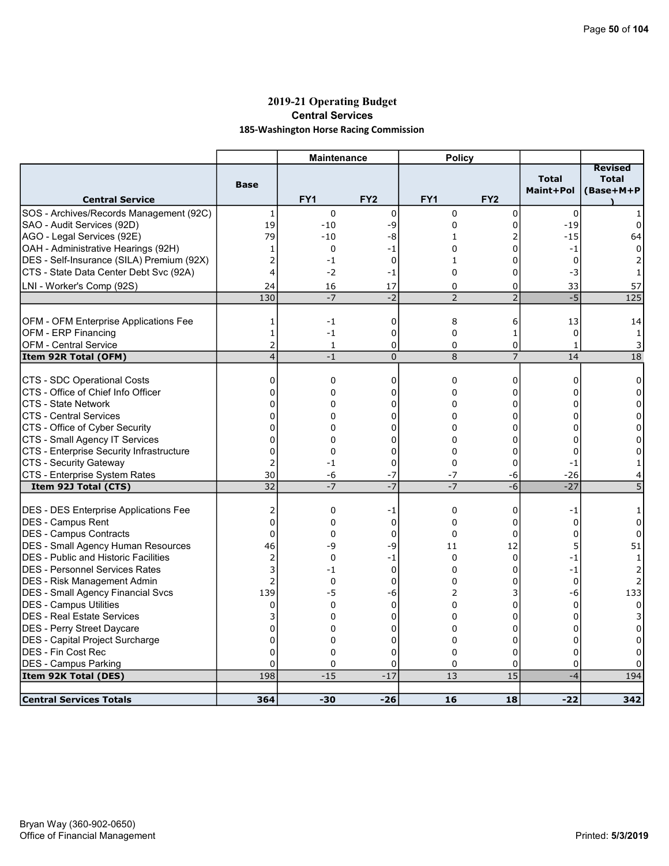# 2019-21 Operating Budget Central Services 185-Washington Horse Racing Commission

| <b>Total</b><br><b>Total</b><br><b>Base</b><br>Maint+Pol<br>(Base+M+P<br><b>Central Service</b><br>FY <sub>1</sub><br>FY <sub>2</sub><br>FY <sub>1</sub><br>FY <sub>2</sub><br>$\pmb{0}$<br>$\mathbf 0$<br>0<br>$\Omega$<br>0<br>1<br>19<br>$-10$<br>-9<br>0<br>0<br>$-19$<br>0<br>AGO - Legal Services (92E)<br>79<br>$-10$<br>-8<br>2<br>$-15$<br>64<br>$\mathbf{1}$<br>OAH - Administrative Hearings (92H)<br>0<br>-1<br>0<br>0<br>$-1$<br>1<br>0<br>$\overline{c}$<br>DES - Self-Insurance (SILA) Premium (92X)<br>$-1$<br>$\mathbf 0$<br>$\mathbf{1}$<br>0<br>$\mathbf 0$<br>4<br>CTS - State Data Center Debt Svc (92A)<br>$-2$<br>$-1$<br>$\Omega$<br>$\Omega$<br>-3<br>17<br>33<br>24<br>16<br>$\Omega$<br>0<br>57<br>$-2$<br>$\overline{2}$<br>$\overline{2}$<br>$-5$<br>$\overline{125}$<br>130<br>$-7$<br>OFM - OFM Enterprise Applications Fee<br>8<br>$-1$<br>0<br>6<br>13<br>1<br>14<br>OFM - ERP Financing<br>$\mathbf 0$<br>1<br>$-1$<br>$\mathbf 0$<br>$\mathbf{1}$<br>0<br>1<br>2<br>$\mathbf 0$<br>0<br><b>OFM - Central Service</b><br>$\mathbf{1}$<br>0<br>$\mathbf{1}$<br>3<br>$\overline{4}$<br>$\overline{7}$<br>Item 92R Total (OFM)<br>$-1$<br>$\mathbf 0$<br>8<br>14<br>18<br>0<br>0<br>0<br>$\mathbf 0$<br>0<br>$\mathbf 0$<br>0<br>$\overline{0}$<br>0<br>0<br>0<br>0<br>0<br>0<br>0<br>0<br>$\Omega$<br>0<br>$\Omega$<br>0<br>$\Omega$<br>$\overline{0}$<br>$\Omega$<br>0<br>$\Omega$<br>0<br>0<br>$\Omega$<br>0<br>0<br>0<br>0<br>0<br>0<br>0<br>0<br>0<br>0<br>0<br>0<br>0<br>0<br>$\Omega$<br>CTS - Enterprise Security Infrastructure<br>$\overline{0}$<br>$\Omega$<br>$\Omega$<br>0<br>0<br>0<br>CTS - Security Gateway<br>$\overline{2}$<br>$-1$<br>0<br>$\mathbf 0$<br>0<br>$-1$<br>1<br>30<br>CTS - Enterprise System Rates<br>-6<br>$-7$<br>$-7$<br>$-26$<br>-6<br>4<br>$-7$<br>$-7$<br>32<br>$-7$<br>-6<br>$-27$<br>5<br>Item 92J Total (CTS)<br><b>DES - DES Enterprise Applications Fee</b><br>2<br>$\mathbf 0$<br>0<br>0<br>-1<br>$-1$<br>1<br>$\overline{0}$<br>DES - Campus Rent<br>0<br>0<br>0<br>0<br>0<br>0<br>DES - Campus Contracts<br>0<br>$\Omega$<br>$\mathbf 0$<br>$\Omega$<br>0<br>$\Omega$<br>0<br>DES - Small Agency Human Resources<br>46<br>51<br>-9<br>-9<br>12<br>5<br>11<br>$\overline{2}$<br>$\mathbf 0$<br>$-1$<br>$\mathbf 0$<br>0<br>$-1$<br>$\mathbf{1}$<br>3<br>$\Omega$<br>$\Omega$<br>$\Omega$<br>$-1$<br>$-1$<br>$\overline{2}$<br>0<br>0<br>0<br>0<br>2<br>0<br>139<br>-5<br>3<br>-6<br>133<br>-6<br>2<br>0<br>$\Omega$<br>$\Omega$<br>$\Omega$<br>0<br>$\Omega$<br>$\Omega$<br>3<br>0<br>0<br>$\Omega$<br>0<br>0<br>3<br>$\overline{0}$<br>0<br>0<br>$\Omega$<br>0<br>$\Omega$<br>0<br>$\overline{0}$<br>$\Omega$<br>0<br>$\Omega$<br>0<br>$\Omega$<br>0<br>$\overline{0}$<br>0<br>0<br>0<br>0<br>$\mathbf 0$<br>0<br>$\Omega$<br>$\mathbf 0$<br>0<br>$\Omega$<br>0<br>0<br>0<br>198<br>$-15$<br>$-17$<br>13<br>15<br>194<br>Item 92K Total (DES)<br>$-4$ |                                             | <b>Maintenance</b> | <b>Policy</b> |  |                |
|------------------------------------------------------------------------------------------------------------------------------------------------------------------------------------------------------------------------------------------------------------------------------------------------------------------------------------------------------------------------------------------------------------------------------------------------------------------------------------------------------------------------------------------------------------------------------------------------------------------------------------------------------------------------------------------------------------------------------------------------------------------------------------------------------------------------------------------------------------------------------------------------------------------------------------------------------------------------------------------------------------------------------------------------------------------------------------------------------------------------------------------------------------------------------------------------------------------------------------------------------------------------------------------------------------------------------------------------------------------------------------------------------------------------------------------------------------------------------------------------------------------------------------------------------------------------------------------------------------------------------------------------------------------------------------------------------------------------------------------------------------------------------------------------------------------------------------------------------------------------------------------------------------------------------------------------------------------------------------------------------------------------------------------------------------------------------------------------------------------------------------------------------------------------------------------------------------------------------------------------------------------------------------------------------------------------------------------------------------------------------------------------------------------------------------------------------------------------------------------------------------------------------------------------------------------------------------------------------------------------------------------------------------------------------------------------------------------------------------------------------------------------------------------------------------------------------------------------------------------------------------------------------------------------------------|---------------------------------------------|--------------------|---------------|--|----------------|
|                                                                                                                                                                                                                                                                                                                                                                                                                                                                                                                                                                                                                                                                                                                                                                                                                                                                                                                                                                                                                                                                                                                                                                                                                                                                                                                                                                                                                                                                                                                                                                                                                                                                                                                                                                                                                                                                                                                                                                                                                                                                                                                                                                                                                                                                                                                                                                                                                                                                                                                                                                                                                                                                                                                                                                                                                                                                                                                                    |                                             |                    |               |  | <b>Revised</b> |
|                                                                                                                                                                                                                                                                                                                                                                                                                                                                                                                                                                                                                                                                                                                                                                                                                                                                                                                                                                                                                                                                                                                                                                                                                                                                                                                                                                                                                                                                                                                                                                                                                                                                                                                                                                                                                                                                                                                                                                                                                                                                                                                                                                                                                                                                                                                                                                                                                                                                                                                                                                                                                                                                                                                                                                                                                                                                                                                                    | SOS - Archives/Records Management (92C)     |                    |               |  |                |
|                                                                                                                                                                                                                                                                                                                                                                                                                                                                                                                                                                                                                                                                                                                                                                                                                                                                                                                                                                                                                                                                                                                                                                                                                                                                                                                                                                                                                                                                                                                                                                                                                                                                                                                                                                                                                                                                                                                                                                                                                                                                                                                                                                                                                                                                                                                                                                                                                                                                                                                                                                                                                                                                                                                                                                                                                                                                                                                                    | SAO - Audit Services (92D)                  |                    |               |  |                |
|                                                                                                                                                                                                                                                                                                                                                                                                                                                                                                                                                                                                                                                                                                                                                                                                                                                                                                                                                                                                                                                                                                                                                                                                                                                                                                                                                                                                                                                                                                                                                                                                                                                                                                                                                                                                                                                                                                                                                                                                                                                                                                                                                                                                                                                                                                                                                                                                                                                                                                                                                                                                                                                                                                                                                                                                                                                                                                                                    |                                             |                    |               |  |                |
|                                                                                                                                                                                                                                                                                                                                                                                                                                                                                                                                                                                                                                                                                                                                                                                                                                                                                                                                                                                                                                                                                                                                                                                                                                                                                                                                                                                                                                                                                                                                                                                                                                                                                                                                                                                                                                                                                                                                                                                                                                                                                                                                                                                                                                                                                                                                                                                                                                                                                                                                                                                                                                                                                                                                                                                                                                                                                                                                    |                                             |                    |               |  |                |
|                                                                                                                                                                                                                                                                                                                                                                                                                                                                                                                                                                                                                                                                                                                                                                                                                                                                                                                                                                                                                                                                                                                                                                                                                                                                                                                                                                                                                                                                                                                                                                                                                                                                                                                                                                                                                                                                                                                                                                                                                                                                                                                                                                                                                                                                                                                                                                                                                                                                                                                                                                                                                                                                                                                                                                                                                                                                                                                                    |                                             |                    |               |  |                |
|                                                                                                                                                                                                                                                                                                                                                                                                                                                                                                                                                                                                                                                                                                                                                                                                                                                                                                                                                                                                                                                                                                                                                                                                                                                                                                                                                                                                                                                                                                                                                                                                                                                                                                                                                                                                                                                                                                                                                                                                                                                                                                                                                                                                                                                                                                                                                                                                                                                                                                                                                                                                                                                                                                                                                                                                                                                                                                                                    |                                             |                    |               |  |                |
|                                                                                                                                                                                                                                                                                                                                                                                                                                                                                                                                                                                                                                                                                                                                                                                                                                                                                                                                                                                                                                                                                                                                                                                                                                                                                                                                                                                                                                                                                                                                                                                                                                                                                                                                                                                                                                                                                                                                                                                                                                                                                                                                                                                                                                                                                                                                                                                                                                                                                                                                                                                                                                                                                                                                                                                                                                                                                                                                    | LNI - Worker's Comp (92S)                   |                    |               |  |                |
|                                                                                                                                                                                                                                                                                                                                                                                                                                                                                                                                                                                                                                                                                                                                                                                                                                                                                                                                                                                                                                                                                                                                                                                                                                                                                                                                                                                                                                                                                                                                                                                                                                                                                                                                                                                                                                                                                                                                                                                                                                                                                                                                                                                                                                                                                                                                                                                                                                                                                                                                                                                                                                                                                                                                                                                                                                                                                                                                    |                                             |                    |               |  |                |
|                                                                                                                                                                                                                                                                                                                                                                                                                                                                                                                                                                                                                                                                                                                                                                                                                                                                                                                                                                                                                                                                                                                                                                                                                                                                                                                                                                                                                                                                                                                                                                                                                                                                                                                                                                                                                                                                                                                                                                                                                                                                                                                                                                                                                                                                                                                                                                                                                                                                                                                                                                                                                                                                                                                                                                                                                                                                                                                                    |                                             |                    |               |  |                |
|                                                                                                                                                                                                                                                                                                                                                                                                                                                                                                                                                                                                                                                                                                                                                                                                                                                                                                                                                                                                                                                                                                                                                                                                                                                                                                                                                                                                                                                                                                                                                                                                                                                                                                                                                                                                                                                                                                                                                                                                                                                                                                                                                                                                                                                                                                                                                                                                                                                                                                                                                                                                                                                                                                                                                                                                                                                                                                                                    |                                             |                    |               |  |                |
|                                                                                                                                                                                                                                                                                                                                                                                                                                                                                                                                                                                                                                                                                                                                                                                                                                                                                                                                                                                                                                                                                                                                                                                                                                                                                                                                                                                                                                                                                                                                                                                                                                                                                                                                                                                                                                                                                                                                                                                                                                                                                                                                                                                                                                                                                                                                                                                                                                                                                                                                                                                                                                                                                                                                                                                                                                                                                                                                    |                                             |                    |               |  |                |
|                                                                                                                                                                                                                                                                                                                                                                                                                                                                                                                                                                                                                                                                                                                                                                                                                                                                                                                                                                                                                                                                                                                                                                                                                                                                                                                                                                                                                                                                                                                                                                                                                                                                                                                                                                                                                                                                                                                                                                                                                                                                                                                                                                                                                                                                                                                                                                                                                                                                                                                                                                                                                                                                                                                                                                                                                                                                                                                                    |                                             |                    |               |  |                |
|                                                                                                                                                                                                                                                                                                                                                                                                                                                                                                                                                                                                                                                                                                                                                                                                                                                                                                                                                                                                                                                                                                                                                                                                                                                                                                                                                                                                                                                                                                                                                                                                                                                                                                                                                                                                                                                                                                                                                                                                                                                                                                                                                                                                                                                                                                                                                                                                                                                                                                                                                                                                                                                                                                                                                                                                                                                                                                                                    |                                             |                    |               |  |                |
|                                                                                                                                                                                                                                                                                                                                                                                                                                                                                                                                                                                                                                                                                                                                                                                                                                                                                                                                                                                                                                                                                                                                                                                                                                                                                                                                                                                                                                                                                                                                                                                                                                                                                                                                                                                                                                                                                                                                                                                                                                                                                                                                                                                                                                                                                                                                                                                                                                                                                                                                                                                                                                                                                                                                                                                                                                                                                                                                    | CTS - SDC Operational Costs                 |                    |               |  |                |
|                                                                                                                                                                                                                                                                                                                                                                                                                                                                                                                                                                                                                                                                                                                                                                                                                                                                                                                                                                                                                                                                                                                                                                                                                                                                                                                                                                                                                                                                                                                                                                                                                                                                                                                                                                                                                                                                                                                                                                                                                                                                                                                                                                                                                                                                                                                                                                                                                                                                                                                                                                                                                                                                                                                                                                                                                                                                                                                                    | CTS - Office of Chief Info Officer          |                    |               |  |                |
|                                                                                                                                                                                                                                                                                                                                                                                                                                                                                                                                                                                                                                                                                                                                                                                                                                                                                                                                                                                                                                                                                                                                                                                                                                                                                                                                                                                                                                                                                                                                                                                                                                                                                                                                                                                                                                                                                                                                                                                                                                                                                                                                                                                                                                                                                                                                                                                                                                                                                                                                                                                                                                                                                                                                                                                                                                                                                                                                    | ICTS - State Network                        |                    |               |  |                |
|                                                                                                                                                                                                                                                                                                                                                                                                                                                                                                                                                                                                                                                                                                                                                                                                                                                                                                                                                                                                                                                                                                                                                                                                                                                                                                                                                                                                                                                                                                                                                                                                                                                                                                                                                                                                                                                                                                                                                                                                                                                                                                                                                                                                                                                                                                                                                                                                                                                                                                                                                                                                                                                                                                                                                                                                                                                                                                                                    | ICTS - Central Services                     |                    |               |  |                |
|                                                                                                                                                                                                                                                                                                                                                                                                                                                                                                                                                                                                                                                                                                                                                                                                                                                                                                                                                                                                                                                                                                                                                                                                                                                                                                                                                                                                                                                                                                                                                                                                                                                                                                                                                                                                                                                                                                                                                                                                                                                                                                                                                                                                                                                                                                                                                                                                                                                                                                                                                                                                                                                                                                                                                                                                                                                                                                                                    | CTS - Office of Cyber Security              |                    |               |  |                |
|                                                                                                                                                                                                                                                                                                                                                                                                                                                                                                                                                                                                                                                                                                                                                                                                                                                                                                                                                                                                                                                                                                                                                                                                                                                                                                                                                                                                                                                                                                                                                                                                                                                                                                                                                                                                                                                                                                                                                                                                                                                                                                                                                                                                                                                                                                                                                                                                                                                                                                                                                                                                                                                                                                                                                                                                                                                                                                                                    | CTS - Small Agency IT Services              |                    |               |  |                |
|                                                                                                                                                                                                                                                                                                                                                                                                                                                                                                                                                                                                                                                                                                                                                                                                                                                                                                                                                                                                                                                                                                                                                                                                                                                                                                                                                                                                                                                                                                                                                                                                                                                                                                                                                                                                                                                                                                                                                                                                                                                                                                                                                                                                                                                                                                                                                                                                                                                                                                                                                                                                                                                                                                                                                                                                                                                                                                                                    |                                             |                    |               |  |                |
|                                                                                                                                                                                                                                                                                                                                                                                                                                                                                                                                                                                                                                                                                                                                                                                                                                                                                                                                                                                                                                                                                                                                                                                                                                                                                                                                                                                                                                                                                                                                                                                                                                                                                                                                                                                                                                                                                                                                                                                                                                                                                                                                                                                                                                                                                                                                                                                                                                                                                                                                                                                                                                                                                                                                                                                                                                                                                                                                    |                                             |                    |               |  |                |
|                                                                                                                                                                                                                                                                                                                                                                                                                                                                                                                                                                                                                                                                                                                                                                                                                                                                                                                                                                                                                                                                                                                                                                                                                                                                                                                                                                                                                                                                                                                                                                                                                                                                                                                                                                                                                                                                                                                                                                                                                                                                                                                                                                                                                                                                                                                                                                                                                                                                                                                                                                                                                                                                                                                                                                                                                                                                                                                                    |                                             |                    |               |  |                |
|                                                                                                                                                                                                                                                                                                                                                                                                                                                                                                                                                                                                                                                                                                                                                                                                                                                                                                                                                                                                                                                                                                                                                                                                                                                                                                                                                                                                                                                                                                                                                                                                                                                                                                                                                                                                                                                                                                                                                                                                                                                                                                                                                                                                                                                                                                                                                                                                                                                                                                                                                                                                                                                                                                                                                                                                                                                                                                                                    |                                             |                    |               |  |                |
|                                                                                                                                                                                                                                                                                                                                                                                                                                                                                                                                                                                                                                                                                                                                                                                                                                                                                                                                                                                                                                                                                                                                                                                                                                                                                                                                                                                                                                                                                                                                                                                                                                                                                                                                                                                                                                                                                                                                                                                                                                                                                                                                                                                                                                                                                                                                                                                                                                                                                                                                                                                                                                                                                                                                                                                                                                                                                                                                    |                                             |                    |               |  |                |
|                                                                                                                                                                                                                                                                                                                                                                                                                                                                                                                                                                                                                                                                                                                                                                                                                                                                                                                                                                                                                                                                                                                                                                                                                                                                                                                                                                                                                                                                                                                                                                                                                                                                                                                                                                                                                                                                                                                                                                                                                                                                                                                                                                                                                                                                                                                                                                                                                                                                                                                                                                                                                                                                                                                                                                                                                                                                                                                                    |                                             |                    |               |  |                |
|                                                                                                                                                                                                                                                                                                                                                                                                                                                                                                                                                                                                                                                                                                                                                                                                                                                                                                                                                                                                                                                                                                                                                                                                                                                                                                                                                                                                                                                                                                                                                                                                                                                                                                                                                                                                                                                                                                                                                                                                                                                                                                                                                                                                                                                                                                                                                                                                                                                                                                                                                                                                                                                                                                                                                                                                                                                                                                                                    |                                             |                    |               |  |                |
|                                                                                                                                                                                                                                                                                                                                                                                                                                                                                                                                                                                                                                                                                                                                                                                                                                                                                                                                                                                                                                                                                                                                                                                                                                                                                                                                                                                                                                                                                                                                                                                                                                                                                                                                                                                                                                                                                                                                                                                                                                                                                                                                                                                                                                                                                                                                                                                                                                                                                                                                                                                                                                                                                                                                                                                                                                                                                                                                    |                                             |                    |               |  |                |
|                                                                                                                                                                                                                                                                                                                                                                                                                                                                                                                                                                                                                                                                                                                                                                                                                                                                                                                                                                                                                                                                                                                                                                                                                                                                                                                                                                                                                                                                                                                                                                                                                                                                                                                                                                                                                                                                                                                                                                                                                                                                                                                                                                                                                                                                                                                                                                                                                                                                                                                                                                                                                                                                                                                                                                                                                                                                                                                                    | <b>DES</b> - Public and Historic Facilities |                    |               |  |                |
|                                                                                                                                                                                                                                                                                                                                                                                                                                                                                                                                                                                                                                                                                                                                                                                                                                                                                                                                                                                                                                                                                                                                                                                                                                                                                                                                                                                                                                                                                                                                                                                                                                                                                                                                                                                                                                                                                                                                                                                                                                                                                                                                                                                                                                                                                                                                                                                                                                                                                                                                                                                                                                                                                                                                                                                                                                                                                                                                    | IDES - Personnel Services Rates             |                    |               |  |                |
|                                                                                                                                                                                                                                                                                                                                                                                                                                                                                                                                                                                                                                                                                                                                                                                                                                                                                                                                                                                                                                                                                                                                                                                                                                                                                                                                                                                                                                                                                                                                                                                                                                                                                                                                                                                                                                                                                                                                                                                                                                                                                                                                                                                                                                                                                                                                                                                                                                                                                                                                                                                                                                                                                                                                                                                                                                                                                                                                    | DES - Risk Management Admin                 |                    |               |  |                |
|                                                                                                                                                                                                                                                                                                                                                                                                                                                                                                                                                                                                                                                                                                                                                                                                                                                                                                                                                                                                                                                                                                                                                                                                                                                                                                                                                                                                                                                                                                                                                                                                                                                                                                                                                                                                                                                                                                                                                                                                                                                                                                                                                                                                                                                                                                                                                                                                                                                                                                                                                                                                                                                                                                                                                                                                                                                                                                                                    | DES - Small Agency Financial Svcs           |                    |               |  |                |
|                                                                                                                                                                                                                                                                                                                                                                                                                                                                                                                                                                                                                                                                                                                                                                                                                                                                                                                                                                                                                                                                                                                                                                                                                                                                                                                                                                                                                                                                                                                                                                                                                                                                                                                                                                                                                                                                                                                                                                                                                                                                                                                                                                                                                                                                                                                                                                                                                                                                                                                                                                                                                                                                                                                                                                                                                                                                                                                                    | DES - Campus Utilities                      |                    |               |  |                |
|                                                                                                                                                                                                                                                                                                                                                                                                                                                                                                                                                                                                                                                                                                                                                                                                                                                                                                                                                                                                                                                                                                                                                                                                                                                                                                                                                                                                                                                                                                                                                                                                                                                                                                                                                                                                                                                                                                                                                                                                                                                                                                                                                                                                                                                                                                                                                                                                                                                                                                                                                                                                                                                                                                                                                                                                                                                                                                                                    | DES - Real Estate Services                  |                    |               |  |                |
|                                                                                                                                                                                                                                                                                                                                                                                                                                                                                                                                                                                                                                                                                                                                                                                                                                                                                                                                                                                                                                                                                                                                                                                                                                                                                                                                                                                                                                                                                                                                                                                                                                                                                                                                                                                                                                                                                                                                                                                                                                                                                                                                                                                                                                                                                                                                                                                                                                                                                                                                                                                                                                                                                                                                                                                                                                                                                                                                    | DES - Perry Street Daycare                  |                    |               |  |                |
|                                                                                                                                                                                                                                                                                                                                                                                                                                                                                                                                                                                                                                                                                                                                                                                                                                                                                                                                                                                                                                                                                                                                                                                                                                                                                                                                                                                                                                                                                                                                                                                                                                                                                                                                                                                                                                                                                                                                                                                                                                                                                                                                                                                                                                                                                                                                                                                                                                                                                                                                                                                                                                                                                                                                                                                                                                                                                                                                    | DES - Capital Project Surcharge             |                    |               |  |                |
|                                                                                                                                                                                                                                                                                                                                                                                                                                                                                                                                                                                                                                                                                                                                                                                                                                                                                                                                                                                                                                                                                                                                                                                                                                                                                                                                                                                                                                                                                                                                                                                                                                                                                                                                                                                                                                                                                                                                                                                                                                                                                                                                                                                                                                                                                                                                                                                                                                                                                                                                                                                                                                                                                                                                                                                                                                                                                                                                    | DES - Fin Cost Rec                          |                    |               |  |                |
|                                                                                                                                                                                                                                                                                                                                                                                                                                                                                                                                                                                                                                                                                                                                                                                                                                                                                                                                                                                                                                                                                                                                                                                                                                                                                                                                                                                                                                                                                                                                                                                                                                                                                                                                                                                                                                                                                                                                                                                                                                                                                                                                                                                                                                                                                                                                                                                                                                                                                                                                                                                                                                                                                                                                                                                                                                                                                                                                    | <b>DES - Campus Parking</b>                 |                    |               |  |                |
|                                                                                                                                                                                                                                                                                                                                                                                                                                                                                                                                                                                                                                                                                                                                                                                                                                                                                                                                                                                                                                                                                                                                                                                                                                                                                                                                                                                                                                                                                                                                                                                                                                                                                                                                                                                                                                                                                                                                                                                                                                                                                                                                                                                                                                                                                                                                                                                                                                                                                                                                                                                                                                                                                                                                                                                                                                                                                                                                    |                                             |                    |               |  |                |
| 364<br>$-30$<br>$-26$<br>16<br>18<br>$-22$<br>342                                                                                                                                                                                                                                                                                                                                                                                                                                                                                                                                                                                                                                                                                                                                                                                                                                                                                                                                                                                                                                                                                                                                                                                                                                                                                                                                                                                                                                                                                                                                                                                                                                                                                                                                                                                                                                                                                                                                                                                                                                                                                                                                                                                                                                                                                                                                                                                                                                                                                                                                                                                                                                                                                                                                                                                                                                                                                  | <b>Central Services Totals</b>              |                    |               |  |                |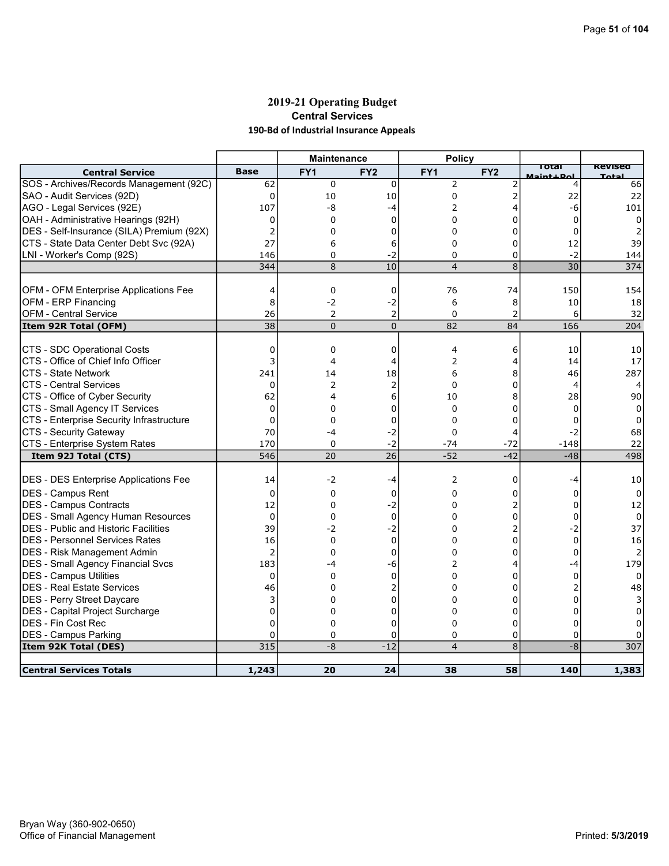# 2019-21 Operating Budget Central Services 190-Bd of Industrial Insurance Appeals

|                                              |                 | <b>Maintenance</b> |                 | <b>Policy</b>   |                 |                    |                |
|----------------------------------------------|-----------------|--------------------|-----------------|-----------------|-----------------|--------------------|----------------|
| <b>Central Service</b>                       | <b>Base</b>     | FY <sub>1</sub>    | FY <sub>2</sub> | FY <sub>1</sub> | FY <sub>2</sub> | ाotaा<br>$\pm$ Dol | Revisea<br>エヘト |
| SOS - Archives/Records Management (92C)      | 62              | 0                  | $\mathbf 0$     | $\overline{2}$  | 2               | 4                  | 66             |
| SAO - Audit Services (92D)                   | $\Omega$        | 10                 | 10              | $\Omega$        | 2               | 22                 | 22             |
| AGO - Legal Services (92E)                   | 107             | -8                 | -4              | 2               | 4               | -6                 | 101            |
| OAH - Administrative Hearings (92H)          | 0               | 0                  | 0               | 0               | 0               | 0                  | 0              |
| DES - Self-Insurance (SILA) Premium (92X)    | 2               | 0                  | 0               | 0               | $\Omega$        | 0                  |                |
| CTS - State Data Center Debt Svc (92A)       | 27              | 6                  | 6               | 0               | 0               | 12                 | 39             |
| LNI - Worker's Comp (92S)                    | 146             | 0                  | -2              | 0               | 0               | $-2$               | 144            |
|                                              | 344             | 8                  | 10              | $\overline{4}$  | 8               | $\overline{30}$    | 374            |
| OFM - OFM Enterprise Applications Fee        | 4               | 0                  | 0               | 76              | 74              | 150                | 154            |
| OFM - ERP Financing                          | 8               | $-2$               | $-2$            | 6               | 8               | 10                 | 18             |
| OFM - Central Service                        | 26              | 2                  | 2               | $\mathbf 0$     | 2               | 6                  | 32             |
| Item 92R Total (OFM)                         | $\overline{38}$ | $\overline{0}$     | $\overline{0}$  | 82              | 84              | 166                | 204            |
|                                              |                 |                    |                 |                 |                 |                    |                |
| CTS - SDC Operational Costs                  | 0               | 0                  | 0               | 4               | 6               | 10                 | 10             |
| CTS - Office of Chief Info Officer           | 3               | 4                  | 4               | 2               | 4               | 14                 | 17             |
| ICTS - State Network                         | 241             | 14                 | 18              | 6               | 8               | 46                 | 287            |
| <b>CTS - Central Services</b>                | $\mathbf 0$     | 2                  | 2               | $\mathbf 0$     | 0               | 4                  |                |
| CTS - Office of Cyber Security               | 62              | 4                  | 6               | 10              | 8               | 28                 | 90             |
| CTS - Small Agency IT Services               | $\Omega$        | $\Omega$           | 0               | $\Omega$        | O               | 0                  | 0              |
| CTS - Enterprise Security Infrastructure     | $\Omega$        | $\Omega$           | $\Omega$        | $\Omega$        | 0               | $\Omega$           | 0              |
| CTS - Security Gateway                       | 70              | $-4$               | -2              | $\Omega$        | 4               | -2                 | 68             |
| CTS - Enterprise System Rates                | 170             | $\Omega$           | $-2$            | $-74$           | $-72$           | $-148$             | 22             |
| Item 92J Total (CTS)                         | 546             | 20                 | 26              | $-52$           | $-42$           | $-48$              | 498            |
|                                              |                 |                    |                 |                 |                 |                    |                |
| <b>DES - DES Enterprise Applications Fee</b> | 14              | $-2$               | $-4$            | 2               | 0               | -4                 | 10             |
| DES - Campus Rent                            | 0               | 0                  | 0               | 0               | O               | 0                  | 0              |
| <b>DES - Campus Contracts</b>                | 12              | 0                  | -2              | 0               | 2               | 0                  | 12             |
| <b>DES - Small Agency Human Resources</b>    | $\mathbf 0$     | 0                  | $\Omega$        | 0               | 0               | 0                  | 0              |
| <b>IDES - Public and Historic Facilities</b> | 39              | $-2$               | -2              | 0               | 2               | -2                 | 37             |
| <b>DES - Personnel Services Rates</b>        | 16              | 0                  | 0               | 0               | 0               | $\Omega$           | 16             |
| <b>DES</b> - Risk Management Admin           | $\overline{2}$  | 0                  | 0               | 0               | 0               | 0                  | 2              |
| DES - Small Agency Financial Svcs            | 183             | -4                 | -6              | 2               | 4               | -4                 | 179            |
| DES - Campus Utilities                       | 0               | 0                  | 0               | $\mathbf 0$     | 0               | 0                  | $\Omega$       |
| <b>DES - Real Estate Services</b>            | 46              | 0                  | 2               | 0               | 0               |                    | 48             |
| DES - Perry Street Daycare                   | 3               | 0                  | 0               | 0               | 0               | 0                  |                |
| DES - Capital Project Surcharge              | $\Omega$        | 0                  | 0               | 0               | 0               | O                  |                |
| DES - Fin Cost Rec                           | 0               | 0                  | 0               | 0               | 0               | 0                  |                |
| <b>DES - Campus Parking</b>                  | $\mathbf 0$     | 0                  | 0               | 0               | 0               | $\Omega$           | 0              |
| Item 92K Total (DES)                         | $\frac{1}{315}$ | $-8$               | $-12$           | $\overline{4}$  | $\overline{8}$  | $-8$               | 307            |
|                                              |                 |                    |                 |                 |                 |                    |                |
| <b>Central Services Totals</b>               | 1,243           | 20                 | 24              | 38              | 58              | 140                | 1,383          |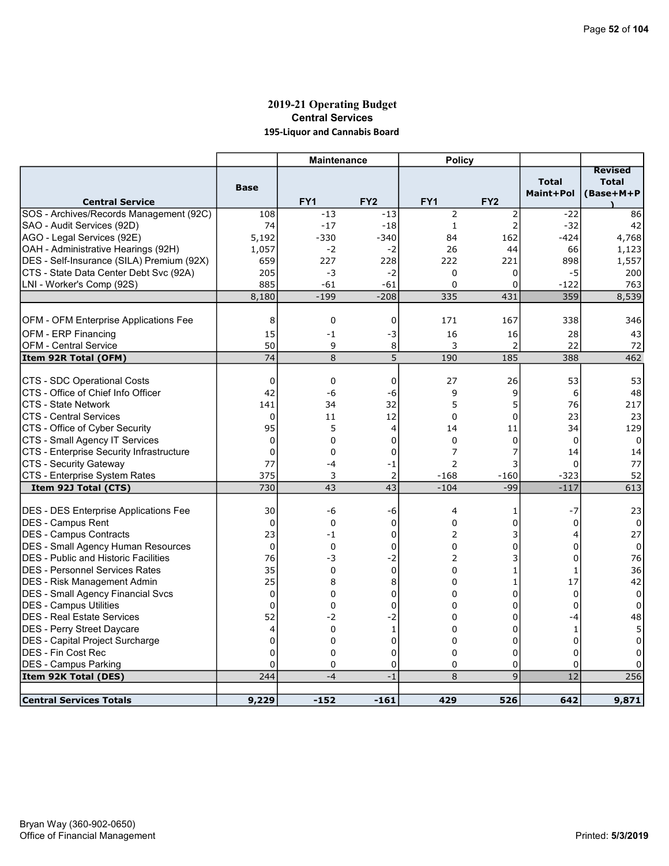# 2019-21 Operating Budget Central Services 195-Liquor and Cannabis Board

|                                              |             | <b>Maintenance</b> |                 | <b>Policy</b>   |                 |                           |                                             |
|----------------------------------------------|-------------|--------------------|-----------------|-----------------|-----------------|---------------------------|---------------------------------------------|
| <b>Central Service</b>                       | <b>Base</b> | FY1                | FY <sub>2</sub> | FY <sub>1</sub> | FY <sub>2</sub> | <b>Total</b><br>Maint+Pol | <b>Revised</b><br><b>Total</b><br>(Base+M+P |
| SOS - Archives/Records Management (92C)      | 108         | $-13$              | $-13$           | $\overline{2}$  | 2               | $-22$                     | 86                                          |
| SAO - Audit Services (92D)                   | 74          | $-17$              | $-18$           | $\mathbf{1}$    | $\overline{2}$  | $-32$                     | 42                                          |
| AGO - Legal Services (92E)                   | 5,192       | $-330$             | $-340$          | 84              | 162             | $-424$                    | 4,768                                       |
| OAH - Administrative Hearings (92H)          | 1,057       | $-2$               | $-2$            | 26              | 44              | 66                        | 1,123                                       |
| DES - Self-Insurance (SILA) Premium (92X)    | 659         | 227                | 228             | 222             | 221             | 898                       | 1,557                                       |
| CTS - State Data Center Debt Svc (92A)       | 205         | -3                 | -2              | $\mathbf 0$     | 0               | -5                        | 200                                         |
| LNI - Worker's Comp (92S)                    | 885         | $-61$              | $-61$           | $\mathbf{0}$    | 0               | $-122$                    | 763                                         |
|                                              | 8,180       | $-199$             | $-208$          | 335             | 431             | 359                       | 8,539                                       |
|                                              |             |                    |                 |                 |                 |                           |                                             |
| OFM - OFM Enterprise Applications Fee        | 8           | 0                  | 0               | 171             | 167             | 338                       | 346                                         |
| OFM - ERP Financing                          | 15          | $-1$               | $-3$            | 16              | 16              | 28                        | 43                                          |
| <b>OFM - Central Service</b>                 | 50          | 9                  | 8               | 3               | 2               | 22                        | 72                                          |
| Item 92R Total (OFM)                         | 74          | 8                  | 5               | 190             | 185             | 388                       | 462                                         |
|                                              |             |                    |                 |                 |                 |                           |                                             |
| CTS - SDC Operational Costs                  | $\mathbf 0$ | $\mathbf 0$        | $\mathbf 0$     | 27              | 26              | 53                        | 53                                          |
| CTS - Office of Chief Info Officer           | 42          | -6                 | -6              | 9               | 9               | 6                         | 48                                          |
| <b>CTS - State Network</b>                   | 141         | 34                 | 32              | 5               | 5               | 76                        | 217                                         |
| ICTS - Central Services                      | $\mathbf 0$ | 11                 | 12              | $\Omega$        | 0               | 23                        | 23                                          |
| CTS - Office of Cyber Security               | 95          | 5                  | 4               | 14              | 11              | 34                        | 129                                         |
| CTS - Small Agency IT Services               | $\mathbf 0$ | 0                  | $\mathbf 0$     | $\Omega$        | 0               | $\Omega$                  | $\Omega$                                    |
| CTS - Enterprise Security Infrastructure     | $\Omega$    | $\Omega$           | $\mathbf 0$     | 7               | 7               | 14                        | 14                                          |
| CTS - Security Gateway                       | 77          | -4                 | $-1$            | 2               | 3               | 0                         | 77                                          |
| CTS - Enterprise System Rates                | 375         | 3                  | $\overline{2}$  | $-168$          | $-160$          | $-323$                    | 52                                          |
| Item 92J Total (CTS)                         | 730         | 43                 | $\overline{43}$ | $-104$          | $-99$           | $-117$                    | 613                                         |
| <b>DES - DES Enterprise Applications Fee</b> | 30          | -6                 | -6              | 4               | 1               | $-7$                      | 23                                          |
| DES - Campus Rent                            | 0           | 0                  | 0               | 0               | 0               | 0                         | 0                                           |
| DES - Campus Contracts                       | 23          | $-1$               | $\mathbf 0$     | $\overline{2}$  | 3               | 4                         | 27                                          |
| <b>DES - Small Agency Human Resources</b>    | $\mathbf 0$ | $\mathbf 0$        | 0               | $\mathbf 0$     | 0               | $\mathbf 0$               | 0                                           |
| <b>IDES - Public and Historic Facilities</b> | 76          | -3                 | $-2$            | 2               | 3               | $\Omega$                  | 76                                          |
| IDES - Personnel Services Rates              | 35          | $\mathbf{0}$       | $\Omega$        | $\mathbf{0}$    | $\mathbf{1}$    | $\mathbf{1}$              | 36                                          |
| <b>DES - Risk Management Admin</b>           | 25          | 8                  | 8               | 0               | $\mathbf{1}$    | 17                        | 42                                          |
| DES - Small Agency Financial Svcs            | 0           | 0                  | $\mathbf 0$     | $\Omega$        | 0               | $\mathbf 0$               | 0                                           |
| <b>DES - Campus Utilities</b>                | $\mathbf 0$ | $\mathbf 0$        | 0               | $\Omega$        | 0               | $\Omega$                  | $\mathbf 0$                                 |
| <b>DES - Real Estate Services</b>            | 52          | $-2$               | $-2$            | 0               | 0               | -4                        | 48                                          |
| DES - Perry Street Daycare                   | 4           | $\Omega$           | $\mathbf 1$     | $\Omega$        | $\Omega$        | $\mathbf{1}$              | 5                                           |
| DES - Capital Project Surcharge              | 0           | 0                  | 0               | 0               | 0               | 0                         | 0                                           |
| IDES - Fin Cost Rec                          | 0           | $\mathbf 0$        | $\mathbf 0$     | 0               | 0               | $\mathbf 0$               | 0                                           |
| <b>DES - Campus Parking</b>                  | 0           | $\mathbf 0$        | $\mathbf 0$     | $\mathbf 0$     | 0               | $\mathbf 0$               |                                             |
| Item 92K Total (DES)                         | 244         | $-4$               | $-1$            | 8               | 9               | 12                        | 256                                         |
|                                              |             |                    |                 |                 |                 |                           |                                             |
| <b>Central Services Totals</b>               | 9,229       | $-152$             | $-161$          | 429             | 526             | 642                       | 9,871                                       |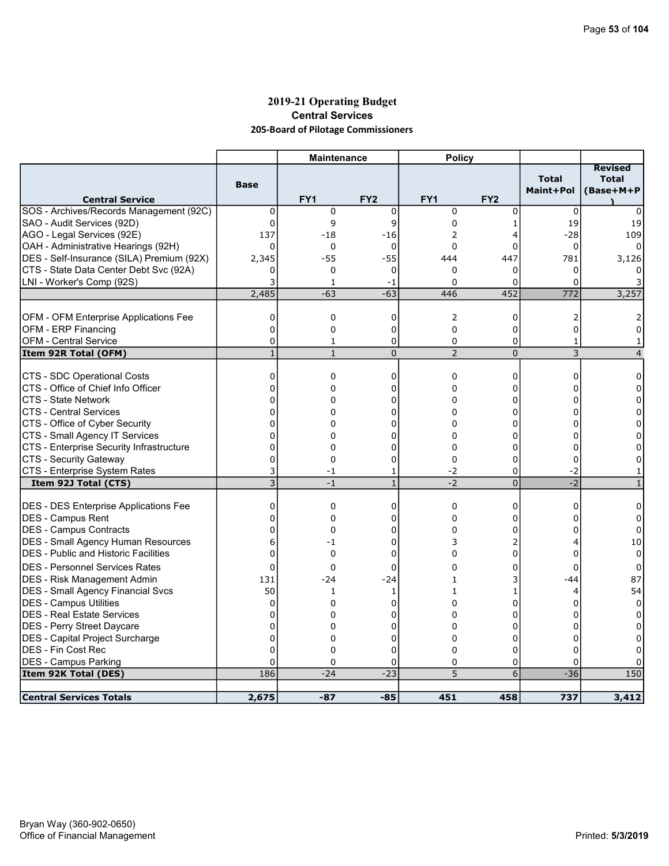# 2019-21 Operating Budget Central Services 205-Board of Pilotage Commissioners

|                                                              |                   | <b>Maintenance</b>           |                     | <b>Policy</b>       |                     |                                |                                             |
|--------------------------------------------------------------|-------------------|------------------------------|---------------------|---------------------|---------------------|--------------------------------|---------------------------------------------|
| <b>Central Service</b>                                       | <b>Base</b>       | FY <sub>1</sub>              | FY <sub>2</sub>     | FY <sub>1</sub>     | FY <sub>2</sub>     | <b>Total</b><br>Maint+Pol      | <b>Revised</b><br><b>Total</b><br>(Base+M+P |
| SOS - Archives/Records Management (92C)                      | 0                 | $\mathbf 0$                  | $\mathbf 0$         | $\mathbf 0$         | 0                   | $\mathbf 0$                    | $\Omega$                                    |
| SAO - Audit Services (92D)                                   | $\mathbf{0}$      | 9                            | 9                   | 0                   | 1                   | 19                             | 19                                          |
| AGO - Legal Services (92E)                                   | 137               | $-18$                        | $-16$               | 2                   | 4                   | $-28$                          | 109                                         |
| OAH - Administrative Hearings (92H)                          | $\Omega$          | 0                            | $\mathbf 0$         | $\Omega$            | $\Omega$            | 0                              |                                             |
| DES - Self-Insurance (SILA) Premium (92X)                    | 2,345             | $-55$                        | $-55$               | 444                 | 447                 | 781                            | 3,126                                       |
| CTS - State Data Center Debt Svc (92A)                       | 0                 | 0                            | 0                   | $\Omega$            | 0                   | 0                              |                                             |
| LNI - Worker's Comp (92S)                                    | 3                 | 1                            | -1                  | $\Omega$            | 0                   | $\Omega$                       |                                             |
|                                                              | 2,485             | $-63$                        | $-63$               | 446                 | 452                 | 772                            | 3,257                                       |
|                                                              |                   |                              |                     |                     |                     |                                |                                             |
| OFM - OFM Enterprise Applications Fee                        | 0                 | 0                            | 0                   | 2                   | 0                   | 2                              |                                             |
| OFM - ERP Financing                                          | 0                 | 0                            | 0                   | $\mathbf 0$         | 0                   | 0                              | 0                                           |
| <b>OFM - Central Service</b><br>Item 92R Total (OFM)         | 0<br>$\mathbf{1}$ | $\mathbf{1}$<br>$\mathbf{1}$ | 0<br>$\overline{0}$ | 0<br>$\overline{2}$ | 0<br>$\overline{0}$ | $\mathbf{1}$<br>$\overline{3}$ | 1<br>$\overline{4}$                         |
|                                                              |                   |                              |                     |                     |                     |                                |                                             |
| CTS - SDC Operational Costs                                  | $\mathbf 0$       | 0                            | 0                   | $\mathbf 0$         | 0                   | 0                              | 0                                           |
| CTS - Office of Chief Info Officer                           | 0                 | 0                            | 0                   | $\Omega$            | 0                   | 0                              | 0                                           |
| <b>CTS - State Network</b>                                   | 0                 | 0                            | 0                   | 0                   | 0                   |                                | $\Omega$                                    |
| <b>CTS - Central Services</b>                                | 0                 | 0                            | 0                   | 0                   | 0                   | ∩                              | 0                                           |
| CTS - Office of Cyber Security                               | 0                 | 0                            | O                   | 0                   | ი                   |                                | 0                                           |
| CTS - Small Agency IT Services                               | 0                 | 0                            | U                   | $\Omega$            | 0                   |                                | 0                                           |
| CTS - Enterprise Security Infrastructure                     | 0                 | 0                            | 0                   | $\Omega$            | 0                   | o                              | 0                                           |
| CTS - Security Gateway                                       | $\Omega$          | $\Omega$                     | 0                   | 0                   | $\Omega$            | $\Omega$                       | 0                                           |
| CTS - Enterprise System Rates                                | 3                 | -1                           | 1                   | $-2$                | 0                   | -2                             |                                             |
| Item 92J Total (CTS)                                         | $\overline{3}$    | $-1$                         | $\overline{1}$      | $-2$                | $\overline{0}$      | $-2$                           |                                             |
|                                                              |                   |                              |                     |                     |                     |                                |                                             |
| <b>DES - DES Enterprise Applications Fee</b>                 | 0                 | 0                            | 0                   | 0                   | 0                   | 0                              | 0                                           |
| DES - Campus Rent                                            | $\mathbf 0$       | 0                            | 0                   | $\Omega$            | 0                   | $\Omega$                       | 0                                           |
| DES - Campus Contracts                                       | $\mathbf 0$       | 0                            | 0                   | $\Omega$            | 0                   | U                              | $\Omega$                                    |
| <b>DES - Small Agency Human Resources</b>                    | 6<br>$\Omega$     | $-1$<br>$\Omega$             | 0<br>$\Omega$       | 3<br>0              | 2<br>$\Omega$       | 4<br>U                         | 10<br>$\Omega$                              |
| <b>DES</b> - Public and Historic Facilities                  |                   |                              |                     |                     |                     |                                |                                             |
| <b>DES - Personnel Services Rates</b>                        | $\Omega$          | 0                            | 0                   | 0                   | 0                   | 0                              | $\Omega$                                    |
| <b>DES - Risk Management Admin</b>                           | 131               | $-24$                        | $-24$               |                     | 3                   | -44                            | 87                                          |
| <b>DES - Small Agency Financial Svcs</b>                     | 50                | 1                            | 1                   | 1                   | 1                   | 4                              | 54                                          |
| DES - Campus Utilities                                       | 0                 | 0                            | 0                   | 0                   | 0                   | 0                              | $\Omega$                                    |
| DES - Real Estate Services                                   | 0                 | 0                            | $\Omega$            | $\Omega$            | 0                   |                                | 0                                           |
| <b>IDES - Perry Street Daycare</b>                           | $\mathbf 0$<br>0  | 0                            | 0                   | 0                   | 0                   | n                              |                                             |
| DES - Capital Project Surcharge<br><b>DES - Fin Cost Rec</b> | 0                 | 0<br>0                       | 0<br>$\Omega$       | 0<br>0              | 0<br>$\Omega$       |                                |                                             |
| <b>DES - Campus Parking</b>                                  | 0                 | 0                            | 0                   | 0                   | 0                   | 0<br>0                         |                                             |
| Item 92K Total (DES)                                         | 186               | $-24$                        | $-23$               | 5                   | 6                   | $-36$                          | 150                                         |
|                                                              |                   |                              |                     |                     |                     |                                |                                             |
| <b>Central Services Totals</b>                               | 2,675             | $-87$                        | $-85$               | 451                 | 458                 | 737                            | 3,412                                       |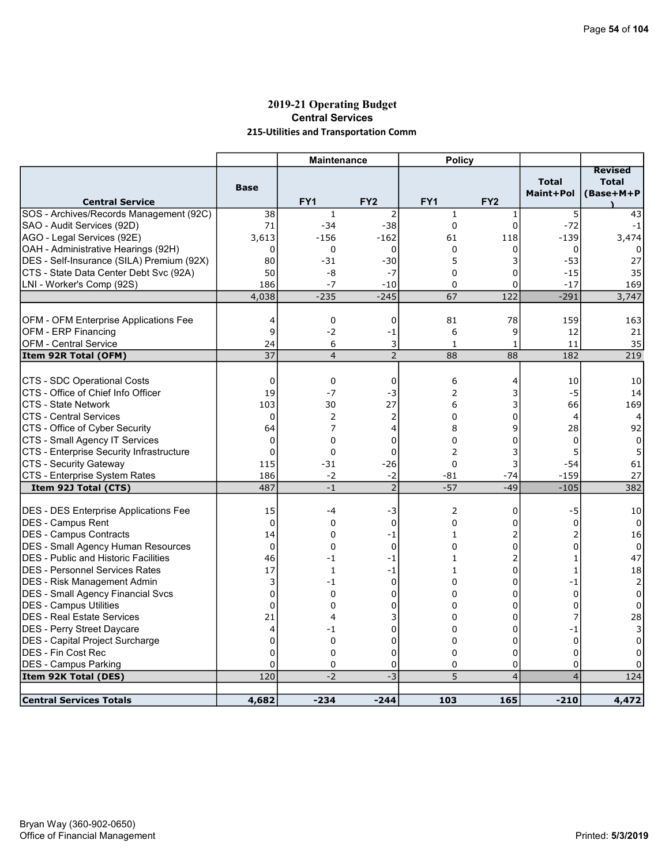# 2019-21 Operating Budget Central Services 215-Utilities and Transportation Comm

|                                              |             | <b>Maintenance</b> |                 | <b>Policy</b>   |                 |                           |                                             |
|----------------------------------------------|-------------|--------------------|-----------------|-----------------|-----------------|---------------------------|---------------------------------------------|
| <b>Central Service</b>                       | <b>Base</b> | FY <sub>1</sub>    | FY <sub>2</sub> | FY <sub>1</sub> | FY <sub>2</sub> | <b>Total</b><br>Maint+Pol | <b>Revised</b><br><b>Total</b><br>(Base+M+P |
| SOS - Archives/Records Management (92C)      | 38          | $\mathbf{1}$       | $\overline{2}$  | $\mathbf{1}$    | 1               | 5                         | 43                                          |
| SAO - Audit Services (92D)                   | 71          | $-34$              | $-38$           | $\overline{0}$  | $\mathbf 0$     | $-72$                     | $-1$                                        |
| AGO - Legal Services (92E)                   | 3,613       | $-156$             | $-162$          | 61              | 118             | $-139$                    | 3,474                                       |
| OAH - Administrative Hearings (92H)          | 0           | $\mathbf 0$        | 0               | $\mathbf 0$     | 0               | 0                         |                                             |
| DES - Self-Insurance (SILA) Premium (92X)    | 80          | $-31$              | $-30$           | 5               | 3               | $-53$                     | 27                                          |
| CTS - State Data Center Debt Svc (92A)       | 50          | -8                 | $-7$            | $\Omega$        | $\mathbf 0$     | $-15$                     | 35                                          |
| LNI - Worker's Comp (92S)                    | 186         | $-7$               | $-10$           | 0               | 0               | $-17$                     | 169                                         |
|                                              | 4,038       | $-235$             | $-245$          | 67              | 122             | $-291$                    | 3,747                                       |
|                                              |             |                    |                 |                 |                 |                           |                                             |
| OFM - OFM Enterprise Applications Fee        | 4           | $\mathbf 0$        | $\mathbf 0$     | 81              | 78              | 159                       | 163                                         |
| OFM - ERP Financing                          | 9           | $-2$               | -1              | 6               | 9               | 12                        | 21                                          |
| <b>OFM - Central Service</b>                 | 24          | 6                  | 3               | $\mathbf{1}$    | $\mathbf{1}$    | 11                        | 35                                          |
| Item 92R Total (OFM)                         | 37          | $\overline{4}$     | $\overline{2}$  | 88              | 88              | 182                       | 219                                         |
| <b>CTS - SDC Operational Costs</b>           | $\mathbf 0$ | $\mathbf 0$        | $\mathbf 0$     | 6               | 4               | 10                        | 10                                          |
| CTS - Office of Chief Info Officer           | 19          | $-7$               | -3              | $\overline{2}$  | 3               | $-5$                      | 14                                          |
| <b>CTS - State Network</b>                   | 103         | 30                 | 27              | 6               | 3               | 66                        | 169                                         |
| <b>CTS - Central Services</b>                | $\mathbf 0$ | 2                  | 2               | 0               | 0               | 4                         | 4                                           |
| CTS - Office of Cyber Security               | 64          | 7                  | 4               | 8               | 9               | 28                        | 92                                          |
| CTS - Small Agency IT Services               | $\mathbf 0$ | 0                  | 0               | $\Omega$        | 0               | $\Omega$                  | $\Omega$                                    |
| CTS - Enterprise Security Infrastructure     | $\Omega$    | $\Omega$           | $\Omega$        | $\overline{2}$  | 3               | 5                         | 5                                           |
| CTS - Security Gateway                       | 115         | $-31$              | $-26$           | $\mathbf 0$     | 3               | $-54$                     | 61                                          |
| CTS - Enterprise System Rates                | 186         | $-2$               | $-2$            | $-81$           | $-74$           | $-159$                    | 27                                          |
| Item 92J Total (CTS)                         | 487         | $-1$               | $\overline{2}$  | $-57$           | $-49$           | $-105$                    | 382                                         |
| <b>DES - DES Enterprise Applications Fee</b> | 15          | -4                 | -3              | 2               | 0               | -5                        | 10                                          |
| <b>DES - Campus Rent</b>                     | 0           | $\mathbf 0$        | 0               | $\mathbf 0$     | 0               | $\mathbf 0$               | 0                                           |
| <b>DES - Campus Contracts</b>                | 14          | 0                  | $-1$            | $\mathbf{1}$    | 2               | 2                         | 16                                          |
| <b>DES - Small Agency Human Resources</b>    | $\mathbf 0$ | $\Omega$           | $\mathbf 0$     | $\Omega$        | 0               | $\Omega$                  | 0                                           |
| <b>DES</b> - Public and Historic Facilities  | 46          | -1                 | -1              | 1               | 2               | 1                         | 47                                          |
| <b>DES - Personnel Services Rates</b>        | 17          | $\mathbf{1}$       | $-1$            | $\mathbf{1}$    | 0               | $\mathbf{1}$              | 18                                          |
| <b>DES - Risk Management Admin</b>           | 3           | $-1$               | 0               | $\mathbf 0$     | 0               | $-1$                      | $\overline{2}$                              |
| <b>DES - Small Agency Financial Svcs</b>     | $\mathbf 0$ | $\Omega$           | 0               | $\Omega$        | 0               | $\Omega$                  | 0                                           |
| <b>DES - Campus Utilities</b>                | 0           | 0                  | 0               | $\Omega$        | 0               | 0                         | 0                                           |
| <b>DES - Real Estate Services</b>            | 21          | 4                  | 3               | 0               | 0               | $\overline{7}$            | 28                                          |
| <b>DES - Perry Street Daycare</b>            | 4           | $-1$               | 0               | $\Omega$        | 0               | $-1$                      | 3                                           |
| <b>DES</b> - Capital Project Surcharge       | $\mathbf 0$ | $\Omega$           | 0               | $\Omega$        | 0               | $\mathbf 0$               | $\mathbf 0$                                 |
| DES - Fin Cost Rec                           | $\Omega$    | 0                  | $\Omega$        | 0               | $\Omega$        | $\Omega$                  | 0                                           |
| <b>DES - Campus Parking</b>                  | 0           | $\mathbf 0$        | 0               | 0               | 0               | $\mathbf 0$               | 0                                           |
| <b>Item 92K Total (DES)</b>                  | 120         | $-2$               | $-3$            | 5               | $\overline{4}$  | $\overline{4}$            | 124                                         |
|                                              |             |                    |                 |                 |                 |                           |                                             |
| <b>Central Services Totals</b>               | 4,682       | $-234$             | $-244$          | 103             | 165             | $-210$                    | 4,472                                       |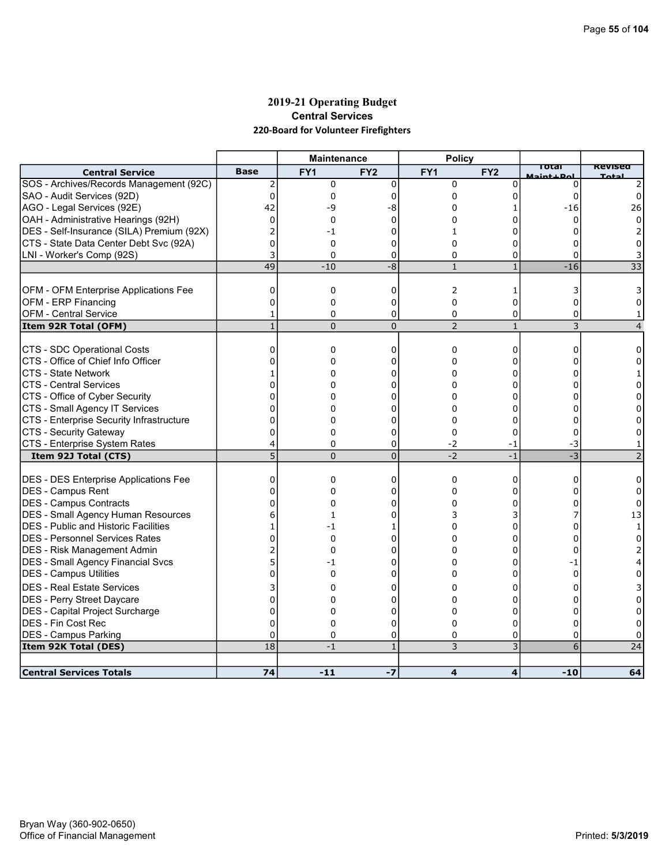# 2019-21 Operating Budget Central Services 220-Board for Volunteer Firefighters

|                                              |              | <b>Maintenance</b> |                 | <b>Policy</b>   |                 |            |              |
|----------------------------------------------|--------------|--------------------|-----------------|-----------------|-----------------|------------|--------------|
| <b>Central Service</b>                       | <b>Base</b>  | FY <sub>1</sub>    | FY <sub>2</sub> | FY <sub>1</sub> | FY <sub>2</sub> | <b>Del</b> | Revisea      |
| SOS - Archives/Records Management (92C)      | 2            | 0                  | $\mathbf 0$     | $\Omega$        | 0               | 0          |              |
| SAO - Audit Services (92D)                   | $\Omega$     | 0                  | 0               | 0               | 0               | 0          |              |
| AGO - Legal Services (92E)                   | 42           | -9                 | -8              | 0               |                 | $-16$      | 26           |
| OAH - Administrative Hearings (92H)          | $\mathbf{0}$ | 0                  | 0               | $\Omega$        | ŋ               | O          |              |
| DES - Self-Insurance (SILA) Premium (92X)    |              | $-1$               | 0               | 1               | ŋ               |            |              |
| CTS - State Data Center Debt Svc (92A)       | $\Omega$     | 0                  | 0               | $\Omega$        | ი               |            |              |
| LNI - Worker's Comp (92S)                    |              | $\Omega$           | 0               | $\Omega$        | O               | 0          |              |
|                                              | 49           | $-10$              | $-8$            | $\mathbf{1}$    | $\mathbf{1}$    | $-16$      | 33           |
| OFM - OFM Enterprise Applications Fee        | $\mathbf 0$  | 0                  | $\mathbf 0$     | 2               | 1               | 3          |              |
| <b>OFM - ERP Financing</b>                   | $\Omega$     | 0                  | 0               | $\mathbf 0$     | $\Omega$        | 0          |              |
| <b>OFM</b> - Central Service                 | 1            | $\Omega$           | 0               | 0               | $\Omega$        | 0          |              |
| Item 92R Total (OFM)                         | $\mathbf{1}$ | $\overline{0}$     | $\Omega$        | $\overline{2}$  | $\mathbf{1}$    | 3          |              |
|                                              |              |                    |                 |                 |                 |            |              |
| CTS - SDC Operational Costs                  | 0            | 0                  | 0               | 0               | 0               | 0          | 0            |
| CTS - Office of Chief Info Officer           |              | $\Omega$           | 0               | $\Omega$        | $\Omega$        |            |              |
| ICTS - State Network                         |              | 0                  | n               | 0               | n               |            |              |
| CTS - Central Services                       | 0            | 0                  | 0               | 0               | 0               |            |              |
| CTS - Office of Cyber Security               | O            | 0                  |                 | 0               | ŋ               |            |              |
| CTS - Small Agency IT Services               | ſ            |                    |                 | $\Omega$        | ŋ               |            |              |
| CTS - Enterprise Security Infrastructure     | 0            | 0                  | 0               | 0               | 0               |            |              |
| CTS - Security Gateway                       | O            | $\Omega$           | 0               | $\Omega$        | 0               |            |              |
| CTS - Enterprise System Rates                | 4            | 0                  | 0               | $-2$            | -1              | -3         |              |
| Item 92J Total (CTS)                         | 5            | $\Omega$           | $\Omega$        | $-2$            | $-1$            | $-3$       |              |
| <b>DES - DES Enterprise Applications Fee</b> | $\Omega$     | 0                  | $\Omega$        | $\Omega$        | 0               | 0          |              |
| DES - Campus Rent                            | $\Omega$     | 0                  | 0               | $\Omega$        | 0               |            | 0            |
| DES - Campus Contracts                       |              | 0                  | 0               | 0               | O               |            |              |
| <b>DES - Small Agency Human Resources</b>    |              | 1                  | U               | 3               | 3               |            | 13           |
| DES - Public and Historic Facilities         |              | -1                 |                 | $\Omega$        | 0               |            | $\mathbf{1}$ |
| <b>DES - Personnel Services Rates</b>        |              | $\Omega$           | n               | 0               | ŋ               |            |              |
| DES - Risk Management Admin                  |              | $\Omega$           | n               | O               | O               |            |              |
| DES - Small Agency Financial Svcs            | 5            | -1                 | 0               | 0               | 0               | -1         |              |
| DES - Campus Utilities                       |              | 0                  | 0               | 0               | O               | 0          |              |
| IDES - Real Estate Services                  |              | 0                  | 0               | 0               | ი               |            |              |
| DES - Perry Street Daycare                   | $\Omega$     | $\Omega$           | C               | 0               | O               |            |              |
| DES - Capital Project Surcharge              | $\Omega$     | 0                  | 0               | 0               | 0               | o          |              |
| DES - Fin Cost Rec                           | $\Omega$     | 0                  | 0               | 0               | O               |            |              |
| <b>DES - Campus Parking</b>                  | $\Omega$     | $\Omega$           | 0               | $\Omega$        | 0               | 0          |              |
| Item 92K Total (DES)                         | 18           | $-1$               | $\mathbf{1}$    | 3               | 3               | 6          | 24           |
|                                              |              |                    |                 |                 |                 |            |              |
| <b>Central Services Totals</b>               | 74           | -11                | $-7$            | 4               | 4               | $-10$      | 64           |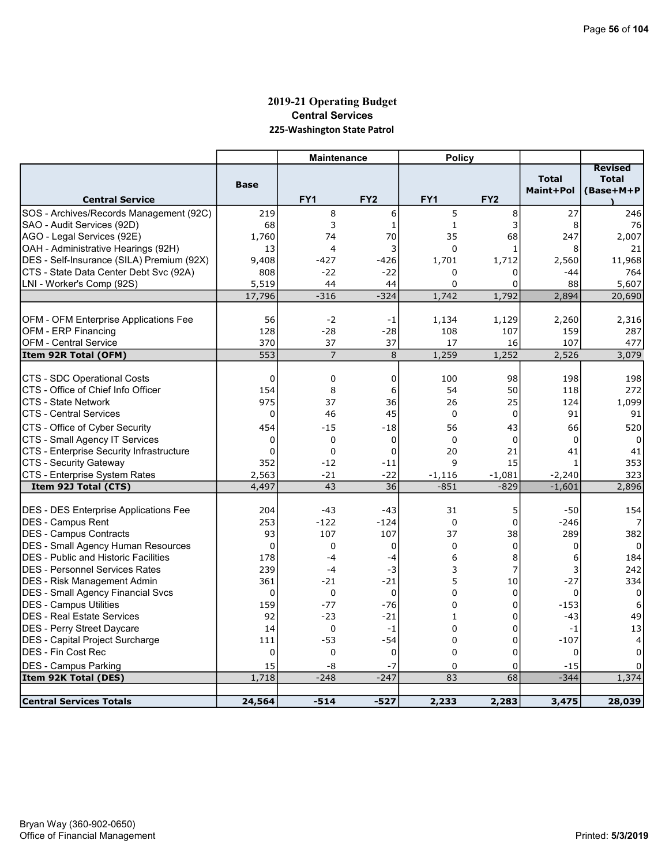# 2019-21 Operating Budget Central Services 225-Washington State Patrol

|                                                                             |                 | <b>Maintenance</b> |                 | <b>Policy</b>    |                  |                           |                                             |
|-----------------------------------------------------------------------------|-----------------|--------------------|-----------------|------------------|------------------|---------------------------|---------------------------------------------|
| <b>Central Service</b>                                                      | <b>Base</b>     | FY <sub>1</sub>    | FY <sub>2</sub> | FY <sub>1</sub>  | FY <sub>2</sub>  | <b>Total</b><br>Maint+Pol | <b>Revised</b><br><b>Total</b><br>(Base+M+P |
| SOS - Archives/Records Management (92C)                                     | 219             | 8                  | 6               | 5                | 8                | 27                        | 246                                         |
| SAO - Audit Services (92D)                                                  | 68              | 3                  | 1               | $\mathbf{1}$     | 3                | 8                         | 76                                          |
| AGO - Legal Services (92E)                                                  | 1,760           | 74                 | 70              | 35               | 68               | 247                       | 2,007                                       |
| OAH - Administrative Hearings (92H)                                         | 13              | $\overline{4}$     | 3               | $\mathbf 0$      | $\mathbf{1}$     | 8                         | 21                                          |
| DES - Self-Insurance (SILA) Premium (92X)                                   | 9,408           | $-427$             | $-426$          | 1,701            | 1,712            | 2,560                     | 11,968                                      |
| CTS - State Data Center Debt Svc (92A)                                      | 808             | $-22$              | $-22$           | $\Omega$         | 0                | -44                       | 764                                         |
| LNI - Worker's Comp (92S)                                                   | 5,519           | 44                 | 44              | $\Omega$         | 0                | 88                        | 5,607                                       |
|                                                                             | 17,796          | $-316$             | $-324$          | 1,742            | 1,792            | 2,894                     | 20,690                                      |
|                                                                             |                 |                    |                 |                  |                  |                           |                                             |
| OFM - OFM Enterprise Applications Fee                                       | 56              | $-2$               | -1              | 1,134            | 1,129            | 2,260                     | 2,316                                       |
| OFM - ERP Financing                                                         | 128             | $-28$              | $-28$           | 108              | 107              | 159                       | 287                                         |
| <b>OFM - Central Service</b>                                                | 370             | 37                 | 37              | 17               | 16               | 107                       | 477                                         |
| Item 92R Total (OFM)                                                        | 553             | $\overline{7}$     | 8               | 1,259            | 1,252            | 2,526                     | 3,079                                       |
|                                                                             |                 |                    |                 |                  |                  |                           |                                             |
| <b>CTS - SDC Operational Costs</b>                                          | $\mathbf 0$     | 0                  | $\mathbf 0$     | 100              | 98               | 198                       | 198                                         |
| CTS - Office of Chief Info Officer                                          | 154             | 8                  | 6               | 54               | 50               | 118                       | 272                                         |
| <b>CTS - State Network</b>                                                  | 975             | 37                 | 36              | 26               | 25               | 124                       | 1,099                                       |
| <b>CTS - Central Services</b>                                               | $\Omega$        | 46                 | 45              | $\Omega$         | $\Omega$         | 91                        | 91                                          |
| CTS - Office of Cyber Security                                              | 454             | $-15$              | $-18$           | 56               | 43               | 66                        | 520                                         |
| CTS - Small Agency IT Services                                              | 0               | 0                  | 0               | $\mathbf 0$      | $\mathbf 0$      | 0                         | 0                                           |
| <b>CTS - Enterprise Security Infrastructure</b>                             | $\Omega$        | 0                  | $\mathbf 0$     | 20               | 21               | 41                        | 41                                          |
| <b>CTS - Security Gateway</b>                                               | 352             | $-12$              | $-11$           | $\mathsf{q}$     | 15               | 1                         | 353                                         |
| CTS - Enterprise System Rates                                               | 2,563           | $-21$              | $-22$           | $-1,116$         | $-1,081$         | $-2,240$                  | 323                                         |
| Item 92J Total (CTS)                                                        | 4,497           | 43                 | 36              | $-851$           | $-829$           | $-1,601$                  | 2,896                                       |
|                                                                             |                 |                    |                 |                  |                  |                           |                                             |
| DES - DES Enterprise Applications Fee                                       | 204             | $-43$<br>$-122$    | $-43$           | 31<br>$\Omega$   | 5<br>$\mathbf 0$ | $-50$                     | 154                                         |
| DES - Campus Rent                                                           | 253<br>93       |                    | $-124$<br>107   | 37               | 38               | $-246$<br>289             | 382                                         |
| <b>IDES - Campus Contracts</b>                                              | 0               | 107<br>0           |                 | $\mathbf 0$      |                  |                           | $\Omega$                                    |
| DES - Small Agency Human Resources<br>IDES - Public and Historic Facilities | 178             | $-4$               | 0               | 6                | 0<br>8           | 0                         | 184                                         |
| IDES - Personnel Services Rates                                             | 239             | $-4$               | -4              | 3                | 7                | 6                         | 242                                         |
|                                                                             | 361             | $-21$              | -3<br>$-21$     | 5                | 10               | 3<br>$-27$                | 334                                         |
| DES - Risk Management Admin<br><b>DES - Small Agency Financial Svcs</b>     | $\Omega$        | $\Omega$           | $\Omega$        | $\Omega$         | $\mathbf 0$      | 0                         | $\Omega$                                    |
| <b>DES - Campus Utilities</b>                                               | 159             | $-77$              | $-76$           | 0                | 0                | $-153$                    | 6                                           |
| <b>IDES - Real Estate Services</b>                                          | 92              | $-23$              | $-21$           | $\mathbf{1}$     | 0                | $-43$                     | 49                                          |
|                                                                             |                 |                    |                 |                  |                  |                           |                                             |
| DES - Perry Street Daycare<br>DES - Capital Project Surcharge               | 14              | 0<br>$-53$         | -1<br>$-54$     | $\mathbf 0$<br>0 | 0<br>0           | $-1$<br>$-107$            | 13                                          |
| <b>DES - Fin Cost Rec</b>                                                   | 111<br>$\Omega$ | 0                  | $\mathbf 0$     | $\Omega$         | 0                | $\Omega$                  | 4<br>$\Omega$                               |
|                                                                             |                 |                    | $-7$            |                  |                  |                           |                                             |
| <b>DES - Campus Parking</b><br>Item 92K Total (DES)                         | 15<br>1,718     | -8<br>$-248$       | $-247$          | $\Omega$<br>83   | 0<br>68          | $-15$<br>$-344$           | 1,374                                       |
|                                                                             |                 |                    |                 |                  |                  |                           |                                             |
| Central Services Totals                                                     | 24,564          | $-514$             | -527            | 2,233            | 2,283            | 3,475                     | 28,039                                      |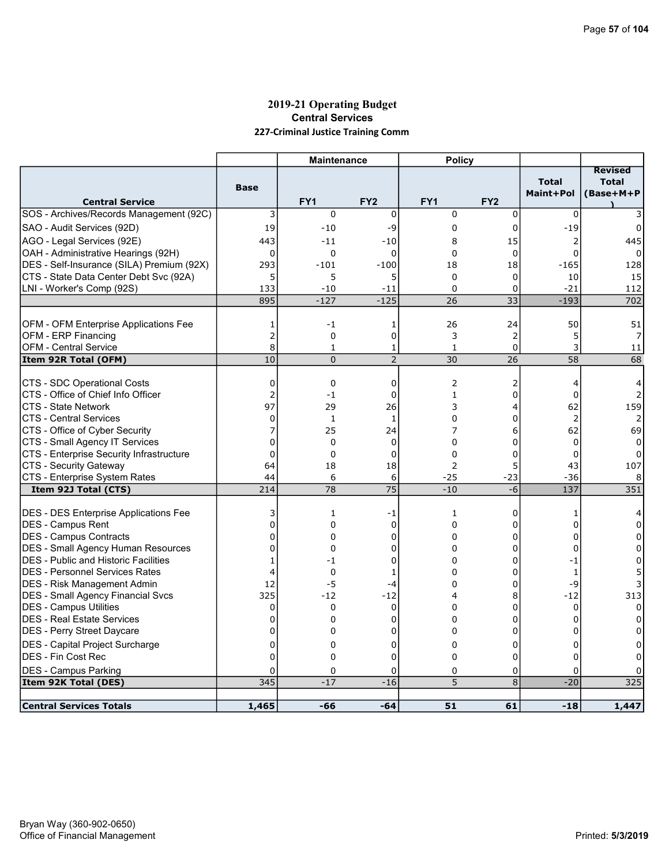# 2019-21 Operating Budget Central Services 227-Criminal Justice Training Comm

|                                                                                          |                | <b>Maintenance</b> |                 | <b>Policy</b> |                 |                           |                                             |
|------------------------------------------------------------------------------------------|----------------|--------------------|-----------------|---------------|-----------------|---------------------------|---------------------------------------------|
| <b>Central Service</b>                                                                   | <b>Base</b>    | FY <sub>1</sub>    | FY <sub>2</sub> | FY1           | FY <sub>2</sub> | <b>Total</b><br>Maint+Pol | <b>Revised</b><br><b>Total</b><br>(Base+M+P |
| SOS - Archives/Records Management (92C)                                                  | 3              | 0                  | $\mathbf 0$     | $\mathbf 0$   | $\mathbf 0$     | 0                         |                                             |
| SAO - Audit Services (92D)                                                               | 19             | $-10$              | -9              | 0             | 0               | $-19$                     | 0                                           |
| AGO - Legal Services (92E)                                                               | 443            | $-11$              | $-10$           | 8             | 15              | 2                         | 445                                         |
| OAH - Administrative Hearings (92H)                                                      | $\mathbf 0$    | 0                  | $\Omega$        | $\Omega$      | $\mathbf 0$     | $\Omega$                  |                                             |
| DES - Self-Insurance (SILA) Premium (92X)                                                | 293            | $-101$             | $-100$          | 18            | 18              | $-165$                    | 128                                         |
| CTS - State Data Center Debt Svc (92A)                                                   | 5              | 5                  | 5               | $\mathbf 0$   | 0               | 10                        | 15                                          |
| LNI - Worker's Comp (92S)                                                                | 133            | $-10$              | $-11$           | $\Omega$      | 0               | $-21$                     | 112                                         |
|                                                                                          | 895            | $-127$             | $-125$          | 26            | $\overline{33}$ | $-193$                    | 702                                         |
|                                                                                          |                |                    |                 |               |                 |                           |                                             |
| <b>OFM - OFM Enterprise Applications Fee</b>                                             | 1              | $-1$               | 1               | 26            | 24              | 50                        | 51                                          |
| OFM - ERP Financing                                                                      | $\overline{c}$ | 0                  | 0               | 3             | 2               | 5                         |                                             |
| <b>OFM - Central Service</b>                                                             | 8              | 1                  | 1               | 1             | 0               | 3                         | 11                                          |
| Item 92R Total (OFM)                                                                     | 10             | $\Omega$           | $\overline{2}$  | 30            | 26              | 58                        | 68                                          |
| CTS - SDC Operational Costs                                                              | 0              | $\mathbf 0$        | $\mathbf 0$     | 2             | 2               | $\overline{4}$            | 4                                           |
| CTS - Office of Chief Info Officer                                                       | $\overline{2}$ | $-1$               | 0               | 1             | 0               | 0                         |                                             |
| <b>CTS - State Network</b>                                                               | 97             | 29                 | 26              | 3             | 4               | 62                        | 159                                         |
| <b>CTS - Central Services</b>                                                            | 0              | 1                  | 1               | 0             | 0               | $\overline{2}$            |                                             |
| CTS - Office of Cyber Security                                                           | 7              | 25                 | 24              | 7             | 6               | 62                        | 69                                          |
| CTS - Small Agency IT Services                                                           | $\mathbf 0$    | 0                  | $\mathbf 0$     | 0             | 0               | $\mathbf 0$               | 0                                           |
| CTS - Enterprise Security Infrastructure                                                 | $\mathbf 0$    | 0                  | $\mathbf 0$     | $\Omega$      | 0               | $\Omega$                  |                                             |
| CTS - Security Gateway                                                                   | 64             | 18                 | 18              | 2             | 5               | 43                        | 107                                         |
| CTS - Enterprise System Rates                                                            | 44             | 6                  | 6               | $-25$         | $-23$           | $-36$                     |                                             |
| Item 92J Total (CTS)                                                                     | 214            | 78                 | $\overline{75}$ | $-10$         | $-6$            | 137                       | 351                                         |
|                                                                                          |                |                    |                 |               |                 |                           |                                             |
| <b>DES - DES Enterprise Applications Fee</b>                                             | 3              | 1                  | -1              | $\mathbf{1}$  | 0               | 1                         |                                             |
| DES - Campus Rent                                                                        | $\overline{0}$ | $\Omega$           | $\mathbf 0$     | $\Omega$      | 0               | $\Omega$                  | 0                                           |
| DES - Campus Contracts                                                                   | 0              | 0                  | 0               | 0             | $\Omega$        | 0                         | $\Omega$                                    |
| <b>DES - Small Agency Human Resources</b><br><b>DES - Public and Historic Facilities</b> | 0<br>1         | 0<br>$-1$          | 0<br>$\Omega$   | 0<br>$\Omega$ | 0<br>$\Omega$   | 0<br>-1                   | 0<br>0                                      |
| <b>DES - Personnel Services Rates</b>                                                    | 4              | 0                  | 1               | 0             | 0               | 1                         | 5                                           |
| DES - Risk Management Admin                                                              | 12             | $-5$               | -4              | $\Omega$      | 0               | $-9$                      | 3                                           |
| DES - Small Agency Financial Svcs                                                        | 325            | $-12$              | -12             | 4             | 8               | $-12$                     | 313                                         |
| <b>DES - Campus Utilities</b>                                                            | $\Omega$       | 0                  | 0               | 0             | 0               | $\Omega$                  | $\Omega$                                    |
| DES - Real Estate Services                                                               | 0              | 0                  | 0               | $\Omega$      | 0               | 0                         |                                             |
| DES - Perry Street Daycare                                                               | 0              | 0                  | 0               | $\Omega$      | 0               | 0                         |                                             |
| <b>DES</b> - Capital Project Surcharge                                                   | $\Omega$       | 0                  | 0               | $\Omega$      | 0               | 0                         | 0                                           |
| IDES - Fin Cost Rec                                                                      | 0              | 0                  | $\Omega$        | $\Omega$      | $\Omega$        | $\Omega$                  |                                             |
| <b>DES - Campus Parking</b>                                                              | 0              | 0                  | 0               | 0             | 0               | 0                         |                                             |
| Item 92K Total (DES)                                                                     | 345            | $-17$              | $-16$           | 5             | $\overline{8}$  | $-20$                     | 325                                         |
|                                                                                          |                |                    |                 |               |                 |                           |                                             |
| <b>Central Services Totals</b>                                                           | 1,465          | -66                | $-64$           | 51            | 61              | $-18$                     | 1,447                                       |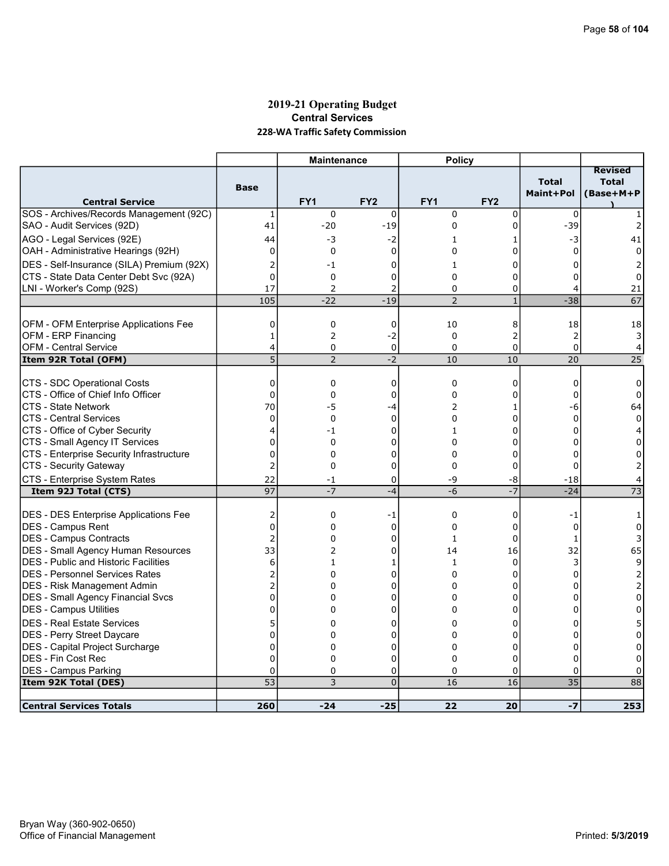# 2019-21 Operating Budget Central Services 228-WA Traffic Safety Commission

|                                                              |                     | <b>Maintenance</b> |                     | <b>Policy</b>   |                               |                           |                                             |
|--------------------------------------------------------------|---------------------|--------------------|---------------------|-----------------|-------------------------------|---------------------------|---------------------------------------------|
| <b>Central Service</b>                                       | <b>Base</b>         | FY <sub>1</sub>    | FY <sub>2</sub>     | FY <sub>1</sub> | FY <sub>2</sub>               | <b>Total</b><br>Maint+Pol | <b>Revised</b><br><b>Total</b><br>(Base+M+P |
| SOS - Archives/Records Management (92C)                      | $\mathbf{1}$        | $\mathbf 0$        | $\mathbf 0$         | $\mathbf 0$     | $\mathbf 0$                   | $\Omega$                  |                                             |
| SAO - Audit Services (92D)                                   | 41                  | $-20$              | $-19$               | $\mathbf 0$     | 0                             | $-39$                     |                                             |
| AGO - Legal Services (92E)                                   | 44                  | -3                 | -2                  | 1               | 1                             | -3                        | 41                                          |
| OAH - Administrative Hearings (92H)                          | $\mathbf 0$         | 0                  | $\mathbf 0$         | 0               | 0                             | $\Omega$                  | $\Omega$                                    |
| DES - Self-Insurance (SILA) Premium (92X)                    | 2                   | $-1$               | 0                   | $\mathbf{1}$    | 0                             | 0                         | 2                                           |
| CTS - State Data Center Debt Svc (92A)                       | $\overline{0}$      | $\mathbf 0$        | $\mathbf 0$         | $\Omega$        | 0                             | $\Omega$                  | 0                                           |
| LNI - Worker's Comp (92S)                                    | 17                  | $\overline{2}$     | 2                   | $\Omega$        | 0                             | 4                         | 21                                          |
|                                                              | 105                 | $-22$              | $-19$               | $\overline{2}$  | $\mathbf{1}$                  | $-38$                     | 67                                          |
|                                                              |                     |                    |                     |                 |                               |                           |                                             |
| OFM - OFM Enterprise Applications Fee<br>OFM - ERP Financing | 0                   | 0                  | 0                   | 10<br>$\Omega$  | 8                             | 18                        | 18                                          |
| <b>OFM - Central Service</b>                                 | $\mathbf{1}$<br>4   | 2<br>0             | $-2$<br>$\mathbf 0$ | $\mathbf 0$     | $\overline{2}$<br>$\mathbf 0$ | 2<br>0                    | 3<br>4                                      |
| Item 92R Total (OFM)                                         | 5                   | $\overline{2}$     | $-2$                | 10              | 10                            | 20                        | 25                                          |
|                                                              |                     |                    |                     |                 |                               |                           |                                             |
| CTS - SDC Operational Costs                                  | $\mathbf 0$         | $\mathbf 0$        | $\mathbf 0$         | $\mathbf 0$     | 0                             | $\mathbf 0$               | $\Omega$                                    |
| CTS - Office of Chief Info Officer                           | $\mathbf 0$         | 0                  | 0                   | 0               | 0                             | 0                         | 0                                           |
| ICTS - State Network                                         | 70                  | -5                 | -4                  | 2               | 1                             | -6                        | 64                                          |
| ICTS - Central Services                                      | 0                   | $\mathbf 0$        | $\mathbf 0$         | $\Omega$        | 0                             | $\mathbf 0$               | 0                                           |
| CTS - Office of Cyber Security                               | 4                   | -1                 | 0                   | $\mathbf{1}$    | 0                             | $\Omega$                  | 4                                           |
| CTS - Small Agency IT Services                               | $\overline{0}$      | $\mathbf 0$        | 0                   | 0               | 0                             | $\Omega$                  | 0                                           |
| CTS - Enterprise Security Infrastructure                     | 0                   | $\mathbf 0$        | 0                   | $\mathbf 0$     | 0                             | $\Omega$                  | 0                                           |
| CTS - Security Gateway                                       | $\overline{2}$      | $\mathbf 0$        | 0                   | 0               | 0                             | 0                         |                                             |
| CTS - Enterprise System Rates                                | 22                  | -1                 | 0                   | -9              | -8                            | $-18$                     | 4                                           |
| Item 92J Total (CTS)                                         | 97                  | $-7$               | $-4$                | $-6$            | $-7$                          | $-24$                     | $\overline{73}$                             |
|                                                              |                     |                    |                     | $\mathbf 0$     |                               |                           |                                             |
| <b>DES - DES Enterprise Applications Fee</b>                 | 2<br>$\overline{0}$ | 0<br>0             | -1                  | 0               | 0<br>0                        | $-1$                      | 1<br>0                                      |
| DES - Campus Rent<br><b>IDES - Campus Contracts</b>          | $\overline{a}$      | $\Omega$           | 0<br>0              | $\mathbf{1}$    | $\Omega$                      | 0<br>$\mathbf{1}$         | 3                                           |
| DES - Small Agency Human Resources                           | 33                  | $\overline{2}$     | 0                   | 14              | 16                            | 32                        | 65                                          |
| <b>DES - Public and Historic Facilities</b>                  | 6                   | $\mathbf{1}$       | 1                   | $\mathbf{1}$    | 0                             | 3                         | 9                                           |
| DES - Personnel Services Rates                               | 2                   | $\Omega$           | 0                   | 0               | 0                             | $\Omega$                  | 2                                           |
| DES - Risk Management Admin                                  | $\overline{2}$      | 0                  | 0                   | 0               | 0                             | 0                         | 2                                           |
| <b>DES - Small Agency Financial Svcs</b>                     | $\overline{0}$      | 0                  | 0                   | 0               | 0                             | 0                         | 0                                           |
| <b>DES - Campus Utilities</b>                                | 0                   | 0                  | 0                   | 0               | 0                             | 0                         | 0                                           |
| <b>DES - Real Estate Services</b>                            | 5                   | 0                  | 0                   | 0               | 0                             | 0                         | 5                                           |
| DES - Perry Street Daycare                                   | $\overline{0}$      | $\Omega$           | 0                   | 0               | 0                             | 0                         | 0                                           |
| DES - Capital Project Surcharge                              | 0                   | 0                  | 0                   | 0               | 0                             | $\mathbf 0$               | 0                                           |
| <b>DES - Fin Cost Rec</b>                                    | $\Omega$            | $\mathbf 0$        | 0                   | $\Omega$        | 0                             | $\mathbf{0}$              | $\Omega$                                    |
| <b>DES - Campus Parking</b>                                  | 0                   | $\mathbf 0$        | 0                   | $\mathbf 0$     | 0                             | 0                         | 0                                           |
| Item 92K Total (DES)                                         | $\overline{53}$     | 3                  | $\overline{0}$      | 16              | 16                            | $\overline{35}$           | 88                                          |
|                                                              |                     |                    |                     |                 |                               |                           |                                             |
| <b>Central Services Totals</b>                               | 260                 | $-24$              | $-25$               | 22              | 20                            | $-7$                      | 253                                         |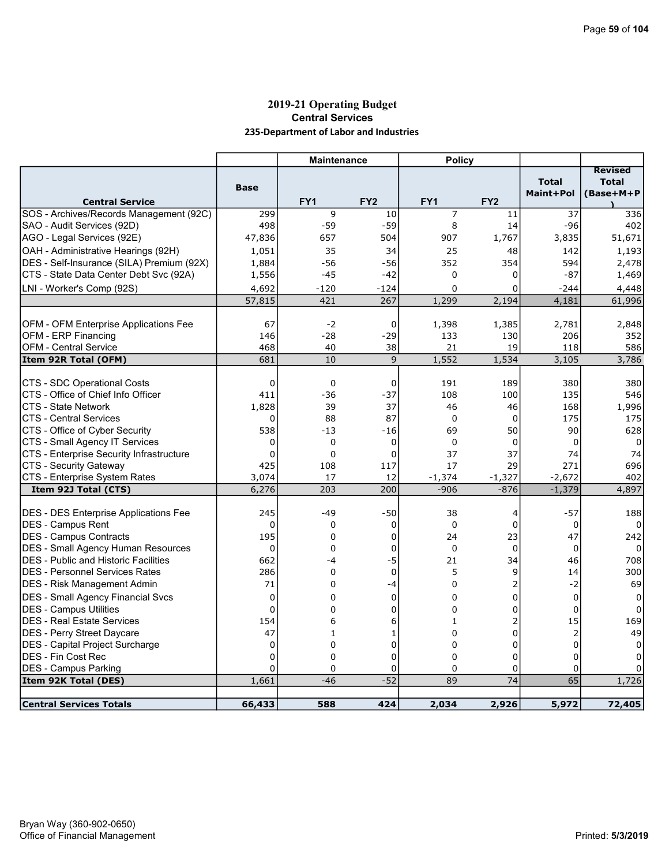# 2019-21 Operating Budget Central Services 235-Department of Labor and Industries

|                                                         |               | <b>Maintenance</b> |                  | <b>Policy</b>     |                   |                           |                                             |
|---------------------------------------------------------|---------------|--------------------|------------------|-------------------|-------------------|---------------------------|---------------------------------------------|
| <b>Central Service</b>                                  | <b>Base</b>   | FY1                | FY <sub>2</sub>  | FY1               | FY <sub>2</sub>   | <b>Total</b><br>Maint+Pol | <b>Revised</b><br><b>Total</b><br>(Base+M+P |
| SOS - Archives/Records Management (92C)                 | 299           | 9                  | 10               | 7                 | 11                | 37                        | 336                                         |
| SAO - Audit Services (92D)                              | 498           | $-59$              | $-59$            | 8                 | 14                | $-96$                     | 402                                         |
| AGO - Legal Services (92E)                              | 47,836        | 657                | 504              | 907               | 1,767             | 3,835                     | 51,671                                      |
| OAH - Administrative Hearings (92H)                     | 1,051         | 35                 | 34               | 25                | 48                | 142                       | 1,193                                       |
| DES - Self-Insurance (SILA) Premium (92X)               | 1,884         | $-56$              | $-56$            | 352               | 354               | 594                       | 2,478                                       |
| CTS - State Data Center Debt Svc (92A)                  | 1,556         | $-45$              | $-42$            | $\Omega$          | 0                 | -87                       | 1,469                                       |
| LNI - Worker's Comp (92S)                               | 4,692         | $-120$             | $-124$           | $\Omega$          | 0                 | $-244$                    | 4,448                                       |
|                                                         | 57,815        | 421                | 267              | 1,299             | 2,194             | 4,181                     | 61,996                                      |
|                                                         |               |                    |                  |                   |                   |                           |                                             |
| <b>OFM - OFM Enterprise Applications Fee</b>            | 67            | $-2$               | 0                | 1,398             | 1,385             | 2,781                     | 2,848                                       |
| OFM - ERP Financing                                     | 146           | $-28$              | $-29$            | 133               | 130               | 206                       | 352                                         |
| <b>OFM - Central Service</b>                            | 468           | 40                 | 38               | 21                | 19                | 118                       | 586                                         |
| Item 92R Total (OFM)                                    | 681           | 10                 | 9                | 1,552             | 1,534             | 3,105                     | 3,786                                       |
|                                                         |               |                    |                  |                   |                   |                           |                                             |
| CTS - SDC Operational Costs                             | 0             | 0                  | 0                | 191               | 189               | 380                       | 380                                         |
| CTS - Office of Chief Info Officer                      | 411           | $-36$              | $-37$            | 108               | 100               | 135                       | 546                                         |
| <b>CTS - State Network</b>                              | 1,828         | 39                 | 37               | 46                | 46                | 168                       | 1,996                                       |
| <b>CTS - Central Services</b>                           | $\Omega$      | 88                 | 87               | $\Omega$          | $\mathbf 0$       | 175                       | 175                                         |
| CTS - Office of Cyber Security                          | 538           | $-13$              | $-16$            | 69                | 50                | 90                        | 628                                         |
| CTS - Small Agency IT Services                          | 0<br>$\Omega$ | 0<br>0             | 0<br>$\mathbf 0$ | $\mathbf 0$<br>37 | $\mathbf 0$<br>37 | 0<br>74                   | 0                                           |
| CTS - Enterprise Security Infrastructure                | 425           |                    | 117              | 17                | 29                | 271                       | 74<br>696                                   |
| CTS - Security Gateway<br>CTS - Enterprise System Rates | 3,074         | 108<br>17          | 12               | $-1,374$          | $-1,327$          | $-2,672$                  | 402                                         |
| Item 92J Total (CTS)                                    | 6,276         | 203                | 200              | $-906$            | $-876$            | $-1,379$                  | 4,897                                       |
|                                                         |               |                    |                  |                   |                   |                           |                                             |
| DES - DES Enterprise Applications Fee                   | 245           | $-49$              | $-50$            | 38                | 4                 | $-57$                     | 188                                         |
| <b>IDES - Campus Rent</b>                               | $\mathbf 0$   | 0                  | $\mathbf 0$      | $\mathbf 0$       | 0                 | 0                         | 0                                           |
| IDES - Campus Contracts                                 | 195           | $\Omega$           | $\mathbf 0$      | 24                | 23                | 47                        | 242                                         |
| <b>DES - Small Agency Human Resources</b>               | 0             | 0                  | 0                | $\Omega$          | $\Omega$          | $\Omega$                  | 0                                           |
| <b>IDES - Public and Historic Facilities</b>            | 662           | -4                 | $-5$             | 21                | 34                | 46                        | 708                                         |
| IDES - Personnel Services Rates                         | 286           | 0                  | $\mathbf 0$      | 5                 | 9                 | 14                        | 300                                         |
| DES - Risk Management Admin                             | 71            | 0                  | $-4$             | 0                 | 2                 | $-2$                      | 69                                          |
| DES - Small Agency Financial Svcs                       | $\mathbf 0$   | 0                  | $\mathbf 0$      | 0                 | 0                 | $\mathbf 0$               | $\Omega$                                    |
| DES - Campus Utilities                                  | $\mathbf 0$   | 0                  | 0                | $\mathbf 0$       | 0                 | $\mathbf 0$               | $\Omega$                                    |
| <b>DES - Real Estate Services</b>                       | 154           | 6                  | 6                | 1                 | $\overline{2}$    | 15                        | 169                                         |
| <b>DES - Perry Street Daycare</b>                       | 47            | 1                  | 1                | $\Omega$          | 0                 | $\overline{2}$            | 49                                          |
| <b>DES</b> - Capital Project Surcharge                  | 0             | 0                  | 0                | 0                 | 0                 | $\mathbf 0$               | 0                                           |
| <b>DES - Fin Cost Rec</b>                               | $\mathbf 0$   | 0                  | 0                | 0                 | 0                 | $\Omega$                  | 0                                           |
| <b>DES - Campus Parking</b>                             | $\Omega$      | $\Omega$           | 0                | $\Omega$          | 0                 | $\Omega$                  | $\Omega$                                    |
| Item 92K Total (DES)                                    | 1,661         | $-46$              | $-52$            | 89                | 74                | 65                        | 1,726                                       |
|                                                         |               |                    |                  |                   |                   |                           |                                             |
| <b>Central Services Totals</b>                          | 66,433        | 588                | 424              | 2,034             | 2,926             | 5,972                     | 72,405                                      |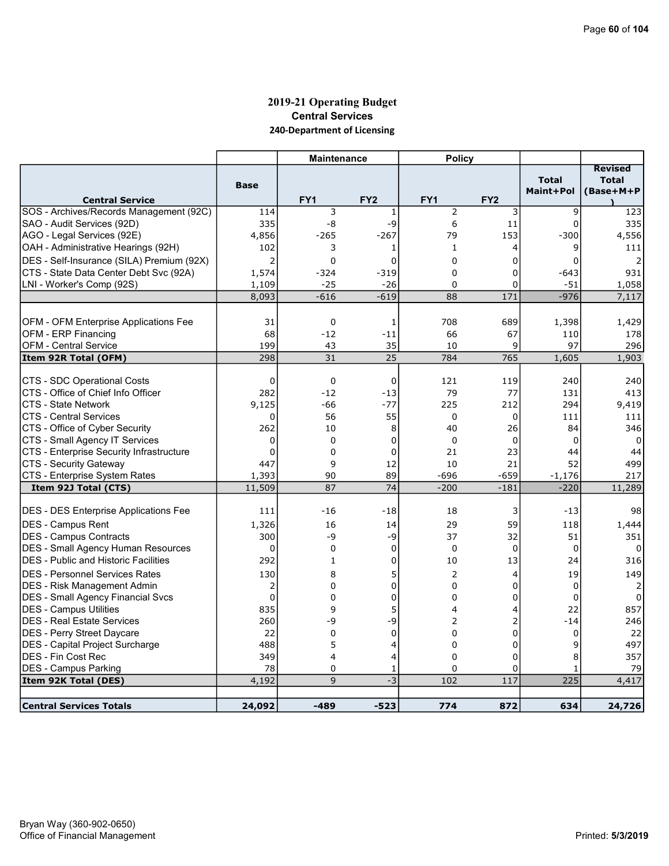# 2019-21 Operating Budget Central Services 240-Department of Licensing

|                                              |                 | <b>Maintenance</b> |                 | <b>Policy</b>   |                 |                           |                                             |
|----------------------------------------------|-----------------|--------------------|-----------------|-----------------|-----------------|---------------------------|---------------------------------------------|
| <b>Central Service</b>                       | <b>Base</b>     | FY <sub>1</sub>    | FY <sub>2</sub> | FY <sub>1</sub> | FY <sub>2</sub> | <b>Total</b><br>Maint+Pol | <b>Revised</b><br><b>Total</b><br>(Base+M+P |
| SOS - Archives/Records Management (92C)      | 114             | 3                  | 1               | $\overline{2}$  | 3               | 9                         | 123                                         |
| SAO - Audit Services (92D)                   | 335             | -8                 | -9              | 6               | 11              | $\Omega$                  | 335                                         |
| AGO - Legal Services (92E)                   | 4,856           | $-265$             | $-267$          | 79              | 153             | -300                      | 4,556                                       |
| OAH - Administrative Hearings (92H)          | 102             | 3                  | 1               | $\mathbf{1}$    | 4               | 9                         | 111                                         |
| DES - Self-Insurance (SILA) Premium (92X)    | 2               | $\Omega$           | 0               | $\Omega$        | 0               | 0                         |                                             |
| CTS - State Data Center Debt Svc (92A)       | 1,574           | $-324$             | $-319$          | $\Omega$        | 0               | $-643$                    | 931                                         |
| LNI - Worker's Comp (92S)                    | 1,109           | $-25$              | $-26$           | $\Omega$        | $\Omega$        | $-51$                     | 1,058                                       |
|                                              | 8,093           | $-616$             | $-619$          | 88              | 171             | $-976$                    | 7,117                                       |
|                                              |                 |                    |                 |                 |                 |                           |                                             |
| OFM - OFM Enterprise Applications Fee        | 31              | 0                  | 1               | 708             | 689             | 1,398                     | 1,429                                       |
| OFM - ERP Financing                          | 68              | $-12$              | $-11$           | 66              | 67              | 110                       | 178                                         |
| <b>OFM - Central Service</b>                 | 199             | 43                 | 35              | 10              | 9               | 97                        | 296                                         |
| Item 92R Total (OFM)                         | 298             | 31                 | 25              | 784             | 765             | 1,605                     | 1,903                                       |
|                                              |                 |                    |                 |                 |                 |                           |                                             |
| CTS - SDC Operational Costs                  | 0               | 0                  | 0               | 121             | 119             | 240                       | 240                                         |
| ICTS - Office of Chief Info Officer          | 282             | $-12$              | $-13$           | 79              | 77              | 131                       | 413                                         |
| CTS - State Network                          | 9,125           | -66                | $-77$           | 225             | 212             | 294                       | 9,419                                       |
| ICTS - Central Services                      | 0               | 56                 | 55              | $\Omega$        | $\Omega$        | 111                       | 111                                         |
| CTS - Office of Cyber Security               | 262             | 10                 | 8               | 40              | 26              | 84                        | 346                                         |
| CTS - Small Agency IT Services               | $\Omega$        | $\Omega$           | 0               | $\Omega$        | $\Omega$        | $\Omega$                  | $\Omega$                                    |
| CTS - Enterprise Security Infrastructure     | $\mathbf 0$     | $\mathbf 0$        | 0               | 21              | 23              | 44                        | 44                                          |
| CTS - Security Gateway                       | 447             | 9                  | 12              | 10              | 21              | 52                        | 499                                         |
| CTS - Enterprise System Rates                | 1,393<br>11,509 | 90<br>87           | 89<br>74        | -696            | $-659$          | $-1,176$                  | 217                                         |
| Item 92J Total (CTS)                         |                 |                    |                 | $-200$          | $-181$          | $-220$                    | 11,289                                      |
| <b>DES - DES Enterprise Applications Fee</b> | 111             | $-16$              | $-18$           | 18              | 3               | $-13$                     | 98                                          |
| <b>IDES - Campus Rent</b>                    | 1,326           | 16                 | 14              | 29              | 59              | 118                       | 1,444                                       |
| DES - Campus Contracts                       | 300             | -9                 | -9              | 37              | 32              | 51                        | 351                                         |
| <b>DES - Small Agency Human Resources</b>    | $\overline{0}$  | $\mathbf 0$        | 0               | $\mathbf{0}$    | $\mathbf 0$     | 0                         | 0                                           |
| <b>DES</b> - Public and Historic Facilities  | 292             | 1                  | 0               | 10              | 13              | 24                        | 316                                         |
| <b>DES - Personnel Services Rates</b>        | 130             | 8                  | 5               | 2               | 4               | 19                        | 149                                         |
| DES - Risk Management Admin                  | $\overline{2}$  | $\overline{0}$     | 0               | $\Omega$        | 0               | $\mathbf 0$               | $\overline{2}$                              |
| DES - Small Agency Financial Svcs            | $\overline{0}$  | 0                  | 0               | $\Omega$        | 0               | $\Omega$                  | 0                                           |
| <b>DES - Campus Utilities</b>                | 835             | 9                  | 5               | 4               | 4               | 22                        | 857                                         |
| <b>DES - Real Estate Services</b>            | 260             | -9                 | -9              | $\overline{2}$  | 2               | $-14$                     | 246                                         |
| DES - Perry Street Daycare                   | 22              | $\Omega$           | $\mathbf 0$     | $\Omega$        | 0               | 0                         | 22                                          |
| DES - Capital Project Surcharge              | 488             | 5                  | 4               | 0               | 0               | 9                         | 497                                         |
| <b>IDES - Fin Cost Rec</b>                   | 349             | 4                  | 4               | $\Omega$        | 0               | 8                         | 357                                         |
| DES - Campus Parking                         | 78              | $\mathbf 0$        | 1               | 0               | 0               | $\mathbf{1}$              | 79                                          |
| Item 92K Total (DES)                         | 4,192           | 9                  | $-3$            | 102             | 117             | 225                       | 4,417                                       |
|                                              |                 |                    |                 |                 |                 |                           |                                             |
| <b>Central Services Totals</b>               | 24,092          | $-489$             | $-523$          | 774             | 872             | 634                       | 24,726                                      |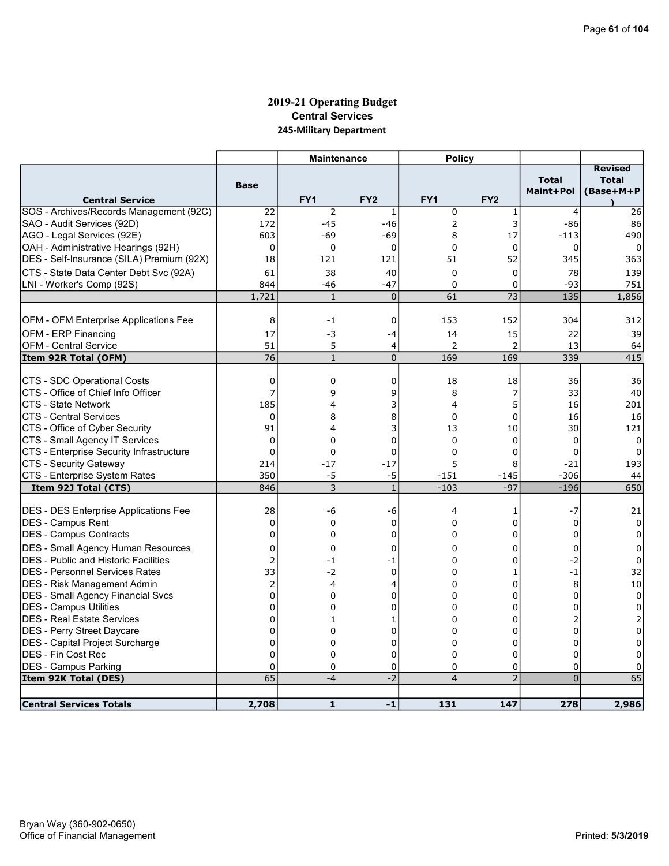# 2019-21 Operating Budget Central Services 245-Military Department

|                                              |                         | <b>Maintenance</b> |                 | <b>Policy</b>   |                 |                           |                                             |
|----------------------------------------------|-------------------------|--------------------|-----------------|-----------------|-----------------|---------------------------|---------------------------------------------|
| <b>Central Service</b>                       | <b>Base</b>             | FY <sub>1</sub>    | FY <sub>2</sub> | FY <sub>1</sub> | FY <sub>2</sub> | <b>Total</b><br>Maint+Pol | <b>Revised</b><br><b>Total</b><br>(Base+M+P |
| SOS - Archives/Records Management (92C)      | 22                      | $\overline{2}$     | 1               | $\pmb{0}$       | 1               | 4                         | 26                                          |
| SAO - Audit Services (92D)                   | 172                     | $-45$              | $-46$           | 2               | 3               | $-86$                     | 86                                          |
| AGO - Legal Services (92E)                   | 603                     | -69                | -69             | 8               | 17              | -113                      | 490                                         |
| OAH - Administrative Hearings (92H)          | 0                       | 0                  | $\mathbf 0$     | $\Omega$        | 0               | 0                         | 0                                           |
| DES - Self-Insurance (SILA) Premium (92X)    | 18                      | 121                | 121             | 51              | 52              | 345                       | 363                                         |
| CTS - State Data Center Debt Svc (92A)       | 61                      | 38                 | 40              | $\mathbf 0$     | 0               | 78                        | 139                                         |
| LNI - Worker's Comp (92S)                    | 844                     | $-46$              | $-47$           | $\Omega$        | 0               | $-93$                     | 751                                         |
|                                              | 1,721                   | $\mathbf{1}$       | $\mathbf 0$     | 61              | $\overline{73}$ | 135                       | 1,856                                       |
|                                              |                         |                    |                 |                 |                 |                           |                                             |
| OFM - OFM Enterprise Applications Fee        | 8                       | $-1$               | 0               | 153             | 152             | 304                       | 312                                         |
| OFM - ERP Financing                          | 17                      | $-3$               | $-4$            | 14              | 15              | 22                        | 39                                          |
| <b>OFM - Central Service</b>                 | 51                      | 5                  | 4               | 2               | $\overline{2}$  | 13                        | 64                                          |
| Item 92R Total (OFM)                         | 76                      | $\mathbf{1}$       | $\overline{0}$  | 169             | 169             | 339                       | 415                                         |
|                                              |                         |                    |                 |                 |                 |                           |                                             |
| CTS - SDC Operational Costs                  | 0                       | 0                  | 0               | 18              | 18              | 36                        | 36                                          |
| CTS - Office of Chief Info Officer           | $\overline{7}$          | 9                  | 9               | 8               | 7               | 33                        | 40                                          |
| <b>CTS - State Network</b>                   | 185                     | 4                  | 3               | 4               | 5               | 16                        | 201                                         |
| <b>CTS - Central Services</b>                | $\mathbf{0}$            | 8                  | 8               | $\Omega$        | $\overline{0}$  | 16                        | 16                                          |
| CTS - Office of Cyber Security               | 91                      | 4                  | 3               | 13              | 10              | 30                        | 121                                         |
| CTS - Small Agency IT Services               | $\mathbf{0}$            | $\Omega$           | 0               | $\Omega$        | $\mathbf 0$     | $\Omega$                  | $\mathbf{0}$                                |
| CTS - Enterprise Security Infrastructure     | $\mathbf 0$             | 0                  | 0               | $\mathbf 0$     | 0               | 0                         | 0                                           |
| CTS - Security Gateway                       | 214                     | $-17$              | $-17$           | 5               | 8               | $-21$                     | 193                                         |
| CTS - Enterprise System Rates                | 350                     | -5                 | $-5$            | $-151$          | $-145$          | $-306$                    | 44                                          |
| Item 92J Total (CTS)                         | 846                     | 3                  | $\mathbf{1}$    | $-103$          | $-97$           | $-196$                    | 650                                         |
|                                              | 28                      |                    |                 |                 |                 |                           |                                             |
| <b>DES - DES Enterprise Applications Fee</b> |                         | -6                 | -6              | 4               | 1               | $-7$                      | 21                                          |
| DES - Campus Rent                            | $\mathbf 0$<br>$\Omega$ | 0                  | 0               | 0               | 0               | 0                         | 0                                           |
| DES - Campus Contracts                       |                         | 0                  | 0               | $\Omega$        | 0               | $\Omega$                  | 0                                           |
| <b>DES - Small Agency Human Resources</b>    | $\mathbf 0$             | 0                  | $\mathbf 0$     | $\Omega$        | 0               | $\mathbf 0$               | 0                                           |
| <b>DES</b> - Public and Historic Facilities  | 2                       | $-1$               | -1              | 0               | 0               | $-2$                      | 0                                           |
| IDES - Personnel Services Rates              | 33                      | $-2$               | $\mathbf 0$     | 0               | $\mathbf{1}$    | $-1$                      | 32                                          |
| <b>DES</b> - Risk Management Admin           | $\overline{2}$          | 4                  | 4               | 0               | 0               | 8                         | $10\,$                                      |
| <b>DES - Small Agency Financial Svcs</b>     | $\Omega$                | $\mathbf 0$        | 0               | $\Omega$        | $\Omega$        | $\Omega$                  | $\mathbf 0$                                 |
| DES - Campus Utilities                       | 0                       | 0                  | 0               | 0               | 0               | $\Omega$                  | 0                                           |
| DES - Real Estate Services                   | $\mathbf 0$             | $\mathbf{1}$       | 1               | $\Omega$        | 0               | 2                         | 2                                           |
| DES - Perry Street Daycare                   | $\mathbf 0$             | 0                  | 0               | 0               | 0               | $\Omega$                  | $\mathbf 0$                                 |
| DES - Capital Project Surcharge              | $\mathbf 0$             | 0                  | 0               | $\Omega$        | 0               | $\Omega$                  | 0                                           |
| DES - Fin Cost Rec                           | $\Omega$                | 0                  | 0               | $\Omega$        | 0               | $\Omega$                  | $\Omega$                                    |
| <b>DES - Campus Parking</b>                  | $\mathbf 0$             | 0                  | 0               | 0               | 0               | 0                         | 0                                           |
| Item 92K Total (DES)                         | 65                      | $-4$               | $-2$            | $\overline{4}$  | $\overline{2}$  | $\overline{0}$            | 65                                          |
|                                              |                         |                    |                 |                 |                 |                           |                                             |
| <b>Central Services Totals</b>               | 2,708                   | $\mathbf{1}$       | $-1$            | 131             | 147             | 278                       | 2,986                                       |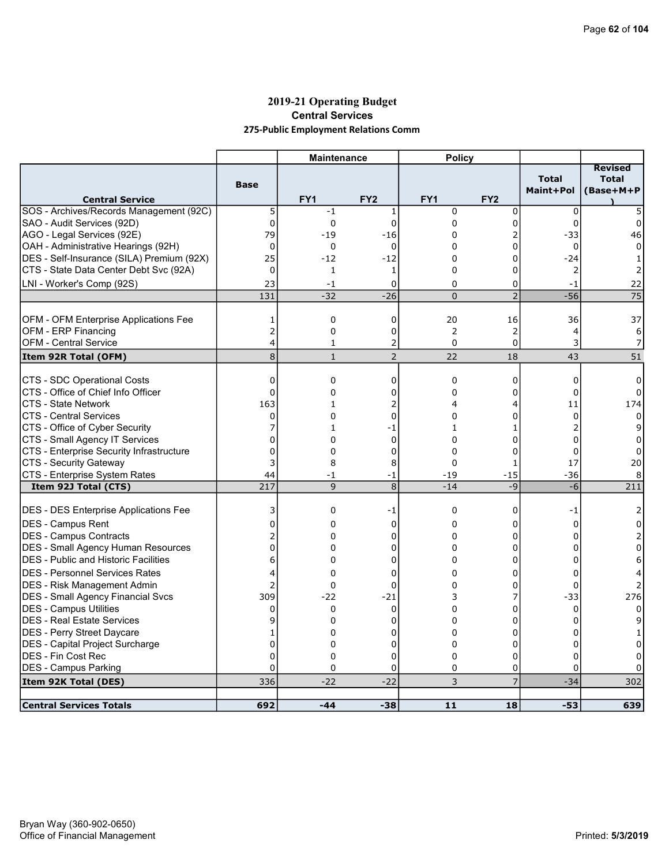# 2019-21 Operating Budget Central Services 275-Public Employment Relations Comm

|                                              |                | <b>Maintenance</b> |                 | <b>Policy</b>   |                 |                           |                                             |
|----------------------------------------------|----------------|--------------------|-----------------|-----------------|-----------------|---------------------------|---------------------------------------------|
| <b>Central Service</b>                       | <b>Base</b>    | FY <sub>1</sub>    | FY <sub>2</sub> | FY <sub>1</sub> | FY <sub>2</sub> | <b>Total</b><br>Maint+Pol | <b>Revised</b><br><b>Total</b><br>(Base+M+P |
| SOS - Archives/Records Management (92C)      | 5              | $-1$               | 1               | $\mathbf 0$     | 0               | $\Omega$                  |                                             |
| SAO - Audit Services (92D)                   | 0              | 0                  | $\Omega$        | $\Omega$        | 0               | $\Omega$                  | $\Omega$                                    |
| AGO - Legal Services (92E)                   | 79             | $-19$              | $-16$           | 0               | 2               | -33                       | 46                                          |
| OAH - Administrative Hearings (92H)          | $\mathbf 0$    | 0                  | 0               | 0               | 0               | 0                         |                                             |
| DES - Self-Insurance (SILA) Premium (92X)    | 25             | $-12$              | $-12$           | 0               | 0               | $-24$                     |                                             |
| CTS - State Data Center Debt Svc (92A)       | $\mathbf 0$    | $\mathbf{1}$       | 1               | 0               | 0               | 2                         | 2                                           |
| LNI - Worker's Comp (92S)                    | 23             | $-1$               | 0               | 0               | 0               | $-1$                      | 22                                          |
|                                              | 131            | $-32$              | $-26$           | $\Omega$        | $\overline{2}$  | $-56$                     | 75                                          |
|                                              |                |                    |                 |                 |                 |                           |                                             |
| <b>OFM - OFM Enterprise Applications Fee</b> | 1              | 0                  | 0               | 20              | 16              | 36                        | 37                                          |
| OFM - ERP Financing                          | $\overline{2}$ | 0                  | 0               | 2               | 2               | 4                         | 6                                           |
| <b>OFM - Central Service</b>                 | 4              | $\mathbf{1}$       | 2               | $\Omega$        | 0               | 3                         | 7                                           |
| Item 92R Total (OFM)                         | 8              | $\mathbf{1}$       | $\overline{2}$  | 22              | 18              | 43                        | 51                                          |
|                                              |                |                    |                 |                 |                 |                           |                                             |
| CTS - SDC Operational Costs                  | 0              | 0                  | 0               | $\mathbf 0$     | 0               | $\mathbf 0$               | 0                                           |
| CTS - Office of Chief Info Officer           | $\overline{0}$ | $\Omega$           | 0               | $\Omega$        | 0               | $\Omega$                  | 0                                           |
| <b>CTS - State Network</b>                   | 163            | 1                  | 2               | 4               | 4               | 11                        | 174                                         |
| <b>CTS - Central Services</b>                | 0              | 0                  | 0               | $\Omega$        | 0               | $\Omega$                  | $\Omega$                                    |
| CTS - Office of Cyber Security               | 7              | 1                  | -1              | 1               | 1               | 2                         | 9                                           |
| CTS - Small Agency IT Services               | 0              | $\Omega$           | $\Omega$        | $\Omega$        | $\Omega$        | $\Omega$                  |                                             |
| CTS - Enterprise Security Infrastructure     | $\mathbf 0$    | 0                  | 0               | 0               | 0               | $\Omega$                  | 0                                           |
| CTS - Security Gateway                       | 3              | 8                  | 8               | $\mathbf 0$     | 1               | 17                        | 20                                          |
| CTS - Enterprise System Rates                | 44<br>217      | $-1$<br>9          | -1<br>8         | $-19$<br>$-14$  | $-15$<br>-9     | $-36$<br>$-6$             | 8<br>211                                    |
| Item 92J Total (CTS)                         |                |                    |                 |                 |                 |                           |                                             |
| <b>DES - DES Enterprise Applications Fee</b> | 3              | 0                  | -1              | $\Omega$        | 0               | -1                        |                                             |
| DES - Campus Rent                            | $\overline{0}$ | $\Omega$           | $\mathbf 0$     | $\Omega$        | 0               | $\Omega$                  | 0                                           |
| DES - Campus Contracts                       | $\overline{2}$ | 0                  | 0               | $\Omega$        | 0               | $\Omega$                  |                                             |
| DES - Small Agency Human Resources           | $\mathbf 0$    | 0                  | 0               | 0               | 0               | 0                         | 0                                           |
| <b>DES - Public and Historic Facilities</b>  | 6              | 0                  | $\Omega$        | 0               | $\Omega$        |                           | 6                                           |
| DES - Personnel Services Rates               | 4              | 0                  | 0               | 0               | 0               | 0                         |                                             |
| DES - Risk Management Admin                  | $\overline{2}$ | 0                  | 0               | 0               | 0               | 0                         |                                             |
| <b>DES - Small Agency Financial Svcs</b>     | 309            | $-22$              | $-21$           | 3               | 7               | $-33$                     | 276                                         |
| <b>DES - Campus Utilities</b>                | 0              | 0                  | $\mathbf 0$     | 0               | 0               | 0                         | 0                                           |
| <b>DES - Real Estate Services</b>            | 9              | 0                  | 0               | 0               | 0               | 0                         |                                             |
| DES - Perry Street Daycare                   | 1              | 0                  | 0               | $\Omega$        | 0               | 0                         |                                             |
| DES - Capital Project Surcharge              | $\mathbf 0$    | 0                  | 0               | $\Omega$        | 0               | $\Omega$                  | 0                                           |
| <b>IDES - Fin Cost Rec</b>                   | $\overline{0}$ | 0                  | 0               | 0               | 0               | 0                         |                                             |
| <b>DES - Campus Parking</b>                  | $\mathbf 0$    | 0                  | 0               | 0               | 0               | $\Omega$                  |                                             |
| Item 92K Total (DES)                         | 336            | $-22$              | $-22$           | 3               | $\overline{7}$  | $-34$                     | 302                                         |
| <b>Central Services Totals</b>               | 692            | $-44$              | $-38$           | 11              | 18              | $-53$                     | 639                                         |
|                                              |                |                    |                 |                 |                 |                           |                                             |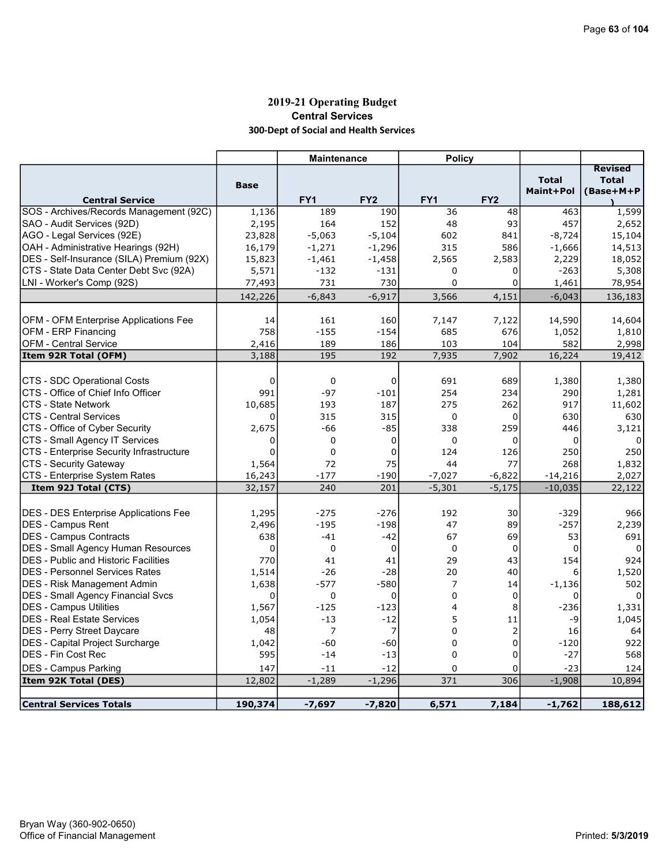# 2019-21 Operating Budget Central Services 300-Dept of Social and Health Services

|                                              |             | <b>Maintenance</b> |                 | <b>Policy</b>  |                 |              |                |
|----------------------------------------------|-------------|--------------------|-----------------|----------------|-----------------|--------------|----------------|
|                                              |             |                    |                 |                |                 |              | <b>Revised</b> |
|                                              | <b>Base</b> |                    |                 |                |                 | <b>Total</b> | <b>Total</b>   |
| <b>Central Service</b>                       |             | FY <sub>1</sub>    | FY <sub>2</sub> | FY1            | FY <sub>2</sub> | Maint+Pol    | (Base+M+P      |
| SOS - Archives/Records Management (92C)      | 1,136       | 189                | 190             | 36             | 48              | 463          | 1,599          |
| SAO - Audit Services (92D)                   | 2,195       | 164                | 152             | 48             | 93              | 457          | 2,652          |
| AGO - Legal Services (92E)                   | 23,828      | $-5,063$           | $-5,104$        | 602            | 841             | $-8,724$     | 15,104         |
| OAH - Administrative Hearings (92H)          | 16,179      | $-1,271$           | $-1,296$        | 315            | 586             | $-1,666$     | 14,513         |
| DES - Self-Insurance (SILA) Premium (92X)    | 15,823      | $-1,461$           | $-1,458$        | 2,565          | 2,583           | 2,229        | 18,052         |
| CTS - State Data Center Debt Svc (92A)       | 5,571       | $-132$             | $-131$          | $\Omega$       | 0               | $-263$       | 5,308          |
| LNI - Worker's Comp (92S)                    | 77,493      | 731                | 730             | 0              | 0               | 1,461        | 78,954         |
|                                              | 142,226     | $-6,843$           | $-6,917$        | 3,566          | 4,151           | $-6,043$     | 136,183        |
|                                              |             |                    |                 |                |                 |              |                |
| <b>OFM - OFM Enterprise Applications Fee</b> | 14          | 161                | 160             | 7,147          | 7,122           | 14,590       | 14,604         |
| OFM - ERP Financing                          | 758         | $-155$             | $-154$          | 685            | 676             | 1,052        | 1,810          |
| <b>OFM - Central Service</b>                 | 2,416       | 189                | 186             | 103            | 104             | 582          | 2,998          |
| Item 92R Total (OFM)                         | 3,188       | 195                | 192             | 7,935          | 7,902           | 16,224       | 19,412         |
|                                              |             |                    |                 |                |                 |              |                |
| <b>ICTS - SDC Operational Costs</b>          | $\Omega$    | $\mathbf 0$        | $\mathbf 0$     | 691            | 689             | 1,380        | 1,380          |
| CTS - Office of Chief Info Officer           | 991         | $-97$              | $-101$          | 254            | 234             | 290          | 1,281          |
| CTS - State Network                          | 10,685      | 193                | 187             | 275            | 262             | 917          | 11,602         |
| <b>CTS - Central Services</b>                | 0           | 315                | 315             | $\mathbf 0$    | $\mathbf 0$     | 630          | 630            |
| CTS - Office of Cyber Security               | 2,675       | $-66$              | $-85$           | 338            | 259             | 446          | 3,121          |
| CTS - Small Agency IT Services               | $\Omega$    | 0                  | $\mathbf 0$     | $\mathbf 0$    | 0               | $\mathbf 0$  |                |
| CTS - Enterprise Security Infrastructure     | $\mathbf 0$ | 0                  | $\mathbf 0$     | 124            | 126             | 250          | 250            |
| <b>CTS - Security Gateway</b>                | 1,564       | 72                 | 75              | 44             | 77              | 268          | 1,832          |
| <b>CTS - Enterprise System Rates</b>         | 16,243      | $-177$             | $-190$          | $-7,027$       | $-6,822$        | $-14,216$    | 2,027          |
| Item 92J Total (CTS)                         | 32,157      | 240                | 201             | $-5,301$       | $-5,175$        | $-10,035$    | 22,122         |
|                                              |             |                    |                 |                |                 |              |                |
| DES - DES Enterprise Applications Fee        | 1,295       | $-275$             | $-276$          | 192            | 30              | $-329$       | 966            |
| <b>IDES - Campus Rent</b>                    | 2,496       | $-195$             | $-198$          | 47             | 89              | $-257$       | 2,239          |
| DES - Campus Contracts                       | 638         | $-41$              | $-42$           | 67             | 69              | 53           | 691            |
| DES - Small Agency Human Resources           | 0           | $\mathbf 0$        | $\mathbf 0$     | $\mathbf 0$    | $\mathbf 0$     | 0            | $\Omega$       |
| <b>DES</b> - Public and Historic Facilities  | 770         | 41                 | 41              | 29             | 43              | 154          | 924            |
| <b>DES - Personnel Services Rates</b>        | 1,514       | $-26$              | $-28$           | 20             | 40              | 6            | 1,520          |
| <b>DES - Risk Management Admin</b>           | 1,638       | $-577$             | $-580$          | $\overline{7}$ | 14              | $-1,136$     | 502            |
| <b>DES - Small Agency Financial Svcs</b>     | $\Omega$    | 0                  | $\Omega$        | $\Omega$       | $\mathbf 0$     | 0            |                |
| <b>DES - Campus Utilities</b>                | 1,567       | $-125$             | $-123$          | 4              | 8               | $-236$       | 1,331          |
| <b>DES - Real Estate Services</b>            | 1,054       | $-13$              | $-12$           | 5              | 11              | -9           | 1,045          |
| <b>DES - Perry Street Daycare</b>            | 48          | $\overline{7}$     | 7               | $\Omega$       | 2               | 16           | 64             |
| DES - Capital Project Surcharge              | 1,042       | $-60$              | $-60$           | $\mathbf 0$    | $\mathbf 0$     | $-120$       | 922            |
| <b>DES - Fin Cost Rec</b>                    | 595         | $-14$              | $-13$           | $\Omega$       | 0               | $-27$        | 568            |
| DES - Campus Parking                         | 147         | $-11$              | $-12$           | 0              | 0               | $-23$        | 124            |
| Item 92K Total (DES)                         | 12,802      | $-1,289$           | $-1,296$        | 371            | 306             | $-1,908$     | 10,894         |
| Central Services Totals                      | 190,374     | $-7,697$           | $-7,820$        | 6,571          | 7,184           | $-1,762$     | 188,612        |
|                                              |             |                    |                 |                |                 |              |                |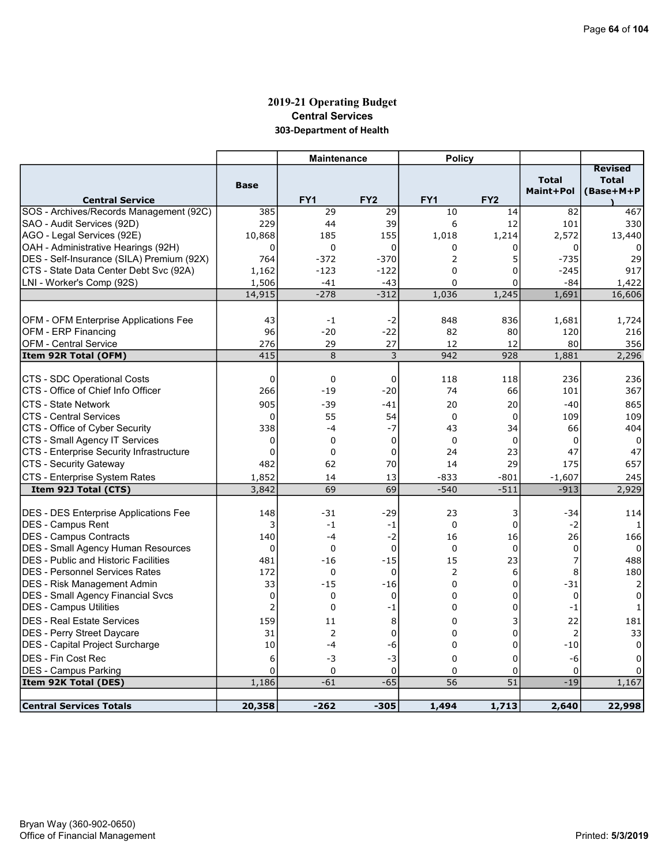# 2019-21 Operating Budget Central Services 303-Department of Health

|                                                                   |                    | <b>Maintenance</b>   |                      | <b>Policy</b>   |                  |                           |                                             |
|-------------------------------------------------------------------|--------------------|----------------------|----------------------|-----------------|------------------|---------------------------|---------------------------------------------|
| <b>Central Service</b>                                            | <b>Base</b>        | FY <sub>1</sub>      | FY <sub>2</sub>      | FY <sub>1</sub> | FY <sub>2</sub>  | <b>Total</b><br>Maint+Pol | <b>Revised</b><br><b>Total</b><br>(Base+M+P |
| SOS - Archives/Records Management (92C)                           | 385                | 29                   | 29                   | 10              | 14               | 82                        | 467                                         |
| SAO - Audit Services (92D)                                        | 229                | 44                   | 39                   | 6               | 12               | 101                       | 330                                         |
| AGO - Legal Services (92E)                                        | 10,868             | 185                  | 155                  | 1,018           | 1,214            | 2,572                     | 13,440                                      |
| OAH - Administrative Hearings (92H)                               | $\mathbf 0$        | 0                    | $\Omega$             | 0               | 0                | $\Omega$                  | 0                                           |
| DES - Self-Insurance (SILA) Premium (92X)                         | 764                | $-372$               | $-370$               | 2               | 5                | $-735$                    | 29                                          |
| CTS - State Data Center Debt Svc (92A)                            | 1,162              | $-123$               | $-122$               | 0               | 0                | $-245$                    | 917                                         |
| LNI - Worker's Comp (92S)                                         | 1,506              | $-41$                | $-43$                | 0               | 0                | $-84$                     | 1,422                                       |
|                                                                   | 14,915             | $-278$               | $-312$               | 1,036           | 1,245            | 1,691                     | 16,606                                      |
|                                                                   |                    |                      |                      |                 |                  |                           |                                             |
| OFM - OFM Enterprise Applications Fee                             | 43                 | $-1$                 | $-2$                 | 848             | 836              | 1,681                     | 1,724                                       |
| OFM - ERP Financing                                               | 96                 | $-20$                | $-22$                | 82              | 80               | 120                       | 216                                         |
| <b>OFM - Central Service</b>                                      | 276                | 29                   | 27                   | 12              | 12               | 80                        | 356                                         |
| Item 92R Total (OFM)                                              | 415                | 8                    | 3                    | 942             | 928              | 1,881                     | 2,296                                       |
|                                                                   |                    |                      |                      |                 |                  |                           |                                             |
| CTS - SDC Operational Costs<br>CTS - Office of Chief Info Officer | $\mathbf 0$<br>266 | $\mathbf 0$<br>$-19$ | $\mathbf 0$<br>$-20$ | 118<br>74       | 118<br>66        | 236                       | 236                                         |
|                                                                   |                    |                      |                      |                 |                  | 101                       | 367                                         |
| <b>CTS - State Network</b>                                        | 905                | $-39$                | -41                  | 20              | 20               | $-40$                     | 865                                         |
| <b>CTS - Central Services</b>                                     | $\Omega$           | 55                   | 54                   | $\Omega$        | $\Omega$         | 109                       | 109                                         |
| CTS - Office of Cyber Security                                    | 338                | $-4$                 | $-7$                 | 43              | 34               | 66                        | 404                                         |
| CTS - Small Agency IT Services                                    | $\mathbf 0$        | $\Omega$             | $\mathbf 0$          | $\Omega$        | $\Omega$         | 0                         | $\Omega$                                    |
| CTS - Enterprise Security Infrastructure                          | 0<br>482           | 0<br>62              | 0                    | 24<br>14        | 23               | 47                        | 47                                          |
| CTS - Security Gateway                                            |                    |                      | 70                   |                 | 29               | 175                       | 657                                         |
| CTS - Enterprise System Rates                                     | 1,852<br>3,842     | 14<br>69             | 13<br>69             | -833<br>$-540$  | $-801$<br>$-511$ | $-1,607$<br>$-913$        | 245<br>2,929                                |
| Item 92J Total (CTS)                                              |                    |                      |                      |                 |                  |                           |                                             |
| DES - DES Enterprise Applications Fee                             | 148                | $-31$                | -29                  | 23              | 3                | -34                       | 114                                         |
| <b>IDES - Campus Rent</b>                                         | 3                  | $-1$                 | $-1$                 | $\mathbf 0$     | 0                | -2                        | 1                                           |
| DES - Campus Contracts                                            | 140                | $-4$                 | $-2$                 | 16              | 16               | 26                        | 166                                         |
| <b>DES - Small Agency Human Resources</b>                         | $\Omega$           | $\mathbf 0$          | $\mathbf 0$          | $\Omega$        | $\mathbf 0$      | 0                         | 0                                           |
| <b>DES</b> - Public and Historic Facilities                       | 481                | $-16$                | $-15$                | 15              | 23               | 7                         | 488                                         |
| <b>DES - Personnel Services Rates</b>                             | 172                | 0                    | $\mathbf 0$          | $\overline{2}$  | 6                | 8                         | 180                                         |
| DES - Risk Management Admin                                       | 33                 | $-15$                | $-16$                | $\Omega$        | 0                | $-31$                     | 2                                           |
| DES - Small Agency Financial Svcs                                 | $\mathbf 0$        | 0                    | $\mathbf 0$          | $\Omega$        | 0                | $\mathbf 0$               | $\Omega$                                    |
| <b>IDES - Campus Utilities</b>                                    | $\overline{2}$     | 0                    | $-1$                 | 0               | 0                | $-1$                      | $\mathbf{1}$                                |
| IDES - Real Estate Services                                       | 159                | 11                   | 8                    | 0               | 3                | 22                        | 181                                         |
| DES - Perry Street Daycare                                        | 31                 | 2                    | 0                    | $\Omega$        | 0                | $\overline{2}$            | 33                                          |
| DES - Capital Project Surcharge                                   | 10                 | $-4$                 | -6                   | 0               | 0                | $-10$                     | 0                                           |
| <b>IDES - Fin Cost Rec</b>                                        | 6                  | -3                   | $-3$                 | $\Omega$        | 0                | -6                        | $\Omega$                                    |
| <b>DES - Campus Parking</b>                                       | $\overline{0}$     | 0                    | 0                    | 0               | 0                | 0                         |                                             |
| Item 92K Total (DES)                                              | 1,186              | $-61$                | $-65$                | 56              | 51               | $-19$                     | 1,167                                       |
| <b>Central Services Totals</b>                                    | 20,358             | $-262$               | $-305$               | 1,494           | 1,713            | 2,640                     | 22,998                                      |
|                                                                   |                    |                      |                      |                 |                  |                           |                                             |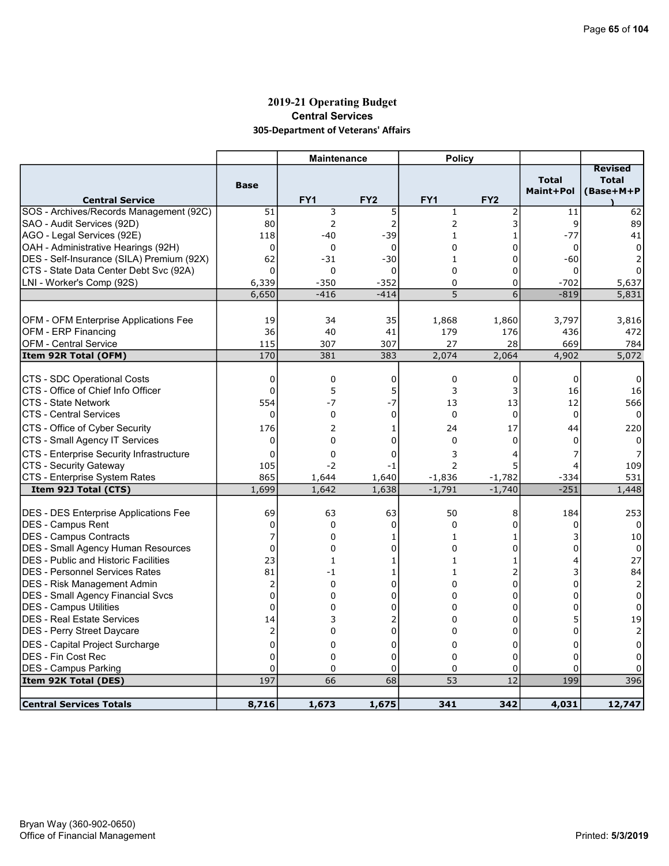# 2019-21 Operating Budget Central Services 305-Department of Veterans' Affairs

|                                                                                          |                     | <b>Maintenance</b> |                   | <b>Policy</b>            |                 |                           |                                             |
|------------------------------------------------------------------------------------------|---------------------|--------------------|-------------------|--------------------------|-----------------|---------------------------|---------------------------------------------|
| <b>Central Service</b>                                                                   | <b>Base</b>         | FY <sub>1</sub>    | FY <sub>2</sub>   | FY <sub>1</sub>          | FY <sub>2</sub> | <b>Total</b><br>Maint+Pol | <b>Revised</b><br><b>Total</b><br>(Base+M+P |
| SOS - Archives/Records Management (92C)                                                  | 51                  | 3                  | 5                 | $\mathbf 1$              | 2               | 11                        | 62                                          |
| SAO - Audit Services (92D)                                                               | 80                  | 2                  | $\overline{2}$    | 2                        | 3               | 9                         | 89                                          |
| AGO - Legal Services (92E)                                                               | 118                 | $-40$              | -39               | $\mathbf{1}$             | $\mathbf{1}$    | $-77$                     | 41                                          |
| OAH - Administrative Hearings (92H)                                                      | 0                   | 0                  | $\mathbf 0$       | 0                        | 0               | 0                         |                                             |
| DES - Self-Insurance (SILA) Premium (92X)                                                | 62                  | $-31$              | $-30$             | $\mathbf{1}$             | $\Omega$        | $-60$                     |                                             |
| CTS - State Data Center Debt Svc (92A)                                                   | $\Omega$            | 0                  | $\mathbf 0$       | 0                        | 0               | 0                         |                                             |
| LNI - Worker's Comp (92S)                                                                | 6,339               | $-350$             | $-352$            | $\Omega$                 | 0               | $-702$                    | 5,637                                       |
|                                                                                          | 6,650               | $-416$             | $-414$            | 5                        | 6               | $-819$                    | 5,831                                       |
|                                                                                          |                     |                    |                   |                          |                 |                           |                                             |
| OFM - OFM Enterprise Applications Fee                                                    | 19                  | 34                 | 35                | 1,868                    | 1,860           | 3,797                     | 3,816                                       |
| OFM - ERP Financing                                                                      | 36                  | 40                 | 41                | 179                      | 176             | 436                       | 472                                         |
| <b>OFM - Central Service</b>                                                             | 115                 | 307                | 307               | 27                       | 28              | 669                       | 784                                         |
| Item 92R Total (OFM)                                                                     | 170                 | 381                | 383               | 2,074                    | 2,064           | 4,902                     | 5,072                                       |
|                                                                                          |                     |                    |                   |                          |                 |                           |                                             |
| CTS - SDC Operational Costs                                                              | 0                   | 0                  | 0                 | 0                        | 0               | $\Omega$                  | 0                                           |
| CTS - Office of Chief Info Officer                                                       | $\mathbf 0$         | 5                  | 5                 | 3                        | 3               | 16                        | 16                                          |
| CTS - State Network                                                                      | 554                 | $-7$               | $-7$              | 13                       | 13              | 12                        | 566                                         |
| <b>CTS - Central Services</b>                                                            | $\Omega$            | 0                  | $\mathbf 0$       | $\mathbf 0$              | $\Omega$        | $\mathbf 0$               |                                             |
| CTS - Office of Cyber Security                                                           | 176                 | $\overline{2}$     | 1                 | 24                       | 17              | 44                        | 220                                         |
| CTS - Small Agency IT Services                                                           | 0                   | $\Omega$           | $\Omega$          | $\Omega$                 | $\Omega$        | 0                         |                                             |
| CTS - Enterprise Security Infrastructure                                                 | $\Omega$            | 0                  | 0                 | 3                        | 4               |                           |                                             |
| CTS - Security Gateway                                                                   | 105                 | $-2$               | -1                | $\overline{2}$           | 5               |                           | 109                                         |
| CTS - Enterprise System Rates                                                            | 865                 | 1,644              | 1,640             | $-1,836$                 | $-1,782$        | $-334$                    | 531                                         |
| Item 92J Total (CTS)                                                                     | 1,699               | 1,642              | 1,638             | $-1,791$                 | $-1,740$        | $-251$                    | 1,448                                       |
|                                                                                          |                     |                    |                   |                          |                 |                           |                                             |
| DES - DES Enterprise Applications Fee<br><b>IDES - Campus Rent</b>                       | 69<br>0             | 63<br>0            | 63<br>$\mathbf 0$ | 50<br>$\mathbf 0$        | 8<br>0          | 184<br>0                  | 253<br>$\mathbf{0}$                         |
|                                                                                          |                     | $\Omega$           |                   |                          |                 |                           |                                             |
| DES - Campus Contracts                                                                   | 7<br>$\overline{0}$ |                    | 1                 | 1                        | 1               | U                         | 10                                          |
| <b>DES - Small Agency Human Resources</b><br><b>DES</b> - Public and Historic Facilities | 23                  | 0<br>$\mathbf{1}$  | 0<br>1            | $\Omega$<br>$\mathbf{1}$ | 0<br>1          | 4                         | $\Omega$<br>27                              |
| IDES - Personnel Services Rates                                                          | 81                  | $-1$               | 1                 | $\mathbf{1}$             | 2               |                           | 84                                          |
| <b>DES - Risk Management Admin</b>                                                       | $\overline{2}$      | 0                  | 0                 | $\Omega$                 | 0               | $\Omega$                  |                                             |
|                                                                                          | $\mathbf 0$         | 0                  | 0                 | $\Omega$                 | 0               | $\Omega$                  | $\overline{2}$<br>0                         |
| DES - Small Agency Financial Svcs                                                        | 0                   | 0                  | 0                 | $\Omega$                 | 0               | $\Omega$                  | $\Omega$                                    |
| DES - Campus Utilities<br><b>DES - Real Estate Services</b>                              |                     | 3                  | 2                 | 0                        | 0               |                           | 19                                          |
|                                                                                          | 14<br>2             | 0                  | $\overline{0}$    | $\Omega$                 | 0               | 0                         | $\overline{2}$                              |
| DES - Perry Street Daycare                                                               | $\mathbf 0$         | 0                  | 0                 | 0                        | 0               | 0                         | 0                                           |
| DES - Capital Project Surcharge<br><b>DES - Fin Cost Rec</b>                             | $\mathbf 0$         | 0                  | 0                 | 0                        | 0               | n                         | 0                                           |
| <b>DES - Campus Parking</b>                                                              | $\Omega$            | 0                  | 0                 | $\Omega$                 | 0               | $\Omega$                  |                                             |
| Item 92K Total (DES)                                                                     | 197                 | 66                 | 68                | 53                       | $\overline{12}$ | 199                       | 396                                         |
|                                                                                          |                     |                    |                   |                          |                 |                           |                                             |
| <b>Central Services Totals</b>                                                           | 8,716               | 1,673              | 1,675             | 341                      | 342             | 4,031                     | 12,747                                      |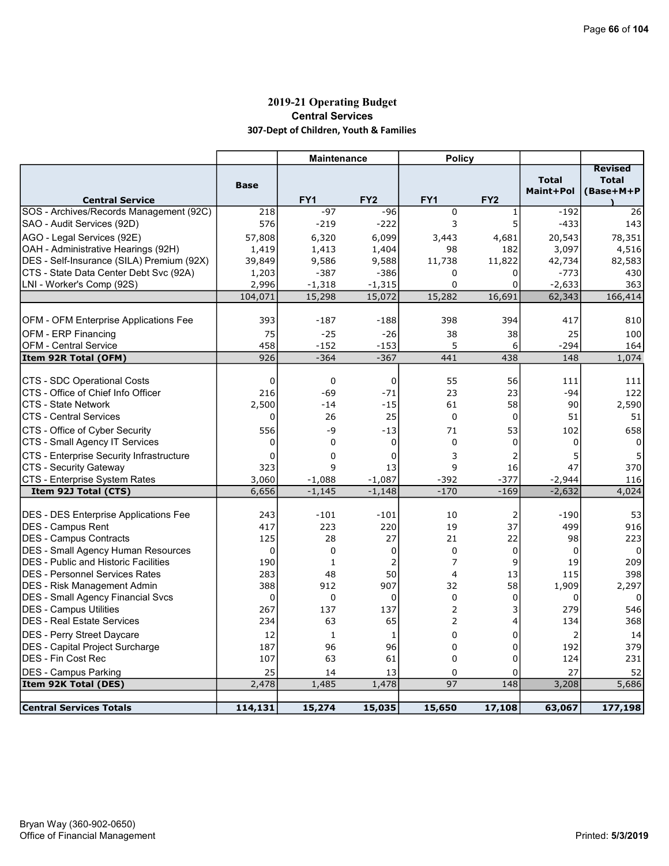# 2019-21 Operating Budget Central Services 307-Dept of Children, Youth & Families

|                                                           |             | <b>Maintenance</b> |                  | <b>Policy</b>  |                 |                           |                                             |
|-----------------------------------------------------------|-------------|--------------------|------------------|----------------|-----------------|---------------------------|---------------------------------------------|
| <b>Central Service</b>                                    | <b>Base</b> | FY <sub>1</sub>    | FY <sub>2</sub>  | FY1            | FY <sub>2</sub> | <b>Total</b><br>Maint+Pol | <b>Revised</b><br><b>Total</b><br>(Base+M+P |
| SOS - Archives/Records Management (92C)                   | 218         | $-97$              | $-96$            | $\mathbf 0$    | 1               | $-192$                    | 26                                          |
| SAO - Audit Services (92D)                                | 576         | $-219$             | $-222$           | 3              | 5               | $-433$                    | 143                                         |
| AGO - Legal Services (92E)                                | 57,808      | 6,320              | 6,099            | 3,443          | 4,681           | 20,543                    | 78,351                                      |
| OAH - Administrative Hearings (92H)                       | 1,419       | 1,413              | 1,404            | 98             | 182             | 3,097                     | 4,516                                       |
| DES - Self-Insurance (SILA) Premium (92X)                 | 39,849      | 9,586              | 9,588            | 11,738         | 11,822          | 42,734                    | 82,583                                      |
| CTS - State Data Center Debt Svc (92A)                    | 1,203       | $-387$             | $-386$           | 0              | 0               | $-773$                    | 430                                         |
| LNI - Worker's Comp (92S)                                 | 2,996       | $-1,318$           | $-1,315$         | $\Omega$       | $\mathbf 0$     | $-2,633$                  | 363                                         |
|                                                           | 104,071     | 15,298             | 15,072           | 15,282         | 16,691          | 62,343                    | 166,414                                     |
|                                                           |             |                    |                  |                |                 |                           |                                             |
| OFM - OFM Enterprise Applications Fee                     | 393         | $-187$             | $-188$           | 398            | 394             | 417                       | 810                                         |
| <b>OFM - ERP Financing</b>                                | 75          | $-25$              | $-26$            | 38             | 38              | 25                        | 100                                         |
| <b>OFM - Central Service</b>                              | 458<br>926  | -152<br>$-364$     | $-153$<br>$-367$ | 5<br>441       | 6               | $-294$<br>148             | 164                                         |
| Item 92R Total (OFM)                                      |             |                    |                  |                | 438             |                           | 1,074                                       |
| <b>CTS - SDC Operational Costs</b>                        | 0           | $\mathbf 0$        | 0                | 55             | 56              | 111                       | 111                                         |
| CTS - Office of Chief Info Officer                        | 216         | $-69$              | $-71$            | 23             | 23              | $-94$                     | 122                                         |
| CTS - State Network                                       | 2,500       | $-14$              | $-15$            | 61             | 58              | 90                        | 2,590                                       |
| <b>CTS - Central Services</b>                             | 0           | 26                 | 25               | $\Omega$       | $\mathbf 0$     | 51                        | 51                                          |
| CTS - Office of Cyber Security                            | 556         | $-9$               | $-13$            | 71             | 53              | 102                       | 658                                         |
| CTS - Small Agency IT Services                            | 0           | $\mathbf 0$        | 0                | $\mathbf 0$    | $\mathbf 0$     | 0                         | 0                                           |
| CTS - Enterprise Security Infrastructure                  | $\mathbf 0$ | 0                  | $\mathbf 0$      | 3              | 2               | 5                         | 5                                           |
| CTS - Security Gateway                                    | 323         | 9                  | 13               | 9              | 16              | 47                        | 370                                         |
| CTS - Enterprise System Rates                             | 3,060       | $-1,088$           | $-1,087$         | $-392$         | $-377$          | $-2,944$                  | 116                                         |
| Item 92J Total (CTS)                                      | 6,656       | $-1,145$           | $-1,148$         | $-170$         | $-169$          | $-2,632$                  | 4,024                                       |
|                                                           |             |                    |                  |                |                 |                           |                                             |
| <b>DES - DES Enterprise Applications Fee</b>              | 243<br>417  | $-101$<br>223      | $-101$<br>220    | 10<br>19       | 2<br>37         | $-190$<br>499             | 53<br>916                                   |
| <b>DES - Campus Rent</b><br><b>DES - Campus Contracts</b> | 125         | 28                 | 27               | 21             | 22              | 98                        | 223                                         |
| <b>DES</b> - Small Agency Human Resources                 | 0           | $\mathbf 0$        | 0                | $\mathbf 0$    | 0               | 0                         | 0                                           |
| <b>DES</b> - Public and Historic Facilities               | 190         | $\mathbf{1}$       | 2                | $\overline{7}$ | 9               | 19                        | 209                                         |
| <b>DES - Personnel Services Rates</b>                     | 283         | 48                 | 50               | $\overline{a}$ | 13              | 115                       | 398                                         |
| <b>DES</b> - Risk Management Admin                        | 388         | 912                | 907              | 32             | 58              | 1,909                     | 2,297                                       |
| <b>DES - Small Agency Financial Svcs</b>                  | 0           | 0                  | 0                | $\mathbf 0$    | $\mathbf 0$     | 0                         | 0                                           |
| <b>DES - Campus Utilities</b>                             | 267         | 137                | 137              | $\overline{2}$ | 3               | 279                       | 546                                         |
| <b>DES - Real Estate Services</b>                         | 234         | 63                 | 65               | $\overline{2}$ | $\overline{4}$  | 134                       | 368                                         |
| <b>DES - Perry Street Daycare</b>                         | 12          | $\mathbf{1}$       | 1                | $\mathbf 0$    | $\mathbf 0$     | $\overline{2}$            | 14                                          |
| <b>DES</b> - Capital Project Surcharge                    | 187         | 96                 | 96               | $\mathbf 0$    | 0               | 192                       | 379                                         |
| <b>DES - Fin Cost Rec</b>                                 | 107         | 63                 | 61               | $\mathbf 0$    | 0               | 124                       | 231                                         |
| <b>DES - Campus Parking</b>                               | 25          | 14                 | 13               | 0              | 0               | 27                        | 52                                          |
| <b>Item 92K Total (DES)</b>                               | 2,478       | 1,485              | 1,478            | 97             | 148             | 3,208                     | 5,686                                       |
|                                                           |             |                    |                  |                |                 |                           |                                             |
| <b>Central Services Totals</b>                            | 114,131     | 15,274             | 15,035           | 15,650         | 17,108          | 63,067                    | 177,198                                     |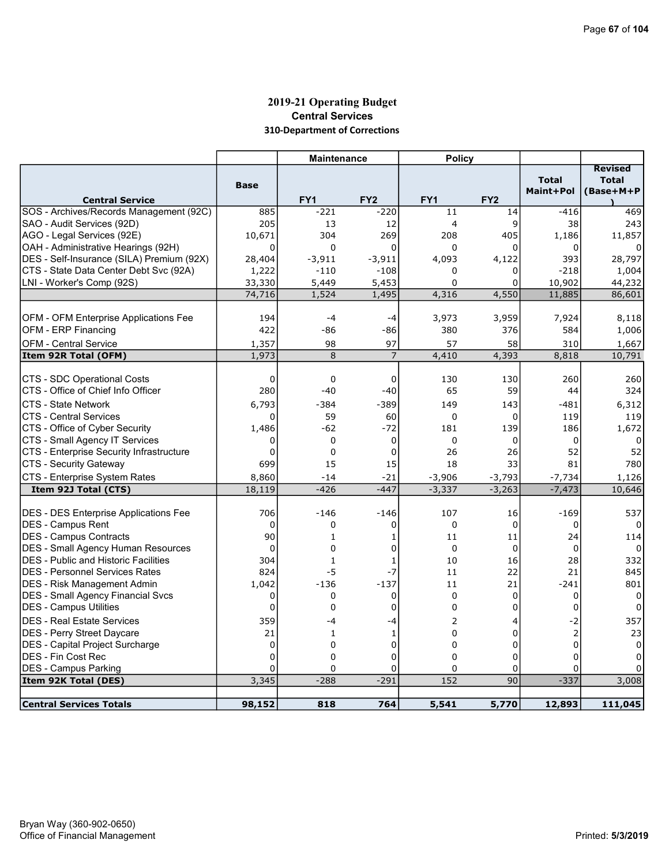# 2019-21 Operating Budget Central Services 310-Department of Corrections

|                                             |                   | <b>Maintenance</b>   |                    | <b>Policy</b>   |                 |                           |                                             |
|---------------------------------------------|-------------------|----------------------|--------------------|-----------------|-----------------|---------------------------|---------------------------------------------|
| <b>Central Service</b>                      | <b>Base</b>       | FY <sub>1</sub>      | FY <sub>2</sub>    | FY1             | FY <sub>2</sub> | <b>Total</b><br>Maint+Pol | <b>Revised</b><br><b>Total</b><br>(Base+M+P |
| SOS - Archives/Records Management (92C)     | 885               | $-221$               | $-220$             | 11              | 14              | $-416$                    | 469                                         |
| SAO - Audit Services (92D)                  | 205               | 13                   | 12                 | 4               | 9               | 38                        | 243                                         |
| AGO - Legal Services (92E)                  | 10,671            | 304                  | 269                | 208             | 405             | 1,186                     | 11,857                                      |
| OAH - Administrative Hearings (92H)         | 0                 | $\mathbf 0$          | $\mathbf 0$        | 0               | 0               | 0                         |                                             |
| DES - Self-Insurance (SILA) Premium (92X)   | 28,404            | $-3,911$             | $-3,911$           | 4,093           | 4,122           | 393                       | 28,797                                      |
| CTS - State Data Center Debt Svc (92A)      | 1,222             | $-110$               | $-108$             | 0               | 0               | $-218$                    | 1,004                                       |
| LNI - Worker's Comp (92S)                   | 33,330            | 5,449                | 5,453              | $\Omega$        | 0               | 10,902                    | 44,232                                      |
|                                             | 74,716            | 1,524                | 1,495              | 4,316           | 4,550           | 11,885                    | 86,601                                      |
|                                             |                   |                      |                    |                 |                 |                           |                                             |
| OFM - OFM Enterprise Applications Fee       | 194               | $-4$                 | -4                 | 3,973           | 3,959           | 7,924                     | 8,118                                       |
| <b>OFM - ERP Financing</b>                  | 422               | -86                  | -86                | 380             | 376             | 584                       | 1,006                                       |
| <b>OFM - Central Service</b>                | 1,357             | 98                   | 97                 | 57              | 58              | 310                       | 1,667                                       |
| Item 92R Total (OFM)                        | 1,973             | 8                    | 7                  | 4,410           | 4,393           | 8,818                     | 10,791                                      |
|                                             |                   |                      |                    |                 |                 |                           |                                             |
| CTS - SDC Operational Costs                 | 0                 | 0                    | 0                  | 130             | 130             | 260                       | 260                                         |
| CTS - Office of Chief Info Officer          | 280               | $-40$                | $-40$              | 65              | 59              | 44                        | 324                                         |
| CTS - State Network                         | 6,793             | $-384$               | $-389$             | 149             | 143             | $-481$                    | 6,312                                       |
| <b>CTS - Central Services</b>               | 0                 | 59                   | 60                 | $\mathbf 0$     | 0               | 119                       | 119                                         |
| CTS - Office of Cyber Security              | 1,486             | $-62$                | $-72$              | 181             | 139             | 186                       | 1,672                                       |
| CTS - Small Agency IT Services              | $\Omega$          | 0                    | $\mathbf 0$        | $\mathbf 0$     | 0               | 0                         |                                             |
| CTS - Enterprise Security Infrastructure    | $\Omega$          | $\Omega$             | $\mathbf 0$        | 26              | 26              | 52                        | 52                                          |
| <b>CTS - Security Gateway</b>               | 699               | 15                   | 15                 | 18              | 33              | 81                        | 780                                         |
| CTS - Enterprise System Rates               | 8,860             | $-14$                | $-21$              | $-3,906$        | $-3,793$        | $-7,734$                  | 1,126                                       |
| Item 92J Total (CTS)                        | 18,119            | $-426$               | $-447$             | $-3,337$        | $-3,263$        | $-7,473$                  | 10,646                                      |
|                                             |                   |                      |                    |                 |                 |                           |                                             |
| DES - DES Enterprise Applications Fee       | 706               | $-146$               | $-146$             | 107             | 16              | $-169$                    | 537                                         |
| <b>DES - Campus Rent</b>                    | $\mathbf{0}$      | 0                    | 0                  | $\Omega$        | $\mathbf 0$     | $\Omega$                  | $\Omega$                                    |
| <b>IDES - Campus Contracts</b>              | 90                | 1                    | 1                  | 11              | 11              | 24                        | 114                                         |
| DES - Small Agency Human Resources          | 0                 | 0                    | 0                  | $\Omega$        | $\Omega$        | $\Omega$                  | $\Omega$                                    |
| <b>DES</b> - Public and Historic Facilities | 304               | $\mathbf{1}$<br>$-5$ | 1                  | 10              | 16              | 28                        | 332                                         |
| <b>DES - Personnel Services Rates</b>       | 824               |                      | $-7$               | 11              | 22              | 21                        | 845                                         |
| <b>DES</b> - Risk Management Admin          | 1,042<br>$\Omega$ | $-136$<br>0          | $-137$<br>$\Omega$ | 11<br>$\Omega$  | 21<br>$\Omega$  | $-241$<br>$\Omega$        | 801<br>$\Omega$                             |
| <b>DES - Small Agency Financial Svcs</b>    |                   |                      |                    |                 |                 |                           |                                             |
| <b>DES - Campus Utilities</b>               | 0                 | 0                    | 0                  | 0               | 0               | 0                         | 0                                           |
| <b>DES - Real Estate Services</b>           | 359               | $-4$                 | -4                 | 2               | 4               | -2                        | 357                                         |
| DES - Perry Street Daycare                  | 21                | $\mathbf{1}$         | $1\,$              | $\Omega$        | 0               | $\overline{2}$            | 23                                          |
| DES - Capital Project Surcharge             | 0                 | 0                    | 0                  | 0               | 0               | $\mathbf 0$               | 0                                           |
| DES - Fin Cost Rec                          | $\mathbf{0}$      | $\Omega$             | $\Omega$           | $\Omega$        | $\mathbf 0$     | $\Omega$                  | 0                                           |
| <b>DES - Campus Parking</b>                 | $\Omega$          | $\Omega$<br>$-288$   | 0                  | $\Omega$<br>152 | 0<br>90         | $\Omega$<br>$-337$        |                                             |
| Item 92K Total (DES)                        | 3,345             |                      | $-291$             |                 |                 |                           | 3,008                                       |
| <b>Central Services Totals</b>              | 98,152            | 818                  | 764                | 5,541           | 5,770           | 12,893                    | 111,045                                     |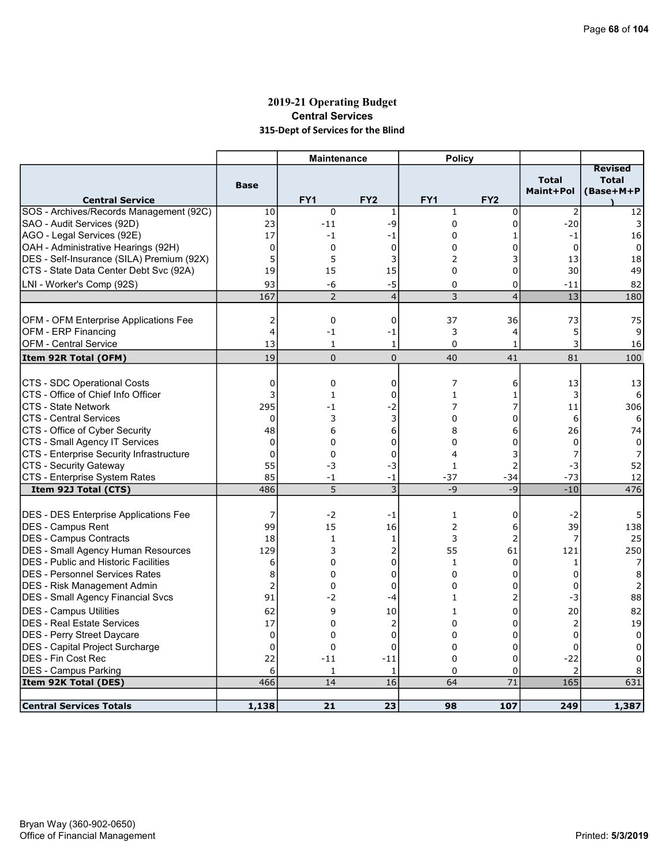# 2019-21 Operating Budget Central Services 315-Dept of Services for the Blind

|                                              |                | <b>Maintenance</b> |                          | <b>Policy</b>   |                 |                           |                                             |
|----------------------------------------------|----------------|--------------------|--------------------------|-----------------|-----------------|---------------------------|---------------------------------------------|
| <b>Central Service</b>                       | <b>Base</b>    | FY <sub>1</sub>    | FY <sub>2</sub>          | FY <sub>1</sub> | FY <sub>2</sub> | <b>Total</b><br>Maint+Pol | <b>Revised</b><br><b>Total</b><br>(Base+M+P |
| SOS - Archives/Records Management (92C)      | 10             | 0                  | $\mathbf{1}$             | $\mathbf{1}$    | 0               | $\overline{2}$            | 12                                          |
| SAO - Audit Services (92D)                   | 23             | $-11$              | -9                       | $\mathbf 0$     | 0               | $-20$                     | 3                                           |
| AGO - Legal Services (92E)                   | 17             | -1                 | -1                       | 0               | 1               | -1                        | 16                                          |
| OAH - Administrative Hearings (92H)          | $\mathbf 0$    | 0                  | $\mathbf 0$              | 0               | 0               | $\mathbf 0$               | $\Omega$                                    |
| DES - Self-Insurance (SILA) Premium (92X)    | 5              | 5                  | 3                        | 2               | 3               | 13                        | 18                                          |
| CTS - State Data Center Debt Svc (92A)       | 19             | 15                 | 15                       | $\Omega$        | 0               | 30                        | 49                                          |
| LNI - Worker's Comp (92S)                    | 93             | -6                 | $-5$                     | 0               | 0               | $-11$                     | 82                                          |
|                                              | 167            | $\overline{2}$     | $\overline{\mathcal{L}}$ | 3               | $\overline{4}$  | 13                        | 180                                         |
|                                              |                |                    |                          |                 |                 |                           |                                             |
| <b>OFM - OFM Enterprise Applications Fee</b> | 2              | 0                  | 0                        | 37              | 36              | 73                        | 75                                          |
| OFM - ERP Financing                          | $\overline{4}$ | $-1$               | -1                       | 3               | 4               | 5                         | 9                                           |
| <b>OFM - Central Service</b>                 | 13             | $\mathbf{1}$       | 1                        | $\Omega$        | $\mathbf{1}$    | 3                         | 16                                          |
| Item 92R Total (OFM)                         | 19             | $\mathbf{0}$       | $\mathbf{0}$             | 40              | 41              | 81                        | 100                                         |
|                                              |                |                    |                          |                 |                 |                           |                                             |
| CTS - SDC Operational Costs                  | $\mathbf 0$    | 0                  | 0                        | 7               | 6               | 13                        | 13                                          |
| CTS - Office of Chief Info Officer           | 3              | 1                  | 0                        | $\mathbf{1}$    | $\mathbf{1}$    | 3                         | 6                                           |
| CTS - State Network                          | 295            | $-1$               | -2                       | 7               | 7               | 11                        | 306                                         |
| <b>CTS - Central Services</b>                | $\mathbf 0$    | 3                  | 3                        | 0               | 0               | 6                         | 6                                           |
| CTS - Office of Cyber Security               | 48             | 6                  | 6                        | 8               | 6               | 26                        | 74                                          |
| CTS - Small Agency IT Services               | $\mathbf 0$    | 0                  | 0                        | 0               | 0               | 0                         | 0                                           |
| CTS - Enterprise Security Infrastructure     | $\Omega$       | 0                  | 0                        | 4               | 3               |                           |                                             |
| CTS - Security Gateway                       | 55             | -3                 | $-3$                     | $\mathbf{1}$    | 2               | -3                        | 52                                          |
| CTS - Enterprise System Rates                | 85             | $-1$               | $-1$                     | $-37$           | $-34$           | $-73$                     | 12                                          |
| Item 92J Total (CTS)                         | 486            | 5                  | $\overline{3}$           | $-9$            | $-9$            | $-10$                     | 476                                         |
|                                              |                |                    |                          |                 |                 |                           |                                             |
| <b>DES - DES Enterprise Applications Fee</b> | 7              | $-2$               | -1                       | $\mathbf{1}$    | 0               | $-2$                      | 5                                           |
| <b>IDES - Campus Rent</b>                    | 99             | 15                 | 16                       | $\overline{2}$  | 6               | 39                        | 138                                         |
| <b>DES - Campus Contracts</b>                | 18             | $\mathbf{1}$       | 1                        | 3               | 2               | 7                         | 25                                          |
| <b>DES - Small Agency Human Resources</b>    | 129            | 3                  | 2                        | 55              | 61              | 121                       | 250                                         |
| <b>DES</b> - Public and Historic Facilities  | 6              | 0                  | 0                        | 1               | 0               | 1                         | 7                                           |
| <b>IDES - Personnel Services Rates</b>       | 8              | 0                  | 0                        | $\Omega$        | $\Omega$        | 0                         | 8                                           |
| <b>DES - Risk Management Admin</b>           | $\overline{2}$ | 0                  | 0                        | 0               | 0               | 0                         | 2                                           |
| <b>DES - Small Agency Financial Svcs</b>     | 91             | $-2$               | -4                       | $\mathbf{1}$    | 2               | -3                        | 88                                          |
| <b>DES - Campus Utilities</b>                | 62             | 9                  | 10                       | $\mathbf{1}$    | 0               | 20                        | 82                                          |
| <b>DES - Real Estate Services</b>            | 17             | 0                  | $\overline{2}$           | 0               | 0               | $\overline{2}$            | 19                                          |
| DES - Perry Street Daycare                   | $\mathbf{0}$   | 0                  | $\mathbf 0$              | $\Omega$        | $\Omega$        | $\Omega$                  | $\Omega$                                    |
| DES - Capital Project Surcharge              | $\mathbf 0$    | 0                  | 0                        | $\mathbf 0$     | 0               | $\mathbf 0$               | 0                                           |
| <b>DES - Fin Cost Rec</b>                    | 22             | $-11$              | $-11$                    | $\mathbf 0$     | 0               | $-22$                     | 0                                           |
| <b>DES - Campus Parking</b>                  | 6              | 1                  | 1                        | $\Omega$        | 0               | $\overline{2}$            |                                             |
| Item 92K Total (DES)                         | 466            | 14                 | 16                       | 64              | 71              | 165                       | 631                                         |
|                                              |                |                    |                          |                 |                 |                           |                                             |
| <b>Central Services Totals</b>               | 1,138          | 21                 | 23                       | 98              | 107             | 249                       | 1,387                                       |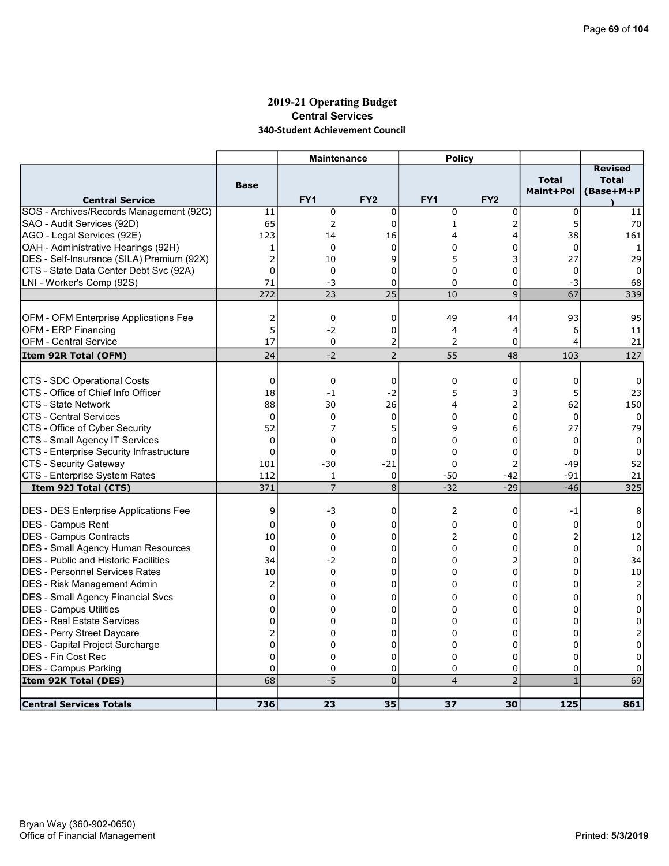### 2019-21 Operating Budget Central Services 340-Student Achievement Council

|                                             |                | <b>Maintenance</b> |                 | <b>Policy</b>   |                 |                           |                                             |
|---------------------------------------------|----------------|--------------------|-----------------|-----------------|-----------------|---------------------------|---------------------------------------------|
| <b>Central Service</b>                      | <b>Base</b>    | FY <sub>1</sub>    | FY <sub>2</sub> | FY <sub>1</sub> | FY <sub>2</sub> | <b>Total</b><br>Maint+Pol | <b>Revised</b><br><b>Total</b><br>(Base+M+P |
| SOS - Archives/Records Management (92C)     | 11             | 0                  | 0               | 0               | 0               | $\mathbf 0$               | 11                                          |
| SAO - Audit Services (92D)                  | 65             | 2                  | $\Omega$        | $\mathbf{1}$    | 2               | 5                         | 70                                          |
| AGO - Legal Services (92E)                  | 123            | 14                 | 16              | 4               | 4               | 38                        | 161                                         |
| OAH - Administrative Hearings (92H)         | 1              | 0                  | $\Omega$        | 0               | 0               | $\Omega$                  | 1                                           |
| DES - Self-Insurance (SILA) Premium (92X)   | $\overline{2}$ | 10                 | 9               | 5               | 3               | 27                        | 29                                          |
| CTS - State Data Center Debt Svc (92A)      | $\overline{0}$ | 0                  | 0               | $\Omega$        | 0               | $\Omega$                  | $\mathbf{0}$                                |
| LNI - Worker's Comp (92S)                   | 71             | -3                 | 0               | $\mathbf 0$     | 0               | -3                        | 68                                          |
|                                             | 272            | 23                 | $\overline{25}$ | 10              | $\overline{9}$  | 67                        | 339                                         |
|                                             |                |                    |                 |                 |                 |                           |                                             |
| OFM - OFM Enterprise Applications Fee       | 2              | 0                  | $\mathbf 0$     | 49              | 44              | 93                        | 95                                          |
| OFM - ERP Financing                         | 5              | $-2$               | 0               | 4               | 4               | 6                         | 11                                          |
| <b>OFM - Central Service</b>                | 17             | 0                  | 2               | 2               | 0               | 4                         | 21                                          |
| Item 92R Total (OFM)                        | 24             | $-2$               | $\overline{2}$  | 55              | 48              | 103                       | 127                                         |
|                                             |                |                    |                 |                 |                 |                           |                                             |
| <b>CTS - SDC Operational Costs</b>          | $\mathbf 0$    | 0                  | $\mathbf 0$     | $\mathbf 0$     | 0               | 0                         | 0                                           |
| CTS - Office of Chief Info Officer          | 18             | $-1$               | $-2$            | 5               | 3               | 5                         | 23                                          |
| CTS - State Network                         | 88             | 30                 | 26              | 4               | 2               | 62                        | 150                                         |
| <b>CTS - Central Services</b>               | $\mathbf 0$    | 0                  | $\mathbf 0$     | 0               | 0               | 0                         | 0                                           |
| CTS - Office of Cyber Security              | 52             | 7                  | 5               | 9               | 6               | 27                        | 79                                          |
| CTS - Small Agency IT Services              | 0              | 0                  | 0               | $\Omega$        | 0               | $\Omega$                  | 0                                           |
| CTS - Enterprise Security Infrastructure    | $\mathbf 0$    | 0                  | $\mathbf 0$     | $\Omega$        | 0               | $\Omega$                  | 0                                           |
| CTS - Security Gateway                      | 101            | $-30$              | $-21$           | 0               | 2               | $-49$                     | 52                                          |
| CTS - Enterprise System Rates               | 112            | $\mathbf{1}$       | $\mathbf 0$     | $-50$           | $-42$           | $-91$                     | 21                                          |
| Item 92J Total (CTS)                        | 371            | $\overline{7}$     | $\overline{8}$  | $-32$           | $-29$           | $-46$                     | 325                                         |
|                                             |                |                    |                 |                 |                 |                           |                                             |
| DES - DES Enterprise Applications Fee       | 9              | -3                 | 0               | $\overline{2}$  | 0               | -1                        | 8                                           |
| <b>IDES - Campus Rent</b>                   | $\mathbf 0$    | 0                  | 0               | 0               | 0               | 0                         | 0                                           |
| DES - Campus Contracts                      | 10             | 0                  | 0               | 2               | 0               | 2                         | 12                                          |
| <b>DES - Small Agency Human Resources</b>   | $\mathbf 0$    | $\Omega$           | 0               | $\Omega$        | 0               | $\Omega$                  | 0                                           |
| <b>DES - Public and Historic Facilities</b> | 34             | $-2$               | $\mathbf 0$     | $\mathbf 0$     | 2               | $\Omega$                  | 34                                          |
| IDES - Personnel Services Rates             | 10             | 0                  | 0               | 0               | 0               | $\Omega$                  | 10                                          |
| DES - Risk Management Admin                 | $\overline{2}$ | 0                  | 0               | 0               | 0               | 0                         | $\overline{2}$                              |
| <b>DES - Small Agency Financial Svcs</b>    | 0              | 0                  | 0               | 0               | 0               | 0                         | 0                                           |
| DES - Campus Utilities                      | $\mathbf 0$    | 0                  | 0               | $\Omega$        | 0               | $\Omega$                  | 0                                           |
| <b>DES - Real Estate Services</b>           | 0              | 0                  | 0               | 0               | 0               | U                         | 0                                           |
| DES - Perry Street Daycare                  | 2              | 0                  | $\Omega$        | $\Omega$        | $\Omega$        | 0                         |                                             |
| DES - Capital Project Surcharge             | $\mathbf 0$    | 0                  | 0               | 0               | 0               | 0                         | 0                                           |
| <b>DES - Fin Cost Rec</b>                   | $\Omega$       | $\mathbf 0$        | $\mathbf 0$     | $\Omega$        | 0               | $\Omega$                  | $\Omega$                                    |
| <b>DES - Campus Parking</b>                 | 0              | 0                  | 0               | 0               | 0               | $\mathbf 0$               | 0                                           |
| Item 92K Total (DES)                        | 68             | $-5$               | $\overline{0}$  | $\overline{4}$  | $\overline{2}$  | $\mathbf{1}$              | 69                                          |
|                                             |                |                    |                 |                 |                 |                           |                                             |
| <b>Central Services Totals</b>              | 736            | 23                 | 35              | 37              | 30              | 125                       | 861                                         |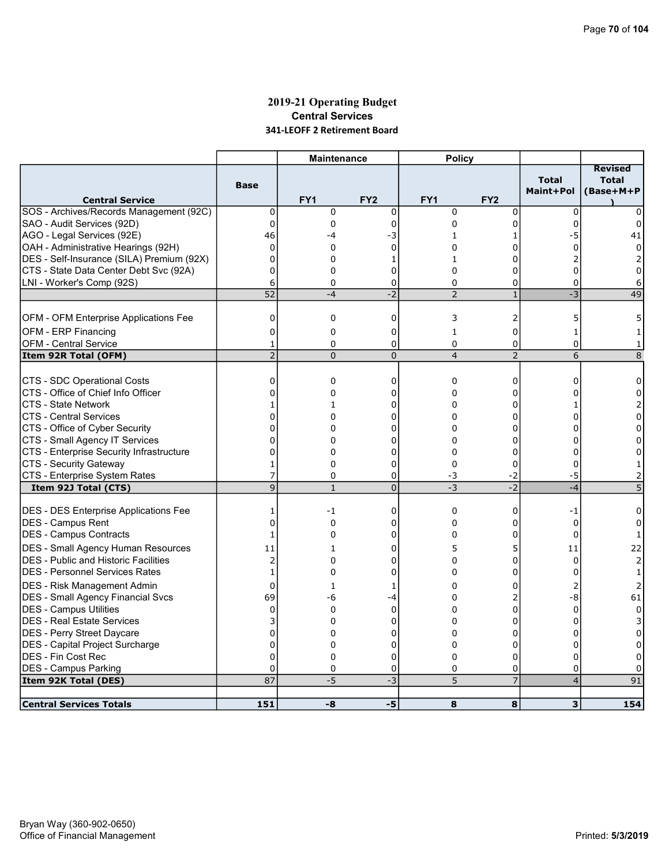# 2019-21 Operating Budget Central Services 341-LEOFF 2 Retirement Board

|                                              |                 | <b>Maintenance</b> |                 | <b>Policy</b>   |                 |                                  |                                             |
|----------------------------------------------|-----------------|--------------------|-----------------|-----------------|-----------------|----------------------------------|---------------------------------------------|
| <b>Central Service</b>                       | <b>Base</b>     | FY <sub>1</sub>    | FY <sub>2</sub> | FY <sub>1</sub> | FY <sub>2</sub> | <b>Total</b><br><b>Maint+Pol</b> | <b>Revised</b><br><b>Total</b><br>(Base+M+P |
| SOS - Archives/Records Management (92C)      | 0               | 0                  | $\mathbf 0$     | $\mathbf 0$     | 0               | $\mathbf 0$                      | 0                                           |
| SAO - Audit Services (92D)                   | $\Omega$        | $\Omega$           | 0               | $\Omega$        | 0               | $\Omega$                         | 0                                           |
| AGO - Legal Services (92E)                   | 46              | -4                 | -3              | 1               | 1               | -5                               | 41                                          |
| OAH - Administrative Hearings (92H)          | $\mathbf 0$     | 0                  | 0               | 0               | 0               | $\Omega$                         | $\Omega$                                    |
| DES - Self-Insurance (SILA) Premium (92X)    | $\mathbf 0$     | $\Omega$           | 1               | 1               | $\Omega$        |                                  |                                             |
| CTS - State Data Center Debt Svc (92A)       | 0               | 0                  | $\Omega$        | $\Omega$        | 0               | $\Omega$                         | $\Omega$                                    |
| LNI - Worker's Comp (92S)                    | 6               | 0                  | 0               | 0               | 0               | 0                                | 6                                           |
|                                              | $\overline{52}$ | $-4$               | $-2$            | $\overline{2}$  | $\mathbf{1}$    | $-3$                             | 49                                          |
|                                              |                 |                    |                 |                 |                 |                                  |                                             |
| OFM - OFM Enterprise Applications Fee        | $\mathbf 0$     | 0                  | $\mathbf 0$     | 3               | 2               | 5                                |                                             |
| OFM - ERP Financing                          | 0               | $\Omega$           | 0               | 1               | 0               | 1                                |                                             |
| <b>OFM - Central Service</b>                 | 1               | 0                  | 0               | 0               | 0               | $\mathbf 0$                      | 1                                           |
| Item 92R Total (OFM)                         | $\overline{2}$  | $\overline{0}$     | $\overline{0}$  | $\overline{4}$  | $\overline{2}$  | 6                                | 8                                           |
|                                              |                 |                    |                 |                 |                 |                                  |                                             |
| CTS - SDC Operational Costs                  | $\mathbf 0$     | 0                  | 0               | $\mathbf 0$     | 0               | 0                                | 0                                           |
| CTS - Office of Chief Info Officer           | $\overline{0}$  | 0                  | 0               | $\Omega$        | 0               | n                                | 0                                           |
| CTS - State Network                          | 1               | 1                  | 0               | 0               | 0               | 1                                | 2                                           |
| <b>CTS - Central Services</b>                | $\Omega$        | $\Omega$           | $\Omega$        | $\Omega$        | $\Omega$        | n                                | $\Omega$                                    |
| CTS - Office of Cyber Security               | $\mathbf 0$     | 0                  | 0               | 0               | 0               | O                                | 0                                           |
| CTS - Small Agency IT Services               | 0               | $\Omega$           | $\Omega$        | $\Omega$        | 0               | 0                                | $\Omega$                                    |
| CTS - Enterprise Security Infrastructure     | $\mathbf 0$     | 0                  | 0               | $\Omega$        | 0               | $\Omega$                         | $\Omega$                                    |
| <b>CTS - Security Gateway</b>                | 1               | 0                  | 0               | 0               | 0               | $\Omega$                         | 1                                           |
| CTS - Enterprise System Rates                | $\overline{7}$  | 0                  | 0               | -3              | $-2$            | -5                               | 2                                           |
| Item 92J Total (CTS)                         | $\overline{9}$  | $\mathbf{1}$       | $\overline{0}$  | $-3$            | $\overline{-2}$ | $-4$                             | $\overline{5}$                              |
|                                              |                 |                    |                 |                 |                 |                                  |                                             |
| <b>DES - DES Enterprise Applications Fee</b> | 1               | -1                 | 0               | 0               | 0               | -1                               | 0                                           |
| <b>IDES - Campus Rent</b>                    | $\mathbf 0$     | 0                  | 0               | $\Omega$        | 0               | $\Omega$                         | 0                                           |
| DES - Campus Contracts                       | 1               | 0                  | 0               | $\Omega$        | 0               | $\Omega$                         | $\mathbf{1}$                                |
| <b>DES - Small Agency Human Resources</b>    | 11              | 1                  | 0               | 5               | 5               | 11                               | 22                                          |
| <b>DES</b> - Public and Historic Facilities  | $\overline{2}$  | $\overline{0}$     | 0               | 0               | 0               | $\Omega$                         | 2                                           |
| <b>DES - Personnel Services Rates</b>        | $\mathbf{1}$    | 0                  | 0               | $\Omega$        | 0               | 0                                | $\mathbf{1}$                                |
| <b>IDES - Risk Management Admin</b>          | 0               | 1                  | 1               | 0               | 0               | 2                                | 2                                           |
| <b>DES - Small Agency Financial Svcs</b>     | 69              | -6                 | -4              | $\Omega$        | 2               | -8                               | 61                                          |
| <b>DES - Campus Utilities</b>                | $\mathbf 0$     | 0                  | $\mathbf 0$     | $\Omega$        | 0               | $\Omega$                         | $\Omega$                                    |
| <b>DES - Real Estate Services</b>            | 3               | 0                  | 0               | 0               | 0               | 0                                | 3                                           |
| DES - Perry Street Daycare                   | $\Omega$        | 0                  | 0               | 0               | 0               | U                                | 0                                           |
| <b>DES</b> - Capital Project Surcharge       | $\mathbf 0$     | 0                  | 0               | 0               | 0               | 0                                | 0                                           |
| <b>DES - Fin Cost Rec</b>                    | $\Omega$        | 0                  | 0               | $\Omega$        | 0               | $\Omega$                         | 0                                           |
| <b>DES - Campus Parking</b>                  | $\mathbf 0$     | 0                  | 0               | 0               | 0               | 0                                | 0                                           |
| Item 92K Total (DES)                         | 87              | $-5$               | $-3$            | 5               | 7               | $\vert 4 \vert$                  | 91                                          |
|                                              |                 |                    |                 |                 |                 |                                  |                                             |
| <b>Central Services Totals</b>               | 151             | -8                 | -5              | 8               | 8               | 3 <sup>1</sup>                   | 154                                         |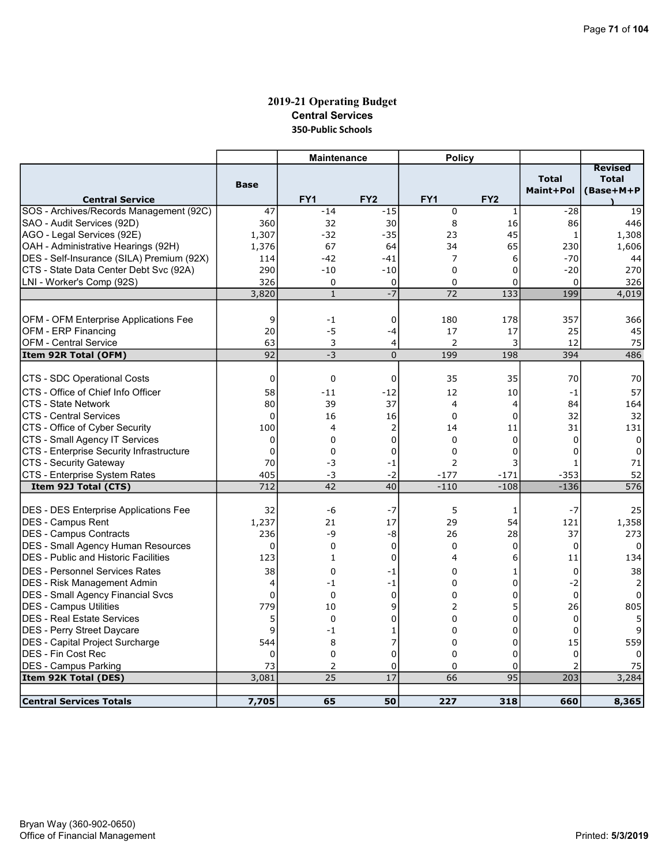# 2019-21 Operating Budget Central Services 350-Public Schools

|                                              |             | <b>Maintenance</b> |                 | <b>Policy</b>   |                  |                           |                                             |
|----------------------------------------------|-------------|--------------------|-----------------|-----------------|------------------|---------------------------|---------------------------------------------|
| <b>Central Service</b>                       | <b>Base</b> | FY <sub>1</sub>    | FY <sub>2</sub> | FY <sub>1</sub> | FY <sub>2</sub>  | <b>Total</b><br>Maint+Pol | <b>Revised</b><br><b>Total</b><br>(Base+M+P |
| SOS - Archives/Records Management (92C)      | 47          | $-14$              | $-15$           | $\mathbf 0$     | 1                | $-28$                     | 19                                          |
| SAO - Audit Services (92D)                   | 360         | 32                 | 30              | 8               | 16               | 86                        | 446                                         |
| AGO - Legal Services (92E)                   | 1,307       | $-32$              | $-35$           | 23              | 45               | $\mathbf{1}$              | 1,308                                       |
| OAH - Administrative Hearings (92H)          | 1,376       | 67                 | 64              | 34              | 65               | 230                       | 1,606                                       |
| DES - Self-Insurance (SILA) Premium (92X)    | 114         | -42                | $-41$           | 7               | 6                | $-70$                     | 44                                          |
| CTS - State Data Center Debt Svc (92A)       | 290         | $-10$              | $-10$           | $\Omega$        | 0                | $-20$                     | 270                                         |
| LNI - Worker's Comp (92S)                    | 326         | 0                  | 0               | 0               | 0                | 0                         | 326                                         |
|                                              | 3,820       | $\mathbf{1}$       | $\overline{-7}$ | 72              | $\overline{133}$ | 199                       | 4,019                                       |
|                                              |             |                    |                 |                 |                  |                           |                                             |
| OFM - OFM Enterprise Applications Fee        | 9           | $-1$               | 0               | 180             | 178              | 357                       | 366                                         |
| OFM - ERP Financing                          | 20          | -5                 | -4              | 17              | 17               | 25                        | 45                                          |
| <b>OFM - Central Service</b>                 | 63          | 3                  | 4               | 2               | 3                | 12                        | 75                                          |
| Item 92R Total (OFM)                         | 92          | $-3$               | $\Omega$        | 199             | 198              | 394                       | 486                                         |
|                                              |             |                    |                 |                 |                  |                           |                                             |
| CTS - SDC Operational Costs                  | 0           | $\mathbf 0$        | 0               | 35              | 35               | 70                        | 70                                          |
| ICTS - Office of Chief Info Officer          | 58          | $-11$              | $-12$           | 12              | 10               | $-1$                      | 57                                          |
| <b>CTS - State Network</b>                   | 80          | 39                 | 37              | 4               | 4                | 84                        | 164                                         |
| <b>CTS - Central Services</b>                | $\Omega$    | 16                 | 16              | $\Omega$        | $\Omega$         | 32                        | 32                                          |
| CTS - Office of Cyber Security               | 100         | 4                  | $\overline{2}$  | 14              | 11               | 31                        | 131                                         |
| CTS - Small Agency IT Services               | $\mathbf 0$ | 0                  | 0               | $\Omega$        | 0                | $\Omega$                  | $\Omega$                                    |
| CTS - Enterprise Security Infrastructure     | 0           | 0                  | 0               | $\Omega$        | 0                | U                         | 0                                           |
| CTS - Security Gateway                       | 70          | -3                 | $-1$            | $\overline{2}$  | 3                |                           | 71                                          |
| CTS - Enterprise System Rates                | 405         | $-3$               | $-2$            | $-177$          | $-171$           | $-353$                    | 52                                          |
| Item 92J Total (CTS)                         | 712         | 42                 | 40              | $-110$          | $-108$           | $-136$                    | 576                                         |
|                                              |             |                    |                 | 5               |                  | $-7$                      |                                             |
| <b>DES - DES Enterprise Applications Fee</b> | 32          | -6                 | $-7$            |                 | 1                |                           | 25                                          |
| DES - Campus Rent                            | 1,237       | 21<br>-9           | 17              | 29              | 54               | 121                       | 1,358                                       |
| DES - Campus Contracts                       | 236         |                    | -8              | 26              | 28               | 37                        | 273                                         |
| <b>DES - Small Agency Human Resources</b>    | $\mathbf 0$ | $\mathbf 0$        | $\mathbf 0$     | $\Omega$        | 0                | $\Omega$                  | $\Omega$                                    |
| <b>DES - Public and Historic Facilities</b>  | 123         | $\mathbf{1}$       | 0               | 4               | 6                | 11                        | 134                                         |
| <b>DES - Personnel Services Rates</b>        | 38          | $\mathbf 0$        | -1              | 0               | 1                | $\mathbf 0$               | 38                                          |
| DES - Risk Management Admin                  | 4           | -1                 | -1              | $\Omega$        | 0                | $-2$                      | 2                                           |
| <b>DES - Small Agency Financial Svcs</b>     | $\Omega$    | $\Omega$           | $\Omega$        | $\Omega$        | $\Omega$         | $\Omega$                  | 0                                           |
| <b>DES - Campus Utilities</b>                | 779         | 10                 | 9               | 2               | 5                | 26                        | 805                                         |
| <b>DES - Real Estate Services</b>            | 5           | $\Omega$           | 0               | $\mathbf 0$     | 0                | $\Omega$                  | 5                                           |
| <b>DES - Perry Street Daycare</b>            | 9           | $-1$               | 1               | $\Omega$        | $\Omega$         | 0                         | 9                                           |
| DES - Capital Project Surcharge              | 544         | 8                  | 7               | $\mathbf 0$     | 0                | 15                        | 559                                         |
| IDES - Fin Cost Rec                          | $\Omega$    | $\mathbf 0$        | 0               | $\Omega$        | $\Omega$         | $\Omega$                  | 0                                           |
| <b>DES - Campus Parking</b>                  | 73          | 2                  | 0               | 0               | 0                | $\overline{2}$            | 75                                          |
| Item 92K Total (DES)                         | 3,081       | 25                 | 17              | 66              | $\overline{95}$  | 203                       | 3,284                                       |
| <b>Central Services Totals</b>               | 7,705       | 65                 | 50              | 227             | 318              | 660                       | 8,365                                       |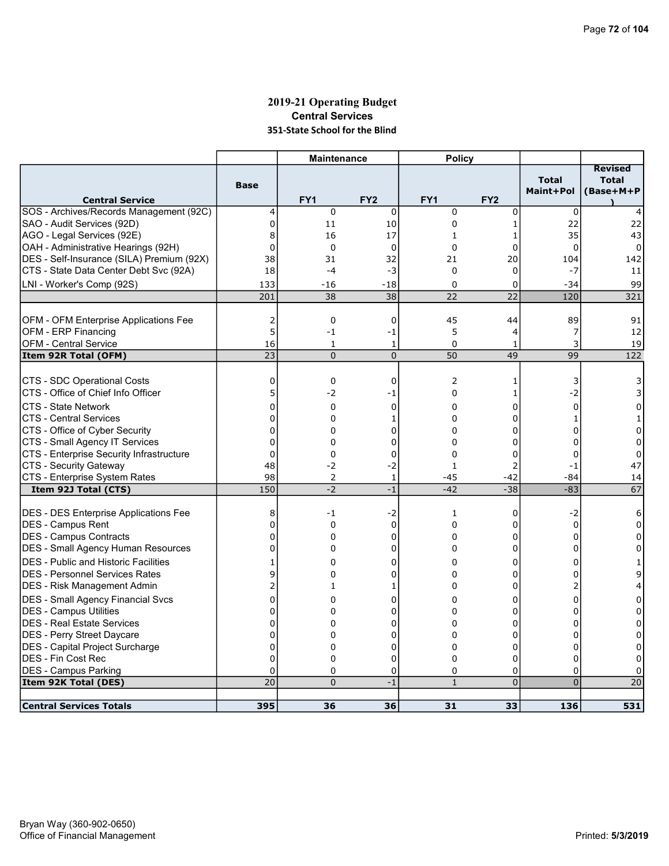# 2019-21 Operating Budget Central Services 351-State School for the Blind

|                                              |                | <b>Maintenance</b> |                 | <b>Policy</b> |                 |                           |                                             |
|----------------------------------------------|----------------|--------------------|-----------------|---------------|-----------------|---------------------------|---------------------------------------------|
| <b>Central Service</b>                       | <b>Base</b>    | FY1                | FY <sub>2</sub> | FY1           | FY <sub>2</sub> | <b>Total</b><br>Maint+Pol | <b>Revised</b><br><b>Total</b><br>(Base+M+P |
| SOS - Archives/Records Management (92C)      | $\overline{4}$ | $\mathbf 0$        | $\mathbf 0$     | $\mathbf 0$   | $\mathbf 0$     | 0                         |                                             |
| SAO - Audit Services (92D)                   | 0              | 11                 | 10              | 0             | 1               | 22                        | 22                                          |
| AGO - Legal Services (92E)                   | 8              | 16                 | 17              | $\mathbf{1}$  | 1               | 35                        | 43                                          |
| OAH - Administrative Hearings (92H)          | $\mathbf 0$    | $\mathbf 0$        | $\mathbf 0$     | 0             | 0               | $\mathbf 0$               | 0                                           |
| DES - Self-Insurance (SILA) Premium (92X)    | 38             | 31                 | 32              | 21            | 20              | 104                       | 142                                         |
| CTS - State Data Center Debt Svc (92A)       | 18             | $-4$               | $-3$            | $\Omega$      | 0               | $-7$                      | 11                                          |
| LNI - Worker's Comp (92S)                    | 133            | $-16$              | $-18$           | $\Omega$      | 0               | $-34$                     | 99                                          |
|                                              | 201            | 38                 | 38              | 22            | 22              | 120                       | 321                                         |
|                                              |                |                    |                 |               |                 |                           |                                             |
| <b>OFM - OFM Enterprise Applications Fee</b> | 2              | 0                  | 0               | 45            | 44              | 89                        | 91                                          |
| OFM - ERP Financing                          | 5              | $-1$               | -1              | 5             | 4               | 7                         | 12                                          |
| <b>OFM - Central Service</b>                 | 16             | $\mathbf{1}$       | 1               | $\Omega$      | 1               | 3                         | 19                                          |
| Item 92R Total (OFM)                         | 23             | $\mathbf{0}$       | $\mathbf 0$     | 50            | 49              | 99                        | 122                                         |
|                                              |                |                    |                 |               |                 |                           |                                             |
| CTS - SDC Operational Costs                  | 0              | 0                  | 0               | 2             | 1               | 3                         | 3                                           |
| CTS - Office of Chief Info Officer           | 5              | $-2$               | -1              | $\Omega$      | $\mathbf{1}$    | $-2$                      | 3                                           |
| CTS - State Network                          | $\mathbf 0$    | 0                  | $\mathbf 0$     | $\Omega$      | 0               | $\Omega$                  | 0                                           |
| <b>CTS - Central Services</b>                | $\mathbf{0}$   | $\Omega$           | 1               | 0             | 0               | 1                         | 1                                           |
| CTS - Office of Cyber Security               | $\mathbf 0$    | 0                  | 0               | 0             | 0               | $\Omega$                  | 0                                           |
| CTS - Small Agency IT Services               | $\mathbf 0$    | 0                  | 0               | 0             | 0               | $\Omega$                  | 0                                           |
| CTS - Enterprise Security Infrastructure     | $\mathbf 0$    | 0                  | 0               | $\Omega$      | 0               | 0                         | 0                                           |
| CTS - Security Gateway                       | 48             | $-2$               | -2              | $\mathbf{1}$  | 2               | $-1$                      | 47                                          |
| CTS - Enterprise System Rates                | 98             | 2                  | 1               | $-45$         | $-42$           | -84                       | 14                                          |
| Item 92J Total (CTS)                         | 150            | $-2$               | $-1$            | $-42$         | $-38$           | $-83$                     | 67                                          |
|                                              |                |                    |                 |               |                 |                           |                                             |
| DES - DES Enterprise Applications Fee        | 8              | -1                 | -2              | 1             | 0               | -2                        | 6                                           |
| <b>IDES - Campus Rent</b>                    | $\Omega$       | 0                  | 0               | 0             | 0               | $\Omega$                  | 0                                           |
| <b>DES - Campus Contracts</b>                | 0              | 0                  | 0               | 0             | 0               | 0                         | 0                                           |
| <b>DES - Small Agency Human Resources</b>    | 0              | 0                  | 0               | $\Omega$      | 0               | 0                         | 0                                           |
| <b>DES - Public and Historic Facilities</b>  | 1              | 0                  | 0               | 0             | 0               | n                         | 1                                           |
| IDES - Personnel Services Rates              | 9              | 0                  | $\Omega$        | 0             | $\Omega$        | U                         | 9                                           |
| DES - Risk Management Admin                  | $\overline{2}$ | 1                  | 1               | 0             | 0               |                           |                                             |
| DES - Small Agency Financial Svcs            | $\mathbf 0$    | 0                  | 0               | 0             | 0               | 0                         | 0                                           |
| DES - Campus Utilities                       | 0              | $\Omega$           | 0               | 0             | 0               | 0                         | 0                                           |
| <b>DES - Real Estate Services</b>            | 0              | 0                  | 0               | 0             | 0               | 0                         | 0                                           |
| <b>IDES - Perry Street Daycare</b>           | $\mathbf 0$    | 0                  | 0               | 0             | 0               | 0                         | 0                                           |
| <b>DES</b> - Capital Project Surcharge       | 0              | 0                  | 0               | $\Omega$      | 0               | $\Omega$                  | $\Omega$                                    |
| DES - Fin Cost Rec                           | $\Omega$       | 0                  | 0               | 0             | 0               | $\Omega$                  | $\Omega$                                    |
| <b>DES - Campus Parking</b>                  | $\mathbf 0$    | 0                  | 0               | 0             | 0               | 0                         | 0                                           |
| Item 92K Total (DES)                         | 20             | $\Omega$           | $-1$            | $\mathbf{1}$  | $\Omega$        | $\Omega$                  | 20                                          |
|                                              |                |                    |                 |               |                 |                           |                                             |
| <b>Central Services Totals</b>               | 395            | 36                 | 36              | 31            | 33              | 136                       | 531                                         |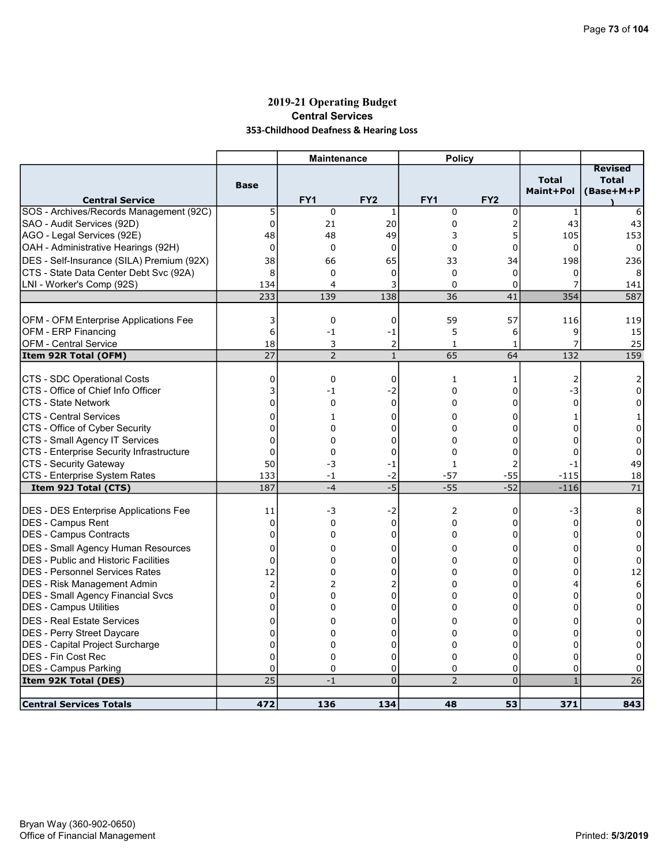## 2019-21 Operating Budget Central Services 353-Childhood Deafness & Hearing Loss

|                                                       |                | <b>Maintenance</b> |                 | <b>Policy</b>   |                 |                           |                                             |
|-------------------------------------------------------|----------------|--------------------|-----------------|-----------------|-----------------|---------------------------|---------------------------------------------|
| <b>Central Service</b>                                | <b>Base</b>    | FY <sub>1</sub>    | FY <sub>2</sub> | FY <sub>1</sub> | FY <sub>2</sub> | <b>Total</b><br>Maint+Pol | <b>Revised</b><br><b>Total</b><br>(Base+M+P |
| SOS - Archives/Records Management (92C)               | 5              | $\mathbf 0$        | 1               | $\mathbf 0$     | 0               | $1\,$                     | 6                                           |
| SAO - Audit Services (92D)                            | $\mathbf 0$    | 21                 | 20              | $\mathbf 0$     | $\overline{2}$  | 43                        | 43                                          |
| AGO - Legal Services (92E)                            | 48             | 48                 | 49              | 3               | 5               | 105                       | 153                                         |
| OAH - Administrative Hearings (92H)                   | $\Omega$       | 0                  | $\Omega$        | $\Omega$        | 0               | $\Omega$                  | 0                                           |
| DES - Self-Insurance (SILA) Premium (92X)             | 38             | 66                 | 65              | 33              | 34              | 198                       | 236                                         |
| CTS - State Data Center Debt Svc (92A)                | 8              | $\Omega$           | $\mathbf 0$     | $\Omega$        | 0               | 0                         |                                             |
| LNI - Worker's Comp (92S)                             | 134            | 4                  | 3               | $\Omega$        | 0               | 7                         | 141                                         |
|                                                       | 233            | 139                | 138             | 36              | 41              | 354                       | 587                                         |
|                                                       |                |                    |                 |                 |                 |                           |                                             |
| OFM - OFM Enterprise Applications Fee                 | 3              | $\mathbf 0$        | $\mathbf 0$     | 59              | 57              | 116                       | 119                                         |
| OFM - ERP Financing                                   | 6              | $-1$               | -1              | 5               | 6               | 9                         | 15                                          |
| OFM - Central Service                                 | 18             | 3                  | $\overline{2}$  | $\mathbf{1}$    | 1               | 7                         | 25                                          |
| Item 92R Total (OFM)                                  | 27             | $\overline{2}$     | $\mathbf{1}$    | 65              | 64              | 132                       | 159                                         |
| CTS - SDC Operational Costs                           | 0              | $\mathbf 0$        | $\mathbf 0$     | 1               |                 |                           |                                             |
| ICTS - Office of Chief Info Officer                   | 3              | -1                 | $-2$            | $\mathbf 0$     | 1<br>0          | 2<br>-3                   | 0                                           |
| ICTS - State Network                                  | 0              | $\Omega$           | $\mathbf 0$     | $\Omega$        | 0               | $\Omega$                  | $\Omega$                                    |
|                                                       |                |                    |                 |                 |                 |                           |                                             |
| ICTS - Central Services                               | 0              | $\mathbf{1}$       | $\mathbf 0$     | $\Omega$        | 0               | 1                         | 1                                           |
| CTS - Office of Cyber Security                        | 0              | 0                  | 0               | 0               | 0               | 0                         | 0                                           |
| CTS - Small Agency IT Services                        | 0              | $\Omega$           | 0               | $\Omega$        | 0               | 0                         | $\Omega$                                    |
| CTS - Enterprise Security Infrastructure              | 0              | 0                  | 0               | $\mathbf 0$     | 0               | 0                         | 0                                           |
| CTS - Security Gateway                                | 50             | -3                 | $-1$            | $\mathbf{1}$    | $\overline{2}$  | $-1$                      | 49                                          |
| CTS - Enterprise System Rates<br>Item 92J Total (CTS) | 133<br>187     | $-1$<br>$-4$       | -2<br>$-5$      | $-57$<br>$-55$  | $-55$<br>$-52$  | $-115$<br>$-116$          | 18<br>71                                    |
|                                                       |                |                    |                 |                 |                 |                           |                                             |
| <b>DES - DES Enterprise Applications Fee</b>          | 11             | -3                 | -2              | $\overline{2}$  | 0               | -3                        | 8                                           |
| <b>DES - Campus Rent</b>                              | $\mathbf 0$    | $\mathbf 0$        | $\mathbf 0$     | 0               | 0               | $\Omega$                  | 0                                           |
| DES - Campus Contracts                                | 0              | 0                  | 0               | 0               | 0               | 0                         | 0                                           |
| <b>DES - Small Agency Human Resources</b>             | 0              | 0                  | 0               | 0               | 0               | 0                         | 0                                           |
| DES - Public and Historic Facilities                  | $\overline{0}$ | $\Omega$           | 0               | 0               | 0               | 0                         | $\mathbf 0$                                 |
| DES - Personnel Services Rates                        | 12             | 0                  | 0               | 0               | 0               | 0                         | 12                                          |
| <b>DES - Risk Management Admin</b>                    | $\overline{c}$ | $\overline{2}$     | 2               | 0               | 0               | 4                         | 6                                           |
| DES - Small Agency Financial Svcs                     | $\overline{0}$ | 0                  | 0               | $\Omega$        | 0               | 0                         | $\mathbf 0$                                 |
| DES - Campus Utilities                                | 0              | 0                  | 0               | 0               | 0               | 0                         | $\Omega$                                    |
| <b>DES - Real Estate Services</b>                     | $\Omega$       | 0                  | 0               | 0               | 0               | 0                         | 0                                           |
| DES - Perry Street Daycare                            | 0              | $\Omega$           | 0               | $\Omega$        | 0               | 0                         | 0                                           |
| DES - Capital Project Surcharge                       | 0              | 0                  | 0               | 0               | 0               | 0                         | 0                                           |
| IDES - Fin Cost Rec                                   | 0              | $\Omega$           | 0               | $\Omega$        | 0               | $\Omega$                  | $\Omega$                                    |
| <b>DES - Campus Parking</b>                           | 0              | $\mathbf 0$        | 0               | 0               | 0               | $\mathbf 0$               | 0                                           |
| Item 92K Total (DES)                                  | 25             | $-1$               | $\overline{0}$  | $\overline{2}$  | $\overline{0}$  | $\mathbf{1}$              | 26                                          |
|                                                       |                |                    |                 |                 |                 |                           |                                             |
| <b>Central Services Totals</b>                        | 472            | 136                | 134             | 48              | 53              | 371                       | 843                                         |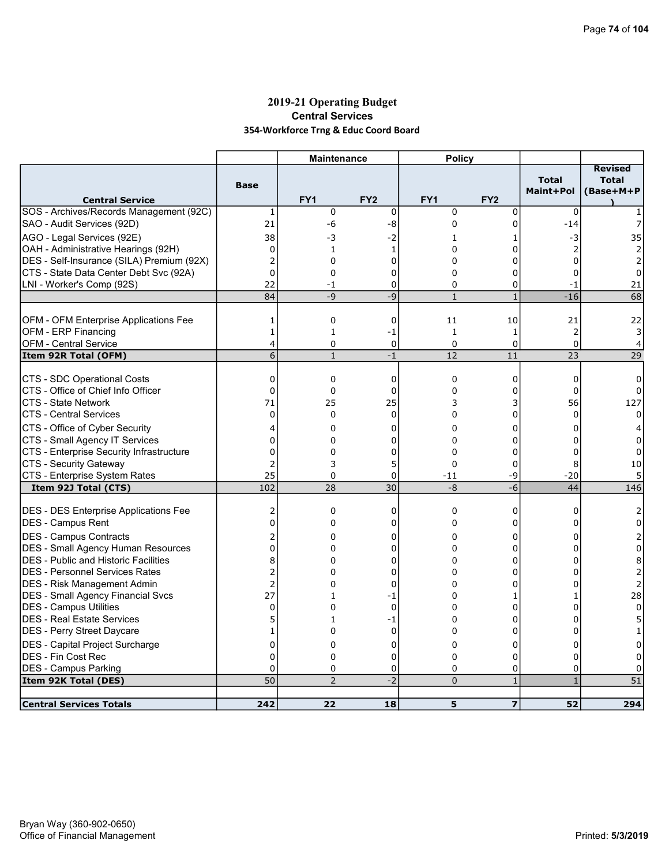## 2019-21 Operating Budget Central Services 354-Workforce Trng & Educ Coord Board

|                                                                                      |                   | <b>Maintenance</b> |                 | <b>Policy</b>               |                         |                               |                                             |
|--------------------------------------------------------------------------------------|-------------------|--------------------|-----------------|-----------------------------|-------------------------|-------------------------------|---------------------------------------------|
| <b>Central Service</b>                                                               | <b>Base</b>       | FY <sub>1</sub>    | FY <sub>2</sub> | FY <sub>1</sub>             | FY <sub>2</sub>         | <b>Total</b><br>Maint+Pol     | <b>Revised</b><br><b>Total</b><br>(Base+M+P |
| SOS - Archives/Records Management (92C)                                              | 1                 | $\mathbf 0$        | $\mathbf 0$     | $\mathbf 0$                 | 0                       | 0                             |                                             |
| SAO - Audit Services (92D)                                                           | 21                | -6                 | -8              | 0                           | 0                       | $-14$                         |                                             |
| AGO - Legal Services (92E)                                                           | 38                | -3                 | -2              | 1                           | 1                       | -3                            | 35                                          |
| OAH - Administrative Hearings (92H)                                                  | $\mathbf 0$       | $\mathbf{1}$       | 1               | $\Omega$                    | 0                       | 2                             | 2                                           |
| DES - Self-Insurance (SILA) Premium (92X)                                            | $\overline{2}$    | 0                  | $\mathbf 0$     | 0                           | 0                       | $\Omega$                      | 2                                           |
| CTS - State Data Center Debt Svc (92A)                                               | $\overline{0}$    | $\Omega$           | $\Omega$        | $\Omega$                    | 0                       | $\Omega$                      | 0                                           |
| LNI - Worker's Comp (92S)                                                            | 22                | $-1$               | 0               | 0                           | 0                       | $-1$                          | 21                                          |
|                                                                                      | 84                | $-9$               | -9              | $\mathbf{1}$                | $\mathbf{1}$            | $-16$                         | 68                                          |
|                                                                                      |                   |                    |                 |                             |                         |                               |                                             |
| OFM - OFM Enterprise Applications Fee                                                | 1                 | $\mathbf 0$        | $\mathbf 0$     | 11                          | 10                      | 21                            | 22                                          |
| OFM - ERP Financing<br>OFM - Central Service                                         | $\mathbf{1}$<br>4 | $\mathbf{1}$<br>0  | -1<br>0         | $\mathbf{1}$<br>$\mathbf 0$ | $\mathbf{1}$<br>0       | $\overline{2}$<br>$\mathbf 0$ | 3<br>4                                      |
| Item 92R Total (OFM)                                                                 | 6                 | $\mathbf{1}$       | $-1$            | 12                          | 11                      | 23                            | 29                                          |
|                                                                                      |                   |                    |                 |                             |                         |                               |                                             |
| CTS - SDC Operational Costs                                                          | 0                 | $\mathbf 0$        | $\mathbf 0$     | $\mathbf 0$                 | 0                       | $\mathbf 0$                   | 0                                           |
| ICTS - Office of Chief Info Officer                                                  | 0                 | $\mathbf 0$        | 0               | $\Omega$                    | 0                       | $\Omega$                      | 0                                           |
| <b>CTS - State Network</b>                                                           | 71                | 25                 | 25              | 3                           | 3                       | 56                            | 127                                         |
| ICTS - Central Services                                                              | $\mathbf 0$       | $\Omega$           | $\Omega$        | $\Omega$                    | 0                       | $\Omega$                      | $\Omega$                                    |
| CTS - Office of Cyber Security                                                       | 4                 | 0                  | 0               | $\Omega$                    | 0                       | $\Omega$                      |                                             |
| CTS - Small Agency IT Services                                                       | 0                 | 0                  | 0               | $\Omega$                    | 0                       | 0                             | 0                                           |
| CTS - Enterprise Security Infrastructure                                             | 0                 | 0                  | 0               | $\mathbf{0}$                | 0                       | $\Omega$                      | 0                                           |
| CTS - Security Gateway                                                               | 2                 | 3                  | 5               | 0                           | 0                       | 8                             | 10                                          |
| CTS - Enterprise System Rates                                                        | 25                | $\Omega$           | $\overline{0}$  | $-11$                       | -9                      | $-20$                         |                                             |
| Item 92J Total (CTS)                                                                 | 102               | 28                 | 30              | -8                          | -6                      | 44                            | 146                                         |
|                                                                                      |                   |                    |                 |                             |                         |                               |                                             |
| <b>DES - DES Enterprise Applications Fee</b>                                         | 2<br>0            | $\mathbf 0$<br>0   | 0               | $\mathbf 0$<br>0            | 0<br>0                  | 0<br>$\Omega$                 | 2<br>$\Omega$                               |
| DES - Campus Rent                                                                    |                   |                    | 0               |                             |                         |                               |                                             |
| <b>DES - Campus Contracts</b>                                                        | 2                 | 0                  | 0               | 0                           | 0                       | 0                             | 2                                           |
| DES - Small Agency Human Resources                                                   | 0<br>8            | $\Omega$<br>0      | 0<br>0          | $\Omega$<br>$\Omega$        | 0                       | $\Omega$<br>0                 | $\Omega$                                    |
| <b>DES - Public and Historic Facilities</b><br><b>DES - Personnel Services Rates</b> | $\overline{c}$    | 0                  | 0               | $\Omega$                    | 0<br>0                  | 0                             | 8<br>2                                      |
| <b>DES - Risk Management Admin</b>                                                   | $\overline{2}$    | 0                  | 0               | 0                           | 0                       | 0                             | $\overline{2}$                              |
| DES - Small Agency Financial Svcs                                                    | 27                | 1                  | -1              | $\Omega$                    | 1                       | 1                             | 28                                          |
| DES - Campus Utilities                                                               | 0                 | 0                  | $\mathbf 0$     | 0                           | 0                       | 0                             | $\mathbf 0$                                 |
| <b>DES - Real Estate Services</b>                                                    | 5                 | 1                  | -1              | 0                           | 0                       | 0                             | 5                                           |
| DES - Perry Street Daycare                                                           | $\mathbf{1}$      | 0                  | $\mathbf 0$     | $\Omega$                    | 0                       | $\Omega$                      | 1                                           |
| <b>DES</b> - Capital Project Surcharge                                               | 0                 | 0                  | 0               | 0                           | 0                       | 0                             | 0                                           |
| IDES - Fin Cost Rec                                                                  | 0                 | 0                  | 0               | $\Omega$                    | 0                       | $\Omega$                      | 0                                           |
| DES - Campus Parking                                                                 | $\Omega$          | $\Omega$           | 0               | $\Omega$                    | 0                       | $\Omega$                      | 0                                           |
| Item 92K Total (DES)                                                                 | 50                | $\overline{2}$     | $-2$            | $\overline{0}$              | $\mathbf{1}$            | $\mathbf{1}$                  | 51                                          |
|                                                                                      |                   |                    |                 |                             |                         |                               |                                             |
| <b>Central Services Totals</b>                                                       | 242               | 22                 | 18              | 5                           | $\overline{\mathbf{z}}$ | 52                            | 294                                         |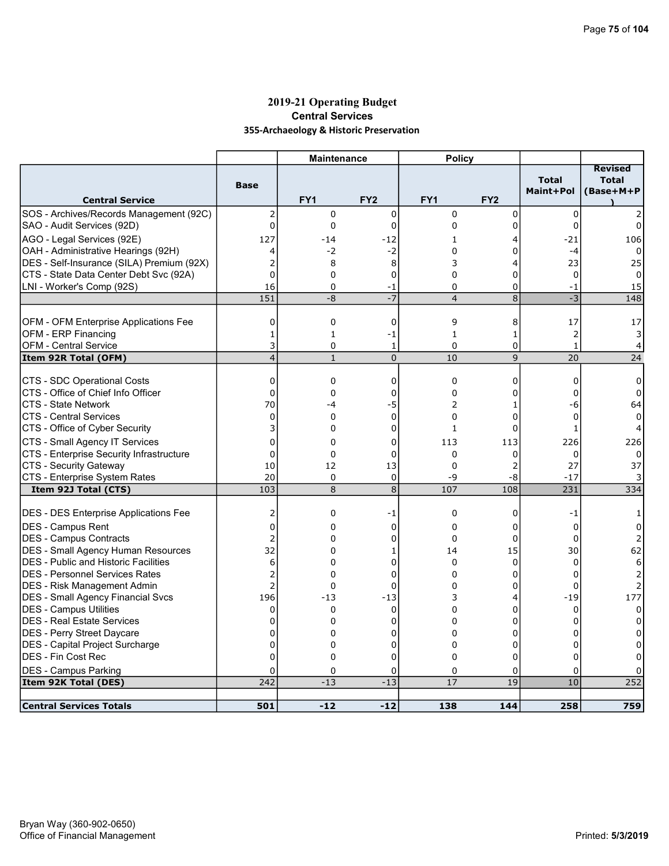## 2019-21 Operating Budget Central Services 355-Archaeology & Historic Preservation

|                                                      |                   | <b>Maintenance</b>          |                  | <b>Policy</b>            |                   |                           |                                             |
|------------------------------------------------------|-------------------|-----------------------------|------------------|--------------------------|-------------------|---------------------------|---------------------------------------------|
| <b>Central Service</b>                               | <b>Base</b>       | FY1                         | FY <sub>2</sub>  | FY <sub>1</sub>          | FY <sub>2</sub>   | <b>Total</b><br>Maint+Pol | <b>Revised</b><br><b>Total</b><br>(Base+M+P |
| SOS - Archives/Records Management (92C)              | 2                 | 0                           | $\mathbf 0$      | $\mathbf 0$              | 0                 | $\mathbf 0$               |                                             |
| SAO - Audit Services (92D)                           | 0                 | $\mathbf 0$                 | $\mathbf 0$      | $\Omega$                 | 0                 | $\Omega$                  | 0                                           |
| AGO - Legal Services (92E)                           | 127               | $-14$                       | $-12$            | 1                        | 4                 | -21                       | 106                                         |
| OAH - Administrative Hearings (92H)                  | 4                 | $-2$                        | $-2$             | $\Omega$                 | 0                 | $-4$                      |                                             |
| DES - Self-Insurance (SILA) Premium (92X)            | 2                 | 8                           | 8                | 3                        | 4                 | 23                        | 25                                          |
| CTS - State Data Center Debt Svc (92A)               | $\Omega$          | 0                           | $\mathbf 0$      | 0                        | $\Omega$          | $\mathbf 0$               | 0                                           |
| LNI - Worker's Comp (92S)                            | 16                | $\mathbf 0$                 | -1               | 0                        | 0                 | -1                        | 15                                          |
|                                                      | 151               | -8                          | $-7$             | $\overline{4}$           | 8                 | $-3$                      | 148                                         |
|                                                      |                   |                             |                  |                          |                   |                           |                                             |
| OFM - OFM Enterprise Applications Fee                | 0                 | $\mathbf 0$                 | 0                | 9                        | 8                 | 17                        | 17                                          |
| OFM - ERP Financing                                  | $\mathbf{1}$<br>3 | $\mathbf{1}$<br>$\mathbf 0$ | -1               | $\mathbf{1}$<br>$\Omega$ | $\mathbf{1}$<br>0 | 2<br>$\mathbf{1}$         | 3                                           |
| <b>OFM - Central Service</b><br>Item 92R Total (OFM) | $\overline{4}$    | $\mathbf{1}$                | 1<br>$\mathbf 0$ | 10                       | 9                 | 20                        | 4<br>24                                     |
|                                                      |                   |                             |                  |                          |                   |                           |                                             |
| CTS - SDC Operational Costs                          | $\mathbf 0$       | $\mathbf 0$                 | 0                | $\mathbf 0$              | 0                 | 0                         | 0                                           |
| ICTS - Office of Chief Info Officer                  | $\overline{0}$    | 0                           | 0                | $\Omega$                 | 0                 | $\Omega$                  | 0                                           |
| ICTS - State Network                                 | 70                | -4                          | -5               | 2                        | 1                 | -6                        | 64                                          |
| <b>CTS - Central Services</b>                        | $\Omega$          | $\mathbf{0}$                | $\Omega$         | $\Omega$                 | $\Omega$          | $\Omega$                  |                                             |
| CTS - Office of Cyber Security                       | 3                 | 0                           | 0                | $\mathbf{1}$             | 0                 | $\mathbf{1}$              |                                             |
| CTS - Small Agency IT Services                       | 0                 | 0                           | 0                | 113                      | 113               | 226                       | 226                                         |
| CTS - Enterprise Security Infrastructure             | $\overline{0}$    | 0                           | $\mathbf 0$      | $\Omega$                 | 0                 | 0                         |                                             |
| CTS - Security Gateway                               | 10                | 12                          | 13               | $\Omega$                 | 2                 | 27                        | 37                                          |
| CTS - Enterprise System Rates                        | 20                | 0                           | $\mathbf 0$      | -9                       | -8                | $-17$                     |                                             |
| Item 92J Total (CTS)                                 | 103               | 8                           | $\overline{8}$   | 107                      | 108               | 231                       | 334                                         |
| DES - DES Enterprise Applications Fee                | 2                 | 0                           | -1               | $\mathbf 0$              | 0                 | $-1$                      | 1                                           |
| <b>DES - Campus Rent</b>                             | 0                 | 0                           | 0                | $\Omega$                 | 0                 | 0                         | 0                                           |
| <b>DES - Campus Contracts</b>                        | $\overline{c}$    | $\Omega$                    | $\mathbf 0$      | $\mathbf 0$              | 0                 | 0                         | 2                                           |
| DES - Small Agency Human Resources                   | 32                | 0                           | 1                | 14                       | 15                | 30                        | 62                                          |
| <b>DES</b> - Public and Historic Facilities          | 6                 | 0                           | 0                | 0                        | 0                 | 0                         | 6                                           |
| IDES - Personnel Services Rates                      | $\overline{a}$    | $\Omega$                    | $\overline{0}$   | $\Omega$                 | $\Omega$          | $\Omega$                  |                                             |
| DES - Risk Management Admin                          | $\overline{2}$    | 0                           | 0                | $\Omega$                 | 0                 | 0                         |                                             |
| <b>DES - Small Agency Financial Svcs</b>             | 196               | $-13$                       | $-13$            | 3                        | 4                 | $-19$                     | 177                                         |
| DES - Campus Utilities                               | 0                 | $\Omega$                    | $\mathbf 0$      | $\Omega$                 | 0                 | $\mathbf 0$               | $\Omega$                                    |
| <b>DES - Real Estate Services</b>                    | 0                 | 0                           | 0                | $\Omega$                 | 0                 | 0                         | 0                                           |
| DES - Perry Street Daycare                           | 0                 | 0                           | 0                | $\Omega$                 | 0                 | 0                         |                                             |
| DES - Capital Project Surcharge                      | 0                 | 0                           | 0                | 0                        | 0                 | 0                         | 0                                           |
| <b>DES - Fin Cost Rec</b>                            | $\overline{0}$    | 0                           | 0                | $\Omega$                 | 0                 | $\Omega$                  | n                                           |
| <b>DES - Campus Parking</b>                          | 0                 | 0                           | 0                | 0                        | 0                 | 0                         |                                             |
| Item 92K Total (DES)                                 | 242               | $-13$                       | $-13$            | 17                       | 19                | 10                        | 252                                         |
| <b>Central Services Totals</b>                       | 501               | $-12$                       | $-12$            | 138                      | 144               | 258                       | 759                                         |
|                                                      |                   |                             |                  |                          |                   |                           |                                             |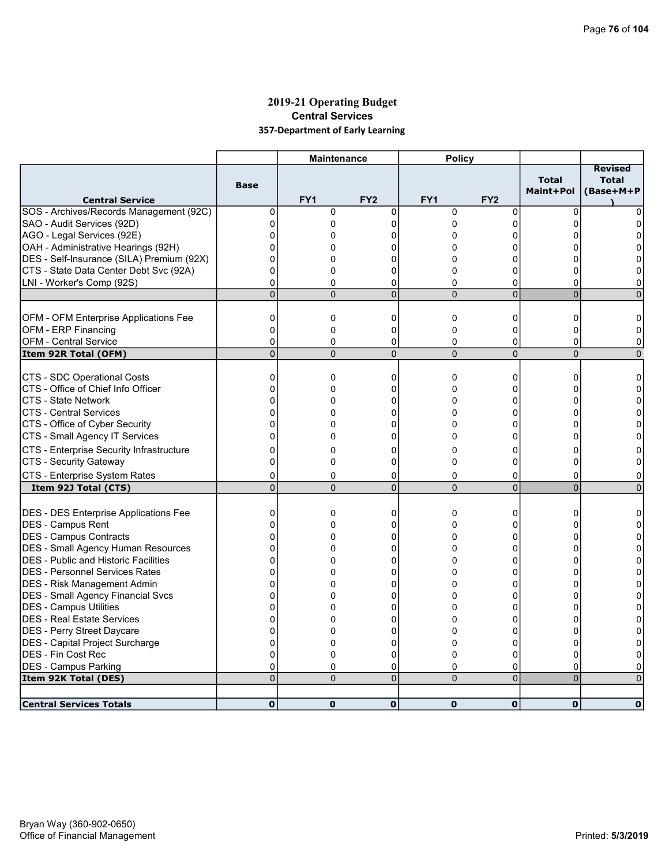## 2019-21 Operating Budget Central Services 357-Department of Early Learning

|                                              |                | <b>Maintenance</b> |                 | <b>Policy</b>   |                 |                           |                                             |
|----------------------------------------------|----------------|--------------------|-----------------|-----------------|-----------------|---------------------------|---------------------------------------------|
| <b>Central Service</b>                       | <b>Base</b>    | FY <sub>1</sub>    | FY <sub>2</sub> | FY <sub>1</sub> | FY <sub>2</sub> | <b>Total</b><br>Maint+Pol | <b>Revised</b><br><b>Total</b><br>(Base+M+P |
| SOS - Archives/Records Management (92C)      | 0              | $\mathbf 0$        | $\mathbf 0$     | $\mathbf 0$     | $\mathbf 0$     | $\Omega$                  | 0                                           |
| SAO - Audit Services (92D)                   | $\mathbf{0}$   | 0                  | 0               | 0               | 0               | $\Omega$                  | <sup>0</sup>                                |
| AGO - Legal Services (92E)                   | 0              | 0                  | 0               | 0               | 0               |                           | 0                                           |
| OAH - Administrative Hearings (92H)          | 0              | 0                  | በ               | 0               | ი               |                           |                                             |
| DES - Self-Insurance (SILA) Premium (92X)    | 0              | 0                  | 0               | 0               | 0               |                           |                                             |
| CTS - State Data Center Debt Svc (92A)       | 0              | $\Omega$           | 0               | 0               | 0               | o                         | 0                                           |
| LNI - Worker's Comp (92S)                    | 0              | $\Omega$           | 0               | 0               | 0               | $\Omega$                  | 0                                           |
|                                              | $\overline{0}$ | $\Omega$           | $\overline{0}$  | $\Omega$        | $\overline{0}$  | $\overline{0}$            | $\Omega$                                    |
|                                              |                |                    |                 |                 |                 |                           |                                             |
| OFM - OFM Enterprise Applications Fee        | $\mathbf 0$    | 0                  | 0               | $\mathbf 0$     | 0               | $\Omega$                  | 0                                           |
| OFM - ERP Financing                          | $\overline{0}$ | 0                  | 0               | $\overline{0}$  | 0               | 0                         | 0                                           |
| <b>OFM - Central Service</b>                 | $\mathbf 0$    | 0                  | 0               | 0               | 0               | 0                         | 0                                           |
| Item 92R Total (OFM)                         | $\overline{0}$ | $\Omega$           | $\Omega$        | $\Omega$        | $\overline{0}$  | $\Omega$                  | $\Omega$                                    |
| CTS - SDC Operational Costs                  | 0              | 0                  | 0               | $\mathbf 0$     | 0               | 0                         | 0                                           |
| CTS - Office of Chief Info Officer           | $\mathbf 0$    | 0                  | 0               | 0               | 0               | 0                         | 0                                           |
| <b>CTS - State Network</b>                   | $\Omega$       | $\Omega$           | $\Omega$        | $\Omega$        | $\Omega$        | o                         | $\Omega$                                    |
| <b>CTS - Central Services</b>                | $\overline{0}$ | 0                  | 0               | 0               | 0               | 0                         | 0                                           |
| CTS - Office of Cyber Security               | $\Omega$       | 0                  | 0               | 0               | 0               | 0                         | 0                                           |
| CTS - Small Agency IT Services               | $\overline{0}$ | $\Omega$           | $\Omega$        | 0               | 0               | $\Omega$                  | 0                                           |
| CTS - Enterprise Security Infrastructure     | 0              | 0                  | 0               | 0               | 0               | 0                         | 0                                           |
| CTS - Security Gateway                       | $\Omega$       | $\Omega$           | 0               | $\Omega$        | 0               | $\Omega$                  | 0                                           |
| CTS - Enterprise System Rates                | 0              | 0                  | 0               | 0               | 0               |                           |                                             |
| Item 92J Total (CTS)                         | 0              | $\overline{0}$     | $\overline{0}$  | $\overline{0}$  | $\overline{0}$  | 0<br>$\overline{0}$       | 0<br>$\Omega$                               |
|                                              |                |                    |                 |                 |                 |                           |                                             |
| <b>DES - DES Enterprise Applications Fee</b> | $\mathbf 0$    | 0                  | 0               | $\mathbf 0$     | 0               | 0                         | 0                                           |
| DES - Campus Rent                            | 0              | $\Omega$           | 0               | 0               | 0               | O                         | 0                                           |
| DES - Campus Contracts                       | $\mathbf{0}$   | $\Omega$           | 0               | 0               | 0               | $\Omega$                  | $\Omega$                                    |
| <b>DES - Small Agency Human Resources</b>    | $\mathbf{0}$   | 0                  | 0               | $\Omega$        | 0               | <sup>0</sup>              | $\Omega$                                    |
| DES - Public and Historic Facilities         | 0              | 0                  | 0               | 0               | 0               | ∩                         | 0                                           |
| IDES - Personnel Services Rates              | 0              | 0                  | 0               | 0               | $\Omega$        |                           | $\Omega$                                    |
| DES - Risk Management Admin                  | 0              | 0                  | 0               | 0               | 0               | n                         | 0                                           |
| DES - Small Agency Financial Svcs            | $\Omega$       | 0                  | 0               | 0               | 0               | 0                         | $\Omega$                                    |
| <b>DES - Campus Utilities</b>                | $\overline{0}$ | $\Omega$           | 0               | 0               | 0               | n                         | $\Omega$                                    |
| DES - Real Estate Services                   | 0              | 0                  | 0               | 0               | 0               |                           | $\Omega$                                    |
| DES - Perry Street Daycare                   | 0              | 0                  | 0               | $\Omega$        | 0               | U                         | 0                                           |
| DES - Capital Project Surcharge              | 0              | 0                  | 0               | 0               | 0               | 0                         | 0                                           |
| <b>DES - Fin Cost Rec</b>                    | $\overline{0}$ | 0                  | $\mathbf 0$     | $\Omega$        | $\Omega$        | $\Omega$                  | 0                                           |
| DES - Campus Parking                         | 0              | 0                  | 0               | 0               | 0               | 0                         | 0                                           |
| Item 92K Total (DES)                         | $\overline{0}$ | $\Omega$           | $\overline{0}$  | $\Omega$        | $\overline{0}$  | $\Omega$                  | $\Omega$                                    |
|                                              |                |                    |                 |                 |                 |                           |                                             |
| <b>Central Services Totals</b>               | $\mathbf 0$    | $\mathbf 0$        | $\mathbf 0$     | $\mathbf 0$     | $\mathbf 0$     | $\mathbf 0$               | $\mathbf{0}$                                |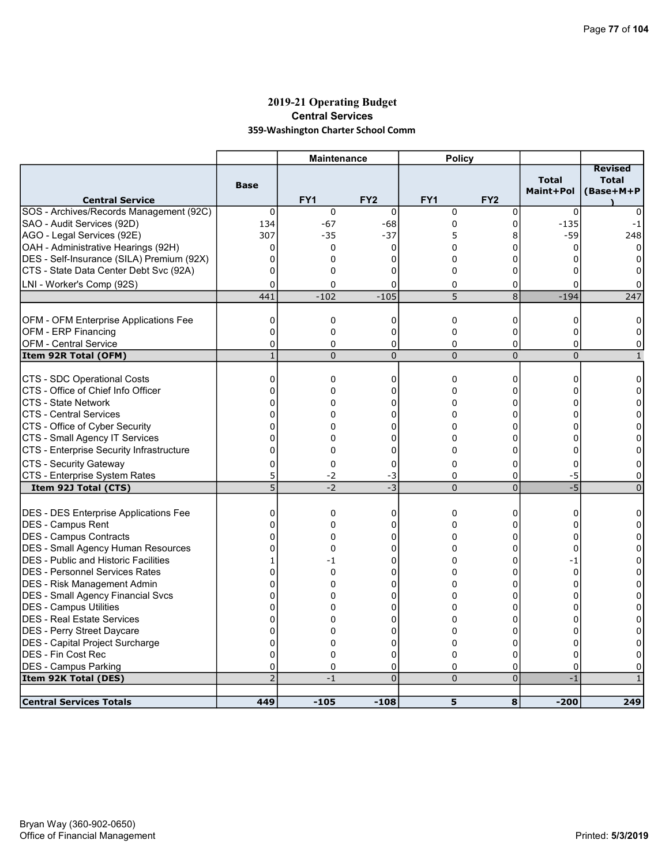### 2019-21 Operating Budget Central Services 359-Washington Charter School Comm

|                                              |                | <b>Maintenance</b> |                 | <b>Policy</b>   |                 |                                  |                                             |
|----------------------------------------------|----------------|--------------------|-----------------|-----------------|-----------------|----------------------------------|---------------------------------------------|
| <b>Central Service</b>                       | <b>Base</b>    | FY <sub>1</sub>    | FY <sub>2</sub> | FY <sub>1</sub> | FY <sub>2</sub> | <b>Total</b><br><b>Maint+Pol</b> | <b>Revised</b><br><b>Total</b><br>(Base+M+P |
| SOS - Archives/Records Management (92C)      | 0              | 0                  | $\mathbf 0$     | $\mathbf 0$     | 0               | 0                                |                                             |
| SAO - Audit Services (92D)                   | 134            | $-67$              | -68             | 0               | 0               | $-135$                           | $-1$                                        |
| AGO - Legal Services (92E)                   | 307            | $-35$              | $-37$           | 5               | 8               | $-59$                            | 248                                         |
| OAH - Administrative Hearings (92H)          | 0              | 0                  | 0               | 0               | 0               | 0                                | 0                                           |
| DES - Self-Insurance (SILA) Premium (92X)    | $\mathbf 0$    | 0                  | 0               | $\Omega$        | 0               | 0                                | 0                                           |
| CTS - State Data Center Debt Svc (92A)       | 0              | 0                  | 0               | $\Omega$        | 0               | 0                                |                                             |
| LNI - Worker's Comp (92S)                    | 0              | 0                  | 0               | 0               | 0               | 0                                | 0                                           |
|                                              | 441            | $-102$             | $-105$          | 5               | 8               | $-194$                           | 247                                         |
|                                              |                |                    |                 |                 |                 |                                  |                                             |
| OFM - OFM Enterprise Applications Fee        | 0              | 0                  | 0               | 0               | 0               | 0                                | 0                                           |
| OFM - ERP Financing                          | $\Omega$       | 0                  | $\mathbf 0$     | $\Omega$        | 0               | 0                                |                                             |
| <b>OFM - Central Service</b>                 | 0              | 0                  | 0               | 0               | 0               | 0                                | 0                                           |
| Item 92R Total (OFM)                         | $\mathbf{1}$   | 0                  | $\overline{0}$  | 0               | $\overline{0}$  | $\mathbf{0}$                     | $\mathbf{1}$                                |
| CTS - SDC Operational Costs                  | $\mathbf 0$    | 0                  | 0               | $\mathbf 0$     | 0               | $\Omega$                         | 0                                           |
| CTS - Office of Chief Info Officer           | $\Omega$       | 0                  | 0               | 0               | 0               | U                                | $\Omega$                                    |
| <b>CTS - State Network</b>                   | $\mathbf 0$    | 0                  | 0               | 0               | 0               | 0                                | 0                                           |
| <b>CTS - Central Services</b>                | 0              | 0                  | $\mathbf 0$     | 0               | $\Omega$        | o                                | 0                                           |
| CTS - Office of Cyber Security               | 0              | 0                  | 0               | 0               | 0               | 0                                | 0                                           |
| CTS - Small Agency IT Services               | $\Omega$       | 0                  | 0               | 0               | 0               | U                                | $\Omega$                                    |
| CTS - Enterprise Security Infrastructure     | 0              | 0                  | 0               | $\Omega$        | 0               | $\Omega$                         | $\Omega$                                    |
| <b>CTS - Security Gateway</b>                | 0              | 0                  | 0               | 0               | 0               | 0                                | 0                                           |
| CTS - Enterprise System Rates                | 5              | -2                 | -3              | 0               | 0               | -5                               | 0                                           |
| Item 92J Total (CTS)                         | $\overline{5}$ | $-2$               | $-3$            | $\Omega$        | $\overline{0}$  | $-5$                             | $\Omega$                                    |
|                                              |                |                    |                 |                 |                 |                                  |                                             |
| <b>DES - DES Enterprise Applications Fee</b> | 0              | 0                  | $\mathbf 0$     | 0               | 0               | 0                                | 0                                           |
| <b>IDES - Campus Rent</b>                    | $\mathbf 0$    | 0                  | 0               | 0               | 0               | $\Omega$                         | $\Omega$                                    |
| DES - Campus Contracts                       | 0              | 0                  | 0               | 0               | 0               | $\Omega$                         | 0                                           |
| DES - Small Agency Human Resources           | 0              | 0                  | 0               | $\Omega$        | $\Omega$        | 0                                | 0                                           |
| <b>DES</b> - Public and Historic Facilities  | 1              | -1                 | 0               | 0               | 0               | $-1$                             | 0                                           |
| IDES - Personnel Services Rates              | $\Omega$       | 0                  | 0               | 0               | 0               | $\Omega$                         | $\Omega$                                    |
| DES - Risk Management Admin                  | $\overline{0}$ | 0                  | 0               | 0               | 0               | 0                                | $\Omega$                                    |
| DES - Small Agency Financial Svcs            | $\mathbf 0$    | 0                  | 0               | 0               | 0               | O                                | 0                                           |
| DES - Campus Utilities                       | 0              | 0                  | $\mathbf 0$     | 0               | $\Omega$        | U                                | $\Omega$                                    |
| DES - Real Estate Services                   | 0              | 0                  | 0               | 0               | 0               | O                                | 0                                           |
| DES - Perry Street Daycare                   | 0              | 0                  | 0               | 0               | 0               | O                                | 0                                           |
| DES - Capital Project Surcharge              | $\mathbf 0$    | 0                  | 0               | 0               | 0               | 0                                | 0                                           |
| <b>DES - Fin Cost Rec</b>                    | $\mathbf 0$    | 0                  | 0               | 0               | 0               | $\Omega$                         | 0                                           |
| <b>DES - Campus Parking</b>                  | 0              | 0                  | 0               | 0               | 0               | $\Omega$                         | 0                                           |
| Item 92K Total (DES)                         | $\overline{2}$ | $-1$               | $\Omega$        | $\overline{0}$  | $\overline{0}$  | $-1$                             |                                             |
| <b>Central Services Totals</b>               | 449            | $-105$             | $-108$          | 5               | 8               | $-200$                           | 249                                         |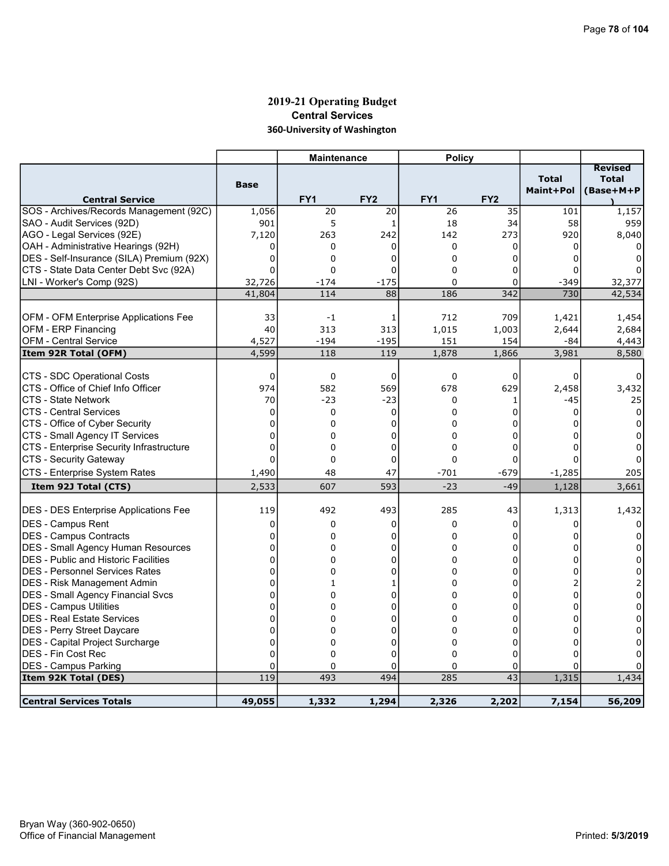# 2019-21 Operating Budget Central Services 360-University of Washington

|                                              |                 | <b>Maintenance</b> |                 | <b>Policy</b>   |                 |                           |                                             |
|----------------------------------------------|-----------------|--------------------|-----------------|-----------------|-----------------|---------------------------|---------------------------------------------|
| <b>Central Service</b>                       | <b>Base</b>     | FY <sub>1</sub>    | FY <sub>2</sub> | FY <sub>1</sub> | FY <sub>2</sub> | <b>Total</b><br>Maint+Pol | <b>Revised</b><br><b>Total</b><br>(Base+M+P |
| SOS - Archives/Records Management (92C)      | 1,056           | 20                 | 20              | 26              | 35              | 101                       | 1,157                                       |
| SAO - Audit Services (92D)                   | 901             | 5                  | 1               | 18              | 34              | 58                        | 959                                         |
| AGO - Legal Services (92E)                   | 7,120           | 263                | 242             | 142             | 273             | 920                       | 8,040                                       |
| OAH - Administrative Hearings (92H)          | 0               | 0                  | 0               | 0               | 0               | 0                         |                                             |
| DES - Self-Insurance (SILA) Premium (92X)    | 0               | 0                  | $\Omega$        | $\Omega$        | 0               | U                         |                                             |
| CTS - State Data Center Debt Svc (92A)       | 0               | $\mathbf 0$        | $\mathbf 0$     | $\Omega$        | 0               |                           |                                             |
| LNI - Worker's Comp (92S)                    | 32,726          | $-174$             | $-175$          | 0               | 0               | $-349$                    | 32,377                                      |
|                                              | 41,804          | 114                | 88              | 186             | 342             | 730                       | 42,534                                      |
|                                              |                 |                    |                 |                 |                 |                           |                                             |
| OFM - OFM Enterprise Applications Fee        | 33              | -1                 | 1               | 712             | 709             | 1,421                     | 1,454                                       |
| OFM - ERP Financing                          | 40              | 313                | 313             | 1,015           | 1,003           | 2,644                     | 2,684                                       |
| <b>OFM - Central Service</b>                 | 4,527           | $-194$             | $-195$          | 151             | 154             | -84                       | 4,443                                       |
| Item 92R Total (OFM)                         | 4,599           | 118                | 119             | 1,878           | 1,866           | 3,981                     | 8,580                                       |
| CTS - SDC Operational Costs                  |                 |                    |                 |                 |                 |                           |                                             |
| CTS - Office of Chief Info Officer           | $\Omega$<br>974 | 0<br>582           | 0<br>569        | $\Omega$<br>678 | 0<br>629        | 0                         | 3,432                                       |
| <b>CTS - State Network</b>                   | 70              | $-23$              | $-23$           | 0               | 1               | 2,458<br>$-45$            |                                             |
| <b>CTS - Central Services</b>                | 0               | 0                  | 0               | 0               | 0               | 0                         | 25<br>0                                     |
| CTS - Office of Cyber Security               | $\mathbf 0$     | $\Omega$           | 0               | $\Omega$        | 0               |                           | $\Omega$                                    |
| CTS - Small Agency IT Services               | $\mathbf 0$     | 0                  | 0               | $\Omega$        | 0               |                           | $\Omega$                                    |
| CTS - Enterprise Security Infrastructure     | $\mathbf 0$     | 0                  | 0               | 0               | 0               |                           | 0                                           |
| CTS - Security Gateway                       | $\Omega$        | $\mathbf 0$        | $\mathbf 0$     | $\Omega$        | $\Omega$        |                           |                                             |
| CTS - Enterprise System Rates                |                 | 48                 | 47              | $-701$          | -679            |                           |                                             |
|                                              | 1,490<br>2,533  | 607                | 593             | $-23$           | $-49$           | $-1,285$                  | 205                                         |
| Item 92J Total (CTS)                         |                 |                    |                 |                 |                 | 1,128                     | 3,661                                       |
| <b>DES - DES Enterprise Applications Fee</b> | 119             | 492                | 493             | 285             | 43              | 1,313                     | 1,432                                       |
| DES - Campus Rent                            | 0               | 0                  | 0               | $\mathbf 0$     | 0               | 0                         |                                             |
| <b>DES - Campus Contracts</b>                | 0               | 0                  | 0               | 0               | 0               |                           |                                             |
| DES - Small Agency Human Resources           | 0               | 0                  | $\mathbf 0$     | $\Omega$        | 0               |                           |                                             |
| <b>DES</b> - Public and Historic Facilities  | $\mathbf 0$     | 0                  | 0               | $\Omega$        | 0               |                           | 0                                           |
| IDES - Personnel Services Rates              | 0               | 0                  | 0               | $\Omega$        | 0               | O                         | 0                                           |
| <b>IDES - Risk Management Admin</b>          | 0               | $\mathbf{1}$       | 1               | $\Omega$        | 0               |                           | 2                                           |
| DES - Small Agency Financial Svcs            | $\overline{0}$  | 0                  | $\Omega$        | 0               | 0               | U                         | 0                                           |
| <b>IDES - Campus Utilities</b>               | 0               | 0                  | 0               | $\Omega$        | 0               | 0                         | $\Omega$                                    |
| <b>DES - Real Estate Services</b>            | 0               | 0                  | 0               | $\Omega$        | 0               | o                         | 0                                           |
| <b>DES</b> - Perry Street Daycare            | 0               | 0                  | 0               | 0               | 0               | n                         | 0                                           |
| DES - Capital Project Surcharge              | $\mathbf 0$     | 0                  | 0               | 0               | 0               | 0                         | 0                                           |
| <b>DES - Fin Cost Rec</b>                    | $\overline{0}$  | $\Omega$           | $\overline{0}$  | $\Omega$        | 0               | U                         |                                             |
| <b>DES - Campus Parking</b>                  | 0               | 0                  | 0               | 0               | 0               | 0                         |                                             |
| Item 92K Total (DES)                         | 119             | 493                | 494             | 285             | $\overline{43}$ | 1,315                     | 1,434                                       |
|                                              |                 |                    |                 |                 |                 |                           |                                             |
| <b>Central Services Totals</b>               | 49,055          | 1,332              | 1,294           | 2,326           | 2,202           | 7,154                     | 56,209                                      |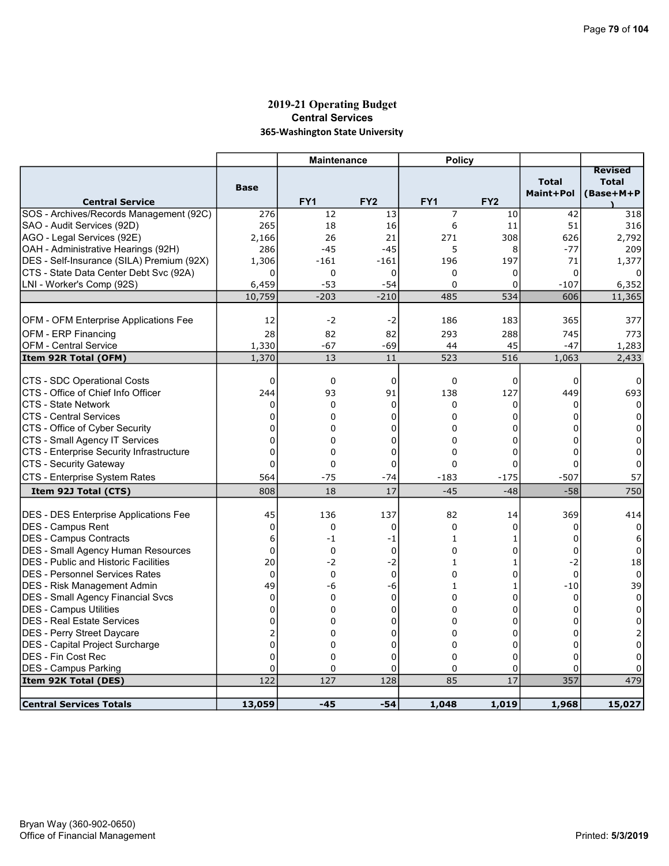### 2019-21 Operating Budget Central Services 365-Washington State University

|                                                                    |                    | <b>Maintenance</b> |                   | <b>Policy</b>      |                 |                           |                           |
|--------------------------------------------------------------------|--------------------|--------------------|-------------------|--------------------|-----------------|---------------------------|---------------------------|
|                                                                    |                    |                    |                   |                    |                 |                           | <b>Revised</b>            |
|                                                                    | <b>Base</b>        |                    |                   |                    |                 | <b>Total</b><br>Maint+Pol | <b>Total</b><br>(Base+M+P |
| <b>Central Service</b>                                             |                    | FY1                | FY <sub>2</sub>   | FY <sub>1</sub>    | FY <sub>2</sub> |                           |                           |
| SOS - Archives/Records Management (92C)                            | 276                | 12                 | 13                | 7                  | 10              | 42                        | 318                       |
| SAO - Audit Services (92D)                                         | 265                | 18                 | 16                | 6                  | 11              | 51                        | 316                       |
| AGO - Legal Services (92E)                                         | 2,166              | 26                 | 21                | 271                | 308             | 626                       | 2,792                     |
| OAH - Administrative Hearings (92H)                                | 286                | $-45$              | $-45$             | 5                  | 8               | $-77$                     | 209                       |
| DES - Self-Insurance (SILA) Premium (92X)                          | 1,306              | $-161$             | $-161$            | 196                | 197             | 71                        | 1,377                     |
| CTS - State Data Center Debt Svc (92A)                             | 0                  | $\mathbf 0$        | 0                 | 0                  | 0               | $\Omega$                  |                           |
| LNI - Worker's Comp (92S)                                          | 6,459              | $-53$              | $-54$             | $\Omega$           | 0               | $-107$                    | 6,352                     |
|                                                                    | 10,759             | $-203$             | $-210$            | 485                | 534             | 606                       | 11,365                    |
|                                                                    |                    |                    |                   |                    |                 |                           |                           |
| OFM - OFM Enterprise Applications Fee                              | 12                 | $-2$               | $-2$              | 186                | 183             | 365                       | 377                       |
| OFM - ERP Financing                                                | 28                 | 82                 | 82                | 293                | 288             | 745                       | 773                       |
| <b>OFM - Central Service</b>                                       | 1,330              | -67                | -69               | 44                 | 45              | $-47$                     | 1,283                     |
| Item 92R Total (OFM)                                               | 1,370              | 13                 | 11                | $\overline{523}$   | 516             | 1,063                     | 2,433                     |
|                                                                    |                    |                    |                   |                    |                 |                           |                           |
| CTS - SDC Operational Costs<br>ICTS - Office of Chief Info Officer | $\mathbf 0$<br>244 | 0<br>93            | $\mathbf 0$<br>91 | $\mathbf 0$<br>138 | 0<br>127        | $\mathbf 0$<br>449        | 0<br>693                  |
| CTS - State Network                                                | $\mathbf 0$        | $\mathbf 0$        | 0                 | 0                  | 0               | 0                         | 0                         |
| ICTS - Central Services                                            | 0                  | 0                  | $\mathbf 0$       | $\Omega$           | 0               | 0                         | 0                         |
| CTS - Office of Cyber Security                                     | 0                  | 0                  | 0                 | 0                  | 0               | 0                         | 0                         |
| CTS - Small Agency IT Services                                     | 0                  | 0                  | 0                 | 0                  | 0               | 0                         | 0                         |
| CTS - Enterprise Security Infrastructure                           | 0                  | $\mathbf 0$        | 0                 | 0                  | 0               | $\Omega$                  | $\Omega$                  |
| CTS - Security Gateway                                             | 0                  | $\mathbf 0$        | 0                 | 0                  | 0               | $\Omega$                  | $\Omega$                  |
| CTS - Enterprise System Rates                                      | 564                | $-75$              | $-74$             | -183               | $-175$          | $-507$                    | 57                        |
|                                                                    | 808                | 18                 | 17                | $-45$              | $-48$           | $-58$                     | 750                       |
| Item 92J Total (CTS)                                               |                    |                    |                   |                    |                 |                           |                           |
| <b>DES - DES Enterprise Applications Fee</b>                       | 45                 | 136                | 137               | 82                 | 14              | 369                       | 414                       |
| DES - Campus Rent                                                  | 0                  | 0                  | 0                 | $\mathbf 0$        | 0               | 0                         | 0                         |
| <b>DES - Campus Contracts</b>                                      | 6                  | $-1$               | $-1$              | $\mathbf{1}$       | 1               | 0                         | 6                         |
| <b>DES - Small Agency Human Resources</b>                          | $\overline{0}$     | $\mathbf 0$        | $\mathbf 0$       | $\Omega$           | 0               | $\Omega$                  | 0                         |
| <b>DES - Public and Historic Facilities</b>                        | 20                 | $-2$               | $-2$              | 1                  | 1               | $-2$                      | 18                        |
| <b>DES - Personnel Services Rates</b>                              | $\mathbf 0$        | $\mathbf 0$        | $\mathbf 0$       | 0                  | 0               | $\Omega$                  | 0                         |
| <b>DES - Risk Management Admin</b>                                 | 49                 | -6                 | -6                | 1                  | 1               | $-10$                     | 39                        |
| DES - Small Agency Financial Svcs                                  | $\mathbf 0$        | $\mathbf 0$        | $\mathbf 0$       | $\Omega$           | 0               | $\mathbf 0$               | $\mathbf 0$               |
| DES - Campus Utilities                                             | 0                  | 0                  | $\mathbf 0$       | $\Omega$           | 0               | $\Omega$                  | $\Omega$                  |
| <b>DES - Real Estate Services</b>                                  | 0                  | 0                  | 0                 | 0                  | 0               | 0                         | 0                         |
| DES - Perry Street Daycare                                         | $\overline{2}$     | $\Omega$           | $\overline{0}$    | $\Omega$           | 0               | 0                         |                           |
| <b>DES</b> - Capital Project Surcharge                             | $\overline{0}$     | 0                  | 0                 | 0                  | 0               | 0                         | 0                         |
| DES - Fin Cost Rec                                                 | $\overline{0}$     | $\Omega$           | 0                 | $\Omega$           | 0               | $\Omega$                  | 0                         |
| DES - Campus Parking                                               | $\overline{0}$     | $\mathbf 0$        | $\mathbf 0$       | $\Omega$           | 0               | $\Omega$                  |                           |
| Item 92K Total (DES)                                               | 122                | 127                | 128               | 85                 | 17              | 357                       | 479                       |
|                                                                    |                    |                    |                   |                    |                 |                           |                           |
| <b>Central Services Totals</b>                                     | 13,059             | $-45$              | $-54$             | 1,048              | 1,019           | 1,968                     | 15,027                    |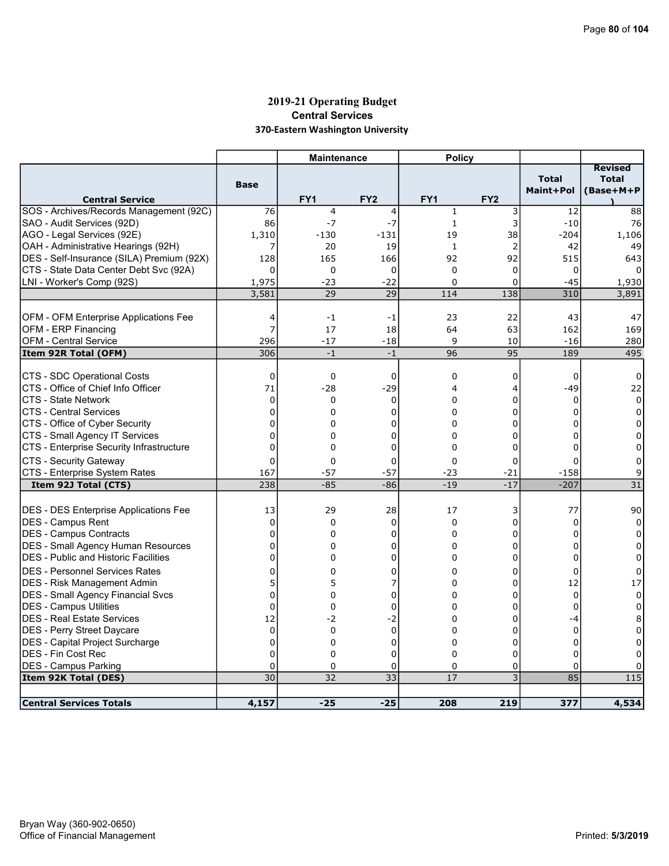## 2019-21 Operating Budget Central Services 370-Eastern Washington University

|                                                             |                            | <b>Maintenance</b> |                  | <b>Policy</b>   |                           |                           |                                             |
|-------------------------------------------------------------|----------------------------|--------------------|------------------|-----------------|---------------------------|---------------------------|---------------------------------------------|
| <b>Central Service</b>                                      | <b>Base</b>                | FY <sub>1</sub>    | FY <sub>2</sub>  | FY <sub>1</sub> | FY <sub>2</sub>           | <b>Total</b><br>Maint+Pol | <b>Revised</b><br><b>Total</b><br>(Base+M+P |
| SOS - Archives/Records Management (92C)                     | 76                         | 4                  | 4                | $\mathbf{1}$    | 3                         | 12                        | 88                                          |
| SAO - Audit Services (92D)                                  | 86                         | $-7$               | $-7$             | $\mathbf{1}$    | 3                         | $-10$                     | 76                                          |
| AGO - Legal Services (92E)                                  | 1,310                      | -130               | $-131$           | 19              | 38                        | $-204$                    | 1,106                                       |
| OAH - Administrative Hearings (92H)                         | 7                          | 20                 | 19               | $\mathbf{1}$    | $\overline{2}$            | 42                        | 49                                          |
| DES - Self-Insurance (SILA) Premium (92X)                   | 128                        | 165                | 166              | 92              | 92                        | 515                       | 643                                         |
| CTS - State Data Center Debt Svc (92A)                      | $\Omega$                   | 0                  | $\mathbf 0$      | $\mathbf 0$     | 0                         | 0                         |                                             |
| LNI - Worker's Comp (92S)                                   | 1,975                      | $-23$              | $-22$            | $\mathbf 0$     | 0                         | $-45$                     | 1,930                                       |
|                                                             | 3,581                      | 29                 | 29               | 114             | 138                       | 310                       | 3,891                                       |
|                                                             |                            |                    |                  |                 |                           |                           |                                             |
| OFM - OFM Enterprise Applications Fee                       | 4<br>7                     | $-1$               | -1               | 23              | 22                        | 43                        | 47                                          |
| OFM - ERP Financing                                         |                            | 17                 | 18               | 64<br>9         | 63                        | 162<br>$-16$              | 169                                         |
| <b>OFM - Central Service</b><br>Item 92R Total (OFM)        | 296<br>306                 | $-17$<br>$-1$      | $-18$<br>$-1$    | 96              | 10<br>95                  | 189                       | 280<br>495                                  |
|                                                             |                            |                    |                  |                 |                           |                           |                                             |
| CTS - SDC Operational Costs                                 | 0                          | 0                  | 0                | 0               | 0                         | 0                         | 0                                           |
| CTS - Office of Chief Info Officer                          | 71                         | $-28$              | $-29$            | 4               | 4                         | $-49$                     | 22                                          |
| CTS - State Network                                         | $\mathbf 0$                | 0                  | $\Omega$         | $\Omega$        | 0                         | $\Omega$                  | 0                                           |
| <b>CTS - Central Services</b>                               | $\mathbf 0$                | 0                  | 0                | 0               | 0                         | $\Omega$                  | 0                                           |
| CTS - Office of Cyber Security                              | 0                          | 0                  | 0                | $\Omega$        | 0                         | 0                         | 0                                           |
| CTS - Small Agency IT Services                              | 0                          | $\Omega$           | 0                | $\Omega$        | 0                         | $\Omega$                  | $\Omega$                                    |
| CTS - Enterprise Security Infrastructure                    | $\overline{0}$             | 0                  | 0                | 0               | 0                         | $\Omega$                  | 0                                           |
| CTS - Security Gateway                                      | $\mathbf 0$                | 0                  | 0                | $\mathbf 0$     | 0                         | $\Omega$                  | 0                                           |
| CTS - Enterprise System Rates                               | 167                        | $-57$              | $-57$            | $-23$           | $-21$                     | $-158$                    | 9                                           |
| Item 92J Total (CTS)                                        | 238                        | $-85$              | $-86$            | $-19$           | $-17$                     | $-207$                    | $\overline{31}$                             |
|                                                             |                            |                    |                  |                 |                           |                           |                                             |
| <b>DES - DES Enterprise Applications Fee</b>                | 13                         | 29                 | 28               | 17              | 3                         | 77                        | 90                                          |
| <b>IDES - Campus Rent</b><br><b>IDES - Campus Contracts</b> | 0<br>$\Omega$              | 0<br>0             | $\mathbf 0$<br>0 | 0<br>$\Omega$   | 0<br>0                    | 0<br>0                    | 0<br>0                                      |
| DES - Small Agency Human Resources                          | $\mathbf 0$                | 0                  | 0                | 0               | 0                         | 0                         | 0                                           |
| <b>IDES - Public and Historic Facilities</b>                | $\overline{0}$             | 0                  | 0                | $\Omega$        | $\Omega$                  | 0                         | 0                                           |
|                                                             |                            |                    |                  |                 |                           |                           |                                             |
| <b>DES - Personnel Services Rates</b>                       | 0<br>5                     | 0                  | $\Omega$<br>7    | $\Omega$        | 0                         | $\Omega$                  | $\Omega$                                    |
| <b>DES</b> - Risk Management Admin                          | $\Omega$                   | 5                  | $\Omega$         | 0               | 0<br>$\Omega$             | 12                        | 17<br>$\Omega$                              |
| <b>DES - Small Agency Financial Svcs</b>                    |                            | 0                  |                  | 0               |                           | $\Omega$                  |                                             |
| DES - Campus Utilities                                      | 0                          | 0                  | 0                | 0               | 0                         | 0                         | 0                                           |
| <b>IDES - Real Estate Services</b>                          | 12                         | $-2$               | $-2$             | $\Omega$        | 0                         | -4                        | 8                                           |
| <b>IDES - Perry Street Daycare</b>                          | $\mathbf 0$<br>$\mathbf 0$ | 0<br>0             | 0<br>0           | 0<br>$\Omega$   | 0<br>0                    | 0<br>$\Omega$             | 0                                           |
| DES - Capital Project Surcharge                             | $\Omega$                   |                    | 0                | $\Omega$        | 0                         | $\Omega$                  | 0                                           |
| <b>DES - Fin Cost Rec</b><br><b>DES - Campus Parking</b>    | $\mathbf 0$                | 0<br>0             | 0                | 0               | 0                         | 0                         | 0                                           |
| Item 92K Total (DES)                                        | 30                         | 32                 | 33               | 17              | $\overline{\overline{3}}$ | 85                        | 115                                         |
|                                                             |                            |                    |                  |                 |                           |                           |                                             |
| <b>Central Services Totals</b>                              | 4,157                      | $-25$              | $-25$            | 208             | 219                       | 377                       | 4,534                                       |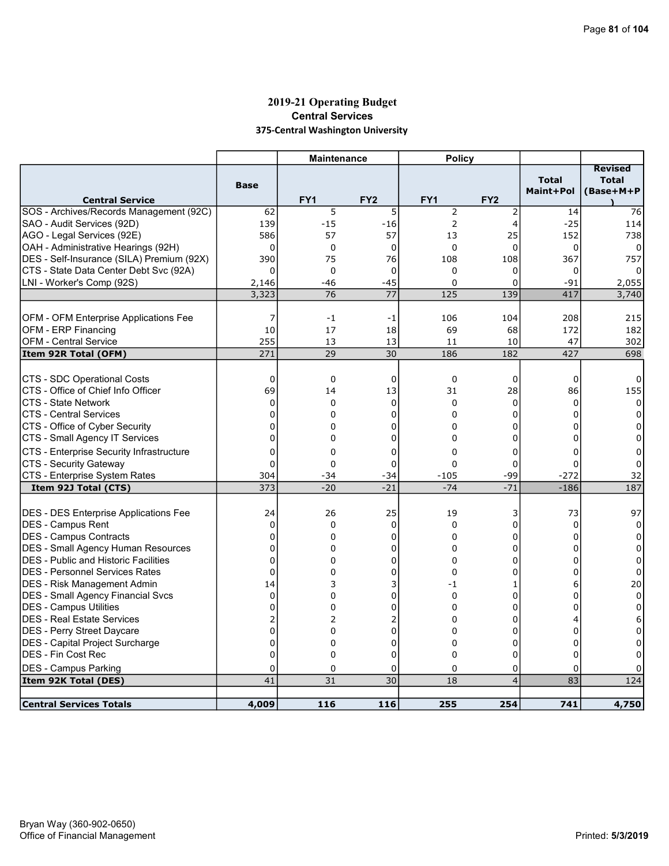## 2019-21 Operating Budget Central Services 375-Central Washington University

| <b>Revised</b><br><b>Total</b><br><b>Total</b><br><b>Base</b><br>Maint+Pol<br>(Base+M+P<br>FY <sub>1</sub><br>FY <sub>2</sub><br>FY <sub>1</sub><br>FY <sub>2</sub><br><b>Central Service</b><br>$\overline{5}$<br>SOS - Archives/Records Management (92C)<br>5<br>2<br>76<br>62<br>2<br>14<br>$-15$<br>$\overline{2}$<br>SAO - Audit Services (92D)<br>139<br>$-16$<br>$\overline{4}$<br>$-25$<br>114<br> AGO - Legal Services (92E)<br>586<br>57<br>57<br>13<br>25<br>152<br>738<br>OAH - Administrative Hearings (92H)<br>$\Omega$<br>$\mathbf{0}$<br>$\Omega$<br>$\mathbf 0$<br>$\Omega$<br>$\Omega$<br>0<br>390<br>75<br>76<br>367<br> DES - Self-Insurance (SILA) Premium (92X)<br>108<br>108<br>757<br>CTS - State Data Center Debt Svc (92A)<br>$\Omega$<br>$\Omega$<br>0<br>$\Omega$<br>0<br>0<br>LNI - Worker's Comp (92S)<br>$-45$<br>$-91$<br>$-46$<br>$\Omega$<br>0<br>2,055<br>2,146<br>77<br>125<br>3,323<br>76<br>139<br>417<br>3,740<br>OFM - OFM Enterprise Applications Fee<br>106<br>104<br>208<br>7<br>215<br>-1<br>-1 |
|---------------------------------------------------------------------------------------------------------------------------------------------------------------------------------------------------------------------------------------------------------------------------------------------------------------------------------------------------------------------------------------------------------------------------------------------------------------------------------------------------------------------------------------------------------------------------------------------------------------------------------------------------------------------------------------------------------------------------------------------------------------------------------------------------------------------------------------------------------------------------------------------------------------------------------------------------------------------------------------------------------------------------------------------|
|                                                                                                                                                                                                                                                                                                                                                                                                                                                                                                                                                                                                                                                                                                                                                                                                                                                                                                                                                                                                                                             |
|                                                                                                                                                                                                                                                                                                                                                                                                                                                                                                                                                                                                                                                                                                                                                                                                                                                                                                                                                                                                                                             |
|                                                                                                                                                                                                                                                                                                                                                                                                                                                                                                                                                                                                                                                                                                                                                                                                                                                                                                                                                                                                                                             |
|                                                                                                                                                                                                                                                                                                                                                                                                                                                                                                                                                                                                                                                                                                                                                                                                                                                                                                                                                                                                                                             |
|                                                                                                                                                                                                                                                                                                                                                                                                                                                                                                                                                                                                                                                                                                                                                                                                                                                                                                                                                                                                                                             |
|                                                                                                                                                                                                                                                                                                                                                                                                                                                                                                                                                                                                                                                                                                                                                                                                                                                                                                                                                                                                                                             |
|                                                                                                                                                                                                                                                                                                                                                                                                                                                                                                                                                                                                                                                                                                                                                                                                                                                                                                                                                                                                                                             |
|                                                                                                                                                                                                                                                                                                                                                                                                                                                                                                                                                                                                                                                                                                                                                                                                                                                                                                                                                                                                                                             |
|                                                                                                                                                                                                                                                                                                                                                                                                                                                                                                                                                                                                                                                                                                                                                                                                                                                                                                                                                                                                                                             |
|                                                                                                                                                                                                                                                                                                                                                                                                                                                                                                                                                                                                                                                                                                                                                                                                                                                                                                                                                                                                                                             |
|                                                                                                                                                                                                                                                                                                                                                                                                                                                                                                                                                                                                                                                                                                                                                                                                                                                                                                                                                                                                                                             |
| <b>OFM - ERP Financing</b><br>10<br>17<br>69<br>68<br>172<br>182<br>18                                                                                                                                                                                                                                                                                                                                                                                                                                                                                                                                                                                                                                                                                                                                                                                                                                                                                                                                                                      |
| 255<br><b>OFM - Central Service</b><br>13<br>10<br>47<br>302<br>13<br>11                                                                                                                                                                                                                                                                                                                                                                                                                                                                                                                                                                                                                                                                                                                                                                                                                                                                                                                                                                    |
| 271<br>29<br>30<br>186<br>182<br>427<br>698<br>Item 92R Total (OFM)                                                                                                                                                                                                                                                                                                                                                                                                                                                                                                                                                                                                                                                                                                                                                                                                                                                                                                                                                                         |
|                                                                                                                                                                                                                                                                                                                                                                                                                                                                                                                                                                                                                                                                                                                                                                                                                                                                                                                                                                                                                                             |
| CTS - SDC Operational Costs<br>$\mathbf 0$<br>0<br>0<br>$\mathbf 0$<br>0<br>0<br>0                                                                                                                                                                                                                                                                                                                                                                                                                                                                                                                                                                                                                                                                                                                                                                                                                                                                                                                                                          |
| CTS - Office of Chief Info Officer<br>69<br>155<br>13<br>31<br>28<br>86<br>14                                                                                                                                                                                                                                                                                                                                                                                                                                                                                                                                                                                                                                                                                                                                                                                                                                                                                                                                                               |
| 0<br>$\mathbf 0$<br>CTS - State Network<br>0<br>0<br>0<br>$\Omega$<br>$\Omega$                                                                                                                                                                                                                                                                                                                                                                                                                                                                                                                                                                                                                                                                                                                                                                                                                                                                                                                                                              |
| $\mathbf 0$<br><b>CTS - Central Services</b><br>0<br>$\mathbf 0$<br>$\Omega$<br>0<br>$\Omega$<br>$\Omega$                                                                                                                                                                                                                                                                                                                                                                                                                                                                                                                                                                                                                                                                                                                                                                                                                                                                                                                                   |
| CTS - Office of Cyber Security<br>$\mathbf 0$<br>0<br>0<br>0<br>0<br>0<br>0                                                                                                                                                                                                                                                                                                                                                                                                                                                                                                                                                                                                                                                                                                                                                                                                                                                                                                                                                                 |
| $\overline{0}$<br>CTS - Small Agency IT Services<br>$\mathbf 0$<br>$\Omega$<br>$\Omega$<br>0<br>0<br>0                                                                                                                                                                                                                                                                                                                                                                                                                                                                                                                                                                                                                                                                                                                                                                                                                                                                                                                                      |
| CTS - Enterprise Security Infrastructure<br>$\mathbf 0$<br>$\Omega$<br>0<br>0<br>0<br>$\Omega$<br>0                                                                                                                                                                                                                                                                                                                                                                                                                                                                                                                                                                                                                                                                                                                                                                                                                                                                                                                                         |
| CTS - Security Gateway<br>$\Omega$<br>0<br>0<br>$\Omega$<br>0<br>0<br>0                                                                                                                                                                                                                                                                                                                                                                                                                                                                                                                                                                                                                                                                                                                                                                                                                                                                                                                                                                     |
| CTS - Enterprise System Rates<br>-99<br>$-272$<br>32<br>304<br>$-34$<br>$-105$<br>-34                                                                                                                                                                                                                                                                                                                                                                                                                                                                                                                                                                                                                                                                                                                                                                                                                                                                                                                                                       |
| 373<br>$-21$<br>$-71$<br>187<br>$-20$<br>$-74$<br>$-186$<br>Item 92J Total (CTS)                                                                                                                                                                                                                                                                                                                                                                                                                                                                                                                                                                                                                                                                                                                                                                                                                                                                                                                                                            |
|                                                                                                                                                                                                                                                                                                                                                                                                                                                                                                                                                                                                                                                                                                                                                                                                                                                                                                                                                                                                                                             |
| 25<br><b>DES - DES Enterprise Applications Fee</b><br>19<br>73<br>97<br>24<br>26<br>3                                                                                                                                                                                                                                                                                                                                                                                                                                                                                                                                                                                                                                                                                                                                                                                                                                                                                                                                                       |
| <b>DES - Campus Rent</b><br>0<br>0<br>0<br>$\mathbf 0$<br>$\mathbf 0$<br>0<br>0                                                                                                                                                                                                                                                                                                                                                                                                                                                                                                                                                                                                                                                                                                                                                                                                                                                                                                                                                             |
| DES - Campus Contracts<br>$\mathbf 0$<br>0<br>0<br>0<br>0<br>$\Omega$<br>0                                                                                                                                                                                                                                                                                                                                                                                                                                                                                                                                                                                                                                                                                                                                                                                                                                                                                                                                                                  |
| DES - Small Agency Human Resources<br>$\mathbf 0$<br>0<br>0<br>0<br>$\Omega$<br>0<br>$\Omega$                                                                                                                                                                                                                                                                                                                                                                                                                                                                                                                                                                                                                                                                                                                                                                                                                                                                                                                                               |
| $\overline{0}$<br><b>DES</b> - Public and Historic Facilities<br>0<br>0<br>0<br>0<br>$\Omega$<br>0                                                                                                                                                                                                                                                                                                                                                                                                                                                                                                                                                                                                                                                                                                                                                                                                                                                                                                                                          |
| IDES - Personnel Services Rates<br>$\Omega$<br>0<br>$\Omega$<br>0<br>$\Omega$<br>$\mathbf 0$<br>0                                                                                                                                                                                                                                                                                                                                                                                                                                                                                                                                                                                                                                                                                                                                                                                                                                                                                                                                           |
| DES - Risk Management Admin<br>14<br>3<br>3<br>-1<br>20<br>1<br>6                                                                                                                                                                                                                                                                                                                                                                                                                                                                                                                                                                                                                                                                                                                                                                                                                                                                                                                                                                           |
| $\mathbf 0$<br>0<br>$\Omega$<br>$\Omega$<br> DES - Small Agency Financial Svcs<br>0<br>0<br>0                                                                                                                                                                                                                                                                                                                                                                                                                                                                                                                                                                                                                                                                                                                                                                                                                                                                                                                                               |
| <b>DES - Campus Utilities</b><br>0<br>0<br>0<br>0<br>0<br>0<br>0                                                                                                                                                                                                                                                                                                                                                                                                                                                                                                                                                                                                                                                                                                                                                                                                                                                                                                                                                                            |
| DES - Real Estate Services<br>2<br>$\overline{2}$<br>2<br>$\Omega$<br>0<br>6<br>4                                                                                                                                                                                                                                                                                                                                                                                                                                                                                                                                                                                                                                                                                                                                                                                                                                                                                                                                                           |
| $\mathbf 0$<br><b>IDES - Perry Street Daycare</b><br>0<br>0<br>0<br>0<br>0<br>0                                                                                                                                                                                                                                                                                                                                                                                                                                                                                                                                                                                                                                                                                                                                                                                                                                                                                                                                                             |
| DES - Capital Project Surcharge<br>$\mathbf 0$<br>0<br>0<br>0<br>0<br>$\Omega$<br>0                                                                                                                                                                                                                                                                                                                                                                                                                                                                                                                                                                                                                                                                                                                                                                                                                                                                                                                                                         |
| IDES - Fin Cost Rec<br>$\Omega$<br>0<br>0<br>$\Omega$<br>0<br>0                                                                                                                                                                                                                                                                                                                                                                                                                                                                                                                                                                                                                                                                                                                                                                                                                                                                                                                                                                             |
| <b>DES - Campus Parking</b><br>0<br>0<br>0<br>0<br>0<br>0                                                                                                                                                                                                                                                                                                                                                                                                                                                                                                                                                                                                                                                                                                                                                                                                                                                                                                                                                                                   |
| 41<br>30<br>$\overline{\mathbf{4}}$<br>83<br>31<br>18<br>124<br> Item 92K Total (DES)                                                                                                                                                                                                                                                                                                                                                                                                                                                                                                                                                                                                                                                                                                                                                                                                                                                                                                                                                       |
| <b>Central Services Totals</b><br>4,009<br>741<br>4,750<br>116<br>116<br>255<br>254                                                                                                                                                                                                                                                                                                                                                                                                                                                                                                                                                                                                                                                                                                                                                                                                                                                                                                                                                         |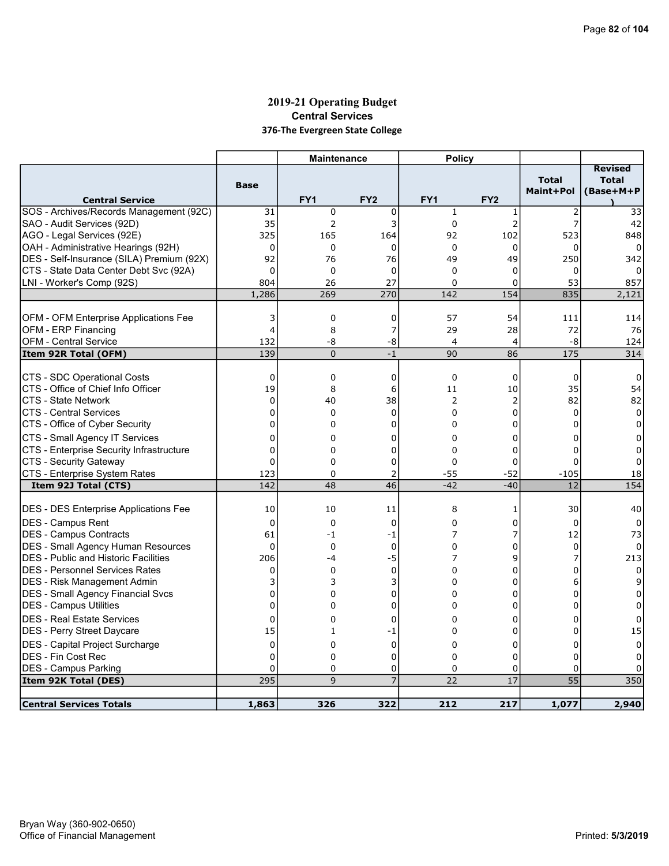## 2019-21 Operating Budget Central Services 376-The Evergreen State College

|                                                      |                | <b>Maintenance</b> |                 | <b>Policy</b>        |                 |                           |                                             |
|------------------------------------------------------|----------------|--------------------|-----------------|----------------------|-----------------|---------------------------|---------------------------------------------|
|                                                      | <b>Base</b>    |                    |                 |                      |                 | <b>Total</b><br>Maint+Pol | <b>Revised</b><br><b>Total</b><br>(Base+M+P |
| <b>Central Service</b>                               |                | FY <sub>1</sub>    | FY <sub>2</sub> | FY <sub>1</sub>      | FY <sub>2</sub> |                           |                                             |
| SOS - Archives/Records Management (92C)              | 31             | 0                  | 0               | $\mathbf{1}$         | 1               | $\overline{2}$            | 33                                          |
| SAO - Audit Services (92D)                           | 35             | 2                  | 3               | $\mathbf 0$          | 2               | $\overline{7}$            | 42                                          |
| AGO - Legal Services (92E)                           | 325            | 165                | 164             | 92                   | 102             | 523                       | 848                                         |
| OAH - Administrative Hearings (92H)                  | 0              | 0                  | $\mathbf 0$     | $\Omega$             | $\Omega$        | 0                         | $\Omega$                                    |
| DES - Self-Insurance (SILA) Premium (92X)            | 92             | 76                 | 76              | 49                   | 49              | 250                       | 342                                         |
| CTS - State Data Center Debt Svc (92A)               | $\mathbf{0}$   | $\mathbf 0$        | $\mathbf 0$     | $\Omega$             | 0               | 0                         | $\Omega$                                    |
| LNI - Worker's Comp (92S)                            | 804            | 26                 | 27              | 0                    | 0               | 53                        | 857                                         |
|                                                      | 1,286          | 269                | 270             | 142                  | 154             | 835                       | 2,121                                       |
|                                                      |                |                    |                 |                      |                 |                           |                                             |
| OFM - OFM Enterprise Applications Fee                | 3              | 0                  | $\mathbf 0$     | 57                   | 54              | 111                       | 114                                         |
| OFM - ERP Financing                                  | $\overline{4}$ | 8                  | 7               | 29                   | 28              | 72                        | 76                                          |
| <b>OFM - Central Service</b><br>Item 92R Total (OFM) | 132<br>139     | -8<br>$\Omega$     | -8<br>$-1$      | $\overline{a}$<br>90 | 4<br>86         | -8<br>175                 | 124<br>314                                  |
|                                                      |                |                    |                 |                      |                 |                           |                                             |
| CTS - SDC Operational Costs                          | $\mathbf 0$    | 0                  | 0               | $\mathbf 0$          | 0               | 0                         | 0                                           |
| CTS - Office of Chief Info Officer                   | 19             | 8                  | 6               | 11                   | 10              | 35                        | 54                                          |
| CTS - State Network                                  | $\Omega$       | 40                 | 38              | 2                    | 2               | 82                        | 82                                          |
| <b>CTS - Central Services</b>                        | $\mathbf{0}$   | 0                  | $\mathbf{0}$    | $\Omega$             | 0               | $\Omega$                  | 0                                           |
| CTS - Office of Cyber Security                       | $\mathbf 0$    | 0                  | 0               | $\Omega$             | 0               | 0                         | 0                                           |
| CTS - Small Agency IT Services                       | $\Omega$       | 0                  | 0               | $\Omega$             | 0               | $\Omega$                  | 0                                           |
| CTS - Enterprise Security Infrastructure             | $\overline{0}$ | 0                  | 0               | 0                    | 0               | 0                         | 0                                           |
| CTS - Security Gateway                               | $\Omega$       | 0                  | 0               | $\Omega$             | 0               | $\Omega$                  | 0                                           |
| CTS - Enterprise System Rates                        | 123            | 0                  | 2               | $-55$                | $-52$           | $-105$                    | 18                                          |
| Item 92J Total (CTS)                                 | 142            | 48                 | 46              | $-42$                | $-40$           | 12                        | 154                                         |
|                                                      |                |                    |                 |                      |                 |                           |                                             |
| <b>DES - DES Enterprise Applications Fee</b>         | 10             | 10                 | 11              | 8                    | 1               | 30                        | 40                                          |
| DES - Campus Rent                                    | $\mathbf 0$    | 0                  | $\mathbf 0$     | 0                    | 0               | $\Omega$                  | 0                                           |
| DES - Campus Contracts                               | 61             | -1                 | -1              | 7                    | 7               | 12                        | 73                                          |
| <b>DES - Small Agency Human Resources</b>            | $\Omega$       | 0                  | $\mathbf{0}$    | 0                    | 0               | $\Omega$                  | 0                                           |
| DES - Public and Historic Facilities                 | 206            | -4                 | $-5$            | 7                    | 9               |                           | 213                                         |
| <b>DES - Personnel Services Rates</b>                | 0              | 0                  | $\mathbf 0$     | 0                    | 0               | $\Omega$                  | 0                                           |
| <b>IDES - Risk Management Admin</b>                  | 3              | 3                  | 3               | 0                    | 0               | 6                         | 9                                           |
| <b>DES - Small Agency Financial Svcs</b>             | 0              | 0                  | 0               | $\Omega$             | 0               | $\Omega$                  | 0                                           |
| <b>DES - Campus Utilities</b>                        | $\mathbf 0$    | 0                  | 0               | 0                    | 0               | 0                         | 0                                           |
| IDES - Real Estate Services                          | $\mathbf 0$    | 0                  | 0               | $\Omega$             | 0               | 0                         | 0                                           |
| DES - Perry Street Daycare                           | 15             | 1                  | -1              | 0                    | 0               | $\Omega$                  | 15                                          |
| DES - Capital Project Surcharge                      | 0              | 0                  | 0               | 0                    | 0               | 0                         | 0                                           |
| <b>DES - Fin Cost Rec</b>                            | $\Omega$       | 0                  | $\Omega$        | $\Omega$             | 0               | $\Omega$                  | 0                                           |
| <b>DES - Campus Parking</b>                          | 0              | 0                  | 0               | 0                    | 0               | 0                         |                                             |
| Item 92K Total (DES)                                 | 295            | 9                  | $\overline{7}$  | 22                   | 17              | $\overline{55}$           | 350                                         |
|                                                      |                |                    |                 |                      |                 |                           |                                             |
| <b>Central Services Totals</b>                       | 1,863          | 326                | 322             | 212                  | 217             | 1,077                     | 2,940                                       |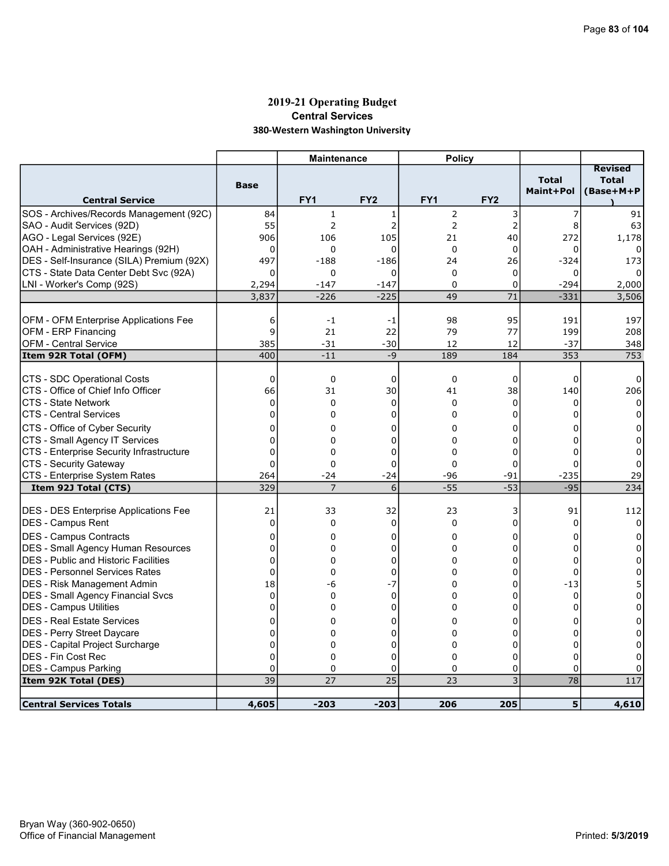## 2019-21 Operating Budget Central Services 380-Western Washington University

|                                              |                | <b>Maintenance</b> |                 | <b>Policy</b>   |                 |                           |                                             |
|----------------------------------------------|----------------|--------------------|-----------------|-----------------|-----------------|---------------------------|---------------------------------------------|
| <b>Central Service</b>                       | <b>Base</b>    | FY <sub>1</sub>    | FY <sub>2</sub> | FY <sub>1</sub> | FY <sub>2</sub> | <b>Total</b><br>Maint+Pol | <b>Revised</b><br><b>Total</b><br>(Base+M+P |
| SOS - Archives/Records Management (92C)      | 84             | $\mathbf{1}$       | 1               | $\overline{2}$  | 3               | 7                         | 91                                          |
| SAO - Audit Services (92D)                   | 55             | $\overline{2}$     | $\overline{2}$  | $\overline{2}$  | $\overline{c}$  | 8                         | 63                                          |
| AGO - Legal Services (92E)                   | 906            | 106                | 105             | 21              | 40              | 272                       | 1,178                                       |
| OAH - Administrative Hearings (92H)          | 0              | 0                  | 0               | $\mathbf 0$     | $\mathbf 0$     | 0                         |                                             |
| DES - Self-Insurance (SILA) Premium (92X)    | 497            | $-188$             | $-186$          | 24              | 26              | $-324$                    | 173                                         |
| CTS - State Data Center Debt Svc (92A)       | 0              | 0                  | 0               | $\mathbf 0$     | $\mathbf 0$     | 0                         |                                             |
| LNI - Worker's Comp (92S)                    | 2,294          | $-147$             | $-147$          | $\Omega$        | $\Omega$        | $-294$                    | 2,000                                       |
|                                              | 3,837          | $-226$             | $-225$          | 49              | 71              | $-331$                    | 3,506                                       |
|                                              |                |                    |                 |                 |                 |                           |                                             |
| OFM - OFM Enterprise Applications Fee        | 6              | $-1$               | -1              | 98              | 95              | 191                       | 197                                         |
| OFM - ERP Financing                          | 9              | 21                 | 22              | 79              | 77              | 199                       | 208                                         |
| <b>OFM - Central Service</b>                 | 385            | $-31$              | $-30$           | 12              | 12              | $-37$                     | 348                                         |
| Item 92R Total (OFM)                         | 400            | $-11$              | $-9$            | 189             | 184             | 353                       | 753                                         |
|                                              |                |                    |                 |                 |                 |                           |                                             |
| <b>CTS - SDC Operational Costs</b>           | 0              | $\mathbf 0$        | $\mathbf 0$     | $\mathbf 0$     | 0               | $\mathbf 0$               | 0                                           |
| CTS - Office of Chief Info Officer           | 66             | 31                 | 30              | 41              | 38              | 140                       | 206                                         |
| CTS - State Network                          | $\mathbf 0$    | $\Omega$           | $\mathbf 0$     | $\Omega$        | $\mathbf 0$     | $\Omega$                  | $\mathbf{0}$                                |
| <b>CTS - Central Services</b>                | 0              | $\Omega$           | 0               | 0               | 0               | $\Omega$                  | $\Omega$                                    |
| CTS - Office of Cyber Security               | 0              | 0                  | 0               | 0               | 0               | 0                         | 0                                           |
| CTS - Small Agency IT Services               | $\mathbf 0$    | $\Omega$           | 0               | $\mathbf 0$     | $\mathbf 0$     | $\Omega$                  | $\Omega$                                    |
| CTS - Enterprise Security Infrastructure     | 0              | 0                  | 0               | $\mathbf 0$     | 0               | $\Omega$                  | 0                                           |
| <b>CTS - Security Gateway</b>                | $\Omega$       | 0                  | $\overline{0}$  | $\Omega$        | $\mathbf 0$     | $\Omega$                  | 0                                           |
| CTS - Enterprise System Rates                | 264            | $-24$              | $-24$           | $-96$           | -91             | $-235$                    | 29                                          |
| Item 92J Total (CTS)                         | 329            |                    | 6               | $-55$           | $-53$           | $-95$                     | 234                                         |
|                                              |                |                    |                 |                 |                 |                           |                                             |
| <b>DES - DES Enterprise Applications Fee</b> | 21             | 33                 | 32              | 23              | 3               | 91                        | 112                                         |
| <b>DES - Campus Rent</b>                     | $\mathbf 0$    | 0                  | $\mathbf 0$     | $\Omega$        | 0               | $\Omega$                  | 0                                           |
| <b>DES - Campus Contracts</b>                | 0              | 0                  | 0               | 0               | 0               | 0                         | 0                                           |
| <b>DES - Small Agency Human Resources</b>    | $\mathbf 0$    | 0                  | 0               | $\Omega$        | 0               | $\mathbf 0$               | $\Omega$                                    |
| <b>DES</b> - Public and Historic Facilities  | $\mathbf 0$    | $\Omega$           | 0               | $\Omega$        | 0               | $\Omega$                  | 0                                           |
| <b>DES - Personnel Services Rates</b>        | $\mathbf 0$    | 0                  | 0               | $\Omega$        | 0               | $\mathbf 0$               | $\Omega$                                    |
| <b>DES</b> - Risk Management Admin           | 18             | -6                 | -7              | 0               | 0               | $-13$                     | 5                                           |
| <b>DES - Small Agency Financial Svcs</b>     | $\Omega$       | $\Omega$           | $\mathbf{0}$    | $\Omega$        | 0               | $\Omega$                  | $\Omega$                                    |
| <b>DES - Campus Utilities</b>                | 0              | 0                  | 0               | 0               | 0               | 0                         | 0                                           |
| <b>DES - Real Estate Services</b>            | 0              | 0                  | 0               | 0               | 0               | 0                         | 0                                           |
| <b>DES</b> - Perry Street Daycare            | 0              | 0                  | 0               | $\Omega$        | 0               | $\Omega$                  | 0                                           |
| <b>DES</b> - Capital Project Surcharge       | $\overline{0}$ | 0                  | 0               | 0               | 0               | $\mathbf 0$               | 0                                           |
| <b>DES - Fin Cost Rec</b>                    | $\mathbf 0$    | 0                  | 0               | $\Omega$        | 0               | $\mathbf 0$               | 0                                           |
| <b>DES - Campus Parking</b>                  | $\mathbf{0}$   | $\Omega$           | 0               | $\Omega$        | 0               | $\Omega$                  | $\Omega$                                    |
| Item 92K Total (DES)                         | 39             | 27                 | 25              | 23              | 3               | 78                        | 117                                         |
|                                              |                |                    |                 |                 |                 |                           |                                             |
| <b>Central Services Totals</b>               | 4,605          | $-203$             | $-203$          | 206             | 205             | 5 <sup>1</sup>            | 4,610                                       |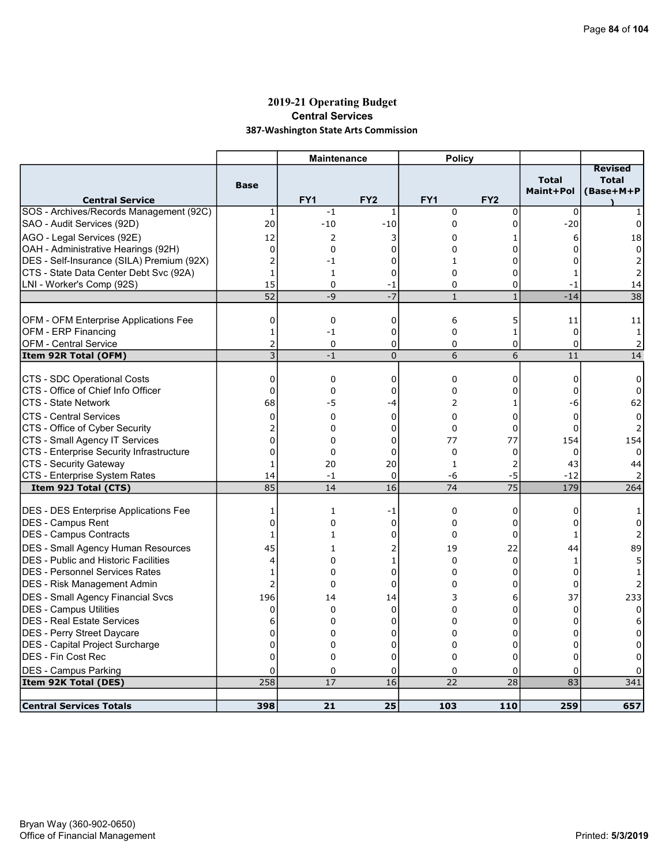### 2019-21 Operating Budget Central Services 387-Washington State Arts Commission

| <b>Total</b><br><b>Total</b><br><b>Base</b><br>Maint+Pol<br>(Base+M+P<br><b>Central Service</b><br>FY <sub>1</sub><br>FY <sub>2</sub><br>FY <sub>1</sub><br>FY <sub>2</sub><br>SOS - Archives/Records Management (92C)<br>$-1$<br>$\mathbf 0$<br>$\mathbf 0$<br>$\Omega$<br>1<br>1<br>20<br>$-10$<br>$-10$<br>0<br>$-20$<br>$\mathbf 0$<br>0<br>12<br>2<br>18<br>3<br>0<br>6<br>1<br>0<br>$\mathbf 0$<br>0<br>0<br>0<br>0<br>0<br>$\overline{c}$<br>0<br>$-1$<br>0<br>1<br>$\overline{2}$<br>O<br>$\mathbf{1}$<br>$\mathbf 0$<br>$\Omega$<br>0<br>1<br>$\mathbf{1}$<br>LNI - Worker's Comp (92S)<br>15<br>$\Omega$<br>0<br>0<br>$-1$<br>14<br>-1<br>52<br>$-9$<br>$-7$<br>$\overline{38}$<br>$\mathbf{1}$<br>$\mathbf{1}$<br>$-14$<br>0<br>$\mathbf 0$<br>6<br>5<br>0<br>11<br>11<br>$\mathbf{0}$<br>$\mathbf{1}$<br>$-1$<br>$\mathbf 0$<br>$\mathbf 0$<br>1<br>$\mathbf{1}$<br>$\overline{c}$<br><b>OFM - Central Service</b><br>$\mathbf 0$<br>0<br>0<br>0<br>$\mathbf 0$<br>$\overline{2}$<br>$\overline{3}$<br>6<br>6<br>14<br>$-1$<br>$\overline{0}$<br>11<br>0<br>$\mathbf{0}$<br>0<br>$\Omega$<br>0<br>$\Omega$<br>0<br>ICTS - Office of Chief Info Officer<br>$\overline{0}$<br>0<br>$\mathbf 0$<br>0<br>0<br>$\Omega$<br>0<br>CTS - State Network<br>68<br>-5<br>2<br>-4<br>-6<br>62<br>1<br><b>CTS - Central Services</b><br>$\Omega$<br>0<br>$\Omega$<br>$\Omega$<br>0<br>$\Omega$<br>$\Omega$ |                                |                         | <b>Maintenance</b> |   | <b>Policy</b> |   |   |                |
|-----------------------------------------------------------------------------------------------------------------------------------------------------------------------------------------------------------------------------------------------------------------------------------------------------------------------------------------------------------------------------------------------------------------------------------------------------------------------------------------------------------------------------------------------------------------------------------------------------------------------------------------------------------------------------------------------------------------------------------------------------------------------------------------------------------------------------------------------------------------------------------------------------------------------------------------------------------------------------------------------------------------------------------------------------------------------------------------------------------------------------------------------------------------------------------------------------------------------------------------------------------------------------------------------------------------------------------------------------------------------------------------------------------|--------------------------------|-------------------------|--------------------|---|---------------|---|---|----------------|
| SAO - Audit Services (92D)<br>AGO - Legal Services (92E)<br>OAH - Administrative Hearings (92H)<br>DES - Self-Insurance (SILA) Premium (92X)<br>CTS - State Data Center Debt Svc (92A)<br>OFM - OFM Enterprise Applications Fee<br>OFM - ERP Financing<br>Item 92R Total (OFM)<br>CTS - SDC Operational Costs                                                                                                                                                                                                                                                                                                                                                                                                                                                                                                                                                                                                                                                                                                                                                                                                                                                                                                                                                                                                                                                                                             |                                |                         |                    |   |               |   |   | <b>Revised</b> |
|                                                                                                                                                                                                                                                                                                                                                                                                                                                                                                                                                                                                                                                                                                                                                                                                                                                                                                                                                                                                                                                                                                                                                                                                                                                                                                                                                                                                           |                                |                         |                    |   |               |   |   |                |
|                                                                                                                                                                                                                                                                                                                                                                                                                                                                                                                                                                                                                                                                                                                                                                                                                                                                                                                                                                                                                                                                                                                                                                                                                                                                                                                                                                                                           |                                |                         |                    |   |               |   |   |                |
|                                                                                                                                                                                                                                                                                                                                                                                                                                                                                                                                                                                                                                                                                                                                                                                                                                                                                                                                                                                                                                                                                                                                                                                                                                                                                                                                                                                                           |                                |                         |                    |   |               |   |   |                |
|                                                                                                                                                                                                                                                                                                                                                                                                                                                                                                                                                                                                                                                                                                                                                                                                                                                                                                                                                                                                                                                                                                                                                                                                                                                                                                                                                                                                           |                                |                         |                    |   |               |   |   |                |
|                                                                                                                                                                                                                                                                                                                                                                                                                                                                                                                                                                                                                                                                                                                                                                                                                                                                                                                                                                                                                                                                                                                                                                                                                                                                                                                                                                                                           |                                |                         |                    |   |               |   |   |                |
|                                                                                                                                                                                                                                                                                                                                                                                                                                                                                                                                                                                                                                                                                                                                                                                                                                                                                                                                                                                                                                                                                                                                                                                                                                                                                                                                                                                                           |                                |                         |                    |   |               |   |   |                |
|                                                                                                                                                                                                                                                                                                                                                                                                                                                                                                                                                                                                                                                                                                                                                                                                                                                                                                                                                                                                                                                                                                                                                                                                                                                                                                                                                                                                           |                                |                         |                    |   |               |   |   |                |
|                                                                                                                                                                                                                                                                                                                                                                                                                                                                                                                                                                                                                                                                                                                                                                                                                                                                                                                                                                                                                                                                                                                                                                                                                                                                                                                                                                                                           |                                |                         |                    |   |               |   |   |                |
|                                                                                                                                                                                                                                                                                                                                                                                                                                                                                                                                                                                                                                                                                                                                                                                                                                                                                                                                                                                                                                                                                                                                                                                                                                                                                                                                                                                                           |                                |                         |                    |   |               |   |   |                |
|                                                                                                                                                                                                                                                                                                                                                                                                                                                                                                                                                                                                                                                                                                                                                                                                                                                                                                                                                                                                                                                                                                                                                                                                                                                                                                                                                                                                           |                                |                         |                    |   |               |   |   |                |
|                                                                                                                                                                                                                                                                                                                                                                                                                                                                                                                                                                                                                                                                                                                                                                                                                                                                                                                                                                                                                                                                                                                                                                                                                                                                                                                                                                                                           |                                |                         |                    |   |               |   |   |                |
|                                                                                                                                                                                                                                                                                                                                                                                                                                                                                                                                                                                                                                                                                                                                                                                                                                                                                                                                                                                                                                                                                                                                                                                                                                                                                                                                                                                                           |                                |                         |                    |   |               |   |   |                |
|                                                                                                                                                                                                                                                                                                                                                                                                                                                                                                                                                                                                                                                                                                                                                                                                                                                                                                                                                                                                                                                                                                                                                                                                                                                                                                                                                                                                           |                                |                         |                    |   |               |   |   |                |
|                                                                                                                                                                                                                                                                                                                                                                                                                                                                                                                                                                                                                                                                                                                                                                                                                                                                                                                                                                                                                                                                                                                                                                                                                                                                                                                                                                                                           |                                |                         |                    |   |               |   |   |                |
|                                                                                                                                                                                                                                                                                                                                                                                                                                                                                                                                                                                                                                                                                                                                                                                                                                                                                                                                                                                                                                                                                                                                                                                                                                                                                                                                                                                                           |                                |                         |                    |   |               |   |   |                |
|                                                                                                                                                                                                                                                                                                                                                                                                                                                                                                                                                                                                                                                                                                                                                                                                                                                                                                                                                                                                                                                                                                                                                                                                                                                                                                                                                                                                           |                                |                         |                    |   |               |   |   |                |
|                                                                                                                                                                                                                                                                                                                                                                                                                                                                                                                                                                                                                                                                                                                                                                                                                                                                                                                                                                                                                                                                                                                                                                                                                                                                                                                                                                                                           |                                |                         |                    |   |               |   |   |                |
|                                                                                                                                                                                                                                                                                                                                                                                                                                                                                                                                                                                                                                                                                                                                                                                                                                                                                                                                                                                                                                                                                                                                                                                                                                                                                                                                                                                                           |                                |                         |                    |   |               |   |   |                |
|                                                                                                                                                                                                                                                                                                                                                                                                                                                                                                                                                                                                                                                                                                                                                                                                                                                                                                                                                                                                                                                                                                                                                                                                                                                                                                                                                                                                           | CTS - Office of Cyber Security | $\overline{\mathbf{c}}$ | 0                  | 0 | 0             | 0 | 0 |                |
| $\overline{0}$<br>CTS - Small Agency IT Services<br>77<br>0<br>0<br>77<br>154<br>154                                                                                                                                                                                                                                                                                                                                                                                                                                                                                                                                                                                                                                                                                                                                                                                                                                                                                                                                                                                                                                                                                                                                                                                                                                                                                                                      |                                |                         |                    |   |               |   |   |                |
| CTS - Enterprise Security Infrastructure<br>0<br>$\mathbf 0$<br>$\mathbf 0$<br>0<br>0<br>0<br>0                                                                                                                                                                                                                                                                                                                                                                                                                                                                                                                                                                                                                                                                                                                                                                                                                                                                                                                                                                                                                                                                                                                                                                                                                                                                                                           |                                |                         |                    |   |               |   |   |                |
| CTS - Security Gateway<br>20<br>2<br>43<br>$\mathbf{1}$<br>20<br>$\mathbf{1}$<br>44                                                                                                                                                                                                                                                                                                                                                                                                                                                                                                                                                                                                                                                                                                                                                                                                                                                                                                                                                                                                                                                                                                                                                                                                                                                                                                                       |                                |                         |                    |   |               |   |   |                |
| $-5$<br>CTS - Enterprise System Rates<br>14<br>$\mathbf 0$<br>-6<br>$-12$<br>$-1$                                                                                                                                                                                                                                                                                                                                                                                                                                                                                                                                                                                                                                                                                                                                                                                                                                                                                                                                                                                                                                                                                                                                                                                                                                                                                                                         |                                |                         |                    |   |               |   |   |                |
| 85<br>$\overline{16}$<br>$\overline{75}$<br>179<br>14<br>74<br>264<br>Item 92J Total (CTS)                                                                                                                                                                                                                                                                                                                                                                                                                                                                                                                                                                                                                                                                                                                                                                                                                                                                                                                                                                                                                                                                                                                                                                                                                                                                                                                |                                |                         |                    |   |               |   |   |                |
| <b>DES - DES Enterprise Applications Fee</b><br>0<br>0<br>1<br>-1<br>0<br>1                                                                                                                                                                                                                                                                                                                                                                                                                                                                                                                                                                                                                                                                                                                                                                                                                                                                                                                                                                                                                                                                                                                                                                                                                                                                                                                               |                                |                         |                    |   |               |   |   |                |
| $\overline{0}$<br>DES - Campus Rent<br>$\Omega$<br>$\mathbf 0$<br>$\Omega$<br>0<br>0<br>$\Omega$                                                                                                                                                                                                                                                                                                                                                                                                                                                                                                                                                                                                                                                                                                                                                                                                                                                                                                                                                                                                                                                                                                                                                                                                                                                                                                          |                                |                         |                    |   |               |   |   |                |
| DES - Campus Contracts<br>$\mathbf 0$<br>$\Omega$<br>0<br>1<br>1<br>$\mathbf{1}$<br>2                                                                                                                                                                                                                                                                                                                                                                                                                                                                                                                                                                                                                                                                                                                                                                                                                                                                                                                                                                                                                                                                                                                                                                                                                                                                                                                     |                                |                         |                    |   |               |   |   |                |
|                                                                                                                                                                                                                                                                                                                                                                                                                                                                                                                                                                                                                                                                                                                                                                                                                                                                                                                                                                                                                                                                                                                                                                                                                                                                                                                                                                                                           |                                |                         |                    |   |               |   |   |                |
| DES - Small Agency Human Resources<br>45<br>19<br>22<br>44<br>89<br>2<br>1<br><b>DES</b> - Public and Historic Facilities<br>0<br>0                                                                                                                                                                                                                                                                                                                                                                                                                                                                                                                                                                                                                                                                                                                                                                                                                                                                                                                                                                                                                                                                                                                                                                                                                                                                       |                                |                         |                    |   |               |   |   |                |
| 4<br>0<br>1<br>1<br><b>DES - Personnel Services Rates</b><br>0<br>0<br>0<br>$\Omega$<br>$\Omega$                                                                                                                                                                                                                                                                                                                                                                                                                                                                                                                                                                                                                                                                                                                                                                                                                                                                                                                                                                                                                                                                                                                                                                                                                                                                                                          |                                |                         |                    |   |               |   |   |                |
| 1<br>$\overline{2}$<br>DES - Risk Management Admin<br>0<br>$\mathbf 0$<br>$\Omega$<br>0<br>$\Omega$                                                                                                                                                                                                                                                                                                                                                                                                                                                                                                                                                                                                                                                                                                                                                                                                                                                                                                                                                                                                                                                                                                                                                                                                                                                                                                       |                                |                         |                    |   |               |   |   |                |
|                                                                                                                                                                                                                                                                                                                                                                                                                                                                                                                                                                                                                                                                                                                                                                                                                                                                                                                                                                                                                                                                                                                                                                                                                                                                                                                                                                                                           |                                |                         |                    |   |               |   |   |                |
| <b>DES - Small Agency Financial Svcs</b><br>196<br>37<br>14<br>14<br>3<br>6<br>233                                                                                                                                                                                                                                                                                                                                                                                                                                                                                                                                                                                                                                                                                                                                                                                                                                                                                                                                                                                                                                                                                                                                                                                                                                                                                                                        |                                |                         |                    |   |               |   |   |                |
| <b>DES - Campus Utilities</b><br>0<br>$\mathbf 0$<br>0<br>0<br>$\mathbf 0$<br>0<br>$\Omega$                                                                                                                                                                                                                                                                                                                                                                                                                                                                                                                                                                                                                                                                                                                                                                                                                                                                                                                                                                                                                                                                                                                                                                                                                                                                                                               |                                |                         |                    |   |               |   |   |                |
| <b>DES - Real Estate Services</b><br>6<br>$\Omega$<br>0<br>$\Omega$<br>0<br>$\Omega$<br>6                                                                                                                                                                                                                                                                                                                                                                                                                                                                                                                                                                                                                                                                                                                                                                                                                                                                                                                                                                                                                                                                                                                                                                                                                                                                                                                 |                                |                         |                    |   |               |   |   |                |
| 0<br> DES - Perry Street Daycare<br>$\Omega$<br>0<br>0<br>0<br>$\Omega$                                                                                                                                                                                                                                                                                                                                                                                                                                                                                                                                                                                                                                                                                                                                                                                                                                                                                                                                                                                                                                                                                                                                                                                                                                                                                                                                   |                                |                         |                    |   |               |   |   |                |
| DES - Capital Project Surcharge<br>0<br>0<br>0<br>0<br>0<br>0<br>0<br>$\Omega$<br>$\Omega$                                                                                                                                                                                                                                                                                                                                                                                                                                                                                                                                                                                                                                                                                                                                                                                                                                                                                                                                                                                                                                                                                                                                                                                                                                                                                                                |                                |                         |                    |   |               |   |   |                |
| IDES - Fin Cost Rec<br>$\mathbf 0$<br>$\overline{0}$<br>0<br>0                                                                                                                                                                                                                                                                                                                                                                                                                                                                                                                                                                                                                                                                                                                                                                                                                                                                                                                                                                                                                                                                                                                                                                                                                                                                                                                                            |                                |                         |                    |   |               |   |   |                |
| <b>DES - Campus Parking</b><br>$\Omega$<br>0<br>0<br>$\Omega$<br>0<br>0                                                                                                                                                                                                                                                                                                                                                                                                                                                                                                                                                                                                                                                                                                                                                                                                                                                                                                                                                                                                                                                                                                                                                                                                                                                                                                                                   |                                |                         |                    |   |               |   |   |                |
| 258<br>16<br>22<br>28<br>Item 92K Total (DES)<br>17<br>83<br>341                                                                                                                                                                                                                                                                                                                                                                                                                                                                                                                                                                                                                                                                                                                                                                                                                                                                                                                                                                                                                                                                                                                                                                                                                                                                                                                                          |                                |                         |                    |   |               |   |   |                |
| <b>Central Services Totals</b><br>103<br>657<br>398<br>21<br>25<br>110<br>259                                                                                                                                                                                                                                                                                                                                                                                                                                                                                                                                                                                                                                                                                                                                                                                                                                                                                                                                                                                                                                                                                                                                                                                                                                                                                                                             |                                |                         |                    |   |               |   |   |                |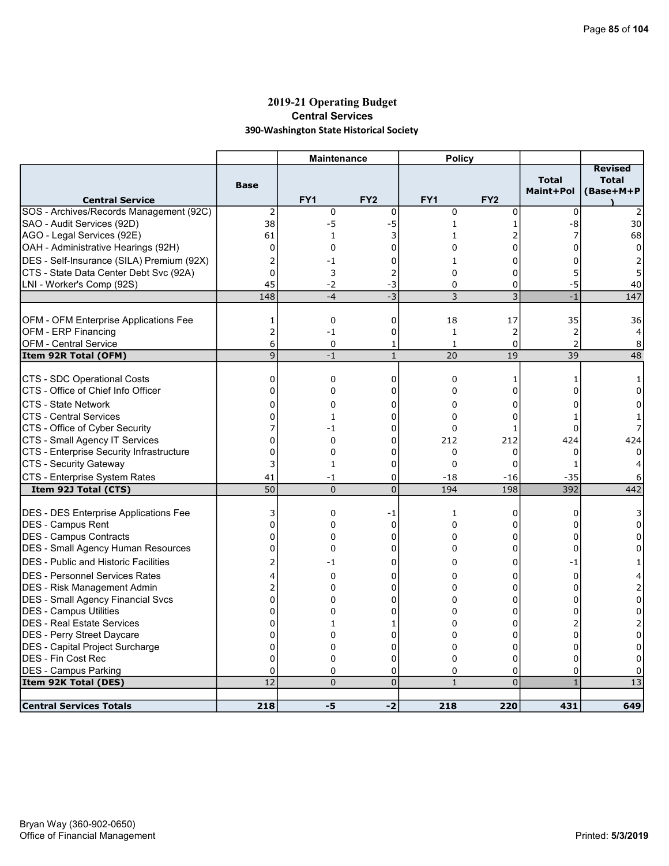## 2019-21 Operating Budget Central Services 390-Washington State Historical Society

|                                                                   |                  | <b>Maintenance</b> |                 | <b>Policy</b>    |                 |                           |                                             |
|-------------------------------------------------------------------|------------------|--------------------|-----------------|------------------|-----------------|---------------------------|---------------------------------------------|
| <b>Central Service</b>                                            | <b>Base</b>      | FY <sub>1</sub>    | FY <sub>2</sub> | FY <sub>1</sub>  | FY <sub>2</sub> | <b>Total</b><br>Maint+Pol | <b>Revised</b><br><b>Total</b><br>(Base+M+P |
| SOS - Archives/Records Management (92C)                           | 2                | 0                  | $\mathbf 0$     | $\mathbf 0$      | 0               | 0                         |                                             |
| SAO - Audit Services (92D)                                        | 38               | $-5$               | -5              | $\mathbf{1}$     | 1               | -8                        | 30                                          |
| AGO - Legal Services (92E)                                        | 61               | $\mathbf{1}$       | 3               | $\mathbf{1}$     | 2               | 7                         | 68                                          |
| OAH - Administrative Hearings (92H)                               | 0                | 0                  | 0               | 0                | $\Omega$        |                           | 0                                           |
| DES - Self-Insurance (SILA) Premium (92X)                         | 2                | -1                 | 0               | 1                | 0               | n                         |                                             |
| CTS - State Data Center Debt Svc (92A)                            | $\overline{0}$   | 3                  | $\overline{2}$  | $\Omega$         | 0               | 5                         |                                             |
| LNI - Worker's Comp (92S)                                         | 45               | $-2$               | -3              | 0                | 0               | -5                        | 40                                          |
|                                                                   | 148              | $-4$               | $-3$            | 3                | 3               | $-1$                      | 147                                         |
|                                                                   |                  |                    |                 |                  |                 |                           |                                             |
| OFM - OFM Enterprise Applications Fee                             | 1                | 0                  | 0               | 18               | 17              | 35                        | 36                                          |
| OFM - ERP Financing                                               | $\overline{2}$   | $-1$               | 0               | $\mathbf{1}$     | 2               | $\overline{2}$            | 4                                           |
| <b>OFM - Central Service</b>                                      | 6                | 0                  | 1               | 1                | 0               | $\overline{2}$            | 8                                           |
| Item 92R Total (OFM)                                              | 9                | $-1$               | $\mathbf{1}$    | 20               | 19              | 39                        | 48                                          |
|                                                                   |                  |                    |                 |                  |                 |                           |                                             |
| CTS - SDC Operational Costs<br>CTS - Office of Chief Info Officer | $\mathbf 0$<br>0 | 0<br>0             | 0               | $\mathbf 0$<br>0 | 1<br>0          | 1                         | 1                                           |
|                                                                   |                  |                    | 0               |                  |                 | 0                         | 0                                           |
| CTS - State Network                                               | 0                | 0                  | 0               | 0                | 0               | 0                         | 0                                           |
| <b>CTS - Central Services</b>                                     | $\Omega$         | 1                  | $\Omega$        | $\Omega$         | $\Omega$        | 1                         |                                             |
| CTS - Office of Cyber Security                                    | 7                | -1                 | 0               | 0                | 1               | 0                         |                                             |
| CTS - Small Agency IT Services                                    | $\overline{0}$   | 0                  | 0               | 212              | 212             | 424                       | 424                                         |
| CTS - Enterprise Security Infrastructure                          | $\mathbf 0$      | 0                  | 0               | $\mathbf 0$      | 0               | 0                         | 0                                           |
| CTS - Security Gateway                                            | 3                | $\mathbf{1}$       | 0               | $\Omega$         | $\Omega$        | $\mathbf{1}$              |                                             |
| CTS - Enterprise System Rates                                     | 41               | $-1$               | 0               | $-18$            | $-16$           | $-35$                     |                                             |
| Item 92J Total (CTS)                                              | 50               | $\Omega$           | $\overline{0}$  | 194              | 198             | 392                       | 442                                         |
| <b>DES - DES Enterprise Applications Fee</b>                      | 3                | 0                  | -1              | 1                | 0               | 0                         |                                             |
| DES - Campus Rent                                                 | $\mathbf{0}$     | 0                  | 0               | 0                | 0               |                           |                                             |
| <b>IDES - Campus Contracts</b>                                    | $\overline{0}$   | 0                  | 0               | 0                | 0               | n                         | 0                                           |
| <b>DES - Small Agency Human Resources</b>                         | $\mathbf 0$      | 0                  | 0               | $\Omega$         | 0               | 0                         | 0                                           |
| <b>DES</b> - Public and Historic Facilities                       | $\overline{2}$   | $-1$               | 0               | 0                | 0               | -1                        |                                             |
| <b>DES - Personnel Services Rates</b>                             | 4                | 0                  | O               | 0                | 0               | 0                         |                                             |
| <b>IDES - Risk Management Admin</b>                               | $\overline{2}$   | 0                  | 0               | 0                | 0               | $\Omega$                  | 2                                           |
| <b>DES - Small Agency Financial Svcs</b>                          | $\overline{0}$   | 0                  | 0               | 0                | 0               | U                         | 0                                           |
| DES - Campus Utilities                                            | 0                | $\Omega$           | $\Omega$        | $\Omega$         | $\Omega$        | O                         | $\Omega$                                    |
| <b>DES - Real Estate Services</b>                                 | 0                | 1                  | 1               | 0                | 0               | 2                         | 2                                           |
| DES - Perry Street Daycare                                        | $\Omega$         | 0                  | 0               | 0                | 0               | $\Omega$                  | $\Omega$                                    |
| DES - Capital Project Surcharge                                   | $\mathbf 0$      | 0                  | 0               | $\Omega$         | 0               | 0                         | 0                                           |
| <b>DES - Fin Cost Rec</b>                                         | $\Omega$         | 0                  | 0               | 0                | 0               | $\Omega$                  | 0                                           |
| <b>DES - Campus Parking</b>                                       | $\Omega$         | 0                  | 0               | 0                | 0               | $\mathbf 0$               |                                             |
| Item 92K Total (DES)                                              | 12               | $\Omega$           | $\Omega$        | $\mathbf{1}$     | $\Omega$        | $\mathbf{1}$              | 13                                          |
|                                                                   |                  |                    |                 |                  |                 |                           |                                             |
| <b>Central Services Totals</b>                                    | 218              | $-5$               | -2              | 218              | 220             | 431                       | 649                                         |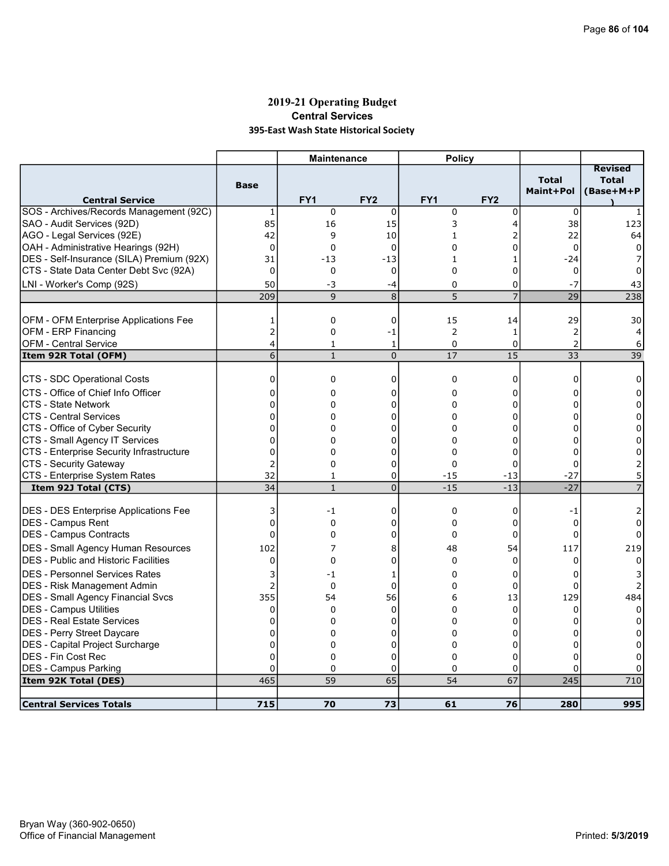## 2019-21 Operating Budget Central Services 395-East Wash State Historical Society

|                                                                            |                      | <b>Maintenance</b> |                 | <b>Policy</b>        |                 |                           |                                             |
|----------------------------------------------------------------------------|----------------------|--------------------|-----------------|----------------------|-----------------|---------------------------|---------------------------------------------|
| <b>Central Service</b>                                                     | <b>Base</b>          | FY <sub>1</sub>    | FY <sub>2</sub> | FY <sub>1</sub>      | FY <sub>2</sub> | <b>Total</b><br>Maint+Pol | <b>Revised</b><br><b>Total</b><br>(Base+M+P |
| SOS - Archives/Records Management (92C)                                    | $\mathbf{1}$         | $\mathbf 0$        | $\Omega$        | $\mathbf 0$          | 0               | $\mathbf 0$               |                                             |
| SAO - Audit Services (92D)                                                 | 85                   | 16                 | 15              | 3                    | 4               | 38                        | 123                                         |
| AGO - Legal Services (92E)                                                 | 42                   | 9                  | 10              | 1                    | 2               | 22                        | 64                                          |
| OAH - Administrative Hearings (92H)                                        | $\mathbf 0$          | $\mathbf 0$        | 0               | 0                    | 0               | $\mathbf 0$               | 0                                           |
| DES - Self-Insurance (SILA) Premium (92X)                                  | 31                   | $-13$              | $-13$           | $\mathbf{1}$         | 1               | $-24$                     |                                             |
| CTS - State Data Center Debt Svc (92A)                                     | $\mathbf 0$          | 0                  | 0               | 0                    | 0               | 0                         | 0                                           |
| LNI - Worker's Comp (92S)                                                  | 50                   | -3                 | -4              | 0                    | 0               | $-7$                      | 43                                          |
|                                                                            | 209                  | 9                  | 8               | 5                    | $\overline{7}$  | 29                        | 238                                         |
|                                                                            |                      |                    |                 |                      |                 |                           |                                             |
| OFM - OFM Enterprise Applications Fee                                      | 1                    | $\mathbf 0$        | 0               | 15                   | 14              | 29                        | 30                                          |
| OFM - ERP Financing                                                        | $\overline{c}$       | 0                  | -1              | $\mathbf 2$          | $\mathbf{1}$    | $\overline{2}$            | 4                                           |
| OFM - Central Service                                                      | 4                    | $\mathbf{1}$       | $1\,$           | $\mathbf 0$          | 0               | $\overline{2}$            | 6                                           |
| Item 92R Total (OFM)                                                       | $\overline{6}$       | $\mathbf{1}$       | $\overline{0}$  | 17                   | 15              | 33                        | 39                                          |
| CTS - SDC Operational Costs                                                | 0                    | 0                  | $\mathbf 0$     | $\mathbf 0$          | 0               | 0                         |                                             |
|                                                                            |                      |                    |                 |                      |                 |                           | 0                                           |
| ICTS - Office of Chief Info Officer                                        | 0                    | 0                  | 0               | 0                    | 0               | 0                         | 0                                           |
| ICTS - State Network                                                       | $\Omega$<br>$\Omega$ | 0                  | 0               | 0                    | 0               | 0                         | $\Omega$                                    |
| ICTS - Central Services                                                    |                      | 0                  | 0               | $\Omega$             | 0               | 0                         | 0                                           |
| CTS - Office of Cyber Security                                             | 0<br>$\Omega$        | 0<br>$\Omega$      | 0               | 0                    | 0               | 0<br>0                    | 0                                           |
| CTS - Small Agency IT Services<br>CTS - Enterprise Security Infrastructure | 0                    | 0                  | 0<br>0          | $\Omega$<br>$\Omega$ | 0<br>0          | 0                         | $\Omega$<br>0                               |
| CTS - Security Gateway                                                     | $\overline{2}$       | 0                  | 0               | $\Omega$             | 0               | 0                         |                                             |
| CTS - Enterprise System Rates                                              | 32                   | 1                  | 0               | $-15$                | $-13$           | $-27$                     |                                             |
| Item 92J Total (CTS)                                                       | 34                   | $\mathbf{1}$       | $\overline{0}$  | $-15$                | $-13$           | $-27$                     |                                             |
|                                                                            |                      |                    |                 |                      |                 |                           |                                             |
| <b>DES - DES Enterprise Applications Fee</b>                               | 3                    | $-1$               | 0               | 0                    | 0               | $-1$                      | 2                                           |
| <b>IDES - Campus Rent</b>                                                  | 0                    | $\Omega$           | 0               | $\Omega$             | $\mathbf 0$     | $\Omega$                  | 0                                           |
| <b>IDES - Campus Contracts</b>                                             | 0                    | 0                  | 0               | $\mathbf 0$          | 0               | $\Omega$                  |                                             |
| <b>DES - Small Agency Human Resources</b>                                  | 102                  | 7                  | 8               | 48                   | 54              | 117                       | 219                                         |
| <b>DES</b> - Public and Historic Facilities                                | $\Omega$             | 0                  | 0               | $\mathbf{0}$         | $\Omega$        | $\Omega$                  | 0                                           |
| <b>DES - Personnel Services Rates</b>                                      | 3                    | -1                 | 1               | 0                    | 0               | 0                         |                                             |
| DES - Risk Management Admin                                                | $\overline{2}$       | $\Omega$           | 0               | $\Omega$             | 0               | $\Omega$                  |                                             |
| <b>DES - Small Agency Financial Svcs</b>                                   | 355                  | 54                 | 56              | 6                    | 13              | 129                       | 484                                         |
| DES - Campus Utilities                                                     | $\mathbf 0$          | $\Omega$           | $\Omega$        | $\Omega$             | 0               | $\Omega$                  | $\Omega$                                    |
| <b>DES - Real Estate Services</b>                                          | 0                    | 0                  | 0               | 0                    | 0               | 0                         |                                             |
| DES - Perry Street Daycare                                                 | 0                    | $\Omega$           | 0               | $\Omega$             | 0               | 0                         |                                             |
| DES - Capital Project Surcharge                                            | 0                    | 0                  | 0               | $\Omega$             | 0               | 0                         | 0                                           |
| DES - Fin Cost Rec                                                         | 0                    | 0                  | 0               | 0                    | 0               | 0                         | 0                                           |
| <b>DES - Campus Parking</b>                                                | $\Omega$             | $\Omega$           | 0               | $\Omega$             | 0               | 0                         |                                             |
| Item 92K Total (DES)                                                       | 465                  | 59                 | 65              | 54                   | 67              | 245                       | 710                                         |
|                                                                            |                      |                    |                 |                      |                 |                           |                                             |
| <b>Central Services Totals</b>                                             | 715                  | 70                 | 73              | 61                   | 76              | 280                       | 995                                         |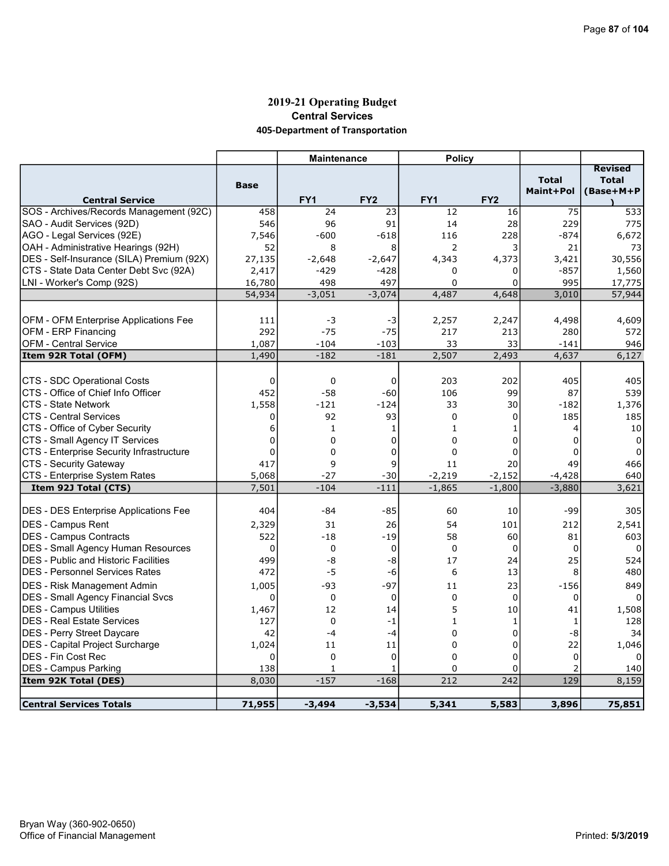## 2019-21 Operating Budget Central Services 405-Department of Transportation

|                                              |             | <b>Maintenance</b> |                 | <b>Policy</b>   |                 |              |                                |
|----------------------------------------------|-------------|--------------------|-----------------|-----------------|-----------------|--------------|--------------------------------|
|                                              |             |                    |                 |                 |                 | <b>Total</b> | <b>Revised</b><br><b>Total</b> |
| <b>Central Service</b>                       | <b>Base</b> | FY <sub>1</sub>    | FY <sub>2</sub> | FY <sub>1</sub> | FY <sub>2</sub> | Maint+Pol    | (Base+M+P                      |
| SOS - Archives/Records Management (92C)      | 458         | 24                 | 23              | 12              | 16              | 75           | 533                            |
| SAO - Audit Services (92D)                   | 546         | 96                 | 91              | 14              | 28              | 229          | 775                            |
| AGO - Legal Services (92E)                   | 7,546       | $-600$             | $-618$          | 116             | 228             | $-874$       | 6,672                          |
| OAH - Administrative Hearings (92H)          | 52          | 8                  | 8               | $\overline{2}$  | 3               | 21           | 73                             |
| DES - Self-Insurance (SILA) Premium (92X)    | 27,135      | $-2,648$           | $-2,647$        | 4,343           | 4,373           | 3,421        | 30,556                         |
| CTS - State Data Center Debt Svc (92A)       | 2,417       | -429               | $-428$          | 0               | 0               | $-857$       | 1,560                          |
| LNI - Worker's Comp (92S)                    | 16,780      | 498                | 497             | $\Omega$        | 0               | 995          | 17,775                         |
|                                              | 54,934      | $-3,051$           | $-3,074$        | 4,487           | 4,648           | 3,010        | 57,944                         |
|                                              |             |                    |                 |                 |                 |              |                                |
| OFM - OFM Enterprise Applications Fee        | 111         | -3                 | -3              | 2,257           | 2,247           | 4,498        | 4,609                          |
| OFM - ERP Financing                          | 292         | $-75$              | $-75$           | 217             | 213             | 280          | 572                            |
| <b>OFM - Central Service</b>                 | 1,087       | $-104$             | $-103$          | 33              | 33              | $-141$       | 946                            |
| Item 92R Total (OFM)                         | 1,490       | $-182$             | $-181$          | 2,507           | 2,493           | 4,637        | 6,127                          |
|                                              |             |                    |                 |                 |                 |              |                                |
| CTS - SDC Operational Costs                  | 0           | $\mathbf 0$        | 0               | 203             | 202             | 405          | 405                            |
| CTS - Office of Chief Info Officer           | 452         | $-58$              | $-60$           | 106             | 99              | 87           | 539                            |
| <b>CTS - State Network</b>                   | 1,558       | $-121$             | $-124$          | 33              | 30              | $-182$       | 1,376                          |
| <b>CTS - Central Services</b>                | $\Omega$    | 92                 | 93              | $\Omega$        | $\Omega$        | 185          | 185                            |
| CTS - Office of Cyber Security               | 6           | 1                  | 1               | 1               | 1               | 4            | 10                             |
| CTS - Small Agency IT Services               | $\mathbf 0$ | 0                  | $\Omega$        | $\Omega$        | $\mathbf 0$     | $\Omega$     | $\Omega$                       |
| CTS - Enterprise Security Infrastructure     | 0           | 0                  | 0               | $\mathbf 0$     | 0               | $\Omega$     | 0                              |
| <b>CTS - Security Gateway</b>                | 417         | 9                  | 9               | 11              | 20              | 49           | 466                            |
| CTS - Enterprise System Rates                | 5,068       | $-27$              | $-30$           | $-2,219$        | $-2,152$        | $-4,428$     | 640                            |
| Item 92J Total (CTS)                         | 7,501       | $-104$             | $-111$          | $-1,865$        | $-1,800$        | $-3,880$     | 3,621                          |
|                                              |             |                    |                 |                 |                 |              |                                |
| <b>DES - DES Enterprise Applications Fee</b> | 404         | $-84$              | $-85$           | 60              | 10              | -99          | 305                            |
| <b>DES - Campus Rent</b>                     | 2,329       | 31                 | 26              | 54              | 101             | 212          | 2,541                          |
| <b>IDES - Campus Contracts</b>               | 522         | $-18$              | $-19$           | 58              | 60              | 81           | 603                            |
| <b>DES - Small Agency Human Resources</b>    | 0           | 0                  | 0               | $\mathbf 0$     | $\mathbf 0$     | 0            | 0                              |
| <b>DES</b> - Public and Historic Facilities  | 499         | -8                 | -8              | 17              | 24              | 25           | 524                            |
| <b>DES - Personnel Services Rates</b>        | 472         | $-5$               | -6              | 6               | 13              | 8            | 480                            |
| <b>DES</b> - Risk Management Admin           | 1,005       | $-93$              | $-97$           | 11              | 23              | $-156$       | 849                            |
| <b>DES - Small Agency Financial Svcs</b>     | $\mathbf 0$ | $\Omega$           | $\Omega$        | $\Omega$        | $\Omega$        | 0            | $\Omega$                       |
| <b>IDES - Campus Utilities</b>               | 1,467       | 12                 | 14              | 5               | 10              | 41           | 1,508                          |
| <b>DES - Real Estate Services</b>            | 127         | $\Omega$           | $-1$            | $\mathbf{1}$    | $\mathbf{1}$    | 1            | 128                            |
| <b>DES - Perry Street Daycare</b>            | 42          | $-4$               | $-4$            | $\Omega$        | $\Omega$        | -8           | 34                             |
| <b>DES</b> - Capital Project Surcharge       | 1,024       | 11                 | 11              | $\Omega$        | 0               | 22           | 1,046                          |
| <b>DES - Fin Cost Rec</b>                    | $\Omega$    | 0                  | $\mathbf 0$     | $\Omega$        | 0               | $\Omega$     |                                |
| <b>DES - Campus Parking</b>                  | 138         | $\mathbf{1}$       | 1               | $\Omega$        | 0               | 2            | 140                            |
| Item 92K Total (DES)                         | 8,030       | $-157$             | $-168$          | 212             | 242             | 129          | 8,159                          |
|                                              |             |                    |                 |                 |                 |              |                                |
| Central Services Totals                      | 71,955      | $-3,494$           | $-3,534$        | 5,341           | 5,583           | 3,896        | 75,851                         |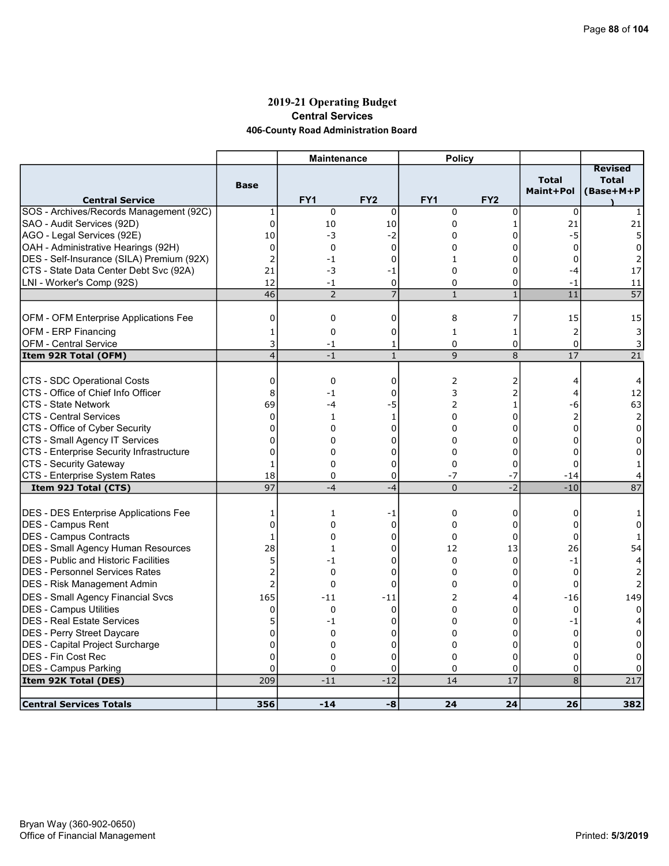### 2019-21 Operating Budget Central Services 406-County Road Administration Board

|                                              |                | <b>Maintenance</b> |                 | <b>Policy</b>   |                 |                           |                                             |
|----------------------------------------------|----------------|--------------------|-----------------|-----------------|-----------------|---------------------------|---------------------------------------------|
| <b>Central Service</b>                       | <b>Base</b>    | FY <sub>1</sub>    | FY <sub>2</sub> | FY <sub>1</sub> | FY <sub>2</sub> | <b>Total</b><br>Maint+Pol | <b>Revised</b><br><b>Total</b><br>(Base+M+P |
| SOS - Archives/Records Management (92C)      | 1              | $\mathbf 0$        | 0               | $\mathbf 0$     | 0               | $\mathbf 0$               | 1                                           |
| SAO - Audit Services (92D)                   | $\mathbf 0$    | 10                 | 10              | $\Omega$        | $\mathbf{1}$    | 21                        | 21                                          |
| AGO - Legal Services (92E)                   | 10             | -3                 | $-2$            | 0               | 0               | -5                        | 5                                           |
| OAH - Administrative Hearings (92H)          | $\overline{0}$ | 0                  | $\Omega$        | 0               | $\Omega$        | $\Omega$                  | 0                                           |
| DES - Self-Insurance (SILA) Premium (92X)    | $\overline{2}$ | -1                 | 0               | $\mathbf{1}$    | 0               | 0                         | $\overline{2}$                              |
| CTS - State Data Center Debt Svc (92A)       | 21             | -3                 | -1              | 0               | 0               | -4                        | 17                                          |
| LNI - Worker's Comp (92S)                    | 12             | $-1$               | $\mathbf 0$     | 0               | 0               | $-1$                      | 11                                          |
|                                              | 46             | $\overline{2}$     | $\overline{7}$  | $\mathbf{1}$    | $\mathbf{1}$    | 11                        | 57                                          |
|                                              |                |                    |                 |                 |                 |                           |                                             |
| <b>OFM - OFM Enterprise Applications Fee</b> | 0              | 0                  | 0               | 8               | 7               | 15                        | 15                                          |
| <b>OFM - ERP Financing</b>                   | 1              | 0                  | 0               | 1               | 1               | $\overline{2}$            | 3                                           |
| <b>OFM - Central Service</b>                 | 3              | $-1$               | 1               | $\mathbf 0$     | 0               | $\Omega$                  | 3                                           |
| Item 92R Total (OFM)                         | 4              | $-1$               | $\mathbf{1}$    | 9               | 8               | 17                        | 21                                          |
| CTS - SDC Operational Costs                  |                | $\mathbf 0$        | $\mathbf 0$     |                 |                 |                           |                                             |
| CTS - Office of Chief Info Officer           | 0<br>8         | $-1$               | 0               | 2<br>3          | 2<br>2          | 4                         | 4<br>12                                     |
|                                              |                |                    |                 |                 |                 | 4                         |                                             |
| <b>CTS - State Network</b>                   | 69             | $-4$               | $-5$            | 2               | 1               | -6                        | 63                                          |
| <b>CTS - Central Services</b>                | $\Omega$       | $\mathbf{1}$       | $\mathbf{1}$    | $\Omega$        | $\Omega$        | $\overline{2}$            | 2                                           |
| CTS - Office of Cyber Security               | $\mathbf 0$    | 0                  | 0               | 0               | 0               | $\mathbf 0$               | 0                                           |
| CTS - Small Agency IT Services               | $\mathbf 0$    | 0                  | 0               | 0               | 0               | $\Omega$                  | 0                                           |
| CTS - Enterprise Security Infrastructure     | 0              | 0                  | 0               | 0               | 0               | $\Omega$                  | 0                                           |
| CTS - Security Gateway                       | 1              | 0                  | 0               | 0               | 0               | $\Omega$                  | 1                                           |
| CTS - Enterprise System Rates                | 18             | 0                  | 0               | $-7$            | $-7$            | $-14$                     |                                             |
| Item 92J Total (CTS)                         | 97             | $-4$               | $-4$            | $\overline{0}$  | $-2$            | $-10$                     | 87                                          |
| <b>DES - DES Enterprise Applications Fee</b> | 1              | 1                  | -1              | $\mathbf 0$     | 0               | 0                         |                                             |
| DES - Campus Rent                            | $\mathbf 0$    | 0                  | $\mathbf 0$     | $\Omega$        | 0               | 0                         | 0                                           |
| DES - Campus Contracts                       | 1              | 0                  | 0               | $\Omega$        | 0               | $\Omega$                  |                                             |
| <b>DES - Small Agency Human Resources</b>    | 28             | 1                  | 0               | 12              | 13              | 26                        | 54                                          |
| <b>DES - Public and Historic Facilities</b>  | 5              | -1                 | 0               | $\mathbf 0$     | 0               | $-1$                      | 4                                           |
| IDES - Personnel Services Rates              | 2              | 0                  | 0               | $\Omega$        | 0               | $\Omega$                  | 2                                           |
| DES - Risk Management Admin                  | $\overline{2}$ | 0                  | 0               | 0               | 0               | $\mathbf 0$               |                                             |
|                                              |                |                    |                 |                 |                 |                           |                                             |
| <b>DES - Small Agency Financial Svcs</b>     | 165            | $-11$              | $-11$           | 2               | 4               | $-16$                     | 149                                         |
| DES - Campus Utilities                       | 0              | $\Omega$           | $\Omega$        | $\Omega$        | 0               | $\Omega$                  | $\Omega$                                    |
| DES - Real Estate Services                   | 5              | -1                 | 0               | 0               | 0               | -1                        |                                             |
| DES - Perry Street Daycare                   | $\mathbf 0$    | 0                  | 0               | 0               | 0               | 0                         |                                             |
| DES - Capital Project Surcharge              | 0              | 0                  | $\Omega$        | $\Omega$        | 0               | 0                         | 0                                           |
| DES - Fin Cost Rec                           | $\overline{0}$ | 0                  | 0               | 0               | 0               | 0                         | 0                                           |
| <b>DES - Campus Parking</b>                  | $\mathbf 0$    | 0                  | 0               | 0               | 0               | 0                         | 0                                           |
| Item 92K Total (DES)                         | 209            | $-11$              | $-12$           | 14              | 17              | 8                         | 217                                         |
| <b>Central Services Totals</b>               | 356            | $-14$              | -8              | 24              | 24              | 26                        | 382                                         |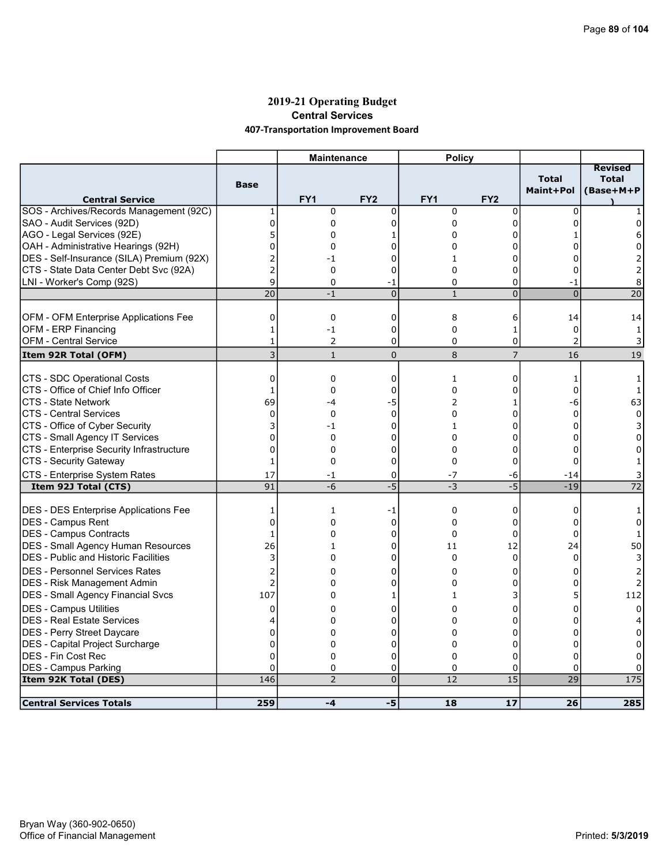### 2019-21 Operating Budget Central Services 407-Transportation Improvement Board

|                                              |                | <b>Maintenance</b> |                 | <b>Policy</b> |                 |                           |                                      |
|----------------------------------------------|----------------|--------------------|-----------------|---------------|-----------------|---------------------------|--------------------------------------|
| <b>Central Service</b>                       | <b>Base</b>    | FY <sub>1</sub>    | FY <sub>2</sub> | FY1           | FY <sub>2</sub> | <b>Total</b><br>Maint+Pol | Revised<br><b>Total</b><br>(Base+M+P |
| SOS - Archives/Records Management (92C)      | 1              | 0                  | 0               | $\mathbf 0$   | 0               | 0                         |                                      |
| SAO - Audit Services (92D)                   | $\mathbf 0$    | 0                  | 0               | 0             | 0               | $\Omega$                  | 0                                    |
| AGO - Legal Services (92E)                   | 5              | 0                  | 1               | 0             | 0               |                           | 6                                    |
| OAH - Administrative Hearings (92H)          | $\overline{0}$ | 0                  | 0               | 0             | O               |                           | 0                                    |
| DES - Self-Insurance (SILA) Premium (92X)    | $\overline{2}$ | -1                 | 0               | 1             | 0               |                           |                                      |
| CTS - State Data Center Debt Svc (92A)       | $\overline{2}$ | $\Omega$           | 0               | $\Omega$      | 0               |                           | 2                                    |
| LNI - Worker's Comp (92S)                    | 9              | 0                  | -1              | 0             | 0               | -1                        | 8                                    |
|                                              | 20             | $-1$               | $\overline{0}$  | $\mathbf{1}$  | $\overline{0}$  | $\Omega$                  | $\overline{20}$                      |
|                                              |                |                    |                 |               |                 |                           |                                      |
| OFM - OFM Enterprise Applications Fee        | 0              | $\mathbf 0$        | 0               | 8             | 6               | 14                        | 14                                   |
| OFM - ERP Financing                          | 1              | $-1$               | 0               | 0             | $\mathbf{1}$    | $\mathbf 0$               | $\mathbf{1}$                         |
| <b>OFM - Central Service</b>                 | $\mathbf{1}$   | 2                  | $\Omega$        | $\Omega$      | 0               | 2                         | 3                                    |
| Item 92R Total (OFM)                         | $\overline{3}$ | $\mathbf{1}$       | $\overline{0}$  | $\,8\,$       | $\overline{7}$  | 16                        | 19                                   |
| CTS - SDC Operational Costs                  | $\mathbf 0$    | 0                  | $\mathbf 0$     | 1             | 0               | 1                         | 1                                    |
| CTS - Office of Chief Info Officer           | $\mathbf{1}$   | 0                  | 0               | $\Omega$      | 0               | $\Omega$                  | 1                                    |
| <b>CTS - State Network</b>                   | 69             | -4                 | $-5$            | 2             | 1               | -6                        | 63                                   |
| <b>CTS - Central Services</b>                | $\Omega$       | $\Omega$           | $\Omega$        | $\Omega$      | 0               | $\Omega$                  | $\Omega$                             |
| CTS - Office of Cyber Security               | 3              | $-1$               | 0               | 1             | 0               | $\Omega$                  | 3                                    |
| CTS - Small Agency IT Services               | $\overline{0}$ | 0                  | 0               | $\Omega$      | 0               | $\Omega$                  | $\Omega$                             |
| CTS - Enterprise Security Infrastructure     | $\mathbf 0$    | 0                  | 0               | 0             | 0               | 0                         | 0                                    |
| CTS - Security Gateway                       | 1              | $\Omega$           | $\Omega$        | $\Omega$      | $\Omega$        | $\Omega$                  |                                      |
| CTS - Enterprise System Rates                | 17             | -1                 | 0               | $-7$          | -6              | -14                       |                                      |
| Item 92J Total (CTS)                         | 91             | $-6$               | $-5$            | $-3$          | $-5$            | $-19$                     | 72                                   |
|                                              |                |                    |                 |               |                 |                           |                                      |
| <b>DES - DES Enterprise Applications Fee</b> | 1              | 1                  | -1              | $\mathbf 0$   | 0               | 0                         |                                      |
| <b>IDES - Campus Rent</b>                    | $\mathbf 0$    | 0                  | $\mathbf 0$     | 0             | 0               | 0                         | 0                                    |
| DES - Campus Contracts                       | $\mathbf{1}$   | $\Omega$           | 0               | $\Omega$      | 0               | $\Omega$                  | $\mathbf{1}$                         |
| DES - Small Agency Human Resources           | 26             | 1                  | 0               | 11            | 12              | 24                        | 50                                   |
| <b>IDES - Public and Historic Facilities</b> | 3              | 0                  | 0               | $\Omega$      | $\mathbf 0$     | $\Omega$                  |                                      |
| <b>IDES - Personnel Services Rates</b>       | $\overline{2}$ | $\Omega$           | 0               | 0             | 0               | 0                         |                                      |
| <b>DES</b> - Risk Management Admin           | $\overline{2}$ | 0                  | 0               | 0             | 0               | 0                         | 2                                    |
| DES - Small Agency Financial Svcs            | 107            | 0                  | 1               | 1             | 3               |                           | 112                                  |
| <b>DES - Campus Utilities</b>                | 0              | 0                  | 0               | 0             | 0               | 0                         | 0                                    |
| <b>DES - Real Estate Services</b>            | 4              | 0                  | 0               | 0             | 0               | n                         |                                      |
| <b>IDES - Perry Street Daycare</b>           | $\mathbf 0$    | 0                  | 0               | 0             | 0               | n                         |                                      |
| DES - Capital Project Surcharge              | 0              | 0                  | $\mathbf 0$     | 0             | 0               | $\Omega$                  | 0                                    |
| <b>IDES - Fin Cost Rec</b>                   | 0              | 0                  | 0               | 0             | 0               | 0                         |                                      |
| <b>DES - Campus Parking</b>                  | $\Omega$       | 0                  | 0               | 0             | 0               | 0                         |                                      |
| Item 92K Total (DES)                         | 146            | $\overline{2}$     | $\overline{0}$  | 12            | $\overline{15}$ | $\overline{29}$           | 175                                  |
|                                              |                |                    |                 |               |                 |                           |                                      |
| <b>Central Services Totals</b>               | 259            | $-4$               | -5              | 18            | 17              | 26                        | 285                                  |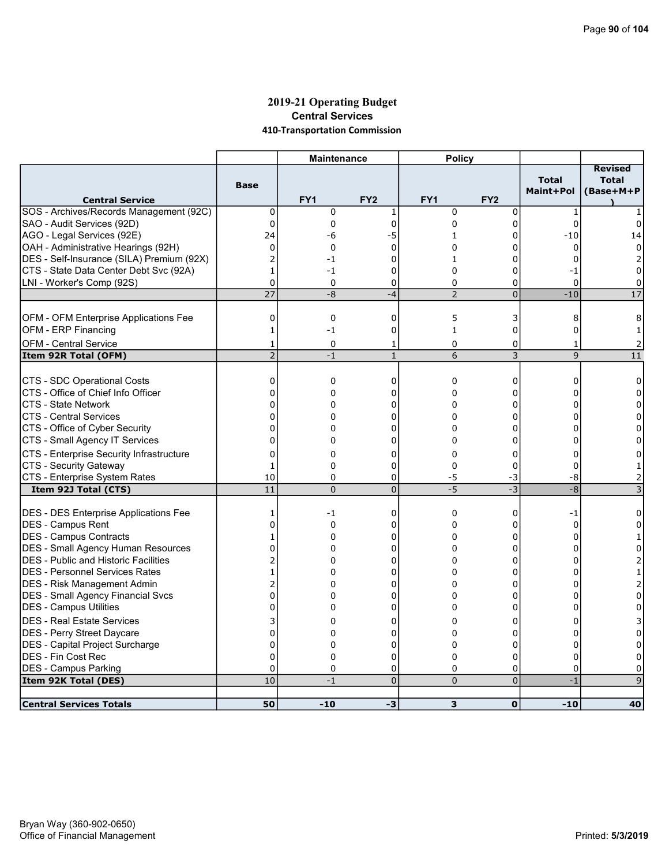### 2019-21 Operating Budget Central Services 410-Transportation Commission

|                                              |                 | <b>Maintenance</b> |                 | <b>Policy</b>   |                 |                           |                                             |
|----------------------------------------------|-----------------|--------------------|-----------------|-----------------|-----------------|---------------------------|---------------------------------------------|
| <b>Central Service</b>                       | <b>Base</b>     | FY <sub>1</sub>    | FY <sub>2</sub> | FY <sub>1</sub> | FY <sub>2</sub> | <b>Total</b><br>Maint+Pol | <b>Revised</b><br><b>Total</b><br>(Base+M+P |
| SOS - Archives/Records Management (92C)      | 0               | $\mathbf 0$        | 1               | $\mathbf 0$     | 0               | $\mathbf{1}$              |                                             |
| SAO - Audit Services (92D)                   | $\pmb{0}$       | 0                  | $\mathbf 0$     | 0               | $\mathbf 0$     | $\Omega$                  | 0                                           |
| AGO - Legal Services (92E)                   | 24              | -6                 | -5              | 1               | 0               | $-10$                     | 14                                          |
| OAH - Administrative Hearings (92H)          | $\mathbf 0$     | 0                  | $\mathbf 0$     | 0               | 0               | 0                         | $\Omega$                                    |
| DES - Self-Insurance (SILA) Premium (92X)    | $\overline{2}$  | -1                 | 0               | 1               | $\Omega$        | 0                         |                                             |
| CTS - State Data Center Debt Svc (92A)       | $\mathbf{1}$    | $-1$               | 0               | 0               | 0               | -1                        | 0                                           |
| LNI - Worker's Comp (92S)                    | $\mathbf 0$     | $\Omega$           | $\mathbf 0$     | $\mathbf 0$     | 0               | $\Omega$                  | 0                                           |
|                                              | $\overline{27}$ | -8                 | $-4$            | $\overline{2}$  | $\overline{0}$  | $-10$                     | 17                                          |
|                                              |                 |                    |                 |                 |                 |                           |                                             |
| OFM - OFM Enterprise Applications Fee        | $\mathbf 0$     | 0                  | $\mathbf 0$     | 5               | 3               | 8                         | 8                                           |
| OFM - ERP Financing                          | $\mathbf{1}$    | $-1$               | 0               | $\mathbf{1}$    | 0               | $\Omega$                  | 1                                           |
| OFM - Central Service                        | 1               | 0                  | 1               | 0               | 0               | $\mathbf{1}$              |                                             |
| Item 92R Total (OFM)                         | $\overline{2}$  | $-1$               | $\mathbf{1}$    | 6               | 3               | 9                         | 11                                          |
|                                              |                 |                    |                 |                 |                 |                           |                                             |
| CTS - SDC Operational Costs                  | 0               | 0                  | 0               | 0               | 0               | 0                         | 0                                           |
| CTS - Office of Chief Info Officer           | $\Omega$        | 0                  | 0               | 0               | 0               | U                         | $\Omega$                                    |
| <b>CTS - State Network</b>                   | 0               | 0                  | U               | 0               | 0               |                           | 0                                           |
| <b>CTS - Central Services</b>                | 0               | 0                  | 0               | 0               | 0               | n                         | 0                                           |
| CTS - Office of Cyber Security               | 0               | 0                  | 0               | 0               | 0               | 0                         | 0                                           |
| CTS - Small Agency IT Services               | $\overline{0}$  | 0                  | 0               | 0               | $\Omega$        |                           | $\Omega$                                    |
| CTS - Enterprise Security Infrastructure     | 0               | 0                  | 0               | $\Omega$        | $\Omega$        | O                         | 0                                           |
| CTS - Security Gateway                       | 1               | 0                  | 0               | $\mathbf 0$     | 0               | $\Omega$                  |                                             |
| CTS - Enterprise System Rates                | 10              | 0                  | 0               | $-5$            | -3              | -8                        | 2                                           |
| Item 92J Total (CTS)                         | 11              | $\Omega$           | $\overline{0}$  | $-5$            | $-3$            | -8                        |                                             |
|                                              |                 |                    |                 |                 |                 |                           |                                             |
| <b>DES - DES Enterprise Applications Fee</b> | 1               | -1                 | 0               | $\mathbf 0$     | 0               | -1                        | 0                                           |
| <b>IDES - Campus Rent</b>                    | $\overline{0}$  | 0                  | 0               | 0               | 0               | 0                         | 0                                           |
| <b>DES - Campus Contracts</b>                | 1               | 0                  | 0               | 0               | 0               | 0                         | 1                                           |
| DES - Small Agency Human Resources           | $\mathbf 0$     | 0                  | 0               | 0               | 0               | 0                         | 0                                           |
| DES - Public and Historic Facilities         | 2               | 0                  | 0               | 0               | 0               | n                         | 2                                           |
| DES - Personnel Services Rates               | $\mathbf{1}$    | 0                  | 0               | 0               | 0               |                           |                                             |
| DES - Risk Management Admin                  | $\overline{2}$  | 0                  | 0               | 0               | 0               |                           | 2                                           |
| <b>DES - Small Agency Financial Svcs</b>     | $\overline{0}$  | 0                  | $\Omega$        | 0               | 0               | O                         | $\mathbf 0$                                 |
| DES - Campus Utilities                       | 0               | 0                  | 0               | 0               | 0               | 0                         | $\Omega$                                    |
| <b>DES - Real Estate Services</b>            | 3               | 0                  | U               | 0               | 0               | U                         | 3                                           |
| <b>IDES - Perry Street Daycare</b>           | $\overline{0}$  | 0                  | $\Omega$        | 0               | $\Omega$        | O                         | 0                                           |
| DES - Capital Project Surcharge              | $\pmb{0}$       | 0                  | 0               | 0               | 0               | O                         | 0                                           |
| <b>DES - Fin Cost Rec</b>                    | $\Omega$        | $\overline{0}$     | $\overline{0}$  | $\Omega$        | 0               | $\Omega$                  | 0                                           |
| <b>DES - Campus Parking</b>                  | 0               | 0                  | 0               | 0               | 0               | $\mathbf 0$               | 0                                           |
| Item 92K Total (DES)                         | 10              | $-1$               | $\overline{0}$  | $\overline{0}$  | $\overline{0}$  | $-1$                      |                                             |
| <b>Central Services Totals</b>               | 50              | $-10$              | -3              | 3               | $\mathbf{o}$    | $-10$                     | 40                                          |
|                                              |                 |                    |                 |                 |                 |                           |                                             |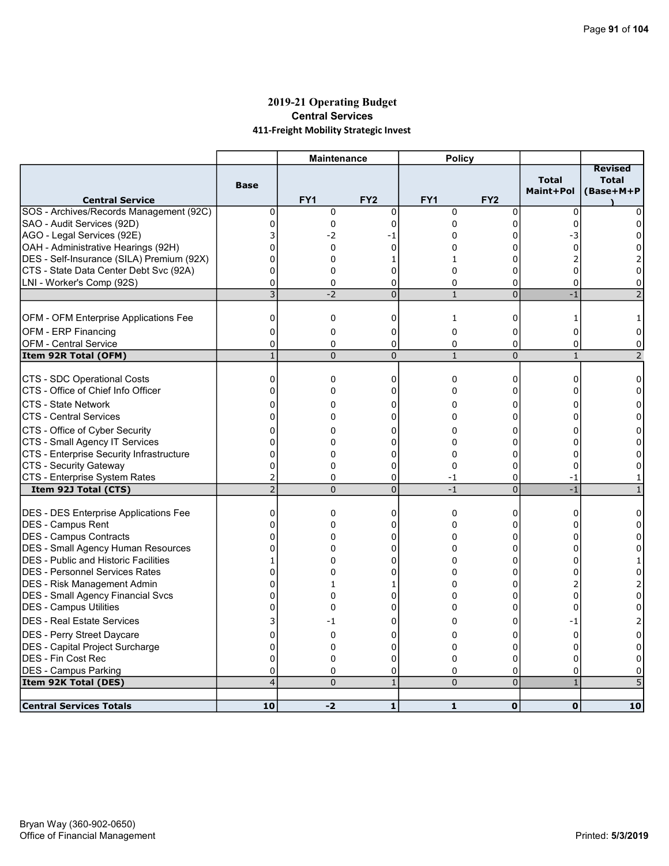## 2019-21 Operating Budget Central Services 411-Freight Mobility Strategic Invest

|                                              |                | <b>Maintenance</b> |                 | <b>Policy</b> |                 |                           |                                             |
|----------------------------------------------|----------------|--------------------|-----------------|---------------|-----------------|---------------------------|---------------------------------------------|
| <b>Central Service</b>                       | <b>Base</b>    | FY1                | FY <sub>2</sub> | FY1           | FY <sub>2</sub> | <b>Total</b><br>Maint+Pol | <b>Revised</b><br><b>Total</b><br>(Base+M+P |
| SOS - Archives/Records Management (92C)      | 0              | $\mathbf 0$        | $\mathbf 0$     | $\mathbf 0$   | 0               | $\Omega$                  | 0                                           |
| SAO - Audit Services (92D)                   | $\mathbf 0$    | 0                  | 0               | 0             | 0               | $\Omega$                  | 0                                           |
| AGO - Legal Services (92E)                   | 3              | -2                 | -1              | 0             | 0               | -3                        | <sup>0</sup>                                |
| OAH - Administrative Hearings (92H)          | 0              | 0                  | 0               | 0             | 0               | $\Omega$                  | 0                                           |
| DES - Self-Insurance (SILA) Premium (92X)    | $\overline{0}$ | 0                  | 1               | 1             | 0               |                           |                                             |
| CTS - State Data Center Debt Svc (92A)       | 0              | $\Omega$           | 0               | $\Omega$      | 0               | 0                         | 0                                           |
| LNI - Worker's Comp (92S)                    | 0              | 0                  | 0               | 0             | 0               | $\Omega$                  | 0                                           |
|                                              | $\overline{3}$ | $-2$               | $\overline{0}$  | $\mathbf{1}$  | $\overline{0}$  | $-1$                      | $\overline{\phantom{0}}$                    |
|                                              |                |                    |                 |               |                 |                           |                                             |
| <b>OFM - OFM Enterprise Applications Fee</b> | 0              | 0                  | 0               | 1             | 0               | 1                         |                                             |
| OFM - ERP Financing                          | 0              | 0                  | 0               | $\mathbf 0$   | 0               | 0                         | 0                                           |
| <b>OFM - Central Service</b>                 | $\mathbf 0$    | 0                  | 0               | 0             | 0               | 0                         | 0                                           |
| Item 92R Total (OFM)                         | $\mathbf{1}$   | $\Omega$           | $\overline{0}$  | $\mathbf{1}$  | $\overline{0}$  | $\mathbf{1}$              | $\overline{2}$                              |
| CTS - SDC Operational Costs                  | $\Omega$       | 0                  | $\mathbf 0$     | $\Omega$      | 0               | $\Omega$                  | 0                                           |
| CTS - Office of Chief Info Officer           | $\mathbf 0$    | 0                  | 0               | 0             | 0               | O                         | 0                                           |
| CTS - State Network                          | $\Omega$       | 0                  | 0               | 0             | 0               | U                         | 0                                           |
| <b>CTS - Central Services</b>                | 0              | 0                  | $\Omega$        | 0             | 0               |                           |                                             |
| CTS - Office of Cyber Security               | 0              | 0                  | 0               | 0             | 0               | n                         | 0                                           |
| CTS - Small Agency IT Services               | 0              | 0                  | 0               | 0             | ი               |                           | 0                                           |
| CTS - Enterprise Security Infrastructure     | 0              | 0                  | $\mathbf 0$     | 0             | $\Omega$        | U                         |                                             |
| CTS - Security Gateway                       | 0              | 0                  | 0               | $\Omega$      | 0               | 0                         | 0                                           |
| CTS - Enterprise System Rates                | 2              | 0                  | 0               | -1            | 0               | -1                        | 1                                           |
| Item 92J Total (CTS)                         | $\overline{2}$ | $\Omega$           | $\overline{0}$  | $-1$          | $\overline{0}$  | $-1$                      | $\mathbf{1}$                                |
|                                              |                |                    |                 |               |                 |                           |                                             |
| <b>DES - DES Enterprise Applications Fee</b> | 0              | 0                  | 0               | $\mathbf 0$   | 0               | 0                         | $\Omega$                                    |
| DES - Campus Rent                            | 0              | 0                  | 0               | 0             | 0               | Ω                         | 0                                           |
| DES - Campus Contracts                       | $\Omega$       | 0                  | $\Omega$        | $\Omega$      | 0               | n                         | 0                                           |
| <b>DES - Small Agency Human Resources</b>    | $\mathbf 0$    | 0                  | 0               | 0             | 0               | O                         | 0                                           |
| <b>DES - Public and Historic Facilities</b>  | 1              | 0                  | 0               | 0             | 0               | n                         | 1                                           |
| <b>DES - Personnel Services Rates</b>        | $\mathbf{0}$   | 0                  | 0               | 0             | 0               | 0                         | 0                                           |
| <b>IDES - Risk Management Admin</b>          | 0              | $\mathbf{1}$       | 1               | 0             | 0               |                           | 2                                           |
| <b>DES - Small Agency Financial Svcs</b>     | $\mathbf 0$    | 0                  | 0               | 0             | 0               | 0                         | 0                                           |
| DES - Campus Utilities                       | 0              | 0                  | 0               | 0             | 0               | 0                         | 0                                           |
| <b>DES - Real Estate Services</b>            | 3              | -1                 | $\Omega$        | 0             | 0               | -1                        | 2                                           |
| <b>DES</b> - Perry Street Daycare            | $\overline{0}$ | 0                  | 0               | 0             | 0               | 0                         | 0                                           |
| DES - Capital Project Surcharge              | $\mathbf 0$    | 0                  | 0               | 0             | 0               | 0                         | $\Omega$                                    |
| DES - Fin Cost Rec                           | $\mathbf 0$    | 0                  | $\mathbf 0$     | 0             | 0               | $\Omega$                  | 0                                           |
| <b>DES - Campus Parking</b>                  | 0              | 0                  | 0               | 0             | 0               | 0                         | 0                                           |
| Item 92K Total (DES)                         | 4              | $\Omega$           | $\mathbf{1}$    | $\Omega$      | $\overline{0}$  | $\mathbf{1}$              |                                             |
|                                              |                |                    |                 |               |                 |                           |                                             |
| <b>Central Services Totals</b>               | 10             | $-2$               | $\mathbf{1}$    | $\mathbf{1}$  | $\mathbf{O}$    | $\mathbf{O}$              | 10                                          |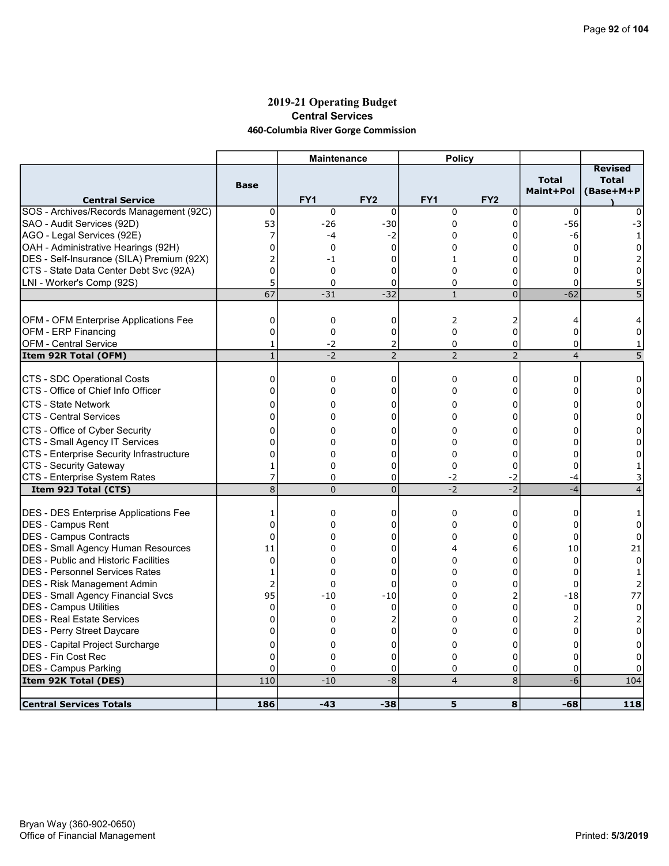## 2019-21 Operating Budget Central Services 460-Columbia River Gorge Commission

|                                              |                | <b>Maintenance</b> |                 | <b>Policy</b>   |                 |                           |                                             |
|----------------------------------------------|----------------|--------------------|-----------------|-----------------|-----------------|---------------------------|---------------------------------------------|
| <b>Central Service</b>                       | <b>Base</b>    | FY <sub>1</sub>    | FY <sub>2</sub> | FY <sub>1</sub> | FY <sub>2</sub> | <b>Total</b><br>Maint+Pol | <b>Revised</b><br><b>Total</b><br>(Base+M+P |
| SOS - Archives/Records Management (92C)      | $\mathbf 0$    | $\mathbf 0$        | $\mathbf 0$     | $\mathbf 0$     | $\mathbf 0$     | 0                         | 0                                           |
| SAO - Audit Services (92D)                   | 53             | $-26$              | $-30$           | $\mathbf 0$     | $\mathbf 0$     | $-56$                     | -3                                          |
| AGO - Legal Services (92E)                   | 7              | -4                 | $-2$            | $\Omega$        | 0               | -6                        | $\mathbf{1}$                                |
| OAH - Administrative Hearings (92H)          | $\mathbf{0}$   | 0                  | $\mathbf 0$     | 0               | ი               | 0                         | 0                                           |
| DES - Self-Insurance (SILA) Premium (92X)    | $\overline{2}$ | -1                 | 0               | $\mathbf{1}$    | 0               |                           |                                             |
| CTS - State Data Center Debt Svc (92A)       | $\mathbf 0$    | 0                  | 0               | 0               | 0               | 0                         | 0                                           |
| LNI - Worker's Comp (92S)                    | 5              | $\Omega$           | 0               | 0               | 0               | $\Omega$                  | 5                                           |
|                                              | 67             | $-31$              | $-32$           | $\mathbf{1}$    | $\overline{0}$  | $-62$                     | 5                                           |
|                                              |                |                    |                 |                 |                 |                           |                                             |
| OFM - OFM Enterprise Applications Fee        | 0              | 0                  | 0               | $\overline{2}$  | 2               | 4                         |                                             |
| OFM - ERP Financing                          | 0              | 0                  | 0               | $\Omega$        | 0               | $\Omega$                  | 0                                           |
| <b>OFM - Central Service</b>                 | 1              | $-2$               | 2               | 0               | 0               | $\mathbf 0$               | 1                                           |
| Item 92R Total (OFM)                         | $\mathbf{1}$   | $-2$               | $\overline{2}$  | $\overline{2}$  | $\overline{2}$  | $\overline{4}$            | 5                                           |
|                                              |                |                    |                 |                 |                 |                           |                                             |
| CTS - SDC Operational Costs                  | $\mathbf 0$    | 0                  | 0               | $\mathbf 0$     | 0               | $\Omega$                  | 0                                           |
| CTS - Office of Chief Info Officer           | $\mathbf 0$    | 0                  | 0               | 0               | 0               | 0                         | 0                                           |
| CTS - State Network                          | 0              | 0                  | 0               | 0               | 0               | 0                         | 0                                           |
| <b>CTS - Central Services</b>                | $\Omega$       | $\Omega$           | $\Omega$        | $\Omega$        | $\Omega$        |                           | 0                                           |
| CTS - Office of Cyber Security               | 0              | 0                  | 0               | 0               | 0               | n                         | O                                           |
| CTS - Small Agency IT Services               | 0              | 0                  | 0               | 0               | 0               |                           | 0                                           |
| CTS - Enterprise Security Infrastructure     | $\overline{0}$ | 0                  | $\Omega$        | $\Omega$        | 0               |                           |                                             |
| CTS - Security Gateway                       | 1              | 0                  | 0               | $\Omega$        | 0               | $\Omega$                  |                                             |
| CTS - Enterprise System Rates                | 7              | $\Omega$           | 0               | $-2$            | $-2$            | -4                        |                                             |
| Item 92J Total (CTS)                         | $\overline{8}$ | $\overline{0}$     | $\overline{0}$  | $-2$            | $-2$            | $-4$                      | 4                                           |
|                                              |                |                    |                 |                 |                 |                           |                                             |
| <b>DES - DES Enterprise Applications Fee</b> | 1              | 0                  | 0               | 0               | 0               | 0                         | 1                                           |
| DES - Campus Rent                            | $\Omega$       | 0                  | $\Omega$        | $\Omega$        | 0               | 0                         | 0                                           |
| <b>IDES - Campus Contracts</b>               | $\Omega$       | 0                  | 0               | 0               | $\overline{0}$  | $\Omega$                  | 0                                           |
| <b>DES - Small Agency Human Resources</b>    | 11             | 0                  | 0               | 4               | 6               | 10                        | 21                                          |
| <b>DES - Public and Historic Facilities</b>  | 0              | 0                  | 0               | $\Omega$        | 0               | $\Omega$                  | $\Omega$                                    |
| IDES - Personnel Services Rates              | $\mathbf{1}$   | $\Omega$           | 0               | $\Omega$        | 0               | $\Omega$                  | -1                                          |
| DES - Risk Management Admin                  | $\overline{2}$ | 0                  | 0               | 0               | 0               | $\Omega$                  |                                             |
| <b>DES - Small Agency Financial Svcs</b>     | 95             | $-10$              | $-10$           | 0               | 2               | $-18$                     | 77                                          |
| DES - Campus Utilities                       | 0              | 0                  | $\mathbf 0$     | 0               | 0               | 0                         | 0                                           |
| <b>DES - Real Estate Services</b>            | $\Omega$       | 0                  | 2               | 0               | $\Omega$        |                           |                                             |
| DES - Perry Street Daycare                   | 0              | 0                  | 0               | $\Omega$        | 0               | $\Omega$                  | $\Omega$                                    |
| DES - Capital Project Surcharge              | 0              | 0                  | 0               | 0               | 0               | 0                         | 0                                           |
| <b>DES - Fin Cost Rec</b>                    | $\mathbf 0$    | 0                  | 0               | 0               | 0               | 0                         | 0                                           |
| <b>DES - Campus Parking</b>                  | $\Omega$       | $\Omega$           | 0               | 0               | 0               | 0                         | 0                                           |
| Item 92K Total (DES)                         | 110            | $-10$              | $-8$            | $\overline{4}$  | 8               | $-6$                      | 104                                         |
|                                              |                |                    |                 |                 |                 |                           |                                             |
| <b>Central Services Totals</b>               | 186            | $-43$              | $-38$           | 5               | 8               | $-68$                     | 118                                         |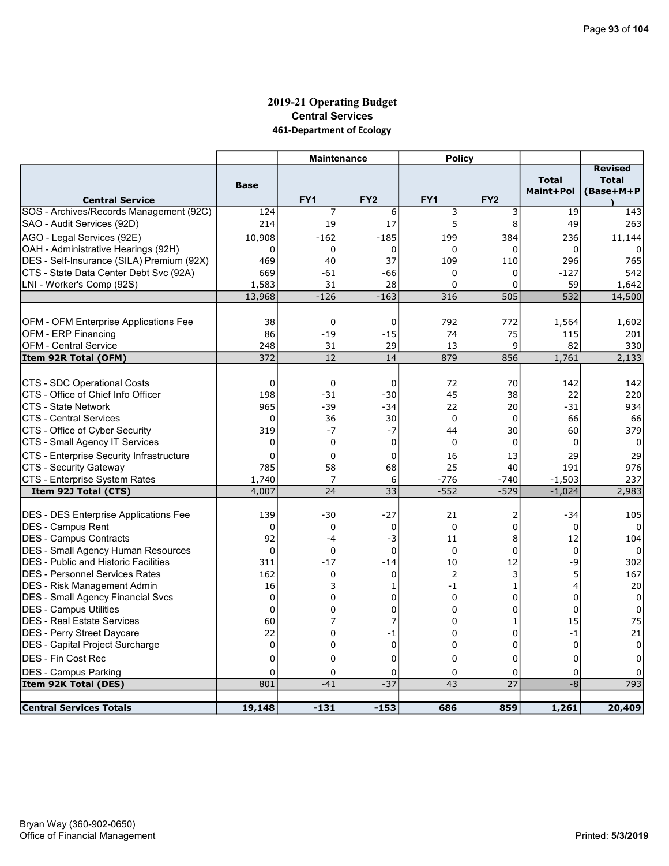## 2019-21 Operating Budget Central Services 461-Department of Ecology

|                                                       |                | <b>Maintenance</b>  |                 | <b>Policy</b>    |                  |                           |                                             |
|-------------------------------------------------------|----------------|---------------------|-----------------|------------------|------------------|---------------------------|---------------------------------------------|
| <b>Central Service</b>                                | <b>Base</b>    | FY1                 | FY <sub>2</sub> | FY1              | FY <sub>2</sub>  | <b>Total</b><br>Maint+Pol | <b>Revised</b><br><b>Total</b><br>(Base+M+P |
| SOS - Archives/Records Management (92C)               | 124            | $\overline{7}$      | 6               | 3                | 3                | 19                        | 143                                         |
| SAO - Audit Services (92D)                            | 214            | 19                  | 17              | 5                | 8                | 49                        | 263                                         |
| AGO - Legal Services (92E)                            | 10,908         | $-162$              | $-185$          | 199              | 384              | 236                       | 11,144                                      |
| OAH - Administrative Hearings (92H)                   | 0              | $\mathbf 0$         | $\mathbf 0$     | 0                | 0                | 0                         | 0                                           |
| DES - Self-Insurance (SILA) Premium (92X)             | 469            | 40                  | 37              | 109              | 110              | 296                       | 765                                         |
| CTS - State Data Center Debt Svc (92A)                | 669            | -61                 | $-66$           | $\Omega$         | 0                | $-127$                    | 542                                         |
| LNI - Worker's Comp (92S)                             | 1,583          | 31                  | 28              | $\Omega$         | 0                | 59                        | 1,642                                       |
|                                                       | 13,968         | $-126$              | $-163$          | 316              | 505              | 532                       | 14,500                                      |
|                                                       |                |                     |                 |                  |                  |                           |                                             |
| OFM - OFM Enterprise Applications Fee                 | 38             | $\Omega$            | $\mathbf 0$     | 792              | 772              | 1,564                     | 1,602                                       |
| OFM - ERP Financing                                   | 86             | $-19$               | $-15$           | 74               | 75               | 115                       | 201                                         |
| OFM - Central Service                                 | 248            | 31                  | 29              | 13               | 9                | 82                        | 330                                         |
| Item 92R Total (OFM)                                  | 372            | 12                  | 14              | 879              | 856              | 1,761                     | 2,133                                       |
|                                                       |                |                     |                 |                  |                  |                           |                                             |
| CTS - SDC Operational Costs                           | $\mathbf 0$    | $\mathbf 0$         | $\mathbf 0$     | 72               | 70               | 142                       | 142                                         |
| ICTS - Office of Chief Info Officer                   | 198            | $-31$               | $-30$           | 45               | 38               | 22                        | 220                                         |
| ICTS - State Network                                  | 965            | $-39$               | $-34$           | 22               | 20               | $-31$                     | 934                                         |
| ICTS - Central Services                               | $\Omega$       | 36                  | 30              | $\Omega$         | $\Omega$         | 66                        | 66                                          |
| CTS - Office of Cyber Security                        | 319            | $-7$<br>$\mathbf 0$ | $-7$            | 44               | 30               | 60                        | 379                                         |
| CTS - Small Agency IT Services                        | 0              |                     | $\mathbf 0$     | 0                | 0                | 0                         | 0                                           |
| CTS - Enterprise Security Infrastructure              | $\Omega$       | $\Omega$            | $\mathbf 0$     | 16               | 13               | 29                        | 29                                          |
| CTS - Security Gateway                                | 785            | 58                  | 68              | 25               | 40               | 191                       | 976                                         |
| CTS - Enterprise System Rates<br>Item 92J Total (CTS) | 1,740<br>4,007 | 7<br>24             | 6<br>33         | $-776$<br>$-552$ | $-740$<br>$-529$ | $-1,503$<br>$-1,024$      | 237<br>2,983                                |
|                                                       |                |                     |                 |                  |                  |                           |                                             |
| <b>DES - DES Enterprise Applications Fee</b>          | 139            | $-30$               | $-27$           | 21               | 2                | $-34$                     | 105                                         |
| DES - Campus Rent                                     | 0              | $\mathbf 0$         | 0               | $\Omega$         | 0                | $\mathbf 0$               | $\Omega$                                    |
| DES - Campus Contracts                                | 92             | $-4$                | -3              | 11               | 8                | 12                        | 104                                         |
| DES - Small Agency Human Resources                    | $\overline{0}$ | $\mathbf 0$         | $\mathbf 0$     | $\mathbf{0}$     | 0                | $\mathbf 0$               | $\Omega$                                    |
| <b>IDES - Public and Historic Facilities</b>          | 311            | $-17$               | $-14$           | 10               | 12               | -9                        | 302                                         |
| <b>IDES - Personnel Services Rates</b>                | 162            | $\mathbf 0$         | $\mathbf 0$     | $\overline{2}$   | 3                | 5                         | 167                                         |
| DES - Risk Management Admin                           | 16             | 3                   | $\mathbf{1}$    | $-1$             | $\mathbf{1}$     | $\overline{4}$            | 20                                          |
| DES - Small Agency Financial Svcs                     | $\mathbf 0$    | 0                   | 0               | $\mathbf 0$      | 0                | $\mathbf 0$               | $\Omega$                                    |
| DES - Campus Utilities                                | $\mathbf 0$    | 0                   | 0               | 0                | 0                | $\mathbf 0$               | 0                                           |
| IDES - Real Estate Services                           | 60             | 7                   | 7               | $\overline{0}$   | $\mathbf{1}$     | 15                        | 75                                          |
| DES - Perry Street Daycare                            | 22             | 0                   | $-1$            | 0                | 0                | $-1$                      | 21                                          |
| DES - Capital Project Surcharge                       | 0              | 0                   | $\mathbf 0$     | 0                | 0                | $\mathbf 0$               | 0                                           |
| IDES - Fin Cost Rec                                   | 0              | $\mathbf 0$         | $\mathbf 0$     | $\Omega$         | 0                | $\mathbf 0$               | 0                                           |
| <b>DES - Campus Parking</b>                           | 0              | $\mathbf 0$         | 0               | 0                | 0                | 0                         |                                             |
| Item 92K Total (DES)                                  | 801            | $-41$               | $-37$           | 43               | 27               | $-8$                      | 793                                         |
|                                                       |                |                     |                 |                  |                  |                           |                                             |
| <b>Central Services Totals</b>                        | 19,148         | $-131$              | $-153$          | 686              | 859              | 1,261                     | 20,409                                      |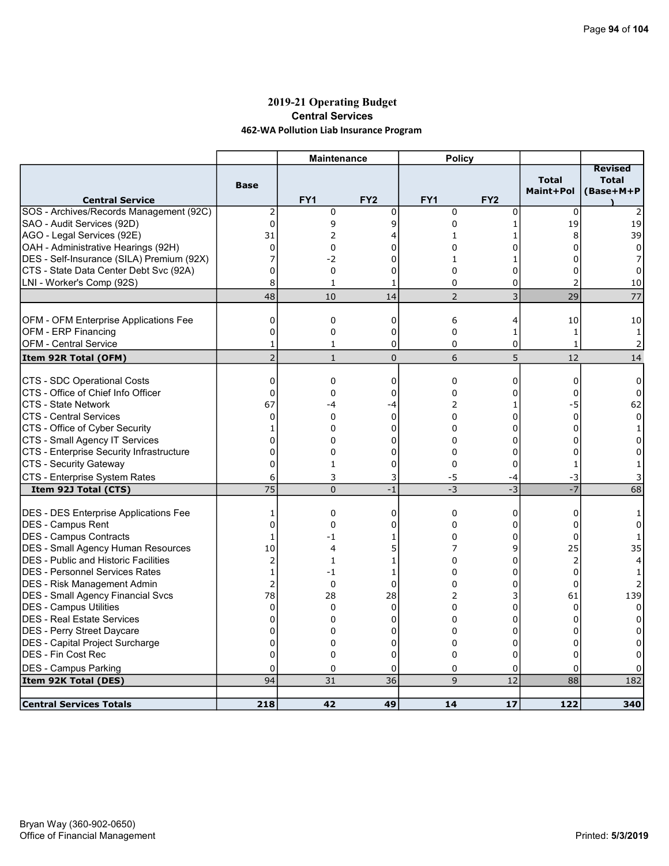## 2019-21 Operating Budget Central Services 462-WA Pollution Liab Insurance Program

|                                                       |                      | <b>Maintenance</b> |                    | <b>Policy</b>   |                 |                           |                                             |
|-------------------------------------------------------|----------------------|--------------------|--------------------|-----------------|-----------------|---------------------------|---------------------------------------------|
| <b>Central Service</b>                                | <b>Base</b>          | FY <sub>1</sub>    | FY <sub>2</sub>    | FY <sub>1</sub> | FY <sub>2</sub> | <b>Total</b><br>Maint+Pol | <b>Revised</b><br><b>Total</b><br>(Base+M+P |
| SOS - Archives/Records Management (92C)               | $\overline{2}$       | $\mathbf 0$        | 0                  | $\mathbf 0$     | 0               | $\mathbf 0$               |                                             |
| SAO - Audit Services (92D)                            | $\pmb{0}$            | 9                  | 9                  | 0               | $\mathbf{1}$    | 19                        | 19                                          |
| AGO - Legal Services (92E)                            | 31                   | 2                  | 4                  | 1               | 1               | 8                         | 39                                          |
| OAH - Administrative Hearings (92H)                   | $\mathbf 0$          | 0                  | U                  | 0               | 0               | 0                         | $\Omega$                                    |
| DES - Self-Insurance (SILA) Premium (92X)             | 7                    | $-2$               | $\Omega$           | $\mathbf{1}$    |                 | O                         |                                             |
| CTS - State Data Center Debt Svc (92A)                | 0                    | 0                  | 0                  | 0               | 0               | 0                         | 0                                           |
| LNI - Worker's Comp (92S)                             | 8                    | $\mathbf{1}$       | 1                  | $\mathbf 0$     | 0               | $\overline{2}$            | 10                                          |
|                                                       | 48                   | 10                 | 14                 | $\overline{2}$  | 3               | 29                        | 77                                          |
|                                                       |                      |                    |                    |                 |                 |                           |                                             |
| OFM - OFM Enterprise Applications Fee                 | $\mathbf 0$          | 0                  | $\mathbf 0$        | 6               | 4               | 10                        | 10                                          |
| OFM - ERP Financing                                   | $\mathbf 0$          | 0                  | 0                  | $\mathbf 0$     | 1               | $\mathbf{1}$              | $\mathbf{1}$                                |
| <b>OFM - Central Service</b>                          | 1                    | 1                  | 0                  | 0               | 0               | $\mathbf{1}$              | $\overline{2}$                              |
| Item 92R Total (OFM)                                  | $\overline{2}$       | $\mathbf{1}$       | $\mathbf 0$        | 6               | 5               | 12                        | 14                                          |
| CTS - SDC Operational Costs                           | 0                    | 0                  | 0                  | 0               | 0               | 0                         | 0                                           |
| CTS - Office of Chief Info Officer                    | $\mathbf 0$          | 0                  | 0                  | $\Omega$        | 0               | 0                         | 0                                           |
| <b>CTS - State Network</b>                            | 67                   | -4                 |                    | 2               | 1               | $-5$                      | 62                                          |
| <b>CTS - Central Services</b>                         | $\mathbf{0}$         | 0                  | -4<br>$\mathbf{0}$ | $\Omega$        | $\Omega$        | $\Omega$                  | 0                                           |
| CTS - Office of Cyber Security                        |                      | 0                  | 0                  | 0               | 0               | $\Omega$                  | 1                                           |
| CTS - Small Agency IT Services                        | 1<br>$\Omega$        | $\Omega$           | 0                  | $\Omega$        | $\Omega$        |                           | 0                                           |
| CTS - Enterprise Security Infrastructure              | $\mathbf 0$          | 0                  | 0                  | 0               | 0               | $\Omega$                  | 0                                           |
| CTS - Security Gateway                                | 0                    | $\mathbf{1}$       | 0                  | $\Omega$        | 0               | $\mathbf{1}$              |                                             |
|                                                       |                      |                    |                    |                 |                 |                           |                                             |
| CTS - Enterprise System Rates<br>Item 92J Total (CTS) | 6<br>$\overline{75}$ | 3<br>$\Omega$      | 3<br>$-1$          | -5<br>$-3$      | -4<br>$-3$      | -3<br>$\overline{-7}$     | 68                                          |
|                                                       |                      |                    |                    |                 |                 |                           |                                             |
| <b>DES - DES Enterprise Applications Fee</b>          | 1                    | 0                  | $\mathbf{0}$       | $\mathbf 0$     | 0               | $\Omega$                  | 1                                           |
| <b>DES - Campus Rent</b>                              | $\mathbf 0$          | 0                  | 0                  | 0               | 0               | 0                         | 0                                           |
| DES - Campus Contracts                                | 1                    | $-1$               | 1                  | 0               | 0               | $\Omega$                  | 1                                           |
| DES - Small Agency Human Resources                    | 10                   | 4                  | 5                  | 7               | 9               | 25                        | 35                                          |
| <b>DES</b> - Public and Historic Facilities           | $\overline{2}$       | 1                  | 1                  | $\Omega$        | 0               | $\overline{2}$            | 4                                           |
| DES - Personnel Services Rates                        | $\mathbf{1}$         | -1                 | 1                  | 0               | 0               | $\Omega$                  |                                             |
| <b>DES - Risk Management Admin</b>                    | $\overline{2}$       | 0                  | $\overline{0}$     | 0               | 0               | $\Omega$                  |                                             |
| DES - Small Agency Financial Svcs                     | 78                   | 28                 | 28                 | $\overline{2}$  | 3               | 61                        | 139                                         |
| DES - Campus Utilities                                | 0                    | 0                  | $\Omega$           | 0               | 0               | $\Omega$                  | $\Omega$                                    |
| DES - Real Estate Services                            | 0                    | 0                  | 0                  | 0               | 0               | 0                         | 0                                           |
| DES - Perry Street Daycare                            | 0                    | 0                  | 0                  | $\Omega$        | 0               | 0                         | 0                                           |
| DES - Capital Project Surcharge                       | $\mathbf 0$          | 0                  | 0                  | 0               | 0               | $\Omega$                  | 0                                           |
| DES - Fin Cost Rec                                    | $\mathbf 0$          | 0                  | 0                  | 0               | 0               | $\Omega$                  |                                             |
| <b>DES - Campus Parking</b>                           | 0                    | 0                  | 0                  | 0               | 0               | $\Omega$                  |                                             |
| Item 92K Total (DES)                                  | 94                   | 31                 | 36                 | 9               | 12              | 88                        | 182                                         |
|                                                       |                      |                    |                    |                 |                 |                           |                                             |
| <b>Central Services Totals</b>                        | 218                  | 42                 | 49                 | 14              | 17              | 122                       | 340                                         |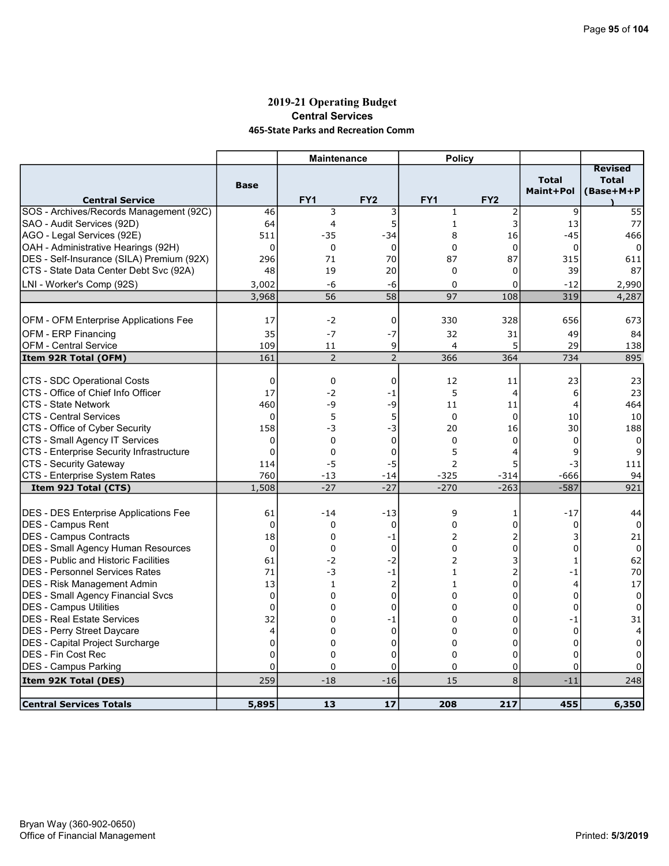#### 2019-21 Operating Budget Central Services 465-State Parks and Recreation Comm

|                                                            |                 | <b>Maintenance</b> |                 | <b>Policy</b>   |                 |                           |                                             |
|------------------------------------------------------------|-----------------|--------------------|-----------------|-----------------|-----------------|---------------------------|---------------------------------------------|
| <b>Central Service</b>                                     | <b>Base</b>     | FY <sub>1</sub>    | FY <sub>2</sub> | FY <sub>1</sub> | FY <sub>2</sub> | <b>Total</b><br>Maint+Pol | <b>Revised</b><br><b>Total</b><br>(Base+M+P |
| SOS - Archives/Records Management (92C)                    | 46              | 3                  | 3               | $1\,$           | 2               | 9                         | 55                                          |
| SAO - Audit Services (92D)                                 | 64              | 4                  | 5               | $\mathbf 1$     | 3               | 13                        | 77                                          |
| AGO - Legal Services (92E)                                 | 511             | $-35$              | $-34$           | 8               | 16              | $-45$                     | 466                                         |
| OAH - Administrative Hearings (92H)                        | $\Omega$        | $\Omega$           | $\Omega$        | $\Omega$        | $\mathbf 0$     | $\Omega$                  | $\Omega$                                    |
| DES - Self-Insurance (SILA) Premium (92X)                  | 296             | 71                 | 70              | 87              | 87              | 315                       | 611                                         |
| CTS - State Data Center Debt Svc (92A)                     | 48              | 19                 | 20              | $\mathbf 0$     | 0               | 39                        | 87                                          |
| LNI - Worker's Comp (92S)                                  | 3,002           | -6                 | -6              | $\Omega$        | 0               | $-12$                     | 2,990                                       |
|                                                            | 3,968           | 56                 | $\overline{58}$ | 97              | 108             | 319                       | 4,287                                       |
|                                                            |                 |                    |                 |                 |                 |                           |                                             |
| OFM - OFM Enterprise Applications Fee                      | 17              | $-2$               | $\pmb{0}$       | 330             | 328             | 656                       | 673                                         |
| OFM - ERP Financing                                        | 35              | $-7$               | $-7$            | 32              | 31              | 49                        | 84                                          |
| <b>OFM - Central Service</b>                               | 109             | 11                 | 9               | 4               | 5               | 29                        | 138                                         |
| Item 92R Total (OFM)                                       | 161             | $\overline{2}$     | $\overline{2}$  | 366             | 364             | 734                       | 895                                         |
|                                                            |                 |                    |                 |                 |                 |                           |                                             |
| CTS - SDC Operational Costs                                | 0               | 0                  | 0               | 12              | 11              | 23                        | 23                                          |
| ICTS - Office of Chief Info Officer<br>CTS - State Network | 17              | $-2$<br>-9         | $-1$            | 5               | $\overline{4}$  | 6                         | 23                                          |
| ICTS - Central Services                                    | 460<br>$\Omega$ | 5                  | -9<br>5         | 11<br>$\Omega$  | 11<br>$\Omega$  | 4<br>10                   | 464<br>10                                   |
| CTS - Office of Cyber Security                             | 158             | -3                 | -3              | 20              | 16              | 30                        | 188                                         |
| CTS - Small Agency IT Services                             | $\Omega$        | $\mathbf{0}$       | $\mathbf 0$     | $\Omega$        | $\mathbf 0$     | $\Omega$                  | $\Omega$                                    |
| CTS - Enterprise Security Infrastructure                   | 0               | $\mathbf 0$        | $\mathbf 0$     | 5               | 4               | 9                         | 9                                           |
| CTS - Security Gateway                                     | 114             | $-5$               | $-5$            | $\overline{2}$  | 5               | $-3$                      | 111                                         |
| CTS - Enterprise System Rates                              | 760             | $-13$              | $-14$           | $-325$          | $-314$          | $-666$                    | 94                                          |
| Item 92J Total (CTS)                                       | 1,508           | $-27$              | $-27$           | $-270$          | $-263$          | $-587$                    | 921                                         |
|                                                            |                 |                    |                 |                 |                 |                           |                                             |
| <b>DES - DES Enterprise Applications Fee</b>               | 61              | $-14$              | $-13$           | 9               | 1               | $-17$                     | 44                                          |
| DES - Campus Rent                                          | 0               | 0                  | 0               | $\mathbf 0$     | 0               | 0                         | 0                                           |
| <b>IDES - Campus Contracts</b>                             | 18              | 0                  | $-1$            | 2               | 2               | 3                         | 21                                          |
| <b>DES - Small Agency Human Resources</b>                  | $\mathbf 0$     | $\mathbf 0$        | 0               | 0               | 0               | $\mathbf 0$               | 0                                           |
| <b>DES - Public and Historic Facilities</b>                | 61              | $-2$               | $-2$            | 2               | 3               | $\mathbf{1}$              | 62                                          |
| DES - Personnel Services Rates                             | 71              | -3                 | $-1$            | 1               | $\overline{2}$  | $-1$                      | 70                                          |
| DES - Risk Management Admin                                | 13              | $\mathbf{1}$       | $\overline{2}$  | $\mathbf{1}$    | 0               | $\overline{4}$            | 17                                          |
| DES - Small Agency Financial Svcs                          | $\mathbf 0$     | $\overline{0}$     | $\mathbf 0$     | $\Omega$        | 0               | $\mathbf 0$               | 0                                           |
| <b>DES - Campus Utilities</b>                              | 0               | 0                  | 0               | $\Omega$        | 0               | 0                         | 0                                           |
| <b>DES - Real Estate Services</b>                          | 32              | 0                  | $-1$            | 0               | 0               | $-1$                      | 31                                          |
| DES - Perry Street Daycare                                 | 4               | $\mathbf 0$        | $\mathbf 0$     | $\Omega$        | 0               | $\mathbf 0$               | 4                                           |
| DES - Capital Project Surcharge                            | 0               | 0                  | $\mathbf 0$     | 0               | 0               | $\mathbf 0$               | 0                                           |
| <b>IDES - Fin Cost Rec</b>                                 | 0               | 0                  | $\mathbf 0$     | 0               | 0               | $\mathbf 0$               | $\Omega$                                    |
| DES - Campus Parking                                       | $\Omega$        | $\mathbf 0$        | $\overline{0}$  | $\Omega$        | 0               | $\mathbf 0$               | 0                                           |
| Item 92K Total (DES)                                       | 259             | $-18$              | $-16$           | 15              | 8               | $-11$                     | 248                                         |
|                                                            |                 |                    |                 |                 |                 |                           |                                             |
| <b>Central Services Totals</b>                             | 5,895           | 13                 | 17              | 208             | 217             | 455                       | 6,350                                       |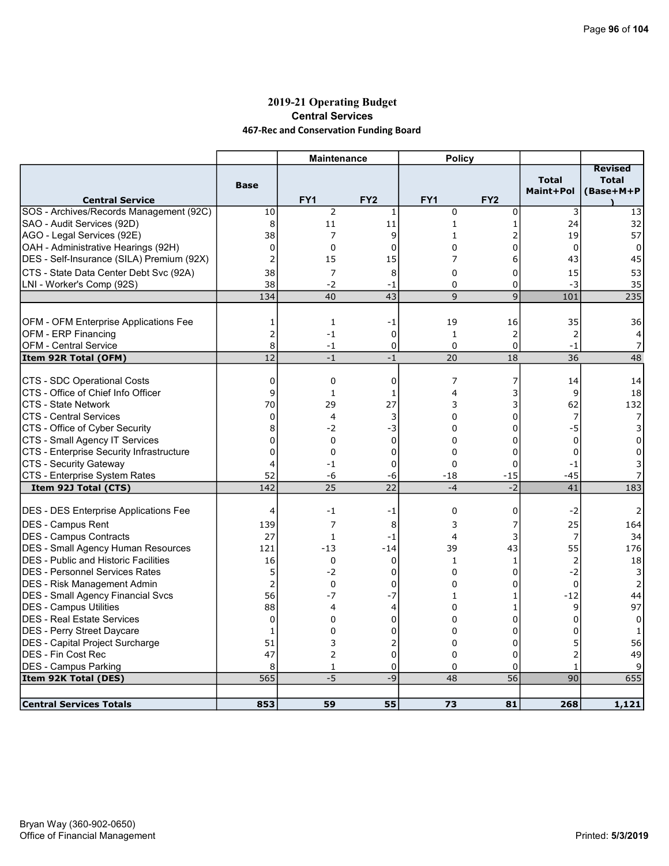## 2019-21 Operating Budget Central Services 467-Rec and Conservation Funding Board

|                                                                     |                 | <b>Maintenance</b> |                 | <b>Policy</b>   |                 |                           |                                             |
|---------------------------------------------------------------------|-----------------|--------------------|-----------------|-----------------|-----------------|---------------------------|---------------------------------------------|
| <b>Central Service</b>                                              | <b>Base</b>     | FY <sub>1</sub>    | FY <sub>2</sub> | FY <sub>1</sub> | FY <sub>2</sub> | <b>Total</b><br>Maint+Pol | <b>Revised</b><br><b>Total</b><br>(Base+M+P |
| SOS - Archives/Records Management (92C)                             | 10              | $\overline{2}$     | 1               | $\mathbf 0$     | 0               | 3                         | 13                                          |
| SAO - Audit Services (92D)                                          | 8               | 11                 | 11              | $\mathbf{1}$    | 1               | 24                        | 32                                          |
| AGO - Legal Services (92E)                                          | 38              | 7                  | 9               | $\mathbf{1}$    | 2               | 19                        | 57                                          |
| OAH - Administrative Hearings (92H)                                 | 0               | $\mathbf 0$        | $\mathbf 0$     | $\Omega$        | 0               | $\mathbf 0$               | 0                                           |
| DES - Self-Insurance (SILA) Premium (92X)                           | $\overline{2}$  | 15                 | 15              | 7               | 6               | 43                        | 45                                          |
| CTS - State Data Center Debt Svc (92A)                              | 38              | 7                  | 8               | $\mathbf 0$     | 0               | 15                        | 53                                          |
| LNI - Worker's Comp (92S)                                           | 38              | $-2$               | $-1$            | $\mathbf 0$     | 0               | $-3$                      | 35                                          |
|                                                                     | 134             | 40                 | 43              | 9               | 9               | 101                       | 235                                         |
|                                                                     |                 |                    |                 |                 |                 |                           |                                             |
| OFM - OFM Enterprise Applications Fee                               | 1               | 1                  | -1              | 19              | 16              | 35                        | 36                                          |
| OFM - ERP Financing                                                 | $\overline{2}$  | $-1$               | $\mathbf 0$     | $\mathbf{1}$    | $\overline{2}$  | $\overline{2}$            | 4                                           |
| OFM - Central Service                                               | 8               | $-1$               | 0               | 0               | 0               | $-1$                      | 7                                           |
| Item 92R Total (OFM)                                                | $\overline{12}$ | $-1$               | $-1$            | 20              | 18              | 36                        | 48                                          |
|                                                                     |                 |                    |                 |                 |                 |                           |                                             |
| CTS - SDC Operational Costs                                         | 0               | 0                  | 0               | 7               | 7               | 14                        | 14                                          |
| CTS - Office of Chief Info Officer                                  | 9               | $\mathbf{1}$       | 1               | $\overline{4}$  | 3               | 9                         | 18                                          |
| CTS - State Network                                                 | 70              | 29                 | 27              | 3               | 3               | 62                        | 132                                         |
| ICTS - Central Services                                             | $\mathbf 0$     | $\overline{4}$     | 3               | $\Omega$        | 0               | 7                         | 7                                           |
| CTS - Office of Cyber Security                                      | 8               | -2                 | -3              | 0               | 0               | -5                        | 3                                           |
| CTS - Small Agency IT Services                                      | 0               | $\Omega$           | $\mathbf 0$     | $\Omega$        | 0               | $\mathbf 0$               | $\Omega$                                    |
| CTS - Enterprise Security Infrastructure                            | 0               | $\mathbf 0$        | 0               | $\mathbf 0$     | 0               | $\mathbf 0$               | 0                                           |
| CTS - Security Gateway                                              | 4               | $-1$               | 0               | $\Omega$        | 0               | $-1$                      | 3                                           |
| CTS - Enterprise System Rates                                       | 52              | -6                 | -6              | $-18$           | $-15$           | $-45$                     |                                             |
| Item 92J Total (CTS)                                                | 142             | 25                 | $\overline{22}$ | $-4$            | $-2$            | 41                        | 183                                         |
| <b>DES - DES Enterprise Applications Fee</b>                        | 4               | $-1$               | -1              | 0               | 0               | $-2$                      | 2                                           |
| DES - Campus Rent                                                   | 139             | 7                  | 8               | 3               | 7               | 25                        | 164                                         |
|                                                                     | 27              | 1                  | $-1$            | 4               | 3               | 7                         | 34                                          |
| DES - Campus Contracts<br><b>DES - Small Agency Human Resources</b> | 121             | $-13$              | $-14$           | 39              | 43              | 55                        | 176                                         |
| <b>DES</b> - Public and Historic Facilities                         | 16              | $\mathbf 0$        | $\mathbf 0$     | $\mathbf{1}$    | 1               | $\overline{2}$            | 18                                          |
| IDES - Personnel Services Rates                                     | 5               | $-2$               | $\mathbf 0$     | $\Omega$        | 0               | $-2$                      | 3                                           |
|                                                                     | $\overline{2}$  |                    |                 |                 |                 |                           |                                             |
| <b>DES - Risk Management Admin</b>                                  | 56              | 0<br>$-7$          | 0               | 0               | 0               | $\mathbf 0$               | 2                                           |
| <b>DES - Small Agency Financial Svcs</b>                            |                 |                    | $-7$            | 1               | 1               | $-12$                     | 44                                          |
| DES - Campus Utilities                                              | 88              | 4                  | 4               | 0               | 1               | 9                         | 97                                          |
| <b>DES - Real Estate Services</b>                                   | 0               | 0                  | 0               | $\Omega$        | 0               | $\Omega$                  | $\Omega$                                    |
| DES - Perry Street Daycare                                          | 1               | $\Omega$           | 0               | $\Omega$        | 0               | $\Omega$                  | 1                                           |
| DES - Capital Project Surcharge                                     | 51              | 3                  | $\overline{c}$  | 0               | 0               | 5                         | 56                                          |
| IDES - Fin Cost Rec                                                 | 47              | $\overline{2}$     | $\mathbf 0$     | $\Omega$        | 0               | $\overline{2}$            | 49                                          |
| DES - Campus Parking                                                | 8               | 1                  | 0               | $\Omega$        | 0               | 1                         | 9                                           |
| Item 92K Total (DES)                                                | 565             | $-5$               | -9              | 48              | 56              | 90                        | 655                                         |
| <b>Central Services Totals</b>                                      | 853             | 59                 | 55              | 73              | 81              | 268                       | 1,121                                       |
|                                                                     |                 |                    |                 |                 |                 |                           |                                             |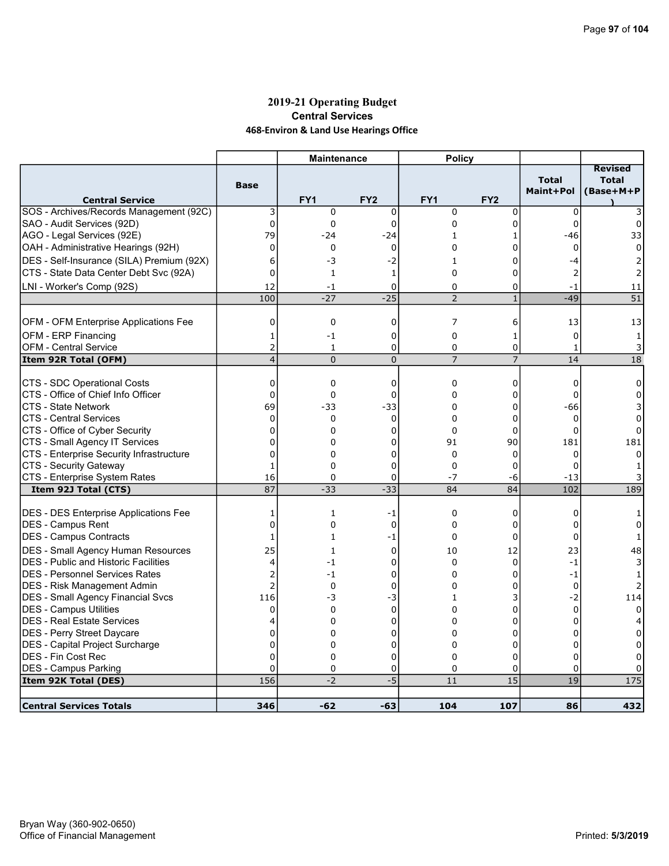## 2019-21 Operating Budget Central Services 468-Environ & Land Use Hearings Office

|                                              |                | <b>Maintenance</b> |                 | <b>Policy</b>   |                 |                           |                                             |
|----------------------------------------------|----------------|--------------------|-----------------|-----------------|-----------------|---------------------------|---------------------------------------------|
| <b>Central Service</b>                       | <b>Base</b>    | FY1                | FY <sub>2</sub> | FY <sub>1</sub> | FY <sub>2</sub> | <b>Total</b><br>Maint+Pol | <b>Revised</b><br><b>Total</b><br>(Base+M+P |
| SOS - Archives/Records Management (92C)      | 3              | $\mathbf 0$        | $\mathbf 0$     | $\mathbf 0$     | 0               | $\mathbf 0$               |                                             |
| SAO - Audit Services (92D)                   | $\pmb{0}$      | $\mathbf 0$        | $\mathbf 0$     | $\mathbf 0$     | 0               | $\mathbf 0$               | 0                                           |
| AGO - Legal Services (92E)                   | 79             | $-24$              | $-24$           | 1               | 1               | -46                       | 33                                          |
| OAH - Administrative Hearings (92H)          | 0              | $\mathbf 0$        | $\mathbf 0$     | 0               | 0               | $\mathbf 0$               | 0                                           |
| DES - Self-Insurance (SILA) Premium (92X)    | 6              | -3                 | $-2$            | $\mathbf{1}$    | 0               | -4                        |                                             |
| CTS - State Data Center Debt Svc (92A)       | 0              | $\mathbf{1}$       | $\mathbf{1}$    | $\Omega$        | 0               | $\overline{2}$            |                                             |
| LNI - Worker's Comp (92S)                    | 12             | $-1$               | 0               | $\Omega$        | 0               | $-1$                      | 11                                          |
|                                              | 100            | $-27$              | $-25$           | $\overline{2}$  | $\mathbf{1}$    | $-49$                     | $\overline{51}$                             |
| OFM - OFM Enterprise Applications Fee        | 0              | $\mathbf 0$        | 0               | 7               | 6               | 13                        | 13                                          |
| OFM - ERP Financing                          | 1              | $-1$               | $\mathbf 0$     | $\mathbf 0$     | 1               | $\Omega$                  | 1                                           |
| OFM - Central Service                        | 2              | $\mathbf{1}$       | 0               | 0               | 0               | $\mathbf{1}$              | 3                                           |
| Item 92R Total (OFM)                         | $\overline{4}$ | $\overline{0}$     | $\mathbf 0$     | $\overline{7}$  | $\overline{7}$  | 14                        | $\overline{18}$                             |
|                                              |                |                    |                 |                 |                 |                           |                                             |
| CTS - SDC Operational Costs                  | 0              | 0                  | 0               | 0               | 0               | 0                         | 0                                           |
| ICTS - Office of Chief Info Officer          | 0              | $\mathbf 0$        | 0               | $\Omega$        | 0               | $\Omega$                  | 0                                           |
| ICTS - State Network                         | 69             | $-33$              | $-33$           | 0               | 0               | -66                       | 3                                           |
| <b>CTS - Central Services</b>                | $\Omega$       | $\mathbf{0}$       | $\Omega$        | $\Omega$        | $\mathbf 0$     | $\Omega$                  | 0                                           |
| CTS - Office of Cyber Security               | 0              | 0                  | 0               | $\Omega$        | 0               | $\Omega$                  |                                             |
| CTS - Small Agency IT Services               | 0              | 0                  | 0               | 91              | 90              | 181                       | 181                                         |
| CTS - Enterprise Security Infrastructure     | $\Omega$       | 0                  | 0               | $\Omega$        | $\Omega$        | $\Omega$                  |                                             |
| CTS - Security Gateway                       | $\mathbf{1}$   | 0                  | 0               | $\Omega$        | 0               | $\Omega$                  |                                             |
| CTS - Enterprise System Rates                | 16             | 0                  | 0               | $-7$            | -6              | $-13$                     |                                             |
| Item 92J Total (CTS)                         | 87             | $-33$              | $-33$           | 84              | 84              | 102                       | 189                                         |
| <b>DES - DES Enterprise Applications Fee</b> | 1              | 1                  | -1              | $\mathbf 0$     | 0               | 0                         |                                             |
| <b>IDES - Campus Rent</b>                    | 0              | 0                  | $\mathbf 0$     | 0               | 0               | 0                         | 0                                           |
| DES - Campus Contracts                       | 1              | $\mathbf{1}$       | -1              | $\Omega$        | $\Omega$        | $\Omega$                  |                                             |
| DES - Small Agency Human Resources           | 25             | 1                  | 0               | 10              | 12              | 23                        | 48                                          |
| <b>DES</b> - Public and Historic Facilities  | 4              | $-1$               | 0               | $\Omega$        | 0               | $-1$                      |                                             |
| IDES - Personnel Services Rates              | $\overline{2}$ | $-1$               | 0               | $\Omega$        | 0               | $-1$                      |                                             |
| <b>DES - Risk Management Admin</b>           | $\overline{2}$ | $\mathbf 0$        | 0               | 0               | 0               | 0                         |                                             |
| <b>DES - Small Agency Financial Svcs</b>     | 116            | -3                 | -3              | $\mathbf{1}$    | 3               | $-2$                      | 114                                         |
| <b>DES - Campus Utilities</b>                | 0              | $\mathbf 0$        | $\mathbf 0$     | 0               | 0               | 0                         | $\Omega$                                    |
| DES - Real Estate Services                   | 4              | $\Omega$           | $\Omega$        | $\Omega$        | 0               | $\Omega$                  |                                             |
| DES - Perry Street Daycare                   | 0              | 0                  | 0               | $\Omega$        | 0               | $\Omega$                  | 0                                           |
| DES - Capital Project Surcharge              | $\overline{0}$ | 0                  | 0               | 0               | 0               | 0                         | 0                                           |
| IDES - Fin Cost Rec                          | $\Omega$       | $\Omega$           | $\mathbf 0$     | $\Omega$        | $\Omega$        | $\Omega$                  |                                             |
| DES - Campus Parking                         | 0              | $\mathbf 0$        | 0               | 0               | 0               | 0                         |                                             |
| Item 92K Total (DES)                         | 156            | $-2$               | $-5$            | 11              | 15              | 19                        | 175                                         |
| <b>Central Services Totals</b>               | 346            | $-62$              | $-63$           | 104             | 107             | 86                        | 432                                         |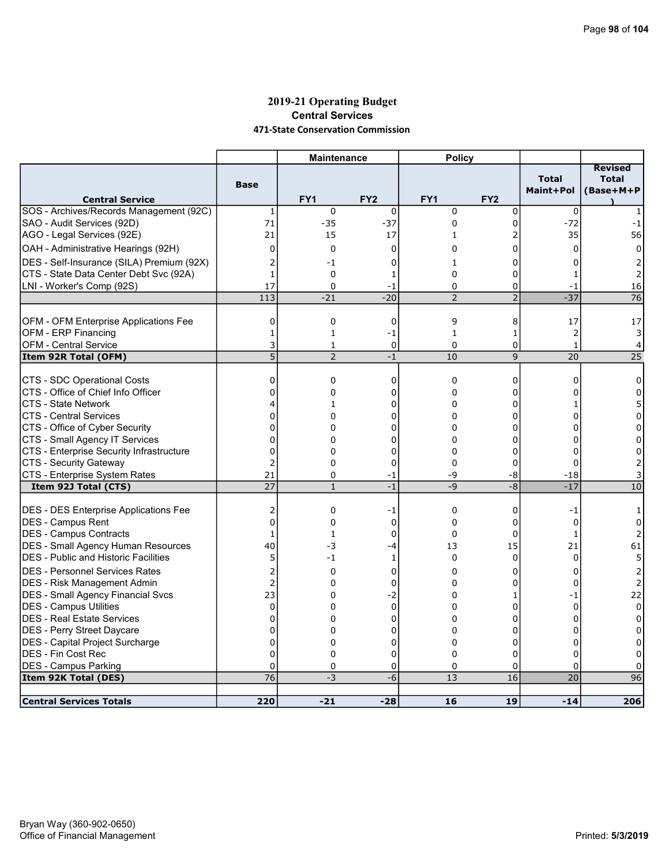#### 2019-21 Operating Budget Central Services 471-State Conservation Commission

| Revised<br><b>Total</b><br><b>Total</b><br><b>Base</b><br>Maint+Pol<br>(Base+M+P<br>FY <sub>1</sub><br>FY <sub>2</sub><br>FY <sub>1</sub><br>FY <sub>2</sub><br><b>Central Service</b><br>$\mathbf 0$<br>$\mathbf 0$<br>$\mathbf 0$<br>0<br>0<br>1<br>$-37$<br>71<br>$-35$<br>0<br>0<br>$-72$<br>$-1$<br>21<br>17<br>2<br>35<br>56<br>15<br>1<br>0<br>0<br>0<br>0<br>0<br>0<br>0<br>DES - Self-Insurance (SILA) Premium (92X)<br>2<br>-1<br>0<br>0<br>2<br>1<br>CTS - State Data Center Debt Svc (92A)<br>0<br>$\mathbf{1}$<br>0<br>0<br>1<br>1<br>17<br>LNI - Worker's Comp (92S)<br>0<br>0<br>16<br>$\Omega$<br>-1<br>-1<br>$-37$<br>$-20$<br>$\overline{2}$<br>$\overline{76}$<br>113<br>$-21$<br>$\overline{2}$<br>OFM - OFM Enterprise Applications Fee<br>0<br>0<br>0<br>9<br>17<br>8<br>17<br>OFM - ERP Financing<br>$\overline{2}$<br>$\mathbf{1}$<br>$\mathbf{1}$<br>$\mathbf{1}$<br>$\mathbf{1}$<br>-1<br>3<br>3<br><b>OFM - Central Service</b><br>0<br>$\mathbf 0$<br>$\mathbf 0$<br>$\mathbf{1}$<br>4<br>1<br>5<br>$\overline{2}$<br>$\overline{25}$<br>10<br>9<br>20<br>Item 92R Total (OFM)<br>$-1$<br>CTS - SDC Operational Costs<br>$\mathbf 0$<br>0<br>0<br>0<br>0<br>$\Omega$<br>$\Omega$<br>CTS - Office of Chief Info Officer<br>$\Omega$<br>0<br>0<br>0<br>0<br>0<br>5<br>CTS - State Network<br>0<br>4<br>0<br>1<br>0<br>1<br>$\overline{0}$<br><b>CTS - Central Services</b><br>0<br>0<br>0<br>0<br>0<br>$\Omega$<br>CTS - Office of Cyber Security<br>0<br>0<br>0<br>$\Omega$<br>0<br>$\Omega$<br>0<br>$\Omega$<br>CTS - Small Agency IT Services<br>0<br>0<br>0<br>0<br>$\Omega$<br>$\Omega$<br>CTS - Enterprise Security Infrastructure<br>0<br>0<br>0<br>0<br>0<br>0<br>0<br>CTS - Security Gateway<br>2<br>$\Omega$<br>$\Omega$<br>0<br>0<br>2<br>$\Omega$<br>CTS - Enterprise System Rates<br>21<br>-9<br>-8<br>$^{\rm -18}$<br>0<br>-1<br>$\overline{27}$<br>$-1$<br>$-8$<br>$-17$<br>$-9$<br>10<br>Item 92J Total (CTS)<br>$\mathbf{1}$<br>0<br>2<br>0<br>-1<br>0<br>-1<br>1<br>$\overline{0}$<br><b>IDES - Campus Rent</b><br>$\mathbf 0$<br>$\Omega$<br>0<br>0<br>$\mathbf 0$<br>0<br>$\Omega$<br>DES - Campus Contracts<br>$\Omega$<br>0<br>$\mathbf{1}$<br>$\mathbf{1}$<br>1<br>15<br>DES - Small Agency Human Resources<br>40<br>-3<br>$-4$<br>13<br>21<br>61<br><b>DES</b> - Public and Historic Facilities<br>5<br>$-1$<br>$\mathbf 0$<br>$\Omega$<br>$\Omega$<br>5<br>1<br><b>DES - Personnel Services Rates</b><br>2<br>0<br>$\Omega$<br>$\Omega$<br>0<br>0<br>$\overline{2}$<br>DES - Risk Management Admin<br>$\overline{2}$<br>0<br>0<br>0<br>0<br>$\Omega$<br>23<br>DES - Small Agency Financial Svcs<br>$-2$<br>22<br>0<br>0<br>$-1$<br>1<br>DES - Campus Utilities<br>$\mathbf{0}$<br>$\mathbf 0$<br>0<br>$\Omega$<br>0<br>$\Omega$<br>$\Omega$<br>DES - Real Estate Services<br>$\mathbf 0$<br>0<br>0<br>0<br>0<br>0<br>0<br>$\overline{0}$<br>DES - Perry Street Daycare<br>$\Omega$<br>$\Omega$<br>$\Omega$<br>0<br>$\Omega$<br>0 |                                         |             | <b>Maintenance</b> |   | <b>Policy</b> |   |   |   |
|-------------------------------------------------------------------------------------------------------------------------------------------------------------------------------------------------------------------------------------------------------------------------------------------------------------------------------------------------------------------------------------------------------------------------------------------------------------------------------------------------------------------------------------------------------------------------------------------------------------------------------------------------------------------------------------------------------------------------------------------------------------------------------------------------------------------------------------------------------------------------------------------------------------------------------------------------------------------------------------------------------------------------------------------------------------------------------------------------------------------------------------------------------------------------------------------------------------------------------------------------------------------------------------------------------------------------------------------------------------------------------------------------------------------------------------------------------------------------------------------------------------------------------------------------------------------------------------------------------------------------------------------------------------------------------------------------------------------------------------------------------------------------------------------------------------------------------------------------------------------------------------------------------------------------------------------------------------------------------------------------------------------------------------------------------------------------------------------------------------------------------------------------------------------------------------------------------------------------------------------------------------------------------------------------------------------------------------------------------------------------------------------------------------------------------------------------------------------------------------------------------------------------------------------------------------------------------------------------------------------------------------------------------------------------------------------------------------------------------------------------------------------------------------------------------------------------------------------------------------------------------------------------------------------------------------------------------------------------------------|-----------------------------------------|-------------|--------------------|---|---------------|---|---|---|
|                                                                                                                                                                                                                                                                                                                                                                                                                                                                                                                                                                                                                                                                                                                                                                                                                                                                                                                                                                                                                                                                                                                                                                                                                                                                                                                                                                                                                                                                                                                                                                                                                                                                                                                                                                                                                                                                                                                                                                                                                                                                                                                                                                                                                                                                                                                                                                                                                                                                                                                                                                                                                                                                                                                                                                                                                                                                                                                                                                                     |                                         |             |                    |   |               |   |   |   |
|                                                                                                                                                                                                                                                                                                                                                                                                                                                                                                                                                                                                                                                                                                                                                                                                                                                                                                                                                                                                                                                                                                                                                                                                                                                                                                                                                                                                                                                                                                                                                                                                                                                                                                                                                                                                                                                                                                                                                                                                                                                                                                                                                                                                                                                                                                                                                                                                                                                                                                                                                                                                                                                                                                                                                                                                                                                                                                                                                                                     | SOS - Archives/Records Management (92C) |             |                    |   |               |   |   |   |
|                                                                                                                                                                                                                                                                                                                                                                                                                                                                                                                                                                                                                                                                                                                                                                                                                                                                                                                                                                                                                                                                                                                                                                                                                                                                                                                                                                                                                                                                                                                                                                                                                                                                                                                                                                                                                                                                                                                                                                                                                                                                                                                                                                                                                                                                                                                                                                                                                                                                                                                                                                                                                                                                                                                                                                                                                                                                                                                                                                                     | SAO - Audit Services (92D)              |             |                    |   |               |   |   |   |
|                                                                                                                                                                                                                                                                                                                                                                                                                                                                                                                                                                                                                                                                                                                                                                                                                                                                                                                                                                                                                                                                                                                                                                                                                                                                                                                                                                                                                                                                                                                                                                                                                                                                                                                                                                                                                                                                                                                                                                                                                                                                                                                                                                                                                                                                                                                                                                                                                                                                                                                                                                                                                                                                                                                                                                                                                                                                                                                                                                                     | AGO - Legal Services (92E)              |             |                    |   |               |   |   |   |
|                                                                                                                                                                                                                                                                                                                                                                                                                                                                                                                                                                                                                                                                                                                                                                                                                                                                                                                                                                                                                                                                                                                                                                                                                                                                                                                                                                                                                                                                                                                                                                                                                                                                                                                                                                                                                                                                                                                                                                                                                                                                                                                                                                                                                                                                                                                                                                                                                                                                                                                                                                                                                                                                                                                                                                                                                                                                                                                                                                                     | OAH - Administrative Hearings (92H)     |             |                    |   |               |   |   |   |
|                                                                                                                                                                                                                                                                                                                                                                                                                                                                                                                                                                                                                                                                                                                                                                                                                                                                                                                                                                                                                                                                                                                                                                                                                                                                                                                                                                                                                                                                                                                                                                                                                                                                                                                                                                                                                                                                                                                                                                                                                                                                                                                                                                                                                                                                                                                                                                                                                                                                                                                                                                                                                                                                                                                                                                                                                                                                                                                                                                                     |                                         |             |                    |   |               |   |   |   |
|                                                                                                                                                                                                                                                                                                                                                                                                                                                                                                                                                                                                                                                                                                                                                                                                                                                                                                                                                                                                                                                                                                                                                                                                                                                                                                                                                                                                                                                                                                                                                                                                                                                                                                                                                                                                                                                                                                                                                                                                                                                                                                                                                                                                                                                                                                                                                                                                                                                                                                                                                                                                                                                                                                                                                                                                                                                                                                                                                                                     |                                         |             |                    |   |               |   |   |   |
|                                                                                                                                                                                                                                                                                                                                                                                                                                                                                                                                                                                                                                                                                                                                                                                                                                                                                                                                                                                                                                                                                                                                                                                                                                                                                                                                                                                                                                                                                                                                                                                                                                                                                                                                                                                                                                                                                                                                                                                                                                                                                                                                                                                                                                                                                                                                                                                                                                                                                                                                                                                                                                                                                                                                                                                                                                                                                                                                                                                     |                                         |             |                    |   |               |   |   |   |
|                                                                                                                                                                                                                                                                                                                                                                                                                                                                                                                                                                                                                                                                                                                                                                                                                                                                                                                                                                                                                                                                                                                                                                                                                                                                                                                                                                                                                                                                                                                                                                                                                                                                                                                                                                                                                                                                                                                                                                                                                                                                                                                                                                                                                                                                                                                                                                                                                                                                                                                                                                                                                                                                                                                                                                                                                                                                                                                                                                                     |                                         |             |                    |   |               |   |   |   |
|                                                                                                                                                                                                                                                                                                                                                                                                                                                                                                                                                                                                                                                                                                                                                                                                                                                                                                                                                                                                                                                                                                                                                                                                                                                                                                                                                                                                                                                                                                                                                                                                                                                                                                                                                                                                                                                                                                                                                                                                                                                                                                                                                                                                                                                                                                                                                                                                                                                                                                                                                                                                                                                                                                                                                                                                                                                                                                                                                                                     |                                         |             |                    |   |               |   |   |   |
|                                                                                                                                                                                                                                                                                                                                                                                                                                                                                                                                                                                                                                                                                                                                                                                                                                                                                                                                                                                                                                                                                                                                                                                                                                                                                                                                                                                                                                                                                                                                                                                                                                                                                                                                                                                                                                                                                                                                                                                                                                                                                                                                                                                                                                                                                                                                                                                                                                                                                                                                                                                                                                                                                                                                                                                                                                                                                                                                                                                     |                                         |             |                    |   |               |   |   |   |
|                                                                                                                                                                                                                                                                                                                                                                                                                                                                                                                                                                                                                                                                                                                                                                                                                                                                                                                                                                                                                                                                                                                                                                                                                                                                                                                                                                                                                                                                                                                                                                                                                                                                                                                                                                                                                                                                                                                                                                                                                                                                                                                                                                                                                                                                                                                                                                                                                                                                                                                                                                                                                                                                                                                                                                                                                                                                                                                                                                                     |                                         |             |                    |   |               |   |   |   |
|                                                                                                                                                                                                                                                                                                                                                                                                                                                                                                                                                                                                                                                                                                                                                                                                                                                                                                                                                                                                                                                                                                                                                                                                                                                                                                                                                                                                                                                                                                                                                                                                                                                                                                                                                                                                                                                                                                                                                                                                                                                                                                                                                                                                                                                                                                                                                                                                                                                                                                                                                                                                                                                                                                                                                                                                                                                                                                                                                                                     |                                         |             |                    |   |               |   |   |   |
|                                                                                                                                                                                                                                                                                                                                                                                                                                                                                                                                                                                                                                                                                                                                                                                                                                                                                                                                                                                                                                                                                                                                                                                                                                                                                                                                                                                                                                                                                                                                                                                                                                                                                                                                                                                                                                                                                                                                                                                                                                                                                                                                                                                                                                                                                                                                                                                                                                                                                                                                                                                                                                                                                                                                                                                                                                                                                                                                                                                     |                                         |             |                    |   |               |   |   |   |
|                                                                                                                                                                                                                                                                                                                                                                                                                                                                                                                                                                                                                                                                                                                                                                                                                                                                                                                                                                                                                                                                                                                                                                                                                                                                                                                                                                                                                                                                                                                                                                                                                                                                                                                                                                                                                                                                                                                                                                                                                                                                                                                                                                                                                                                                                                                                                                                                                                                                                                                                                                                                                                                                                                                                                                                                                                                                                                                                                                                     |                                         |             |                    |   |               |   |   |   |
|                                                                                                                                                                                                                                                                                                                                                                                                                                                                                                                                                                                                                                                                                                                                                                                                                                                                                                                                                                                                                                                                                                                                                                                                                                                                                                                                                                                                                                                                                                                                                                                                                                                                                                                                                                                                                                                                                                                                                                                                                                                                                                                                                                                                                                                                                                                                                                                                                                                                                                                                                                                                                                                                                                                                                                                                                                                                                                                                                                                     |                                         |             |                    |   |               |   |   |   |
|                                                                                                                                                                                                                                                                                                                                                                                                                                                                                                                                                                                                                                                                                                                                                                                                                                                                                                                                                                                                                                                                                                                                                                                                                                                                                                                                                                                                                                                                                                                                                                                                                                                                                                                                                                                                                                                                                                                                                                                                                                                                                                                                                                                                                                                                                                                                                                                                                                                                                                                                                                                                                                                                                                                                                                                                                                                                                                                                                                                     |                                         |             |                    |   |               |   |   |   |
|                                                                                                                                                                                                                                                                                                                                                                                                                                                                                                                                                                                                                                                                                                                                                                                                                                                                                                                                                                                                                                                                                                                                                                                                                                                                                                                                                                                                                                                                                                                                                                                                                                                                                                                                                                                                                                                                                                                                                                                                                                                                                                                                                                                                                                                                                                                                                                                                                                                                                                                                                                                                                                                                                                                                                                                                                                                                                                                                                                                     |                                         |             |                    |   |               |   |   |   |
|                                                                                                                                                                                                                                                                                                                                                                                                                                                                                                                                                                                                                                                                                                                                                                                                                                                                                                                                                                                                                                                                                                                                                                                                                                                                                                                                                                                                                                                                                                                                                                                                                                                                                                                                                                                                                                                                                                                                                                                                                                                                                                                                                                                                                                                                                                                                                                                                                                                                                                                                                                                                                                                                                                                                                                                                                                                                                                                                                                                     |                                         |             |                    |   |               |   |   |   |
|                                                                                                                                                                                                                                                                                                                                                                                                                                                                                                                                                                                                                                                                                                                                                                                                                                                                                                                                                                                                                                                                                                                                                                                                                                                                                                                                                                                                                                                                                                                                                                                                                                                                                                                                                                                                                                                                                                                                                                                                                                                                                                                                                                                                                                                                                                                                                                                                                                                                                                                                                                                                                                                                                                                                                                                                                                                                                                                                                                                     |                                         |             |                    |   |               |   |   |   |
|                                                                                                                                                                                                                                                                                                                                                                                                                                                                                                                                                                                                                                                                                                                                                                                                                                                                                                                                                                                                                                                                                                                                                                                                                                                                                                                                                                                                                                                                                                                                                                                                                                                                                                                                                                                                                                                                                                                                                                                                                                                                                                                                                                                                                                                                                                                                                                                                                                                                                                                                                                                                                                                                                                                                                                                                                                                                                                                                                                                     |                                         |             |                    |   |               |   |   |   |
|                                                                                                                                                                                                                                                                                                                                                                                                                                                                                                                                                                                                                                                                                                                                                                                                                                                                                                                                                                                                                                                                                                                                                                                                                                                                                                                                                                                                                                                                                                                                                                                                                                                                                                                                                                                                                                                                                                                                                                                                                                                                                                                                                                                                                                                                                                                                                                                                                                                                                                                                                                                                                                                                                                                                                                                                                                                                                                                                                                                     |                                         |             |                    |   |               |   |   |   |
|                                                                                                                                                                                                                                                                                                                                                                                                                                                                                                                                                                                                                                                                                                                                                                                                                                                                                                                                                                                                                                                                                                                                                                                                                                                                                                                                                                                                                                                                                                                                                                                                                                                                                                                                                                                                                                                                                                                                                                                                                                                                                                                                                                                                                                                                                                                                                                                                                                                                                                                                                                                                                                                                                                                                                                                                                                                                                                                                                                                     |                                         |             |                    |   |               |   |   |   |
|                                                                                                                                                                                                                                                                                                                                                                                                                                                                                                                                                                                                                                                                                                                                                                                                                                                                                                                                                                                                                                                                                                                                                                                                                                                                                                                                                                                                                                                                                                                                                                                                                                                                                                                                                                                                                                                                                                                                                                                                                                                                                                                                                                                                                                                                                                                                                                                                                                                                                                                                                                                                                                                                                                                                                                                                                                                                                                                                                                                     |                                         |             |                    |   |               |   |   |   |
|                                                                                                                                                                                                                                                                                                                                                                                                                                                                                                                                                                                                                                                                                                                                                                                                                                                                                                                                                                                                                                                                                                                                                                                                                                                                                                                                                                                                                                                                                                                                                                                                                                                                                                                                                                                                                                                                                                                                                                                                                                                                                                                                                                                                                                                                                                                                                                                                                                                                                                                                                                                                                                                                                                                                                                                                                                                                                                                                                                                     |                                         |             |                    |   |               |   |   |   |
|                                                                                                                                                                                                                                                                                                                                                                                                                                                                                                                                                                                                                                                                                                                                                                                                                                                                                                                                                                                                                                                                                                                                                                                                                                                                                                                                                                                                                                                                                                                                                                                                                                                                                                                                                                                                                                                                                                                                                                                                                                                                                                                                                                                                                                                                                                                                                                                                                                                                                                                                                                                                                                                                                                                                                                                                                                                                                                                                                                                     | DES - DES Enterprise Applications Fee   |             |                    |   |               |   |   |   |
|                                                                                                                                                                                                                                                                                                                                                                                                                                                                                                                                                                                                                                                                                                                                                                                                                                                                                                                                                                                                                                                                                                                                                                                                                                                                                                                                                                                                                                                                                                                                                                                                                                                                                                                                                                                                                                                                                                                                                                                                                                                                                                                                                                                                                                                                                                                                                                                                                                                                                                                                                                                                                                                                                                                                                                                                                                                                                                                                                                                     |                                         |             |                    |   |               |   |   |   |
|                                                                                                                                                                                                                                                                                                                                                                                                                                                                                                                                                                                                                                                                                                                                                                                                                                                                                                                                                                                                                                                                                                                                                                                                                                                                                                                                                                                                                                                                                                                                                                                                                                                                                                                                                                                                                                                                                                                                                                                                                                                                                                                                                                                                                                                                                                                                                                                                                                                                                                                                                                                                                                                                                                                                                                                                                                                                                                                                                                                     |                                         |             |                    |   |               |   |   |   |
|                                                                                                                                                                                                                                                                                                                                                                                                                                                                                                                                                                                                                                                                                                                                                                                                                                                                                                                                                                                                                                                                                                                                                                                                                                                                                                                                                                                                                                                                                                                                                                                                                                                                                                                                                                                                                                                                                                                                                                                                                                                                                                                                                                                                                                                                                                                                                                                                                                                                                                                                                                                                                                                                                                                                                                                                                                                                                                                                                                                     |                                         |             |                    |   |               |   |   |   |
|                                                                                                                                                                                                                                                                                                                                                                                                                                                                                                                                                                                                                                                                                                                                                                                                                                                                                                                                                                                                                                                                                                                                                                                                                                                                                                                                                                                                                                                                                                                                                                                                                                                                                                                                                                                                                                                                                                                                                                                                                                                                                                                                                                                                                                                                                                                                                                                                                                                                                                                                                                                                                                                                                                                                                                                                                                                                                                                                                                                     |                                         |             |                    |   |               |   |   |   |
|                                                                                                                                                                                                                                                                                                                                                                                                                                                                                                                                                                                                                                                                                                                                                                                                                                                                                                                                                                                                                                                                                                                                                                                                                                                                                                                                                                                                                                                                                                                                                                                                                                                                                                                                                                                                                                                                                                                                                                                                                                                                                                                                                                                                                                                                                                                                                                                                                                                                                                                                                                                                                                                                                                                                                                                                                                                                                                                                                                                     |                                         |             |                    |   |               |   |   |   |
|                                                                                                                                                                                                                                                                                                                                                                                                                                                                                                                                                                                                                                                                                                                                                                                                                                                                                                                                                                                                                                                                                                                                                                                                                                                                                                                                                                                                                                                                                                                                                                                                                                                                                                                                                                                                                                                                                                                                                                                                                                                                                                                                                                                                                                                                                                                                                                                                                                                                                                                                                                                                                                                                                                                                                                                                                                                                                                                                                                                     |                                         |             |                    |   |               |   |   |   |
|                                                                                                                                                                                                                                                                                                                                                                                                                                                                                                                                                                                                                                                                                                                                                                                                                                                                                                                                                                                                                                                                                                                                                                                                                                                                                                                                                                                                                                                                                                                                                                                                                                                                                                                                                                                                                                                                                                                                                                                                                                                                                                                                                                                                                                                                                                                                                                                                                                                                                                                                                                                                                                                                                                                                                                                                                                                                                                                                                                                     |                                         |             |                    |   |               |   |   |   |
|                                                                                                                                                                                                                                                                                                                                                                                                                                                                                                                                                                                                                                                                                                                                                                                                                                                                                                                                                                                                                                                                                                                                                                                                                                                                                                                                                                                                                                                                                                                                                                                                                                                                                                                                                                                                                                                                                                                                                                                                                                                                                                                                                                                                                                                                                                                                                                                                                                                                                                                                                                                                                                                                                                                                                                                                                                                                                                                                                                                     |                                         |             |                    |   |               |   |   |   |
|                                                                                                                                                                                                                                                                                                                                                                                                                                                                                                                                                                                                                                                                                                                                                                                                                                                                                                                                                                                                                                                                                                                                                                                                                                                                                                                                                                                                                                                                                                                                                                                                                                                                                                                                                                                                                                                                                                                                                                                                                                                                                                                                                                                                                                                                                                                                                                                                                                                                                                                                                                                                                                                                                                                                                                                                                                                                                                                                                                                     |                                         |             |                    |   |               |   |   |   |
|                                                                                                                                                                                                                                                                                                                                                                                                                                                                                                                                                                                                                                                                                                                                                                                                                                                                                                                                                                                                                                                                                                                                                                                                                                                                                                                                                                                                                                                                                                                                                                                                                                                                                                                                                                                                                                                                                                                                                                                                                                                                                                                                                                                                                                                                                                                                                                                                                                                                                                                                                                                                                                                                                                                                                                                                                                                                                                                                                                                     |                                         |             |                    |   |               |   |   |   |
|                                                                                                                                                                                                                                                                                                                                                                                                                                                                                                                                                                                                                                                                                                                                                                                                                                                                                                                                                                                                                                                                                                                                                                                                                                                                                                                                                                                                                                                                                                                                                                                                                                                                                                                                                                                                                                                                                                                                                                                                                                                                                                                                                                                                                                                                                                                                                                                                                                                                                                                                                                                                                                                                                                                                                                                                                                                                                                                                                                                     | DES - Capital Project Surcharge         | $\mathbf 0$ | 0                  | 0 | 0             | 0 | 0 | 0 |
| $\Omega$<br>0<br>0<br>0<br>0<br>$\Omega$<br>0                                                                                                                                                                                                                                                                                                                                                                                                                                                                                                                                                                                                                                                                                                                                                                                                                                                                                                                                                                                                                                                                                                                                                                                                                                                                                                                                                                                                                                                                                                                                                                                                                                                                                                                                                                                                                                                                                                                                                                                                                                                                                                                                                                                                                                                                                                                                                                                                                                                                                                                                                                                                                                                                                                                                                                                                                                                                                                                                       | IDES - Fin Cost Rec                     |             |                    |   |               |   |   |   |
| $\mathbf 0$<br>$\mathbf 0$<br>0<br>0<br>0<br>$\Omega$                                                                                                                                                                                                                                                                                                                                                                                                                                                                                                                                                                                                                                                                                                                                                                                                                                                                                                                                                                                                                                                                                                                                                                                                                                                                                                                                                                                                                                                                                                                                                                                                                                                                                                                                                                                                                                                                                                                                                                                                                                                                                                                                                                                                                                                                                                                                                                                                                                                                                                                                                                                                                                                                                                                                                                                                                                                                                                                               | <b>DES - Campus Parking</b>             |             |                    |   |               |   |   |   |
| $\overline{76}$<br>$-3$<br>$-6$<br>$\overline{96}$<br>13<br>16<br>20                                                                                                                                                                                                                                                                                                                                                                                                                                                                                                                                                                                                                                                                                                                                                                                                                                                                                                                                                                                                                                                                                                                                                                                                                                                                                                                                                                                                                                                                                                                                                                                                                                                                                                                                                                                                                                                                                                                                                                                                                                                                                                                                                                                                                                                                                                                                                                                                                                                                                                                                                                                                                                                                                                                                                                                                                                                                                                                | Item 92K Total (DES)                    |             |                    |   |               |   |   |   |
| 220<br>$-21$<br>$-28$<br>16<br>19<br>$-14$<br>206                                                                                                                                                                                                                                                                                                                                                                                                                                                                                                                                                                                                                                                                                                                                                                                                                                                                                                                                                                                                                                                                                                                                                                                                                                                                                                                                                                                                                                                                                                                                                                                                                                                                                                                                                                                                                                                                                                                                                                                                                                                                                                                                                                                                                                                                                                                                                                                                                                                                                                                                                                                                                                                                                                                                                                                                                                                                                                                                   | <b>Central Services Totals</b>          |             |                    |   |               |   |   |   |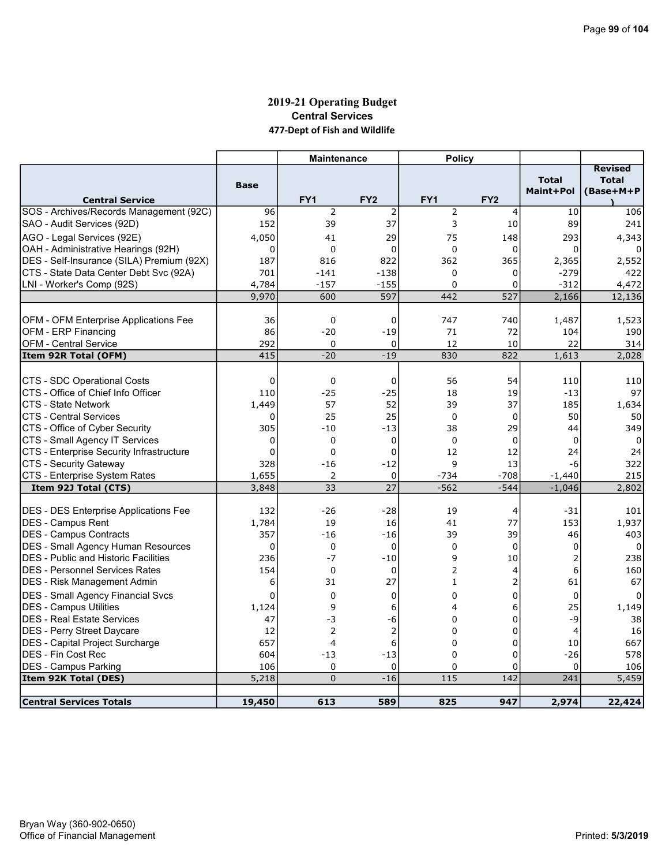### 2019-21 Operating Budget Central Services 477-Dept of Fish and Wildlife

|                                                                     |              | <b>Maintenance</b> |                 | <b>Policy</b>  |                 |                           |                                             |
|---------------------------------------------------------------------|--------------|--------------------|-----------------|----------------|-----------------|---------------------------|---------------------------------------------|
| <b>Central Service</b>                                              | <b>Base</b>  | FY <sub>1</sub>    | FY <sub>2</sub> | FY1            | FY <sub>2</sub> | <b>Total</b><br>Maint+Pol | <b>Revised</b><br><b>Total</b><br>(Base+M+P |
| SOS - Archives/Records Management (92C)                             | 96           | $\overline{2}$     | $\overline{2}$  | $\overline{2}$ | 4               | 10                        | 106                                         |
| SAO - Audit Services (92D)                                          | 152          | 39                 | 37              | 3              | 10              | 89                        | 241                                         |
| AGO - Legal Services (92E)                                          | 4,050        | 41                 | 29              | 75             | 148             | 293                       | 4,343                                       |
| OAH - Administrative Hearings (92H)                                 | 0            | $\mathbf 0$        | 0               | $\Omega$       | 0               | $\Omega$                  |                                             |
| DES - Self-Insurance (SILA) Premium (92X)                           | 187          | 816                | 822             | 362            | 365             | 2,365                     | 2,552                                       |
| CTS - State Data Center Debt Svc (92A)                              | 701          | $-141$             | $-138$          | $\mathbf 0$    | 0               | $-279$                    | 422                                         |
| LNI - Worker's Comp (92S)                                           | 4,784        | $-157$             | $-155$          | $\mathbf 0$    | 0               | $-312$                    | 4,472                                       |
|                                                                     | 9,970        | 600                | 597             | 442            | 527             | 2,166                     | 12,136                                      |
|                                                                     |              |                    |                 |                |                 |                           |                                             |
| OFM - OFM Enterprise Applications Fee                               | 36           | 0                  | 0               | 747            | 740             | 1,487                     | 1,523                                       |
| OFM - ERP Financing                                                 | 86           | $-20$              | $-19$           | 71             | 72              | 104                       | 190                                         |
| <b>OFM - Central Service</b>                                        | 292          | $\mathbf 0$        | 0               | 12             | 10              | 22                        | 314                                         |
| Item 92R Total (OFM)                                                | 415          | $-20$              | $-19$           | 830            | 822             | 1,613                     | 2,028                                       |
|                                                                     |              |                    |                 |                |                 |                           |                                             |
| CTS - SDC Operational Costs                                         | $\mathbf 0$  | $\mathbf 0$        | $\mathbf 0$     | 56             | 54              | 110                       | 110                                         |
| CTS - Office of Chief Info Officer                                  | 110          | $-25$              | $-25$           | 18             | 19              | $-13$                     | 97                                          |
| ICTS - State Network                                                | 1,449        | 57                 | 52              | 39             | 37              | 185                       | 1,634                                       |
| <b>CTS - Central Services</b>                                       | $\Omega$     | 25                 | 25              | 0              | $\Omega$        | 50                        | 50                                          |
| CTS - Office of Cyber Security                                      | 305          | $-10$              | $-13$           | 38             | 29              | 44                        | 349                                         |
| CTS - Small Agency IT Services                                      | 0            | $\mathbf 0$        | $\mathbf 0$     | $\mathbf 0$    | $\mathbf 0$     | $\Omega$                  | 0                                           |
| CTS - Enterprise Security Infrastructure                            | 0            | $\mathbf 0$        | 0               | 12             | 12              | 24                        | 24                                          |
| CTS - Security Gateway                                              | 328          | $-16$              | $-12$           | 9              | 13              | $-6$                      | 322                                         |
| CTS - Enterprise System Rates                                       | 1,655        | 2                  | $\mathbf 0$     | -734           | $-708$          | $-1,440$                  | 215                                         |
| Item 92J Total (CTS)                                                | 3,848        | 33                 | 27              | $-562$         | $-544$          | $-1,046$                  | 2,802                                       |
|                                                                     |              |                    |                 |                |                 |                           |                                             |
| DES - DES Enterprise Applications Fee                               | 132          | $-26$              | $-28$           | 19             | 4<br>77         | -31                       | 101                                         |
| DES - Campus Rent                                                   | 1,784<br>357 | 19                 | 16<br>$-16$     | 41<br>39       | 39              | 153<br>46                 | 1,937                                       |
| DES - Campus Contracts<br><b>DES - Small Agency Human Resources</b> | 0            | $-16$<br>0         | 0               | $\mathbf 0$    | $\mathbf 0$     | 0                         | 403<br>0                                    |
| <b>IDES - Public and Historic Facilities</b>                        | 236          | $-7$               | $-10$           | 9              | 10              | 2                         | 238                                         |
| IDES - Personnel Services Rates                                     | 154          | $\Omega$           | $\mathbf 0$     | $\overline{2}$ | 4               | 6                         | 160                                         |
| DES - Risk Management Admin                                         | 6            | 31                 | 27              | $\mathbf{1}$   | 2               | 61                        | 67                                          |
|                                                                     | 0            | $\Omega$           |                 | $\Omega$       | 0               |                           |                                             |
| DES - Small Agency Financial Svcs                                   |              | 9                  | $\mathbf 0$     | 4              | 6               | $\mathbf 0$<br>25         | $\Omega$                                    |
| <b>DES - Campus Utilities</b><br><b>DES - Real Estate Services</b>  | 1,124<br>47  | -3                 | 6<br>-6         | 0              | 0               | -9                        | 1,149<br>38                                 |
| <b>DES - Perry Street Daycare</b>                                   | 12           | $\overline{2}$     | $\overline{2}$  | $\Omega$       | 0               | $\overline{a}$            | 16                                          |
| DES - Capital Project Surcharge                                     | 657          | 4                  | 6               | 0              | 0               | 10                        | 667                                         |
| IDES - Fin Cost Rec                                                 | 604          | $-13$              | $-13$           | 0              | 0               | $-26$                     | 578                                         |
| <b>DES - Campus Parking</b>                                         | 106          | 0                  | $\mathbf 0$     | 0              | 0               | 0                         | 106                                         |
| Item 92K Total (DES)                                                | 5,218        | $\mathbf{0}$       | $-16$           | 115            | 142             | 241                       | 5,459                                       |
|                                                                     |              |                    |                 |                |                 |                           |                                             |
| <b>Central Services Totals</b>                                      | 19,450       | 613                | 589             | 825            | 947             | 2,974                     | 22,424                                      |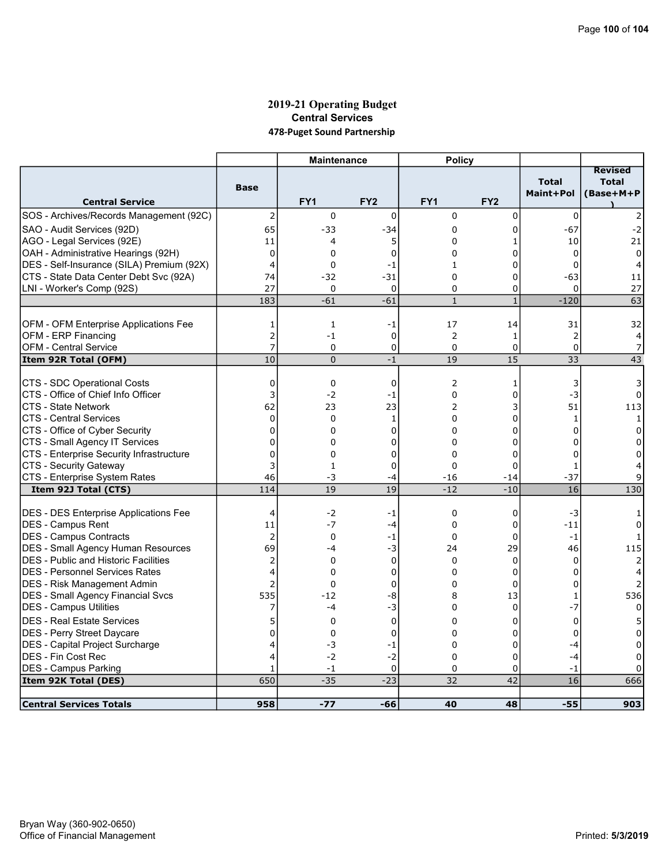#### 2019-21 Operating Budget Central Services 478-Puget Sound Partnership

|                                              |                | <b>Maintenance</b>      |                 | <b>Policy</b>     |                 |                           |                                             |
|----------------------------------------------|----------------|-------------------------|-----------------|-------------------|-----------------|---------------------------|---------------------------------------------|
| <b>Central Service</b>                       | <b>Base</b>    | FY <sub>1</sub>         | FY <sub>2</sub> | FY1               | FY <sub>2</sub> | <b>Total</b><br>Maint+Pol | <b>Revised</b><br><b>Total</b><br>(Base+M+P |
| SOS - Archives/Records Management (92C)      | 2              | 0                       | 0               | 0                 | 0               | $\mathbf 0$               |                                             |
| SAO - Audit Services (92D)                   | 65             | $-33$                   | -34             | 0                 | 0               | $-67$                     | -2                                          |
| AGO - Legal Services (92E)                   | 11             | 4                       | 5               | 0                 | 1               | 10                        | 21                                          |
| OAH - Administrative Hearings (92H)          | $\mathbf 0$    | 0                       | 0               | $\Omega$          | 0               | 0                         | 0                                           |
| DES - Self-Insurance (SILA) Premium (92X)    | $\overline{4}$ | 0                       | $-1$            | $\mathbf{1}$      | 0               | $\Omega$                  | 4                                           |
| CTS - State Data Center Debt Svc (92A)       | 74             | $-32$                   | $-31$           | $\mathbf 0$       | $\Omega$        | $-63$                     | 11                                          |
| LNI - Worker's Comp (92S)                    | 27             | 0                       | $\mathbf 0$     | 0                 | 0               | $\Omega$                  | 27                                          |
|                                              | 183            | $-61$                   | $-61$           | $\mathbf{1}$      | $\mathbf{1}$    | $-120$                    | 63                                          |
|                                              |                |                         |                 |                   |                 |                           |                                             |
| OFM - OFM Enterprise Applications Fee        | 1              | $\mathbf{1}$            | -1              | 17                | 14              | 31                        | 32                                          |
| OFM - ERP Financing                          | $\overline{2}$ | $-1$                    | $\mathbf 0$     | 2                 | $\mathbf{1}$    | $\overline{2}$            | 4                                           |
| <b>OFM - Central Service</b>                 | 7<br>10        | $\mathbf 0$<br>$\Omega$ | 0               | $\mathbf 0$<br>19 | 0<br>15         | 0<br>33                   | 7<br>43                                     |
| Item 92R Total (OFM)                         |                |                         | $-1$            |                   |                 |                           |                                             |
| CTS - SDC Operational Costs                  | 0              | 0                       | 0               | 2                 | 1               | 3                         | 3                                           |
| CTS - Office of Chief Info Officer           | 3              | $-2$                    | $-1$            | $\Omega$          | 0               | $-3$                      | $\Omega$                                    |
| <b>CTS - State Network</b>                   | 62             | 23                      | 23              | $\overline{2}$    | 3               | 51                        | 113                                         |
| <b>CTS - Central Services</b>                | $\mathbf 0$    | 0                       | 1               | $\Omega$          | 0               | $\mathbf{1}$              | $\mathbf{1}$                                |
| CTS - Office of Cyber Security               | $\mathbf 0$    | 0                       | 0               | $\Omega$          | 0               | $\Omega$                  | $\Omega$                                    |
| CTS - Small Agency IT Services               | $\overline{0}$ | 0                       | 0               | 0                 | 0               | 0                         | 0                                           |
| CTS - Enterprise Security Infrastructure     | $\overline{0}$ | 0                       | 0               | 0                 | 0               | $\Omega$                  | 0                                           |
| CTS - Security Gateway                       | 3              | $\mathbf{1}$            | 0               | 0                 | 0               | $\mathbf{1}$              |                                             |
| CTS - Enterprise System Rates                | 46             | -3                      | $-4$            | $-16$             | $-14$           | $-37$                     | 9                                           |
| Item 92J Total (CTS)                         | 114            | 19                      | 19              | $-12$             | $-10$           | 16                        | 130                                         |
| <b>DES - DES Enterprise Applications Fee</b> | 4              | $-2$                    | -1              | $\mathbf 0$       | 0               | $-3$                      |                                             |
| DES - Campus Rent                            | 11             | $-7$                    | $-4$            | 0                 | 0               | $-11$                     | 0                                           |
| DES - Campus Contracts                       | $\overline{2}$ | $\Omega$                | $-1$            | $\Omega$          | $\Omega$        | $-1$                      |                                             |
| <b>DES - Small Agency Human Resources</b>    | 69             | -4                      | $-3$            | 24                | 29              | 46                        | 115                                         |
| <b>DES</b> - Public and Historic Facilities  | 2              | $\Omega$                | $\mathbf 0$     | $\mathbf 0$       | 0               | $\Omega$                  |                                             |
| <b>IDES - Personnel Services Rates</b>       | $\overline{4}$ | 0                       | 0               | $\mathbf 0$       | 0               | 0                         |                                             |
| DES - Risk Management Admin                  | $\overline{2}$ | 0                       | 0               | $\Omega$          | 0               | $\Omega$                  | $\overline{2}$                              |
| <b>DES - Small Agency Financial Svcs</b>     | 535            | $-12$                   | -8              | 8                 | 13              | $\mathbf{1}$              | 536                                         |
| <b>DES - Campus Utilities</b>                | 7              | -4                      | $-3$            | 0                 | 0               | $-7$                      | $\Omega$                                    |
| DES - Real Estate Services                   | 5              | 0                       | $\mathbf 0$     | $\Omega$          | 0               | $\mathbf 0$               |                                             |
| DES - Perry Street Daycare                   | $\Omega$       | 0                       | $\mathbf 0$     | $\Omega$          | 0               | $\Omega$                  |                                             |
| DES - Capital Project Surcharge              | 4              | -3                      | -1              | 0                 | 0               | -4                        | 0                                           |
| <b>DES - Fin Cost Rec</b>                    | 4              | $-2$                    | $-2$            | $\Omega$          | $\Omega$        | $-4$                      | 0                                           |
| DES - Campus Parking                         | $\mathbf{1}$   | $-1$                    | $\mathbf 0$     | 0                 | 0               | -1                        | 0                                           |
| Item 92K Total (DES)                         | 650            | $-35$                   | $-23$           | 32                | 42              | 16                        | 666                                         |
| <b>Central Services Totals</b>               | 958            |                         | -66             | 40                | 48              | $-55$                     | 903                                         |
|                                              |                | $-77$                   |                 |                   |                 |                           |                                             |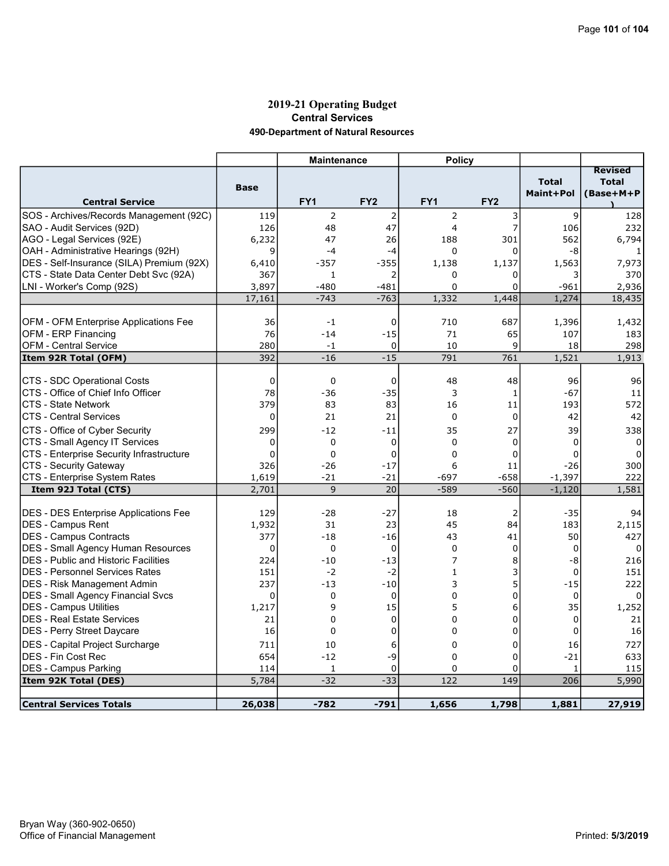### 2019-21 Operating Budget Central Services 490-Department of Natural Resources

|                                                                   |             | <b>Maintenance</b> |                 | <b>Policy</b>  |                 |              |                                |
|-------------------------------------------------------------------|-------------|--------------------|-----------------|----------------|-----------------|--------------|--------------------------------|
|                                                                   |             |                    |                 |                |                 | <b>Total</b> | <b>Revised</b><br><b>Total</b> |
|                                                                   | <b>Base</b> |                    |                 |                |                 | Maint+Pol    | (Base+M+P                      |
| <b>Central Service</b>                                            |             | FY1                | FY <sub>2</sub> | FY1            | FY <sub>2</sub> |              |                                |
| SOS - Archives/Records Management (92C)                           | 119         | 2                  | $\overline{2}$  | 2              | 3               | 9            | 128                            |
| SAO - Audit Services (92D)                                        | 126         | 48                 | 47              | 4              | 7               | 106          | 232                            |
| AGO - Legal Services (92E)                                        | 6,232       | 47                 | 26              | 188            | 301             | 562          | 6,794                          |
| OAH - Administrative Hearings (92H)                               | 9           | $-4$               | $-4$            | $\mathbf 0$    | 0               | -8           |                                |
| DES - Self-Insurance (SILA) Premium (92X)                         | 6,410       | $-357$             | $-355$          | 1,138          | 1,137           | 1,563        | 7,973                          |
| CTS - State Data Center Debt Svc (92A)                            | 367         | $\mathbf{1}$       | 2               | 0              | 0               | 3            | 370                            |
| LNI - Worker's Comp (92S)                                         | 3,897       | $-480$             | $-481$          | 0              | 0               | $-961$       | 2,936                          |
|                                                                   | 17,161      | $-743$             | $-763$          | 1,332          | 1,448           | 1,274        | 18,435                         |
|                                                                   |             |                    |                 |                |                 |              |                                |
| OFM - OFM Enterprise Applications Fee                             | 36          | $-1$               | 0               | 710            | 687             | 1,396        | 1,432                          |
| OFM - ERP Financing                                               | 76          | $-14$              | $-15$           | 71             | 65              | 107          | 183                            |
| <b>OFM - Central Service</b>                                      | 280         | $-1$               | $\mathbf 0$     | 10             | 9               | 18           | 298                            |
| Item 92R Total (OFM)                                              | 392         | $-16$              | $-15$           | 791            | 761             | 1,521        | 1,913                          |
|                                                                   |             |                    |                 |                |                 |              |                                |
| CTS - SDC Operational Costs<br>CTS - Office of Chief Info Officer | 0<br>78     | 0<br>$-36$         | 0               | 48<br>3        | 48              | 96<br>$-67$  | 96                             |
|                                                                   | 379         |                    | $-35$<br>83     |                | 1               |              | 11                             |
| CTS - State Network                                               |             | 83                 |                 | 16             | 11              | 193          | 572                            |
| <b>CTS - Central Services</b>                                     | $\mathbf 0$ | 21                 | 21              | $\mathbf 0$    | $\mathbf 0$     | 42           | 42                             |
| CTS - Office of Cyber Security                                    | 299         | $-12$              | -11             | 35             | 27              | 39           | 338                            |
| CTS - Small Agency IT Services                                    | $\mathbf 0$ | 0                  | $\mathbf 0$     | $\Omega$       | $\Omega$        | $\Omega$     | $\Omega$                       |
| CTS - Enterprise Security Infrastructure                          | $\mathbf 0$ | 0                  | 0               | 0              | 0               | 0            | 0                              |
| CTS - Security Gateway                                            | 326         | $-26$              | $-17$           | 6              | 11              | $-26$        | 300                            |
| CTS - Enterprise System Rates                                     | 1,619       | $-21$              | $-21$           | $-697$         | $-658$          | $-1,397$     | 222                            |
| Item 92J Total (CTS)                                              | 2,701       | 9                  | 20              | $-589$         | $-560$          | $-1,120$     | 1,581                          |
|                                                                   |             |                    |                 |                |                 |              |                                |
| DES - DES Enterprise Applications Fee                             | 129         | $-28$              | $-27$           | 18             | 2               | $-35$        | 94                             |
| <b>IDES - Campus Rent</b>                                         | 1,932       | 31                 | 23              | 45             | 84              | 183          | 2,115                          |
| DES - Campus Contracts                                            | 377         | $-18$              | $-16$           | 43             | 41              | 50           | 427                            |
| DES - Small Agency Human Resources                                | 0           | 0                  | $\mathbf 0$     | $\mathbf 0$    | 0               | 0            | 0                              |
| <b>DES</b> - Public and Historic Facilities                       | 224         | $-10$              | $-13$           | $\overline{7}$ | 8               | -8           | 216                            |
| <b>DES - Personnel Services Rates</b>                             | 151         | $-2$               | $-2$            | $\mathbf{1}$   | 3               | 0            | 151                            |
| DES - Risk Management Admin                                       | 237         | $-13$              | $-10$           | 3              | 5               | $-15$        | 222                            |
| DES - Small Agency Financial Svcs                                 | $\Omega$    | 0                  | $\mathbf 0$     | $\Omega$       | 0               | 0            |                                |
| <b>DES - Campus Utilities</b>                                     | 1,217       | 9                  | 15              | 5              | 6               | 35           | 1,252                          |
| <b>DES - Real Estate Services</b>                                 | 21          | $\Omega$           | 0               | $\Omega$       | $\overline{0}$  | 0            | 21                             |
| DES - Perry Street Daycare                                        | 16          | 0                  | 0               | 0              | 0               | $\mathbf 0$  | 16                             |
| DES - Capital Project Surcharge                                   | 711         | 10                 | 6               | 0              | 0               | 16           | 727                            |
| <b>DES - Fin Cost Rec</b>                                         | 654         | $-12$              | -9              | 0              | 0               | $-21$        | 633                            |
| <b>DES - Campus Parking</b>                                       | 114         | 1                  | $\mathbf 0$     | 0              | 0               | $\mathbf{1}$ | 115                            |
| Item 92K Total (DES)                                              | 5,784       | $-32$              | $-33$           | 122            | 149             | 206          | 5,990                          |
|                                                                   |             |                    |                 |                |                 |              |                                |
| Central Services Totals                                           | 26,038      | $-782$             | $-791$          | 1,656          | 1,798           | 1,881        | 27,919                         |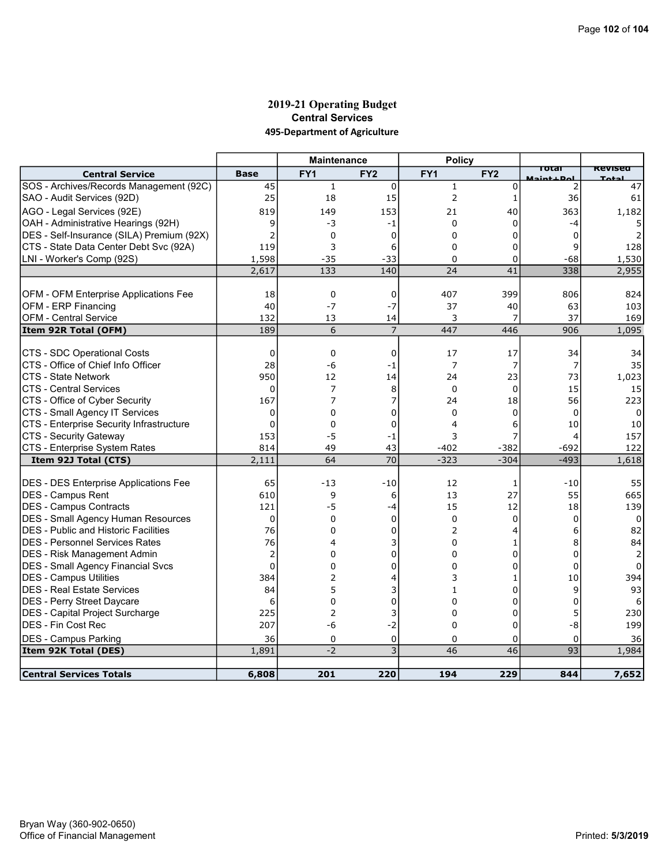#### 2019-21 Operating Budget Central Services 495-Department of Agriculture

|                                              |                | <b>Maintenance</b> |                     | <b>Policy</b>   |                 |                      |                |
|----------------------------------------------|----------------|--------------------|---------------------|-----------------|-----------------|----------------------|----------------|
| <b>Central Service</b>                       | <b>Base</b>    | FY <sub>1</sub>    | FY <sub>2</sub>     | FY <sub>1</sub> | FY <sub>2</sub> | Total<br>Maint + Dol | <b>Revised</b> |
| SOS - Archives/Records Management (92C)      | 45             | $\mathbf{1}$       | $\mathbf 0$         | $\mathbf{1}$    | $\Omega$        | 2                    | 47             |
| SAO - Audit Services (92D)                   | 25             | 18                 | 15                  | $\overline{2}$  | 1               | 36                   | 61             |
| AGO - Legal Services (92E)                   | 819            | 149                | 153                 | 21              | 40              | 363                  | 1,182          |
| OAH - Administrative Hearings (92H)          | 9              | -3                 | $-1$                | $\Omega$        | 0               | -4                   |                |
| DES - Self-Insurance (SILA) Premium (92X)    |                | 0                  | 0                   | $\Omega$        | 0               | 0                    |                |
| CTS - State Data Center Debt Svc (92A)       | 119            | 3                  | 6                   | $\Omega$        | 0               | 9                    | 128            |
| LNI - Worker's Comp (92S)                    | 1,598          | $-35$              | $-33$               | 0               | 0               | -68                  | 1,530          |
|                                              | 2,617          | 133                | 140                 | $\overline{24}$ | 41              | 338                  | 2,955          |
|                                              |                |                    |                     |                 |                 |                      |                |
| OFM - OFM Enterprise Applications Fee        | 18             | $\mathbf 0$        | 0                   | 407             | 399             | 806                  | 824            |
| <b>OFM - ERP Financing</b>                   | 40             | $-7$               | $-7$                | 37              | 40              | 63                   | 103            |
| <b>OFM - Central Service</b>                 | 132            | 13                 | 14                  | 3               | 7               | 37                   | 169            |
| Item 92R Total (OFM)                         | 189            | 6                  | $\overline{7}$      | 447             | 446             | 906                  | 1,095          |
|                                              |                |                    |                     |                 |                 |                      |                |
| CTS - SDC Operational Costs                  | 0              | 0                  | 0                   | 17              | 17              | 34                   | 34             |
| CTS - Office of Chief Info Officer           | 28             | -6                 | -1                  | 7               | 7               | 7                    | 35             |
| <b>CTS - State Network</b>                   | 950            | 12                 | 14                  | 24              | 23              | 73                   | 1,023          |
| ICTS - Central Services                      | 0              | 7                  | 8                   | $\Omega$        | $\Omega$        | 15                   | 15             |
| CTS - Office of Cyber Security               | 167            | 7                  | 7                   | 24              | 18              | 56                   | 223            |
| CTS - Small Agency IT Services               | $\Omega$       | $\Omega$           | 0                   | $\Omega$        | $\Omega$        | 0                    | $\Omega$       |
| CTS - Enterprise Security Infrastructure     | $\Omega$       | $\Omega$           | $\Omega$            | 4               | 6               | 10                   | 10             |
| CTS - Security Gateway                       | 153            | $-5$               | -1                  | 3               | 7               | 4                    | 157            |
| CTS - Enterprise System Rates                | 814            | 49                 | 43                  | $-402$          | $-382$          | -692                 | 122            |
| Item 92J Total (CTS)                         | 2,111          | 64                 | 70                  | $-323$          | $-304$          | $-493$               | 1,618          |
|                                              |                |                    |                     |                 |                 |                      |                |
| <b>DES - DES Enterprise Applications Fee</b> | 65             | $-13$              | $-10$               | 12              | 1               | $-10$                | 55             |
| DES - Campus Rent<br>DES - Campus Contracts  | 610<br>121     | 9<br>$-5$          | 6                   | 13<br>15        | 27<br>12        | 55<br>18             | 665<br>139     |
| <b>DES - Small Agency Human Resources</b>    | $\mathbf 0$    | 0                  | $-4$<br>$\mathbf 0$ | 0               | $\Omega$        | $\Omega$             | 0              |
| <b>IDES - Public and Historic Facilities</b> | 76             | $\Omega$           | $\Omega$            | $\overline{2}$  | 4               | 6                    | 82             |
| <b>DES - Personnel Services Rates</b>        | 76             | 4                  | 3                   | $\Omega$        | 1               | 8                    | 84             |
| DES - Risk Management Admin                  | $\overline{2}$ | $\Omega$           | 0                   | $\Omega$        | 0               | 0                    | 2              |
| <b>DES - Small Agency Financial Svcs</b>     | $\Omega$       | $\Omega$           | $\Omega$            | $\Omega$        | $\Omega$        | $\Omega$             | $\Omega$       |
| DES - Campus Utilities                       | 384            | $\overline{2}$     | 4                   | 3               | 1               | 10                   | 394            |
| <b>DES - Real Estate Services</b>            | 84             | 5                  | 3                   | 1               | $\Omega$        | 9                    | 93             |
| DES - Perry Street Daycare                   | 6              | $\Omega$           | $\overline{0}$      | $\Omega$        | $\Omega$        | 0                    | 6              |
| DES - Capital Project Surcharge              | 225            | $\overline{2}$     | 3                   | $\mathbf 0$     | 0               | 5                    | 230            |
| IDES - Fin Cost Rec                          | 207            | -6                 | $-2$                | 0               | 0               | -8                   | 199            |
| DES - Campus Parking                         | 36             | 0                  | 0                   | 0               | 0               | 0                    | 36             |
| Item 92K Total (DES)                         | 1,891          | $-2$               | 3                   | $\overline{46}$ | $\overline{46}$ | 93                   | 1,984          |
|                                              |                |                    |                     |                 |                 |                      |                |
| <b>Central Services Totals</b>               | 6,808          | 201                | 220                 | 194             | 229             | 844                  | 7,652          |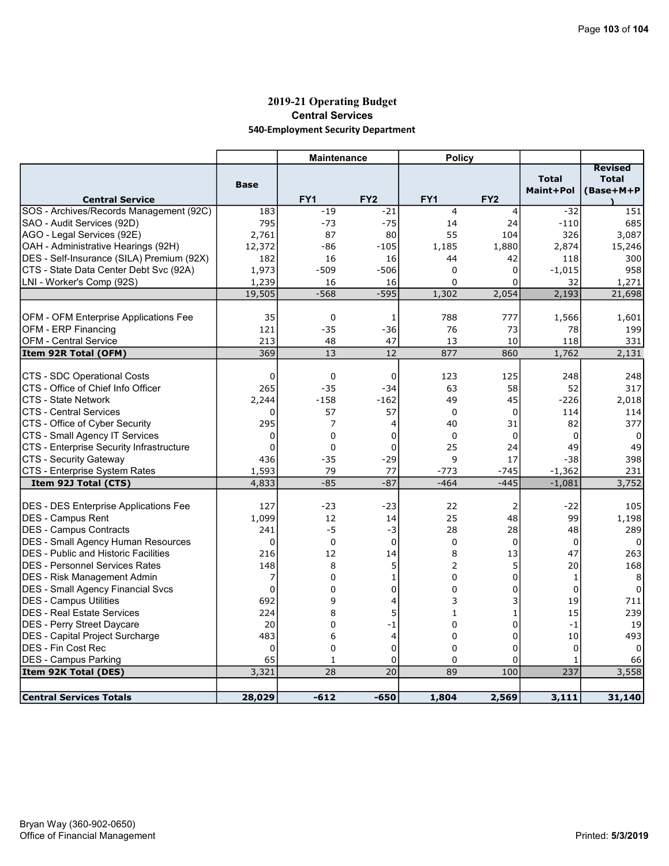### 2019-21 Operating Budget Central Services 540-Employment Security Department

|                                              |             | <b>Maintenance</b> |                 | <b>Policy</b>  |                 |                                  |                                             |
|----------------------------------------------|-------------|--------------------|-----------------|----------------|-----------------|----------------------------------|---------------------------------------------|
| <b>Central Service</b>                       | <b>Base</b> | FY <sub>1</sub>    | FY <sub>2</sub> | FY1            | FY <sub>2</sub> | <b>Total</b><br><b>Maint+Pol</b> | <b>Revised</b><br><b>Total</b><br>(Base+M+P |
| SOS - Archives/Records Management (92C)      | 183         | $-19$              | $-21$           | 4              | 4               | $-32$                            | 151                                         |
| SAO - Audit Services (92D)                   | 795         | $-73$              | $-75$           | 14             | 24              | $-110$                           | 685                                         |
| AGO - Legal Services (92E)                   | 2,761       | 87                 | 80              | 55             | 104             | 326                              | 3,087                                       |
| OAH - Administrative Hearings (92H)          | 12,372      | -86                | $-105$          | 1,185          | 1,880           | 2,874                            | 15,246                                      |
| DES - Self-Insurance (SILA) Premium (92X)    | 182         | 16                 | 16              | 44             | 42              | 118                              | 300                                         |
| CTS - State Data Center Debt Svc (92A)       | 1,973       | $-509$             | $-506$          | $\Omega$       | 0               | $-1,015$                         | 958                                         |
| LNI - Worker's Comp (92S)                    | 1,239       | 16                 | 16              | $\Omega$       | 0               | 32                               | 1,271                                       |
|                                              | 19,505      | $-568$             | $-595$          | 1,302          | 2,054           | 2,193                            | 21,698                                      |
|                                              |             |                    |                 |                |                 |                                  |                                             |
| <b>OFM - OFM Enterprise Applications Fee</b> | 35          | 0                  | 1               | 788            | 777             | 1,566                            | 1,601                                       |
| OFM - ERP Financing                          | 121         | $-35$              | $-36$           | 76             | 73              | 78                               | 199                                         |
| <b>OFM - Central Service</b>                 | 213         | 48                 | 47              | 13             | 10              | 118                              | 331                                         |
| Item 92R Total (OFM)                         | 369         | 13                 | 12              | 877            | 860             | 1,762                            | 2,131                                       |
|                                              |             |                    |                 |                |                 |                                  |                                             |
| CTS - SDC Operational Costs                  | $\mathbf 0$ | 0                  | 0               | 123            | 125             | 248                              | 248                                         |
| CTS - Office of Chief Info Officer           | 265         | $-35$              | $-34$           | 63             | 58              | 52                               | 317                                         |
| CTS - State Network                          | 2,244       | $-158$             | $-162$          | 49             | 45              | $-226$                           | 2,018                                       |
| <b>CTS - Central Services</b>                | $\Omega$    | 57                 | 57              | $\Omega$       | $\Omega$        | 114                              | 114                                         |
| CTS - Office of Cyber Security               | 295         | 7                  | 4               | 40             | 31              | 82                               | 377                                         |
| CTS - Small Agency IT Services               | 0           | 0                  | 0               | $\mathbf 0$    | 0               | 0                                | 0                                           |
| CTS - Enterprise Security Infrastructure     | $\mathbf 0$ | 0                  | 0               | 25             | 24              | 49                               | 49                                          |
| CTS - Security Gateway                       | 436         | $-35$              | $-29$           | 9              | 17              | $-38$                            | 398                                         |
| CTS - Enterprise System Rates                | 1,593       | 79                 | 77              | $-773$         | $-745$          | $-1,362$                         | 231                                         |
| Item 92J Total (CTS)                         | 4,833       | $-85$              | $-87$           | $-464$         | $-445$          | $-1,081$                         | 3,752                                       |
|                                              |             |                    |                 |                |                 |                                  |                                             |
| <b>DES - DES Enterprise Applications Fee</b> | 127         | $-23$              | $-23$           | 22             | 2               | $-22$                            | 105                                         |
| <b>IDES - Campus Rent</b>                    | 1,099       | 12                 | 14              | 25             | 48              | 99                               | 1,198                                       |
| DES - Campus Contracts                       | 241         | $-5$               | $-3$            | 28             | 28              | 48                               | 289                                         |
| <b>DES - Small Agency Human Resources</b>    | $\mathbf 0$ | 0                  | 0               | 0              | 0               | 0                                | 0                                           |
| <b>DES</b> - Public and Historic Facilities  | 216         | 12                 | 14              | 8              | 13              | 47                               | 263                                         |
| <b>DES - Personnel Services Rates</b>        | 148         | 8                  | 5               | $\overline{2}$ | 5               | 20                               | 168                                         |
| DES - Risk Management Admin                  | 7           | 0                  | $\mathbf{1}$    | 0              | 0               | $\mathbf{1}$                     | 8                                           |
| <b>DES - Small Agency Financial Svcs</b>     | $\Omega$    | 0                  | $\Omega$        | $\Omega$       | 0               | $\Omega$                         | $\Omega$                                    |
| <b>DES - Campus Utilities</b>                | 692         | 9                  | 4               | 3              | 3               | 19                               | 711                                         |
| DES - Real Estate Services                   | 224         | 8                  | 5               | 1              | 1               | 15                               | 239                                         |
| <b>DES - Perry Street Daycare</b>            | 20          | $\Omega$           | $-1$            | $\mathbf 0$    | 0               | $-1$                             | 19                                          |
| DES - Capital Project Surcharge              | 483         | 6                  | 4               | 0              | 0               | 10                               | 493                                         |
| IDES - Fin Cost Rec                          | $\Omega$    | 0                  | $\mathbf 0$     | $\Omega$       | 0               | 0                                |                                             |
| <b>DES - Campus Parking</b>                  | 65          | 1                  | 0               | $\mathbf 0$    | 0               | 1                                | 66                                          |
| Item 92K Total (DES)                         | 3,321       | 28                 | 20              | 89             | 100             | 237                              | 3,558                                       |
|                                              |             |                    |                 |                |                 |                                  |                                             |
| <b>Central Services Totals</b>               | 28,029      | $-612$             | $-650$          | 1,804          | 2,569           | 3,111                            | 31,140                                      |